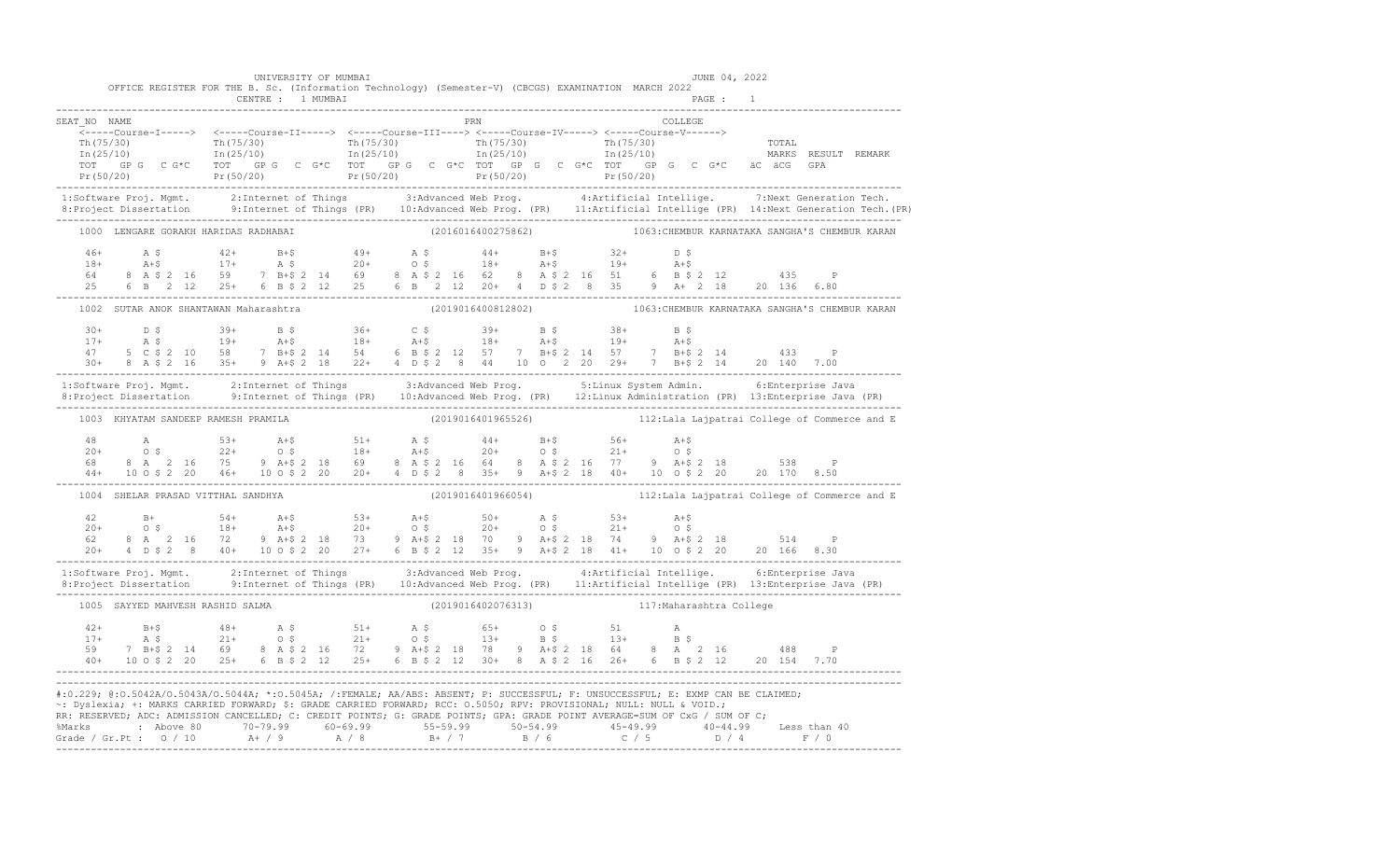|              | OFFICE REGISTER FOR THE B. Sc. (Information Technology) (Semester-V) (CBCGS) EXAMINATION MARCH 2022                                                                                                                                                                                                                                                                                                                                                                                                                                                   | UNIVERSITY OF MUMBAI |  |  |                    |                    |                                             |         | JUNE 04, 2022 |  |                                                                   |  |
|--------------|-------------------------------------------------------------------------------------------------------------------------------------------------------------------------------------------------------------------------------------------------------------------------------------------------------------------------------------------------------------------------------------------------------------------------------------------------------------------------------------------------------------------------------------------------------|----------------------|--|--|--------------------|--------------------|---------------------------------------------|---------|---------------|--|-------------------------------------------------------------------|--|
|              | CENTRE : 1 MUMBAI                                                                                                                                                                                                                                                                                                                                                                                                                                                                                                                                     |                      |  |  |                    |                    |                                             |         | PAGE : 1      |  |                                                                   |  |
| SEAT NO NAME |                                                                                                                                                                                                                                                                                                                                                                                                                                                                                                                                                       |                      |  |  | PRN                |                    |                                             | COLLEGE |               |  |                                                                   |  |
|              | TOT GPG CG*C TOT GPG CG*C TOT GPG CG*C TOT GPG CG*C TOT GPG CG*C ACACACG GPA                                                                                                                                                                                                                                                                                                                                                                                                                                                                          |                      |  |  |                    |                    |                                             |         |               |  |                                                                   |  |
|              |                                                                                                                                                                                                                                                                                                                                                                                                                                                                                                                                                       |                      |  |  |                    |                    |                                             |         |               |  |                                                                   |  |
|              | 1:Software Proj. Mgmt.     2:Internet of Things        3:Advanced Web Prog.        4:Artificial Intellige.     7:Next Generation Tech.<br>8:Project Dissertation      9:Internet of Things (PR)   10:Advanced Web Prog. (PR)   11                                                                                                                                                                                                                                                                                                                     |                      |  |  |                    |                    |                                             |         |               |  |                                                                   |  |
|              | 1000 LENGARE GORAKH HARIDAS RADHABAI                                                                                                                                                                                                                                                                                                                                                                                                                                                                                                                  |                      |  |  | (2016016400275862) |                    |                                             |         |               |  | 1063: CHEMBUR KARNATAKA SANGHA'S CHEMBUR KARAN                    |  |
|              | $\begin{array}{cccccccccccc} 46+ & & {\bf A}\; \xi & & & 42+ & & {\bf B}+ \xi & & & 49+ & & {\bf A}\; \xi & & & 44+ & & {\bf B}+ \xi & & 32+ & & {\bf D}\; \xi \\ 18+ & & {\bf A}+ \xi & & & 17+ & & {\bf A}\; \xi & & & 20+ & & {\bf O}\; \xi & & & 18+ & & {\bf A}+ \xi & & 19+ & & {\bf A}+ \xi \\ 64 & & 8& {\bf A}\; \xi\; 2& 16 & & 59 & & 7& {\bf B}+ \xi\; 2& 14 & & 69 & & 8$                                                                                                                                                                |                      |  |  |                    |                    |                                             |         |               |  |                                                                   |  |
|              | 1002 SUTAR ANOK SHANTAWAN Maharashtra                                                                                                                                                                                                                                                                                                                                                                                                                                                                                                                 |                      |  |  |                    |                    |                                             |         |               |  | (2019016400812802) 1063: CHEMBUR KARNATAKA SANGHA'S CHEMBUR KARAN |  |
|              | $\begin{array}{cccccccccccccccc} 30+ & & D & \xi & & 39+ & B & \xi & & 36+ & C & \xi & & 39+ & B & \xi & & 38+ & B & \xi \\ 17+ & & A & \xi & & 19+ & & A+\xi & & 18+ & A+\xi & & 19+ & A+\xi & & 19+ & A+\xi \\ 47 & & 5 & C & \xi & 2 & 10 & 58 & 7 & B+\xi & 2 & 14 & 54 & 6 & B & \xi & 2 & 12 & 57 & 7 & B+\xi & 2 & 14 & 57 & 7 & B+\xi & 2 & 14 & 433 & P \\ 30$                                                                                                                                                                               |                      |  |  |                    |                    |                                             |         |               |  |                                                                   |  |
|              | 1:Software Proj. Mgmt. 2:Internet of Things 3:Advanced Web Prog. 5:Linux System Admin. 6:Enterprise Java<br>8:Project Dissertation 9:Internet of Things (PR) 10:Advanced Web Prog. (PR) 12:Linux Administration (PR) 13:Enterpris                                                                                                                                                                                                                                                                                                                     |                      |  |  |                    |                    |                                             |         |               |  |                                                                   |  |
|              | 1003 KHYATAM SANDEEP RAMESH PRAMILA                                                                                                                                                                                                                                                                                                                                                                                                                                                                                                                   |                      |  |  |                    | (2019016401965526) |                                             |         |               |  | 112:Lala Lajpatrai College of Commerce and E                      |  |
|              | $\begin{array}{cccccccccccccccc} 48 & & & & & & & & & & & 53+ & & & 44+ & & & 55+ & & & & 56+ & & & 44+ & & & 56+ & & & 44+ & & & 56+ & & & 44+ & & & 56+ & & & 44+ & & 56+ & & 56+ & & 56+ & & 56+ & & 56+ & & 56+ & & 56+ & & 56+ & & 56+ & & 56+ & & 56+ & & 56+ & & 56+ & & 56+ & & 56+ & & 56+ & & 56+ & & 56+ & & 56+ & & 56+ &$                                                                                                                                                                                                                |                      |  |  |                    |                    |                                             |         |               |  |                                                                   |  |
|              | 1004 SHELAR PRASAD VITTHAL SANDHYA                                                                                                                                                                                                                                                                                                                                                                                                                                                                                                                    |                      |  |  |                    |                    |                                             |         |               |  | (2019016401966054) 112:Lala Lajpatrai College of Commerce and E   |  |
|              | $\begin{array}{cccccccccccccccc} 42 & B+ & 54+ & A+ \$ & 53+ & A+ \$ & 50+ & A\ \hat{S} & 20+ & 0\ \hat{S} & 18+ & A+ \$ & 20+ & 0\ \hat{S} & 8 & A & 2 & 16 & 72 & 9 & A+ \$\ 20+ & 10 & 9 & 8 & 14 & 2 & 18 & 70 & 9 & 14 & 2 & 18 & 74 & 9 & A+ \$\ 20+ & 4 & D\ \hat{S} & 2 & 8 & 40+ & 10 & 0\ \hat{S} & 2 & 20 & 27+ & 6 & B\$                                                                                                                                                                                                                  |                      |  |  |                    |                    |                                             |         |               |  |                                                                   |  |
|              | 1:Software Proj. Mgmt. 2:Internet of Things 3:Advanced Web Prog. 4:Artificial Intellige. 6:Enterprise Java<br>8:Project Dissertation 9:Internet of Things (PR) 10:Advanced Web Prog. (PR) 11:Artificial Intellige (PR) 13:Enterpr                                                                                                                                                                                                                                                                                                                     |                      |  |  |                    |                    |                                             |         |               |  |                                                                   |  |
|              | 1005 SAYYED MAHVESH RASHID SALMA                                                                                                                                                                                                                                                                                                                                                                                                                                                                                                                      |                      |  |  |                    |                    | (2019016402076313) 117: Maharashtra College |         |               |  |                                                                   |  |
|              | 40+ 10 0 \$ 2 20 25+ 6 B \$ 2 12 25+ 6 B \$ 2 12 30+ 8 A \$ 2 16 26+ 6 B \$ 2 12 20 154 7.70                                                                                                                                                                                                                                                                                                                                                                                                                                                          |                      |  |  |                    |                    |                                             |         |               |  |                                                                   |  |
|              | #:0.229; @:0.5042A/0.5043A/0.5044A; *:0.5045A; /:FEMALE; AA/ABS: ABSENT; P: SUCCESSFUL; F: UNSUCCESSFUL; E: EXMP CAN BE CLAIMED;<br>~: Dyslexia; +: MARKS CARRIED FORWARD; \$: GRADE CARRIED FORWARD; RCC: 0.5050; RPV: PROVISIONAL; NULL: NULL & VOID.;<br>RR: RESERVED; ADC: ADMISSION CANCELLED; C: CREDIT POINTS; G: GRADE POINTS; GPA: GRADE POINT AVERAGE=SUM OF CxG / SUM OF C;<br>% Marks : Above 80 70-79.99 60-69.99 55-59.99 50-54.99 45-49.99 40-44.99 Less than 40<br>Grade / Gr.Pt : 0 / 10 A+ / 9 A / 8 B+ / 7 B / 6 C / 5 D / 4 F / 0 |                      |  |  |                    |                    |                                             |         |               |  |                                                                   |  |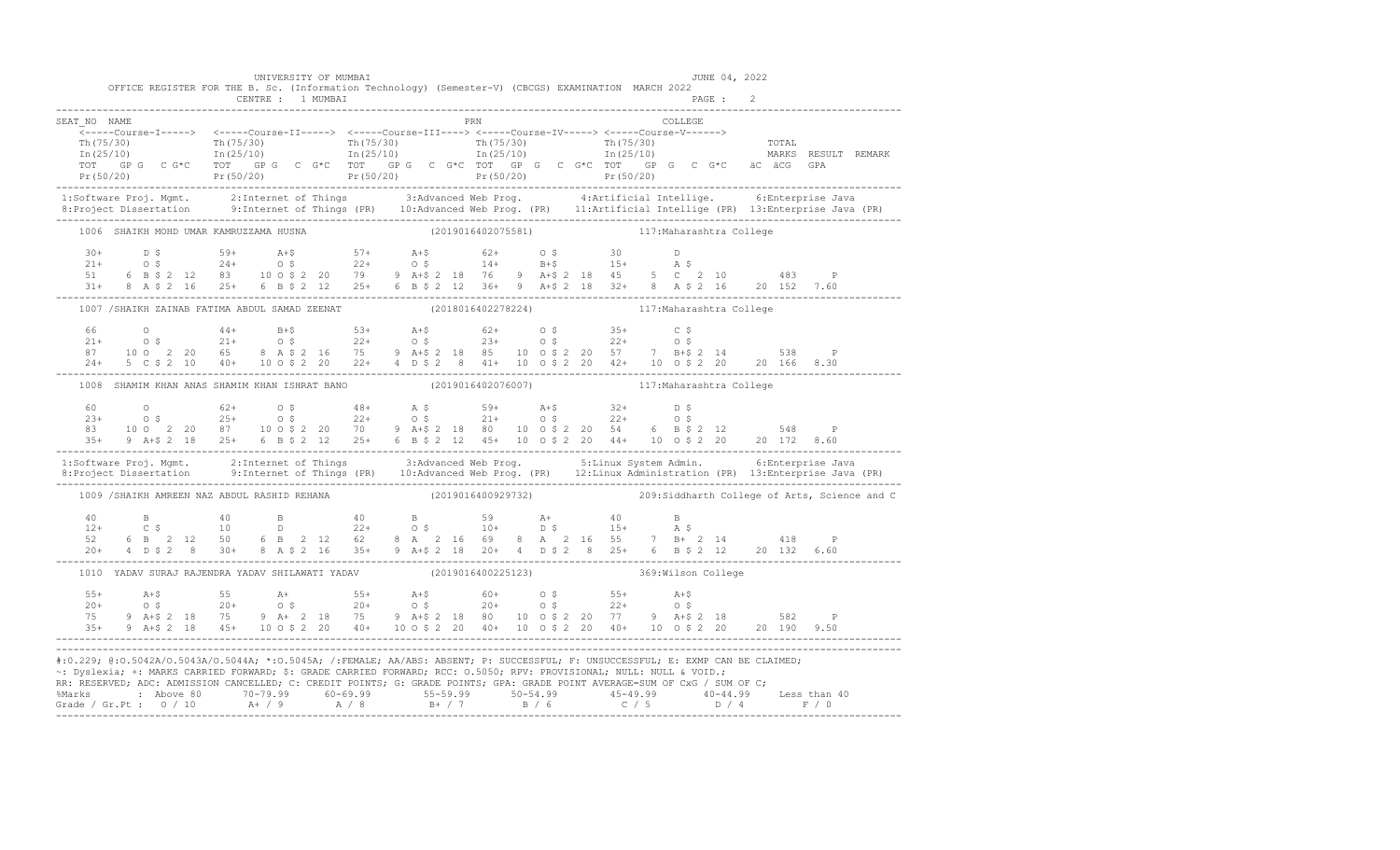|              | UNIVERSITY OF MUMBAI                                               | OFFICE REGISTER FOR THE B. Sc. (Information Technology) (Semester-V) (CBCGS) EXAMINATION MARCH 2022                                                                                                                                                                                                                                                                                    | JUNE 04, 2022      |  |
|--------------|--------------------------------------------------------------------|----------------------------------------------------------------------------------------------------------------------------------------------------------------------------------------------------------------------------------------------------------------------------------------------------------------------------------------------------------------------------------------|--------------------|--|
|              |                                                                    |                                                                                                                                                                                                                                                                                                                                                                                        |                    |  |
| SEAT NO NAME |                                                                    | PRN                                                                                                                                                                                                                                                                                                                                                                                    | <b>COLLEGE</b>     |  |
|              |                                                                    | $\begin{array}{cccccccc} \text{m (75/30)} & \text{m (75/30)} & \text{m (75/30)} & \text{m (75/30)} & \text{m (75/30)} & \text{m (75/30)} & \text{m (75/30)} & \text{m (75/30)} & \text{m (75/30)} & \text{m (75/30)} & \text{m (75/30)} & \text{m (75/30)} & \text{m (75/30)} & \text{m (75/30)} & \text{m (75/30)} & \text{m (75/30)} & \text{m (75/30)} & \text{m (75/$              |                    |  |
|              |                                                                    | 1:Software Proj. Mgmt. 2:Internet of Things 3:Advanced Web Prog. 4:Artificial Intellige. 6:Enterprise Java<br>8:Project Dissertation 9:Internet of Things (PR) 10:Advanced Web Prog. (PR) 11:Artificial Intellige (PR) 13:Enterpr                                                                                                                                                      |                    |  |
|              | 1006 SHAIKH MOHD UMAR KAMRUZZAMA HUSNA                             | (2019016402075581) 117: Maharashtra College                                                                                                                                                                                                                                                                                                                                            |                    |  |
|              |                                                                    | $\begin{array}{cccccccccccccccc} 30+ & & D & S & & 59+ & & A+ \zeta & & 57+ & & A+ \zeta & & 62+ & & 0 & \zeta & & 30 & & D \\ 21+ & & O & S & & 24+ & & O & \zeta & & 22+ & & O & \zeta & & 14+ & B+ \zeta & & 15+ & & A & \zeta & & & & \\ 51 & & 6 & B & \zeta & 2 & 12 & 83 & & 10 & 0 & \zeta & 2 & 20 & & 79 & & 9 & A+ \zeta & 2 & 18 & & 76 & & 9 & A+ \zeta & 2 & 18$         |                    |  |
|              |                                                                    | 1007 /SHAIKH ZAINAB FATIMA ABDUL SAMAD ZEENAT (2018016402278224) 117:Maharashtra College                                                                                                                                                                                                                                                                                               |                    |  |
|              |                                                                    |                                                                                                                                                                                                                                                                                                                                                                                        |                    |  |
|              |                                                                    | 1008 SHAMIM KHAN ANAS SHAMIM KHAN ISHRAT BANO (2019016402076007) 12 117: Maharashtra College                                                                                                                                                                                                                                                                                           |                    |  |
|              |                                                                    | $\begin{array}{cccccccccccccccc} 60 & 0 & 62+ & 0 & 5 & 48+ & \mathtt{A} & 5 & 59+ & \mathtt{A}+5 & 32+ & \mathtt{D} & 5 \\ 23+ & 0 & 5 & 25+ & 0 & 5 & 22+ & 0 & 5 & 21+ & 0 & 5 & 22+ & 0 & 5 \\ 83 & 10 & 0 & 2 & 20 & 87 & 10 & 0 & 5 & 20 & 70 & 9 & \mathtt{A}+5 & 2 & 18 & 80 & 10 & 0 & 5 & 2 & 20 & 54 & 6 & \mathtt{B}$                                                      |                    |  |
|              |                                                                    | 1:Software Proj. Mgmt. 2:Internet of Things 3:Advanced Web Prog. 5:Linux System Admin. 6:Enterprise Java<br>8:Project Dissertation 9:Internet of Things (PR) 10:Advanced Web Prog. (PR) 12:Linux Administration (PR) 13:Enterpris                                                                                                                                                      |                    |  |
|              |                                                                    | 1009 /SHAIKH AMREEN NAZ ABDUL RASHID REHANA (2019016400929732) 209:Siddharth College of Arts, Science and C                                                                                                                                                                                                                                                                            |                    |  |
|              |                                                                    | 20+ 4 D \$ 2 8 30+ 8 A \$ 2 16 35+ 9 A + \$ 2 18 20+ 4 D \$ 2 8 25+ 6 B \$ 2 12 20 132 6.60                                                                                                                                                                                                                                                                                            |                    |  |
|              | 1010 YADAV SURAJ RAJENDRA YADAV SHILAWATI YADAV (2019016400225123) |                                                                                                                                                                                                                                                                                                                                                                                        | 369:Wilson College |  |
|              |                                                                    |                                                                                                                                                                                                                                                                                                                                                                                        |                    |  |
|              |                                                                    | #:0.229; @:0.5042A/O.5043A/O.5044A; *:0.5045A; /:FEMALE; AA/ABS: ABSENT; P: SUCCESSFUL; F: UNSUCCESSFUL; E: EXMP CAN BE CLAIMED;<br>~: Dyslexia; +: MARKS CARRIED FORWARD; \$: GRADE CARRIED FORWARD; RCC: 0.5050; RPV: PROVISIONAL; NULL: NULL & VOID.;<br>RR: RESERVED; ADC: ADMISSION CANCELLED; C: CREDIT POINTS; G: GRADE POINTS; GPA: GRADE POINT AVERAGE=SUM OF CxG / SUM OF C; |                    |  |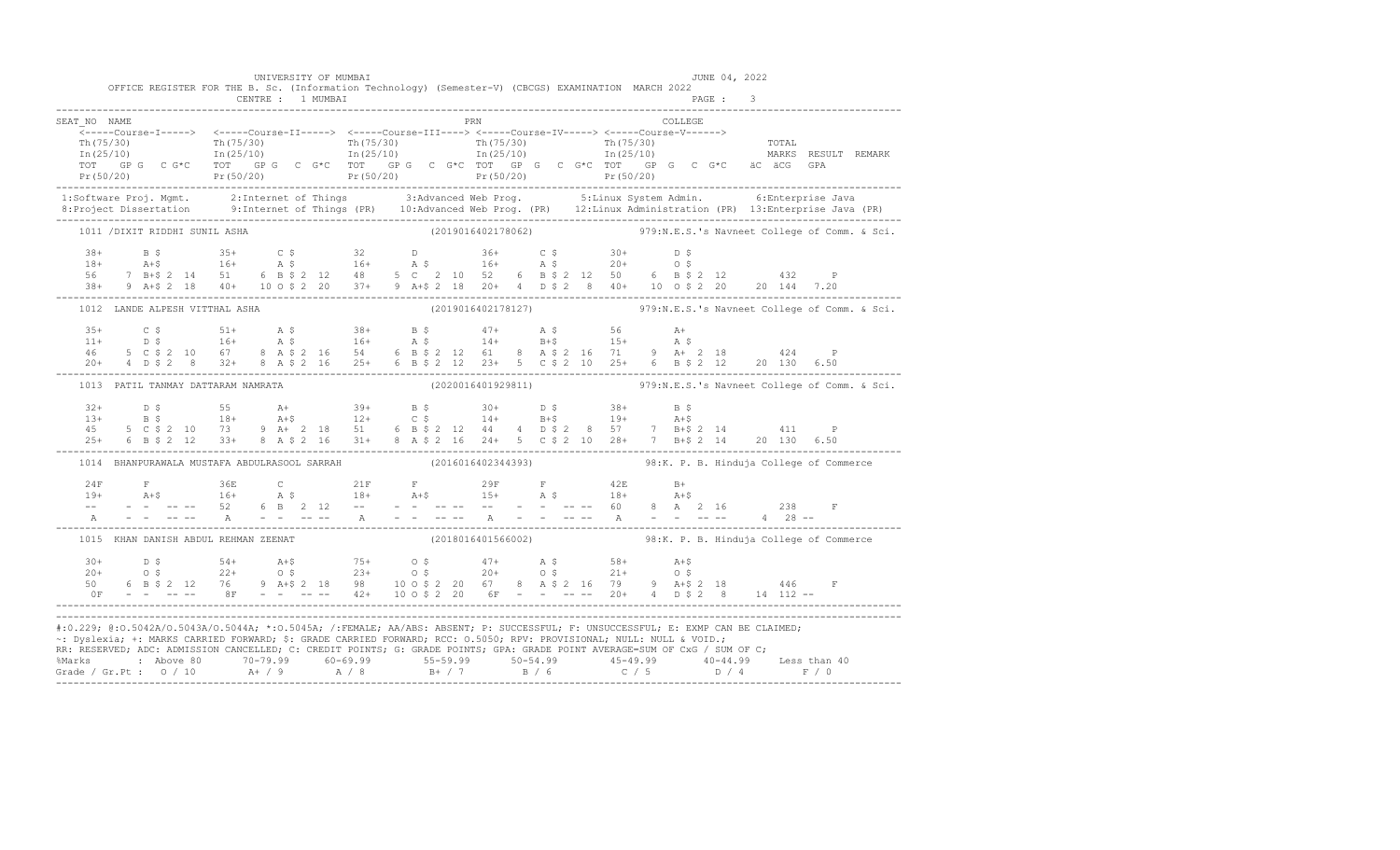|              |                                    | UNIVERSITY OF MUMBAI<br>CENTRE : 1 MUMBAI | OFFICE REGISTER FOR THE B. Sc. (Information Technology) (Semester-V) (CBCGS) EXAMINATION MARCH 2022                  |                    | JUNE 04, 2022                                                                                                                                                                                                                                                                                                                                                                                                                 |                                                                                                                                                                                                                                                                                                                                                                                                                                                 |
|--------------|------------------------------------|-------------------------------------------|----------------------------------------------------------------------------------------------------------------------|--------------------|-------------------------------------------------------------------------------------------------------------------------------------------------------------------------------------------------------------------------------------------------------------------------------------------------------------------------------------------------------------------------------------------------------------------------------|-------------------------------------------------------------------------------------------------------------------------------------------------------------------------------------------------------------------------------------------------------------------------------------------------------------------------------------------------------------------------------------------------------------------------------------------------|
| SEAT NO NAME |                                    |                                           |                                                                                                                      | PRN                | COLLEGE                                                                                                                                                                                                                                                                                                                                                                                                                       | $\text{Th (75/30)}$<br>$\text{Th (75/30)}$ $\text{Th (75/30)}$ $\text{Th (75/30)}$ $\text{Th (75/30)}$ $\text{Th (75/30)}$ $\text{Th (75/30)}$ $\text{Th (75/30)}$ $\text{Th (75/30)}$ $\text{Th (75/30)}$ $\text{Th (75/30)}$ $\text{Tr (75/30)}$ $\text{Tr (75/30)}$ $\text{Tr (75/30)}$ $\text{Tr (75/30)}$ $\text{Tr (75/3$                                                                                                                 |
|              |                                    |                                           |                                                                                                                      |                    |                                                                                                                                                                                                                                                                                                                                                                                                                               |                                                                                                                                                                                                                                                                                                                                                                                                                                                 |
|              | 1011 / DIXIT RIDDHI SUNIL ASHA     |                                           |                                                                                                                      |                    |                                                                                                                                                                                                                                                                                                                                                                                                                               | (2019016402178062) 979:N.E.S.'s Navneet College of Comm. & Sci.                                                                                                                                                                                                                                                                                                                                                                                 |
|              |                                    |                                           |                                                                                                                      |                    |                                                                                                                                                                                                                                                                                                                                                                                                                               | $\begin{array}{cccccccccccccccc} 38+ & & & 8\,\hat{\diamond} & & & 35+ & & C\,\hat{\diamond} & & & 32 & & D & & 36+ & & C\,\hat{\diamond} & & & 30+ & & D\,\hat{\diamond} \\ 18+ & & & \text{A+S} & & & 16+ & & \text{A}\,\hat{\diamond} & & & 16+ & & \text{A}\,\hat{\diamond} & & & 16+ & & \text{A}\,\hat{\diamond} & & & 16+ & & \text{A}\,\hat{\diamond} & & & 20+ & & 0\,\hat{\diamond} \\ 56 & & 7 & \text{B+S} & 2 & 14 & 51 & & 6 & \$ |
|              | 1012 LANDE ALPESH VITTHAL ASHA     |                                           |                                                                                                                      |                    |                                                                                                                                                                                                                                                                                                                                                                                                                               | (2019016402178127) 979:N.E.S.'s Navneet College of Comm. & Sci.                                                                                                                                                                                                                                                                                                                                                                                 |
|              |                                    |                                           |                                                                                                                      |                    |                                                                                                                                                                                                                                                                                                                                                                                                                               |                                                                                                                                                                                                                                                                                                                                                                                                                                                 |
|              | 1013 PATIL TANMAY DATTARAM NAMRATA |                                           |                                                                                                                      |                    |                                                                                                                                                                                                                                                                                                                                                                                                                               | $(2020016401929811)$ 979:N.E.S.'s Navneet College of Comm. & Sci.                                                                                                                                                                                                                                                                                                                                                                               |
|              |                                    |                                           |                                                                                                                      |                    | $\begin{array}{cccccccccccccccc} 32+ & & D & \xi & & & 55 & & \mathrm{A+} & & 39+ & \mathrm{B} \; \xi & & 30+ & D \; \xi & & 38+ & \mathrm{B} \; \xi \\ 13+ & & B & \xi & & 18+ & & \mathrm{A+}\xi & & 12+ & C \; \xi & & 14+ & B+ \xi & & 19+ & A+ \xi \\ 45 & & 5 & C & \xi & 2 & 10 & 73 & 9 & \mathrm{A+} & 2 & 18 & 51 & 6 & \mathrm{B} \; \xi & 2 & 12 & 44 & 4 & D \; \xi & 2 &$                                       |                                                                                                                                                                                                                                                                                                                                                                                                                                                 |
|              |                                    |                                           |                                                                                                                      |                    | 1014 BHANPURAWALA MUSTAFA ABDULRASOOL SARRAH (2016016402344393) 98:K. P. B. Hinduja College of Commerce                                                                                                                                                                                                                                                                                                                       |                                                                                                                                                                                                                                                                                                                                                                                                                                                 |
|              |                                    |                                           |                                                                                                                      |                    |                                                                                                                                                                                                                                                                                                                                                                                                                               | $\begin{array}{lllllllll} 24\text{F} & \text{F} & 36\text{E} & \text{C} & 21\text{F} & \text{F} & 29\text{F} & \text{F} & 42\text{E} & \text{B}+ \\ 19+ & \text{A}+\$ & 16+ & \text{A} & \$ & 18+ & \text{A}+\$ & 15+ & \text{A} & \$ & 18+ & \text{A}+\$ \\ -- & - & - & - & - & 52 & 6 & \text{B} & 2 & 12 & -- & -- & -- & -- & -- & -- & -- & -- & -- & 60 & 8 & \text{A} & 2 & 16$                                                         |
|              |                                    | 1015 KHAN DANISH ABDUL REHMAN ZEENAT      |                                                                                                                      | (2018016401566002) |                                                                                                                                                                                                                                                                                                                                                                                                                               | 98:K. P. B. Hinduja College of Commerce                                                                                                                                                                                                                                                                                                                                                                                                         |
|              |                                    |                                           |                                                                                                                      |                    | $20+$ $D \;$ $54+$ $A+5$ $75+$ $0 \;$ $47+$ $A \;$ $58+$ $A+5$<br>$20+$ $0 \;$ $22+$ $0 \;$ $23+$ $0 \;$ $20+$ $0 \;$ $21+$ $0 \;$<br>$50$ $6 \;$ $B \;$ $5 \;$ $2 \;$ $12$ $76$ $9 \;$ $A+5 \;$ $2 \;$ $18$ $98$ $10 \;$ $0 \;$ $5 \;$ $2 \;$ $20 \;$                                                                                                                                                                        |                                                                                                                                                                                                                                                                                                                                                                                                                                                 |
|              |                                    |                                           | ~: Dyslexia; +: MARKS CARRIED FORWARD; \$: GRADE CARRIED FORWARD; RCC: 0.5050; RPV: PROVISIONAL; NULL: NULL & VOID.; |                    | #:0.229; @:0.5042A/0.5043A/0.5044A; *:0.5045A; /:FEMALE; AA/ABS: ABSENT; P: SUCCESSFUL; F: UNSUCCESSFUL; E: EXMP CAN BE CLAIMED;<br>RR: RESERVED; ADC: ADMISSION CANCELLED; C: CREDIT POINTS; G: GRADE POINTS; GPA: GRADE POINT AVERAGE=SUM OF CxG / SUM OF C;<br>% Marks : Above 80 70-79.99 60-69.99 55-59.99 50-54.99 45-49.99 40-44.99 Less than 40<br>Grade / Gr.Pt : 0 / 10 A+ / 9 A / 8 B+ / 7 B / 6 C / 5 D / 4 F / 0 |                                                                                                                                                                                                                                                                                                                                                                                                                                                 |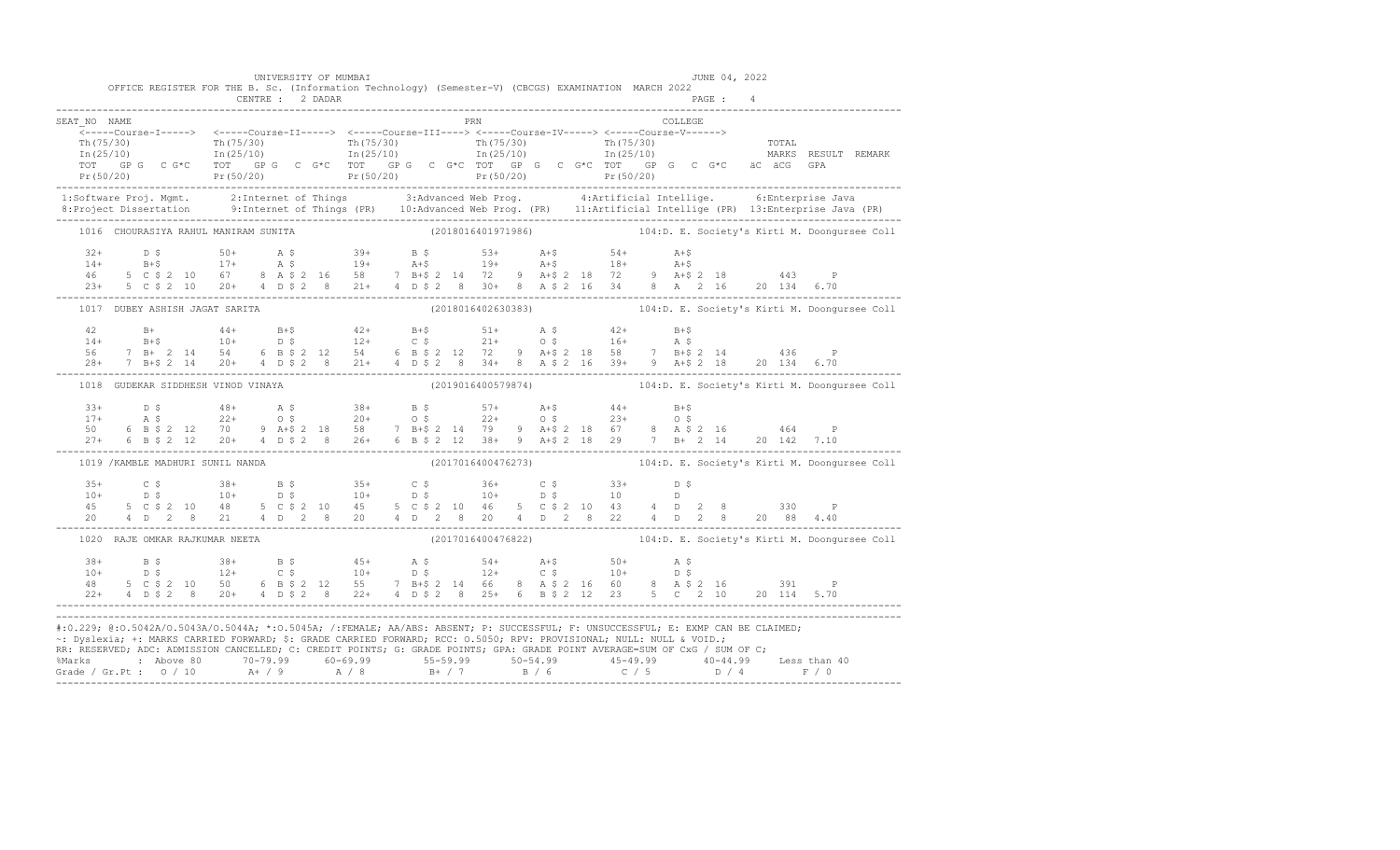|                                                                                                                                  |  |  | OFFICE REGISTER FOR THE B. Sc. (Information Technology) (Semester-V) (CBCGS) EXAMINATION MARCH 2022 |  |  | UNIVERSITY OF MUMBAI |  |  |  |     |  |  |         | JUNE 04, 2022 |  |                                                                                                                                                                                                                                                                                                                                                                                                |
|----------------------------------------------------------------------------------------------------------------------------------|--|--|-----------------------------------------------------------------------------------------------------|--|--|----------------------|--|--|--|-----|--|--|---------|---------------|--|------------------------------------------------------------------------------------------------------------------------------------------------------------------------------------------------------------------------------------------------------------------------------------------------------------------------------------------------------------------------------------------------|
|                                                                                                                                  |  |  |                                                                                                     |  |  |                      |  |  |  |     |  |  |         |               |  |                                                                                                                                                                                                                                                                                                                                                                                                |
| SEAT NO NAME                                                                                                                     |  |  |                                                                                                     |  |  |                      |  |  |  | PRN |  |  | COLLEGE |               |  |                                                                                                                                                                                                                                                                                                                                                                                                |
|                                                                                                                                  |  |  |                                                                                                     |  |  |                      |  |  |  |     |  |  |         |               |  |                                                                                                                                                                                                                                                                                                                                                                                                |
|                                                                                                                                  |  |  |                                                                                                     |  |  |                      |  |  |  |     |  |  |         |               |  |                                                                                                                                                                                                                                                                                                                                                                                                |
|                                                                                                                                  |  |  |                                                                                                     |  |  |                      |  |  |  |     |  |  |         |               |  |                                                                                                                                                                                                                                                                                                                                                                                                |
|                                                                                                                                  |  |  |                                                                                                     |  |  |                      |  |  |  |     |  |  |         |               |  |                                                                                                                                                                                                                                                                                                                                                                                                |
|                                                                                                                                  |  |  |                                                                                                     |  |  |                      |  |  |  |     |  |  |         |               |  |                                                                                                                                                                                                                                                                                                                                                                                                |
|                                                                                                                                  |  |  |                                                                                                     |  |  |                      |  |  |  |     |  |  |         |               |  | 1:Software Proj. Mgmt. 2:Internet of Things 3:Advanced Web Prog. 4:Artificial Intellige. 6:Enterprise Java<br>8:Project Dissertation 9:Internet of Things (PR) 10:Advanced Web Prog. (PR) 11:Artificial Intellige (PR) 13:Enterpr                                                                                                                                                              |
|                                                                                                                                  |  |  |                                                                                                     |  |  |                      |  |  |  |     |  |  |         |               |  | 1016 CHOURASIYA RAHUL MANIRAM SUNITA (2018016401971986) 104:D. E. Society's Kirti M. Doongursee Coll                                                                                                                                                                                                                                                                                           |
|                                                                                                                                  |  |  |                                                                                                     |  |  |                      |  |  |  |     |  |  |         |               |  |                                                                                                                                                                                                                                                                                                                                                                                                |
|                                                                                                                                  |  |  |                                                                                                     |  |  |                      |  |  |  |     |  |  |         |               |  |                                                                                                                                                                                                                                                                                                                                                                                                |
|                                                                                                                                  |  |  |                                                                                                     |  |  |                      |  |  |  |     |  |  |         |               |  |                                                                                                                                                                                                                                                                                                                                                                                                |
|                                                                                                                                  |  |  |                                                                                                     |  |  |                      |  |  |  |     |  |  |         |               |  |                                                                                                                                                                                                                                                                                                                                                                                                |
|                                                                                                                                  |  |  | 1017 DUBEY ASHISH JAGAT SARITA                                                                      |  |  |                      |  |  |  |     |  |  |         |               |  | (2018016402630383) 104:D. E. Society's Kirti M. Doongursee Coll                                                                                                                                                                                                                                                                                                                                |
|                                                                                                                                  |  |  |                                                                                                     |  |  |                      |  |  |  |     |  |  |         |               |  |                                                                                                                                                                                                                                                                                                                                                                                                |
|                                                                                                                                  |  |  |                                                                                                     |  |  |                      |  |  |  |     |  |  |         |               |  |                                                                                                                                                                                                                                                                                                                                                                                                |
|                                                                                                                                  |  |  |                                                                                                     |  |  |                      |  |  |  |     |  |  |         |               |  |                                                                                                                                                                                                                                                                                                                                                                                                |
|                                                                                                                                  |  |  |                                                                                                     |  |  |                      |  |  |  |     |  |  |         |               |  | $\begin{array}{lllllllllll} 42 & \text{B+} & \text{44+} & \text{B+\$} & \text{42+} & \text{B+\$} & \text{51+} & \text{A $\$} & \text{42+} & \text{B+\$} \\ 14 & \text{B+\$} & \text{10+} & \text{D $\$} & \text{12+} & \text{C $\$} & \text{21+} & \text{O $\$} & \text{16+} & \text{A $\$} \\ 56 & \text{7 $\$B+$} & \text{2 $\$14$} & \text{54} & \text{6 $\$B $\$2$} & \text{12} & \text{5$ |
|                                                                                                                                  |  |  | 1018 GUDEKAR SIDDHESH VINOD VINAYA                                                                  |  |  |                      |  |  |  |     |  |  |         |               |  | (2019016400579874) 104:D. E. Society's Kirti M. Doongursee Coll                                                                                                                                                                                                                                                                                                                                |
|                                                                                                                                  |  |  |                                                                                                     |  |  |                      |  |  |  |     |  |  |         |               |  |                                                                                                                                                                                                                                                                                                                                                                                                |
|                                                                                                                                  |  |  |                                                                                                     |  |  |                      |  |  |  |     |  |  |         |               |  |                                                                                                                                                                                                                                                                                                                                                                                                |
|                                                                                                                                  |  |  |                                                                                                     |  |  |                      |  |  |  |     |  |  |         |               |  |                                                                                                                                                                                                                                                                                                                                                                                                |
|                                                                                                                                  |  |  |                                                                                                     |  |  |                      |  |  |  |     |  |  |         |               |  | $\begin{array}{cccccccccccc} 33+ & D & S & 48+ & A & S & 38+ & B & S & 57+ & A+5 & 44+ & B+5 & 57+ & A & S & 22+ & 0 & S & 20+ & 0 & S & 22+ & 0 & S & 23+ & 0 & S & 23+ & 0 & S & 24+ & 0 & S & 25+ & 0 & 23+ & 0 & 24+ & 0 & 24+ & 0 & 25+ & 0 & 25+ & 0 & 25+ & 0 & 25+ & 0 & 25+ & 0 & 25+ & 0 & 25+ & 0 & 25+ & 0 & $                                                                     |
|                                                                                                                                  |  |  | 1019 / KAMBLE MADHURI SUNIL NANDA                                                                   |  |  |                      |  |  |  |     |  |  |         |               |  | (2017016400476273) 104:D. E. Society's Kirti M. Doongursee Coll                                                                                                                                                                                                                                                                                                                                |
|                                                                                                                                  |  |  |                                                                                                     |  |  |                      |  |  |  |     |  |  |         |               |  |                                                                                                                                                                                                                                                                                                                                                                                                |
|                                                                                                                                  |  |  |                                                                                                     |  |  |                      |  |  |  |     |  |  |         |               |  |                                                                                                                                                                                                                                                                                                                                                                                                |
|                                                                                                                                  |  |  |                                                                                                     |  |  |                      |  |  |  |     |  |  |         |               |  |                                                                                                                                                                                                                                                                                                                                                                                                |
|                                                                                                                                  |  |  |                                                                                                     |  |  |                      |  |  |  |     |  |  |         |               |  | $\begin{array}{cccccccccccc} 35+ & C & \xi & 38+ & B & \xi & 35+ & C & \xi & 36+ & C & \xi & 33+ & D & \xi \\ 10+ & D & \xi & 10+ & D & \xi & 10+ & D & \xi & 10+ & D & \xi & 10 & D \\ 45 & 5 & C & \xi & 2 & 10 & 48 & 5 & C & \xi & 2 & 10 & 45 & 5 & C & \xi & 2 & 10 & 46 & 5 & C & \xi & 2 & 10 & 43 & 4 & D & 2 & 8 & 330 & P \\ 20 & 4 & D & 2 & 8 & 2$                                |
|                                                                                                                                  |  |  | 1020 RAJE OMKAR RAJKUMAR NEETA                                                                      |  |  |                      |  |  |  |     |  |  |         |               |  | (2017016400476822) 104:D. E. Society's Kirti M. Doongursee Coll                                                                                                                                                                                                                                                                                                                                |
|                                                                                                                                  |  |  |                                                                                                     |  |  |                      |  |  |  |     |  |  |         |               |  |                                                                                                                                                                                                                                                                                                                                                                                                |
|                                                                                                                                  |  |  |                                                                                                     |  |  |                      |  |  |  |     |  |  |         |               |  |                                                                                                                                                                                                                                                                                                                                                                                                |
|                                                                                                                                  |  |  |                                                                                                     |  |  |                      |  |  |  |     |  |  |         |               |  |                                                                                                                                                                                                                                                                                                                                                                                                |
|                                                                                                                                  |  |  |                                                                                                     |  |  |                      |  |  |  |     |  |  |         |               |  |                                                                                                                                                                                                                                                                                                                                                                                                |
| #:0.229; @:0.5042A/0.5043A/0.5044A; *:0.5045A; /:FEMALE; AA/ABS: ABSENT; P: SUCCESSFUL; F: UNSUCCESSFUL; E: EXMP CAN BE CLAIMED; |  |  |                                                                                                     |  |  |                      |  |  |  |     |  |  |         |               |  |                                                                                                                                                                                                                                                                                                                                                                                                |
| ~: Dyslexia; +: MARKS CARRIED FORWARD; \$: GRADE CARRIED FORWARD; RCC: 0.5050; RPV: PROVISIONAL; NULL: NULL & VOID.;             |  |  |                                                                                                     |  |  |                      |  |  |  |     |  |  |         |               |  |                                                                                                                                                                                                                                                                                                                                                                                                |
| RR: RESERVED; ADC: ADMISSION CANCELLED; C: CREDIT POINTS; G: GRADE POINTS; GPA: GRADE POINT AVERAGE=SUM OF CxG / SUM OF C;       |  |  |                                                                                                     |  |  |                      |  |  |  |     |  |  |         |               |  |                                                                                                                                                                                                                                                                                                                                                                                                |
|                                                                                                                                  |  |  |                                                                                                     |  |  |                      |  |  |  |     |  |  |         |               |  |                                                                                                                                                                                                                                                                                                                                                                                                |
|                                                                                                                                  |  |  |                                                                                                     |  |  |                      |  |  |  |     |  |  |         |               |  |                                                                                                                                                                                                                                                                                                                                                                                                |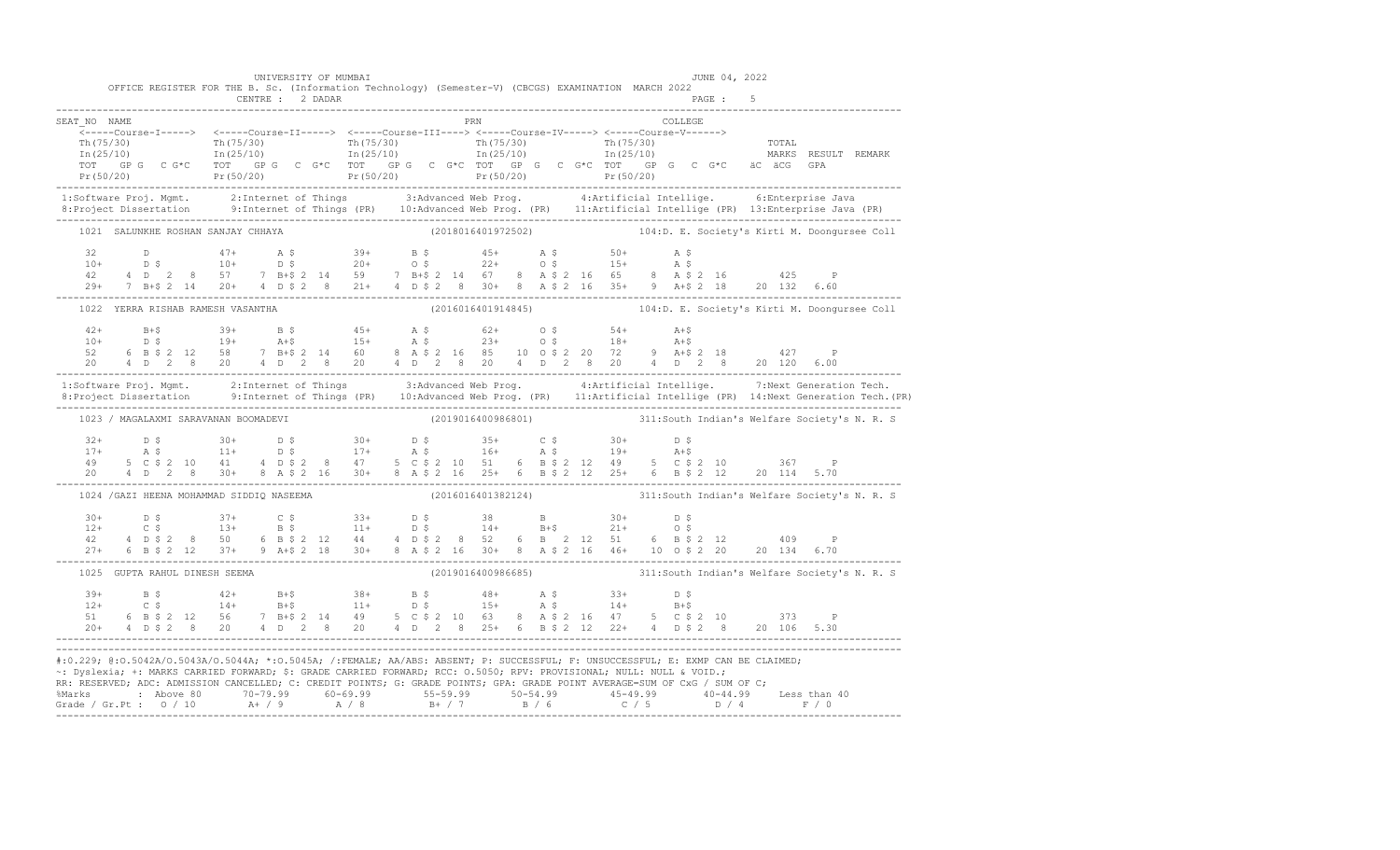|                                                                                                                                                                                                                                   | OFFICE REGISTER FOR THE B. Sc. (Information Technology) (Semester-V) (CBCGS) EXAMINATION MARCH 2022                                                                                                                                                                                                                                                                                                                                                                              |  | CENTRE : 2 DADAR |  |  |                    |                                                                                                                                                                                                              |  |         | PAGE : 5 |  |                                                                 |  |
|-----------------------------------------------------------------------------------------------------------------------------------------------------------------------------------------------------------------------------------|----------------------------------------------------------------------------------------------------------------------------------------------------------------------------------------------------------------------------------------------------------------------------------------------------------------------------------------------------------------------------------------------------------------------------------------------------------------------------------|--|------------------|--|--|--------------------|--------------------------------------------------------------------------------------------------------------------------------------------------------------------------------------------------------------|--|---------|----------|--|-----------------------------------------------------------------|--|
| SEAT NO NAME                                                                                                                                                                                                                      |                                                                                                                                                                                                                                                                                                                                                                                                                                                                                  |  |                  |  |  | PRN                |                                                                                                                                                                                                              |  | COLLEGE |          |  |                                                                 |  |
|                                                                                                                                                                                                                                   | <-----Course-I-----> <----Course-II-----> <----Course-III----> <-----Course-IV-----> <-----Course-V------><br>$\begin{array}{cccccccc} \texttt{Th(75/30)} & & & \texttt{Th(75/30)} & & & \texttt{Th(75/30)} & & & \texttt{Th(75/30)} & & & \texttt{Th(75/30)} & & & \texttt{Th(25/10)} & & & \texttt{Th(25/10)} & & & \texttt{In(25/10)} & & & \texttt{In(25/10)} & & & \end{array}$<br>TOT GPG CG*C TOT GPG CG*C TOT GPG CG*C TOT GPG CG*C TOT CPC CG*C TOT GPG CG*C äC äCG GPA |  |                  |  |  |                    |                                                                                                                                                                                                              |  |         |          |  |                                                                 |  |
| 1:Software Proj. Mgmt. 2:Internet of Things 3:Advanced Web Prog. 4:Artificial Intellige.<br>8: Project Dissertation 9: Internet of Things (PR) 10: Advanced Web Prog. (PR) 11: Artificial Intellige (PR) 13: Enterprise Java (PR) |                                                                                                                                                                                                                                                                                                                                                                                                                                                                                  |  |                  |  |  |                    |                                                                                                                                                                                                              |  |         |          |  | 6:Enterprise Java                                               |  |
|                                                                                                                                                                                                                                   | 1021 SALUNKHE ROSHAN SANJAY CHHAYA                                                                                                                                                                                                                                                                                                                                                                                                                                               |  |                  |  |  |                    |                                                                                                                                                                                                              |  |         |          |  | (2018016401972502) 104:D. E. Society's Kirti M. Doonqursee Coll |  |
|                                                                                                                                                                                                                                   | 29+ 7 B+\$ 2 14 20+ 4 D \$ 2 8 21+ 4 D \$ 2 8 30+ 8 A \$ 2 16 35+ 9 A+\$ 2 18 20 132 6.60                                                                                                                                                                                                                                                                                                                                                                                        |  |                  |  |  |                    |                                                                                                                                                                                                              |  |         |          |  |                                                                 |  |
|                                                                                                                                                                                                                                   | 1022 YERRA RISHAB RAMESH VASANTHA                                                                                                                                                                                                                                                                                                                                                                                                                                                |  |                  |  |  |                    |                                                                                                                                                                                                              |  |         |          |  | (2016016401914845) 104:D. E. Society's Kirti M. Doonqursee Coll |  |
|                                                                                                                                                                                                                                   | $\begin{array}{cccccccccccccccc} 42+ & & & & & & & & 39+ & & B & \xi & & & 45+ & & \lambda & \xi & & & 62+ & & 0 & \xi & & & 54+ & & \lambda+ \xi \\ 10+ & & & & & & & & & 19+ & & A+\xi & & 15+ & & A & \xi & & 23+ & & 0 & \xi & & 18+ & & A+\xi \\ 52 & & 6 & B & \xi & 2 & 12 & 58 & & 7 & B+\xi & 2 & 14 & & 60 & & 8 & A & \xi & 2 & 16 & 85 & 10 & 0 & \xi & 2 & 20 & 72 & &$                                                                                             |  |                  |  |  |                    |                                                                                                                                                                                                              |  |         |          |  |                                                                 |  |
| 1:Software Proj. Mgmt. 2:Internet of Things 3:Advanced Web Prog. 4:Artificial Intellige. 7:Next Generation Tech.<br>1.Project Dissertation 9:Internet of Things (PR) 10:Advanced Web Prog. (PR) 11:Artificial Intellige (PR) 14:N |                                                                                                                                                                                                                                                                                                                                                                                                                                                                                  |  |                  |  |  |                    |                                                                                                                                                                                                              |  |         |          |  |                                                                 |  |
|                                                                                                                                                                                                                                   | 1023 / MAGALAXMI SARAVANAN BOOMADEVI                                                                                                                                                                                                                                                                                                                                                                                                                                             |  |                  |  |  |                    |                                                                                                                                                                                                              |  |         |          |  | (2019016400986801) 311:South Indian's Welfare Society's N. R. S |  |
|                                                                                                                                                                                                                                   | 20 4 D 2 8 30+ 8 A \$ 2 16 30+ 8 A \$ 2 16 25+ 6 B \$ 2 12 25+ 6 B \$ 2 12 20 114 5.70                                                                                                                                                                                                                                                                                                                                                                                           |  |                  |  |  |                    |                                                                                                                                                                                                              |  |         |          |  |                                                                 |  |
|                                                                                                                                                                                                                                   | 1024 / GAZI HEENA MOHAMMAD SIDDIQ NASEEMA                                                                                                                                                                                                                                                                                                                                                                                                                                        |  |                  |  |  |                    |                                                                                                                                                                                                              |  |         |          |  | (2016016401382124) 311:South Indian's Welfare Society's N. R. S |  |
|                                                                                                                                                                                                                                   | $12+$ 0.5 $37+$ 0.5 $33+$ 0.5 $38+$ 8 $30+$ 0.5<br>$12+$ 0.5 $13+$ 8.5 $11+$ 0.5 $14+$ 8.45 $21+$ 0.5<br>$42$ 4 0.5 2 8 50 6 8.5 2 12 44 4 0.5 2 8 52 6 8 2 12 51 6 8.5 2 12 409<br>27+ 6 B \$ 2 12 37+ 9 A + \$ 2 18 30+ 8 A \$ 2 16 30+ 8 A \$ 2 16 46+ 10 0 \$ 2 20 20 134 6.70                                                                                                                                                                                               |  |                  |  |  |                    |                                                                                                                                                                                                              |  |         |          |  |                                                                 |  |
|                                                                                                                                                                                                                                   | 1025 GUPTA RAHUL DINESH SEEMA                                                                                                                                                                                                                                                                                                                                                                                                                                                    |  |                  |  |  | (2019016400986685) |                                                                                                                                                                                                              |  |         |          |  | 311: South Indian's Welfare Society's N. R. S                   |  |
|                                                                                                                                                                                                                                   |                                                                                                                                                                                                                                                                                                                                                                                                                                                                                  |  |                  |  |  |                    | $12+$ B \$ $42+$ B + \$ $38+$ B \$ $48+$ A \$ $33+$ D \$<br>$12+$ C \$ $14+$ B + \$ $11+$ D \$ $15+$ A \$ $14+$ B + \$<br>$51$ 6 B \$ 2 12 56 7 B + \$ 2 14 49 5 C \$ 2 10 63 8 A \$ 2 16 47 5 C \$ 2 10 373 |  |         |          |  |                                                                 |  |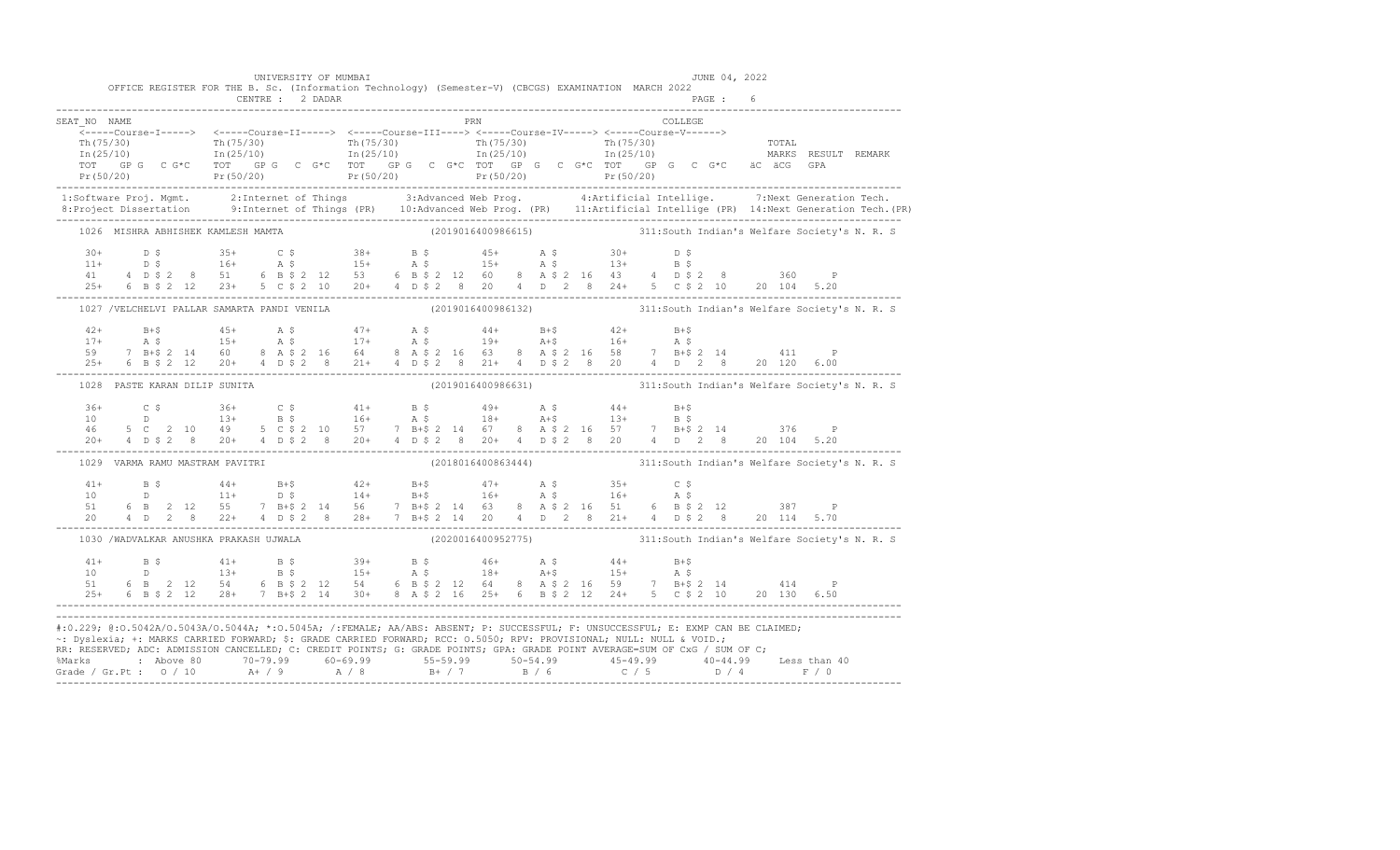|              |  | OFFICE REGISTER FOR THE B. Sc. (Information Technology) (Semester-V) (CBCGS) EXAMINATION MARCH 2022                                                                                                                                                                                                                                                                                                                      |  | UNIVERSITY OF MUMBAI |  |  |                       |  |  |                | JUNE 04, 2022 |                                                                                                                                                                                                                                                                                                                                                                               |                                                                                                                                                                                                                                                                                                                                                                     |
|--------------|--|--------------------------------------------------------------------------------------------------------------------------------------------------------------------------------------------------------------------------------------------------------------------------------------------------------------------------------------------------------------------------------------------------------------------------|--|----------------------|--|--|-----------------------|--|--|----------------|---------------|-------------------------------------------------------------------------------------------------------------------------------------------------------------------------------------------------------------------------------------------------------------------------------------------------------------------------------------------------------------------------------|---------------------------------------------------------------------------------------------------------------------------------------------------------------------------------------------------------------------------------------------------------------------------------------------------------------------------------------------------------------------|
|              |  |                                                                                                                                                                                                                                                                                                                                                                                                                          |  |                      |  |  |                       |  |  |                |               |                                                                                                                                                                                                                                                                                                                                                                               |                                                                                                                                                                                                                                                                                                                                                                     |
| SEAT NO NAME |  |                                                                                                                                                                                                                                                                                                                                                                                                                          |  |                      |  |  | <b>Example 19 PRN</b> |  |  | <b>COLLEGE</b> |               |                                                                                                                                                                                                                                                                                                                                                                               |                                                                                                                                                                                                                                                                                                                                                                     |
|              |  |                                                                                                                                                                                                                                                                                                                                                                                                                          |  |                      |  |  |                       |  |  |                |               |                                                                                                                                                                                                                                                                                                                                                                               |                                                                                                                                                                                                                                                                                                                                                                     |
|              |  |                                                                                                                                                                                                                                                                                                                                                                                                                          |  |                      |  |  |                       |  |  |                |               |                                                                                                                                                                                                                                                                                                                                                                               | 1:Software Proj. Mgmt. 2:Internet of Things 3:Advanced Web Prog. 4:Artificial Intellige. 7:Next Generation Tech.<br>8:Project Dissertation 9:Internet of Things (PR) 10:Advanced Web Prog. (PR) 11:Artificial Intellige (PR) 14:N                                                                                                                                   |
|              |  |                                                                                                                                                                                                                                                                                                                                                                                                                          |  |                      |  |  |                       |  |  |                |               | ---------<br>1026 MISHRA ABHISHEK KAMLESH MAMTA                         (2019016400986615)                 311:South Indian's Welfare Society's N. R. S                                                                                                                                                                                                                       |                                                                                                                                                                                                                                                                                                                                                                     |
|              |  |                                                                                                                                                                                                                                                                                                                                                                                                                          |  |                      |  |  |                       |  |  |                |               | $\begin{array}{cccccccccccccccc} 30+ & & D & \xi & & & 35+ & C & \xi & & 38+ & B & \xi & & 45+ & A & \xi & & 30+ & D & \xi \\ 11+ & & D & \xi & & & 16+ & A & \xi & & 15+ & A & \xi & & 15+ & A & \xi & & 13+ & B & \xi \\ 41 & & 4 & D & \xi & 2 & 8 & & 51 & 6 & B & \xi & 2 & 12 & 53 & 6 & B & \xi & 2 & 12 & 60 & 8 & A & \xi & 2 & 16 & 43 & 4 & D & \xi & 2 & 8 & & 3$ |                                                                                                                                                                                                                                                                                                                                                                     |
|              |  |                                                                                                                                                                                                                                                                                                                                                                                                                          |  |                      |  |  |                       |  |  |                |               | 1027 /VELCHELVI PALLAR SAMARTA PANDI VENILA (2019016400986132) 311:South Indian's Welfare Society's N. R. S                                                                                                                                                                                                                                                                   |                                                                                                                                                                                                                                                                                                                                                                     |
|              |  |                                                                                                                                                                                                                                                                                                                                                                                                                          |  |                      |  |  |                       |  |  |                |               | $\begin{tabular}{lllllllllll} 42+&\quad B+$&\quad 45+&\quad A$&\quad 5&\quad 47+&\quad A$&\quad 6&\quad 44+&\quad B+$&\quad 42+&\quad B+$&\quad 47+&\quad A$&\quad 5&\quad 17+&\quad A$&\quad 5&\quad 17+&\quad A$&\quad 5&\quad 19+&\quad A+$&\quad 16+&\quad A$&\quad 5&\quad 7&\quad B+$&\quad 2&\quad 14&\quad 60&\quad 8&\quad A$&\quad 2&\quad 16&\quad 64&$            |                                                                                                                                                                                                                                                                                                                                                                     |
|              |  | 1028 PASTE KARAN DILIP SUNITA                                                                                                                                                                                                                                                                                                                                                                                            |  |                      |  |  |                       |  |  |                |               | (2019016400986631) 311: South Indian's Welfare Society's N. R. S                                                                                                                                                                                                                                                                                                              |                                                                                                                                                                                                                                                                                                                                                                     |
|              |  |                                                                                                                                                                                                                                                                                                                                                                                                                          |  |                      |  |  |                       |  |  |                |               |                                                                                                                                                                                                                                                                                                                                                                               | $\begin{array}{cccccccccccccccc} 36+ & C & \xi & 36+ & C & \xi & 41+ & B & \xi & 49+ & A & \xi & 44+ & B & \xi \\ 10 & D & 13+ & B & \xi & 16+ & A & \xi & 18+ & A & \xi & 13+ & B & \xi \\ 46 & 5 & C & 2 & 10 & 49 & 5 & C & \xi & 2 & 10 & 57 & 7 & B & \xi & 2 & 14 & 67 & 8 & A & \xi & 2 & 16 & 57 & 7 & B & \xi & 2 & 14 & 376 & P \\ 20+ & 4 & D & \xi & 2$ |
|              |  | 1029 VARMA RAMU MASTRAM PAVITRI                                                                                                                                                                                                                                                                                                                                                                                          |  |                      |  |  |                       |  |  |                |               | (2018016400863444) 311: South Indian's Welfare Society's N. R. S                                                                                                                                                                                                                                                                                                              |                                                                                                                                                                                                                                                                                                                                                                     |
|              |  | $\begin{array}{cccccccccccccccc} 41+ & & & \text{B}\ \hat{S} & & & 44+ & & \text{B}+\hat{S} & & & 42+ & & \text{B}+\hat{S} & & & 47+ & & \text{A}\ \hat{S} & & & 0 & & & 14+ & & \text{B}+\hat{S} & & & 16+ & & \text{A}\ \hat{S} & & & 0 & & & 14+ & & \text{B}+\hat{S} & & & 16+ & & \text{A}\ \hat{S} & & & 0 & & & 0 & & 14+ & & \text{B}+\hat{S} & & & 16+ & & \text{A}\ \hat{S} & & &$                             |  |                      |  |  |                       |  |  |                |               |                                                                                                                                                                                                                                                                                                                                                                               |                                                                                                                                                                                                                                                                                                                                                                     |
|              |  | 1030 /WADVALKAR ANUSHKA PRAKASH UJWALA                                                                                                                                                                                                                                                                                                                                                                                   |  |                      |  |  |                       |  |  |                |               | (2020016400952775) 311:South Indian's Welfare Society's N. R. S                                                                                                                                                                                                                                                                                                               |                                                                                                                                                                                                                                                                                                                                                                     |
|              |  | $\begin{array}{cccccccccccccccc} 41+ & & \text{B}\ \ \text{S} & & \text{41+} & & \text{B}\ \ \text{S} & & \text{41+} & & \text{B}\ \ \text{S} & & \text{41+} & & \text{B}\ \ \text{S} & & \text{42+} & & \text{B}\ \ \text{S} & & \text{43+} & & \text{B}\ \ \text{S} & & \text{44+} & & \text{B+} & & \text{A+} & & \text{B+} & & \text{B+} & \text{B+} \\ 10 & & \text{D} & & \text{13+} & & \text{B}\ \text{S} & & \$ |  |                      |  |  |                       |  |  |                |               |                                                                                                                                                                                                                                                                                                                                                                               |                                                                                                                                                                                                                                                                                                                                                                     |
|              |  | #:0.229; @:0.5042A/0.5043A/0.5044A; *:0.5045A; /:FEMALE; AA/ABS: ABSENT; P: SUCCESSFUL; F: UNSUCCESSFUL; E: EXMP CAN BE CLAIMED;<br>~: Dyslexia; +: MARKS CARRIED FORWARD; \$: GRADE CARRIED FORWARD; RCC: 0.5050; RPV: PROVISIONAL; NULL: NULL & VOID.;<br>RR: RESERVED; ADC: ADMISSION CANCELLED; C: CREDIT POINTS; G: GRADE POINTS; GPA: GRADE POINT AVERAGE=SUM OF CxG / SUM OF C;                                   |  |                      |  |  |                       |  |  |                |               |                                                                                                                                                                                                                                                                                                                                                                               |                                                                                                                                                                                                                                                                                                                                                                     |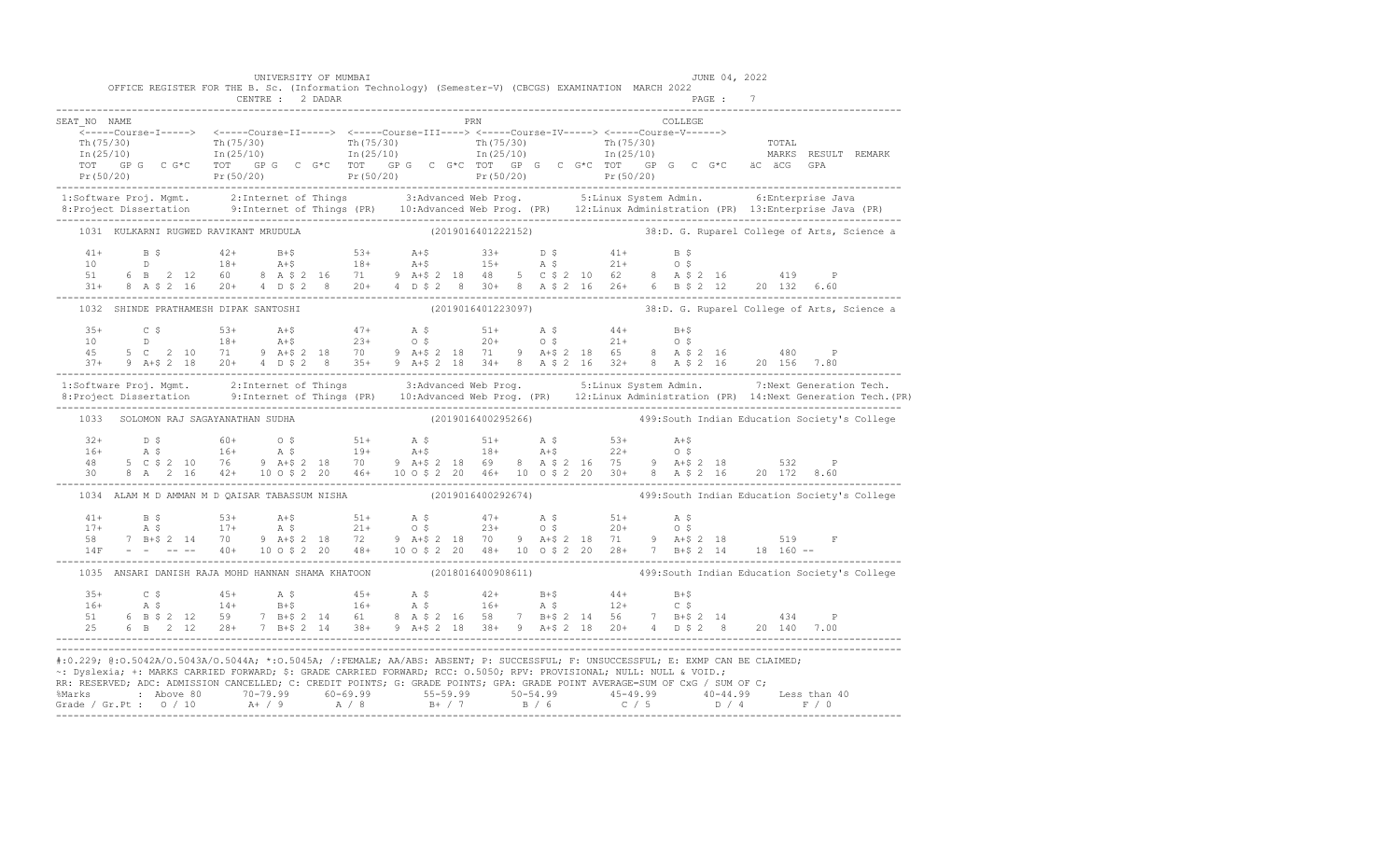|              |                                                                                                                                                                                                                                                                                                                                                                                                                                                                                                    |  | CENTRE : 2 DADAR |                    |                    |  |  |         | PAGE : 7 |   |                                                                  |
|--------------|----------------------------------------------------------------------------------------------------------------------------------------------------------------------------------------------------------------------------------------------------------------------------------------------------------------------------------------------------------------------------------------------------------------------------------------------------------------------------------------------------|--|------------------|--------------------|--------------------|--|--|---------|----------|---|------------------------------------------------------------------|
| SEAT NO NAME | <-----Course-I-----> <----Course-II-----> <----Course-III----> <-----Course-IV-----> <-----Course-V------>                                                                                                                                                                                                                                                                                                                                                                                         |  |                  |                    | PRN                |  |  | COLLEGE |          |   |                                                                  |
|              | Th(75/30) Th(75/30) Th(75/30) Th(75/30) Th(75/30) Th(75/30) Th(75/30) TOTAL<br>Th(25/10) In(25/10) In(25/10) In(25/10) In(25/10) In(25/10) In(25/10) Th(25/10) MARKS RESULT REMARK                                                                                                                                                                                                                                                                                                                 |  |                  |                    |                    |  |  |         |          |   |                                                                  |
|              | 1:Software Proj. Mgmt. 2:Internet of Things 3:Advanced Web Prog. 5:Linux System Admin. 6:Enterprise Java<br>8: Project Dissertation 9: Internet of Things (PR) 10: Advanced Web Prog. (PR) 12: Linux Administration (PR) 13: Enterprise Java (PR)                                                                                                                                                                                                                                                  |  |                  |                    |                    |  |  |         |          |   |                                                                  |
|              | 1031 KULKARNI RUGWED RAVIKANT MRUDULA                                                                                                                                                                                                                                                                                                                                                                                                                                                              |  |                  |                    |                    |  |  |         |          |   | (2019016401222152) 38:D. G. Ruparel College of Arts, Science a   |
|              | $\begin{array}{cccccccccccccccc} 41+ & & & \text{B} & \text{S} & & & & 42+ & & \text{B}+\text{S} & & & & 53+ & & \text{A}+\text{S} & & & & 33+ & & \text{D} & \text{S} & & & & 41+ & & \text{B} & \text{S} \\ 10 & & & & \text{D} & & & 18+ & & \text{A}+\text{S} & & & 18+ & & \text{A}+\text{S} & & & 15+ & & \text{A} & \text{S} & & & 21+ & & \text{O} & \text{S} \\ 51 & & 6 & \text{B} & & 2 &$<br>31+ 8 A \$ 2 16 20+ 4 D \$ 2 8 20+ 4 D \$ 2 8 30+ 8 A \$ 2 16 26+ 6 B \$ 2 12 20 132 6.60 |  |                  |                    |                    |  |  |         |          |   |                                                                  |
|              | 1032 SHINDE PRATHAMESH DIPAK SANTOSHI                                                                                                                                                                                                                                                                                                                                                                                                                                                              |  |                  | (2019016401223097) |                    |  |  |         |          |   | 38:D. G. Ruparel College of Arts, Science a                      |
|              | $\begin{array}{cccccccccccccccc} 35+ & & C & \xi & & 53+ & A+ \xi & & 47+ & A & \xi & & 51+ & A & \xi & & 44+ & B+ \xi \\ 10 & & D & & 18+ & A+ \xi & & 23+ & O & \xi & & 20+ & O & \xi & & 21+ & O & \xi \\ 45 & & 5 & C & 2 & 10 & 71 & 9 & A+ \xi & 2 & 18 & 70 & 9 & A+ \xi & 2 & 18 & 71 & 9 & A+ \xi & 2 & 18 & 65 & 8 & A & \xi & 2 & 16 & & 480 & P \\ 37$                                                                                                                                 |  |                  |                    |                    |  |  |         |          |   |                                                                  |
|              | 1:Software Proj. Mgmt. 2:Internet of Things 3:Advanced Web Prog. 5:Linux System Admin. 7:Next Generation Tech.<br>1:Project Dissertation 9:Internet of Things (PR) 10:Advanced Web Prog. (PR) 12:Linux Administration (PR) 14:Nex                                                                                                                                                                                                                                                                  |  |                  |                    |                    |  |  |         |          |   |                                                                  |
|              |                                                                                                                                                                                                                                                                                                                                                                                                                                                                                                    |  |                  |                    |                    |  |  |         |          |   |                                                                  |
|              | 1033 SOLOMON RAJ SAGAYANATHAN SUDHA                                                                                                                                                                                                                                                                                                                                                                                                                                                                |  |                  |                    |                    |  |  |         |          |   | (2019016400295266) 499: South Indian Education Society's College |
|              | 30 8 A 2 16 42+ 10 o \$ 2 20 46+ 10 o \$ 2 20 46+ 10 o \$ 2 20 30+ 8 A \$ 2 16 20 172 8.60                                                                                                                                                                                                                                                                                                                                                                                                         |  |                  |                    |                    |  |  |         |          |   |                                                                  |
|              | ----------<br>1034 ALAM M D AMMAN M D QAISAR TABASSUM NISHA             (2019016400292674)             499:South Indian Education Society's College                                                                                                                                                                                                                                                                                                                                                |  |                  |                    |                    |  |  |         |          |   |                                                                  |
|              | 58 7 B+\$ 2 14 70 9 A+\$ 2 18 72 9 A+\$ 2 18 70 9 A+\$ 2 18 71 9 A+\$ 2 18 519<br>14F - - -- 40+ 10 o \$ 2 20 48+ 10 o \$ 2 20 48+ 10 o \$ 2 20 28+ 7 B+\$ 2 14 18 160 --                                                                                                                                                                                                                                                                                                                          |  |                  |                    |                    |  |  |         |          | F |                                                                  |
|              | 1035 ANSARI DANISH RAJA MOHD HANNAN SHAMA KHATOON                                                                                                                                                                                                                                                                                                                                                                                                                                                  |  |                  |                    | (2018016400908611) |  |  |         |          |   | 499: South Indian Education Society's College                    |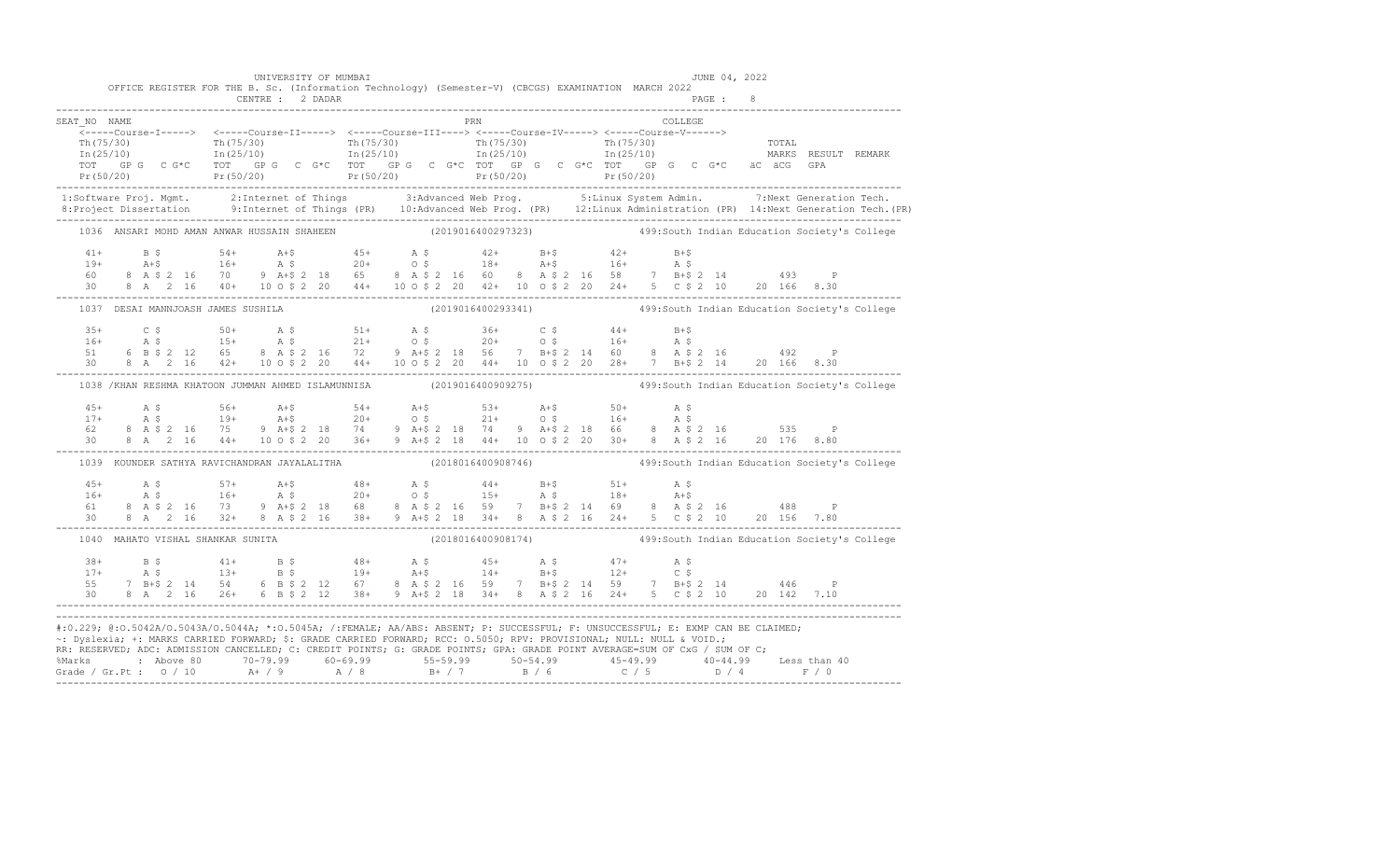|                                                                                                                                                             |  |  |  | UNIVERSITY OF MUMBAI | OFFICE REGISTER FOR THE B. Sc. (Information Technology) (Semester-V) (CBCGS) EXAMINATION MARCH 2022 |  |                     |  |  |  |         |  | JUNE 04, 2022 |                                                                                                                                                                                                                                                                                                                                                                                                                                 |                                                                                                                                                                                                                                                                                                                                                                   |
|-------------------------------------------------------------------------------------------------------------------------------------------------------------|--|--|--|----------------------|-----------------------------------------------------------------------------------------------------|--|---------------------|--|--|--|---------|--|---------------|---------------------------------------------------------------------------------------------------------------------------------------------------------------------------------------------------------------------------------------------------------------------------------------------------------------------------------------------------------------------------------------------------------------------------------|-------------------------------------------------------------------------------------------------------------------------------------------------------------------------------------------------------------------------------------------------------------------------------------------------------------------------------------------------------------------|
|                                                                                                                                                             |  |  |  |                      |                                                                                                     |  |                     |  |  |  |         |  |               |                                                                                                                                                                                                                                                                                                                                                                                                                                 |                                                                                                                                                                                                                                                                                                                                                                   |
| SEAT NO NAME                                                                                                                                                |  |  |  |                      |                                                                                                     |  | <b>EXAMPLE 1989</b> |  |  |  | COLLEGE |  |               |                                                                                                                                                                                                                                                                                                                                                                                                                                 |                                                                                                                                                                                                                                                                                                                                                                   |
|                                                                                                                                                             |  |  |  |                      |                                                                                                     |  |                     |  |  |  |         |  |               |                                                                                                                                                                                                                                                                                                                                                                                                                                 |                                                                                                                                                                                                                                                                                                                                                                   |
|                                                                                                                                                             |  |  |  |                      |                                                                                                     |  |                     |  |  |  |         |  |               |                                                                                                                                                                                                                                                                                                                                                                                                                                 |                                                                                                                                                                                                                                                                                                                                                                   |
|                                                                                                                                                             |  |  |  |                      |                                                                                                     |  |                     |  |  |  |         |  |               |                                                                                                                                                                                                                                                                                                                                                                                                                                 |                                                                                                                                                                                                                                                                                                                                                                   |
|                                                                                                                                                             |  |  |  |                      |                                                                                                     |  |                     |  |  |  |         |  |               |                                                                                                                                                                                                                                                                                                                                                                                                                                 |                                                                                                                                                                                                                                                                                                                                                                   |
|                                                                                                                                                             |  |  |  |                      |                                                                                                     |  |                     |  |  |  |         |  |               |                                                                                                                                                                                                                                                                                                                                                                                                                                 | 1:Software Proj. Mgmt. 2:Internet of Things 3:Advanced Web Prog. 5:Linux System Admin. 7:Next Generation Tech.<br>10:Advanced Web Prog. (PR) 12:Linux Administration (PR) 14:Next Generation Tech. (PR) 8:Project Dissertation Te                                                                                                                                 |
|                                                                                                                                                             |  |  |  |                      |                                                                                                     |  |                     |  |  |  |         |  |               |                                                                                                                                                                                                                                                                                                                                                                                                                                 |                                                                                                                                                                                                                                                                                                                                                                   |
|                                                                                                                                                             |  |  |  |                      |                                                                                                     |  |                     |  |  |  |         |  |               |                                                                                                                                                                                                                                                                                                                                                                                                                                 | 1036 ANSARI MOHD AMAN ANWAR HUSSAIN SHAHEEN (2019016400297323) 499:South Indian Education Society's College                                                                                                                                                                                                                                                       |
|                                                                                                                                                             |  |  |  |                      |                                                                                                     |  |                     |  |  |  |         |  |               |                                                                                                                                                                                                                                                                                                                                                                                                                                 |                                                                                                                                                                                                                                                                                                                                                                   |
|                                                                                                                                                             |  |  |  |                      |                                                                                                     |  |                     |  |  |  |         |  |               |                                                                                                                                                                                                                                                                                                                                                                                                                                 |                                                                                                                                                                                                                                                                                                                                                                   |
|                                                                                                                                                             |  |  |  |                      |                                                                                                     |  |                     |  |  |  |         |  |               |                                                                                                                                                                                                                                                                                                                                                                                                                                 |                                                                                                                                                                                                                                                                                                                                                                   |
|                                                                                                                                                             |  |  |  |                      |                                                                                                     |  |                     |  |  |  |         |  |               | $\begin{array}{cccccccccccc} 41+ & & B & \xi & & 54+ & A+\xi & & 45+ & A & \xi & & 42+ & B+\xi & & 42+ & B+\xi \\ 19+ & & A+\xi & & 16+ & & A & \xi & & 20+ & O & \xi & & 18+ & A+\xi & & 16+ & A & \xi \\ 60 & & 8 & A & \xi & 2 & 16 & 70 & 9 & A+\xi & 2 & 18 & 65 & 8 & A & \xi & 2 & 16 & 60 & 8 & A & \xi & 2 & 16 & 58 & 7 & B+\xi & 2 & 14 & & 493 & P \\ 30$                                                           |                                                                                                                                                                                                                                                                                                                                                                   |
|                                                                                                                                                             |  |  |  |                      |                                                                                                     |  |                     |  |  |  |         |  |               |                                                                                                                                                                                                                                                                                                                                                                                                                                 | 1037 DESAI MANNJOASH JAMES SUSHILA (2019016400293341) 499:South Indian Education Society's College                                                                                                                                                                                                                                                                |
|                                                                                                                                                             |  |  |  |                      |                                                                                                     |  |                     |  |  |  |         |  |               |                                                                                                                                                                                                                                                                                                                                                                                                                                 |                                                                                                                                                                                                                                                                                                                                                                   |
|                                                                                                                                                             |  |  |  |                      |                                                                                                     |  |                     |  |  |  |         |  |               |                                                                                                                                                                                                                                                                                                                                                                                                                                 |                                                                                                                                                                                                                                                                                                                                                                   |
|                                                                                                                                                             |  |  |  |                      |                                                                                                     |  |                     |  |  |  |         |  |               |                                                                                                                                                                                                                                                                                                                                                                                                                                 |                                                                                                                                                                                                                                                                                                                                                                   |
|                                                                                                                                                             |  |  |  |                      |                                                                                                     |  |                     |  |  |  |         |  |               |                                                                                                                                                                                                                                                                                                                                                                                                                                 | $\begin{array}{cccccccccccccccc} 35+ & & C & S & & & 50+ & & A & S & & 51+ & & A & S & & 36+ & & C & S & & 44+ & B+5 \\ 16+ & & A & S & & & 15+ & & A & S & & 21+ & & O & S & & 20+ & & O & S & & 16+ & A & S \\ 51 & & 6 & B & S & 2 & 12 & 65 & 8 & A & S & 2 & 16 & 72 & 9 & A+5 & 2 & 18 & 56 & 7 & B+5 & 2 & 14 & 60 & 8 & A & S & 2 & 16 & & 492 & P \\ 30$ |
|                                                                                                                                                             |  |  |  |                      |                                                                                                     |  |                     |  |  |  |         |  |               |                                                                                                                                                                                                                                                                                                                                                                                                                                 | 1038 /KHAN RESHMA KHATOON JUMMAN AHMED ISLAMUNNISA (2019016400909275) 499:South Indian Education Society's College                                                                                                                                                                                                                                                |
|                                                                                                                                                             |  |  |  |                      |                                                                                                     |  |                     |  |  |  |         |  |               |                                                                                                                                                                                                                                                                                                                                                                                                                                 |                                                                                                                                                                                                                                                                                                                                                                   |
|                                                                                                                                                             |  |  |  |                      |                                                                                                     |  |                     |  |  |  |         |  |               |                                                                                                                                                                                                                                                                                                                                                                                                                                 |                                                                                                                                                                                                                                                                                                                                                                   |
|                                                                                                                                                             |  |  |  |                      |                                                                                                     |  |                     |  |  |  |         |  |               |                                                                                                                                                                                                                                                                                                                                                                                                                                 |                                                                                                                                                                                                                                                                                                                                                                   |
|                                                                                                                                                             |  |  |  |                      |                                                                                                     |  |                     |  |  |  |         |  |               | $\begin{array}{lllllllllllllll} 45+\quad & \text{A $ $\mathfrak{S}$} & 56+\quad & \text{A $+$} & 54+\quad & \text{A $+$} & 53+\quad & \text{A $+$} & 50+\quad & \text{A $\mathfrak{S}$} \\ 17+\quad & \text{A $ $\mathfrak{S}$} & 19+\quad & \text{A $+$} & 20+\quad & \text{O $\mathfrak{S}$} & 21+\quad & \text{O $\mathfrak{S}$} & 16+\quad & \text{A $\mathfrak{S}$} \\ 62 & 8& \text{A $\mathfrak{S}$} & 2& 16 & 75 & 9 &$ |                                                                                                                                                                                                                                                                                                                                                                   |
|                                                                                                                                                             |  |  |  |                      |                                                                                                     |  |                     |  |  |  |         |  |               | 1039 KOUNDER SATHYA RAVICHANDRAN JAYALALITHA (2018016400908746) (2018016400908746) 499:South Indian Education Society's College                                                                                                                                                                                                                                                                                                 |                                                                                                                                                                                                                                                                                                                                                                   |
|                                                                                                                                                             |  |  |  |                      |                                                                                                     |  |                     |  |  |  |         |  |               | $\begin{array}{cccccccccccccccc} 45+ & & {\rm A}\ \,S\, & & & 57+ & & {\rm A}+ \texttt{S} & & 48+ & & {\rm A}\ \,S\, & & & 16+ & & {\rm A}\ \,S\, & & & 16+ & & {\rm A}\ \,S\, & & & 16+ & & {\rm A}\ \,S\, & & & 16+ & & {\rm A}\ \,S\, & & & 16+ & & {\rm A}\ \,S\, & & & 16+ & & {\rm A}\ \,S\, & & & 16+ & & {\rm A}\ \,S\, & & & 16+ & & {\rm A}\ \,S\, & & & 16+ & & {\rm A}\ \$                                          |                                                                                                                                                                                                                                                                                                                                                                   |
|                                                                                                                                                             |  |  |  |                      |                                                                                                     |  |                     |  |  |  |         |  |               |                                                                                                                                                                                                                                                                                                                                                                                                                                 |                                                                                                                                                                                                                                                                                                                                                                   |
|                                                                                                                                                             |  |  |  |                      |                                                                                                     |  |                     |  |  |  |         |  |               |                                                                                                                                                                                                                                                                                                                                                                                                                                 |                                                                                                                                                                                                                                                                                                                                                                   |
|                                                                                                                                                             |  |  |  |                      |                                                                                                     |  |                     |  |  |  |         |  |               |                                                                                                                                                                                                                                                                                                                                                                                                                                 |                                                                                                                                                                                                                                                                                                                                                                   |
|                                                                                                                                                             |  |  |  |                      | 1040 MAHATO VISHAL SHANKAR SUNITA                                                                   |  |                     |  |  |  |         |  |               |                                                                                                                                                                                                                                                                                                                                                                                                                                 | (2018016400908174) 499: South Indian Education Society's College                                                                                                                                                                                                                                                                                                  |
|                                                                                                                                                             |  |  |  |                      |                                                                                                     |  |                     |  |  |  |         |  |               |                                                                                                                                                                                                                                                                                                                                                                                                                                 |                                                                                                                                                                                                                                                                                                                                                                   |
|                                                                                                                                                             |  |  |  |                      |                                                                                                     |  |                     |  |  |  |         |  |               |                                                                                                                                                                                                                                                                                                                                                                                                                                 |                                                                                                                                                                                                                                                                                                                                                                   |
|                                                                                                                                                             |  |  |  |                      |                                                                                                     |  |                     |  |  |  |         |  |               |                                                                                                                                                                                                                                                                                                                                                                                                                                 |                                                                                                                                                                                                                                                                                                                                                                   |
|                                                                                                                                                             |  |  |  |                      |                                                                                                     |  |                     |  |  |  |         |  |               |                                                                                                                                                                                                                                                                                                                                                                                                                                 |                                                                                                                                                                                                                                                                                                                                                                   |
| #:0.229; @:0.5042A/0.5043A/0.5044A; *:0.5045A; /:FEMALE; AA/ABS: ABSENT; P: SUCCESSFUL; F: UNSUCCESSFUL; E: EXMP CAN BE CLAIMED;                            |  |  |  |                      |                                                                                                     |  |                     |  |  |  |         |  |               |                                                                                                                                                                                                                                                                                                                                                                                                                                 |                                                                                                                                                                                                                                                                                                                                                                   |
| ~: Dyslexia; +: MARKS CARRIED FORWARD; \$: GRADE CARRIED FORWARD; RCC: 0.5050; RPV: PROVISIONAL; NULL: NULL & VOID.;                                        |  |  |  |                      |                                                                                                     |  |                     |  |  |  |         |  |               |                                                                                                                                                                                                                                                                                                                                                                                                                                 |                                                                                                                                                                                                                                                                                                                                                                   |
|                                                                                                                                                             |  |  |  |                      |                                                                                                     |  |                     |  |  |  |         |  |               |                                                                                                                                                                                                                                                                                                                                                                                                                                 |                                                                                                                                                                                                                                                                                                                                                                   |
| RR: RESERVED; ADC: ADMISSION CANCELLED; C: CREDIT POINTS; G: GRADE POINTS; GPA: GRADE POINT AVERAGE=SUM OF CxG / SUM OF C;                                  |  |  |  |                      |                                                                                                     |  |                     |  |  |  |         |  |               |                                                                                                                                                                                                                                                                                                                                                                                                                                 |                                                                                                                                                                                                                                                                                                                                                                   |
| % Marks : Above 80 70-79.99 60-69.99 55-59.99 50-54.99 45-49.99 40-44.99 Less than 40<br>Grade / Gr.Pt : 0 / 10 A+ / 9 A / 8 B+ / 7 B / 6 C / 5 D / 4 F / 0 |  |  |  |                      |                                                                                                     |  |                     |  |  |  |         |  |               |                                                                                                                                                                                                                                                                                                                                                                                                                                 |                                                                                                                                                                                                                                                                                                                                                                   |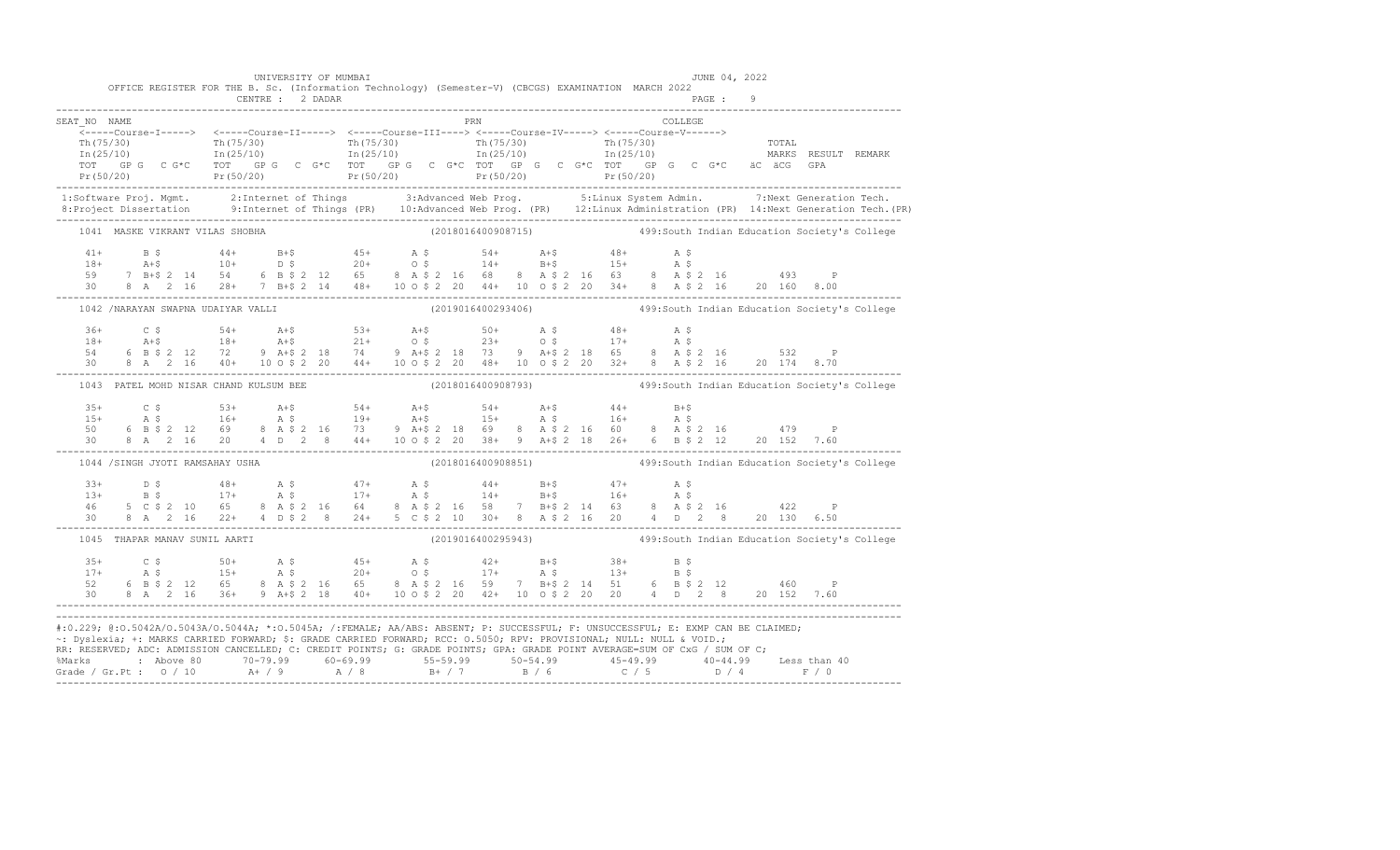|                                                                                                                                                                                                                                                                                                                                                                                        |  | OFFICE REGISTER FOR THE B. Sc. (Information Technology) (Semester-V) (CBCGS) EXAMINATION MARCH 2022 |  |  | UNIVERSITY OF MUMBAI |  |  |     |  |  |         |  | JUNE 04, 2022 |                                                                                                                                                                                                                                                                                                                                                                     |                                                                                                                                                                                                                                                                                                                                                                                                                             |
|----------------------------------------------------------------------------------------------------------------------------------------------------------------------------------------------------------------------------------------------------------------------------------------------------------------------------------------------------------------------------------------|--|-----------------------------------------------------------------------------------------------------|--|--|----------------------|--|--|-----|--|--|---------|--|---------------|---------------------------------------------------------------------------------------------------------------------------------------------------------------------------------------------------------------------------------------------------------------------------------------------------------------------------------------------------------------------|-----------------------------------------------------------------------------------------------------------------------------------------------------------------------------------------------------------------------------------------------------------------------------------------------------------------------------------------------------------------------------------------------------------------------------|
|                                                                                                                                                                                                                                                                                                                                                                                        |  |                                                                                                     |  |  |                      |  |  |     |  |  |         |  |               |                                                                                                                                                                                                                                                                                                                                                                     |                                                                                                                                                                                                                                                                                                                                                                                                                             |
| SEAT NO NAME                                                                                                                                                                                                                                                                                                                                                                           |  |                                                                                                     |  |  |                      |  |  | PRN |  |  | COLLEGE |  |               |                                                                                                                                                                                                                                                                                                                                                                     |                                                                                                                                                                                                                                                                                                                                                                                                                             |
|                                                                                                                                                                                                                                                                                                                                                                                        |  |                                                                                                     |  |  |                      |  |  |     |  |  |         |  |               |                                                                                                                                                                                                                                                                                                                                                                     |                                                                                                                                                                                                                                                                                                                                                                                                                             |
|                                                                                                                                                                                                                                                                                                                                                                                        |  |                                                                                                     |  |  |                      |  |  |     |  |  |         |  |               |                                                                                                                                                                                                                                                                                                                                                                     |                                                                                                                                                                                                                                                                                                                                                                                                                             |
|                                                                                                                                                                                                                                                                                                                                                                                        |  |                                                                                                     |  |  |                      |  |  |     |  |  |         |  |               |                                                                                                                                                                                                                                                                                                                                                                     |                                                                                                                                                                                                                                                                                                                                                                                                                             |
|                                                                                                                                                                                                                                                                                                                                                                                        |  |                                                                                                     |  |  |                      |  |  |     |  |  |         |  |               |                                                                                                                                                                                                                                                                                                                                                                     | $\begin{array}{cccccccc} \texttt{S-1--Course-I--1--2} & \texttt{S-1--Course-I--1--2} & \texttt{S-1--Course-I--1--2} & \texttt{S-1--Course-I--1--2} & \texttt{S-1--Course-I--1--2} & \texttt{S-1--Course-I--1--2} & \texttt{S-1--Course-I--1--2} & \texttt{S-1--Course-I--1--2} & \texttt{S-1--Course-I--1--2} & \texttt{S-1--Course-I--1--2} & \texttt{S-1--Course-I--1--2} & \texttt{S-1--Course-I--1--2} & \texttt{S-1--$ |
|                                                                                                                                                                                                                                                                                                                                                                                        |  |                                                                                                     |  |  |                      |  |  |     |  |  |         |  |               |                                                                                                                                                                                                                                                                                                                                                                     | 1:Software Proj. Mgmt. 2:Internet of Things 3:Advanced Web Prog. 5:Linux System Admin. 7:Next Generation Tech.<br>1.Project Dissertation 9:Internet of Things (PR) 10:Advanced Web Prog. (PR) 12:Linux Administration (PR) 14:Nex                                                                                                                                                                                           |
|                                                                                                                                                                                                                                                                                                                                                                                        |  |                                                                                                     |  |  |                      |  |  |     |  |  |         |  |               |                                                                                                                                                                                                                                                                                                                                                                     |                                                                                                                                                                                                                                                                                                                                                                                                                             |
|                                                                                                                                                                                                                                                                                                                                                                                        |  | 1041 MASKE VIKRANT VILAS SHOBHA                                                                     |  |  |                      |  |  |     |  |  |         |  |               | (2018016400908715) 499: South Indian Education Society's College                                                                                                                                                                                                                                                                                                    |                                                                                                                                                                                                                                                                                                                                                                                                                             |
|                                                                                                                                                                                                                                                                                                                                                                                        |  |                                                                                                     |  |  |                      |  |  |     |  |  |         |  |               |                                                                                                                                                                                                                                                                                                                                                                     |                                                                                                                                                                                                                                                                                                                                                                                                                             |
|                                                                                                                                                                                                                                                                                                                                                                                        |  |                                                                                                     |  |  |                      |  |  |     |  |  |         |  |               |                                                                                                                                                                                                                                                                                                                                                                     |                                                                                                                                                                                                                                                                                                                                                                                                                             |
|                                                                                                                                                                                                                                                                                                                                                                                        |  |                                                                                                     |  |  |                      |  |  |     |  |  |         |  |               |                                                                                                                                                                                                                                                                                                                                                                     |                                                                                                                                                                                                                                                                                                                                                                                                                             |
|                                                                                                                                                                                                                                                                                                                                                                                        |  |                                                                                                     |  |  |                      |  |  |     |  |  |         |  |               | $\begin{array}{cccccccccccc} 41+ & & B & \xi & & 44+ & B+ \xi & & 45+ & A & \xi & & 54+ & A+ \xi & & 48+ & A & \xi \\ 18+ & & A+ \xi & & 10+ & & D & \xi & & 20+ & O & \xi & & 14+ & B+ \xi & & 15+ & A & \xi \\ 59 & & 7 & B+ \xi & 2 & 14 & 54 & 6 & B & \xi & 2 & 12 & 65 & 8 & A & \xi & 2 & 16 & 68 & 8 & A & \xi & 2 & 16 & 63 & 8 & A & \xi & 2 & 16 & & 49$ |                                                                                                                                                                                                                                                                                                                                                                                                                             |
|                                                                                                                                                                                                                                                                                                                                                                                        |  |                                                                                                     |  |  |                      |  |  |     |  |  |         |  |               | 1042 /NARAYAN SWAPNA UDAIYAR VALLI (2019016400293406) 499:South Indian Education Society's College                                                                                                                                                                                                                                                                  |                                                                                                                                                                                                                                                                                                                                                                                                                             |
|                                                                                                                                                                                                                                                                                                                                                                                        |  |                                                                                                     |  |  |                      |  |  |     |  |  |         |  |               |                                                                                                                                                                                                                                                                                                                                                                     |                                                                                                                                                                                                                                                                                                                                                                                                                             |
|                                                                                                                                                                                                                                                                                                                                                                                        |  |                                                                                                     |  |  |                      |  |  |     |  |  |         |  |               |                                                                                                                                                                                                                                                                                                                                                                     |                                                                                                                                                                                                                                                                                                                                                                                                                             |
|                                                                                                                                                                                                                                                                                                                                                                                        |  |                                                                                                     |  |  |                      |  |  |     |  |  |         |  |               | $\begin{array}{cccccccccccccccc} 36+ & C & S & S4+ & A+5 & S3+ & A+5 & S0+ & A & S & 48+ & A & S & 48+ & A & S & 18+ & A+5 & 18+ & A+5 & 21+ & O & S & 23+ & O & S & 17+ & A & S & 19+ & A & S & 18+ & A & 18+ & A & 21+ & O & S & 23+ & O & S & 17+ & A & S & 19+ & A & 10+ & A & 10+ & A & 10+ & A & 10+ & A & 10+ & A & 10+ & A & 10+ & A & 10+ & A & $          |                                                                                                                                                                                                                                                                                                                                                                                                                             |
|                                                                                                                                                                                                                                                                                                                                                                                        |  |                                                                                                     |  |  |                      |  |  |     |  |  |         |  |               | (2018016400908793)   499:South Indian Education Society's College                                                                                                                                                                                                                                                                                                   |                                                                                                                                                                                                                                                                                                                                                                                                                             |
|                                                                                                                                                                                                                                                                                                                                                                                        |  | 1043 PATEL MOHD NISAR CHAND KULSUM BEE                                                              |  |  |                      |  |  |     |  |  |         |  |               |                                                                                                                                                                                                                                                                                                                                                                     |                                                                                                                                                                                                                                                                                                                                                                                                                             |
|                                                                                                                                                                                                                                                                                                                                                                                        |  |                                                                                                     |  |  |                      |  |  |     |  |  |         |  |               |                                                                                                                                                                                                                                                                                                                                                                     |                                                                                                                                                                                                                                                                                                                                                                                                                             |
|                                                                                                                                                                                                                                                                                                                                                                                        |  |                                                                                                     |  |  |                      |  |  |     |  |  |         |  |               |                                                                                                                                                                                                                                                                                                                                                                     |                                                                                                                                                                                                                                                                                                                                                                                                                             |
|                                                                                                                                                                                                                                                                                                                                                                                        |  |                                                                                                     |  |  |                      |  |  |     |  |  |         |  |               |                                                                                                                                                                                                                                                                                                                                                                     |                                                                                                                                                                                                                                                                                                                                                                                                                             |
|                                                                                                                                                                                                                                                                                                                                                                                        |  | 1044 /SINGH JYOTI RAMSAHAY USHA                                                                     |  |  |                      |  |  |     |  |  |         |  |               | (2018016400908851) 499: South Indian Education Society's College                                                                                                                                                                                                                                                                                                    |                                                                                                                                                                                                                                                                                                                                                                                                                             |
|                                                                                                                                                                                                                                                                                                                                                                                        |  |                                                                                                     |  |  |                      |  |  |     |  |  |         |  |               |                                                                                                                                                                                                                                                                                                                                                                     |                                                                                                                                                                                                                                                                                                                                                                                                                             |
|                                                                                                                                                                                                                                                                                                                                                                                        |  |                                                                                                     |  |  |                      |  |  |     |  |  |         |  |               | $13+$ $15+$ $16+$ $17+$ $18+$ $17+$ $18+$ $19+$ $19+$ $19+$ $10+$ $10+$ $11+$ $15+$ $16+$ $16+$ $16+$ $16+$ $16+$ $16+$ $16+$ $16+$ $16+$ $16+$ $16+$ $16+$ $16+$ $16+$ $16+$ $16+$ $16+$ $16+$ $16+$ $16+$ $16+$ $16+$ $16+$                                                                                                                                       |                                                                                                                                                                                                                                                                                                                                                                                                                             |
|                                                                                                                                                                                                                                                                                                                                                                                        |  |                                                                                                     |  |  |                      |  |  |     |  |  |         |  |               |                                                                                                                                                                                                                                                                                                                                                                     |                                                                                                                                                                                                                                                                                                                                                                                                                             |
|                                                                                                                                                                                                                                                                                                                                                                                        |  |                                                                                                     |  |  |                      |  |  |     |  |  |         |  |               |                                                                                                                                                                                                                                                                                                                                                                     |                                                                                                                                                                                                                                                                                                                                                                                                                             |
|                                                                                                                                                                                                                                                                                                                                                                                        |  | 1045 THAPAR MANAV SUNIL AARTI                                                                       |  |  |                      |  |  |     |  |  |         |  |               | (2019016400295943) 499: South Indian Education Society's College                                                                                                                                                                                                                                                                                                    |                                                                                                                                                                                                                                                                                                                                                                                                                             |
|                                                                                                                                                                                                                                                                                                                                                                                        |  |                                                                                                     |  |  |                      |  |  |     |  |  |         |  |               |                                                                                                                                                                                                                                                                                                                                                                     |                                                                                                                                                                                                                                                                                                                                                                                                                             |
|                                                                                                                                                                                                                                                                                                                                                                                        |  |                                                                                                     |  |  |                      |  |  |     |  |  |         |  |               |                                                                                                                                                                                                                                                                                                                                                                     |                                                                                                                                                                                                                                                                                                                                                                                                                             |
|                                                                                                                                                                                                                                                                                                                                                                                        |  |                                                                                                     |  |  |                      |  |  |     |  |  |         |  |               |                                                                                                                                                                                                                                                                                                                                                                     |                                                                                                                                                                                                                                                                                                                                                                                                                             |
|                                                                                                                                                                                                                                                                                                                                                                                        |  |                                                                                                     |  |  |                      |  |  |     |  |  |         |  |               |                                                                                                                                                                                                                                                                                                                                                                     |                                                                                                                                                                                                                                                                                                                                                                                                                             |
| #:0.229; @:0.5042A/0.5043A/0.5044A; *:0.5045A; /:FEMALE; AA/ABS: ABSENT; P: SUCCESSFUL; F: UNSUCCESSFUL; E: EXMP CAN BE CLAIMED;<br>~: Dyslexia; +: MARKS CARRIED FORWARD; \$: GRADE CARRIED FORWARD; RCC: 0.5050; RPV: PROVISIONAL; NULL: NULL & VOID.;<br>RR: RESERVED; ADC: ADMISSION CANCELLED; C: CREDIT POINTS; G: GRADE POINTS; GPA: GRADE POINT AVERAGE=SUM OF CxG / SUM OF C; |  |                                                                                                     |  |  |                      |  |  |     |  |  |         |  |               | % Marks : Above 80 70-79.99 60-69.99 55-59.99 50-54.99 45-49.99 40-44.99 Less than 40<br>Grade / Gr.Pt : 0 / 10 A+ / 9 A / 8 B+ / 7 B / 6 C / 5 D / 4 F / 0                                                                                                                                                                                                         |                                                                                                                                                                                                                                                                                                                                                                                                                             |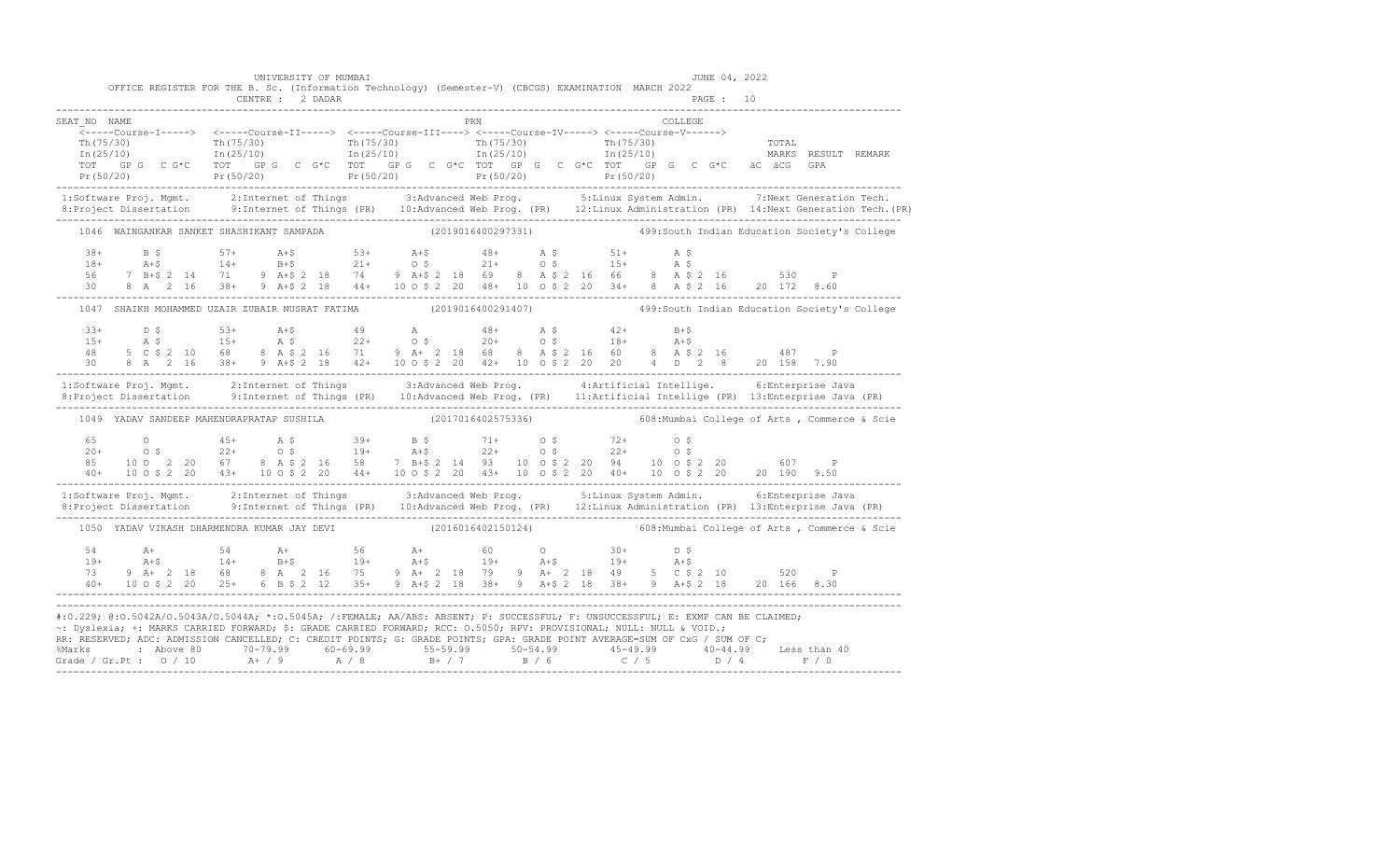|                                                                                                                                                                                                                                                    |  | OFFICE REGISTER FOR THE B. Sc. (Information Technology) (Semester-V) (CBCGS) EXAMINATION MARCH 2022                                                                                                                                                                                                                                                                                                                                         |  | UNIVERSITY OF MUMBAI |  |  |     |  |  |  |         |          | JUNE 04, 2022 |  |                                                                                                                                                                                                                                   |
|----------------------------------------------------------------------------------------------------------------------------------------------------------------------------------------------------------------------------------------------------|--|---------------------------------------------------------------------------------------------------------------------------------------------------------------------------------------------------------------------------------------------------------------------------------------------------------------------------------------------------------------------------------------------------------------------------------------------|--|----------------------|--|--|-----|--|--|--|---------|----------|---------------|--|-----------------------------------------------------------------------------------------------------------------------------------------------------------------------------------------------------------------------------------|
|                                                                                                                                                                                                                                                    |  |                                                                                                                                                                                                                                                                                                                                                                                                                                             |  | CENTRE : 2 DADAR     |  |  |     |  |  |  |         | PAGE: 10 |               |  |                                                                                                                                                                                                                                   |
| SEAT NO NAME                                                                                                                                                                                                                                       |  |                                                                                                                                                                                                                                                                                                                                                                                                                                             |  |                      |  |  | PRN |  |  |  | COLLEGE |          |               |  |                                                                                                                                                                                                                                   |
|                                                                                                                                                                                                                                                    |  |                                                                                                                                                                                                                                                                                                                                                                                                                                             |  |                      |  |  |     |  |  |  |         |          |               |  |                                                                                                                                                                                                                                   |
|                                                                                                                                                                                                                                                    |  |                                                                                                                                                                                                                                                                                                                                                                                                                                             |  |                      |  |  |     |  |  |  |         |          |               |  |                                                                                                                                                                                                                                   |
|                                                                                                                                                                                                                                                    |  |                                                                                                                                                                                                                                                                                                                                                                                                                                             |  |                      |  |  |     |  |  |  |         |          |               |  |                                                                                                                                                                                                                                   |
|                                                                                                                                                                                                                                                    |  |                                                                                                                                                                                                                                                                                                                                                                                                                                             |  |                      |  |  |     |  |  |  |         |          |               |  |                                                                                                                                                                                                                                   |
|                                                                                                                                                                                                                                                    |  |                                                                                                                                                                                                                                                                                                                                                                                                                                             |  |                      |  |  |     |  |  |  |         |          |               |  | 1:Software Proj. Mgmt. 2:Internet of Things 3:Advanced Web Prog. 5:Linux System Admin. 7:Next Generation Tech.<br>8:Project Dissertation 9:Internet of Things (PR) 10:Advanced Web Prog. (PR) 12:Linux Administration (PR) 14:Nex |
|                                                                                                                                                                                                                                                    |  |                                                                                                                                                                                                                                                                                                                                                                                                                                             |  |                      |  |  |     |  |  |  |         |          |               |  |                                                                                                                                                                                                                                   |
|                                                                                                                                                                                                                                                    |  |                                                                                                                                                                                                                                                                                                                                                                                                                                             |  |                      |  |  |     |  |  |  |         |          |               |  | 1046 WAINGANKAR SANKET SHASHIKANT SAMPADA (2019016400297331) 499:South Indian Education Society's College                                                                                                                         |
|                                                                                                                                                                                                                                                    |  |                                                                                                                                                                                                                                                                                                                                                                                                                                             |  |                      |  |  |     |  |  |  |         |          |               |  |                                                                                                                                                                                                                                   |
|                                                                                                                                                                                                                                                    |  |                                                                                                                                                                                                                                                                                                                                                                                                                                             |  |                      |  |  |     |  |  |  |         |          |               |  |                                                                                                                                                                                                                                   |
|                                                                                                                                                                                                                                                    |  |                                                                                                                                                                                                                                                                                                                                                                                                                                             |  |                      |  |  |     |  |  |  |         |          |               |  |                                                                                                                                                                                                                                   |
|                                                                                                                                                                                                                                                    |  |                                                                                                                                                                                                                                                                                                                                                                                                                                             |  |                      |  |  |     |  |  |  |         |          |               |  | 1047 SHAIKH MOHAMMED UZAIR ZUBAIR NUSRAT FATIMA (2019016400291407) 499:South Indian Education Society's College                                                                                                                   |
|                                                                                                                                                                                                                                                    |  |                                                                                                                                                                                                                                                                                                                                                                                                                                             |  |                      |  |  |     |  |  |  |         |          |               |  |                                                                                                                                                                                                                                   |
|                                                                                                                                                                                                                                                    |  |                                                                                                                                                                                                                                                                                                                                                                                                                                             |  |                      |  |  |     |  |  |  |         |          |               |  |                                                                                                                                                                                                                                   |
|                                                                                                                                                                                                                                                    |  | $\begin{array}{cccccccccccc} 33+ & D & \xi & 53+ & A+ \xi & 49 & A & 48+ & A & \xi & 42+ & B+ \xi \\ 15+ & A & \xi & 15+ & A & \xi & 22+ & 0 & \xi & 20+ & 0 & \xi & 18+ & A+ \xi \\ 48 & 5 & C & 2 & 10 & 6 & 8 & A & 2 & 16 & 8 & A & 2 & 16 & 8 & A & 2 & 16 & 487 & P \\ 30 & 8 & A & 2 & 16 & 38+ & 9 & A+2 & 18 & 42+ & 10 & 6 & 2 & 20 &$                                                                                            |  |                      |  |  |     |  |  |  |         |          |               |  |                                                                                                                                                                                                                                   |
| 1:Software Proj. Mgmt. 2:Internet of Things 3:Advanced Web Prog. 4:Artificial Intellige. 6:Enterprise Java                                                                                                                                         |  |                                                                                                                                                                                                                                                                                                                                                                                                                                             |  |                      |  |  |     |  |  |  |         |          |               |  |                                                                                                                                                                                                                                   |
|                                                                                                                                                                                                                                                    |  |                                                                                                                                                                                                                                                                                                                                                                                                                                             |  |                      |  |  |     |  |  |  |         |          |               |  |                                                                                                                                                                                                                                   |
|                                                                                                                                                                                                                                                    |  | 1049 YADAV SANDEEP MAHENDRAPRATAP SUSHILA (2017016402575336)                                                                                                                                                                                                                                                                                                                                                                                |  |                      |  |  |     |  |  |  |         |          |               |  | 608: Mumbai College of Arts, Commerce & Scie                                                                                                                                                                                      |
|                                                                                                                                                                                                                                                    |  |                                                                                                                                                                                                                                                                                                                                                                                                                                             |  |                      |  |  |     |  |  |  |         |          |               |  |                                                                                                                                                                                                                                   |
|                                                                                                                                                                                                                                                    |  |                                                                                                                                                                                                                                                                                                                                                                                                                                             |  |                      |  |  |     |  |  |  |         |          |               |  |                                                                                                                                                                                                                                   |
|                                                                                                                                                                                                                                                    |  | $\begin{array}{cccccccccccc} 65 & 0 & 45+ & \text{A}\ \hat{\textsf{S}} & 39+ & 14 & 21+ & 0\ \hat{\textsf{S}} & 20+ & 0\ \hat{\textsf{S}} & 22+ & 0\ \hat{\textsf{S}} & 21+ & 0\ \hat{\textsf{S}} & 22+ & 0\ \hat{\textsf{S}} & 22+ & 0\ \hat{\textsf{S}} & 23+ & 0\ \hat{\textsf{S}} & 24+ & 0\ \hat{\textsf{S}} & 25+ & 0\ \hat{\textsf{S}} & 26+ & 0\ \hat{\textsf{S}} & 27+ & $                                                         |  |                      |  |  |     |  |  |  |         |          |               |  |                                                                                                                                                                                                                                   |
|                                                                                                                                                                                                                                                    |  |                                                                                                                                                                                                                                                                                                                                                                                                                                             |  |                      |  |  |     |  |  |  |         |          |               |  |                                                                                                                                                                                                                                   |
|                                                                                                                                                                                                                                                    |  |                                                                                                                                                                                                                                                                                                                                                                                                                                             |  |                      |  |  |     |  |  |  |         |          |               |  | 1:Software Proj. Mgmt. 2:Internet of Things 3:Advanced Web Prog. 5:Linux System Admin. 6:Enterprise Java<br>8:Project Dissertation 9:Internet of Things (PR) 10:Advanced Web Prog. (PR) 12:Linux Administration (PR) 13:Enterpris |
|                                                                                                                                                                                                                                                    |  |                                                                                                                                                                                                                                                                                                                                                                                                                                             |  |                      |  |  |     |  |  |  |         |          |               |  | 1050 YADAV VIKASH DHARMENDRA KUMAR JAY DEVI (2016016402150124) 608: Mumbai College of Arts , Commerce & Scie                                                                                                                      |
|                                                                                                                                                                                                                                                    |  |                                                                                                                                                                                                                                                                                                                                                                                                                                             |  |                      |  |  |     |  |  |  |         |          |               |  |                                                                                                                                                                                                                                   |
|                                                                                                                                                                                                                                                    |  |                                                                                                                                                                                                                                                                                                                                                                                                                                             |  |                      |  |  |     |  |  |  |         |          |               |  |                                                                                                                                                                                                                                   |
|                                                                                                                                                                                                                                                    |  | $\begin{array}{cccccccccccccccc} 54 & \quad \text{A+} & \quad & 54 & \quad \text{A+} & \quad & 56 & \quad \text{A+} & \quad & 60 & \quad \text{O} & \quad & 30+ & \quad \text{D} \; \text{S} \\ 19+ & \quad \text{A+$} & \quad & 14+ & \quad \text{B+$} & \quad & 19+ & \quad \text{A+$} & \quad & 19+ & \quad \text{A+$} & \quad & 19+ & \quad \text{A+$} \\ 73 & \quad 9 \quad \text{A+} & \quad 2 \quad 18 & \quad 68 & \quad 8 & \quad$ |  |                      |  |  |     |  |  |  |         |          |               |  |                                                                                                                                                                                                                                   |
|                                                                                                                                                                                                                                                    |  |                                                                                                                                                                                                                                                                                                                                                                                                                                             |  |                      |  |  |     |  |  |  |         |          |               |  |                                                                                                                                                                                                                                   |
| #:0.229; @:0.5042A/0.5043A/0.5044A; *:0.5045A; /:FEMALE; AA/ABS: ABSENT; P: SUCCESSFUL; F: UNSUCCESSFUL; E: EXMP CAN BE CLAIMED;                                                                                                                   |  |                                                                                                                                                                                                                                                                                                                                                                                                                                             |  |                      |  |  |     |  |  |  |         |          |               |  |                                                                                                                                                                                                                                   |
| ~: Dyslexia; +: MARKS CARRIED FORWARD; \$: GRADE CARRIED FORWARD; RCC: 0.5050; RPV: PROVISIONAL; NULL: NULL & VOID.;<br>RR: RESERVED; ADC: ADMISSION CANCELLED; C: CREDIT POINTS; G: GRADE POINTS; GPA: GRADE POINT AVERAGE=SUM OF CxG / SUM OF C; |  |                                                                                                                                                                                                                                                                                                                                                                                                                                             |  |                      |  |  |     |  |  |  |         |          |               |  |                                                                                                                                                                                                                                   |
| % Marks : Above 80 70-79.99 60-69.99 55-59.99 50-54.99 45-49.99 40-44.99 Less than 40<br>Grade / Gr.Pt : 0 / 10 A+ / 9 A / 8 B+ / 7 B / 6 C / 5 D / 4 F / 0                                                                                        |  |                                                                                                                                                                                                                                                                                                                                                                                                                                             |  |                      |  |  |     |  |  |  |         |          |               |  |                                                                                                                                                                                                                                   |
|                                                                                                                                                                                                                                                    |  |                                                                                                                                                                                                                                                                                                                                                                                                                                             |  |                      |  |  |     |  |  |  |         |          |               |  |                                                                                                                                                                                                                                   |

-------------------------------------------------------------------------------------------------------------------------------------------------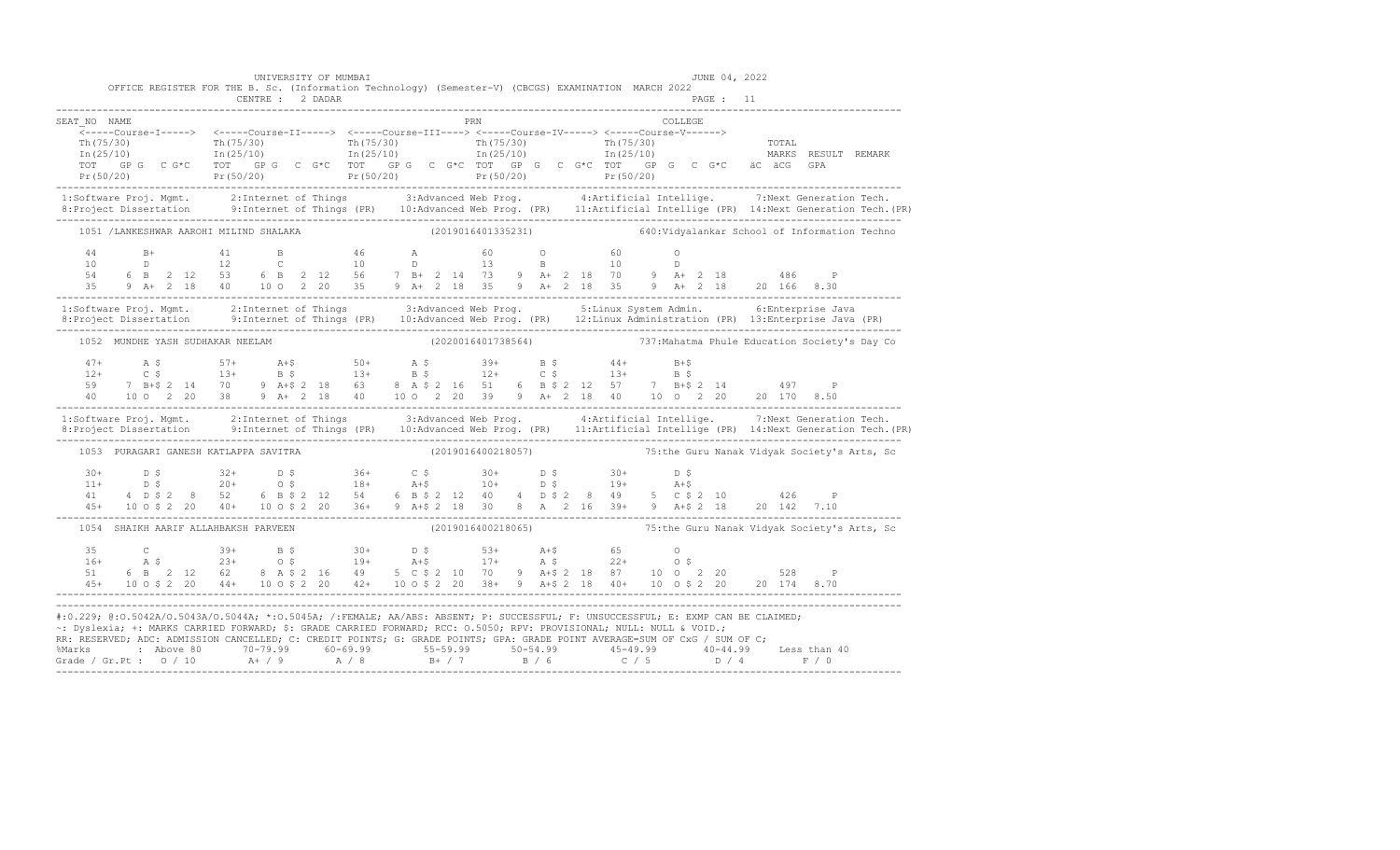|                                              | UNIVERSITY OF MUMBAI<br>OFFICE REGISTER FOR THE B. Sc. (Information Technology) (Semester-V) (CBCGS) EXAMINATION MARCH 2022<br>CENTRE : 2 DADAR |     | JUNE 04, 2022<br>PAGE : 11                                                                                                                                                                                                                                                                                                                                                                                                                                                                                                                            |                                                                                                                                                                                                                                   |
|----------------------------------------------|-------------------------------------------------------------------------------------------------------------------------------------------------|-----|-------------------------------------------------------------------------------------------------------------------------------------------------------------------------------------------------------------------------------------------------------------------------------------------------------------------------------------------------------------------------------------------------------------------------------------------------------------------------------------------------------------------------------------------------------|-----------------------------------------------------------------------------------------------------------------------------------------------------------------------------------------------------------------------------------|
| SEAT NO NAME<br>Th $(75/30)$<br>In $(25/10)$ |                                                                                                                                                 | PRN | COLLEGE<br>$\pi h (75/30)$ $\pi h (75/30)$ $\pi h (25/10)$ $\pi (25/10)$ $\pi (25/10)$ $\pi (25/10)$ $\pi (25/10)$                                                                                                                                                                                                                                                                                                                                                                                                                                    | TOTAL<br>MARKS RESULT REMARK                                                                                                                                                                                                      |
|                                              |                                                                                                                                                 |     |                                                                                                                                                                                                                                                                                                                                                                                                                                                                                                                                                       | 1:Software Proj. Mgmt. 2:Internet of Things 3:Advanced Web Prog. 4:Artificial Intellige. 7:Next Generation Tech.<br>8:Project Dissertation 9:Internet of Things (PR) 10:Advanced Web Prog. (PR) 11:Artificial Intellige (PR) 14:N |
|                                              | 1051 /LANKESHWAR AAROHI MILIND SHALAKA                                                                                                          |     | (2019016401335231) 640: Vidyalankar School of Information Techno                                                                                                                                                                                                                                                                                                                                                                                                                                                                                      |                                                                                                                                                                                                                                   |
|                                              |                                                                                                                                                 |     | $\begin{array}{cccccccccccccccc} 44 & B+ & 41 & B & 46 & A & 60 & O & 60 & O \\ 10 & D & 12 & C & 10 & D & 13 & B & 10 & D \\ 54 & 6 & B & 2 & 12 & 53 & 6 & B & 2 & 12 & 56 & 7 & B+ & 2 & 14 & 73 & 9 & A+ & 2 & 18 & 70 & 9 & A+ & 2 & 18 & 486 & P \\ 55 & 9 & A+ & 2 & 18 & 40 & 10 & O & 2 & 20 & 35 & 9 & A+ & 2 & 18 & 35 & 9 & A$                                                                                                                                                                                                            |                                                                                                                                                                                                                                   |
|                                              |                                                                                                                                                 |     | 1:Software Proj. Mgmt. 2:Internet of Things 3:Advanced Web Prog. 5:Linux System Admin. 6:Enterprise Java<br>8:Project Dissertation 9:Internet of Things (PR) 10:Advanced Web Prog. (PR) 12:Linux Administration (PR) 13:Enterpris                                                                                                                                                                                                                                                                                                                     |                                                                                                                                                                                                                                   |
|                                              | 1052 MUNDHE YASH SUDHAKAR NEELAM                                                                                                                |     | (2020016401738564) 737: Mahatma Phule Education Society's Day Co                                                                                                                                                                                                                                                                                                                                                                                                                                                                                      |                                                                                                                                                                                                                                   |
|                                              |                                                                                                                                                 |     |                                                                                                                                                                                                                                                                                                                                                                                                                                                                                                                                                       |                                                                                                                                                                                                                                   |
|                                              |                                                                                                                                                 |     |                                                                                                                                                                                                                                                                                                                                                                                                                                                                                                                                                       | 1:Software Proj. Mgmt. 2:Internet of Things 3:Advanced Web Prog. 4:Artificial Intellige. 7:Next Generation Tech.<br>8:Project Dissertation 9:Internet of Things (PR) 10:Advanced Web Prog. (PR) 11:Artificial Intellige (PR) 14:N |
| 1053 PURAGARI GANESH KATLAPPA SAVITRA        |                                                                                                                                                 |     | (2019016400218057) 75:the Guru Nanak Vidyak Society's Arts, Sc                                                                                                                                                                                                                                                                                                                                                                                                                                                                                        |                                                                                                                                                                                                                                   |
|                                              |                                                                                                                                                 |     | $\begin{array}{cccccccccccccccc} 30+ & & D & S & & & 32+ & & D & S & & 36+ & & C & S & & 30+ & & D & S & & 30+ & & D & S \\ 11+ & & D & S & & & 20+ & & 0 & S & & 18+ & A+S & & 10+ & & D & S & & 19+ & A+S & & 41 & 4 & D & S & 2 & 8 & 52 & 6 & B & S & 2 & 12 & 54 & 6 & B & S & 2 & 12 & 40 & 4 & D & S & 2 & 8 & 49 & 5 & C & S & 2 & 10 & & 426 & P \\ 45+ & $                                                                                                                                                                                  |                                                                                                                                                                                                                                   |
| 1054 SHAIKH AARIF ALLAHBAKSH PARVEEN         |                                                                                                                                                 |     | (2019016400218065) 75:the Guru Nanak Vidyak Society's Arts, Sc                                                                                                                                                                                                                                                                                                                                                                                                                                                                                        |                                                                                                                                                                                                                                   |
|                                              |                                                                                                                                                 |     | $\begin{array}{cccccccccccccccc} 35 & C & 39+ & B & \multicolumn{3}{c}5 & 30+ & D & \multicolumn{3}{c}5 & 53+ & A+\hat{5} & 65 & O \\ 16+ & A & \multicolumn{3}{c}5 & 23+ & O & \multicolumn{3}{c}5 & 19+ & A+\hat{5} & 17+ & A & \hat{5} & 22+ & O & \hat{5} \\ 51 & 6 & B & 2 & 12 & 62 & 8 & A & \hat{5} & 2 & 16 & 49 & 5 & C & \hat{5} & 2 & 10 & 70 & 9 & A+\hat{5} & 2$                                                                                                                                                                        |                                                                                                                                                                                                                                   |
|                                              |                                                                                                                                                 |     | #:0.229; @:0.5042A/0.5043A/0.5044A; *:0.5045A; /:FEMALE; AA/ABS: ABSENT; P: SUCCESSFUL; F: UNSUCCESSFUL; E: EXMP CAN BE CLAIMED;<br>~: Dyslexia; +: MARKS CARRIED FORWARD; \$: GRADE CARRIED FORWARD; RCC: 0.5050; RPV: PROVISIONAL; NULL: NULL & VOID.;<br>RR: RESERVED; ADC: ADMISSION CANCELLED; C: CREDIT POINTS; G: GRADE POINTS; GPA: GRADE POINT AVERAGE=SUM OF CxG / SUM OF C;<br>% Marks : Above 80 70-79.99 60-69.99 55-59.99 50-54.99 45-49.99 40-44.99 Less than 40<br>Grade / Gr.Pt : 0 / 10 A+ / 9 A / 8 B+ / 7 B / 6 C / 5 D / 4 F / 0 |                                                                                                                                                                                                                                   |

-------------------------------------------------------------------------------------------------------------------------------------------------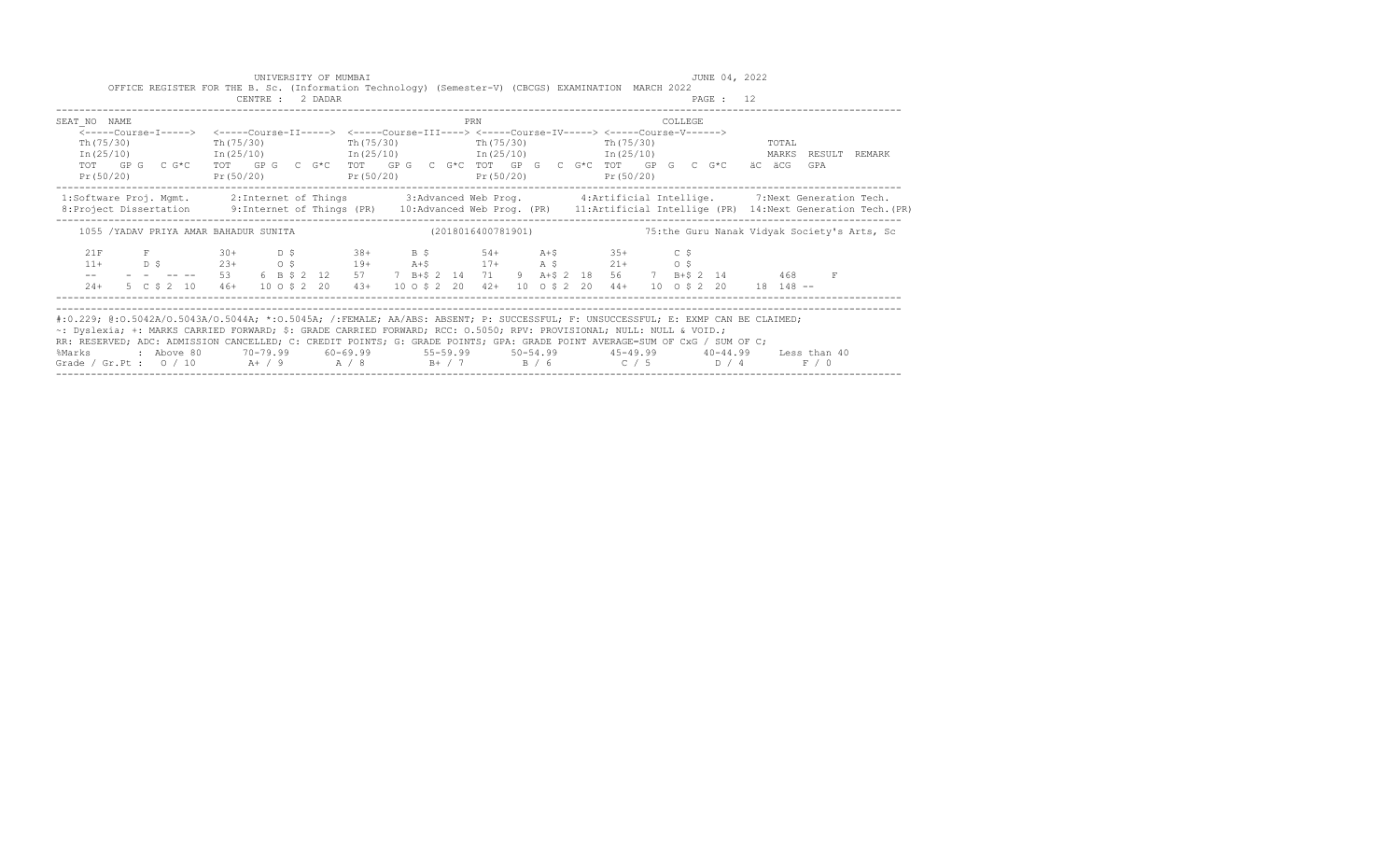|                                                                                                                                                                                                                                                                                                                                                                                                                                                                                                                                                  | UNIVERSITY OF MUMBAI<br>OFFICE REGISTER FOR THE B. Sc. (Information Technology) (Semester-V) (CBCGS) EXAMINATION MARCH 2022                                                                                                                                                                                                                                                                                                                                                  |                       |     | JUNE 04, 2022                                                                                                                                                                                  |                                                                                                                                                                                                                                                                 |
|--------------------------------------------------------------------------------------------------------------------------------------------------------------------------------------------------------------------------------------------------------------------------------------------------------------------------------------------------------------------------------------------------------------------------------------------------------------------------------------------------------------------------------------------------|------------------------------------------------------------------------------------------------------------------------------------------------------------------------------------------------------------------------------------------------------------------------------------------------------------------------------------------------------------------------------------------------------------------------------------------------------------------------------|-----------------------|-----|------------------------------------------------------------------------------------------------------------------------------------------------------------------------------------------------|-----------------------------------------------------------------------------------------------------------------------------------------------------------------------------------------------------------------------------------------------------------------|
|                                                                                                                                                                                                                                                                                                                                                                                                                                                                                                                                                  | CENTRE : 2 DADAR                                                                                                                                                                                                                                                                                                                                                                                                                                                             |                       |     | PAGE : 12                                                                                                                                                                                      |                                                                                                                                                                                                                                                                 |
| SEAT NO NAME                                                                                                                                                                                                                                                                                                                                                                                                                                                                                                                                     |                                                                                                                                                                                                                                                                                                                                                                                                                                                                              |                       | PRN | COLLEGE                                                                                                                                                                                        |                                                                                                                                                                                                                                                                 |
| Th $(75/30)$<br>Pr(50/20)                                                                                                                                                                                                                                                                                                                                                                                                                                                                                                                        | <-----Course-I-----> <-----Course-II-----> <-----Course-III----> <-----Course-IV-----> <-----Course-V------><br>Th (75/30)<br>$Pr(50/20)$ $Pr(50/20)$ $Pr(50/20)$<br>----------------------                                                                                                                                                                                                                                                                                  | $Th(75/30)$ Th(75/30) |     | Th (75/30)<br>$In (25/10)$ $In (25/10)$ $In (25/10)$ $In (25/10)$ $In (25/10)$ $In (25/10)$<br>TOT GP G C G*C TOT GP G C G*C TOT GP G C G*C TOT GP G C G*C TOT GP G C G*C äC äCG<br>Pr (50/20) | TOTAL<br>RESULT<br>REMARK<br>GPA                                                                                                                                                                                                                                |
|                                                                                                                                                                                                                                                                                                                                                                                                                                                                                                                                                  |                                                                                                                                                                                                                                                                                                                                                                                                                                                                              |                       |     |                                                                                                                                                                                                | 1:Software Proj. Mgmt. 2:Internet of Things 3:Advanced Web Prog. 4:Artificial Intellige. 7:Next Generation Tech.<br>8: Project Dissertation 9: Internet of Things (PR) 10: Advanced Web Prog. (PR) 11: Artificial Intellige (PR) 14: Next Generation Tech. (PR) |
|                                                                                                                                                                                                                                                                                                                                                                                                                                                                                                                                                  | 1055 /YADAV PRIYA AMAR BAHADUR SUNITA (2018016400781901)                                                                                                                                                                                                                                                                                                                                                                                                                     |                       |     |                                                                                                                                                                                                | 75:the Guru Nanak Vidyak Society's Arts, Sc                                                                                                                                                                                                                     |
| 21F<br>$11+$<br>$\mathcal{L}=\mathcal{L}$ , and $\mathcal{L}=\mathcal{L}$<br>$24+$                                                                                                                                                                                                                                                                                                                                                                                                                                                               | $F$ 30+ D \$ 38+ B \$ 54+ A+\$ 35+ C \$<br>$\begin{array}{ccccccccccccccc} \text{D} & \text{S} & \text{S} & \text{S} & \text{S} & \text{S} & \text{S} & \text{S} & \text{S} & \text{S} & \text{S} & \text{S} & \text{S} & \text{S} & \text{S} & \text{S} & \text{S} & \text{S} & \text{S} & \text{S} & \text{S} & \text{S} & \text{S} & \text{S} & \text{S} & \text{S} & \text{S} & \text{S} & \text{S} & \text{S} & \text{S} & \text{S} & \text{S} & \text{S} & \text{S} &$ |                       |     | $  -$ 53 6 B \$ 2 12 57 7 B + \$ 2 14 71 9 A + \$ 2 18 56 7 B + \$ 2 14 468<br>5 C \$ 2 10 46+ 10 O \$ 2 20 43+ 10 O \$ 2 20 42+ 10 O \$ 2 20 44+ 10 O \$ 2 20 18 148 --                       | $\mathbf{F}$                                                                                                                                                                                                                                                    |
| #:0.229; @:0.5042A/0.5043A/0.5044A; *:0.5045A; /:FEMALE; AA/ABS: ABSENT; P: SUCCESSFUL; F: UNSUCCESSFUL; E: EXMP CAN BE CLAIMED;<br>~: Dyslexia; +: MARKS CARRIED FORWARD; \$: GRADE CARRIED FORWARD; RCC: 0.5050; RPV: PROVISIONAL; NULL: NULL & VOID.;<br>RR: RESERVED; ADC: ADMISSION CANCELLED; C: CREDIT POINTS; G: GRADE POINTS; GPA: GRADE POINT AVERAGE=SUM OF CxG / SUM OF C;<br>%Marks : Above 80 70-79.99 60-69.99 55-59.99 50-54.99 45-49.99 40-44.99 Less than 40<br>Grade / Gr.Pt : $0$ / 10 A+ / 9 A / 8 B+ / 7 B / 6 C / 5 D / 4 |                                                                                                                                                                                                                                                                                                                                                                                                                                                                              |                       |     |                                                                                                                                                                                                | F / 0                                                                                                                                                                                                                                                           |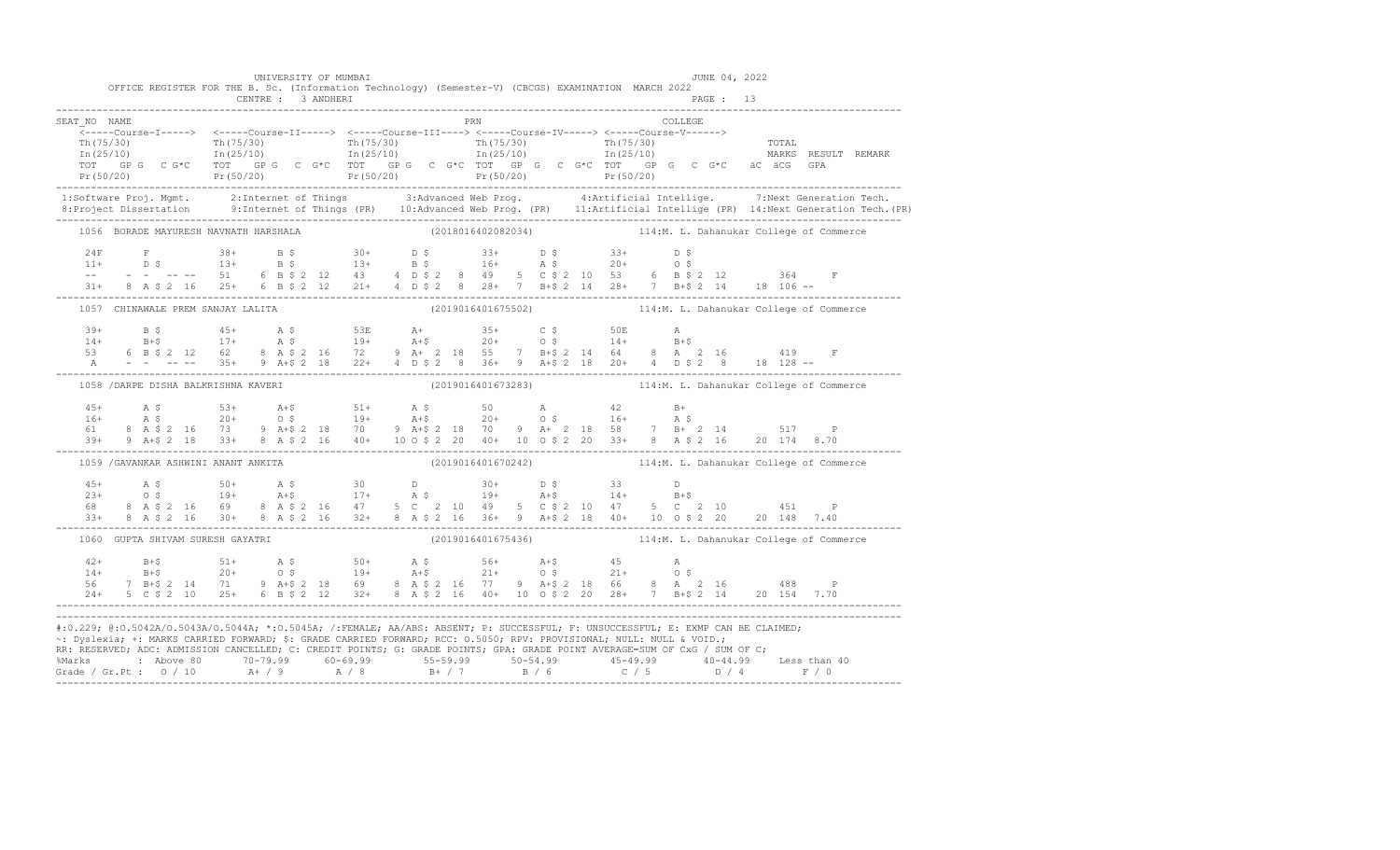|              |                                       | UNIVERSITY OF MUMBAI<br>CENTRE : 3 ANDHERI | OFFICE REGISTER FOR THE B. Sc. (Information Technology) (Semester-V) (CBCGS) EXAMINATION MARCH 2022 |     | PAGE: 13                                                                                                                                                                                                                                                                                                                                                                                                                                                                                                                                                                                                                                                                                                                                                                      | JUNE 04, 2022                                                                                                                                                                                                                                                                                                                                                                                                                     |
|--------------|---------------------------------------|--------------------------------------------|-----------------------------------------------------------------------------------------------------|-----|-------------------------------------------------------------------------------------------------------------------------------------------------------------------------------------------------------------------------------------------------------------------------------------------------------------------------------------------------------------------------------------------------------------------------------------------------------------------------------------------------------------------------------------------------------------------------------------------------------------------------------------------------------------------------------------------------------------------------------------------------------------------------------|-----------------------------------------------------------------------------------------------------------------------------------------------------------------------------------------------------------------------------------------------------------------------------------------------------------------------------------------------------------------------------------------------------------------------------------|
| SEAT NO NAME |                                       |                                            |                                                                                                     | PRN | COLLEGE                                                                                                                                                                                                                                                                                                                                                                                                                                                                                                                                                                                                                                                                                                                                                                       |                                                                                                                                                                                                                                                                                                                                                                                                                                   |
|              |                                       |                                            |                                                                                                     |     |                                                                                                                                                                                                                                                                                                                                                                                                                                                                                                                                                                                                                                                                                                                                                                               | The contract of the contract of the contract of the contract of the contract of the contract of the contract of the contract of the contract of the contract of the contract of the contract of the contract of the contract o                                                                                                                                                                                                    |
|              |                                       |                                            |                                                                                                     |     |                                                                                                                                                                                                                                                                                                                                                                                                                                                                                                                                                                                                                                                                                                                                                                               |                                                                                                                                                                                                                                                                                                                                                                                                                                   |
|              | 1056 BORADE MAYURESH NAVNATH HARSHALA |                                            |                                                                                                     |     |                                                                                                                                                                                                                                                                                                                                                                                                                                                                                                                                                                                                                                                                                                                                                                               | (2018016402082034) 114:M. L. Dahanukar College of Commerce                                                                                                                                                                                                                                                                                                                                                                        |
|              |                                       |                                            |                                                                                                     |     |                                                                                                                                                                                                                                                                                                                                                                                                                                                                                                                                                                                                                                                                                                                                                                               | $\begin{array}{lllllllll} 24\mathrm{F} & \mathrm{F} & 38+ & \mathrm{B}~\hat{\mathrm{S}} & 30+ & \mathrm{D}~\hat{\mathrm{S}} & 33+ & \mathrm{D}~\hat{\mathrm{S}} & 33+ & \mathrm{D}~\hat{\mathrm{S}} \\ 11+ & \mathrm{D}~\hat{\mathrm{S}} & 13+ & \mathrm{B}~\hat{\mathrm{S}} & 13+ & \mathrm{B}~\hat{\mathrm{S}} & 16+ & \mathrm{A}~\hat{\mathrm{S}} & 20+ & 0~\hat{\mathrm{S}} \\ -- & - & - & - & - & - & 51 & 6 & \mathrm{B}~$ |
|              | 1057 CHINAWALE PREM SANJAY LALITA     |                                            |                                                                                                     |     |                                                                                                                                                                                                                                                                                                                                                                                                                                                                                                                                                                                                                                                                                                                                                                               | (2019016401675502) 114:M. L. Dahanukar College of Commerce                                                                                                                                                                                                                                                                                                                                                                        |
|              |                                       |                                            |                                                                                                     |     | $\begin{array}{cccccccccccccccc} 39+ & & B & \xi & & 45+ & & A & \xi & & 53E & & A+ & & 35+ & & C & \xi & & 50E & & A \\ 14+ & & B+ \xi & & 17+ & & A & \xi & & 19+ & A+ \xi & & 20+ & 0 & \xi & & 14+ & B+ \xi \\ 53 & & 6 & B & \xi & 2 & 12 & 62 & 8 & A & \xi & 2 & 16 & 72 & 9 & A+ & 2 & 18 & 55 & 7 & B+ \xi & 2 & 14 & 64 & 8 & A & 2 & 16 & & 419 & F \\$                                                                                                                                                                                                                                                                                                                                                                                                            |                                                                                                                                                                                                                                                                                                                                                                                                                                   |
|              | 1058 / DARPE DISHA BALKRISHNA KAVERI  |                                            |                                                                                                     |     |                                                                                                                                                                                                                                                                                                                                                                                                                                                                                                                                                                                                                                                                                                                                                                               | (2019016401673283) 114:M. L. Dahanukar College of Commerce                                                                                                                                                                                                                                                                                                                                                                        |
|              |                                       |                                            |                                                                                                     |     |                                                                                                                                                                                                                                                                                                                                                                                                                                                                                                                                                                                                                                                                                                                                                                               | $\begin{array}{cccccccccccc} 45+ & & {\bf A}\ \,S\qquad & & 53+ & & {\bf A}\ddot{*}\qquad & 51+ & & {\bf A}\ \,S\qquad & & 20+ & & 0\ \,S\qquad & & 19+ & & {\bf A}\ddot{*}\qquad & & 20+ & & 0\ \,S\qquad & & 19+ & & {\bf A}\ddot{*}\qquad & & 20+ & & 0\ \,S\qquad & & 19+ & & 20+ & & 0\ \,S\qquad & & 19+ & & 210 & & 9 & {\bf A}\ddot{*}\ \,S\qquad & & 20+ & & 0\ \,S\qquad & &$                                           |
|              | 1059 / GAVANKAR ASHWINI ANANT ANKITA  |                                            |                                                                                                     |     |                                                                                                                                                                                                                                                                                                                                                                                                                                                                                                                                                                                                                                                                                                                                                                               | (2019016401670242) 114:M. L. Dahanukar College of Commerce                                                                                                                                                                                                                                                                                                                                                                        |
|              |                                       |                                            |                                                                                                     |     | $\begin{array}{cccccccccccccccc} 45+ & & {\rm A}\ \, 5 & & & 50+ & & {\rm A}\ \, 5 & & & 50+ & & {\rm A}\ \, 5 & & & 19+ & & {\rm A}+5 & & 30 & & {\rm D} & & 30+ & {\rm D}\ \, 5 & & & 33 & & {\rm D} & & & & & & \\ 23+ & & {\rm O}\ \, 5 & & & 19+ & & {\rm A}+5 & & 17+ & & {\rm A}\ \, 5 & & & 19+ & & {\rm A}+5 & & 14+ & {\rm B}+5 & & \\ 68 & & 8 & {\rm A}\ \, 5 & 2 & 16 & & $<br>$\frac{33+}{24} = \frac{8}{16} = \frac{3}{30} + \frac{1}{8} = \frac{1}{40} = \frac{1}{30} = \frac{1}{40} = \frac{1}{40} = \frac{1}{40} = \frac{1}{40} = \frac{1}{40} = \frac{1}{40} = \frac{1}{40} = \frac{1}{40} = \frac{1}{40} = \frac{1}{40} = \frac{1}{40} = \frac{1}{40} = \frac{1}{40} = \frac{1}{40} = \frac{1}{40} = \frac{1}{40} = \frac{1}{40} = \frac{1}{40} = \frac{$ |                                                                                                                                                                                                                                                                                                                                                                                                                                   |
|              | 1060 GUPTA SHIVAM SURESH GAYATRI      |                                            |                                                                                                     |     |                                                                                                                                                                                                                                                                                                                                                                                                                                                                                                                                                                                                                                                                                                                                                                               | (2019016401675436) 114:M. L. Dahanukar College of Commerce                                                                                                                                                                                                                                                                                                                                                                        |
|              |                                       |                                            |                                                                                                     |     | $\begin{array}{cccccccccccc} 42+ & & & & 51+ & & & 51+ & & & 50+ & & & 56+ & & 56+ & & 56+ & & 45 & & & 56+ & & 56+ & & 56+ & & 56+ & & 56+ & & 56+ & & 56+ & & 56+ & & 56+ & & 56+ & & 56+ & & 56+ & & 56+ & & 56+ & & 56+ & & 56+ & & 56+ & & 56+ & & 56+ & & 56+ & & 56+ & & 56+ & & 56+ & & 56+ & & 56+ & & 56+ & & 5$                                                                                                                                                                                                                                                                                                                                                                                                                                                    |                                                                                                                                                                                                                                                                                                                                                                                                                                   |
|              |                                       |                                            |                                                                                                     |     | #:0.229; @:0.5042A/0.5043A/0.5044A; *:0.5045A; /:FEMALE; AA/ABS: ABSENT; P: SUCCESSFUL; F: UNSUCCESSFUL; E: EXMP CAN BE CLAIMED;<br>~: Dyslexia; +: MARKS CARRIED FORWARD; \$: GRADE CARRIED FORWARD; RCC: 0.5050; RPV: PROVISIONAL; NULL: NULL & VOID.;<br>RR: RESERVED, ADC: ADMISSION CANCELLED, C: CREDIT POINTS, G: GRADE POINTS, GPA: GRADE POINT AVERAGE=SUM OF CxG / SUM OF C;                                                                                                                                                                                                                                                                                                                                                                                        |                                                                                                                                                                                                                                                                                                                                                                                                                                   |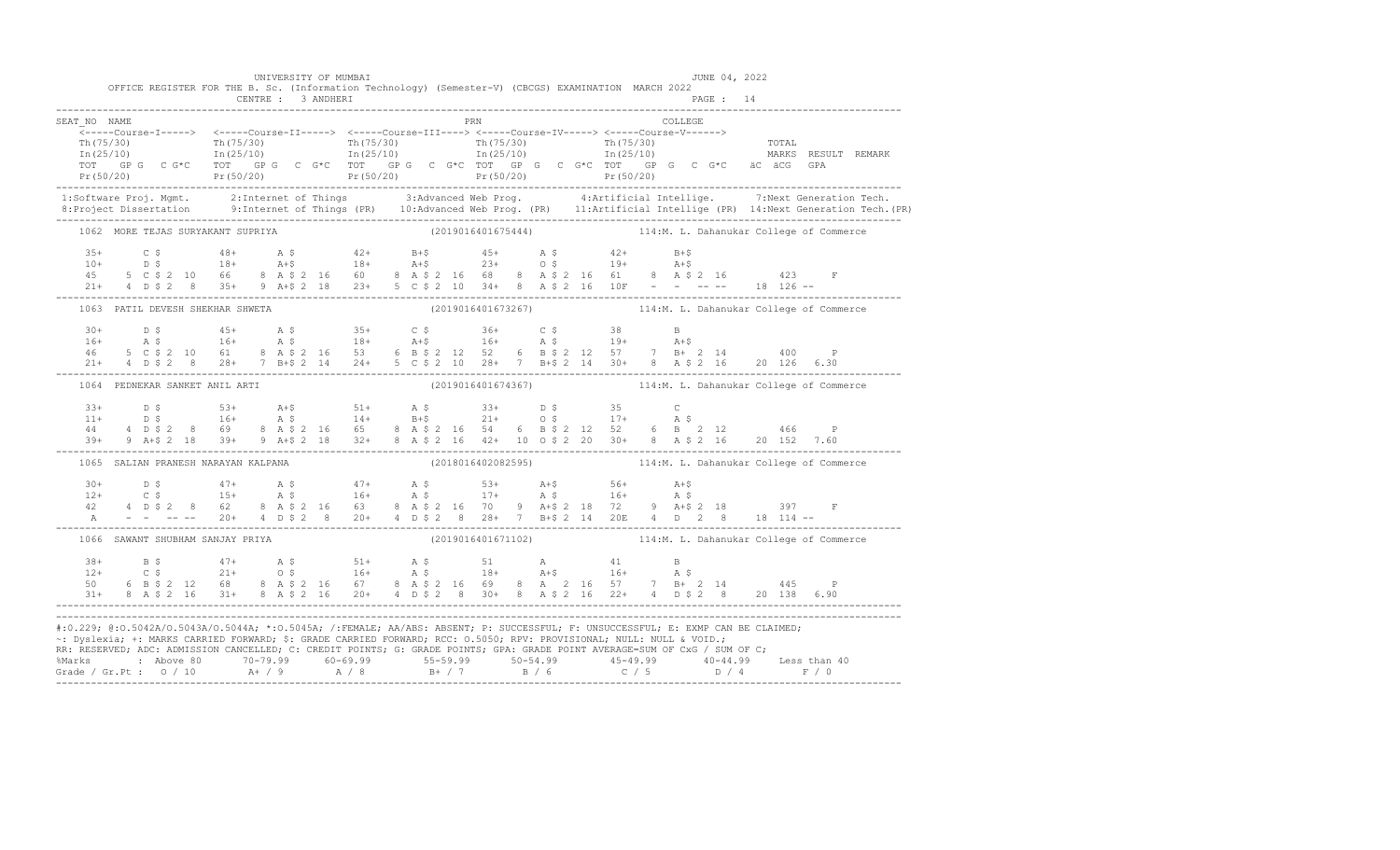|              |                                     |                    | UNIVERSITY OF MUMBAI |                    | OFFICE REGISTER FOR THE B. Sc. (Information Technology) (Semester-V) (CBCGS) EXAMINATION MARCH 2022                                                                                                                                                                                                                                                                                                                                                                            | JUNE 04, 2022 |                                                                                                                                                                                                                                                                                                              |
|--------------|-------------------------------------|--------------------|----------------------|--------------------|--------------------------------------------------------------------------------------------------------------------------------------------------------------------------------------------------------------------------------------------------------------------------------------------------------------------------------------------------------------------------------------------------------------------------------------------------------------------------------|---------------|--------------------------------------------------------------------------------------------------------------------------------------------------------------------------------------------------------------------------------------------------------------------------------------------------------------|
|              |                                     | CENTRE : 3 ANDHERI |                      |                    |                                                                                                                                                                                                                                                                                                                                                                                                                                                                                | PAGE: 14      |                                                                                                                                                                                                                                                                                                              |
| SEAT NO NAME |                                     |                    |                      | PRN                |                                                                                                                                                                                                                                                                                                                                                                                                                                                                                | COLLEGE       |                                                                                                                                                                                                                                                                                                              |
|              |                                     |                    |                      |                    |                                                                                                                                                                                                                                                                                                                                                                                                                                                                                |               |                                                                                                                                                                                                                                                                                                              |
|              |                                     |                    |                      |                    |                                                                                                                                                                                                                                                                                                                                                                                                                                                                                |               |                                                                                                                                                                                                                                                                                                              |
|              |                                     |                    |                      |                    |                                                                                                                                                                                                                                                                                                                                                                                                                                                                                |               |                                                                                                                                                                                                                                                                                                              |
|              | 1062 MORE TEJAS SURYAKANT SUPRIYA   |                    |                      | (2019016401675444) |                                                                                                                                                                                                                                                                                                                                                                                                                                                                                |               | 114:M. L. Dahanukar College of Commerce                                                                                                                                                                                                                                                                      |
| $3.5+$       |                                     |                    |                      |                    | $\begin{array}{cccccccccccccccc} 35+ & & C & \hat{S} & & 48+ & \text{A} & \hat{S} & & 42+ & \text{B}+\hat{S} & & 45+ & \text{A} & \hat{S} & & 42+ & \text{B}+\hat{S} \\ 10+ & & D & \hat{S} & & 18+ & \text{A}+\hat{S} & & 18+ & \text{A}+\hat{S} & & 23+ & \text{O} & \hat{S} & & 19+ & \text{A}+\hat{S} \\ 45 & & 5 & C & \hat{S} & 2 & 10 & 66 & 8 & A & \hat{S} & 2 & 1$                                                                                                   |               |                                                                                                                                                                                                                                                                                                              |
|              | 1063 PATIL DEVESH SHEKHAR SHWETA    |                    |                      |                    |                                                                                                                                                                                                                                                                                                                                                                                                                                                                                |               | (2019016401673267) 114:M. L. Dahanukar College of Commerce                                                                                                                                                                                                                                                   |
|              |                                     |                    |                      |                    | $\begin{array}{cccccccccccccccc} 30+ & & D & \xi & & & 45+ & & \text{A} & \xi & & 35+ & & C & \xi & & 36+ & & C & \xi & & 38 & & B \\ 16+ & & \text{A} & \xi & & & 16+ & & \text{A} & \xi & & 16+ & & \text{A} & \xi & & 19+ & & \text{A}+ \xi & & & \\ 46 & & 5 & C & \xi & 2 & 10 & 61 & 8 & A & \xi & 2 & 16 & 53 & 6 & B & \xi & 2 & 12 & 52 & 6 & B & \xi & 2 & 12 & 57 & 7$                                                                                              |               |                                                                                                                                                                                                                                                                                                              |
|              | 1064 PEDNEKAR SANKET ANIL ARTI      |                    |                      |                    |                                                                                                                                                                                                                                                                                                                                                                                                                                                                                |               | (2019016401674367) 114:M. L. Dahanukar College of Commerce                                                                                                                                                                                                                                                   |
|              |                                     |                    |                      |                    |                                                                                                                                                                                                                                                                                                                                                                                                                                                                                |               | $\begin{array}{cccccccccccc} 33+ & 0 & 5 & 53+ & 8 & 53+ & 8 & 51+ & 8 & 5 & 33+ & 0 & 5 & 35 & 0 \\ 11+ & 0 & 5 & 16+ & 8 & 5 & 14+ & 8+5 & 21+ & 0 & 5 & 17+ & 8 & 5 \\ 44 & 4 & 0 & 5 & 2 & 8 & 69 & 8 & 8 & 2 & 16 & 5 & 8 & 8 & 2 & 16 & 6 & 6 & 6 \\ 39+ & 9 & 4+5 & 218 & 39+ & 9 & 8+5 & 2 & 18 & 3$ |
|              | 1065 SALIAN PRANESH NARAYAN KALPANA |                    |                      | (2018016402082595) |                                                                                                                                                                                                                                                                                                                                                                                                                                                                                |               | 114:M. L. Dahanukar College of Commerce                                                                                                                                                                                                                                                                      |
| A            |                                     |                    |                      |                    | $    20+$ $4$ $D$ \$ $2$ $8$ $20+$ $4$ $D$ \$ $2$ $8$ $28+$ $7$ $B+$ \$ $2$ $14$ $20E$ $4$ $D$ $2$ $8$ $18$ $114$ $-$                                                                                                                                                                                                                                                                                                                                                          |               |                                                                                                                                                                                                                                                                                                              |
|              | 1066 SAWANT SHUBHAM SANJAY PRIYA    |                    |                      |                    |                                                                                                                                                                                                                                                                                                                                                                                                                                                                                |               | (2019016401671102) 114:M. L. Dahanukar College of Commerce                                                                                                                                                                                                                                                   |
|              |                                     |                    |                      |                    | $\begin{array}{cccccccccccccccc} 38+ & & & {\bf B}\ \ \ 8 & & & & 47+ & & {\bf A}\ \ \ 8 & & & & 21+ & & 0\ \ \ 9 & & & 21+ & & 0\ \ \ 10 & & & 6 & & {\bf B}\ \ \ 9 & & & 21+ & & 0\ \ \ 10 & & & 21+ & & 0\ \ \ 11 & & & 21+ & & 0\ \ \ 12 & & & 68 & & {\bf B}\ \ \ 13+ & & 8 & & {\bf B}\ \ \ 14+ & & 8 & & {\bf B}\ \ \ 15+ & & 21+ & & 21+ & 21+ & 21+ & 21+$                                                                                                            |               |                                                                                                                                                                                                                                                                                                              |
|              |                                     |                    |                      |                    | #:0.229; @:0.5042A/0.5043A/0.5044A; *:0.5045A; /:FEMALE; AA/ABS: ABSENT; P: SUCCESSFUL; F: UNSUCCESSFUL; E: EXMP CAN BE CLAIMED;<br>~: Dyslexia; +: MARKS CARRIED FORWARD; \$: GRADE CARRIED FORWARD; RCC: 0.5050; RPV: PROVISIONAL; NULL: NULL & VOID.;<br>RR: RESERVED; ADC: ADMISSION CANCELLED; C: CREDIT POINTS; G: GRADE POINTS; GPA: GRADE POINT AVERAGE=SUM OF CxG / SUM OF C;<br>%Marks : Above 80 70-79.99 60-69.99 55-59.99 50-54.99 45-49.99 40-44.99 Less than 40 |               |                                                                                                                                                                                                                                                                                                              |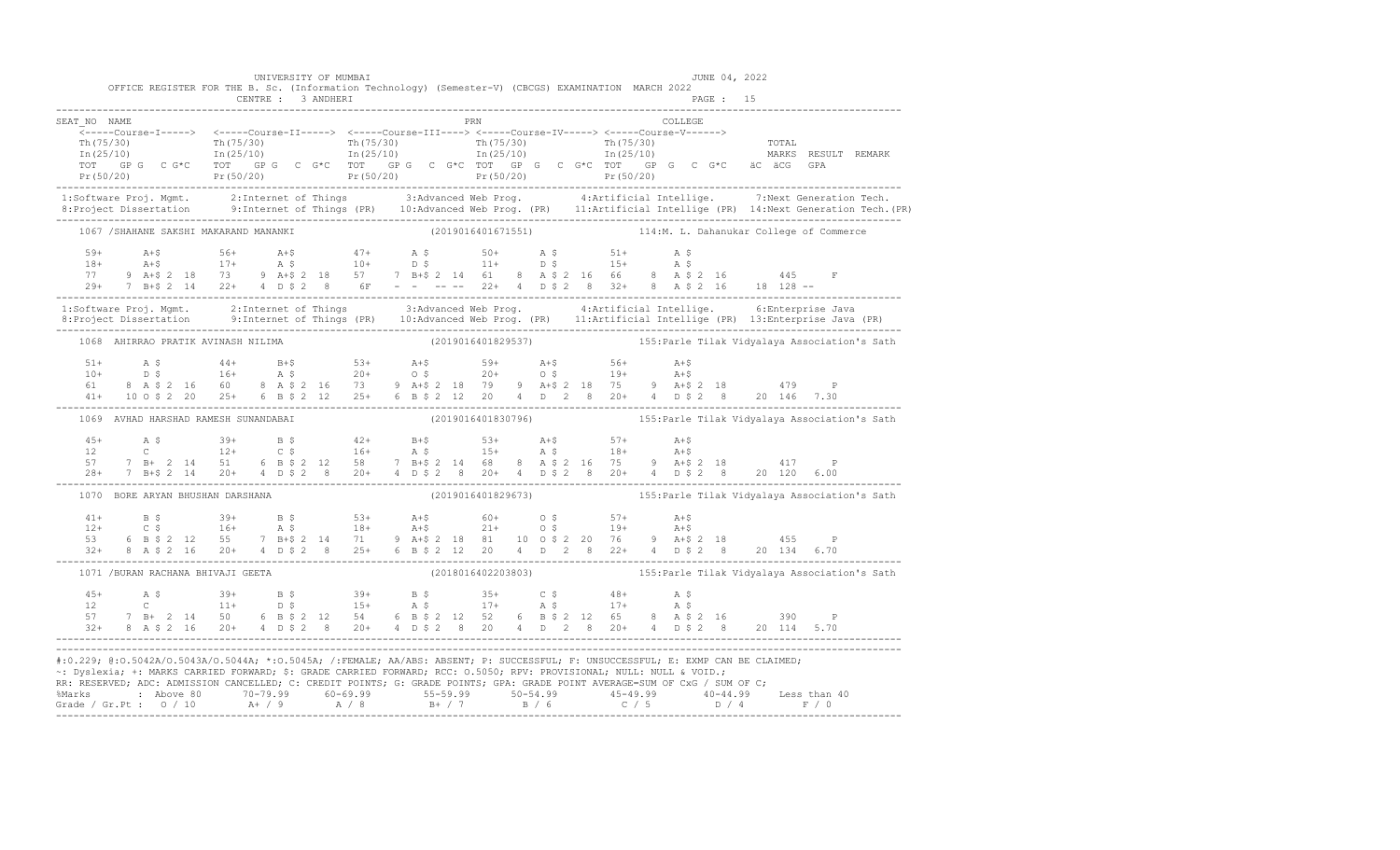|                                                                                                                                                                                                                                                                                                                                                                                        | UNIVERSITY OF MUMBAI               | OFFICE REGISTER FOR THE B. Sc. (Information Technology) (Semester-V) (CBCGS) EXAMINATION MARCH 2022                                                                                                                                                                                                                                                                                                             | JUNE 04, 2022  |                                                                                                                                                                                                                                                                                                                                                                                    |
|----------------------------------------------------------------------------------------------------------------------------------------------------------------------------------------------------------------------------------------------------------------------------------------------------------------------------------------------------------------------------------------|------------------------------------|-----------------------------------------------------------------------------------------------------------------------------------------------------------------------------------------------------------------------------------------------------------------------------------------------------------------------------------------------------------------------------------------------------------------|----------------|------------------------------------------------------------------------------------------------------------------------------------------------------------------------------------------------------------------------------------------------------------------------------------------------------------------------------------------------------------------------------------|
| SEAT NO NAME                                                                                                                                                                                                                                                                                                                                                                           |                                    | PRN                                                                                                                                                                                                                                                                                                                                                                                                             | <b>COLLEGE</b> |                                                                                                                                                                                                                                                                                                                                                                                    |
|                                                                                                                                                                                                                                                                                                                                                                                        |                                    | _______Course-I-----> <-----Course-II-----> <-----Course-III-----> <-----Course-IV-----> <-----Course-V------>                                                                                                                                                                                                                                                                                                  |                | $\begin{array}{cccccccc} \text{Tr}\ (75/30) & \text{Tr}\ (75/30) & \text{Tr}\ (75/30) & \text{Tr}\ (75/30) & \text{Tr}\ (75/30) & \text{Tr}\ (75/30) & \text{Tr}\ (75/30) & \text{Tr}\ (25/10) & \text{Tr}\ (25/10) & \text{Tr}\ (25/10) & \text{Tr}\ (25/10) & \text{Tr}\ (25/10) & \text{Tr}\ (25/10) & \text{Tr}\ (25/10) & \text{Tr}\ (25/10) & \text{Tr}\ (25/10) & \text{Tr$ |
|                                                                                                                                                                                                                                                                                                                                                                                        |                                    |                                                                                                                                                                                                                                                                                                                                                                                                                 |                | 1:Software Proj. Mgmt. 2:Internet of Things 3:Advanced Web Prog. 4:Artificial Intellige. 7:Next Generation Tech.<br>8:Project Dissertation 9:Internet of Things (PR) 10:Advanced Web Prog. (PR) 11:Artificial Intellige (PR) 14:N                                                                                                                                                  |
|                                                                                                                                                                                                                                                                                                                                                                                        |                                    | 1067 /SHAHANE SAKSHI MAKARAND MANANKI (2019016401671551) 114:M. L. Dahanukar College of Commerce                                                                                                                                                                                                                                                                                                                |                |                                                                                                                                                                                                                                                                                                                                                                                    |
|                                                                                                                                                                                                                                                                                                                                                                                        |                                    | $\begin{array}{lllllllllllllllllll} \text{59+} & \text{A+$5$} & \text{56+} & \text{A+$5$} & \text{47+} & \text{A$-$5$} & \text{50+} & \text{A$-$5$} & \text{51+} & \text{A$-$5$} \\ \text{18+} & \text{A+$5$} & \text{17+} & \text{A$-$5$} & \text{10+} & \text{D$-$5$} & \text{11+} & \text{D$-$5$} & \text{15+} & \text{A$-$5$} \\ \text{77+} & \text{9A+$2$$                                                 |                |                                                                                                                                                                                                                                                                                                                                                                                    |
|                                                                                                                                                                                                                                                                                                                                                                                        |                                    |                                                                                                                                                                                                                                                                                                                                                                                                                 |                | 1:Software Proj. Mgmt.       2:Internet of Things         3:Advanced Web Prog.         4:Artificial Intellige.       6:Enterprise Java<br>8:Project Dissertation       9:Internet of Things (PR)   10:Advanced Web Prog. (PR)   1                                                                                                                                                  |
|                                                                                                                                                                                                                                                                                                                                                                                        |                                    |                                                                                                                                                                                                                                                                                                                                                                                                                 |                | 1068 AHIRRAO PRATIK AVINASH NILIMA (2019016401829537) 155: Parle Tilak Vidyalaya Association's Sath                                                                                                                                                                                                                                                                                |
|                                                                                                                                                                                                                                                                                                                                                                                        |                                    |                                                                                                                                                                                                                                                                                                                                                                                                                 |                | 51+ A \$ 44+ B+\$ 53+ A+\$ 59+ A+\$ 56+ A+\$<br>10+ D \$ 16+ A \$ 20+ O \$ 20+ O \$ 19+ A+\$<br>61 8 A \$ 2 16 60 8 A \$ 2 16 73 9 A+\$ 2 18 79 9 A+\$ 2 18 75 9 A+\$ 2 18 479 P<br>41+ 10 O \$ 2 20 25+ 6 B \$ 2 12 25+ 6 B \$ 2 12 20 4 D 2 8 20+ 4 D \$                                                                                                                         |
|                                                                                                                                                                                                                                                                                                                                                                                        |                                    |                                                                                                                                                                                                                                                                                                                                                                                                                 |                | 1069 AVHAD HARSHAD RAMESH SUNANDABAI (2019016401830796) (2019016401830796) 155: Parle Tilak Vidyalaya Association's Sath                                                                                                                                                                                                                                                           |
|                                                                                                                                                                                                                                                                                                                                                                                        |                                    | $\begin{array}{cccccccccccccccc} 4\,5+ & & {\rm A}\,\,\hat{\textrm{S}} & & 3\,9+ & & {\rm B}\,\,\hat{\textrm{S}} & & 4\,2+ & {\rm B}+\hat{\textrm{S}} & & 5\,3+ & {\rm A}+\hat{\textrm{S}} & & 5\,7+ & {\rm A}+\hat{\textrm{S}} \\ 12 & & {\rm C} & & 12+ & {\rm C}\,\,\hat{\textrm{S}} & & 16+ & {\rm A}\,\,\hat{\textrm{S}} & & 15+ & {\rm A}\,\,\hat{\textrm{S}} & & 18+ & {\rm A}+\hat{\textrm{S}} \\ 57 &$ |                |                                                                                                                                                                                                                                                                                                                                                                                    |
|                                                                                                                                                                                                                                                                                                                                                                                        |                                    |                                                                                                                                                                                                                                                                                                                                                                                                                 |                | 1070 BORE ARYAN BHUSHAN DARSHANA (2019016401829673) 155: Parle Tilak Vidyalaya Association's Sath                                                                                                                                                                                                                                                                                  |
|                                                                                                                                                                                                                                                                                                                                                                                        |                                    |                                                                                                                                                                                                                                                                                                                                                                                                                 |                | 41+ B \$ 39+ B \$ 53+ A+\$ 60+ 0 \$ 57+ A+\$<br>12+ C \$ 16+ A \$ 18+ A+\$ 21+ 0 \$ 19+ A+\$<br>53 6 B \$ 2 12 55 7 B+\$ 2 14 71 9 A+\$ 2 18 81 10 0 \$ 2 20 76 9 A+\$ 2 18 455 P<br>32+ 8 A \$ 2 16 20+ 4 D \$ 2 8 25+ 6 B \$ 2 12 20 4 D 2 8 22+ 4 D \$                                                                                                                          |
|                                                                                                                                                                                                                                                                                                                                                                                        | 1071 / BURAN RACHANA BHIVAJI GEETA |                                                                                                                                                                                                                                                                                                                                                                                                                 |                | (2018016402203803) 155: Parle Tilak Vidyalaya Association's Sath                                                                                                                                                                                                                                                                                                                   |
|                                                                                                                                                                                                                                                                                                                                                                                        |                                    |                                                                                                                                                                                                                                                                                                                                                                                                                 |                |                                                                                                                                                                                                                                                                                                                                                                                    |
| #:0.229; @:0.5042A/0.5043A/0.5044A; *:0.5045A; /:FEMALE; AA/ABS: ABSENT; P: SUCCESSFUL; F: UNSUCCESSFUL; E: EXMP CAN BE CLAIMED;<br>~: Dyslexia; +: MARKS CARRIED FORWARD; \$: GRADE CARRIED FORWARD; RCC: 0.5050; RPV: PROVISIONAL; NULL: NULL & VOID.;<br>RR: RESERVED; ADC: ADMISSION CANCELLED; C: CREDIT POINTS; G: GRADE POINTS; GPA: GRADE POINT AVERAGE=SUM OF CxG / SUM OF C; |                                    |                                                                                                                                                                                                                                                                                                                                                                                                                 |                |                                                                                                                                                                                                                                                                                                                                                                                    |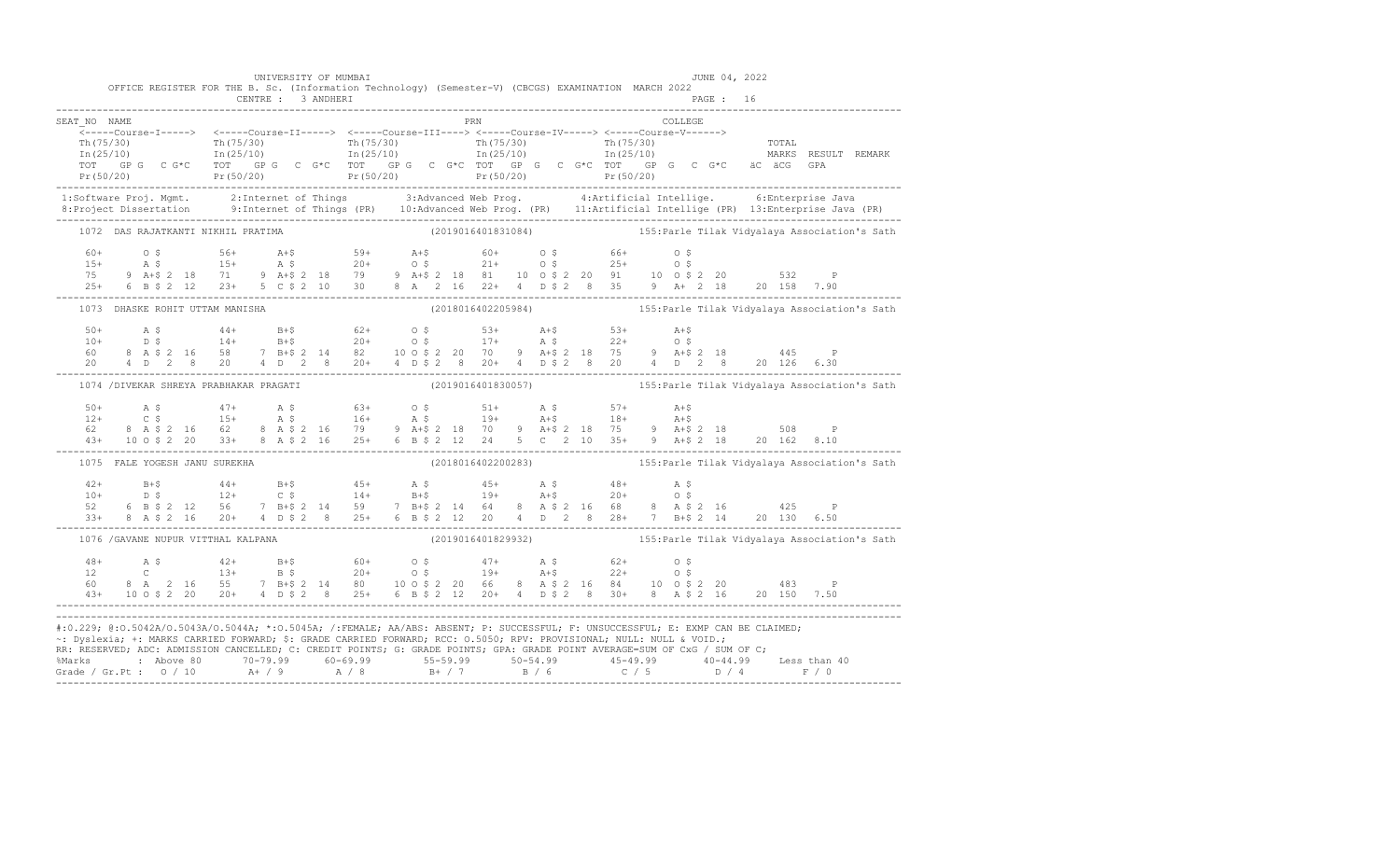| OFFICE REGISTER FOR THE B. Sc. (Information Technology) (Semester-V) (CBCGS) EXAMINATION MARCH 2022                                                                                                                                                                                                                                                                                                                                                         |  | UNIVERSITY OF MUMBAI |  |                     |  |  |  |         |  | JUNE 04, 2022                                                    |  |
|-------------------------------------------------------------------------------------------------------------------------------------------------------------------------------------------------------------------------------------------------------------------------------------------------------------------------------------------------------------------------------------------------------------------------------------------------------------|--|----------------------|--|---------------------|--|--|--|---------|--|------------------------------------------------------------------|--|
|                                                                                                                                                                                                                                                                                                                                                                                                                                                             |  |                      |  |                     |  |  |  |         |  |                                                                  |  |
| SEAT NO NAME                                                                                                                                                                                                                                                                                                                                                                                                                                                |  |                      |  | <b>EXAMPLE 1988</b> |  |  |  | COLLEGE |  |                                                                  |  |
|                                                                                                                                                                                                                                                                                                                                                                                                                                                             |  |                      |  |                     |  |  |  |         |  |                                                                  |  |
|                                                                                                                                                                                                                                                                                                                                                                                                                                                             |  |                      |  |                     |  |  |  |         |  |                                                                  |  |
|                                                                                                                                                                                                                                                                                                                                                                                                                                                             |  |                      |  |                     |  |  |  |         |  |                                                                  |  |
|                                                                                                                                                                                                                                                                                                                                                                                                                                                             |  |                      |  |                     |  |  |  |         |  |                                                                  |  |
| 1:Software Proj. Mgmt. 2:Internet of Things 3:Advanced Web Prog. 4:Artificial Intellige. 6:Enterprise Java<br>8:Project Dissertation 9:Internet of Things (PR) 10:Advanced Web Prog. (PR) 11:Artificial Intellige (PR) 13:Enterpr                                                                                                                                                                                                                           |  |                      |  |                     |  |  |  |         |  |                                                                  |  |
| 1072 DAS RAJATKANTI NIKHIL PRATIMA (2019016401831084) 155: Parle Tilak Vidyalaya Association's Sath                                                                                                                                                                                                                                                                                                                                                         |  |                      |  |                     |  |  |  |         |  |                                                                  |  |
|                                                                                                                                                                                                                                                                                                                                                                                                                                                             |  |                      |  |                     |  |  |  |         |  |                                                                  |  |
|                                                                                                                                                                                                                                                                                                                                                                                                                                                             |  |                      |  |                     |  |  |  |         |  |                                                                  |  |
|                                                                                                                                                                                                                                                                                                                                                                                                                                                             |  |                      |  |                     |  |  |  |         |  |                                                                  |  |
| $60+$ 0 \$ $56+$ $21+$ $59+$ $20+$ 0 \$ $21+$ 0 \$ $25+$ 0 \$ $25+$ 0 \$ $25+$ 0 \$ $25+$ 0 \$ $25+$ 0 \$ $25+$ 0 \$ $25+$ 0 \$ $25+$ 0 \$ $25+$ 0 \$ $25+$ 0 \$ $25+$ 0 \$ $25+$ 0 \$ $25+$ 0 \$ $25+$ 0 \$ $25+$ 0 \$ $25+$ 0 \$ $25+$ 0 \$ $25$                                                                                                                                                                                                          |  |                      |  |                     |  |  |  |         |  |                                                                  |  |
| 1073 DHASKE ROHIT UTTAM MANISHA                                                                                                                                                                                                                                                                                                                                                                                                                             |  |                      |  |                     |  |  |  |         |  | (2018016402205984) 155: Parle Tilak Vidyalaya Association's Sath |  |
|                                                                                                                                                                                                                                                                                                                                                                                                                                                             |  |                      |  |                     |  |  |  |         |  |                                                                  |  |
|                                                                                                                                                                                                                                                                                                                                                                                                                                                             |  |                      |  |                     |  |  |  |         |  |                                                                  |  |
|                                                                                                                                                                                                                                                                                                                                                                                                                                                             |  |                      |  |                     |  |  |  |         |  |                                                                  |  |
| $\begin{array}{lllllllllllll} 50+ & \quad\text{A $ $\mathfrak{S}$} & \quad\text{A $ $\mathfrak{S}$} & \quad\text{A $ $\mathfrak{S}$} & \quad\text{A $ $\mathfrak{S}$} & \quad\text{A $ $\mathfrak{S}$} & \quad\text{A $ $\mathfrak{S}$} \\ 10+ & \quad\text{D $\mathfrak{S}$} & \quad\text{14+$} & \quad\text{B $ $\mathfrak{S}$} & \quad\text{20+$} & \quad\text{O $\mathfrak{S}$} & \quad\text{17+$} & \quad\text{A $\mathfrak{S}$} & \quad\text{22+$} &$ |  |                      |  |                     |  |  |  |         |  |                                                                  |  |
| 1074 / DIVEKAR SHREYA PRABHAKAR PRAGATI                                                                                                                                                                                                                                                                                                                                                                                                                     |  |                      |  |                     |  |  |  |         |  |                                                                  |  |
|                                                                                                                                                                                                                                                                                                                                                                                                                                                             |  |                      |  |                     |  |  |  |         |  |                                                                  |  |
|                                                                                                                                                                                                                                                                                                                                                                                                                                                             |  |                      |  |                     |  |  |  |         |  |                                                                  |  |
|                                                                                                                                                                                                                                                                                                                                                                                                                                                             |  |                      |  |                     |  |  |  |         |  |                                                                  |  |
| $\begin{array}{lllllllllll} 50+ & \quad\text{A}\ \ \$ & \quad\text{A}\ \ \$ & \quad\text{A}\ \ \$ & \quad\text{A}\ \ \$ & \quad\text{B}\ \ \$ & \quad\text{B}\ \ \$ & \quad\text{B}\ \ \$ & \quad\text{B}\ \ \$ & \quad\text{B}\ \ \$ & \quad\text{B}\ \ \$ & \quad\text{B}\ \ \$ & \quad\text{B}\ \ \$ & \quad\text{B}\ \ \$ & \quad\text{B}\ \ \$ & \quad\text{B}\ \ \$ & \quad\text{B}\ \ \$ & \quad\text{B}\ \ \$ & \quad\text{B}\ \ \$ & \quad\text{$  |  |                      |  |                     |  |  |  |         |  |                                                                  |  |
| 1075 FALE YOGESH JANU SUREKHA                                                                                                                                                                                                                                                                                                                                                                                                                               |  |                      |  |                     |  |  |  |         |  |                                                                  |  |
|                                                                                                                                                                                                                                                                                                                                                                                                                                                             |  |                      |  |                     |  |  |  |         |  |                                                                  |  |
|                                                                                                                                                                                                                                                                                                                                                                                                                                                             |  |                      |  |                     |  |  |  |         |  |                                                                  |  |
|                                                                                                                                                                                                                                                                                                                                                                                                                                                             |  |                      |  |                     |  |  |  |         |  |                                                                  |  |
|                                                                                                                                                                                                                                                                                                                                                                                                                                                             |  |                      |  |                     |  |  |  |         |  |                                                                  |  |
| 1076 / GAVANE NUPUR VITTHAL KALPANA (2019016401829932) (2019016401829932)                                                                                                                                                                                                                                                                                                                                                                                   |  |                      |  |                     |  |  |  |         |  |                                                                  |  |
| $\begin{array}{cccccccccccc} 48+ & & {\rm A}\ \ \, & \rm S\ & & 42+ & & {\rm B}+5 & & 60+ & 0\ \ \, & \rm C\ & & 13+ & {\rm B}\ \ \, & \rm C\ & & 13+ & {\rm B}\ \ \, & \rm S\ & & 20+ & 0\ \ \, & \rm S\ & & 20+ & 0\ \ \, & \rm S\ & & 19+ & {\rm A}+5 & 22+ & 0\ \ \, & \rm S\ & & 21+ & 0\ \ \, & \rm S\ & & 22+ & 0\ \ \, & \rm S\ & & 21+ & 0\ \ \, & \rm S\ & & $                                                                                    |  |                      |  |                     |  |  |  |         |  |                                                                  |  |
|                                                                                                                                                                                                                                                                                                                                                                                                                                                             |  |                      |  |                     |  |  |  |         |  |                                                                  |  |
|                                                                                                                                                                                                                                                                                                                                                                                                                                                             |  |                      |  |                     |  |  |  |         |  |                                                                  |  |
| #:0.229; @:0.5042A/0.5043A/0.5044A; *:0.5045A; /:FEMALE; AA/ABS: ABSENT; P: SUCCESSFUL; F: UNSUCCESSFUL; E: EXMP CAN BE CLAIMED;                                                                                                                                                                                                                                                                                                                            |  |                      |  |                     |  |  |  |         |  |                                                                  |  |
| ~: Dyslexia; +: MARKS CARRIED FORWARD; \$: GRADE CARRIED FORWARD; RCC: 0.5050; RPV: PROVISIONAL; NULL: NULL & VOID.;                                                                                                                                                                                                                                                                                                                                        |  |                      |  |                     |  |  |  |         |  |                                                                  |  |
| RR: RESERVED; ADC: ADMISSION CANCELLED; C: CREDIT POINTS; G: GRADE POINTS; GPA: GRADE POINT AVERAGE=SUM OF CxG / SUM OF C;                                                                                                                                                                                                                                                                                                                                  |  |                      |  |                     |  |  |  |         |  |                                                                  |  |
|                                                                                                                                                                                                                                                                                                                                                                                                                                                             |  |                      |  |                     |  |  |  |         |  |                                                                  |  |
|                                                                                                                                                                                                                                                                                                                                                                                                                                                             |  |                      |  |                     |  |  |  |         |  |                                                                  |  |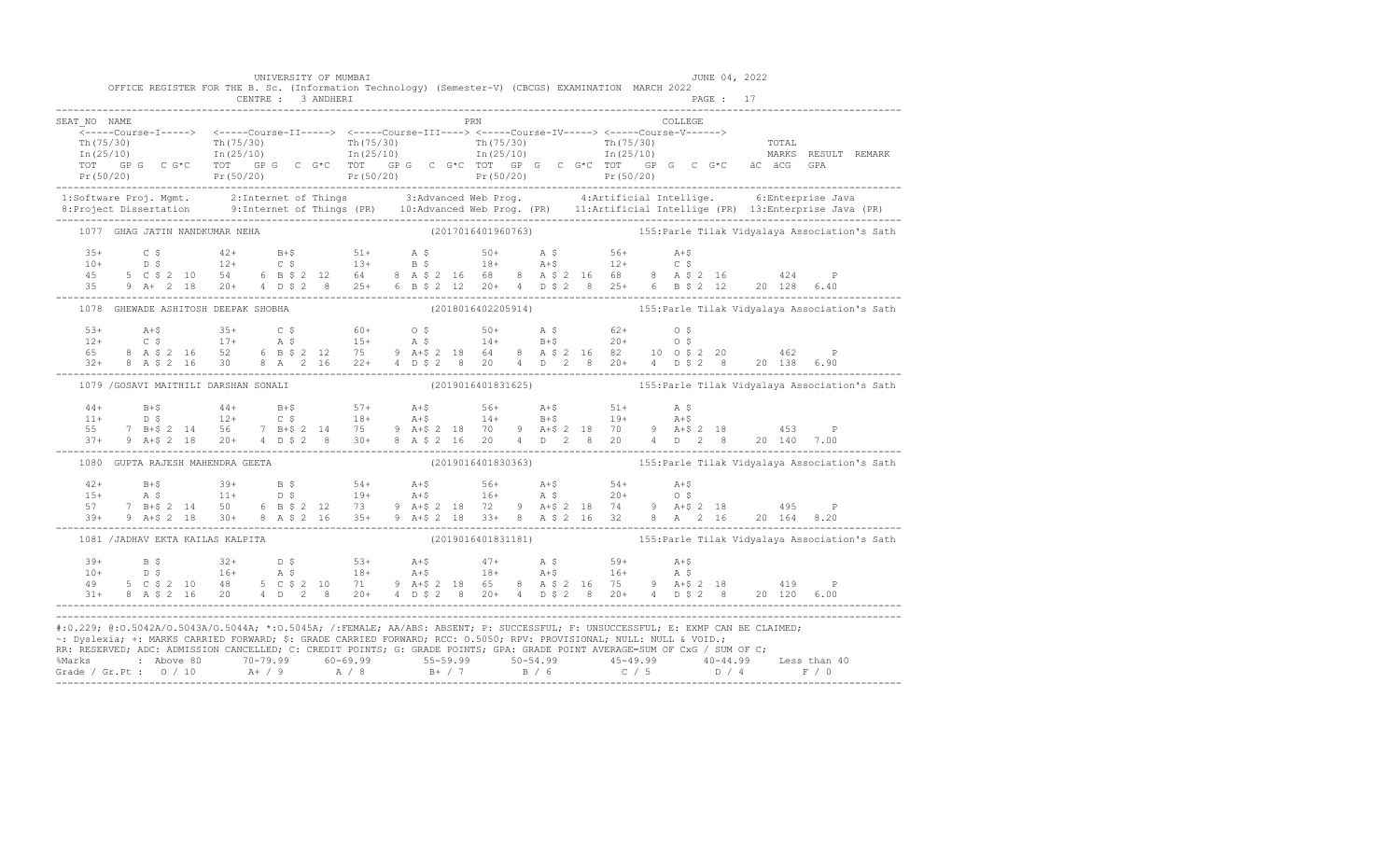|                                  | UNIVERSITY OF MUMBAI<br>OFFICE REGISTER FOR THE B. Sc. (Information Technology) (Semester-V) (CBCGS) EXAMINATION MARCH 2022<br>CENTRE : 3 ANDHERI                                                                                                                                                                                                                                      |            | JUNE 04, 2022<br>PAGE: 17                                                                                                                                                                                                                                                                                                                                                                                                    |  |
|----------------------------------|----------------------------------------------------------------------------------------------------------------------------------------------------------------------------------------------------------------------------------------------------------------------------------------------------------------------------------------------------------------------------------------|------------|------------------------------------------------------------------------------------------------------------------------------------------------------------------------------------------------------------------------------------------------------------------------------------------------------------------------------------------------------------------------------------------------------------------------------|--|
| SEAT NO NAME                     |                                                                                                                                                                                                                                                                                                                                                                                        | <b>PRN</b> | COLLEGE                                                                                                                                                                                                                                                                                                                                                                                                                      |  |
|                                  |                                                                                                                                                                                                                                                                                                                                                                                        |            | $\begin{array}{cccccccc} \texttt{&\small{--1--1--00178e-11--1--2}} & \texttt{&\small{--1--1--00178e-11--1--2}} & \texttt{&\small{--1--1--00178e-11--1--2}} & \texttt{&\small{--1--1--1--00178e-11--1--2}} & \texttt{&\small{--1--1--1--00178e-11--1--2}} & \texttt{&\small{--1--1--1--00178e-11--1--2}} & \texttt{&\small{--1--1--1--00178e-11--1--2}} & \texttt{&\small{$                                                   |  |
|                                  |                                                                                                                                                                                                                                                                                                                                                                                        |            |                                                                                                                                                                                                                                                                                                                                                                                                                              |  |
| 1077 GHAG JATIN NANDKUMAR NEHA   |                                                                                                                                                                                                                                                                                                                                                                                        |            |                                                                                                                                                                                                                                                                                                                                                                                                                              |  |
|                                  |                                                                                                                                                                                                                                                                                                                                                                                        |            |                                                                                                                                                                                                                                                                                                                                                                                                                              |  |
|                                  |                                                                                                                                                                                                                                                                                                                                                                                        |            | 1078 GHEWADE ASHITOSH DEEPAK SHOBHA (2018016402205914) (2018016402205914) 155: Parle Tilak Vidyalaya Association's Sath                                                                                                                                                                                                                                                                                                      |  |
|                                  |                                                                                                                                                                                                                                                                                                                                                                                        |            | $\begin{array}{lllllllllll} 53+ & & & 35+ & & 35+ & & 6\,4 & & 60+ & & 0\,5 & & 50+ & & \mathtt{A}\,\$ & & & 62+ & & 0\,\$ & & & & & 12+ & & 0\,\$ & & & & 17+ & & \mathtt{A}\,\$ & & & 15+ & & \mathtt{A}\,\$ & & & 14+ & & \mathtt{B}+\$ & & 20+ & & 0\,\$ & & & & & & 162 & & \mathtt{P} \ 65 & & 8 & & \mathtt{A}\,\$ & 2 & 16 & & 52 & & 6 & \mathtt{B}\,\$                                                             |  |
|                                  | 1079 / GOSAVI MAITHILI DARSHAN SONALI                                                                                                                                                                                                                                                                                                                                                  |            |                                                                                                                                                                                                                                                                                                                                                                                                                              |  |
|                                  |                                                                                                                                                                                                                                                                                                                                                                                        |            |                                                                                                                                                                                                                                                                                                                                                                                                                              |  |
|                                  | 1080 GUPTA RAJESH MAHENDRA GEETA                                                                                                                                                                                                                                                                                                                                                       |            | (2019016401830363) 155: Parle Tilak Vidyalaya Association's Sath                                                                                                                                                                                                                                                                                                                                                             |  |
|                                  |                                                                                                                                                                                                                                                                                                                                                                                        |            | $\begin{array}{lllllllllll} 42+&\quad\text{B+$$\uparrow$}&\quad39+&\quad\text{B$\uparrow$}&\quad54+&\quad\text{A+$$\uparrow$}&\quad56+&\quad\text{A+$$\uparrow$}&\quad54+&\quad\text{A+$$\uparrow$}\\ 15+&\quad\text{A$\uparrow$}&\quad11+&\quad\text{D$\uparrow$}&\quad19+&\quad\text{A+$$\uparrow$}&\quad16+&\quad\text{A$\uparrow$}&\quad20+&\quad\text{O$\uparrow$}&\quad495&\quad\text{P}\\ 57&\quad7&\quad\text{B+$$\$ |  |
| 1081 /JADHAV EKTA KAILAS KALPITA |                                                                                                                                                                                                                                                                                                                                                                                        |            | (2019016401831181) 155: Parle Tilak Vidyalaya Association's Sath                                                                                                                                                                                                                                                                                                                                                             |  |
|                                  |                                                                                                                                                                                                                                                                                                                                                                                        |            | $\begin{array}{cccccccccccccccc} 39+ & & B & \xi & & 32+ & D & \xi & & 53+ & A+ \xi & & 47+ & A & \xi & & 59+ & A+ \xi \\ 10+ & & D & \xi & & 16+ & A & \xi & & 18+ & A+ \xi & & 18+ & A+ \xi & & 16+ & A & \xi \\ 49 & & 5 & C & \xi & 2 & 10 & 48 & 5 & C & \xi & 2 & 10 & 71 & 9 & A+ \xi & 2 & 18 & 65 & 8 & A & \xi & 2 & 16 & 75 & 9 & A+ \xi & 2 & 18 & & 41$                                                         |  |
|                                  | #:0.229; @:0.5042A/0.5043A/0.5044A; *:0.5045A; /:FEMALE; AA/ABS: ABSENT; P: SUCCESSFUL; F: UNSUCCESSFUL; E: EXMP CAN BE CLAIMED;<br>~: Dyslexia; +: MARKS CARRIED FORWARD; \$: GRADE CARRIED FORWARD; RCC: 0.5050; RPV: PROVISIONAL; NULL: NULL & VOID.;<br>RR: RESERVED; ADC: ADMISSION CANCELLED; C: CREDIT POINTS; G: GRADE POINTS; GPA: GRADE POINT AVERAGE=SUM OF CxG / SUM OF C; |            | % Marks : Above 80 70-79.99 60-69.99 55-59.99 50-54.99 45-49.99 40-44.99 Less than 40<br>Grade / Gr.Pt : 0 / 10 A+ / 9 A / 8 B+ / 7 B / 6 C / 5 D / 4 F / 0                                                                                                                                                                                                                                                                  |  |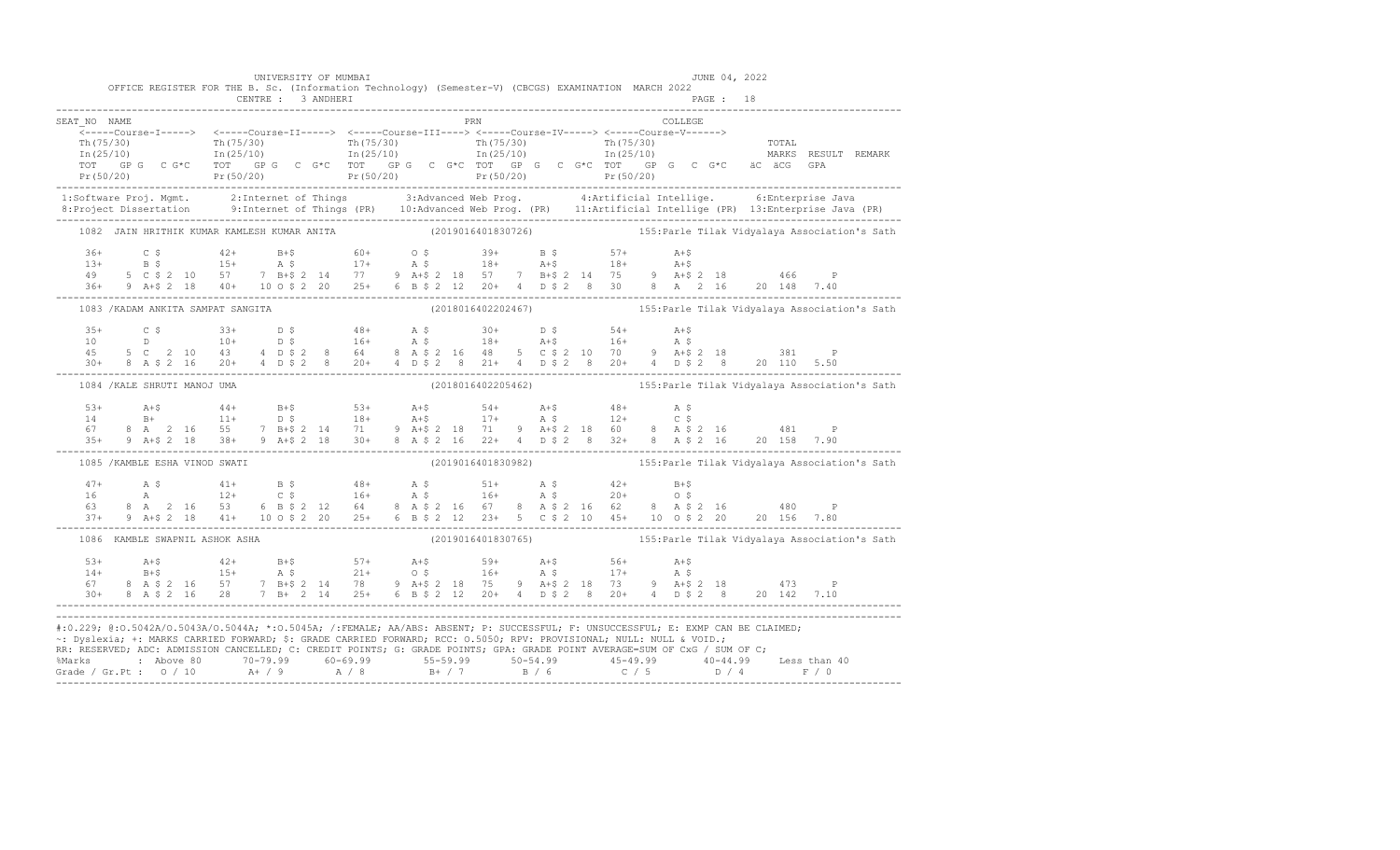|              |  | OFFICE REGISTER FOR THE B. Sc. (Information Technology) (Semester-V) (CBCGS) EXAMINATION MARCH 2022                                                                                                                                                                                                                                                                                                                                    |  | UNIVERSITY OF MUMBAI<br>CENTRE : 3 ANDHERI |  |  |  |            |  |         | PAGE : 18 | JUNE 04, 2022 |  |                                                                                                      |
|--------------|--|----------------------------------------------------------------------------------------------------------------------------------------------------------------------------------------------------------------------------------------------------------------------------------------------------------------------------------------------------------------------------------------------------------------------------------------|--|--------------------------------------------|--|--|--|------------|--|---------|-----------|---------------|--|------------------------------------------------------------------------------------------------------|
| SEAT NO NAME |  |                                                                                                                                                                                                                                                                                                                                                                                                                                        |  |                                            |  |  |  | <b>PRN</b> |  | COLLEGE |           |               |  |                                                                                                      |
|              |  |                                                                                                                                                                                                                                                                                                                                                                                                                                        |  |                                            |  |  |  |            |  |         |           |               |  |                                                                                                      |
|              |  |                                                                                                                                                                                                                                                                                                                                                                                                                                        |  |                                            |  |  |  |            |  |         |           |               |  |                                                                                                      |
|              |  |                                                                                                                                                                                                                                                                                                                                                                                                                                        |  |                                            |  |  |  |            |  |         |           |               |  |                                                                                                      |
|              |  |                                                                                                                                                                                                                                                                                                                                                                                                                                        |  |                                            |  |  |  |            |  |         |           |               |  |                                                                                                      |
|              |  |                                                                                                                                                                                                                                                                                                                                                                                                                                        |  |                                            |  |  |  |            |  |         |           |               |  |                                                                                                      |
|              |  | 1:Software Proj. Mgmt. 2:Internet of Things 3:Advanced Web Prog. 4:Artificial Intellige. 6:Enterprise Java<br>8:Project Dissertation 9:Internet of Things (PR) 10:Advanced Web Prog. (PR) 11:Artificial Intellige (PR) 13:Enterpr                                                                                                                                                                                                      |  |                                            |  |  |  |            |  |         |           |               |  |                                                                                                      |
|              |  | 1082 JAIN HRITHIK KUMAR KAMLESH KUMAR ANITA (2019016401830726) 155: Parle Tilak Vidyalaya Association's Sath                                                                                                                                                                                                                                                                                                                           |  |                                            |  |  |  |            |  |         |           |               |  |                                                                                                      |
|              |  |                                                                                                                                                                                                                                                                                                                                                                                                                                        |  |                                            |  |  |  |            |  |         |           |               |  |                                                                                                      |
|              |  |                                                                                                                                                                                                                                                                                                                                                                                                                                        |  |                                            |  |  |  |            |  |         |           |               |  |                                                                                                      |
|              |  |                                                                                                                                                                                                                                                                                                                                                                                                                                        |  |                                            |  |  |  |            |  |         |           |               |  |                                                                                                      |
|              |  | $\begin{array}{cccccccccccccccc} 36+ & & C & \xi & & 42+ & B+ \xi & & 60+ & O & \xi & & 39+ & B & \xi & & 57+ & A+ \xi \\ 13+ & & B & \xi & & 15+ & A & \xi & & 17+ & A & \xi & & 18+ & A+ \xi & & 18+ & A+ \xi \\ 49 & & 5 & C & \xi & 2 & 10 & 57 & 7 & B+ \xi & 2 & 14 & 77 & 9 & A+ \xi & 2 & 18 & 57 & 7 & B+ \xi & 2 & 14 & 75 & 9 & A+ \xi & 2 & 18 & & 46$                                                                     |  |                                            |  |  |  |            |  |         |           |               |  |                                                                                                      |
|              |  | 1083 /KADAM ANKITA SAMPAT SANGITA (2018016402202467) 155: Parle Tilak Vidyalaya Association's Sath                                                                                                                                                                                                                                                                                                                                     |  |                                            |  |  |  |            |  |         |           |               |  |                                                                                                      |
|              |  |                                                                                                                                                                                                                                                                                                                                                                                                                                        |  |                                            |  |  |  |            |  |         |           |               |  |                                                                                                      |
|              |  |                                                                                                                                                                                                                                                                                                                                                                                                                                        |  |                                            |  |  |  |            |  |         |           |               |  |                                                                                                      |
|              |  |                                                                                                                                                                                                                                                                                                                                                                                                                                        |  |                                            |  |  |  |            |  |         |           |               |  |                                                                                                      |
|              |  | $\begin{array}{cccccccccccccccc} 35+ & & C & \xi & & 33+ & D & \xi & & 48+ & A & \xi & & 30+ & D & \xi & & 54+ & A+ \xi \\ 10 & & D & & 10+ & D & \xi & & 16+ & A & \xi & & 18+ & A+ \xi & & 16+ & A & \xi \\ 45 & & 5 & C & 2 & 10 & 43 & 4 & D & \xi & 2 & 8 & 64 & 8 & A & \xi & 2 & 16 & 48 & 5 & C & \xi & 2 & 10 & 70 & 9 & A+ \xi & 2 & 18 & & 381 & P \\ 30+$                                                                  |  |                                            |  |  |  |            |  |         |           |               |  |                                                                                                      |
|              |  | 1084 / KALE SHRUTI MANOJ UMA                                                                                                                                                                                                                                                                                                                                                                                                           |  |                                            |  |  |  |            |  |         |           |               |  |                                                                                                      |
|              |  |                                                                                                                                                                                                                                                                                                                                                                                                                                        |  |                                            |  |  |  |            |  |         |           |               |  |                                                                                                      |
|              |  |                                                                                                                                                                                                                                                                                                                                                                                                                                        |  |                                            |  |  |  |            |  |         |           |               |  |                                                                                                      |
|              |  |                                                                                                                                                                                                                                                                                                                                                                                                                                        |  |                                            |  |  |  |            |  |         |           |               |  |                                                                                                      |
|              |  | $\begin{array}{lllllllllllll} 53+ & \text{A+$}\hat{\textrm{S}} & \text{A+$}\hat{\textrm{S}} & \text{A+$}\hat{\textrm{S}} & \text{B+} & \text{A+$}\hat{\textrm{S}} & \text{B+} & \text{A+$}\hat{\textrm{S}} & \text{A+$}\hat{\textrm{S}} \\ 14 & \text{B+} & \text{B+} & \text{B+$} & \text{B+$}\hat{\textrm{S}} & \text{B+$}\hat{\textrm{S}} & \text{B+$}\hat{\textrm{S}} & \text{B+$}\hat{\textrm{S}} & \text$                        |  |                                            |  |  |  |            |  |         |           |               |  |                                                                                                      |
|              |  | 1085 / KAMBLE ESHA VINOD SWATI                                                                                                                                                                                                                                                                                                                                                                                                         |  |                                            |  |  |  |            |  |         |           |               |  |                                                                                                      |
|              |  |                                                                                                                                                                                                                                                                                                                                                                                                                                        |  |                                            |  |  |  |            |  |         |           |               |  |                                                                                                      |
|              |  |                                                                                                                                                                                                                                                                                                                                                                                                                                        |  |                                            |  |  |  |            |  |         |           |               |  |                                                                                                      |
|              |  |                                                                                                                                                                                                                                                                                                                                                                                                                                        |  |                                            |  |  |  |            |  |         |           |               |  |                                                                                                      |
|              |  | $\begin{array}{cccccccccccccccc} 47+ & & {\rm A}\ \ \S\ & {\rm A} & & 41+ & {\rm B}\ \ \S\ & {\rm A} & & 12+ & {\rm C}\ \ \S\ & {\rm B} & & 6 & {\rm B}\ \ \S\ & {\rm C} & & 16+ & {\rm A}\ \ \S\ & {\rm D} & & 16+ & {\rm A}\ \ \S\ & {\rm D} & & 16+ & {\rm A}\ \ \S\ & {\rm D} & & 16+ & {\rm A}\ \ \S\ & {\rm D} & & 16+ & {\rm A}\ \ \S\ & {\rm D} & & 16+ & {\rm A}\ \ \S\ & {\rm D} & & 16+ & {\rm A}\ \ \$                     |  |                                            |  |  |  |            |  |         |           |               |  |                                                                                                      |
|              |  | 1086 KAMBLE SWAPNIL ASHOK ASHA                                                                                                                                                                                                                                                                                                                                                                                                         |  |                                            |  |  |  |            |  |         |           |               |  | (2019016401830765) (2019016401830765) (20190164018) (201901640185) (20190164018) (20190164018) (2019 |
|              |  |                                                                                                                                                                                                                                                                                                                                                                                                                                        |  |                                            |  |  |  |            |  |         |           |               |  |                                                                                                      |
|              |  |                                                                                                                                                                                                                                                                                                                                                                                                                                        |  |                                            |  |  |  |            |  |         |           |               |  |                                                                                                      |
|              |  |                                                                                                                                                                                                                                                                                                                                                                                                                                        |  |                                            |  |  |  |            |  |         |           |               |  |                                                                                                      |
|              |  | $\begin{array}{lllllllllllll} 53+ & \multicolumn{3}{c }{\textbf{A}}+5 & \multicolumn{3}{c }{\textbf{A}}+5 & \multicolumn{3}{c }{\textbf{A}}+5 & \multicolumn{3}{c }{\textbf{A}}+5 & \multicolumn{3}{c }{\textbf{A}}+5 & \multicolumn{3}{c }{\textbf{A}}+5 & \multicolumn{3}{c }{\textbf{A}}+5 & \multicolumn{3}{c }{\textbf{A}}+5 & \multicolumn{3}{c }{\textbf{A}}+5 & \multicolumn{3}{c }{\textbf{A}}+5 & \multicolumn{3}{c }{\text$ |  |                                            |  |  |  |            |  |         |           |               |  |                                                                                                      |
|              |  | #:0.229; @:0.5042A/0.5043A/0.5044A; *:0.5045A; /:FEMALE; AA/ABS: ABSENT; P: SUCCESSFUL; F: UNSUCCESSFUL; E: EXMP CAN BE CLAIMED;<br>~: Dyslexia; +: MARKS CARRIED FORWARD; \$: GRADE CARRIED FORWARD; RCC: 0.5050; RPV: PROVISIONAL; NULL: NULL & VOID.;<br>RR: RESERVED; ADC: ADMISSION CANCELLED; C: CREDIT POINTS; G: GRADE POINTS; GPA: GRADE POINT AVERAGE=SUM OF CxG / SUM OF C;                                                 |  |                                            |  |  |  |            |  |         |           |               |  |                                                                                                      |
|              |  |                                                                                                                                                                                                                                                                                                                                                                                                                                        |  |                                            |  |  |  |            |  |         |           |               |  |                                                                                                      |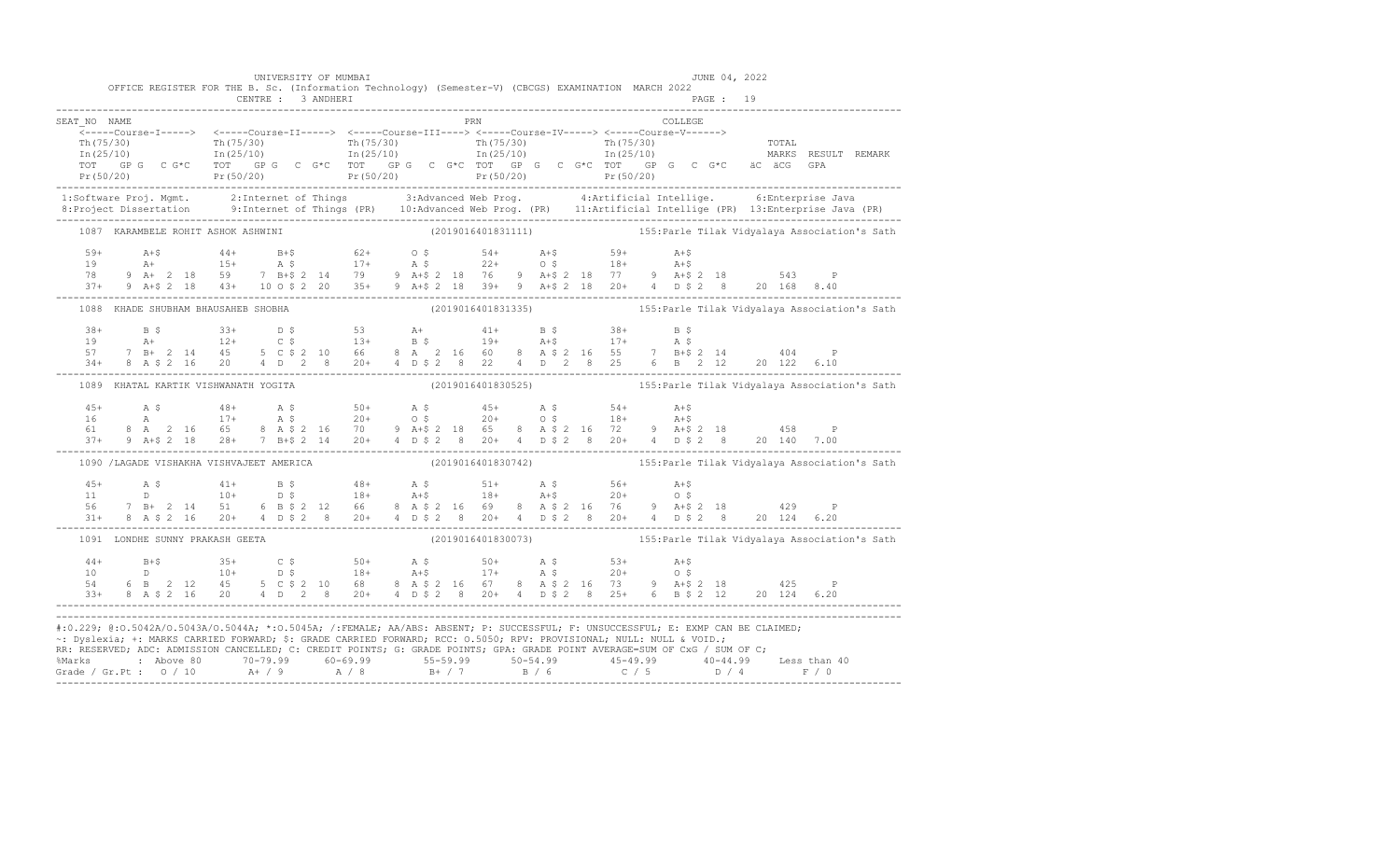|                                      | UNIVERSITY OF MUMBAI<br>OFFICE REGISTER FOR THE B. Sc. (Information Technology) (Semester-V) (CBCGS) EXAMINATION MARCH 2022 |     | JUNE 04, 2022                                                                                                                                                                                                                                                                                                                                                                                                                                                                                    |                                                                                                                                                                                                                                                                                                                                                                        |
|--------------------------------------|-----------------------------------------------------------------------------------------------------------------------------|-----|--------------------------------------------------------------------------------------------------------------------------------------------------------------------------------------------------------------------------------------------------------------------------------------------------------------------------------------------------------------------------------------------------------------------------------------------------------------------------------------------------|------------------------------------------------------------------------------------------------------------------------------------------------------------------------------------------------------------------------------------------------------------------------------------------------------------------------------------------------------------------------|
|                                      |                                                                                                                             |     |                                                                                                                                                                                                                                                                                                                                                                                                                                                                                                  |                                                                                                                                                                                                                                                                                                                                                                        |
| SEAT NO NAME                         |                                                                                                                             | PRN | COLLEGE                                                                                                                                                                                                                                                                                                                                                                                                                                                                                          |                                                                                                                                                                                                                                                                                                                                                                        |
|                                      |                                                                                                                             |     |                                                                                                                                                                                                                                                                                                                                                                                                                                                                                                  |                                                                                                                                                                                                                                                                                                                                                                        |
|                                      |                                                                                                                             |     |                                                                                                                                                                                                                                                                                                                                                                                                                                                                                                  |                                                                                                                                                                                                                                                                                                                                                                        |
|                                      |                                                                                                                             |     |                                                                                                                                                                                                                                                                                                                                                                                                                                                                                                  |                                                                                                                                                                                                                                                                                                                                                                        |
|                                      |                                                                                                                             |     |                                                                                                                                                                                                                                                                                                                                                                                                                                                                                                  |                                                                                                                                                                                                                                                                                                                                                                        |
|                                      |                                                                                                                             |     | $\begin{array}{cccccccc} \texttt{\footnotesize{Tr(75/30)}} & \texttt{\footnotesize{Tr(75/30)}} & \texttt{\footnotesize{Tr(75/30)}} & \texttt{\footnotesize{Tr(75/30)}} & \texttt{\footnotesize{Tr(75/30)}} & \texttt{\footnotesize{Tr(75/30)}} & \texttt{\footnotesize{Tr(75/30)}} & \texttt{\footnotesize{Tr(75/30)}} & \texttt{\footnotesize{Tr(75/30)}} & \texttt{\footnotesize{Tr(75/30)}} & \texttt{\footnotesize{Tr(75/30)}} & \texttt{\footnotesize{Tr(75/30)}} & \texttt{\footnotesize{$ |                                                                                                                                                                                                                                                                                                                                                                        |
|                                      |                                                                                                                             |     |                                                                                                                                                                                                                                                                                                                                                                                                                                                                                                  |                                                                                                                                                                                                                                                                                                                                                                        |
|                                      |                                                                                                                             |     |                                                                                                                                                                                                                                                                                                                                                                                                                                                                                                  | 1:Software Proj. Mgmt. 2:Internet of Things 3:Advanced Web Prog. 4:Artificial Intellige. 6:Enterprise Java<br>8:Project Dissertation 9:Internet of Things (PR) 10:Advanced Web Prog. (PR) 11:Artificial Intellige (PR) 13:Enterpr                                                                                                                                      |
|                                      |                                                                                                                             |     | 1087 KARAMBELE ROHIT ASHOK ASHWINI (2019016401831111) 155: Parle Tilak Vidyalaya Association's Sath                                                                                                                                                                                                                                                                                                                                                                                              |                                                                                                                                                                                                                                                                                                                                                                        |
|                                      |                                                                                                                             |     |                                                                                                                                                                                                                                                                                                                                                                                                                                                                                                  |                                                                                                                                                                                                                                                                                                                                                                        |
|                                      |                                                                                                                             |     |                                                                                                                                                                                                                                                                                                                                                                                                                                                                                                  |                                                                                                                                                                                                                                                                                                                                                                        |
|                                      |                                                                                                                             |     |                                                                                                                                                                                                                                                                                                                                                                                                                                                                                                  |                                                                                                                                                                                                                                                                                                                                                                        |
|                                      |                                                                                                                             |     | $\begin{array}{lllllllllllll} 59+ & \text{A}+5 & \text{A}+5 & \text{B}+4 & \text{B}+5 & \text{B}+5 & \text{B}+2 & \text{B}+5 & \text{B}+2 & \text{B}+5 & \text{B}+5 & \text{B}+5 & \text{B}+5 & \text{B}+5 & \text{B}+5 & \text{B}+5 & \text{B}+5 & \text{B}+5 & \text{B}+5 & \text{B}+5 & \text{B}+5 & \text{B}+5 & \text{B}+5 & \text{B}+5 & \text{B}+5 & \text{B}+5 & \text$                                                                                                                  |                                                                                                                                                                                                                                                                                                                                                                        |
|                                      |                                                                                                                             |     | 1088 KHADE SHUBHAM BHAUSAHEB SHOBHA (2019016401831335) 35) 355: Parle Tilak Vidyalaya Association's Sath                                                                                                                                                                                                                                                                                                                                                                                         |                                                                                                                                                                                                                                                                                                                                                                        |
|                                      |                                                                                                                             |     |                                                                                                                                                                                                                                                                                                                                                                                                                                                                                                  |                                                                                                                                                                                                                                                                                                                                                                        |
|                                      |                                                                                                                             |     |                                                                                                                                                                                                                                                                                                                                                                                                                                                                                                  |                                                                                                                                                                                                                                                                                                                                                                        |
|                                      |                                                                                                                             |     |                                                                                                                                                                                                                                                                                                                                                                                                                                                                                                  |                                                                                                                                                                                                                                                                                                                                                                        |
|                                      |                                                                                                                             |     |                                                                                                                                                                                                                                                                                                                                                                                                                                                                                                  | $\begin{array}{cccccccccccccccc} 38+ & & B & \xi & & 33+ & D & \xi & & 53 & & \mathrm{A+} & & 41+ & B & \xi & & 38+ & B & \xi \\ 19 & & A+ & & 12+ & C & \xi & & 13+ & B & \xi & & 19+ & A+\xi & & 17+ & A & \xi \\ 57 & 7 & B+ & 2 & 14 & 45 & 5 & C & \xi & 2 & 10 & 66 & 8 & A & 2 & 16 & 60 & 8 & A & \xi & 2 & 16 & 55 & 7 & B+\xi & 2 & 14 & & 404 & P \\ 34+ &$ |
| 1089 KHATAL KARTIK VISHWANATH YOGITA |                                                                                                                             |     | (2019016401830525) (2019016401830525) (2019016401830525)                                                                                                                                                                                                                                                                                                                                                                                                                                         |                                                                                                                                                                                                                                                                                                                                                                        |
|                                      |                                                                                                                             |     |                                                                                                                                                                                                                                                                                                                                                                                                                                                                                                  |                                                                                                                                                                                                                                                                                                                                                                        |
|                                      |                                                                                                                             |     |                                                                                                                                                                                                                                                                                                                                                                                                                                                                                                  |                                                                                                                                                                                                                                                                                                                                                                        |
|                                      |                                                                                                                             |     |                                                                                                                                                                                                                                                                                                                                                                                                                                                                                                  |                                                                                                                                                                                                                                                                                                                                                                        |
|                                      |                                                                                                                             |     | $\begin{array}{lllllllllllll} 45+ & \quad\text{A}\ \ \hat{\text{S}} & \quad\text{48+} & \quad\text{A}\ \ \hat{\text{S}} & \quad\text{48+} & \quad\text{A}\ \ \hat{\text{S}} & \quad\text{50+} & \quad\text{A}\ \ \hat{\text{S}} & \quad\text{51+} & \quad\text{A}\ \ \hat{\text{S}} & \quad\text{52+} & \quad\text{53+} & \quad\text{54+} & \quad\text{55+} \\ 16 & \quad\text{A} & \quad\text{17+} & \quad\text{A}\ \ \hat{\text{S}} & \quad\text$                                              |                                                                                                                                                                                                                                                                                                                                                                        |
|                                      |                                                                                                                             |     | 1090 /LAGADE VISHAKHA VISHVAJEET AMERICA (2019016401830742) 155: Parle Tilak Vidyalaya Association's Sath                                                                                                                                                                                                                                                                                                                                                                                        |                                                                                                                                                                                                                                                                                                                                                                        |
|                                      |                                                                                                                             |     |                                                                                                                                                                                                                                                                                                                                                                                                                                                                                                  |                                                                                                                                                                                                                                                                                                                                                                        |
|                                      |                                                                                                                             |     |                                                                                                                                                                                                                                                                                                                                                                                                                                                                                                  |                                                                                                                                                                                                                                                                                                                                                                        |
|                                      |                                                                                                                             |     |                                                                                                                                                                                                                                                                                                                                                                                                                                                                                                  |                                                                                                                                                                                                                                                                                                                                                                        |
|                                      |                                                                                                                             |     | $\begin{array}{cccccccccccccccc} 45+ & & {\bf A}\ \,S & & & 41+ & & {\bf B}\ \,S & & & 46+ & & {\bf A}\ \,S & & & 10+ & & {\bf D}\ \,S & & & 10+ & & {\bf D}\ \,S & & & 18+ & & {\bf A}\mbox{-}8 & & & 18+ & & {\bf A}\mbox{-}8 & & & 20+ & & 0\ \,S & & 7 & {\bf B}+ & 2 & 14 & 51 & 6 & {\bf B}\ \,S\ \,S\ \,I & & & 20+ & 4 & {\bf D}\ \,S\ \,I & & & 20+ & 4 & {\bf D}\ \,S\ \$                                                                                                              |                                                                                                                                                                                                                                                                                                                                                                        |
|                                      | 1091 LONDHE SUNNY PRAKASH GEETA                                                                                             |     |                                                                                                                                                                                                                                                                                                                                                                                                                                                                                                  | (2019016401830073) 155: Parle Tilak Vidyalaya Association's Sath                                                                                                                                                                                                                                                                                                       |
|                                      |                                                                                                                             |     |                                                                                                                                                                                                                                                                                                                                                                                                                                                                                                  |                                                                                                                                                                                                                                                                                                                                                                        |
|                                      |                                                                                                                             |     |                                                                                                                                                                                                                                                                                                                                                                                                                                                                                                  |                                                                                                                                                                                                                                                                                                                                                                        |
|                                      |                                                                                                                             |     |                                                                                                                                                                                                                                                                                                                                                                                                                                                                                                  |                                                                                                                                                                                                                                                                                                                                                                        |
|                                      |                                                                                                                             |     | $\begin{array}{cccccccccccc} 44+ & & B+\$ & & 35+ & & C$\$ & & 50+ & & A$\$ & & 50+ & & A$\$ & & 53+ & & A+\$ \\ 10 & & D & & 10+ & & D$\$ & & 18+ & A+\$ & & 17+ & A$\$ & & 20+ & O$\$ & & \\ 54 & & 6& B & 2& 12 & 45 & 5& C$\$ & 2& 10 & 68 & 8& A$\$ & 2& 16 & 67 & 8& A$\$ & 2& 16 & 73 & 9& A+\$ & 2& 18 & & 425 & P \\ 33+ & 8& A$\$                                                                                                                                                      |                                                                                                                                                                                                                                                                                                                                                                        |
|                                      |                                                                                                                             |     | #:0.229; @:0.5042A/0.5043A/0.5044A; *:0.5045A; /:FEMALE; AA/ABS: ABSENT; P: SUCCESSFUL; F: UNSUCCESSFUL; E: EXMP CAN BE CLAIMED;<br>~: Dyslexia; +: MARKS CARRIED FORWARD; \$: GRADE CARRIED FORWARD; RCC: 0.5050; RPV: PROVISIONAL; NULL: NULL & VOID.;<br>RR: RESERVED, ADC: ADMISSION CANCELLED, C: CREDIT POINTS, G: GRADE POINTS, GPA: GRADE POINT AVERAGE=SUM OF CxG / SUM OF C;                                                                                                           |                                                                                                                                                                                                                                                                                                                                                                        |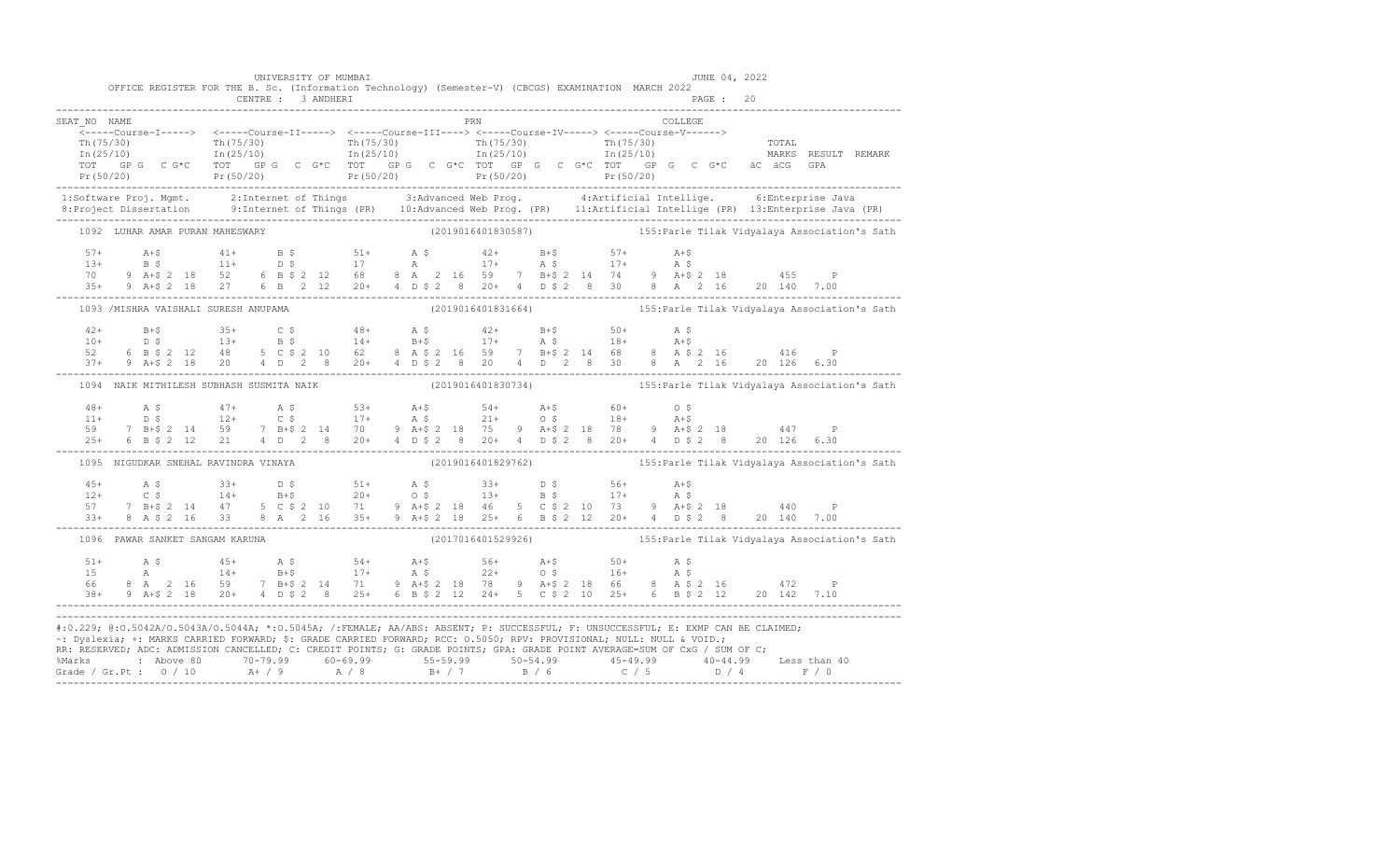| OFFICE REGISTER FOR THE B. Sc. (Information Technology) (Semester-V) (CBCGS) EXAMINATION MARCH 2022                                                                                                                                                                                                                                                                                                                 |  | UNIVERSITY OF MUMBAI |  |  |  |     |  |         |  | JUNE 04, 2022 |  |                                                                  |
|---------------------------------------------------------------------------------------------------------------------------------------------------------------------------------------------------------------------------------------------------------------------------------------------------------------------------------------------------------------------------------------------------------------------|--|----------------------|--|--|--|-----|--|---------|--|---------------|--|------------------------------------------------------------------|
|                                                                                                                                                                                                                                                                                                                                                                                                                     |  |                      |  |  |  |     |  |         |  |               |  |                                                                  |
| SEAT NO NAME                                                                                                                                                                                                                                                                                                                                                                                                        |  |                      |  |  |  | PRN |  | COLLEGE |  |               |  |                                                                  |
|                                                                                                                                                                                                                                                                                                                                                                                                                     |  |                      |  |  |  |     |  |         |  |               |  |                                                                  |
|                                                                                                                                                                                                                                                                                                                                                                                                                     |  |                      |  |  |  |     |  |         |  |               |  |                                                                  |
|                                                                                                                                                                                                                                                                                                                                                                                                                     |  |                      |  |  |  |     |  |         |  |               |  |                                                                  |
|                                                                                                                                                                                                                                                                                                                                                                                                                     |  |                      |  |  |  |     |  |         |  |               |  |                                                                  |
|                                                                                                                                                                                                                                                                                                                                                                                                                     |  |                      |  |  |  |     |  |         |  |               |  |                                                                  |
| 1:Software Proj. Mgmt. 2:Internet of Things 3:Advanced Web Prog. 4:Artificial Intellige. 6:Enterprise Java<br>8:Project Dissertation 9:Internet of Things (PR) 10:Advanced Web Prog. (PR) 11:Artificial Intellige (PR) 13:Enterpr                                                                                                                                                                                   |  |                      |  |  |  |     |  |         |  |               |  |                                                                  |
| 1092 LUHAR AMAR PURAN MAHESWARY (2019016401830587) 155: Parle Tilak Vidyalaya Association's Sath                                                                                                                                                                                                                                                                                                                    |  |                      |  |  |  |     |  |         |  |               |  |                                                                  |
|                                                                                                                                                                                                                                                                                                                                                                                                                     |  |                      |  |  |  |     |  |         |  |               |  |                                                                  |
|                                                                                                                                                                                                                                                                                                                                                                                                                     |  |                      |  |  |  |     |  |         |  |               |  |                                                                  |
|                                                                                                                                                                                                                                                                                                                                                                                                                     |  |                      |  |  |  |     |  |         |  |               |  |                                                                  |
|                                                                                                                                                                                                                                                                                                                                                                                                                     |  |                      |  |  |  |     |  |         |  |               |  |                                                                  |
| 1093 /MISHRA VAISHALI SURESH ANUPAMA (2019016401831664) (2019016401831664) 155: Parle Tilak Vidyalaya Association's Sath                                                                                                                                                                                                                                                                                            |  |                      |  |  |  |     |  |         |  |               |  |                                                                  |
|                                                                                                                                                                                                                                                                                                                                                                                                                     |  |                      |  |  |  |     |  |         |  |               |  |                                                                  |
|                                                                                                                                                                                                                                                                                                                                                                                                                     |  |                      |  |  |  |     |  |         |  |               |  |                                                                  |
|                                                                                                                                                                                                                                                                                                                                                                                                                     |  |                      |  |  |  |     |  |         |  |               |  |                                                                  |
|                                                                                                                                                                                                                                                                                                                                                                                                                     |  |                      |  |  |  |     |  |         |  |               |  |                                                                  |
| 1094 NAIK MITHILESH SUBHASH SUSMITA NAIK                                                                                                                                                                                                                                                                                                                                                                            |  |                      |  |  |  |     |  |         |  |               |  |                                                                  |
|                                                                                                                                                                                                                                                                                                                                                                                                                     |  |                      |  |  |  |     |  |         |  |               |  |                                                                  |
|                                                                                                                                                                                                                                                                                                                                                                                                                     |  |                      |  |  |  |     |  |         |  |               |  |                                                                  |
|                                                                                                                                                                                                                                                                                                                                                                                                                     |  |                      |  |  |  |     |  |         |  |               |  |                                                                  |
| $\begin{array}{cccccccccccc} 48+ & & {\bf A}\ \, & {\bf S} & & & & & 47+ & & {\bf A}\ \, & {\bf S} & & & & & & 53+ & & {\bf A}+{\bf S} & & & & 54+ & {\bf A}+{\bf S} & & & & 60+ & & 0\ \, & {\bf S} & & & & & & 12+ & & {\bf C}\ \, & {\bf S} & & & & & 12+ & & {\bf C}\ \, & {\bf S} & & & & & 17+ & & {\bf A}\ \, & {\bf S} & & & & & 21+ & & {\bf C}\ \, & {\bf S} & & & & & 7 & {\bf B}+{\bf S}\ \, & {\bf Z}$ |  |                      |  |  |  |     |  |         |  |               |  |                                                                  |
| 1095 NIGUDKAR SNEHAL RAVINDRA VINAYA (2019016401829762) 155: Parle Tilak Vidyalaya Association's Sath                                                                                                                                                                                                                                                                                                               |  |                      |  |  |  |     |  |         |  |               |  |                                                                  |
|                                                                                                                                                                                                                                                                                                                                                                                                                     |  |                      |  |  |  |     |  |         |  |               |  |                                                                  |
|                                                                                                                                                                                                                                                                                                                                                                                                                     |  |                      |  |  |  |     |  |         |  |               |  |                                                                  |
|                                                                                                                                                                                                                                                                                                                                                                                                                     |  |                      |  |  |  |     |  |         |  |               |  |                                                                  |
| $\begin{array}{cccccccccccc} 45+ & & {\rm A}\ \ \, & \textrm{S}\ \ \, & \textrm{S}\ \ \, & \textrm{S}\ \ \, & \textrm{S}\ \ \, & \textrm{S}\ \ \, & \textrm{S}\ \ \, & \textrm{S}\ \ \, & \textrm{S}\ \ \, & \textrm{S}\ \ \, & \textrm{S}\ \ \, & \textrm{S}\ \ \, & \textrm{S}\ \ \, & \textrm{S}\ \ \, & \textrm{S}\ \ \, & \textrm{S}\ \ \, & \textrm{S}\ \ \, & \textrm{S}\ \ \, & \textrm{S}\ \ \,$           |  |                      |  |  |  |     |  |         |  |               |  |                                                                  |
| 1096 PAWAR SANKET SANGAM KARUNA                                                                                                                                                                                                                                                                                                                                                                                     |  |                      |  |  |  |     |  |         |  |               |  | (2017016401529926) 155: Parle Tilak Vidyalaya Association's Sath |
|                                                                                                                                                                                                                                                                                                                                                                                                                     |  |                      |  |  |  |     |  |         |  |               |  |                                                                  |
|                                                                                                                                                                                                                                                                                                                                                                                                                     |  |                      |  |  |  |     |  |         |  |               |  |                                                                  |
|                                                                                                                                                                                                                                                                                                                                                                                                                     |  |                      |  |  |  |     |  |         |  |               |  |                                                                  |
|                                                                                                                                                                                                                                                                                                                                                                                                                     |  |                      |  |  |  |     |  |         |  |               |  |                                                                  |
| #:0.229; @:0.5042A/0.5043A/0.5044A; *:0.5045A; /:FEMALE; AA/ABS: ABSENT; P: SUCCESSFUL; F: UNSUCCESSFUL; E: EXMP CAN BE CLAIMED;<br>~: Dyslexia; +: MARKS CARRIED FORWARD; \$: GRADE CARRIED FORWARD; RCC: 0.5050; RPV: PROVISIONAL; NULL: NULL & VOID.;<br>RR: RESERVED; ADC: ADMISSION CANCELLED; C: CREDIT POINTS; G: GRADE POINTS; GPA: GRADE POINT AVERAGE=SUM OF CxG / SUM OF C;                              |  |                      |  |  |  |     |  |         |  |               |  |                                                                  |
|                                                                                                                                                                                                                                                                                                                                                                                                                     |  |                      |  |  |  |     |  |         |  |               |  |                                                                  |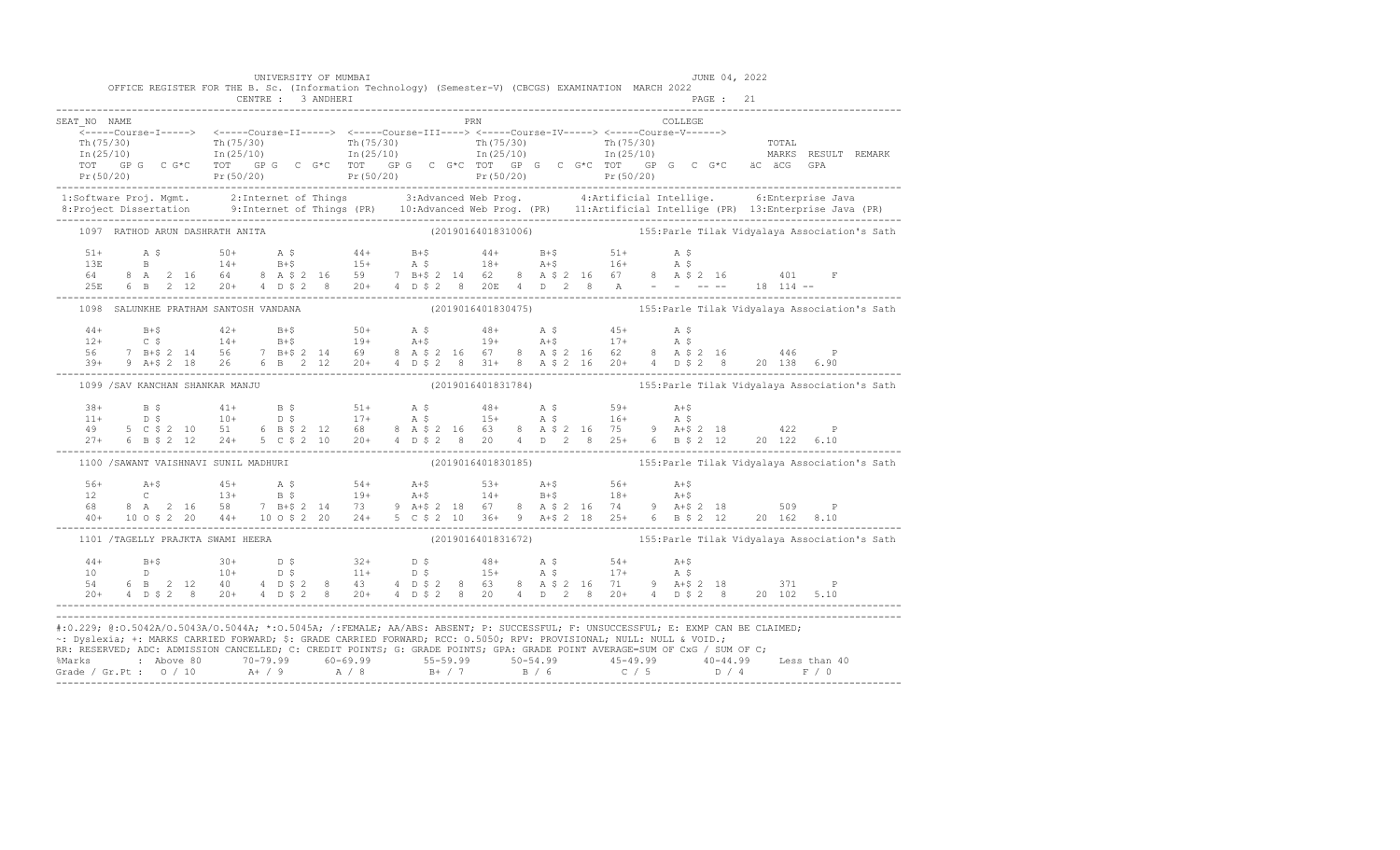|                                                                                                                                                                                                                                                                                                                                                                                                                                                                                                                                                       |  | CENTRE : 3 ANDHERI                    | UNIVERSITY OF MUMBAI |  |  |  |            |  | OFFICE REGISTER FOR THE B. Sc. (Information Technology) (Semester-V) (CBCGS) EXAMINATION MARCH 2022                                                                                                                                                                                                                                                                                                                                                         |         |  | JUNE 04, 2022<br>PAGE: 21 |  |  |
|-------------------------------------------------------------------------------------------------------------------------------------------------------------------------------------------------------------------------------------------------------------------------------------------------------------------------------------------------------------------------------------------------------------------------------------------------------------------------------------------------------------------------------------------------------|--|---------------------------------------|----------------------|--|--|--|------------|--|-------------------------------------------------------------------------------------------------------------------------------------------------------------------------------------------------------------------------------------------------------------------------------------------------------------------------------------------------------------------------------------------------------------------------------------------------------------|---------|--|---------------------------|--|--|
| SEAT NO NAME<br>$\begin{array}{cccccccc} \texttt{&\small{--1--1--00178e-11--1--2}} & \texttt{&\small{--1--1--00178e-11--1--2}} & \texttt{&\small{--1--1--00178e-11--1--2}} & \texttt{&\small{--1--1--1--00178e-11--1--2}} & \texttt{&\small{--1--1--1--00178e-11--1--2}} & \texttt{&\small{--1--1--1--00178e-11--1--2}} & \texttt{&\small{--1--1--1--00178e-11--1--2}} & \texttt{&\small{$                                                                                                                                                            |  |                                       |                      |  |  |  | <b>PRN</b> |  |                                                                                                                                                                                                                                                                                                                                                                                                                                                             | COLLEGE |  |                           |  |  |
|                                                                                                                                                                                                                                                                                                                                                                                                                                                                                                                                                       |  |                                       |                      |  |  |  |            |  |                                                                                                                                                                                                                                                                                                                                                                                                                                                             |         |  |                           |  |  |
|                                                                                                                                                                                                                                                                                                                                                                                                                                                                                                                                                       |  |                                       |                      |  |  |  |            |  |                                                                                                                                                                                                                                                                                                                                                                                                                                                             |         |  |                           |  |  |
|                                                                                                                                                                                                                                                                                                                                                                                                                                                                                                                                                       |  | 1097 RATHOD ARUN DASHRATH ANITA       |                      |  |  |  |            |  | (2019016401831006) (2019016401831006) (20190164018)                                                                                                                                                                                                                                                                                                                                                                                                         |         |  |                           |  |  |
|                                                                                                                                                                                                                                                                                                                                                                                                                                                                                                                                                       |  |                                       |                      |  |  |  |            |  | $\begin{array}{lllllllllll} 51+ & \quad\text{A}\ \ \hat{\text{S}} & \quad\text{50+} & \quad\text{A}\ \ \hat{\text{S}} & \quad\text{51+} & \quad\text{A}\ \ \hat{\text{S}} & \quad\text{52+} & \quad\text{A}\ \ \hat{\text{S}} & \quad\text{53+} & \quad\text{A}\ \ \hat{\text{S}} & \quad\text{B} & \quad\text{B} & \quad\text{B} & \quad\text{B} & \quad\text{B} & \quad\text{B} & \quad\text{B} & \quad\text{B} & \quad\text{B} & \quad\text{B} & \quad\$ |         |  |                           |  |  |
|                                                                                                                                                                                                                                                                                                                                                                                                                                                                                                                                                       |  |                                       |                      |  |  |  |            |  | 1098 SALUNKHE PRATHAM SANTOSH VANDANA (2019016401830475) 155: Parle Tilak Vidyalaya Association's Sath                                                                                                                                                                                                                                                                                                                                                      |         |  |                           |  |  |
|                                                                                                                                                                                                                                                                                                                                                                                                                                                                                                                                                       |  |                                       |                      |  |  |  |            |  |                                                                                                                                                                                                                                                                                                                                                                                                                                                             |         |  |                           |  |  |
|                                                                                                                                                                                                                                                                                                                                                                                                                                                                                                                                                       |  | 1099 / SAV KANCHAN SHANKAR MANJU      |                      |  |  |  |            |  |                                                                                                                                                                                                                                                                                                                                                                                                                                                             |         |  |                           |  |  |
|                                                                                                                                                                                                                                                                                                                                                                                                                                                                                                                                                       |  |                                       |                      |  |  |  |            |  | $\begin{array}{cccccccccccccccc} 38+ & & & 8\,\,\hat{S} & & & & 41+ & & B\,\,\hat{S} & & & & 51+ & & A\,\,\hat{S} & & & & 48+ & & A\,\,\hat{S} & & & & 59+ & & A+ \hat{S} \\ 11+ & & & 5\,\,\hat{S} & & & 10+ & & D\,\,\hat{S} & & & 17+ & & A\,\,\hat{S} & & & 15+ & & A\,\,\hat{S} & & & & 16+ & & A\,\,\hat{S} \\ 49 & & 5\,\,\hat{C}\,\,\hat{S}\,\,\hat{2} & & 10 & & 51$                                                                               |         |  |                           |  |  |
|                                                                                                                                                                                                                                                                                                                                                                                                                                                                                                                                                       |  | 1100 / SAWANT VAISHNAVI SUNIL MADHURI |                      |  |  |  |            |  | (2019016401830185) (2019016401830185) (201901640185)                                                                                                                                                                                                                                                                                                                                                                                                        |         |  |                           |  |  |
|                                                                                                                                                                                                                                                                                                                                                                                                                                                                                                                                                       |  |                                       |                      |  |  |  |            |  | $\begin{array}{lllllllllll} 56+ & \text{A+$$\uparrow$} & 45+ & \text{A$$\uparrow$} & \text{A$$\uparrow$} & \text{A$$\uparrow$} & 56+ & \text{A$$\uparrow$} & \text{A$$\uparrow$} & 56+ & \text{A$$\uparrow$} & 56+ & \text{A$$\uparrow$} & 56+ & \text{A$$\uparrow$} & 56+ & \text{A$$\uparrow$} & 56+ & \text{A$$\uparrow$} & 56+ & \text{A$$\uparrow$} & 56+ & \text{A$$\uparrow$} & 56+ & \text{A$$\uparrow$$                                            |         |  |                           |  |  |
|                                                                                                                                                                                                                                                                                                                                                                                                                                                                                                                                                       |  | 1101 /TAGELLY PRAJKTA SWAMI HEERA     |                      |  |  |  |            |  | (2019016401831672) 155: Parle Tilak Vidyalaya Association's Sath                                                                                                                                                                                                                                                                                                                                                                                            |         |  |                           |  |  |
|                                                                                                                                                                                                                                                                                                                                                                                                                                                                                                                                                       |  |                                       |                      |  |  |  |            |  |                                                                                                                                                                                                                                                                                                                                                                                                                                                             |         |  |                           |  |  |
| #:0.229; @:0.5042A/0.5043A/0.5044A; *:0.5045A; /:FEMALE; AA/ABS: ABSENT; P: SUCCESSFUL; F: UNSUCCESSFUL; E: EXMP CAN BE CLAIMED;<br>~: Dyslexia; +: MARKS CARRIED FORWARD; \$: GRADE CARRIED FORWARD; RCC: 0.5050; RPV: PROVISIONAL; NULL: NULL & VOID.;<br>RR: RESERVED; ADC: ADMISSION CANCELLED; C: CREDIT POINTS; G: GRADE POINTS; GPA: GRADE POINT AVERAGE=SUM OF CxG / SUM OF C;<br>% Marks : Above 80 70-79.99 60-69.99 55-59.99 50-54.99 45-49.99 40-44.99 Less than 40<br>Grade / Gr.Pt : 0 / 10 A+ / 9 A / 8 B+ / 7 B / 6 C / 5 D / 4 F / 0 |  |                                       |                      |  |  |  |            |  |                                                                                                                                                                                                                                                                                                                                                                                                                                                             |         |  |                           |  |  |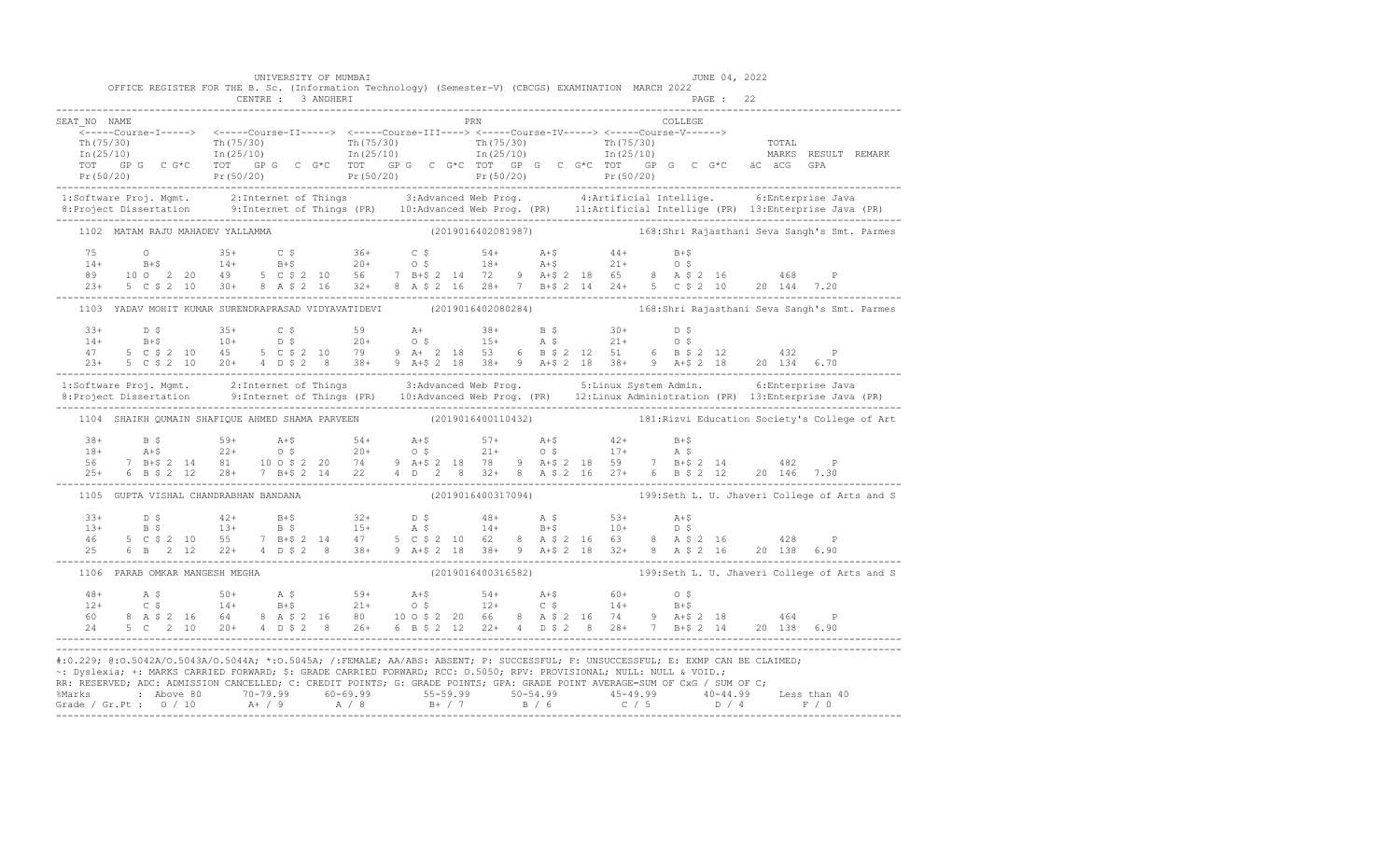|                                | UNIVERSITY OF MUMBAI             | OFFICE REGISTER FOR THE B. Sc. (Information Technology) (Semester-V) (CBCGS) EXAMINATION MARCH 2022                                                                                                                                                                                                                                                                                                                                                                                                                                                  | JUNE 04, 2022<br>PAGE : 22                                      |  |
|--------------------------------|----------------------------------|------------------------------------------------------------------------------------------------------------------------------------------------------------------------------------------------------------------------------------------------------------------------------------------------------------------------------------------------------------------------------------------------------------------------------------------------------------------------------------------------------------------------------------------------------|-----------------------------------------------------------------|--|
| SEAT NO NAME                   |                                  | PRN                                                                                                                                                                                                                                                                                                                                                                                                                                                                                                                                                  | COLLEGE                                                         |  |
| .                              |                                  | <-----Course-I-----> <-----Course-II-----> <-----Course-III----> <-----Course-IV-----> <-----Course-V------><br>$\begin{tabular}{l c c c c c c c c} \hline $\mathbf{T}_\mathrm{L}(75/30)$ & $\mathbf{T}_\mathrm{L}(75/30)$ & $\mathbf{T}_\mathrm{L}(75/30)$ & $\mathbf{T}_\mathrm{L}(75/30)$ & $\mathbf{T}_\mathrm{L}(75/30)$ & $\mathbf{T}_\mathrm{L}(75/30)$ & $\mathbf{T}_\mathrm{L}(75/30)$ & $\mathbf{T}_\mathrm{L}(75/30)$ & $\mathbf{T}_\mathrm{L}(75/30)$ & $\mathbf{T}_\mathrm{L}(75/30)$ & $\mathbf{T}_\mathrm{L}(75/30)$ & $\mathbf{T}_\$ |                                                                 |  |
|                                |                                  | 1:Software Proj. Mgmt. 2:Internet of Things 3:Advanced Web Prog. 4:Artificial Intellige. 6:Enterprise Java<br>8:Project Dissertation 9:Internet of Things (PR) 10:Advanced Web Prog. (PR) 11:Artificial Intellige (PR) 13:Enterpr                                                                                                                                                                                                                                                                                                                    |                                                                 |  |
|                                | 1102 MATAM RAJU MAHADEV YALLAMMA | (2019016402081987) 168:Shri Rajasthani Seva Sangh's Smt. Parmes                                                                                                                                                                                                                                                                                                                                                                                                                                                                                      |                                                                 |  |
|                                |                                  | $\begin{array}{cccccccccccc} 75 & 0 & 35+ & C $ & 36+ & C $ & 54+ & A+$ & 44+ & B+$ & \\ 14+ & B+$ & 14+ & B+$ & 20+ & O $ & 18+ & A+$ & 21+ & O $ & \\ 89 & 10& 2& 20& 49& 5& C $ & 2& 10& 56& 7& B+$ & 2& 14& 72& 9& A+$ & 2& 18& 65& 8& A $ & 2& 16& 468& P \\ 23+ & 5& C $ & 2& 10& 30+ & 8& A $ & 2& $                                                                                                                                                                                                                                          |                                                                 |  |
|                                |                                  | 1103 YADAV MOHIT KUMAR SURENDRAPRASAD VIDYAVATIDEVI (2019016402080284) 168:Shri Rajasthani Seva Sangh's Smt. Parmes                                                                                                                                                                                                                                                                                                                                                                                                                                  |                                                                 |  |
|                                |                                  |                                                                                                                                                                                                                                                                                                                                                                                                                                                                                                                                                      |                                                                 |  |
|                                |                                  | 1:Software Proj. Mgmt. 2:Internet of Things 3:Advanced Web Prog. 5:Linux System Admin. 6:Enterprise Java<br>8:Project Dissertation 9:Internet of Things (PR) 10:Advanced Web Prog. (PR) 12:Linux Administration (PR) 13:Enterpris                                                                                                                                                                                                                                                                                                                    |                                                                 |  |
|                                |                                  | 1104 SHAIKH QUMAIN SHAFIQUE AHMED SHAMA PARVEEN (2019016400110432) 181:Rizvi Education Society's College of Art                                                                                                                                                                                                                                                                                                                                                                                                                                      |                                                                 |  |
|                                |                                  | $\begin{array}{cccccccccccc} 38+ & & & 59+ & & 59+ & & 4+2 & & 54+ & & 54+ & & 57+ & & 57+ & & 54+ & & 42+ & & 54+ & & 57+ & & 57+ & & 57+ & & 57+ & & 57+ & & 57+ & & 57+ & & 57+ & & 57+ & & 57+ & & 57+ & & 57+ & & 57+ & & 57+ & & 57+ & & 57+ & & 57+ & & 57+ & & 57+ & & 57+ & & 57+ & & 57+ & & 57+ & & 57+ & &$                                                                                                                                                                                                                              |                                                                 |  |
|                                |                                  | 1105 GUPTA VISHAL CHANDRABHAN BANDANA (2019016400317094) 199:Seth L. U. Jhaveri College of Arts and S                                                                                                                                                                                                                                                                                                                                                                                                                                                |                                                                 |  |
|                                |                                  | $\begin{array}{cccccccccccccccc} 33+ & & D & \xi & & & 42+ & & B+\xi & & 32+ & & D & \xi & & 48+ & & A & \xi & & 53+ & & A+\xi \\ 13+ & & B & \xi & & & 13+ & & B & \xi & & 15+ & & A & \xi & & 14+ & & B+\xi & & 10+ & & D & \xi \\ 46 & & 5 & C & \xi & 2 & 10 & 55 & & 7 & B+\xi & 2 & 14 & 47 & & 5 & C & \xi & 2 & 10 & 62 & 8 & A & \xi & 2 & 16 & 63 & 8 & A & \xi & 2 &$                                                                                                                                                                     |                                                                 |  |
| 1106 PARAB OMKAR MANGESH MEGHA |                                  |                                                                                                                                                                                                                                                                                                                                                                                                                                                                                                                                                      | (2019016400316582) 199:Seth L. U. Jhaveri College of Arts and S |  |
|                                |                                  | $\begin{array}{cccccccccccc} 48+ & & {\bf A}\; \xi & & & 50+ & & {\bf A}\; \xi & & & 59+ & & {\bf A}+ \xi & & 54+ & {\bf A}+ \xi & & 60+ & & 0\; \xi \\ 12+ & & {\bf C}\; \xi & & & 14+ & & {\bf B}+ \xi & & 21+ & & 0\; \xi & & 12+ & & {\bf C}\; \xi & & & 14+ & & {\bf B}+ \xi \\ 60 & & 8& {\bf A}\; \xi\; 2& 16 & & 64 & & 8& {\bf A}\; \xi\; 2& 16 & & 80 & & 10\; 0$                                                                                                                                                                          |                                                                 |  |
|                                |                                  | #:0.229; @:0.5042A/0.5043A/0.5044A; *:0.5045A; /:FEMALE; AA/ABS: ABSENT; P: SUCCESSFUL; F: UNSUCCESSFUL; E: EXMP CAN BE CLAIMED;<br>~: Dyslexia; +: MARKS CARRIED FORWARD; \$: GRADE CARRIED FORWARD; RCC: 0.5050; RPV: PROVISIONAL; NULL: NULL & VOID.;<br>RR: RESERVED; ADC: ADMISSION CANCELLED; C: CREDIT POINTS; G: GRADE POINTS; GPA: GRADE POINT AVERAGE=SUM OF CxG / SUM OF C;                                                                                                                                                               |                                                                 |  |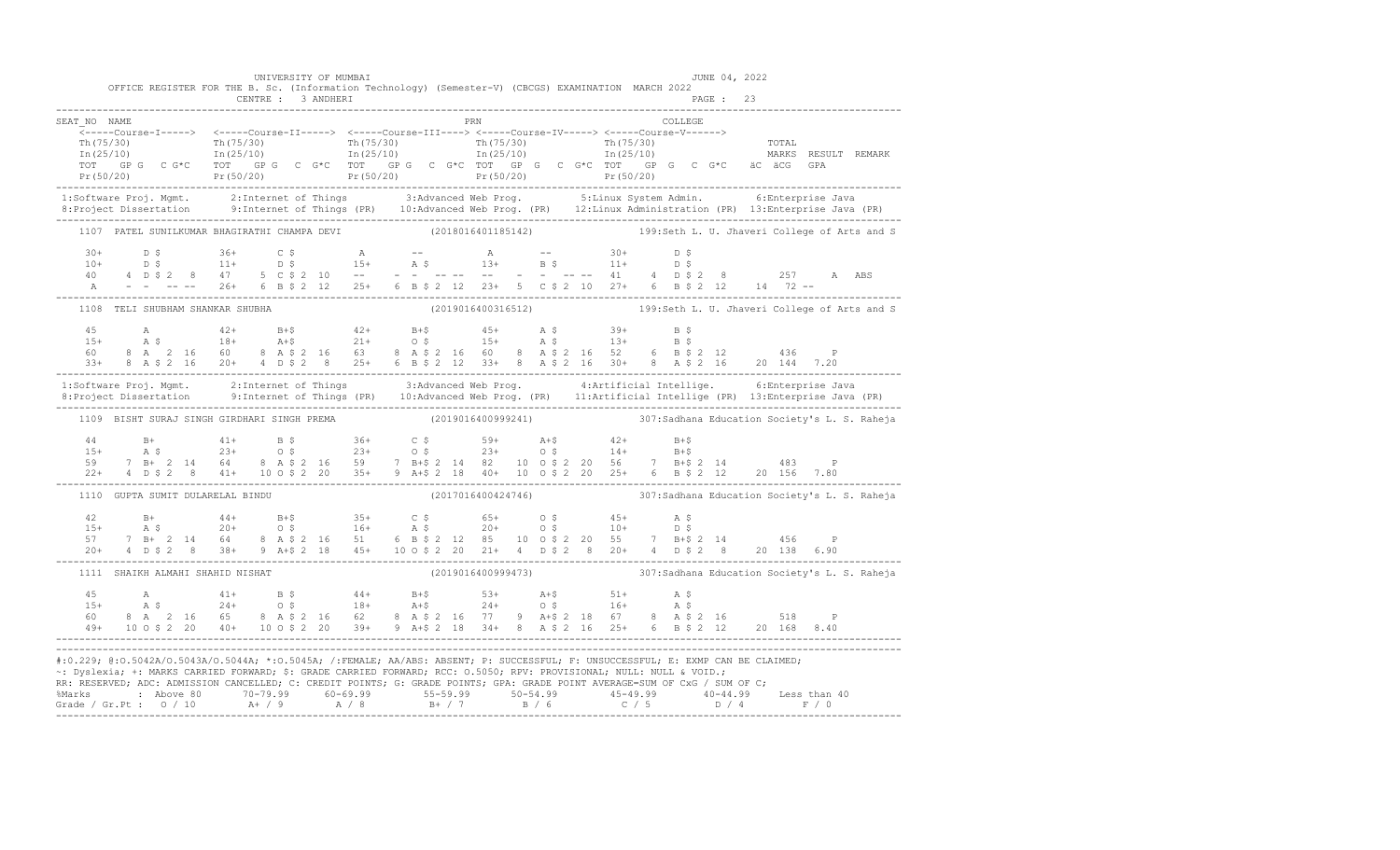|              | UNIVERSITY OF MUMBAI<br>CENTRE : 3 ANDHERI | OFFICE REGISTER FOR THE B. Sc. (Information Technology) (Semester-V) (CBCGS) EXAMINATION MARCH 2022                  | JUNE 04, 2022<br>PAGE : 23                                                                                                                                                                                                                                                                                                                                                                                                             |  |
|--------------|--------------------------------------------|----------------------------------------------------------------------------------------------------------------------|----------------------------------------------------------------------------------------------------------------------------------------------------------------------------------------------------------------------------------------------------------------------------------------------------------------------------------------------------------------------------------------------------------------------------------------|--|
| SEAT NO NAME |                                            | PRN                                                                                                                  | <b>COLLEGE</b><br>$\begin{array}{cccccccc} \texttt{Tr}(75/30) & \texttt{Tr}(75/30) & \texttt{Tr}(75/30) & \texttt{Tr}(75/30) & \texttt{Tr}(75/30) & \texttt{Tr}(75/30) & \texttt{Tr}(75/30) & \texttt{Tr}(75/30) & \texttt{Tr}(75/30) & \texttt{Tr}(75/30) & \texttt{Tr}(75/30) & \texttt{Tr}(75/30) & \texttt{Tr}(75/30) & \texttt{Tr}(75/30) & \texttt{Tr}(75/30) & \texttt{Tr}(75/30) & \texttt{$                                   |  |
|              |                                            |                                                                                                                      | 1:Software Proj. Mgmt. 2:Internet of Things 3:Advanced Web Prog. 5:Linux System Admin. 6:Enterprise Java<br>8:Project Dissertation 9:Internet of Things (PR) 10:Advanced Web Prog. (PR) 12:Linux Administration (PR) 13:Enterpris                                                                                                                                                                                                      |  |
|              |                                            |                                                                                                                      | 1107 PATEL SUNILKUMAR BHAGIRATHI CHAMPA DEVI (2018016401185142) 199:Seth L. U. Jhaveri College of Arts and S                                                                                                                                                                                                                                                                                                                           |  |
|              |                                            |                                                                                                                      | $\begin{array}{cccccccccccccccc} 30+ & & D & \xi & & 36+ & C & \xi & & A & -- & & A & -- & & 30+ & D & \xi \\ 10+ & & D & \xi & & 11+ & & D & \xi & & 15+ & A & \xi & & 13+ & B & \xi & & 11+ & D & \xi \\ 40 & & 4 & D & \xi & 2 & 8 & & 47 & 5 & C & \xi & 2 & 10 & -- & & -- & -- & -- & -- & -- & -- & -- & -- & -- & -- & -- & 41 & & 4 & D & \xi & 2 & 8 & & 257 & A & ABS \\ A & & - & - & - & - & - & 26+$                     |  |
|              | 1108 TELI SHUBHAM SHANKAR SHUBHA           |                                                                                                                      | (2019016400316512) 199:Seth L. U. Jhaveri College of Arts and S                                                                                                                                                                                                                                                                                                                                                                        |  |
|              |                                            |                                                                                                                      | $\begin{array}{lllllllllllll} 45\qquad \qquad \text{A}\qquad \qquad & 42+ & \text{B}+\$ & 42+ & \text{B}+\$ & 45+ & \text{A} & \$ & 39+ & \text{B} & \$ \\ 15+ & \text{A} & \$ & 18+ & \text{A}+\$ & 21+ & \text{O} & \$ & 15+ & \text{A} & \$ & 13+ & \text{B} & \$ \\ 60 & 8 & \text{A} & 2 & 16 & 60 & 8 & \text{A} & \$ & 2 & 16 & 60 & 8 & \text{A} & \$ & 2 & 16 & 52 & 6$                                                       |  |
|              |                                            |                                                                                                                      | 1:Software Proj. Mgmt. 2:Internet of Things 3:Advanced Web Prog. 4:Artificial Intellige. 6:Enterprise Java<br>8:Project Dissertation 9:Internet of Things (PR) 10:Advanced Web Prog. (PR) 11:Artificial Intellige (PR) 13:Enterpr                                                                                                                                                                                                      |  |
|              |                                            |                                                                                                                      | 1109 BISHT SURAJ SINGH GIRDHARI SINGH PREMA (2019016400999241) 307:Sadhana Education Society's L. S. Raheja                                                                                                                                                                                                                                                                                                                            |  |
|              |                                            |                                                                                                                      |                                                                                                                                                                                                                                                                                                                                                                                                                                        |  |
|              |                                            |                                                                                                                      | 1110 GUPTA SUMIT DULARELAL BINDU (2017016400424746) 307:Sadhana Education Society's L. S. Raheja                                                                                                                                                                                                                                                                                                                                       |  |
|              |                                            |                                                                                                                      | $\begin{array}{lllllllllll} 42 & \text{B+} & \text{44+} & \text{B+$} & \text{35+} & \text{C$\$} & \text{65+} & \text{0$\$} & \text{45+} & \text{A$\$} \\ 15+ & \text{A$\$} & \text{20+} & \text{0$\$} & \text{16+} & \text{A$\$} & \text{20+} & \text{0$\$} & \text{10+} & \text{D$\$} \\ 57 & 7 & \text{B+} & \text{2$\,14$} & \text{64} & \text{8$\,A$\$} & \text{2$\,16$} & \text$                                                  |  |
|              | 1111 SHAIKH ALMAHI SHAHID NISHAT           |                                                                                                                      | (2019016400999473) 307: Sadhana Education Society's L. S. Raheja                                                                                                                                                                                                                                                                                                                                                                       |  |
|              |                                            |                                                                                                                      | $\begin{array}{cccccccccccc} 45 & \quad & \mathsf{A} & \quad & 41+ & \quad \mathsf{B}~\mathsf{S} & \quad & 44+ & \quad \mathsf{B}+\mathsf{S} & \quad & 53+ & \quad \mathsf{A}+\mathsf{S} & \quad & 51+ & \quad \mathsf{A}~\mathsf{S} \\ 15+ & \quad & \mathsf{A}~\mathsf{S} & \quad & 24+ & \quad \mathsf{O}~\mathsf{S} & \quad & 18+ & \quad \mathsf{A}+\mathsf{S} & \quad & 24+ & \quad \mathsf{O}~\mathsf{S} & \quad & 16+ & \quad$ |  |
|              |                                            | ~: Dyslexia; +: MARKS CARRIED FORWARD; \$: GRADE CARRIED FORWARD; RCC: 0.5050; RPV: PROVISIONAL; NULL: NULL & VOID.; | #:0.229; @:0.5042A/0.5043A/0.5044A; *:0.5045A; /:FEMALE; AA/ABS: ABSENT; P: SUCCESSFUL; F: UNSUCCESSFUL; E: EXMP CAN BE CLAIMED;<br>RR: RESERVED; ADC: ADMISSION CANCELLED; C: CREDIT POINTS; G: GRADE POINTS; GPA: GRADE POINT AVERAGE=SUM OF CxG / SUM OF C;                                                                                                                                                                         |  |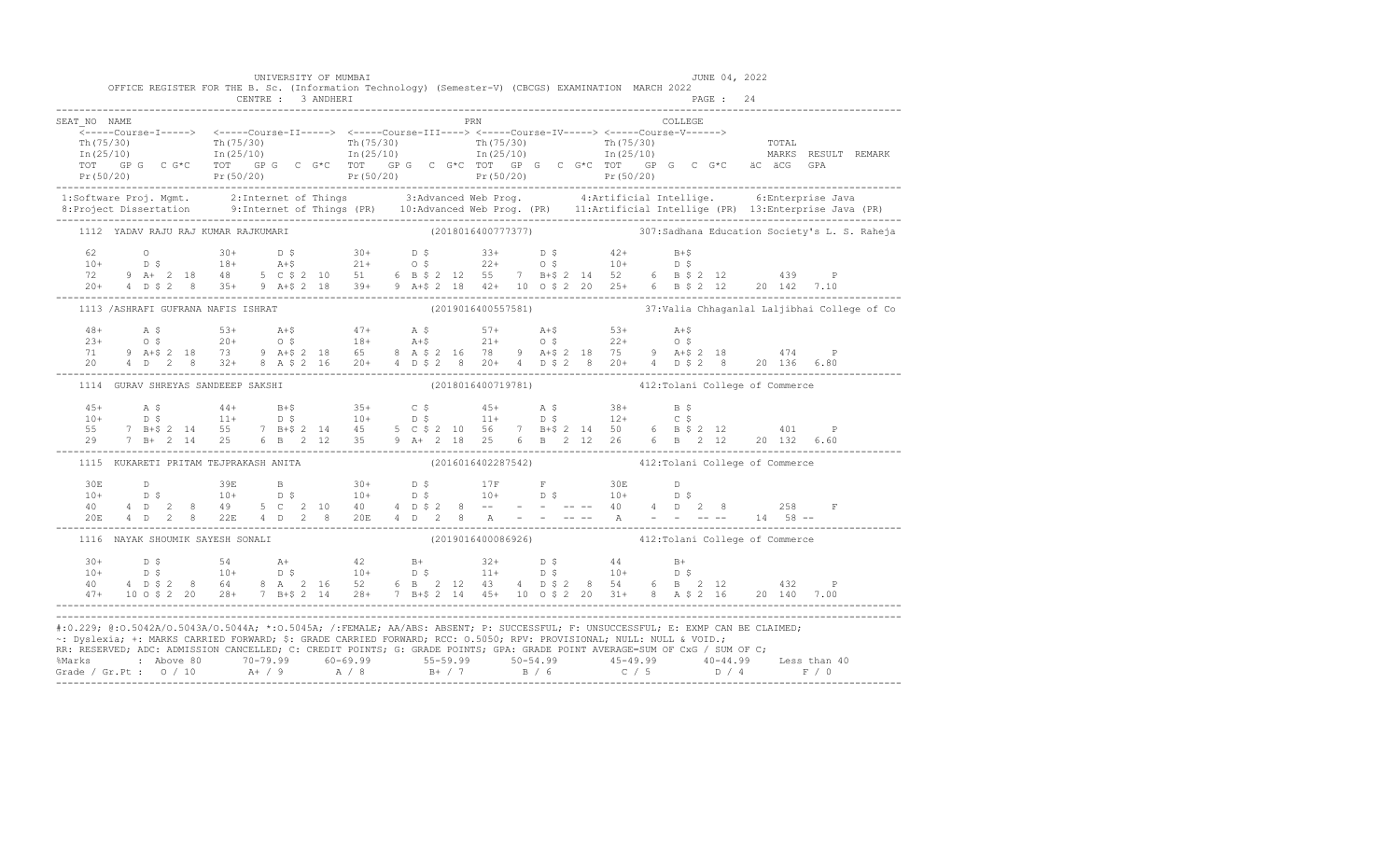| OFFICE REGISTER FOR THE B. Sc. (Information Technology) (Semester-V) (CBCGS) EXAMINATION MARCH 2022                                                                                                                                                                                                                                                                                                              |  | UNIVERSITY OF MUMBAI |  |                     |  |                                                    |  |         | JUNE 04, 2022 |  |  |
|------------------------------------------------------------------------------------------------------------------------------------------------------------------------------------------------------------------------------------------------------------------------------------------------------------------------------------------------------------------------------------------------------------------|--|----------------------|--|---------------------|--|----------------------------------------------------|--|---------|---------------|--|--|
|                                                                                                                                                                                                                                                                                                                                                                                                                  |  |                      |  |                     |  |                                                    |  |         |               |  |  |
| SEAT NO NAME                                                                                                                                                                                                                                                                                                                                                                                                     |  |                      |  | <b>EXAMPLE 1988</b> |  |                                                    |  | COLLEGE |               |  |  |
|                                                                                                                                                                                                                                                                                                                                                                                                                  |  |                      |  |                     |  |                                                    |  |         |               |  |  |
| $\frac{1}{2}$ The corresponding to the corresponding to the corresponding to the corresponding to the corresponding to the corresponding to the corresponding to the corresponding to the corresponding to the corresponding to t                                                                                                                                                                                |  |                      |  |                     |  |                                                    |  |         |               |  |  |
|                                                                                                                                                                                                                                                                                                                                                                                                                  |  |                      |  |                     |  |                                                    |  |         |               |  |  |
|                                                                                                                                                                                                                                                                                                                                                                                                                  |  |                      |  |                     |  |                                                    |  |         |               |  |  |
|                                                                                                                                                                                                                                                                                                                                                                                                                  |  |                      |  |                     |  |                                                    |  |         |               |  |  |
| 1:Software Proj. Mgmt. 2:Internet of Things 3:Advanced Web Prog. 4:Artificial Intellige. 6:Enterprise Java<br>8:Project Dissertation 9:Internet of Things (PR) 10:Advanced Web Prog. (PR) 11:Artificial Intellige (PR) 13:Enterpr                                                                                                                                                                                |  |                      |  |                     |  |                                                    |  |         |               |  |  |
|                                                                                                                                                                                                                                                                                                                                                                                                                  |  |                      |  |                     |  |                                                    |  |         |               |  |  |
| 1112 YADAV RAJU RAJ KUMAR RAJKUMARI (2018016400777377) (307:Sadhana Education Society's L. S. Raheja                                                                                                                                                                                                                                                                                                             |  |                      |  |                     |  |                                                    |  |         |               |  |  |
|                                                                                                                                                                                                                                                                                                                                                                                                                  |  |                      |  |                     |  |                                                    |  |         |               |  |  |
|                                                                                                                                                                                                                                                                                                                                                                                                                  |  |                      |  |                     |  |                                                    |  |         |               |  |  |
|                                                                                                                                                                                                                                                                                                                                                                                                                  |  |                      |  |                     |  |                                                    |  |         |               |  |  |
|                                                                                                                                                                                                                                                                                                                                                                                                                  |  |                      |  |                     |  |                                                    |  |         |               |  |  |
| 1113 /ASHRAFI GUFRANA NAFIS ISHRAT (2019016400557581) 37: Valia Chhaganlal Laljibhai College of Co                                                                                                                                                                                                                                                                                                               |  |                      |  |                     |  |                                                    |  |         |               |  |  |
|                                                                                                                                                                                                                                                                                                                                                                                                                  |  |                      |  |                     |  |                                                    |  |         |               |  |  |
|                                                                                                                                                                                                                                                                                                                                                                                                                  |  |                      |  |                     |  |                                                    |  |         |               |  |  |
|                                                                                                                                                                                                                                                                                                                                                                                                                  |  |                      |  |                     |  |                                                    |  |         |               |  |  |
| $\begin{array}{cccccccccccc} 48+ & & {\bf A}\; \hat{\bf S} & & & 53+ & & {\bf A}\!+\hat{\bf S} & & & 47+ & & {\bf A}\; \hat{\bf S} & & & 57+ & & {\bf A}\!+\hat{\bf S} & & & 53+ & & {\bf A}\!+\hat{\bf S} & & & & \\ 23+ & & 0\; \hat{\bf S} & & 20+ & 0\; \hat{\bf S} & & 18+ & {\bf A}\!+\hat{\bf S} & & 21+ & 0\; \hat{\bf S} & & 22+ & 0\; \hat{\bf S} & & \\ 71 & 9 & {\bf A}\!+\hat{\bf S} & 2$           |  |                      |  |                     |  |                                                    |  |         |               |  |  |
| 1114 GURAV SHREYAS SANDEEEP SAKSHI                                                                                                                                                                                                                                                                                                                                                                               |  |                      |  |                     |  | (2018016400719781) 412: Tolani College of Commerce |  |         |               |  |  |
|                                                                                                                                                                                                                                                                                                                                                                                                                  |  |                      |  |                     |  |                                                    |  |         |               |  |  |
|                                                                                                                                                                                                                                                                                                                                                                                                                  |  |                      |  |                     |  |                                                    |  |         |               |  |  |
|                                                                                                                                                                                                                                                                                                                                                                                                                  |  |                      |  |                     |  |                                                    |  |         |               |  |  |
| $\begin{array}{cccccccccccc} 45+ & & {\rm A}\ \,  \, 5 & & 44+ & {\rm B}+ \$ & 35+ & {\rm C}\ \, \$ & & 10+ & {\rm D}\ \, \$ & & 11+ & {\rm D}\ \, \$ & & 11+ & {\rm D}\ \, \$ & & 12+ & {\rm C}\ \, \$ & & 14+ & {\rm D}\ \, \$ & & 14+ & {\rm D}\ \, \$ & & 14+ & {\rm D}\ \, \$ & & 14+ & {\rm D}\ \, \$ & & 14+ & {\rm D}\ \, \$ & & 14+ & {\rm D}\ \, \$ & & 14+ & {\rm D}\ \, \$ & & 14+ & {\rm D}\ \, \$$ |  |                      |  |                     |  |                                                    |  |         |               |  |  |
| 1115 KUKARETI PRITAM TEJPRAKASH ANITA                                                                                                                                                                                                                                                                                                                                                                            |  |                      |  |                     |  | (2016016402287542) 412: Tolani College of Commerce |  |         |               |  |  |
|                                                                                                                                                                                                                                                                                                                                                                                                                  |  |                      |  |                     |  |                                                    |  |         |               |  |  |
|                                                                                                                                                                                                                                                                                                                                                                                                                  |  |                      |  |                     |  |                                                    |  |         |               |  |  |
|                                                                                                                                                                                                                                                                                                                                                                                                                  |  |                      |  |                     |  |                                                    |  |         |               |  |  |
|                                                                                                                                                                                                                                                                                                                                                                                                                  |  |                      |  |                     |  |                                                    |  |         |               |  |  |
| 1116 NAYAK SHOUMIK SAYESH SONALI (2019016400086926) 412:Tolani College of Commerce                                                                                                                                                                                                                                                                                                                               |  |                      |  |                     |  |                                                    |  |         |               |  |  |
|                                                                                                                                                                                                                                                                                                                                                                                                                  |  |                      |  |                     |  |                                                    |  |         |               |  |  |
|                                                                                                                                                                                                                                                                                                                                                                                                                  |  |                      |  |                     |  |                                                    |  |         |               |  |  |
|                                                                                                                                                                                                                                                                                                                                                                                                                  |  |                      |  |                     |  |                                                    |  |         |               |  |  |
| $\begin{array}{cccccccccccccccc} 30+ & & D & \xi & & & 54 & & \text{A+} & & 42 & & \text{B+} & & 32+ & D & \xi & & 44 & & \text{B+} \\ 10+ & & D & \xi & & & 10+ & & D & \xi & & 10+ & D & \xi & & 11+ & D & \xi & & 10+ & D & \xi \\ 40 & & 4 & D & \xi & 2 & 8 & 64 & & 8 & A & 2 & 16 & 52 & 6 & B & 2 & 12 & 43 & 4 & D & \xi & 2 & 8 & 54 & 6 & B & 2 & 12 & & 432$                                         |  |                      |  |                     |  |                                                    |  |         |               |  |  |
| #:0.229; @:0.5042A/0.5043A/0.5044A; *:0.5045A; /:FEMALE; AA/ABS: ABSENT; P: SUCCESSFUL; F: UNSUCCESSFUL; E: EXMP CAN BE CLAIMED;<br>-: Dyslexia; +: MARKS CARRIED FORWARD; \$: GRADE CARRIED FORWARD; RCC: 0.5050; RPV: PROVISIONAL; NULL: NULL & VOID.;<br>RR: RESERVED; ADC: ADMISSION CANCELLED; C: CREDIT POINTS; G: GRADE POINTS; GPA: GRADE POINT AVERAGE=SUM OF CxG / SUM OF C;                           |  |                      |  |                     |  |                                                    |  |         |               |  |  |
|                                                                                                                                                                                                                                                                                                                                                                                                                  |  |                      |  |                     |  |                                                    |  |         |               |  |  |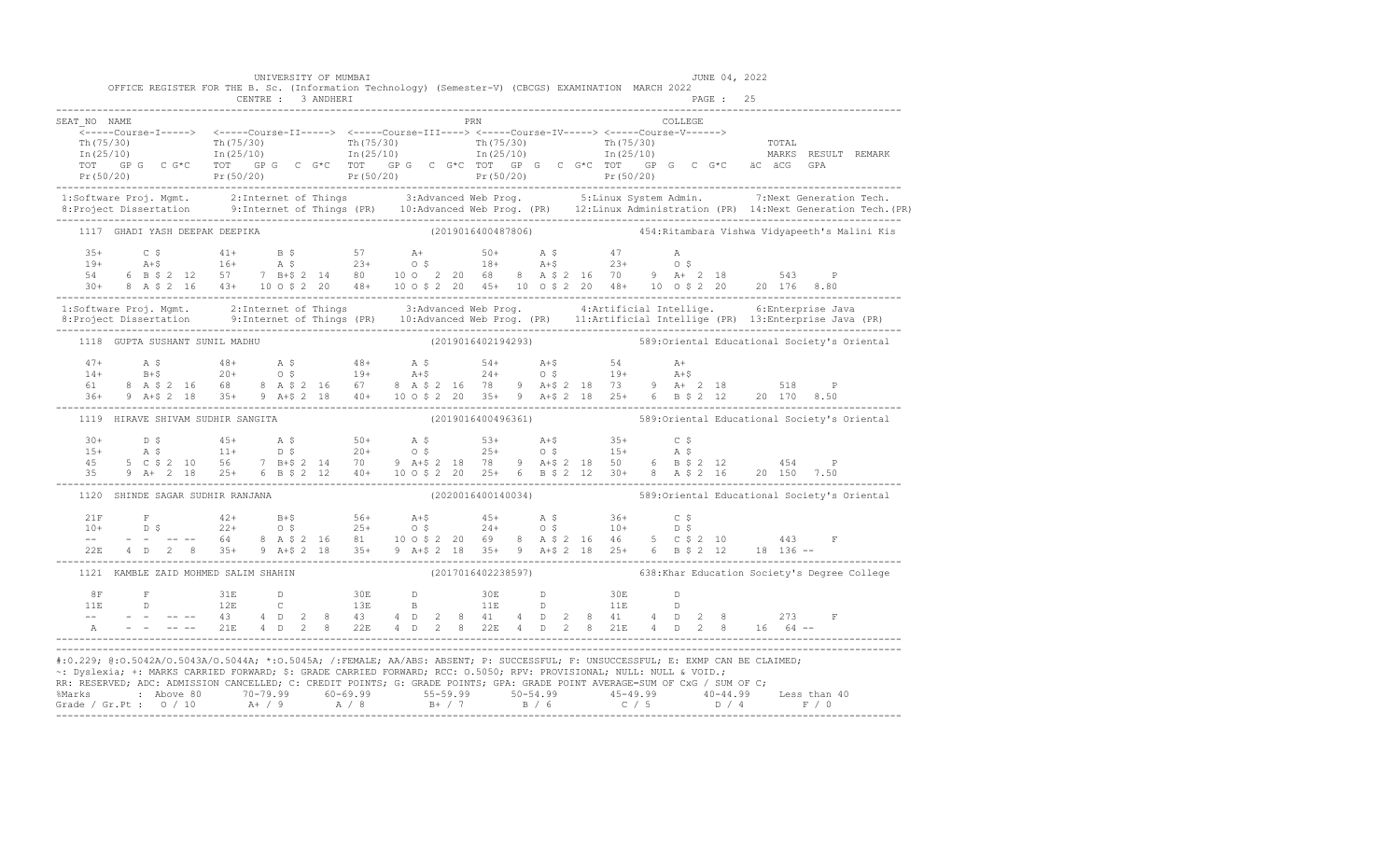|                                      | UNIVERSITY OF MUMBAI              | OFFICE REGISTER FOR THE B. Sc. (Information Technology) (Semester-V) (CBCGS) EXAMINATION MARCH 2022                  | JUNE 04, 2022                                                                                                                                                                                                                                                                                                                                                                                                                         |  |
|--------------------------------------|-----------------------------------|----------------------------------------------------------------------------------------------------------------------|---------------------------------------------------------------------------------------------------------------------------------------------------------------------------------------------------------------------------------------------------------------------------------------------------------------------------------------------------------------------------------------------------------------------------------------|--|
| SEAT NO NAME                         |                                   | PRN                                                                                                                  | COLLEGE                                                                                                                                                                                                                                                                                                                                                                                                                               |  |
|                                      |                                   | ______Course-I-----> <-----Course-II-----> <-----Course-III----> <-----Course-IV-----> <-----Course-V------>         | $\begin{array}{cccccccc} \text{Tr}\ (75/30) & \text{Tr}\ (75/30) & \text{Tr}\ (75/30) & \text{Tr}\ (75/30) & \text{Tr}\ (75/30) & \text{Tr}\ (75/30) & \text{Tr}\ (75/30) & \text{Tr}\ (75/30) & \text{Tr}\ (25/10) & \text{Tr}\ (25/10) & \text{Tr}\ (25/10) & \text{Tr}\ (25/10) & \text{Tr}\ (25/10) & \text{Tr}\ (25/10) & \text{Tr}\ (25/10) & \text{Tr}\ (25/10) & \text{Tr$                                                    |  |
|                                      |                                   |                                                                                                                      | 1:Software Proj. Mgmt. 2:Internet of Things 3:Advanced Web Prog. 5:Linux System Admin. 7:Next Generation Tech.<br>8:Project Dissertation 9:Internet of Things (PR) 10:Advanced Web Prog. (PR) 12:Linux Administration (PR) 14:Nex                                                                                                                                                                                                     |  |
|                                      | 1117 GHADI YASH DEEPAK DEEPIKA    |                                                                                                                      | (2019016400487806)                               454:Ritambara Vishwa Vidyapeeth's Malini Kis                                                                                                                                                                                                                                                                                                                                         |  |
|                                      |                                   |                                                                                                                      |                                                                                                                                                                                                                                                                                                                                                                                                                                       |  |
|                                      |                                   |                                                                                                                      | 1:Software Proj. Mgmt. 2:Internet of Things 3:Advanced Web Prog. 4:Artificial Intellige. 6:Enterprise Java<br>8:Project Dissertation 9:Internet of Things (PR) 10:Advanced Web Prog. (PR) 11:Artificial Intellige (PR) 13:Enterpr                                                                                                                                                                                                     |  |
|                                      |                                   |                                                                                                                      | 1118 GUPTA SUSHANT SUNIL MADHU (2019016402194293) (2019016402194293) 589:Oriental Educational Society's Oriental                                                                                                                                                                                                                                                                                                                      |  |
|                                      |                                   |                                                                                                                      | 47+ A \$ $48+$ A \$ $48+$ A \$ $54+$ A +\$ $54$ A +<br>$14+$ B +\$ $20+$ O \$ $19+$ A +\$ $24+$ O \$ $19+$ A +\$<br>$61$ 8 A \$ 2 16 68 8 A \$ 2 16 67 8 A \$ 2 16 78 9 A +\$ 2 18 73 9 A + 2 18 518 P<br>$36+$ 9 A +\$ 2 18 35 + 9 A +\$ 2 18 40                                                                                                                                                                                     |  |
|                                      | 1119 HIRAVE SHIVAM SUDHIR SANGITA |                                                                                                                      | (2019016400496361) 589:Oriental Educational Society's Oriental                                                                                                                                                                                                                                                                                                                                                                        |  |
|                                      |                                   |                                                                                                                      | $\begin{array}{cccccccccccccccc} 30+ & & D & \xi & & 45+ & & A & \xi & & 50+ & & A & \xi & & 53+ & & A+ \xi & & 35+ & & C & \xi \\ 15+ & & A & \xi & & & 11+ & & D & \xi & & 20+ & & O & \xi & & 25+ & & O & \xi & & 15+ & & A & \xi \\ 45 & & 5 & C & \xi & 2 & 10 & 56 & & 7 & B+ \xi & 2 & 14 & 70 & & 9 & A+ \xi & 2 & 18 & 78 & & 9 & A+ \xi & 2 & 18 & 50 & & 6 & B & \$                                                        |  |
|                                      |                                   |                                                                                                                      | 1120 SHINDE SAGAR SUDHIR RANJANA (2020016400140034) (2020016400140034)                                                                                                                                                                                                                                                                                                                                                                |  |
|                                      |                                   |                                                                                                                      |                                                                                                                                                                                                                                                                                                                                                                                                                                       |  |
| 1121 KAMBLE ZAID MOHMED SALIM SHAHIN |                                   |                                                                                                                      | (2017016402238597) 638:Khar Education Society's Degree College                                                                                                                                                                                                                                                                                                                                                                        |  |
|                                      |                                   |                                                                                                                      |                                                                                                                                                                                                                                                                                                                                                                                                                                       |  |
|                                      |                                   | ~: Dyslexia; +: MARKS CARRIED FORWARD; \$: GRADE CARRIED FORWARD; RCC: 0.5050; RPV: PROVISIONAL; NULL: NULL & VOID.; | #:0.229; @:0.5042A/O.5043A/O.5044A; *:0.5045A; /:FEMALE; AA/ABS: ABSENT; P: SUCCESSFUL; F: UNSUCCESSFUL; E: EXMP CAN BE CLAIMED;<br>RR: RESERVED; ADC: ADMISSION CANCELLED; C: CREDIT POINTS; G: GRADE POINTS; GPA: GRADE POINT AVERAGE=SUM OF CxG / SUM OF C;<br>%Marks : Above 80 70-79.99 60-69.99 55-59.99 50-54.99 50-54.99 40-44.99 40-44.99 Less than 40<br>Grade / Gr.Pt : 0 / 10 A+ / 9 A / 8 B+ / 7 B / 6 C / 5 D / 4 F / 0 |  |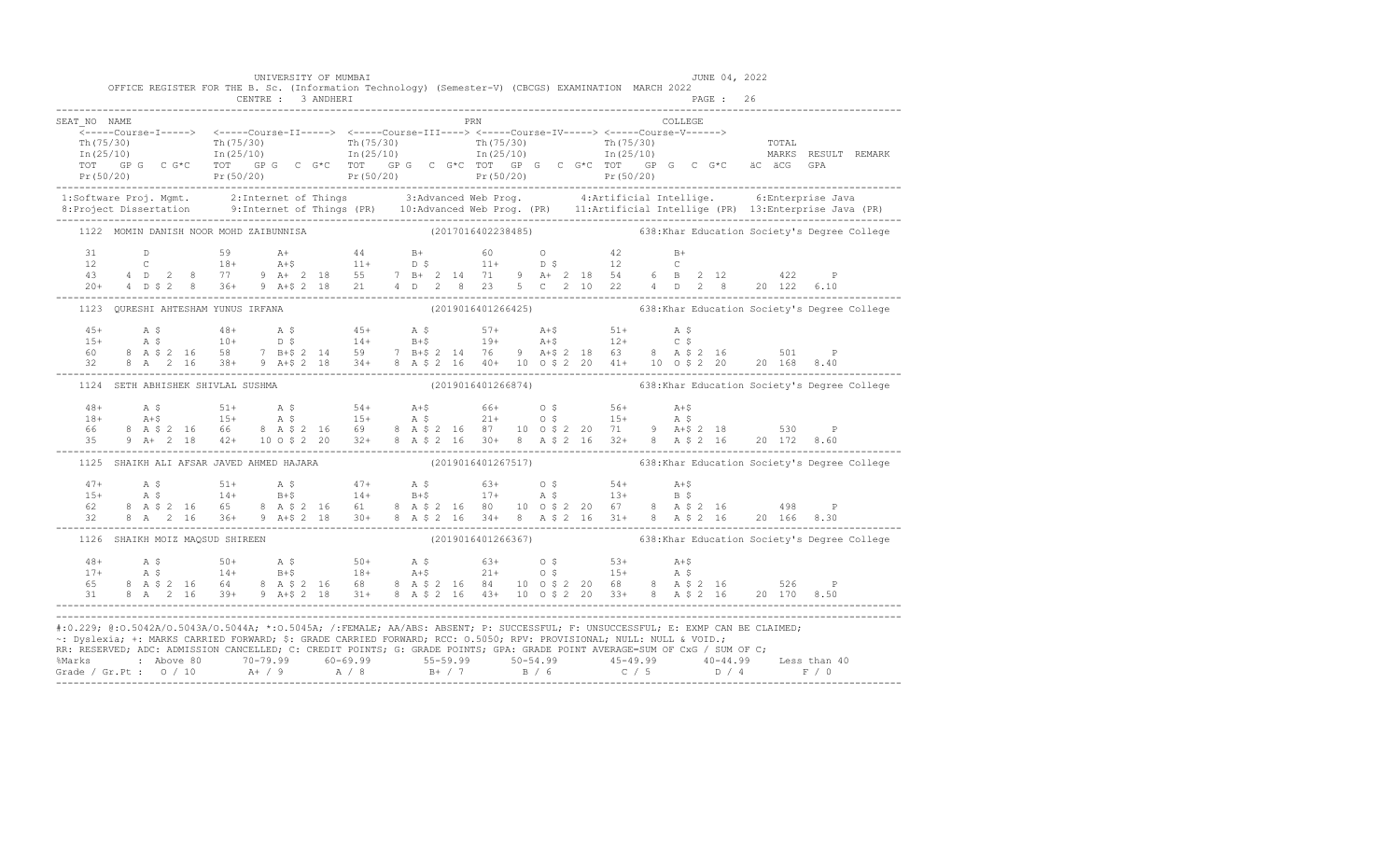|                                                                                                                                                                                                                                                                                                                                                                                        |  | CENTRE : 3 ANDHERI                       | UNIVERSITY OF MUMBAI |  |  |            |  |  | OFFICE REGISTER FOR THE B. Sc. (Information Technology) (Semester-V) (CBCGS) EXAMINATION MARCH 2022 |  |         | JUNE 04, 2022<br>PAGE : 26 |  |                                                                                                                                                                                                                                                                                                                                                                                                             |                                                                                                                                                                                                                                 |
|----------------------------------------------------------------------------------------------------------------------------------------------------------------------------------------------------------------------------------------------------------------------------------------------------------------------------------------------------------------------------------------|--|------------------------------------------|----------------------|--|--|------------|--|--|-----------------------------------------------------------------------------------------------------|--|---------|----------------------------|--|-------------------------------------------------------------------------------------------------------------------------------------------------------------------------------------------------------------------------------------------------------------------------------------------------------------------------------------------------------------------------------------------------------------|---------------------------------------------------------------------------------------------------------------------------------------------------------------------------------------------------------------------------------|
| SEAT NO NAME                                                                                                                                                                                                                                                                                                                                                                           |  |                                          |                      |  |  | <b>PRN</b> |  |  |                                                                                                     |  | COLLEGE |                            |  |                                                                                                                                                                                                                                                                                                                                                                                                             | ------Ourse-1-----> <-----Course-11-----> <-----Course-11-----> <-----Course-10------> <-----Course-10------> <-----Course-10------> <-----Course-V-------> Th(75/30)<br>Th(75/30) Th(25/10) Th(75/30) Th(25/10) Th(75/30) Th(2 |
|                                                                                                                                                                                                                                                                                                                                                                                        |  |                                          |                      |  |  |            |  |  |                                                                                                     |  |         |                            |  |                                                                                                                                                                                                                                                                                                                                                                                                             |                                                                                                                                                                                                                                 |
|                                                                                                                                                                                                                                                                                                                                                                                        |  | 1122 MOMIN DANISH NOOR MOHD ZAIBUNNISA   |                      |  |  |            |  |  |                                                                                                     |  |         |                            |  | (2017016402238485) 638: Khar Education Society's Degree College                                                                                                                                                                                                                                                                                                                                             |                                                                                                                                                                                                                                 |
|                                                                                                                                                                                                                                                                                                                                                                                        |  |                                          |                      |  |  |            |  |  |                                                                                                     |  |         |                            |  |                                                                                                                                                                                                                                                                                                                                                                                                             |                                                                                                                                                                                                                                 |
|                                                                                                                                                                                                                                                                                                                                                                                        |  |                                          |                      |  |  |            |  |  |                                                                                                     |  |         |                            |  | 1123 QURESHI AHTESHAM YUNUS IRFANA (2019016401266425) 638:Khar Education Society's Degree College                                                                                                                                                                                                                                                                                                           |                                                                                                                                                                                                                                 |
|                                                                                                                                                                                                                                                                                                                                                                                        |  |                                          |                      |  |  |            |  |  |                                                                                                     |  |         |                            |  |                                                                                                                                                                                                                                                                                                                                                                                                             |                                                                                                                                                                                                                                 |
|                                                                                                                                                                                                                                                                                                                                                                                        |  | 1124 SETH ABHISHEK SHIVLAL SUSHMA        |                      |  |  |            |  |  |                                                                                                     |  |         |                            |  | (2019016401266874) 638: Khar Education Society's Degree College                                                                                                                                                                                                                                                                                                                                             |                                                                                                                                                                                                                                 |
|                                                                                                                                                                                                                                                                                                                                                                                        |  |                                          |                      |  |  |            |  |  |                                                                                                     |  |         |                            |  |                                                                                                                                                                                                                                                                                                                                                                                                             |                                                                                                                                                                                                                                 |
|                                                                                                                                                                                                                                                                                                                                                                                        |  | 1125 SHAIKH ALI AFSAR JAVED AHMED HAJARA |                      |  |  |            |  |  |                                                                                                     |  |         |                            |  | (2019016401267517) 638:Khar Education Society's Degree College                                                                                                                                                                                                                                                                                                                                              |                                                                                                                                                                                                                                 |
|                                                                                                                                                                                                                                                                                                                                                                                        |  |                                          |                      |  |  |            |  |  |                                                                                                     |  |         |                            |  | $\begin{array}{cccccccccccc} 47+ & & {\bf A}\; \hat{\bf S} & & 51+ & {\bf A}\; \hat{\bf S} & & 47+ & {\bf A}\; \hat{\bf S} & & 63+ & 0\; \hat{\bf S} & & 54+ & {\bf A}+ \hat{\bf S} & & & \\ 15+ & & {\bf A}\; \hat{\bf S} & & 14+ & {\bf B}+ \hat{\bf S} & & 14+ & {\bf B}+ \hat{\bf S} & & 17+ & {\bf A}\; \hat{\bf S} & & 13+ & {\bf B}\; \hat{\bf S} & & \\ 62 & 8 & {\bf A}\; \hat{\bf S}\; 2 & 16 & $ |                                                                                                                                                                                                                                 |
|                                                                                                                                                                                                                                                                                                                                                                                        |  | 1126 SHAIKH MOIZ MAQSUD SHIREEN          |                      |  |  |            |  |  |                                                                                                     |  |         |                            |  | (2019016401266367) 638:Khar Education Society's Degree College                                                                                                                                                                                                                                                                                                                                              |                                                                                                                                                                                                                                 |
|                                                                                                                                                                                                                                                                                                                                                                                        |  |                                          |                      |  |  |            |  |  |                                                                                                     |  |         |                            |  |                                                                                                                                                                                                                                                                                                                                                                                                             |                                                                                                                                                                                                                                 |
| #:0.229; @:0.5042A/0.5043A/0.5044A; *:0.5045A; /:FEMALE; AA/ABS: ABSENT; P: SUCCESSFUL; F: UNSUCCESSFUL; E: EXMP CAN BE CLAIMED;<br>~: Dyslexia; +: MARKS CARRIED FORWARD; \$: GRADE CARRIED FORWARD; RCC: 0.5050; RPV: PROVISIONAL; NULL: NULL & VOID.;<br>RR: RESERVED; ADC: ADMISSION CANCELLED; C: CREDIT POINTS; G: GRADE POINTS; GPA: GRADE POINT AVERAGE=SUM OF CxG / SUM OF C; |  |                                          |                      |  |  |            |  |  |                                                                                                     |  |         |                            |  |                                                                                                                                                                                                                                                                                                                                                                                                             |                                                                                                                                                                                                                                 |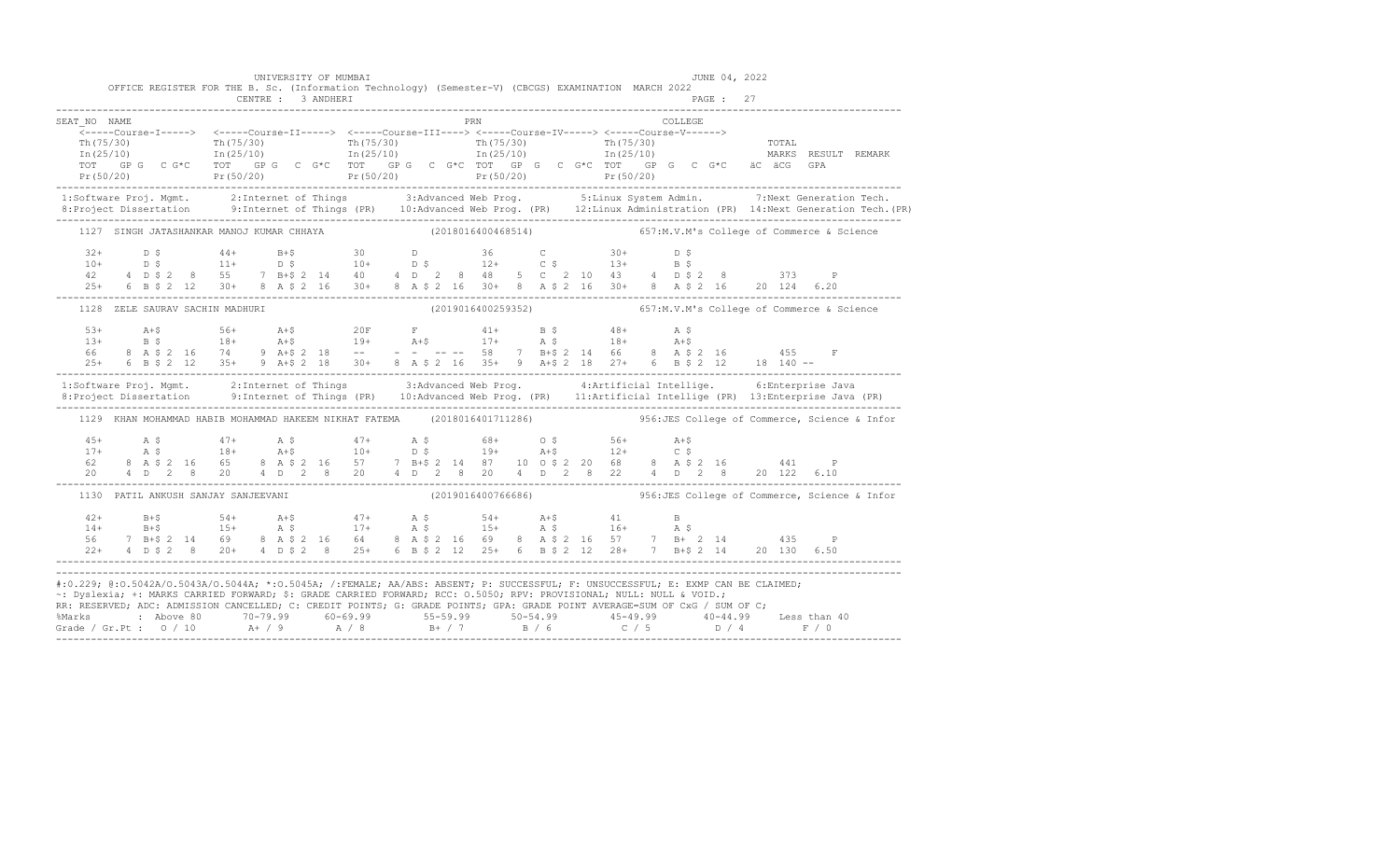|                                                                                                                                                                                                                                                                                                                                                                                        |  |  |                                     |  |                    | UNIVERSITY OF MUMBAI<br>OFFICE REGISTER FOR THE B. Sc. (Information Technology) (Semester-V) (CBCGS) EXAMINATION MARCH 2022 |  |  |     |  |  |          | JUNE 04, 2022 |  |                                                                                                                                                                                                                                                                                                                                                                                                                                                              |  |
|----------------------------------------------------------------------------------------------------------------------------------------------------------------------------------------------------------------------------------------------------------------------------------------------------------------------------------------------------------------------------------------|--|--|-------------------------------------|--|--------------------|-----------------------------------------------------------------------------------------------------------------------------|--|--|-----|--|--|----------|---------------|--|--------------------------------------------------------------------------------------------------------------------------------------------------------------------------------------------------------------------------------------------------------------------------------------------------------------------------------------------------------------------------------------------------------------------------------------------------------------|--|
|                                                                                                                                                                                                                                                                                                                                                                                        |  |  |                                     |  | CENTRE : 3 ANDHERI |                                                                                                                             |  |  |     |  |  |          | PAGE : 27     |  |                                                                                                                                                                                                                                                                                                                                                                                                                                                              |  |
| SEAT NO NAME                                                                                                                                                                                                                                                                                                                                                                           |  |  |                                     |  |                    |                                                                                                                             |  |  | PRN |  |  | COLLEGE. |               |  | $\begin{array}{cccccccc} \texttt{Tr(75/30)} & \texttt{Tr(75/30)} & \texttt{Tr(75/30)} & \texttt{Tr(75/30)} & \texttt{Tr(75/30)} & \texttt{Tr(75/30)} & \texttt{Tr(75/30)} & \texttt{Tr(75/30)} & \texttt{Tr(75/30)} & \texttt{Tr(75/30)} & \texttt{Tr(75/30)} & \texttt{Tr(75/30)} & \texttt{Tr(75/30)} & \texttt{Tr(75/30)} & \texttt{Tr(75/30)} & \texttt{Tr(75/30)} & \texttt{$                                                                           |  |
|                                                                                                                                                                                                                                                                                                                                                                                        |  |  |                                     |  |                    |                                                                                                                             |  |  |     |  |  |          |               |  | 1:Software Proj. Mgmt. 2:Internet of Things 3:Advanced Web Prog. 5:Linux System Admin. 7:Next Generation Tech.                                                                                                                                                                                                                                                                                                                                               |  |
|                                                                                                                                                                                                                                                                                                                                                                                        |  |  |                                     |  |                    |                                                                                                                             |  |  |     |  |  |          |               |  | 1127 SINGH JATASHANKAR MANOJ KUMAR CHHAYA (2018016400468514) 657:M.V.M's College of Commerce & Science                                                                                                                                                                                                                                                                                                                                                       |  |
|                                                                                                                                                                                                                                                                                                                                                                                        |  |  |                                     |  |                    |                                                                                                                             |  |  |     |  |  |          |               |  | $25+$ 6 B \$ 2 12 30 + 8 A \$ 2 16 30 + 8 A \$ 2 16 30 + 8 A \$ 2 16 30 + 8 A \$ 2 16 20 124 6.20                                                                                                                                                                                                                                                                                                                                                            |  |
|                                                                                                                                                                                                                                                                                                                                                                                        |  |  | 1128 ZELE SAURAV SACHIN MADHURI     |  |                    |                                                                                                                             |  |  |     |  |  |          |               |  | (2019016400259352) 657:M.V.M's College of Commerce & Science                                                                                                                                                                                                                                                                                                                                                                                                 |  |
|                                                                                                                                                                                                                                                                                                                                                                                        |  |  |                                     |  |                    |                                                                                                                             |  |  |     |  |  |          |               |  |                                                                                                                                                                                                                                                                                                                                                                                                                                                              |  |
|                                                                                                                                                                                                                                                                                                                                                                                        |  |  |                                     |  |                    |                                                                                                                             |  |  |     |  |  |          |               |  | 1:Software Proj. Mgmt. 2:Internet of Things 3:Advanced Web Prog. 4:Artificial Intellige. 6:Enterprise Java<br>8:Project Dissertation 9:Internet of Things (PR) 10:Advanced Web Prog. (PR) 11:Artificial Intellige (PR) 13:Enterpr                                                                                                                                                                                                                            |  |
|                                                                                                                                                                                                                                                                                                                                                                                        |  |  |                                     |  |                    |                                                                                                                             |  |  |     |  |  |          |               |  | 1129 KHAN MOHAMMAD HABIB MOHAMMAD HAKEEM NIKHAT FATEMA (2018016401711286) 356:JES College of Commerce, Science & Infor                                                                                                                                                                                                                                                                                                                                       |  |
|                                                                                                                                                                                                                                                                                                                                                                                        |  |  |                                     |  |                    |                                                                                                                             |  |  |     |  |  |          |               |  | $\begin{array}{cccccccccccccccc} 45+ & & {\rm A}\ \, S\, & & & 47+ & & {\rm A}\ \, S\, & & & 47+ & & {\rm A}\ \, S\, & & & 18+ & & {\rm A}+ \$ & & & \\ 17+ & & {\rm A}\ \, S\, & & & 18+ & & {\rm A}+ \$ & & & 10+ & & {\rm D}\ \, S\, & & & 19+ & & {\rm A}+ \$ & & & 12+ & & {\rm C}\ \, S\, & & & 8& {\rm A}\ \, S\, \, 2& 16 & & 65 & & 8 & {\rm A}\ \, S\, \, 2& 0 & & 4& {\rm$                                                                        |  |
|                                                                                                                                                                                                                                                                                                                                                                                        |  |  | 1130 PATIL ANKUSH SANJAY SANJEEVANI |  |                    |                                                                                                                             |  |  |     |  |  |          |               |  | (2019016400766686)  956: JES College of Commerce, Science & Infor                                                                                                                                                                                                                                                                                                                                                                                            |  |
|                                                                                                                                                                                                                                                                                                                                                                                        |  |  |                                     |  |                    |                                                                                                                             |  |  |     |  |  |          |               |  | $\begin{array}{cccccccccccccccc} 42+ & & & B+\$ & & & & 54+ & & A+\$ & & & 47+ & & A$ & & & 54+ & & A+\$ & & & 41 & & B \\ 14+ & & & B+\$ & & & 15+ & & A$ & & & 17+ & & A$ & & & 15+ & & A$ & & & 16+ & & A$ & & & \\ 56 & & 7 & B+\$ & 2 & 14 & 69 & & 8 & A$ & 2 & 16 & 64 & & 8 & A$ & 2 & 16 & 69 & & 8 & A$ & 2 & 2 & 16 & 57 & & 7 & B+\ 2 & 14 & & & &$<br>22+ 4 D \$ 2 8 20+ 4 D \$ 2 8 25+ 6 B \$ 2 12 25+ 6 B \$ 2 12 28+ 7 B+\$ 2 14 20 130 6.50 |  |
| #:0.229; @:0.5042A/0.5043A/0.5044A; *:0.5045A; /:FEMALE; AA/ABS: ABSENT; P: SUCCESSFUL; F: UNSUCCESSFUL; E: EXMP CAN BE CLAIMED;<br>~: Dyslexia; +: MARKS CARRIED FORWARD; \$: GRADE CARRIED FORWARD; RCC: 0.5050; RPV: PROVISIONAL; NULL: NULL & VOID.;<br>RR: RESERVED; ADC: ADMISSION CANCELLED; C: CREDIT POINTS; G: GRADE POINTS; GPA: GRADE POINT AVERAGE=SUM OF CxG / SUM OF C; |  |  |                                     |  |                    |                                                                                                                             |  |  |     |  |  |          |               |  |                                                                                                                                                                                                                                                                                                                                                                                                                                                              |  |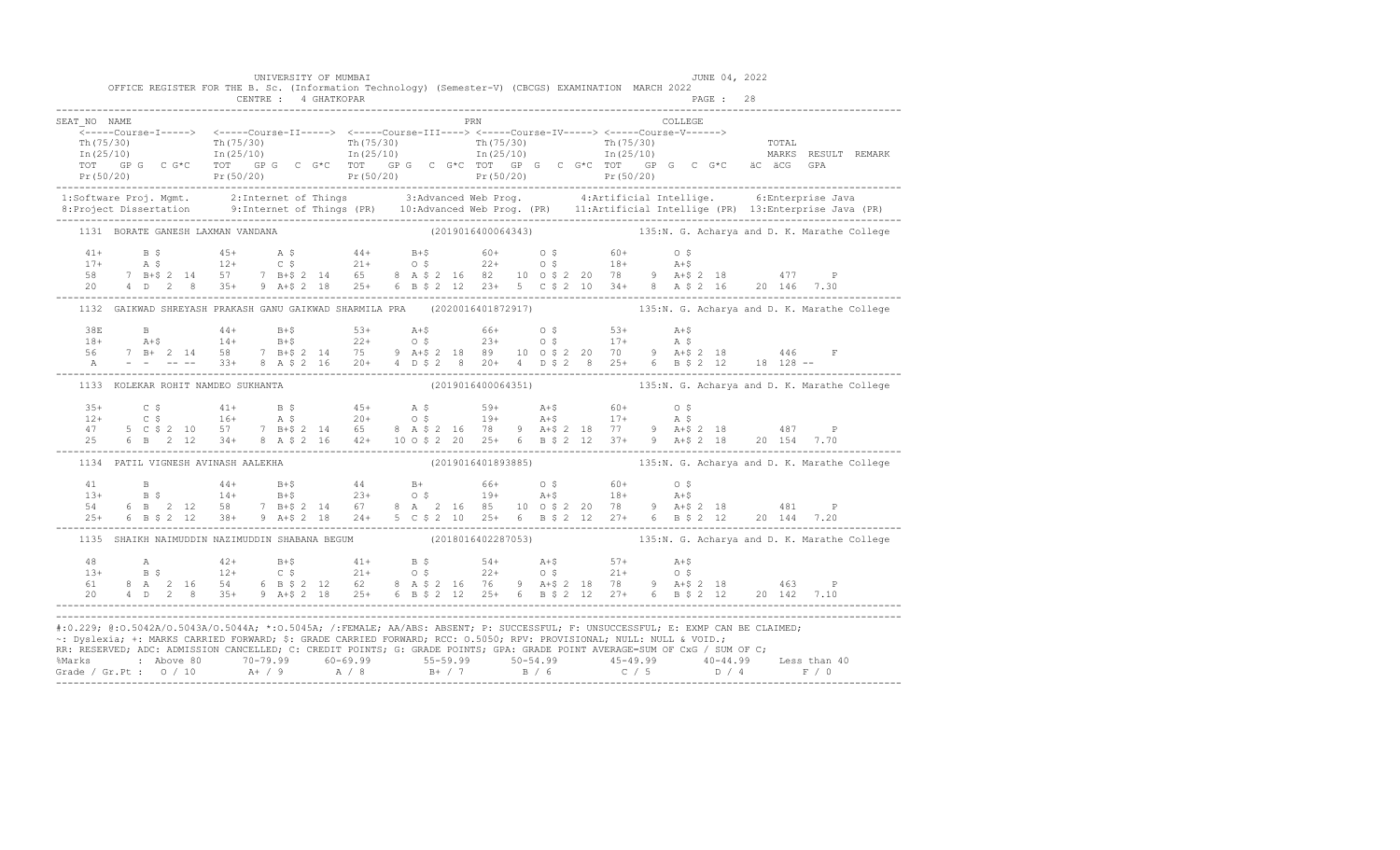|              | OFFICE REGISTER FOR THE B. Sc. (Information Technology) (Semester-V) (CBCGS) EXAMINATION MARCH 2022                              | UNIVERSITY OF MUMBAI |     |  |  | JUNE 04, 2022 |                                                                                                                                                                                                                                                                                                                                                                                                                                                                                                  |
|--------------|----------------------------------------------------------------------------------------------------------------------------------|----------------------|-----|--|--|---------------|--------------------------------------------------------------------------------------------------------------------------------------------------------------------------------------------------------------------------------------------------------------------------------------------------------------------------------------------------------------------------------------------------------------------------------------------------------------------------------------------------|
|              |                                                                                                                                  |                      |     |  |  |               |                                                                                                                                                                                                                                                                                                                                                                                                                                                                                                  |
| SEAT NO NAME |                                                                                                                                  |                      | PRN |  |  | COLLEGE       |                                                                                                                                                                                                                                                                                                                                                                                                                                                                                                  |
|              |                                                                                                                                  |                      |     |  |  |               |                                                                                                                                                                                                                                                                                                                                                                                                                                                                                                  |
|              |                                                                                                                                  |                      |     |  |  |               |                                                                                                                                                                                                                                                                                                                                                                                                                                                                                                  |
|              |                                                                                                                                  |                      |     |  |  |               |                                                                                                                                                                                                                                                                                                                                                                                                                                                                                                  |
|              |                                                                                                                                  |                      |     |  |  |               | $\begin{array}{cccccccc} \texttt{\footnotesize{Tr(75/30)}} & \texttt{\footnotesize{Tr(75/30)}} & \texttt{\footnotesize{Tr(75/30)}} & \texttt{\footnotesize{Tr(75/30)}} & \texttt{\footnotesize{Tr(75/30)}} & \texttt{\footnotesize{Tr(75/30)}} & \texttt{\footnotesize{Tr(75/30)}} & \texttt{\footnotesize{Tr(75/30)}} & \texttt{\footnotesize{Tr(75/30)}} & \texttt{\footnotesize{Tr(75/30)}} & \texttt{\footnotesize{Tr(75/30)}} & \texttt{\footnotesize{Tr(75/30)}} & \texttt{\footnotesize{$ |
|              |                                                                                                                                  |                      |     |  |  |               |                                                                                                                                                                                                                                                                                                                                                                                                                                                                                                  |
|              |                                                                                                                                  |                      |     |  |  |               | 1:Software Proj. Mgmt. 2:Internet of Things 3:Advanced Web Prog. 4:Artificial Intellige. 6:Enterprise Java<br>8:Project Dissertation 9:Internet of Things (PR) 10:Advanced Web Prog. (PR) 11:Artificial Intellige (PR) 13:Enterpr                                                                                                                                                                                                                                                                |
|              |                                                                                                                                  |                      |     |  |  |               | 1131 BORATE GANESH LAXMAN VANDANA (2019016400064343) (2019016400064343) 135:N. G. Acharya and D. K. Marathe College                                                                                                                                                                                                                                                                                                                                                                              |
|              |                                                                                                                                  |                      |     |  |  |               |                                                                                                                                                                                                                                                                                                                                                                                                                                                                                                  |
|              |                                                                                                                                  |                      |     |  |  |               |                                                                                                                                                                                                                                                                                                                                                                                                                                                                                                  |
|              |                                                                                                                                  |                      |     |  |  |               |                                                                                                                                                                                                                                                                                                                                                                                                                                                                                                  |
|              |                                                                                                                                  |                      |     |  |  |               | $\begin{array}{cccccccccccc} 41+ & & B & \xi & & 45+ & A & \xi & & 44+ & B+ \xi & & 60+ & 0 & \xi & & 60+ & 0 & \xi \\ 17+ & & A & \xi & & 12+ & C & \xi & & 21+ & 0 & \xi & & 22+ & 0 & \xi & & 18+ & A+ \xi \\ 58 & & 7 & B+ \xi & 2 & 14 & 57 & 7 & B+ \xi & 2 & 14 & 65 & 8 & A & \xi & 2 & 16 & 82 & 10 & 0 & \xi & 2 & 20 & 78 & 9 & A+ \xi & 2 & 18$                                                                                                                                      |
|              |                                                                                                                                  |                      |     |  |  |               | 1132 GAIKWAD SHREYASH PRAKASH GANU GAIKWAD SHARMILA PRA (2020016401872917) (135:N. G. Acharya and D. K. Marathe College                                                                                                                                                                                                                                                                                                                                                                          |
|              |                                                                                                                                  |                      |     |  |  |               |                                                                                                                                                                                                                                                                                                                                                                                                                                                                                                  |
|              |                                                                                                                                  |                      |     |  |  |               |                                                                                                                                                                                                                                                                                                                                                                                                                                                                                                  |
|              |                                                                                                                                  |                      |     |  |  |               |                                                                                                                                                                                                                                                                                                                                                                                                                                                                                                  |
|              |                                                                                                                                  |                      |     |  |  |               | $\begin{array}{cccccccccccccccc} 38\text{E} & \text{B} & 44+ & \text{B}+\$ & 53+ & \text{A}+\$ & 66+ & 0 \$ & 53+ & \text{A}+\$ \\ 18+ & \text{A}+\$ & 14+ & \text{B}+\$ & 22+ & 0 \$ & 23+ & 0 \$ & 17+ & \text{A} \$ \\ 56 & 7 & \text{B}+ & 2 & 14 & 58 & 7 & \text{B}+\$ & 2 & 14 & 75 & 9 & \text{A}+\$ & 2 & 18 & 89 & 10 & 0 \$& 2 & 20 & 70 & 9 &$                                                                                                                                       |
|              | 1133 KOLEKAR ROHIT NAMDEO SUKHANTA                                                                                               |                      |     |  |  |               | (2019016400064351) 135:N. G. Acharya and D. K. Marathe College                                                                                                                                                                                                                                                                                                                                                                                                                                   |
|              |                                                                                                                                  |                      |     |  |  |               |                                                                                                                                                                                                                                                                                                                                                                                                                                                                                                  |
|              |                                                                                                                                  |                      |     |  |  |               |                                                                                                                                                                                                                                                                                                                                                                                                                                                                                                  |
|              |                                                                                                                                  |                      |     |  |  |               |                                                                                                                                                                                                                                                                                                                                                                                                                                                                                                  |
|              |                                                                                                                                  |                      |     |  |  |               |                                                                                                                                                                                                                                                                                                                                                                                                                                                                                                  |
|              | 1134 PATIL VIGNESH AVINASH AALEKHA                                                                                               |                      |     |  |  |               | (2019016401893885)                               135:N. G. Acharya and D. K. Marathe College                                                                                                                                                                                                                                                                                                                                                                                                     |
|              |                                                                                                                                  |                      |     |  |  |               |                                                                                                                                                                                                                                                                                                                                                                                                                                                                                                  |
|              |                                                                                                                                  |                      |     |  |  |               |                                                                                                                                                                                                                                                                                                                                                                                                                                                                                                  |
|              |                                                                                                                                  |                      |     |  |  |               |                                                                                                                                                                                                                                                                                                                                                                                                                                                                                                  |
|              |                                                                                                                                  |                      |     |  |  |               |                                                                                                                                                                                                                                                                                                                                                                                                                                                                                                  |
|              |                                                                                                                                  |                      |     |  |  |               | 1135 SHAIKH NAIMUDDIN NAZIMUDDIN SHABANA BEGUM (2018016402287053) 135:N. G. Acharya and D. K. Marathe College                                                                                                                                                                                                                                                                                                                                                                                    |
|              |                                                                                                                                  |                      |     |  |  |               |                                                                                                                                                                                                                                                                                                                                                                                                                                                                                                  |
|              |                                                                                                                                  |                      |     |  |  |               |                                                                                                                                                                                                                                                                                                                                                                                                                                                                                                  |
|              |                                                                                                                                  |                      |     |  |  |               |                                                                                                                                                                                                                                                                                                                                                                                                                                                                                                  |
|              |                                                                                                                                  |                      |     |  |  |               | $\begin{array}{cccccccccccc} 48 & \text{A} & 42+ & 5+5 & 41+ & 5 & 54+ & \text{A}+5 & 57+ & \text{A}+5 \\ 13+ & 5 & 5 & 12+ & 5 & 21+ & 0 & 5 & 22+ & 0 & 5 & 21+ & 0 & 5 \\ 61 & 8 & 2 & 16 & 54 & 6 & 5 & 2 & 12 & 8 & \text{A} & 5 & 2 & 16 & 76 & 9 & \text{A}+5 & 2 & 18 & 9 & \text{A}+5 & 2 & 18 & 463 & \text{P} \\ 620$                                                                                                                                                                 |
|              | #:0.229; @:0.5042A/0.5043A/0.5044A; *:0.5045A; /:FEMALE; AA/ABS: ABSENT; P: SUCCESSFUL; F: UNSUCCESSFUL; E: EXMP CAN BE CLAIMED; |                      |     |  |  |               |                                                                                                                                                                                                                                                                                                                                                                                                                                                                                                  |
|              | ~: Dyslexia; +: MARKS CARRIED FORWARD; \$: GRADE CARRIED FORWARD; RCC: 0.5050; RPV: PROVISIONAL; NULL: NULL & VOID.;             |                      |     |  |  |               |                                                                                                                                                                                                                                                                                                                                                                                                                                                                                                  |
|              | RR: RESERVED; ADC: ADMISSION CANCELLED; C: CREDIT POINTS; G: GRADE POINTS; GPA: GRADE POINT AVERAGE=SUM OF CxG / SUM OF C;       |                      |     |  |  |               |                                                                                                                                                                                                                                                                                                                                                                                                                                                                                                  |
|              |                                                                                                                                  |                      |     |  |  |               |                                                                                                                                                                                                                                                                                                                                                                                                                                                                                                  |
|              |                                                                                                                                  |                      |     |  |  |               |                                                                                                                                                                                                                                                                                                                                                                                                                                                                                                  |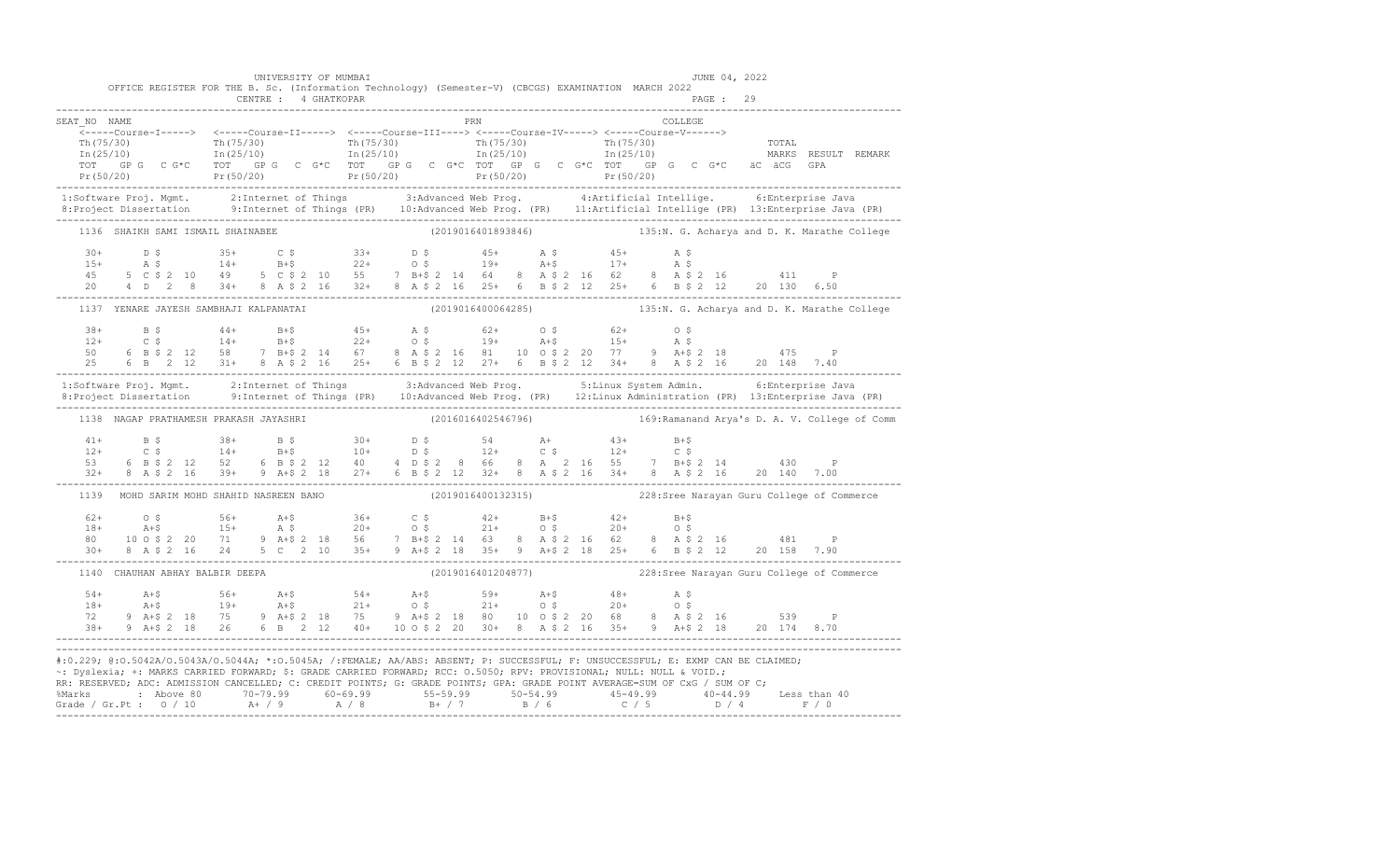|              |                                        | UNIVERSITY OF MUMBAI |     | OFFICE REGISTER FOR THE B. Sc. (Information Technology) (Semester-V) (CBCGS) EXAMINATION MARCH 2022                                                                                                                                                                                                                                                                                    | JUNE 04, 2022<br>PAGE: 29                                                                                                                                                                                                                                                                                                                                                    |
|--------------|----------------------------------------|----------------------|-----|----------------------------------------------------------------------------------------------------------------------------------------------------------------------------------------------------------------------------------------------------------------------------------------------------------------------------------------------------------------------------------------|------------------------------------------------------------------------------------------------------------------------------------------------------------------------------------------------------------------------------------------------------------------------------------------------------------------------------------------------------------------------------|
| SEAT NO NAME |                                        |                      | PRN | COLLEGE<br><-----Course-I-----> <-----Course-II-----> <-----Course-III----> <-----Course-IV-----> <-----Course-V------>                                                                                                                                                                                                                                                                |                                                                                                                                                                                                                                                                                                                                                                              |
| .            |                                        |                      |     |                                                                                                                                                                                                                                                                                                                                                                                        | $\begin{tabular}{lllllllll} $\rm{Tr}\,(75/30)$ & $\rm{Tr}\,(75/30)$ & $\rm{Tr}\,(75/30)$ & $\rm{Tr}\,(75/30)$ & $\rm{Tr}\,(75/30)$ & $\rm{Tr}\,(75/30)$ & $\rm{Tr}\,(75/30)$ & $\rm{Tr}\,(75/30)$ & $\rm{Tr}\,(75/30)$ & $\rm{Tr}\,(75/30)$ & $\rm{Tr}\,(25/10)$ & $\rm{Tr}\,(25/10)$ & $\rm{Tr}\,(25/10)$ & $\rm{Tr}\,(25/10)$ & $\rm{Tr}\,(25/10)$ & $\rm{Tr}\,(25/10)$ &$ |
|              |                                        |                      |     |                                                                                                                                                                                                                                                                                                                                                                                        | 1:Software Proj. Mgmt. 2:Internet of Things 3:Advanced Web Prog. 4:Artificial Intellige. 6:Enterprise Java<br>8:Project Dissertation 9:Internet of Things (PR) 10:Advanced Web Prog. (PR) 11:Artificial Intellige (PR) 13:Enterpr                                                                                                                                            |
|              |                                        |                      |     |                                                                                                                                                                                                                                                                                                                                                                                        | 1136 SHAIKH SAMI ISMAIL SHAINABEE (2019016401893846) 135:N. G. Acharya and D. K. Marathe College                                                                                                                                                                                                                                                                             |
|              |                                        |                      |     |                                                                                                                                                                                                                                                                                                                                                                                        |                                                                                                                                                                                                                                                                                                                                                                              |
|              |                                        |                      |     |                                                                                                                                                                                                                                                                                                                                                                                        | 1137 YENARE JAYESH SAMBHAJI KALPANATAI (2019016400064285) 435:N. G. Acharya and D. K. Marathe College                                                                                                                                                                                                                                                                        |
|              |                                        |                      |     |                                                                                                                                                                                                                                                                                                                                                                                        | $\begin{array}{cccccccccccccccc} 38+ & & B & \xi & & 44+ & B+ \xi & & 45+ & A & \xi & & 62+ & O & \xi & & 62+ & O & \xi \\ 12+ & C & \xi & & 14+ & B+ \xi & & 22+ & O & \xi & & 19+ & A+ \xi & & 15+ & A & \xi \\ 50 & & 6 & B & \xi & 2 & 12 & 58 & 7 & B+ \xi & 2 & 14 & 67 & 8 & A & \xi & 2 & 16 & 81 & 10 & O & \xi & 2 & 20 & 77 & 9 & A+ \xi & 2 & 18 & & 47$         |
|              |                                        |                      |     |                                                                                                                                                                                                                                                                                                                                                                                        | 1:Software Proj. Mgmt. 2:Internet of Things 3:Advanced Web Prog. 5:Linux System Admin. 6:Enterprise Java<br>8:Project Dissertation 9:Internet of Things (PR) 10:Advanced Web Prog. (PR) 12:Linux Administration (PR) 13:Enterpris                                                                                                                                            |
|              | 1138 NAGAP PRATHAMESH PRAKASH JAYASHRI |                      |     |                                                                                                                                                                                                                                                                                                                                                                                        | (2016016402546796) 169: Ramanand Arya's D. A. V. College of Comm                                                                                                                                                                                                                                                                                                             |
|              |                                        |                      |     |                                                                                                                                                                                                                                                                                                                                                                                        | $\begin{array}{cccccccccccc} 41+ & & B & \xi & & 38+ & B & \xi & & 30+ & D & \xi & & 54 & A+ & 43+ & B+ \xi \\ 12+ & & C & \xi & & 14+ & B+ \xi & & 10+ & D & \xi & & 12+ & C & \xi & & 12+ & C & \xi \\ 53 & & 6 & B & \xi & 2 & 12 & 52 & 6 & B & \xi & 2 & 12 & 40 & 4 & D & \xi & 2 & 8 & 66 & 8 & A & 2 & 16 & 55 & 7 & B+ \xi & 2 & 14 & 430 & P \\ 32+ & $            |
|              |                                        |                      |     |                                                                                                                                                                                                                                                                                                                                                                                        | 1139 MOHD SARIM MOHD SHAHID NASREEN BANO (2019016400132315) 228:Sree Narayan Guru College of Commerce                                                                                                                                                                                                                                                                        |
|              |                                        |                      |     |                                                                                                                                                                                                                                                                                                                                                                                        | $\begin{array}{lllllllllllllllllll} \begin{matrix} & 62+ & 0 & 5 & 56+ & 0.4+5 & 36+ & 0.5 & 42+ & 0.4+ & 0.4+ & 0.4+ & 0.4+ & 0.4+ & 0.4+ & 0.4+ & 0.4+ & 0.4+ & 0.4+ & 0.4+ & 0.4+ & 0.4+ & 0.4+ & 0.4+ & 0.4+ & 0.4+ & 0.4+ & 0.4+ & 0.4+ & 0.4+ & 0.4+ & 0.4+ & 0.4+ & 0.4+ & 0.4+ & 0.4$                                                                                |
|              | 1140 CHAUHAN ABHAY BALBIR DEEPA        |                      |     |                                                                                                                                                                                                                                                                                                                                                                                        | (2019016401204877) 228:Sree Narayan Guru College of Commerce                                                                                                                                                                                                                                                                                                                 |
|              |                                        |                      |     |                                                                                                                                                                                                                                                                                                                                                                                        | $\begin{array}{cccccccccccc} 54+ & & & & 56+ & & & 56+ & & & 54+ & & 59+ & & 59+ & & 54+ & & 48+ & & 59+ & & 59+ & & 59+ & & 59+ & & 59+ & & 59+ & & 59+ & & 59+ & & 59+ & & 59+ & & 59+ & & 59+ & & 59+ & & 59+ & & 59+ & & 59+ & & 59+ & & 59+ & & 59+ & & 59+ & & 59+ & & 59+ & & 59+ & & 59+ & & 59+ & & 59+ & & 59$                                                     |
|              |                                        |                      |     | #:0.229; @:0.5042A/0.5043A/0.5044A; *:0.5045A; /:FEMALE; AA/ABS: ABSENT; P: SUCCESSFUL; F: UNSUCCESSFUL; E: EXMP CAN BE CLAIMED;<br>~: Dyslexia; +: MARKS CARRIED FORWARD; \$: GRADE CARRIED FORWARD; RCC: 0.5050; RPV: PROVISIONAL; NULL: NULL & VOID.;<br>RR: RESERVED; ADC: ADMISSION CANCELLED; C: CREDIT POINTS; G: GRADE POINTS; GPA: GRADE POINT AVERAGE=SUM OF CxG / SUM OF C; |                                                                                                                                                                                                                                                                                                                                                                              |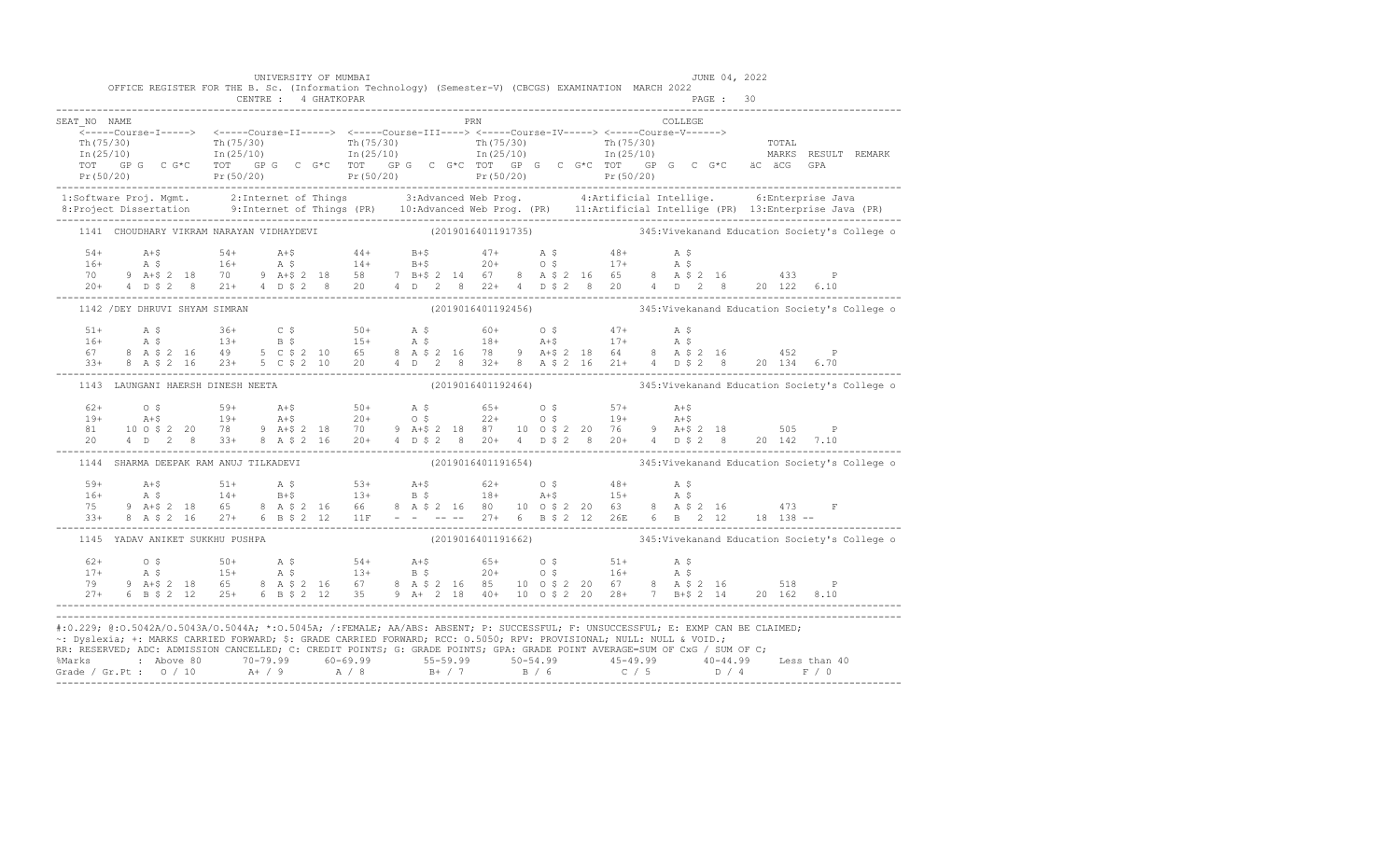|              | OFFICE REGISTER FOR THE B. Sc. (Information Technology) (Semester-V) (CBCGS) EXAMINATION MARCH 2022                  |  | UNIVERSITY OF MUMBAI |     | JUNE 04, 2022                                                                                                                                                                                                                                                                                                                                                                                 |                                                                                                                                                                                                                                                                                                                                                                                                                                                                                                  |
|--------------|----------------------------------------------------------------------------------------------------------------------|--|----------------------|-----|-----------------------------------------------------------------------------------------------------------------------------------------------------------------------------------------------------------------------------------------------------------------------------------------------------------------------------------------------------------------------------------------------|--------------------------------------------------------------------------------------------------------------------------------------------------------------------------------------------------------------------------------------------------------------------------------------------------------------------------------------------------------------------------------------------------------------------------------------------------------------------------------------------------|
|              |                                                                                                                      |  |                      |     |                                                                                                                                                                                                                                                                                                                                                                                               |                                                                                                                                                                                                                                                                                                                                                                                                                                                                                                  |
| SEAT NO NAME |                                                                                                                      |  |                      | PRN | COLLEGE                                                                                                                                                                                                                                                                                                                                                                                       |                                                                                                                                                                                                                                                                                                                                                                                                                                                                                                  |
|              |                                                                                                                      |  |                      |     |                                                                                                                                                                                                                                                                                                                                                                                               |                                                                                                                                                                                                                                                                                                                                                                                                                                                                                                  |
|              |                                                                                                                      |  |                      |     |                                                                                                                                                                                                                                                                                                                                                                                               |                                                                                                                                                                                                                                                                                                                                                                                                                                                                                                  |
|              |                                                                                                                      |  |                      |     |                                                                                                                                                                                                                                                                                                                                                                                               |                                                                                                                                                                                                                                                                                                                                                                                                                                                                                                  |
|              |                                                                                                                      |  |                      |     |                                                                                                                                                                                                                                                                                                                                                                                               | $\begin{array}{cccccccc} \texttt{\footnotesize{Tr(75/30)}} & \texttt{\footnotesize{Tr(75/30)}} & \texttt{\footnotesize{Tr(75/30)}} & \texttt{\footnotesize{Tr(75/30)}} & \texttt{\footnotesize{Tr(75/30)}} & \texttt{\footnotesize{Tr(75/30)}} & \texttt{\footnotesize{Tr(75/30)}} & \texttt{\footnotesize{Tr(75/30)}} & \texttt{\footnotesize{Tr(75/30)}} & \texttt{\footnotesize{Tr(75/30)}} & \texttt{\footnotesize{Tr(75/30)}} & \texttt{\footnotesize{Tr(75/30)}} & \texttt{\footnotesize{$ |
|              |                                                                                                                      |  |                      |     |                                                                                                                                                                                                                                                                                                                                                                                               |                                                                                                                                                                                                                                                                                                                                                                                                                                                                                                  |
|              |                                                                                                                      |  |                      |     |                                                                                                                                                                                                                                                                                                                                                                                               | 1:Software Proj. Mgmt. 2:Internet of Things 3:Advanced Web Prog. 4:Artificial Intellige. 6:Enterprise Java<br>8:Project Dissertation 9:Internet of Things (PR) 10:Advanced Web Prog. (PR) 11:Artificial Intellige (PR) 13:Enterpr                                                                                                                                                                                                                                                                |
|              |                                                                                                                      |  |                      |     |                                                                                                                                                                                                                                                                                                                                                                                               | 1141 CHOUDHARY VIKRAM NARAYAN VIDHAYDEVI (2019016401191735) 345: Vivekanand Education Society's College o                                                                                                                                                                                                                                                                                                                                                                                        |
|              |                                                                                                                      |  |                      |     | $\begin{array}{cccccccccccccccc} 54+ & & & & & & & & & 54+ & & & 4+ & & & & 4+ & & & & 4+ & & & 4+ & & & 4+ & & & 4+ & & & 4+ & & & 4+ & & 4+ & & 4+ & & 4+ & & 4+ & & 4+ & & 4+ & & 4+ & & 4+ & & 4+ & & 4+ & & 4+ & & 4+ & & 4+ & & 4+ & & 4+ & & 4+ & & 4+ & & 4+ & & 4+ & & 4+ & & 4+ & & 4+ & & 4+ & & 4+ & & 4+ & & 4+ & & 4+ & & 4+ & & $                                              |                                                                                                                                                                                                                                                                                                                                                                                                                                                                                                  |
|              |                                                                                                                      |  |                      |     |                                                                                                                                                                                                                                                                                                                                                                                               |                                                                                                                                                                                                                                                                                                                                                                                                                                                                                                  |
|              |                                                                                                                      |  |                      |     |                                                                                                                                                                                                                                                                                                                                                                                               |                                                                                                                                                                                                                                                                                                                                                                                                                                                                                                  |
|              |                                                                                                                      |  |                      |     |                                                                                                                                                                                                                                                                                                                                                                                               |                                                                                                                                                                                                                                                                                                                                                                                                                                                                                                  |
|              | 1142 / DEY DHRUVI SHYAM SIMRAN                                                                                       |  |                      |     |                                                                                                                                                                                                                                                                                                                                                                                               |                                                                                                                                                                                                                                                                                                                                                                                                                                                                                                  |
|              |                                                                                                                      |  |                      |     |                                                                                                                                                                                                                                                                                                                                                                                               |                                                                                                                                                                                                                                                                                                                                                                                                                                                                                                  |
|              |                                                                                                                      |  |                      |     |                                                                                                                                                                                                                                                                                                                                                                                               |                                                                                                                                                                                                                                                                                                                                                                                                                                                                                                  |
|              |                                                                                                                      |  |                      |     |                                                                                                                                                                                                                                                                                                                                                                                               |                                                                                                                                                                                                                                                                                                                                                                                                                                                                                                  |
|              |                                                                                                                      |  |                      |     |                                                                                                                                                                                                                                                                                                                                                                                               |                                                                                                                                                                                                                                                                                                                                                                                                                                                                                                  |
|              | 1143 LAUNGANI HAERSH DINESH NEETA                                                                                    |  |                      |     |                                                                                                                                                                                                                                                                                                                                                                                               | (2019016401192464) 345: Vivekanand Education Society's College of                                                                                                                                                                                                                                                                                                                                                                                                                                |
|              |                                                                                                                      |  |                      |     |                                                                                                                                                                                                                                                                                                                                                                                               |                                                                                                                                                                                                                                                                                                                                                                                                                                                                                                  |
|              |                                                                                                                      |  |                      |     |                                                                                                                                                                                                                                                                                                                                                                                               |                                                                                                                                                                                                                                                                                                                                                                                                                                                                                                  |
|              |                                                                                                                      |  |                      |     |                                                                                                                                                                                                                                                                                                                                                                                               |                                                                                                                                                                                                                                                                                                                                                                                                                                                                                                  |
|              |                                                                                                                      |  |                      |     |                                                                                                                                                                                                                                                                                                                                                                                               | $\begin{array}{lllllllllllllll} 62+&\quad \bullet\,8&\quad \ 59+&\quad \text{A+$$\uparrow$}&\quad \text{50+}&\quad \text{A$\uparrow$}&\quad \text{65+}&\quad \text{0$\uparrow$}&\quad \text{57+}&\quad \text{A+$$\uparrow$}\\ 19+&\quad \text{A+$$\uparrow$}&\quad 19+&\quad \text{A+$$\uparrow$}&\quad \text{20+}&\quad \text{0$\uparrow$}&\quad \text{22+}&\quad \text{0$\uparrow$}&\quad \text{39+}&\quad \text{A+$$\uparrow$}\\ 81&\quad 10\$                                                |
|              | 1144 SHARMA DEEPAK RAM ANUJ TILKADEVI                                                                                |  |                      |     |                                                                                                                                                                                                                                                                                                                                                                                               | (2019016401191654) 345: Vivekanand Education Society's College o                                                                                                                                                                                                                                                                                                                                                                                                                                 |
|              |                                                                                                                      |  |                      |     | $\begin{array}{cccccccccccccccc} \text{59+} & \text{A+$ & \text{51+} & \text{A$ & $\text{$S}$ & \text{53+} & \text{A+$ & \text{62+} & \text{O$ & $\text{$48+} & \text{A$ & $\text{$S}$} \\ 16+ & \text{A$} & \text{S} & 14+ & \text{B+$ & \text{13+} & \text{B$ & $\text{$S}$ & \text{18+} & \text{A+$ & \text{15+} & \text{A$ & $\text{$S}$ \\ 75 & 9 A+$ & 2 18 & 65 & 8 A $ & 2 16 & 66 &$ |                                                                                                                                                                                                                                                                                                                                                                                                                                                                                                  |
|              |                                                                                                                      |  |                      |     |                                                                                                                                                                                                                                                                                                                                                                                               |                                                                                                                                                                                                                                                                                                                                                                                                                                                                                                  |
|              |                                                                                                                      |  |                      |     |                                                                                                                                                                                                                                                                                                                                                                                               |                                                                                                                                                                                                                                                                                                                                                                                                                                                                                                  |
|              |                                                                                                                      |  |                      |     |                                                                                                                                                                                                                                                                                                                                                                                               |                                                                                                                                                                                                                                                                                                                                                                                                                                                                                                  |
|              | 1145 YADAV ANIKET SUKKHU PUSHPA                                                                                      |  |                      |     |                                                                                                                                                                                                                                                                                                                                                                                               | (2019016401191662) 345: Vivekanand Education Society's College o                                                                                                                                                                                                                                                                                                                                                                                                                                 |
|              |                                                                                                                      |  |                      |     |                                                                                                                                                                                                                                                                                                                                                                                               |                                                                                                                                                                                                                                                                                                                                                                                                                                                                                                  |
|              |                                                                                                                      |  |                      |     |                                                                                                                                                                                                                                                                                                                                                                                               |                                                                                                                                                                                                                                                                                                                                                                                                                                                                                                  |
|              |                                                                                                                      |  |                      |     |                                                                                                                                                                                                                                                                                                                                                                                               |                                                                                                                                                                                                                                                                                                                                                                                                                                                                                                  |
|              |                                                                                                                      |  |                      |     |                                                                                                                                                                                                                                                                                                                                                                                               |                                                                                                                                                                                                                                                                                                                                                                                                                                                                                                  |
|              |                                                                                                                      |  |                      |     |                                                                                                                                                                                                                                                                                                                                                                                               |                                                                                                                                                                                                                                                                                                                                                                                                                                                                                                  |
|              | ~: Dyslexia; +: MARKS CARRIED FORWARD; \$: GRADE CARRIED FORWARD; RCC: 0.5050; RPV: PROVISIONAL; NULL: NULL & VOID.; |  |                      |     | #:0.229; @:0.5042A/0.5043A/0.5044A; *:0.5045A; /:FEMALE; AA/ABS: ABSENT; P: SUCCESSFUL; F: UNSUCCESSFUL; E: EXMP CAN BE CLAIMED;                                                                                                                                                                                                                                                              |                                                                                                                                                                                                                                                                                                                                                                                                                                                                                                  |
|              |                                                                                                                      |  |                      |     | RR: RESERVED; ADC: ADMISSION CANCELLED; C: CREDIT POINTS; G: GRADE POINTS; GPA: GRADE POINT AVERAGE=SUM OF CxG / SUM OF C;                                                                                                                                                                                                                                                                    |                                                                                                                                                                                                                                                                                                                                                                                                                                                                                                  |
|              |                                                                                                                      |  |                      |     |                                                                                                                                                                                                                                                                                                                                                                                               |                                                                                                                                                                                                                                                                                                                                                                                                                                                                                                  |
|              |                                                                                                                      |  |                      |     |                                                                                                                                                                                                                                                                                                                                                                                               | % Marks : Above 80 70-79.99 60-69.99 55-59.99 50-54.99 45-49.99 40-44.99 Less than 40<br>Grade / Gr.Pt : 0 / 10 A+ / 9 A / 8 B+ / 7 B / 6 C / 5 D / 4 F / 0                                                                                                                                                                                                                                                                                                                                      |
|              |                                                                                                                      |  |                      |     |                                                                                                                                                                                                                                                                                                                                                                                               |                                                                                                                                                                                                                                                                                                                                                                                                                                                                                                  |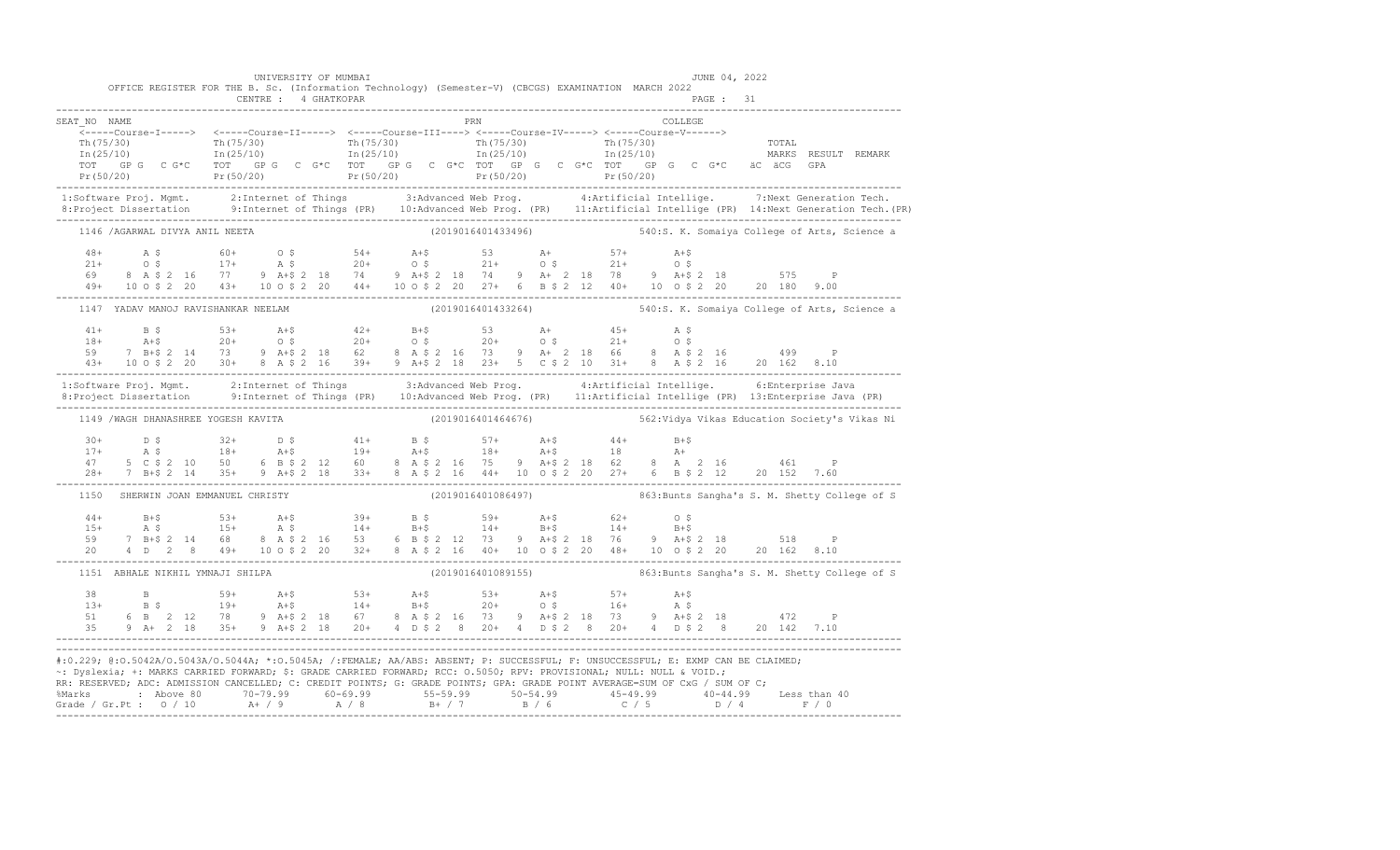|              |                                                                                                                                                                                                                                                                                                                                                                                        | UNIVERSITY OF MUMBAI |     |                    | OFFICE REGISTER FOR THE B. Sc. (Information Technology) (Semester-V) (CBCGS) EXAMINATION MARCH 2022 | JUNE 04, 2022 |                                                                                                                                                                                                                                                                                                                                                                                         |
|--------------|----------------------------------------------------------------------------------------------------------------------------------------------------------------------------------------------------------------------------------------------------------------------------------------------------------------------------------------------------------------------------------------|----------------------|-----|--------------------|-----------------------------------------------------------------------------------------------------|---------------|-----------------------------------------------------------------------------------------------------------------------------------------------------------------------------------------------------------------------------------------------------------------------------------------------------------------------------------------------------------------------------------------|
|              |                                                                                                                                                                                                                                                                                                                                                                                        |                      |     |                    |                                                                                                     | PAGE : 31     |                                                                                                                                                                                                                                                                                                                                                                                         |
| SEAT NO NAME |                                                                                                                                                                                                                                                                                                                                                                                        |                      | PRN |                    |                                                                                                     | COLLEGE       |                                                                                                                                                                                                                                                                                                                                                                                         |
|              |                                                                                                                                                                                                                                                                                                                                                                                        |                      |     |                    |                                                                                                     |               | $\frac{\text{Th}(75/30)}{\text{Th}(25/10)}$ $\frac{\text{Th}(75/30)}{\text{In}(25/10)}$ $\frac{\text{Th}(75/30)}{\text{In}(25/10)}$ $\frac{\text{Th}(75/30)}{\text{In}(25/10)}$ $\frac{\text{Th}(75/30)}{\text{In}(25/10)}$ $\frac{\text{Tr}(75/30)}{\text{In}(25/10)}$ $\frac{\text{Tr}(75/30)}{\text{In}(25/10)}$ $\frac{\text{Tr}(75/30)}{\text{In}(25/10)}$                         |
|              |                                                                                                                                                                                                                                                                                                                                                                                        |                      |     |                    |                                                                                                     |               | 1:Software Proj. Mgmt. 2:Internet of Things 3:Advanced Web Prog. 4:Artificial Intellige. 7:Next Generation Tech.<br>8:Project Dissertation 9:Internet of Things (PR) 10:Advanced Web Prog. (PR) 11:Artificial Intellige (PR) 14:N                                                                                                                                                       |
|              | 1146 /AGARWAL DIVYA ANIL NEETA                                                                                                                                                                                                                                                                                                                                                         |                      |     |                    |                                                                                                     |               | (2019016401433496) 540:S. K. Somaiya College of Arts, Science a                                                                                                                                                                                                                                                                                                                         |
|              |                                                                                                                                                                                                                                                                                                                                                                                        |                      |     |                    |                                                                                                     |               |                                                                                                                                                                                                                                                                                                                                                                                         |
|              |                                                                                                                                                                                                                                                                                                                                                                                        |                      |     |                    |                                                                                                     |               | 1147 YADAV MANOJ RAVISHANKAR NEELAM (2019016401433264) 540:S. K. Somaiya College of Arts, Science a                                                                                                                                                                                                                                                                                     |
|              |                                                                                                                                                                                                                                                                                                                                                                                        |                      |     |                    |                                                                                                     |               | $\begin{array}{cccccccccccccccc} 41+ & & B & \xi & & & 53+ & & A+\xi & & 42+ & & B+\xi & & 53 & & A+ & & 45+ & A & \xi \\ 18+ & & A+\xi & & 20+ & & 0 & \xi & & 20+ & 0 & \xi & & 20+ & 0 & \xi & & 21+ & 0 & \xi \\ 59 & & 7 & B+\xi & 2 & 14 & & 73 & 9 & A+\xi & 2 & 18 & 62 & 8 & A & \xi & 2 & 16 & 73 & 9 & A+ & 2 & 18 & 66 & 8 & A & \xi & 2 & 16 & & 49$                       |
|              |                                                                                                                                                                                                                                                                                                                                                                                        |                      |     |                    |                                                                                                     |               | 1:Software Proj. Mgmt. 2:Internet of Things 3:Advanced Web Prog. 4:Artificial Intellige. 6:Enterprise Java<br>8:Project Dissertation 9:Internet of Things (PR) 10:Advanced Web Prog. (PR) 11:Artificial Intellige (PR) 13:Enterpr                                                                                                                                                       |
|              | 1149 / WAGH DHANASHREE YOGESH KAVITA                                                                                                                                                                                                                                                                                                                                                   |                      |     | (2019016401464676) |                                                                                                     |               | 562:Vidya Vikas Education Society's Vikas Ni                                                                                                                                                                                                                                                                                                                                            |
|              |                                                                                                                                                                                                                                                                                                                                                                                        |                      |     |                    |                                                                                                     |               | $\begin{array}{cccccccccccc} 30+ & & D & \xi & & 32+ & D & \xi & & 41+ & B & \xi & & 57+ & A+ \xi & & 44+ & B+ \xi \\ 17+ & & A & \xi & & 18+ & & A+ \xi & & 19+ & A+ \xi & & 18+ & A+ \xi & & 18 & & A+ & 18 \\ 47 & & 5 & C & \xi & 2 & 10 & 50 & 6 & B & \xi & 2 & 12 & 60 & 8 & A & \xi & 2 & 16 & 75 & 9 & A+ \xi & 2 & 18 & 62 & 8 & A & 2 & 16 & & 461$                          |
| 1150         |                                                                                                                                                                                                                                                                                                                                                                                        |                      |     |                    |                                                                                                     |               | SHERWIN JOAN EMMANUEL CHRISTY (2019016401086497) 663:Bunts Sangha's S. M. Shetty College of S                                                                                                                                                                                                                                                                                           |
|              |                                                                                                                                                                                                                                                                                                                                                                                        |                      |     |                    |                                                                                                     |               | $\begin{array}{cccccccccccccccc} 44+ & & & B+ \hat{S} & & & & 53+ & & \text{A}+ \hat{S} & & & 39+ & & \text{B} & \hat{S} & & & 59+ & & \text{A}+ \hat{S} & & & 62+ & & \text{O} & \hat{S} \\ 15+ & & & \text{A} & \text{S} & & & 15+ & & \text{A} & \text{S} & & & 14+ & & \text{B}+ \hat{S} & & & 14+ & & \text{B}+ \hat{S} & & & 14+ & & \text{B}+ \hat{S} & & & 14+ & & \text{B}+ \$ |
|              | 1151 ABHALE NIKHIL YMNAJI SHILPA                                                                                                                                                                                                                                                                                                                                                       |                      |     |                    |                                                                                                     |               | (2019016401089155) 863: Bunts Sangha's S. M. Shetty College of S                                                                                                                                                                                                                                                                                                                        |
| 38<br>$13+$  | 51 7<br>35 9 A+ 2 18 35 + 9 A+ \$ 2 18 20 + 4 D \$ 2 8 20 + 4 D \$ 2 8 20 + 4 D \$ 2 8 20 142 7.10                                                                                                                                                                                                                                                                                     |                      |     |                    |                                                                                                     |               |                                                                                                                                                                                                                                                                                                                                                                                         |
|              | #:0.229; @:0.5042A/0.5043A/0.5044A; *:0.5045A; /:FEMALE; AA/ABS: ABSENT; P: SUCCESSFUL; F: UNSUCCESSFUL; E: EXMP CAN BE CLAIMED;<br>-: Dyslexia; +: MARKS CARRIED FORWARD; \$: GRADE CARRIED FORWARD; RCC: 0.5050; RPV: PROVISIONAL; NULL: NULL & VOID.;<br>RR: RESERVED; ADC: ADMISSION CANCELLED; C: CREDIT POINTS; G: GRADE POINTS; GPA: GRADE POINT AVERAGE=SUM OF CxG / SUM OF C; |                      |     |                    |                                                                                                     |               |                                                                                                                                                                                                                                                                                                                                                                                         |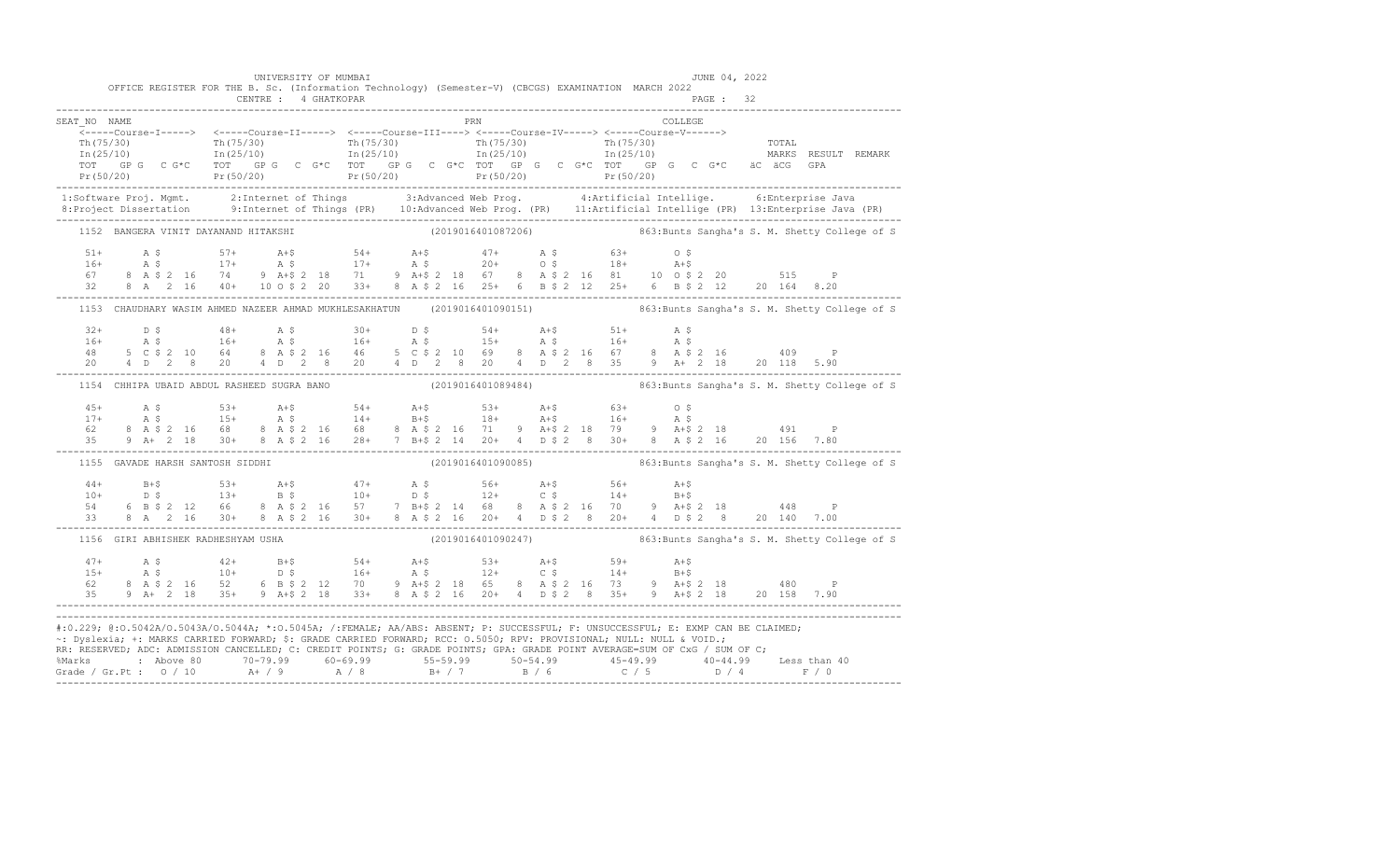|                                                                                                                                                                                                                                                       |  |                                    |  | UNIVERSITY OF MUMBAI | OFFICE REGISTER FOR THE B. Sc. (Information Technology) (Semester-V) (CBCGS) EXAMINATION MARCH 2022                                                                                                                                                                                                                                                           |  |  |     |  |         | JUNE 04, 2022 |  |                                                                                                                                                                                                                                                                                                                                                                                    |
|-------------------------------------------------------------------------------------------------------------------------------------------------------------------------------------------------------------------------------------------------------|--|------------------------------------|--|----------------------|---------------------------------------------------------------------------------------------------------------------------------------------------------------------------------------------------------------------------------------------------------------------------------------------------------------------------------------------------------------|--|--|-----|--|---------|---------------|--|------------------------------------------------------------------------------------------------------------------------------------------------------------------------------------------------------------------------------------------------------------------------------------------------------------------------------------------------------------------------------------|
|                                                                                                                                                                                                                                                       |  |                                    |  |                      |                                                                                                                                                                                                                                                                                                                                                               |  |  |     |  |         |               |  |                                                                                                                                                                                                                                                                                                                                                                                    |
| SEAT NO NAME                                                                                                                                                                                                                                          |  |                                    |  |                      |                                                                                                                                                                                                                                                                                                                                                               |  |  | PRN |  | COLLEGE |               |  |                                                                                                                                                                                                                                                                                                                                                                                    |
|                                                                                                                                                                                                                                                       |  |                                    |  |                      |                                                                                                                                                                                                                                                                                                                                                               |  |  |     |  |         |               |  |                                                                                                                                                                                                                                                                                                                                                                                    |
|                                                                                                                                                                                                                                                       |  |                                    |  |                      |                                                                                                                                                                                                                                                                                                                                                               |  |  |     |  |         |               |  |                                                                                                                                                                                                                                                                                                                                                                                    |
|                                                                                                                                                                                                                                                       |  |                                    |  |                      |                                                                                                                                                                                                                                                                                                                                                               |  |  |     |  |         |               |  |                                                                                                                                                                                                                                                                                                                                                                                    |
|                                                                                                                                                                                                                                                       |  |                                    |  |                      |                                                                                                                                                                                                                                                                                                                                                               |  |  |     |  |         |               |  | $\begin{array}{cccccccc} \texttt{Tr}(75/30) & \texttt{Tr}(75/30) & \texttt{Tr}(75/30) & \texttt{Tr}(75/30) & \texttt{Tr}(75/30) & \texttt{Tr}(75/30) & \texttt{Tr}(75/30) & \texttt{Tr}(75/30) & \texttt{Tr}(75/30) & \texttt{Tr}(75/30) & \texttt{Tr}(75/30) & \texttt{Tr}(75/30) & \texttt{Tr}(75/30) & \texttt{Tr}(75/30) & \texttt{Tr}(75/30) & \texttt{Tr}(75/30) & \texttt{$ |
|                                                                                                                                                                                                                                                       |  |                                    |  |                      |                                                                                                                                                                                                                                                                                                                                                               |  |  |     |  |         |               |  | 1:Software Proj. Mgmt. 2:Internet of Things 3:Advanced Web Prog. 4:Artificial Intellige. 6:Enterprise Java<br>8:Project Dissertation 9:Internet of Things (PR) 10:Advanced Web Prog. (PR) 11:Artificial Intellige (PR) 13:Enterpr                                                                                                                                                  |
|                                                                                                                                                                                                                                                       |  |                                    |  |                      |                                                                                                                                                                                                                                                                                                                                                               |  |  |     |  |         |               |  | 1152 BANGERA VINIT DAYANAND HITAKSHI (2019016401087206) 863:Bunts Sangha's S. M. Shetty College of S                                                                                                                                                                                                                                                                               |
|                                                                                                                                                                                                                                                       |  |                                    |  |                      |                                                                                                                                                                                                                                                                                                                                                               |  |  |     |  |         |               |  |                                                                                                                                                                                                                                                                                                                                                                                    |
|                                                                                                                                                                                                                                                       |  |                                    |  |                      |                                                                                                                                                                                                                                                                                                                                                               |  |  |     |  |         |               |  |                                                                                                                                                                                                                                                                                                                                                                                    |
|                                                                                                                                                                                                                                                       |  |                                    |  |                      |                                                                                                                                                                                                                                                                                                                                                               |  |  |     |  |         |               |  |                                                                                                                                                                                                                                                                                                                                                                                    |
|                                                                                                                                                                                                                                                       |  |                                    |  |                      | $\begin{array}{cccccccccccccccc} 51+ & & {\rm A}\ \ \, & \, 5 & 5 & 57+ & & {\rm A}+8 & & 54+ & {\rm A}+8 & & 47+ & {\rm A}\ \ \, & \, 5 & 6 & 3 & 63+ & 0\ \ \, & \, 6 & 8 & 8 & 17+ & {\rm A}\ \ \, & \, 6 & 7 & 8 & {\rm A}\ \ \, & \, 2 & 16 & 74 & 9 & {\rm A}+8 & 2 & 18 & 71 & 9 & {\rm A}+8 & 2 & 18 & 67 & 8 & {\rm A}\ \ \, & \, 5 & 2 & 16 & 81 &$ |  |  |     |  |         |               |  |                                                                                                                                                                                                                                                                                                                                                                                    |
|                                                                                                                                                                                                                                                       |  |                                    |  |                      |                                                                                                                                                                                                                                                                                                                                                               |  |  |     |  |         |               |  | 1153 CHAUDHARY WASIM AHMED NAZEER AHMAD MUKHLESAKHATUN (2019016401090151) 863:Bunts Sangha's S. M. Shetty College of S                                                                                                                                                                                                                                                             |
|                                                                                                                                                                                                                                                       |  |                                    |  |                      |                                                                                                                                                                                                                                                                                                                                                               |  |  |     |  |         |               |  |                                                                                                                                                                                                                                                                                                                                                                                    |
|                                                                                                                                                                                                                                                       |  |                                    |  |                      |                                                                                                                                                                                                                                                                                                                                                               |  |  |     |  |         |               |  |                                                                                                                                                                                                                                                                                                                                                                                    |
|                                                                                                                                                                                                                                                       |  |                                    |  |                      |                                                                                                                                                                                                                                                                                                                                                               |  |  |     |  |         |               |  |                                                                                                                                                                                                                                                                                                                                                                                    |
|                                                                                                                                                                                                                                                       |  |                                    |  |                      |                                                                                                                                                                                                                                                                                                                                                               |  |  |     |  |         |               |  |                                                                                                                                                                                                                                                                                                                                                                                    |
|                                                                                                                                                                                                                                                       |  |                                    |  |                      |                                                                                                                                                                                                                                                                                                                                                               |  |  |     |  |         |               |  | 1154 CHHIPA UBAID ABDUL RASHEED SUGRA BANO (2019016401089484) 863:Bunts Sangha's S. M. Shetty College of S                                                                                                                                                                                                                                                                         |
| $45+$                                                                                                                                                                                                                                                 |  |                                    |  |                      | 4 \$53+ 4+\$54+ 4+\$53+ 4+\$63+ 0 \$<br>4 \$15+ 4 \$14+ B+\$18+ 4+\$16+ 4 \$<br>8 4 \$2 16 68 \$4 \$2 16 68 \$4 \$2 16 71 \$4 4 \$2 18 79 \$4 + \$2 18 491 \$                                                                                                                                                                                                 |  |  |     |  |         |               |  |                                                                                                                                                                                                                                                                                                                                                                                    |
| $17+$                                                                                                                                                                                                                                                 |  |                                    |  |                      |                                                                                                                                                                                                                                                                                                                                                               |  |  |     |  |         |               |  |                                                                                                                                                                                                                                                                                                                                                                                    |
| 62                                                                                                                                                                                                                                                    |  |                                    |  |                      |                                                                                                                                                                                                                                                                                                                                                               |  |  |     |  |         |               |  |                                                                                                                                                                                                                                                                                                                                                                                    |
|                                                                                                                                                                                                                                                       |  |                                    |  |                      |                                                                                                                                                                                                                                                                                                                                                               |  |  |     |  |         |               |  |                                                                                                                                                                                                                                                                                                                                                                                    |
|                                                                                                                                                                                                                                                       |  | 1155 GAVADE HARSH SANTOSH SIDDHI   |  |                      |                                                                                                                                                                                                                                                                                                                                                               |  |  |     |  |         |               |  | (2019016401090085) 863: Bunts Sangha's S. M. Shetty College of S                                                                                                                                                                                                                                                                                                                   |
|                                                                                                                                                                                                                                                       |  |                                    |  |                      |                                                                                                                                                                                                                                                                                                                                                               |  |  |     |  |         |               |  |                                                                                                                                                                                                                                                                                                                                                                                    |
|                                                                                                                                                                                                                                                       |  |                                    |  |                      |                                                                                                                                                                                                                                                                                                                                                               |  |  |     |  |         |               |  |                                                                                                                                                                                                                                                                                                                                                                                    |
|                                                                                                                                                                                                                                                       |  |                                    |  |                      |                                                                                                                                                                                                                                                                                                                                                               |  |  |     |  |         |               |  |                                                                                                                                                                                                                                                                                                                                                                                    |
|                                                                                                                                                                                                                                                       |  |                                    |  |                      |                                                                                                                                                                                                                                                                                                                                                               |  |  |     |  |         |               |  |                                                                                                                                                                                                                                                                                                                                                                                    |
|                                                                                                                                                                                                                                                       |  | 1156 GIRI ABHISHEK RADHESHYAM USHA |  |                      |                                                                                                                                                                                                                                                                                                                                                               |  |  |     |  |         |               |  | (2019016401090247) 863: Bunts Sangha's S. M. Shetty College of S                                                                                                                                                                                                                                                                                                                   |
|                                                                                                                                                                                                                                                       |  |                                    |  |                      |                                                                                                                                                                                                                                                                                                                                                               |  |  |     |  |         |               |  |                                                                                                                                                                                                                                                                                                                                                                                    |
|                                                                                                                                                                                                                                                       |  |                                    |  |                      |                                                                                                                                                                                                                                                                                                                                                               |  |  |     |  |         |               |  |                                                                                                                                                                                                                                                                                                                                                                                    |
|                                                                                                                                                                                                                                                       |  |                                    |  |                      |                                                                                                                                                                                                                                                                                                                                                               |  |  |     |  |         |               |  |                                                                                                                                                                                                                                                                                                                                                                                    |
| 47+ A \$ 42+ B+\$ 54+ A+\$ 53+ A+\$ 59+ A+\$<br>15+ A \$ 10+ D \$ 16+ A \$ 12+ C \$ 14+ B+\$<br>62 8 A \$ 2 16 52 6 B \$ 2 12 70 9 A+\$ 2 18 65 8 A \$ 2 16 73 9 A+\$ 2 18 480 P<br>35 9 A+ 2 18 35+ 9 A+\$ 2 18 33+ 8 A \$ 2 16 20+ 4 D \$ 2 8 35+ 9 |  |                                    |  |                      |                                                                                                                                                                                                                                                                                                                                                               |  |  |     |  |         |               |  |                                                                                                                                                                                                                                                                                                                                                                                    |
| #:0.229; @:0.5042A/0.5043A/0.5044A; *:0.5045A; /:FEMALE; AA/ABS: ABSENT; P: SUCCESSFUL; F: UNSUCCESSFUL; E: EXMP CAN BE CLAIMED;                                                                                                                      |  |                                    |  |                      |                                                                                                                                                                                                                                                                                                                                                               |  |  |     |  |         |               |  |                                                                                                                                                                                                                                                                                                                                                                                    |
|                                                                                                                                                                                                                                                       |  |                                    |  |                      |                                                                                                                                                                                                                                                                                                                                                               |  |  |     |  |         |               |  |                                                                                                                                                                                                                                                                                                                                                                                    |
| ~: Dyslexia; +: MARKS CARRIED FORWARD; \$: GRADE CARRIED FORWARD; RCC: 0.5050; RPV: PROVISIONAL; NULL: NULL & VOID.;                                                                                                                                  |  |                                    |  |                      |                                                                                                                                                                                                                                                                                                                                                               |  |  |     |  |         |               |  |                                                                                                                                                                                                                                                                                                                                                                                    |
| RR: RESERVED; ADC: ADMISSION CANCELLED; C: CREDIT POINTS; G: GRADE POINTS; GPA: GRADE POINT AVERAGE=SUM OF CxG / SUM OF C;                                                                                                                            |  |                                    |  |                      |                                                                                                                                                                                                                                                                                                                                                               |  |  |     |  |         |               |  |                                                                                                                                                                                                                                                                                                                                                                                    |
|                                                                                                                                                                                                                                                       |  |                                    |  |                      |                                                                                                                                                                                                                                                                                                                                                               |  |  |     |  |         |               |  |                                                                                                                                                                                                                                                                                                                                                                                    |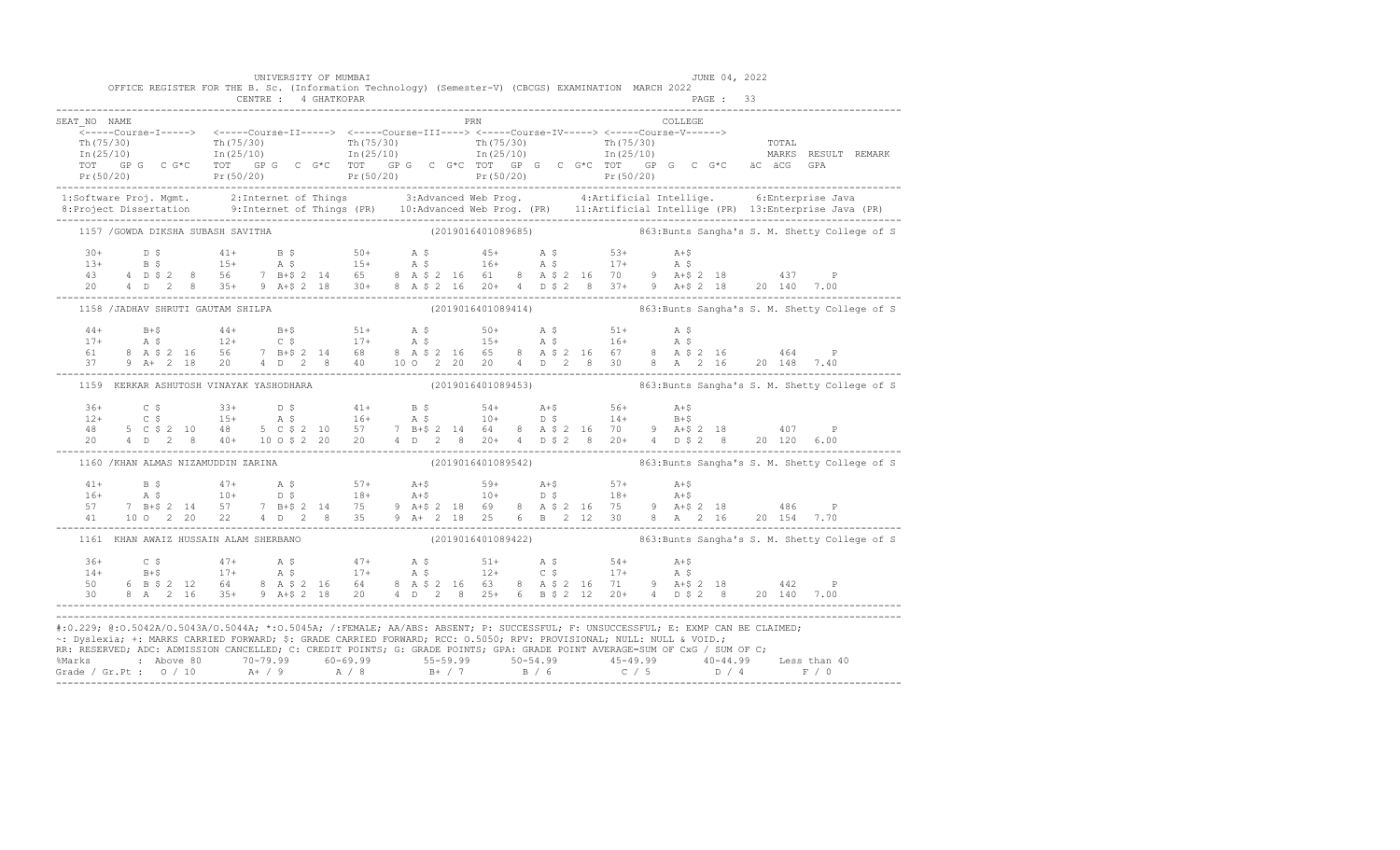|              | UNIVERSITY OF MUMBAI                    | OFFICE REGISTER FOR THE B. Sc. (Information Technology) (Semester-V) (CBCGS) EXAMINATION MARCH 2022                                                                                                                                                | JUNE 04, 2022                                                                                                                                                                                                                                                                                                                                                                      |  |
|--------------|-----------------------------------------|----------------------------------------------------------------------------------------------------------------------------------------------------------------------------------------------------------------------------------------------------|------------------------------------------------------------------------------------------------------------------------------------------------------------------------------------------------------------------------------------------------------------------------------------------------------------------------------------------------------------------------------------|--|
|              |                                         |                                                                                                                                                                                                                                                    |                                                                                                                                                                                                                                                                                                                                                                                    |  |
| SEAT NO NAME |                                         | PRN                                                                                                                                                                                                                                                | COLLEGE                                                                                                                                                                                                                                                                                                                                                                            |  |
|              |                                         |                                                                                                                                                                                                                                                    |                                                                                                                                                                                                                                                                                                                                                                                    |  |
|              |                                         |                                                                                                                                                                                                                                                    | $\begin{array}{cccccccc} \texttt{Tr(75/30)} & \texttt{Tr(75/30)} & \texttt{Tr(75/30)} & \texttt{Tr(75/30)} & \texttt{Tr(75/30)} & \texttt{Tr(75/30)} & \texttt{Tr(75/30)} & \texttt{Tr(75/30)} & \texttt{Tr(75/30)} & \texttt{Tr(75/30)} & \texttt{Tr(75/30)} & \texttt{Tr(75/30)} & \texttt{Tr(75/30)} & \texttt{Tr(75/30)} & \texttt{Tr(75/30)} & \texttt{Tr(75/30)} & \texttt{$ |  |
|              |                                         |                                                                                                                                                                                                                                                    | 1:Software Proj. Mgmt.       2:Internet of Things         3:Advanced Web Prog.         4:Artificial Intellige.       6:Enterprise Java<br>8:Project Dissertation       9:Internet of Things (PR)   10:Advanced Web Prog. (PR)   1                                                                                                                                                  |  |
|              |                                         |                                                                                                                                                                                                                                                    | 1157 / GOWDA DIKSHA SUBASH SAVITHA (2019016401089685) (2019016401089685) 863:Bunts Sangha's S. M. Shetty College of S                                                                                                                                                                                                                                                              |  |
|              |                                         |                                                                                                                                                                                                                                                    | $\begin{array}{cccccccccccccccc} 30+ & & D & \xi & & & 41+ & & B & \xi & & 50+ & & A & \xi & & 45+ & & A & \xi & & 53+ & & A+\xi \\ 13+ & & B & \xi & & & 15+ & & A & \xi & & 16+ & & A & \xi & & 17+ & & A & \xi \\ 43 & & 4 & D & \xi & 2 & 8 & 56 & & 7 & B+\xi & 2 & 14 & 65 & & 8 & A & \xi & 2 & 16 & 61 & & 8 & A & \xi & 2 & 16 & 70 & & 9 & A+\xi & 2 & 18 & & & 437$     |  |
|              |                                         |                                                                                                                                                                                                                                                    |                                                                                                                                                                                                                                                                                                                                                                                    |  |
|              |                                         |                                                                                                                                                                                                                                                    | 1158 /JADHAV SHRUTI GAUTAM SHILPA (2019016401089414) 863:Bunts Sangha's S. M. Shetty College of S                                                                                                                                                                                                                                                                                  |  |
|              |                                         |                                                                                                                                                                                                                                                    | $\begin{array}{cccccccccccc} 44+ & & B+\$ & & 44+ & B+\$ & & 51+ & A$\,\$ & & 50+ & A$\,\$ & & 51+ & A$\,\$ & & \\ 17+ & & A$\,\$ & & 12+ & C$\,\$ & & 17+ & A$\,\$ & & 15+ & A$\,\$ & & 16+ & A$\,\$ & \\ 61 & 8& A$\,\$ & 2& 16& 56& 7& B+\$ & 2& 14& 68& 8& A$\,\$ & 2& 16& 65& 8& A$\,\$ & 2& 16& 67& 8& A$\,\$ & 2& 16& 20& 1$                                                |  |
|              | 1159 KERKAR ASHUTOSH VINAYAK YASHODHARA |                                                                                                                                                                                                                                                    | (2019016401089453) 363: Bunts Sangha's S. M. Shetty College of S                                                                                                                                                                                                                                                                                                                   |  |
|              |                                         |                                                                                                                                                                                                                                                    |                                                                                                                                                                                                                                                                                                                                                                                    |  |
|              | 1160 / KHAN ALMAS NIZAMUDDIN ZARINA     |                                                                                                                                                                                                                                                    | (2019016401089542) 363: Bunts Sangha's S. M. Shetty College of S                                                                                                                                                                                                                                                                                                                   |  |
|              |                                         |                                                                                                                                                                                                                                                    | $\begin{array}{cccccccccccc} 41+ & & B & \xi & & 47+ & & A & \xi & & 57+ & & A+ \xi & & 59+ & & A+ \xi & & 57+ & & A+ \xi \\ 16+ & & A & \xi & & 10+ & & D & \xi & & 18+ & A+ \xi & & 10+ & D & \xi & & 18+ & A+ \xi \\ 57 & & 7 & B+ \xi & 2 & 14 & 57 & 7 & B+ \xi & 2 & 14 & 75 & 9 & A+ \xi & 2 & 18 & 69 & 8 & A & \xi & 2 & 16 & 75 & 9 & A+ \xi & 2 & 18 &$                 |  |
|              |                                         |                                                                                                                                                                                                                                                    | 1161 KHAN AWAIZ HUSSAIN ALAM SHERBANO (2019016401089422) 863:Bunts Sangha's S. M. Shetty College of S                                                                                                                                                                                                                                                                              |  |
|              |                                         |                                                                                                                                                                                                                                                    | $\begin{array}{cccccccccccccccc} 36+ & C & \xi & 47+ & A & \xi & 47+ & A & \xi & 51+ & A & \xi & 54+ & A+ \xi \\ 14+ & B+ \xi & 17+ & A & \xi & 17+ & A & \xi & 12+ & C & \xi & 17+ & A & \xi \\ 50 & 6 & B & \xi & 2 & 12 & 64 & 8 & A & \xi & 2 & 16 & 64 & 8 & A & \xi & 2 & 16 & 63 & 8 & A & \xi & 2 & 16 & 71 & 9 & A+ \xi & 2 & 18 & 442 & P \\ 30 & 8 & A$                 |  |
|              |                                         | ~: Dyslexia; +: MARKS CARRIED FORWARD; \$: GRADE CARRIED FORWARD; RCC: 0.5050; RPV: PROVISIONAL; NULL: NULL & VOID.;<br>RR: RESERVED, ADC: ADMISSION CANCELLED, C: CREDIT POINTS, G: GRADE POINTS, GPA: GRADE POINT AVERAGE=SUM OF CxG / SUM OF C; | #:0.229; @:0.5042A/0.5043A/0.5044A; *:0.5045A; /:FEMALE; AA/ABS: ABSENT; P: SUCCESSFUL; F: UNSUCCESSFUL; E: EXMP CAN BE CLAIMED;                                                                                                                                                                                                                                                   |  |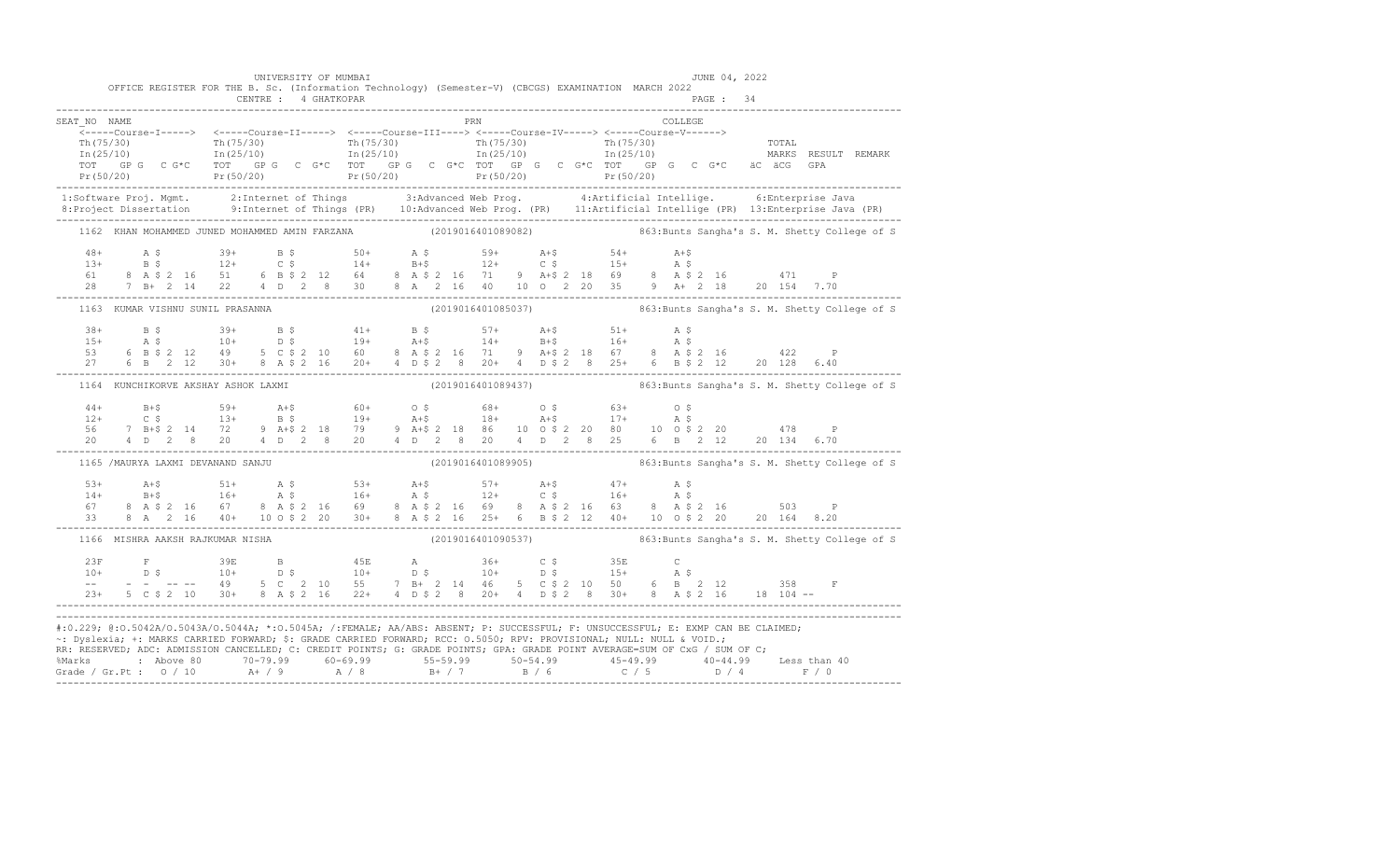|                      | OFFICE REGISTER FOR THE B. Sc. (Information Technology) (Semester-V) (CBCGS) EXAMINATION MARCH 2022                  |                      | UNIVERSITY OF MUMBAI |     |  | JUNE 04, 2022                                                                                                                                                                                                                                                  |                                                                                                                                                                                                                                                                                                                                                                                                         |
|----------------------|----------------------------------------------------------------------------------------------------------------------|----------------------|----------------------|-----|--|----------------------------------------------------------------------------------------------------------------------------------------------------------------------------------------------------------------------------------------------------------------|---------------------------------------------------------------------------------------------------------------------------------------------------------------------------------------------------------------------------------------------------------------------------------------------------------------------------------------------------------------------------------------------------------|
|                      |                                                                                                                      | CENTRE : 4 GHATKOPAR |                      |     |  |                                                                                                                                                                                                                                                                |                                                                                                                                                                                                                                                                                                                                                                                                         |
| SEAT NO NAME         |                                                                                                                      |                      |                      | PRN |  | COLLEGE                                                                                                                                                                                                                                                        |                                                                                                                                                                                                                                                                                                                                                                                                         |
|                      |                                                                                                                      |                      |                      |     |  |                                                                                                                                                                                                                                                                | $\begin{array}{cccccccc} \texttt{Tr}(75/30) & \texttt{Tr}(75/30) & \texttt{Tr}(75/30) & \texttt{Tr}(75/30) & \texttt{Tr}(75/30) & \texttt{Tr}(75/30) & \texttt{Tr}(75/30) & \texttt{Tr}(75/30) & \texttt{Tr}(75/30) & \texttt{Tr}(75/30) & \texttt{Tr}(75/30) & \texttt{Tr}(75/30) & \texttt{Tr}(75/30) & \texttt{Tr}(75/30) & \texttt{Tr}(75/30) & \texttt{Tr}(75/30) & \texttt{$                      |
|                      |                                                                                                                      |                      |                      |     |  |                                                                                                                                                                                                                                                                | 1:Software Proj. Mgmt. 2:Internet of Things 3:Advanced Web Prog. 4:Artificial Intellige. 6:Enterprise Java<br>8:Project Dissertation 9:Internet of Things (PR) 10:Advanced Web Prog. (PR) 11:Artificial Intellige (PR) 13:Enterpr                                                                                                                                                                       |
|                      |                                                                                                                      |                      |                      |     |  |                                                                                                                                                                                                                                                                | 1162 KHAN MOHAMMED JUNED MOHAMMED AMIN FARZANA (2019016401089082) 863:Bunts Sangha's S. M. Shetty College of S                                                                                                                                                                                                                                                                                          |
|                      |                                                                                                                      |                      |                      |     |  |                                                                                                                                                                                                                                                                | $\begin{array}{cccccccccccc} 48+ & & {\rm A}\ \ \, & \rm S\ \ \, & \, & 39+ & & {\rm B}\ \ \, & \, & 39+ & & {\rm B}\ \ \, & \, & 13+ & & {\rm B}\ \ \, & \, & 13+ & & {\rm B}\ \ \, & \, & 13+ & & {\rm B}\ \ \, & \, & 14+ & & {\rm C}\ \ \, & \, & 6+ & & {\rm C}\ \ \, & \, & 6+ & & {\rm C}\ \ \, & \, & 6+ & & {\rm C}\ \ \, & \, & 6+ & & {\rm C}\ \ \, & \, & 6+ & & {\rm C}\ \ \, & \, & 6+ &$ |
|                      | 1163 KUMAR VISHNU SUNIL PRASANNA                                                                                     |                      |                      |     |  |                                                                                                                                                                                                                                                                | (2019016401085037) 863: Bunts Sangha's S. M. Shetty College of S                                                                                                                                                                                                                                                                                                                                        |
|                      |                                                                                                                      |                      |                      |     |  |                                                                                                                                                                                                                                                                |                                                                                                                                                                                                                                                                                                                                                                                                         |
|                      | 1164 KUNCHIKORVE AKSHAY ASHOK LAXMI                                                                                  |                      |                      |     |  |                                                                                                                                                                                                                                                                | (2019016401089437) 863: Bunts Sangha's S. M. Shetty College of S                                                                                                                                                                                                                                                                                                                                        |
| $44+$<br>$12+$<br>56 |                                                                                                                      |                      |                      |     |  | B+\$<br>C \$ 59+ A+\$ 60+ O \$ 68+ O \$ 63+ O \$<br>C \$ 13+ B \$ 19+ A+\$ 18+ A+\$ 17+ A \$<br>7 B+\$ 2 14 72 9 A+\$ 2 18 79 9 A+\$ 2 18 86 10 O \$ 2 20 80 10 O \$ 2 20 478 P                                                                                |                                                                                                                                                                                                                                                                                                                                                                                                         |
|                      | 1165 /MAURYA LAXMI DEVANAND SANJU                                                                                    |                      |                      |     |  |                                                                                                                                                                                                                                                                | (2019016401089905) 363:Bunts Sangha's S. M. Shetty College of S                                                                                                                                                                                                                                                                                                                                         |
|                      |                                                                                                                      |                      |                      |     |  |                                                                                                                                                                                                                                                                |                                                                                                                                                                                                                                                                                                                                                                                                         |
|                      | 1166 MISHRA AAKSH RAJKUMAR NISHA                                                                                     |                      |                      |     |  |                                                                                                                                                                                                                                                                | (2019016401090537) 863: Bunts Sangha's S. M. Shetty College of S                                                                                                                                                                                                                                                                                                                                        |
|                      |                                                                                                                      |                      |                      |     |  |                                                                                                                                                                                                                                                                | $\begin{array}{cccccccccccccccc} 23\text{F} & \text{F} & 39\text{E} & \text{B} & 45\text{E} & \text{A} & 36+ & \text{C}\ \hat{\text{S}} & 10+ & \text{D}\ \hat{\text{S}} & 10+ & \text{D}\ \hat{\text{S}} & 10+ & \text{D}\ \hat{\text{S}} & 10+ & \text{D}\ \hat{\text{S}} & 23+ & 5& \text{C}\ \hat{\text{S}} & 2& 10 & 30+ & 8& \text{A}\ \hat{\text{S}} & 2& 16 & 22+ & 4& \text{D}\ \hat{\text{S$  |
|                      | ~: Dyslexia; +: MARKS CARRIED FORWARD; \$: GRADE CARRIED FORWARD; RCC: 0.5050; RPV: PROVISIONAL; NULL: NULL & VOID.; |                      |                      |     |  | #:0.229; @:0.5042A/0.5043A/0.5044A; *:0.5045A; /:FEMALE; AA/ABS: ABSENT; P: SUCCESSFUL; F: UNSUCCESSFUL; E: EXMP CAN BE CLAIMED;<br>RR: RESERVED, ADC: ADMISSION CANCELLED, C: CREDIT POINTS, G: GRADE POINTS, GPA: GRADE POINT AVERAGE=SUM OF CxG / SUM OF C; |                                                                                                                                                                                                                                                                                                                                                                                                         |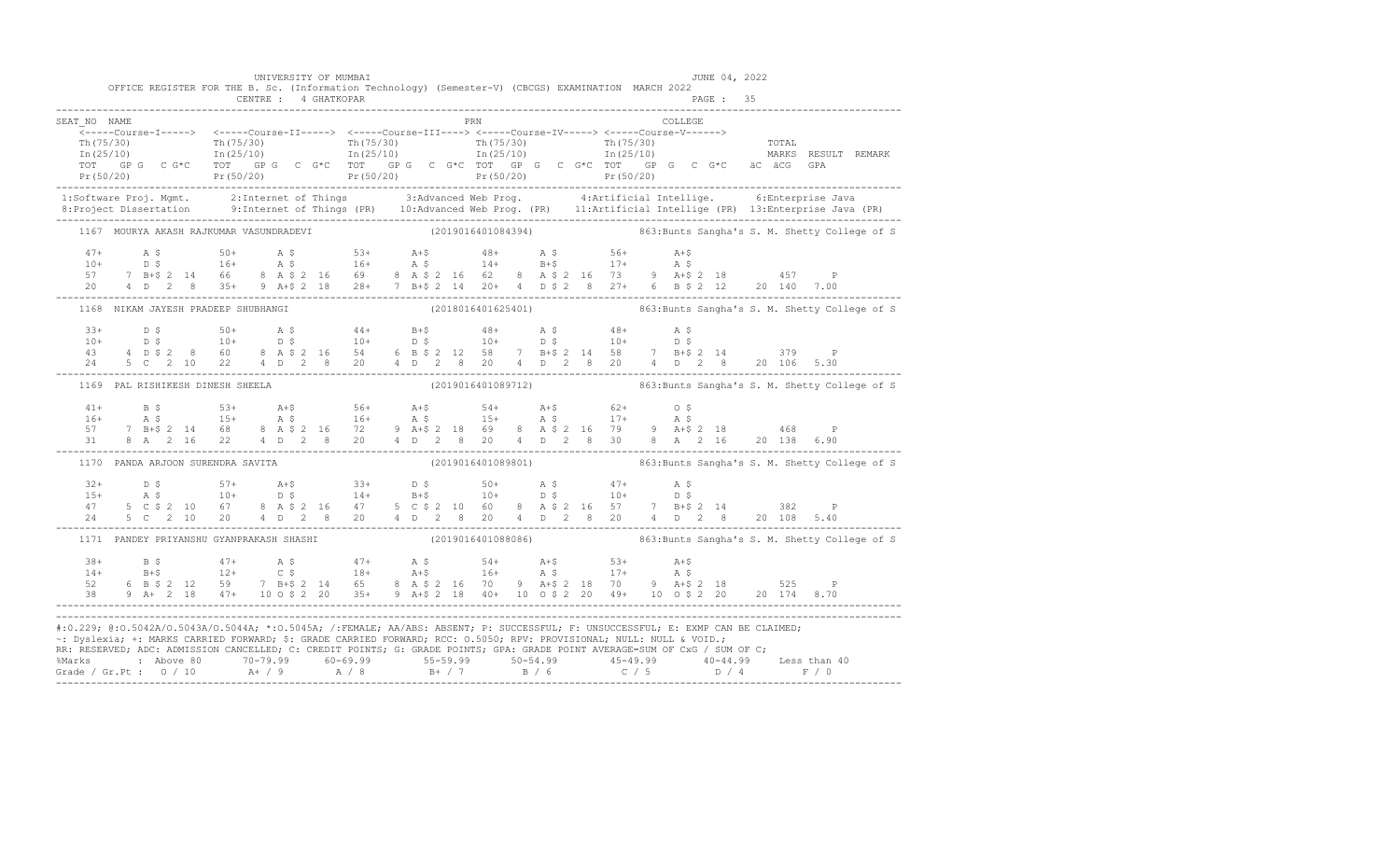|              | OFFICE REGISTER FOR THE B. Sc. (Information Technology) (Semester-V) (CBCGS) EXAMINATION MARCH 2022                                                                                                                                                                                                                                                                                 |  | UNIVERSITY OF MUMBAI |  |  |  |     |  |         | JUNE 04, 2022 |  |                                                                  |
|--------------|-------------------------------------------------------------------------------------------------------------------------------------------------------------------------------------------------------------------------------------------------------------------------------------------------------------------------------------------------------------------------------------|--|----------------------|--|--|--|-----|--|---------|---------------|--|------------------------------------------------------------------|
|              |                                                                                                                                                                                                                                                                                                                                                                                     |  |                      |  |  |  |     |  |         |               |  |                                                                  |
| SEAT NO NAME |                                                                                                                                                                                                                                                                                                                                                                                     |  |                      |  |  |  | PRN |  | COLLEGE |               |  |                                                                  |
|              |                                                                                                                                                                                                                                                                                                                                                                                     |  |                      |  |  |  |     |  |         |               |  |                                                                  |
|              |                                                                                                                                                                                                                                                                                                                                                                                     |  |                      |  |  |  |     |  |         |               |  |                                                                  |
|              |                                                                                                                                                                                                                                                                                                                                                                                     |  |                      |  |  |  |     |  |         |               |  |                                                                  |
|              |                                                                                                                                                                                                                                                                                                                                                                                     |  |                      |  |  |  |     |  |         |               |  |                                                                  |
|              | 1:Software Proj. Mgmt. 2:Internet of Things 3:Advanced Web Prog. 4:Artificial Intellige. 6:Enterprise Java<br>8:Project Dissertation 9:Internet of Things (PR) 10:Advanced Web Prog. (PR) 11:Artificial Intellige (PR) 13:Enterpr                                                                                                                                                   |  |                      |  |  |  |     |  |         |               |  |                                                                  |
|              | 1167 MOURYA AKASH RAJKUMAR VASUNDRADEVI (2019016401084394) 863:Bunts Sangha's S. M. Shetty College of S                                                                                                                                                                                                                                                                             |  |                      |  |  |  |     |  |         |               |  |                                                                  |
|              |                                                                                                                                                                                                                                                                                                                                                                                     |  |                      |  |  |  |     |  |         |               |  |                                                                  |
|              |                                                                                                                                                                                                                                                                                                                                                                                     |  |                      |  |  |  |     |  |         |               |  |                                                                  |
|              |                                                                                                                                                                                                                                                                                                                                                                                     |  |                      |  |  |  |     |  |         |               |  |                                                                  |
|              | $\begin{array}{cccccccccccc} 47+ & & {\rm A}\!\!\!\!\!&5& 50+ & & {\rm A}\!\!\!\!\!&5& 50+ & & {\rm A}\!\!\!\!\!&5& 50+ & & {\rm A}\!\!\!\!\!&5& 50+ & & {\rm A}\!\!\!\!\!&5& 50+ & & {\rm A}\!\!\!\!\!&5& 50+ & & {\rm A}\!\!\!\!\!&5& 50+ & & {\rm A}\!\!\!\!\!&5& 50+ & & {\rm A}\!\!\!\!\!&5& 50+ & & {\rm A}\!\!\!\!\!&5& 50+ & & {\rm A}\!\!\!\!\!&5& 50+ & & {\rm A}\!\!\!\$ |  |                      |  |  |  |     |  |         |               |  |                                                                  |
|              | 1168 NIKAM JAYESH PRADEEP SHUBHANGI (2018016401625401) 663:Bunts Sangha's S. M. Shetty College of S                                                                                                                                                                                                                                                                                 |  |                      |  |  |  |     |  |         |               |  |                                                                  |
|              |                                                                                                                                                                                                                                                                                                                                                                                     |  |                      |  |  |  |     |  |         |               |  |                                                                  |
|              |                                                                                                                                                                                                                                                                                                                                                                                     |  |                      |  |  |  |     |  |         |               |  |                                                                  |
|              |                                                                                                                                                                                                                                                                                                                                                                                     |  |                      |  |  |  |     |  |         |               |  |                                                                  |
|              |                                                                                                                                                                                                                                                                                                                                                                                     |  |                      |  |  |  |     |  |         |               |  |                                                                  |
|              | 1169 PAL RISHIKESH DINESH SHEELA                                                                                                                                                                                                                                                                                                                                                    |  |                      |  |  |  |     |  |         |               |  | (2019016401089712) 863: Bunts Sangha's S. M. Shetty College of S |
|              |                                                                                                                                                                                                                                                                                                                                                                                     |  |                      |  |  |  |     |  |         |               |  |                                                                  |
|              |                                                                                                                                                                                                                                                                                                                                                                                     |  |                      |  |  |  |     |  |         |               |  |                                                                  |
|              | $\begin{array}{cccccccccccccccc} 41+ & & B & \xi & & 53+ & & A+\xi & & 56+ & & A+\xi & & 54+ & & A+\xi & & 62+ & & 0 & \xi \\ 16+ & & A & \xi & & 15+ & & A & \xi & & 16+ & & A & \xi & & 15+ & & A & \xi & & 17+ & & A & \xi \\ 57 & & 7 & B+\xi & 2 & 14 & 68 & & 8 & A & \xi & 2 & 16 & & 72 & & 9 & A+\xi & 2 & 18 & & 69 & & 8 & A & \xi & 2 & 16 & & 79 & & 9 & A+\xi & $     |  |                      |  |  |  |     |  |         |               |  |                                                                  |
|              |                                                                                                                                                                                                                                                                                                                                                                                     |  |                      |  |  |  |     |  |         |               |  |                                                                  |
|              | 1170 PANDA ARJOON SURENDRA SAVITA                                                                                                                                                                                                                                                                                                                                                   |  |                      |  |  |  |     |  |         |               |  | (2019016401089801) 363: Bunts Sangha's S. M. Shetty College of S |
|              |                                                                                                                                                                                                                                                                                                                                                                                     |  |                      |  |  |  |     |  |         |               |  |                                                                  |
|              |                                                                                                                                                                                                                                                                                                                                                                                     |  |                      |  |  |  |     |  |         |               |  |                                                                  |
|              |                                                                                                                                                                                                                                                                                                                                                                                     |  |                      |  |  |  |     |  |         |               |  |                                                                  |
|              | $\begin{array}{cccccccccccc} 32+ & D & \xi & 57+ & A+ \xi & 33+ & D & \xi & 50+ & A & \xi & 47+ & A & \xi & 15+ & A & \xi & 10+ & D & \xi & 14+ & B+ \xi & 10+ & D & \xi & 10+ & D & \xi & 10+ & D & \xi & 10+ & D & \xi & 10+ & D & \xi & 10+ & D & \xi & 10+ & D & \xi & 10+ & D & \xi & 10+ & D & \xi & 10+ & D & \xi & 10+ & D & \xi & 10+ & D & \xi & 10+ & D & \xi & $        |  |                      |  |  |  |     |  |         |               |  |                                                                  |
|              |                                                                                                                                                                                                                                                                                                                                                                                     |  |                      |  |  |  |     |  |         |               |  |                                                                  |
|              |                                                                                                                                                                                                                                                                                                                                                                                     |  |                      |  |  |  |     |  |         |               |  |                                                                  |
|              |                                                                                                                                                                                                                                                                                                                                                                                     |  |                      |  |  |  |     |  |         |               |  |                                                                  |
|              |                                                                                                                                                                                                                                                                                                                                                                                     |  |                      |  |  |  |     |  |         |               |  |                                                                  |
|              | $\begin{array}{cccccccccccccccc} 38+ & & & 8\, \, 5 & & & 47+ & & \,\, \text{A}\, \, 5 & & & 47+ & & \,\, \text{A}\, \, 5 & & & 47+ & & \,\, \text{A}\, \, 5 & & & 47+ & & \,\, \text{A}\, \, 5 & & & 18+ & & \,\, \text{A}\, \, 5 & & & 18+ & & \,\, \text{A}\, \, 5 & & & 12+ & & \,\, \text{C}\, \, 5 & & & 18+ & & \,\, \text{A}\, \, 5 & & & 16+ & & \,\, \text{A}\, \$        |  |                      |  |  |  |     |  |         |               |  |                                                                  |
|              | #:0.229; @:0.5042A/0.5043A/0.5044A; *:0.5045A; /:FEMALE; AA/ABS: ABSENT; P: SUCCESSFUL; F: UNSUCCESSFUL; E: EXMP CAN BE CLAIMED;<br>~: Dyslexia; +: MARKS CARRIED FORWARD; \$: GRADE CARRIED FORWARD; RCC: 0.5050; RPV: PROVISIONAL; NULL: NULL & VOID.;                                                                                                                            |  |                      |  |  |  |     |  |         |               |  |                                                                  |
|              | RR: RESERVED; ADC: ADMISSION CANCELLED; C: CREDIT POINTS; G: GRADE POINTS; GPA: GRADE POINT AVERAGE=SUM OF CxG / SUM OF C;                                                                                                                                                                                                                                                          |  |                      |  |  |  |     |  |         |               |  |                                                                  |
|              |                                                                                                                                                                                                                                                                                                                                                                                     |  |                      |  |  |  |     |  |         |               |  |                                                                  |
|              |                                                                                                                                                                                                                                                                                                                                                                                     |  |                      |  |  |  |     |  |         |               |  |                                                                  |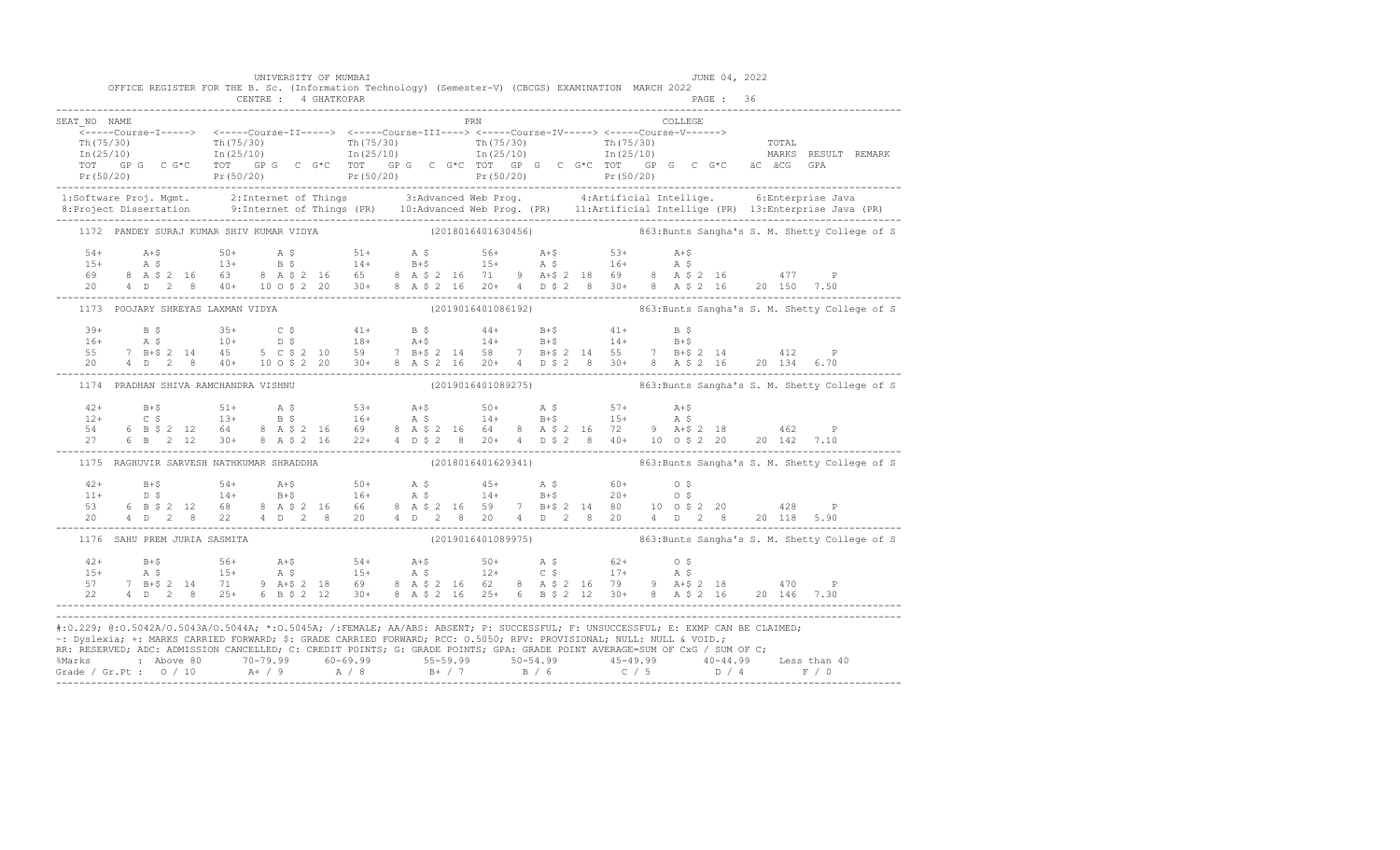|                                                                                                                                                                                                                                                                                                                                                                                        | OFFICE REGISTER FOR THE B. Sc. (Information Technology) (Semester-V) (CBCGS) EXAMINATION MARCH 2022                                                                                                                                                                                                        |  | UNIVERSITY OF MUMBAI |  |  |  |     |  |         | JUNE 04, 2022 |  |                                                                                                   |
|----------------------------------------------------------------------------------------------------------------------------------------------------------------------------------------------------------------------------------------------------------------------------------------------------------------------------------------------------------------------------------------|------------------------------------------------------------------------------------------------------------------------------------------------------------------------------------------------------------------------------------------------------------------------------------------------------------|--|----------------------|--|--|--|-----|--|---------|---------------|--|---------------------------------------------------------------------------------------------------|
|                                                                                                                                                                                                                                                                                                                                                                                        |                                                                                                                                                                                                                                                                                                            |  |                      |  |  |  |     |  |         |               |  |                                                                                                   |
| SEAT NO NAME                                                                                                                                                                                                                                                                                                                                                                           |                                                                                                                                                                                                                                                                                                            |  |                      |  |  |  | PRN |  | COLLEGE |               |  |                                                                                                   |
|                                                                                                                                                                                                                                                                                                                                                                                        |                                                                                                                                                                                                                                                                                                            |  |                      |  |  |  |     |  |         |               |  |                                                                                                   |
| 1:Software Proj. Mgmt. 2:Internet of Things 3:Advanced Web Prog. 4:Artificial Intellige. 6:Enterprise Java<br>8:Project Dissertation 9:Internet of Things (PR) 10:Advanced Web Prog. (PR) 11:Artificial Intellige (PR) 13:Enterpr                                                                                                                                                      |                                                                                                                                                                                                                                                                                                            |  |                      |  |  |  |     |  |         |               |  |                                                                                                   |
| 1172 PANDEY SURAJ KUMAR SHIV KUMAR VIDYA (2018016401630456) 863:Bunts Sangha's S. M. Shetty College of S                                                                                                                                                                                                                                                                               |                                                                                                                                                                                                                                                                                                            |  |                      |  |  |  |     |  |         |               |  |                                                                                                   |
| $\begin{array}{cccccccccccccccc} 54+ & & & & 50+ & & & 50+ & & & 50+ & & & 51+ & & 56+ & & 56+ & & 51+ & & 53+ & & 54+ & & 53+ & & 54+ & & 55+ & & 55+ & & 55+ & & 55+ & & 55+ & & 55+ & & 55+ & 55+ & 55+ & 55+ & 55+ & 55+ & 55+ & 55+ & 55+ & 55+ & 55+ & 55+ & 55+ & 55+ & 55+ & 55+ & 55+ & 55+ & 55+ & 5$                                                                        |                                                                                                                                                                                                                                                                                                            |  |                      |  |  |  |     |  |         |               |  |                                                                                                   |
| 1173 POOJARY SHREYAS LAXMAN VIDYA                                                                                                                                                                                                                                                                                                                                                      |                                                                                                                                                                                                                                                                                                            |  |                      |  |  |  |     |  |         |               |  | ------<br>(2019016401086192)                         863:Bunts Sangha's S. M. Shetty College of S |
| $\begin{array}{cccccccccccccccc} 39+ & & B & \xi & & 35+ & C & \xi & & 41+ & B & \xi & & 44+ & B+\xi & & 41+ & B & \xi \\ 16+ & & A & \xi & & 10+ & & D & \xi & & 18+ & A+\xi & & 14+ & B+\xi & & 14+ & B+\xi \\ 55 & & 7 & B+\xi & 2 & 14 & 45 & 5 & C & \xi & 2 & 10 & 59 & 7 & B+\xi & 2 & 14 & 58 & 7 & B+\xi & 2 & 14 & 55 & 7 & B+\xi & 2 & 14 & & 412 & P \\ 20$                |                                                                                                                                                                                                                                                                                                            |  |                      |  |  |  |     |  |         |               |  |                                                                                                   |
| 1174 PRADHAN SHIVA RAMCHANDRA VISHNU                                                                                                                                                                                                                                                                                                                                                   |                                                                                                                                                                                                                                                                                                            |  |                      |  |  |  |     |  |         |               |  | (2019016401089275) 363: Bunts Sangha's S. M. Shetty College of S                                  |
| $42+$<br>$12+$<br>54 6                                                                                                                                                                                                                                                                                                                                                                 | B+\$<br>C \$ 51+<br>B \$ 53+<br>B+\$ 50+<br>B+\$ 57+<br>B+\$ 57+<br>B+\$ 57+<br>B+\$ 57+<br>B+\$ 57+<br>B+\$ 57+<br>B+\$ 57+<br>B+\$ 57+<br>B+\$ 57+<br>B+\$ 57+<br>B+\$ 57+<br>B+\$ 57+<br>B+\$ 58<br>B+\$ 58<br>B+\$ 58<br>B+\$ 58<br>B+\$ 218<br>B+\$ 218<br>B+\$ 218<br>B+\$ 218<br>B+\$ 218<br>B+\$ 2 |  |                      |  |  |  |     |  |         |               |  |                                                                                                   |
| 1175 RAGHUVIR SARVESH NATHKUMAR SHRADDHA (2018016401629341) (2018016401629341) 863:Bunts Sangha's S. M. Shetty College of S                                                                                                                                                                                                                                                            |                                                                                                                                                                                                                                                                                                            |  |                      |  |  |  |     |  |         |               |  |                                                                                                   |
| $\begin{array}{cccccccccccc} 42+ & 8+ \zeta & 54+ & 4+ \zeta & 50+ & 4 \zeta & 45+ & 4 \zeta & 60+ & 0 \ \zeta & 11+ & 0 \ \zeta & 14+ & 8+ \zeta & 16+ & 4 \ \zeta & 6 & 8-14+ & 8+ \zeta & 20+ & 0 \ \zeta & 6 & 8-14+ & 8+ & 20+ & 0 \ \zeta & 6 & 8-14+ & 8+ & 20+ & 0 \ \zeta & 6 & 8-14+ & 8+ & 20+ & 0 \ \zeta & 6 & 8-14+ &$                                                   |                                                                                                                                                                                                                                                                                                            |  |                      |  |  |  |     |  |         |               |  |                                                                                                   |
| 1176 SAHU PREM JURIA SASMITA                                                                                                                                                                                                                                                                                                                                                           |                                                                                                                                                                                                                                                                                                            |  |                      |  |  |  |     |  |         |               |  | (2019016401089975) 363: Bunts Sangha's S. M. Shetty College of S                                  |
| $\begin{array}{cccccccccccc} 42+ & & B+\$ & & 56+ & & A+\$ & & 54+ & A+\$ & & 50+ & A$\$ & & 62+ & O$\$ \\ 15+ & & A$\$ & & 15+ & A$\$ & & 15+ & A$\$ & & 12+ & C$\$ & & 17+ & A$\$ & & \\ 57 & 7 & B+\$ & 2& 14 & 71 & 9 & A+\$ & 2& 18 & 69 & 8 & A$\$ & 2& 16 & 62 & 8 & A$\$ & 2& 16 & 79 & 9 & A+\$ & 2& 18 & 470 & P \\ 22 & 4 & D & 2$                                          |                                                                                                                                                                                                                                                                                                            |  |                      |  |  |  |     |  |         |               |  |                                                                                                   |
| #:0.229; @:0.5042A/0.5043A/0.5044A; *:0.5045A; /:FEMALE; AA/ABS: ABSENT; P: SUCCESSFUL; F: UNSUCCESSFUL; E: EXMP CAN BE CLAIMED;<br>~: Dyslexia; +: MARKS CARRIED FORWARD; \$: GRADE CARRIED FORWARD; RCC: 0.5050; RPV: PROVISIONAL; NULL: NULL & VOID.;<br>RR: RESERVED, ADC: ADMISSION CANCELLED, C: CREDIT POINTS, G: GRADE POINTS, GPA: GRADE POINT AVERAGE=SUM OF CxG / SUM OF C; |                                                                                                                                                                                                                                                                                                            |  |                      |  |  |  |     |  |         |               |  |                                                                                                   |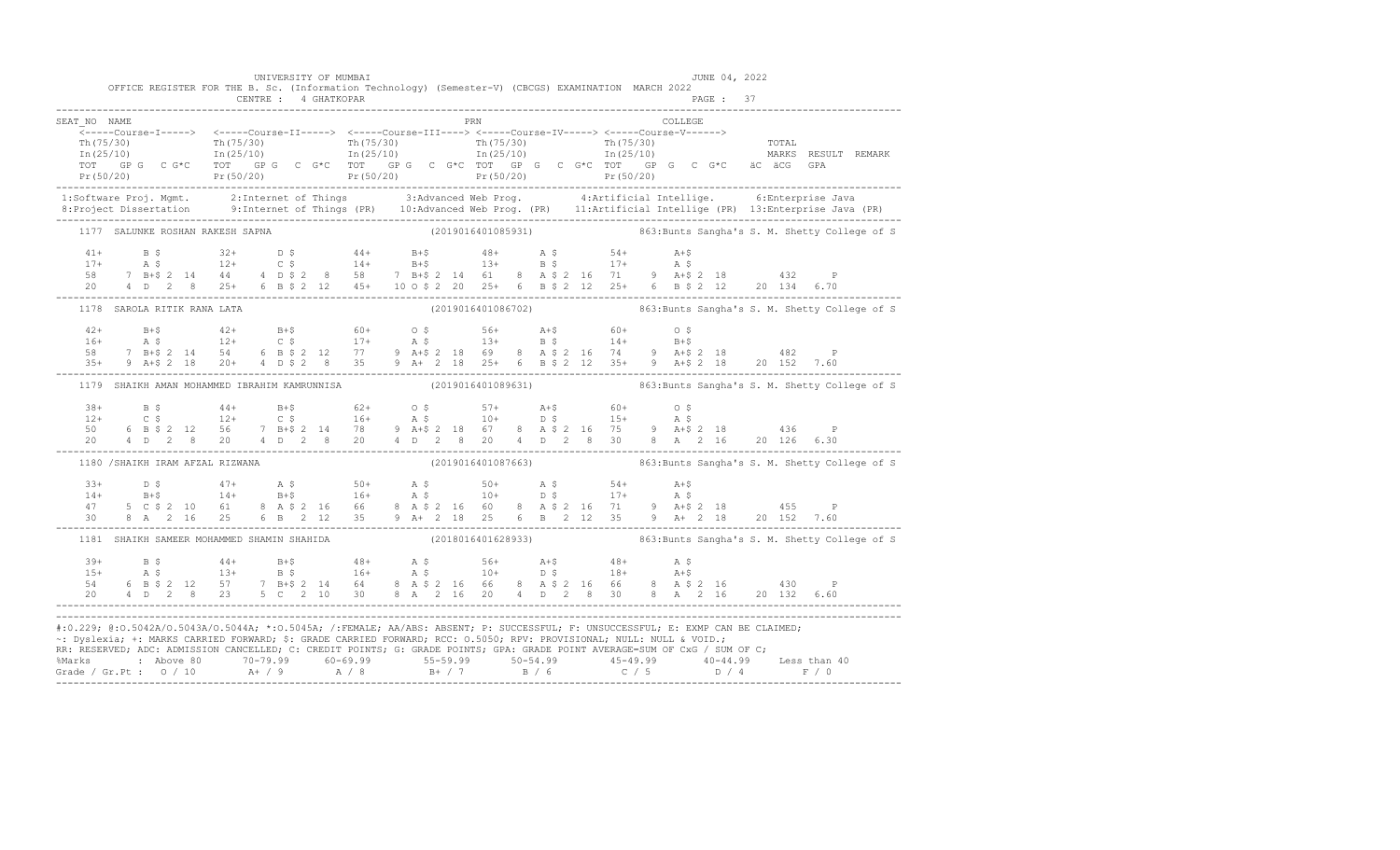|              | OFFICE REGISTER FOR THE B. Sc. (Information Technology) (Semester-V) (CBCGS) EXAMINATION MARCH 2022                                                                                                                                                                                                                                                                     |  | UNIVERSITY OF MUMBAI |  |     |  |  |  |         | JUNE 04, 2022 |  |                                                                  |  |
|--------------|-------------------------------------------------------------------------------------------------------------------------------------------------------------------------------------------------------------------------------------------------------------------------------------------------------------------------------------------------------------------------|--|----------------------|--|-----|--|--|--|---------|---------------|--|------------------------------------------------------------------|--|
|              |                                                                                                                                                                                                                                                                                                                                                                         |  |                      |  |     |  |  |  |         |               |  |                                                                  |  |
| SEAT NO NAME |                                                                                                                                                                                                                                                                                                                                                                         |  |                      |  | PRN |  |  |  | COLLEGE |               |  |                                                                  |  |
|              | -----Course-I-----> <-----Course-II-----> <-----Course-III----> <-----Course-IV-----> <-----Course-V------>                                                                                                                                                                                                                                                             |  |                      |  |     |  |  |  |         |               |  |                                                                  |  |
|              |                                                                                                                                                                                                                                                                                                                                                                         |  |                      |  |     |  |  |  |         |               |  |                                                                  |  |
|              |                                                                                                                                                                                                                                                                                                                                                                         |  |                      |  |     |  |  |  |         |               |  |                                                                  |  |
|              |                                                                                                                                                                                                                                                                                                                                                                         |  |                      |  |     |  |  |  |         |               |  |                                                                  |  |
|              |                                                                                                                                                                                                                                                                                                                                                                         |  |                      |  |     |  |  |  |         |               |  |                                                                  |  |
|              | 1:Software Proj. Mgmt. 2:Internet of Things 3:Advanced Web Prog. 4:Artificial Intellige. 6:Enterprise Java<br>8:Project Dissertation 9:Internet of Things (PR) 10:Advanced Web Prog. (PR) 11:Artificial Intellige (PR) 13:Enterpr                                                                                                                                       |  |                      |  |     |  |  |  |         |               |  |                                                                  |  |
|              | 1177 SALUNKE ROSHAN RAKESH SAPNA (2019016401085931) 3863:Bunts Sangha's S. M. Shetty College of S                                                                                                                                                                                                                                                                       |  |                      |  |     |  |  |  |         |               |  |                                                                  |  |
|              |                                                                                                                                                                                                                                                                                                                                                                         |  |                      |  |     |  |  |  |         |               |  |                                                                  |  |
|              |                                                                                                                                                                                                                                                                                                                                                                         |  |                      |  |     |  |  |  |         |               |  |                                                                  |  |
|              |                                                                                                                                                                                                                                                                                                                                                                         |  |                      |  |     |  |  |  |         |               |  |                                                                  |  |
|              | $\begin{array}{cccccccccccc} 41+ & & B & \xi & & 32+ & D & \xi & & 44+ & B+ \xi & & 48+ & A & \xi & & 54+ & A+ \xi \\ 17+ & & A & \xi & & 12+ & C & \xi & & 14+ & B+ \xi & & 13+ & B & \xi & & 17+ & A & \xi \\ 58 & & 7 & B+ \xi & 2 & 14 & 44 & 4 & D & \xi & 2 & 8 & 58 & 7 & B+ \xi & 2 & 14 & 61 & 8 & A & \xi & 2 & 16 & 71 & 9 & A+ \xi & 2 & 18 & & 432 &$      |  |                      |  |     |  |  |  |         |               |  |                                                                  |  |
|              | 1178 SAROLA RITIK RANA LATA                                                                                                                                                                                                                                                                                                                                             |  |                      |  |     |  |  |  |         |               |  |                                                                  |  |
|              |                                                                                                                                                                                                                                                                                                                                                                         |  |                      |  |     |  |  |  |         |               |  |                                                                  |  |
|              |                                                                                                                                                                                                                                                                                                                                                                         |  |                      |  |     |  |  |  |         |               |  |                                                                  |  |
|              |                                                                                                                                                                                                                                                                                                                                                                         |  |                      |  |     |  |  |  |         |               |  |                                                                  |  |
|              |                                                                                                                                                                                                                                                                                                                                                                         |  |                      |  |     |  |  |  |         |               |  |                                                                  |  |
|              | 1179 SHAIKH AMAN MOHAMMED IBRAHIM KAMRUNNISA (2019016401089631) 863:Bunts Sangha's S. M. Shetty College of S                                                                                                                                                                                                                                                            |  |                      |  |     |  |  |  |         |               |  |                                                                  |  |
|              |                                                                                                                                                                                                                                                                                                                                                                         |  |                      |  |     |  |  |  |         |               |  |                                                                  |  |
|              |                                                                                                                                                                                                                                                                                                                                                                         |  |                      |  |     |  |  |  |         |               |  |                                                                  |  |
|              |                                                                                                                                                                                                                                                                                                                                                                         |  |                      |  |     |  |  |  |         |               |  |                                                                  |  |
|              | $\begin{array}{cccccccccccc} 38+ & & B & \xi & & 44+ & B+\xi & & 62+ & O & \xi & & 57+ & A+\xi & & 60+ & O & \xi \\ 12+ & & C & \xi & & 12+ & C & \xi & & 16+ & A & \xi & & 10+ & D & \xi & & 15+ & A & \xi \\ 50 & & 6 & B & \xi & 2 & 12 & 56 & 7 & B+\xi & 2 & 14 & 78 & 9 & A+\xi & 2 & 18 & 67 & 8 & A & \xi & 2 & 16 & 75 & 9 & A+\xi & 2 & 18 & & 436 & P \\ 2$  |  |                      |  |     |  |  |  |         |               |  |                                                                  |  |
|              | 1180 / SHAIKH IRAM AFZAL RIZWANA                                                                                                                                                                                                                                                                                                                                        |  |                      |  |     |  |  |  |         |               |  | (2019016401087663) 863: Bunts Sangha's S. M. Shetty College of S |  |
|              |                                                                                                                                                                                                                                                                                                                                                                         |  |                      |  |     |  |  |  |         |               |  |                                                                  |  |
|              |                                                                                                                                                                                                                                                                                                                                                                         |  |                      |  |     |  |  |  |         |               |  |                                                                  |  |
|              |                                                                                                                                                                                                                                                                                                                                                                         |  |                      |  |     |  |  |  |         |               |  |                                                                  |  |
|              | $\begin{array}{cccccccccccc} 33+ & & D & \xi & & 47+ & A & \xi & & 50+ & A & \xi & & 50+ & A & \xi & & 54+ & A+\xi \\ 14+ & & B+\xi & & 14+ & B+\xi & & 16+ & A & \xi & & 10+ & D & \xi & & 17+ & A & \xi \\ 47 & & 5 & C & \xi & 2 & 10 & 61 & 8 & A & \xi & 2 & 16 & 66 & 8 & A & \xi & 2 & 16 & 60 & 8 & A & \xi & 2 & 16 & 71 & 9 & A+\xi & 2 & 18 & & 455 & P \\ $ |  |                      |  |     |  |  |  |         |               |  |                                                                  |  |
|              | 1181 SHAIKH SAMEER MOHAMMED SHAMIN SHAHIDA (2018016401628933) 8863:Bunts Sangha's S. M. Shetty College of S                                                                                                                                                                                                                                                             |  |                      |  |     |  |  |  |         |               |  |                                                                  |  |
|              |                                                                                                                                                                                                                                                                                                                                                                         |  |                      |  |     |  |  |  |         |               |  |                                                                  |  |
|              |                                                                                                                                                                                                                                                                                                                                                                         |  |                      |  |     |  |  |  |         |               |  |                                                                  |  |
|              |                                                                                                                                                                                                                                                                                                                                                                         |  |                      |  |     |  |  |  |         |               |  |                                                                  |  |
|              |                                                                                                                                                                                                                                                                                                                                                                         |  |                      |  |     |  |  |  |         |               |  |                                                                  |  |
|              | #:0.229; @:0.5042A/0.5043A/0.5044A; *:0.5045A; /:FEMALE; AA/ABS: ABSENT; P: SUCCESSFUL; F: UNSUCCESSFUL; E: EXMP CAN BE CLAIMED;                                                                                                                                                                                                                                        |  |                      |  |     |  |  |  |         |               |  |                                                                  |  |
|              | ~: Dyslexia; +: MARKS CARRIED FORWARD; \$: GRADE CARRIED FORWARD; RCC: 0.5050; RPV: PROVISIONAL; NULL: NULL & VOID.;                                                                                                                                                                                                                                                    |  |                      |  |     |  |  |  |         |               |  |                                                                  |  |
|              | RR: RESERVED; ADC: ADMISSION CANCELLED; C: CREDIT POINTS; G: GRADE POINTS; GPA: GRADE POINT AVERAGE=SUM OF CxG / SUM OF C;                                                                                                                                                                                                                                              |  |                      |  |     |  |  |  |         |               |  |                                                                  |  |
|              |                                                                                                                                                                                                                                                                                                                                                                         |  |                      |  |     |  |  |  |         |               |  |                                                                  |  |
|              |                                                                                                                                                                                                                                                                                                                                                                         |  |                      |  |     |  |  |  |         |               |  |                                                                  |  |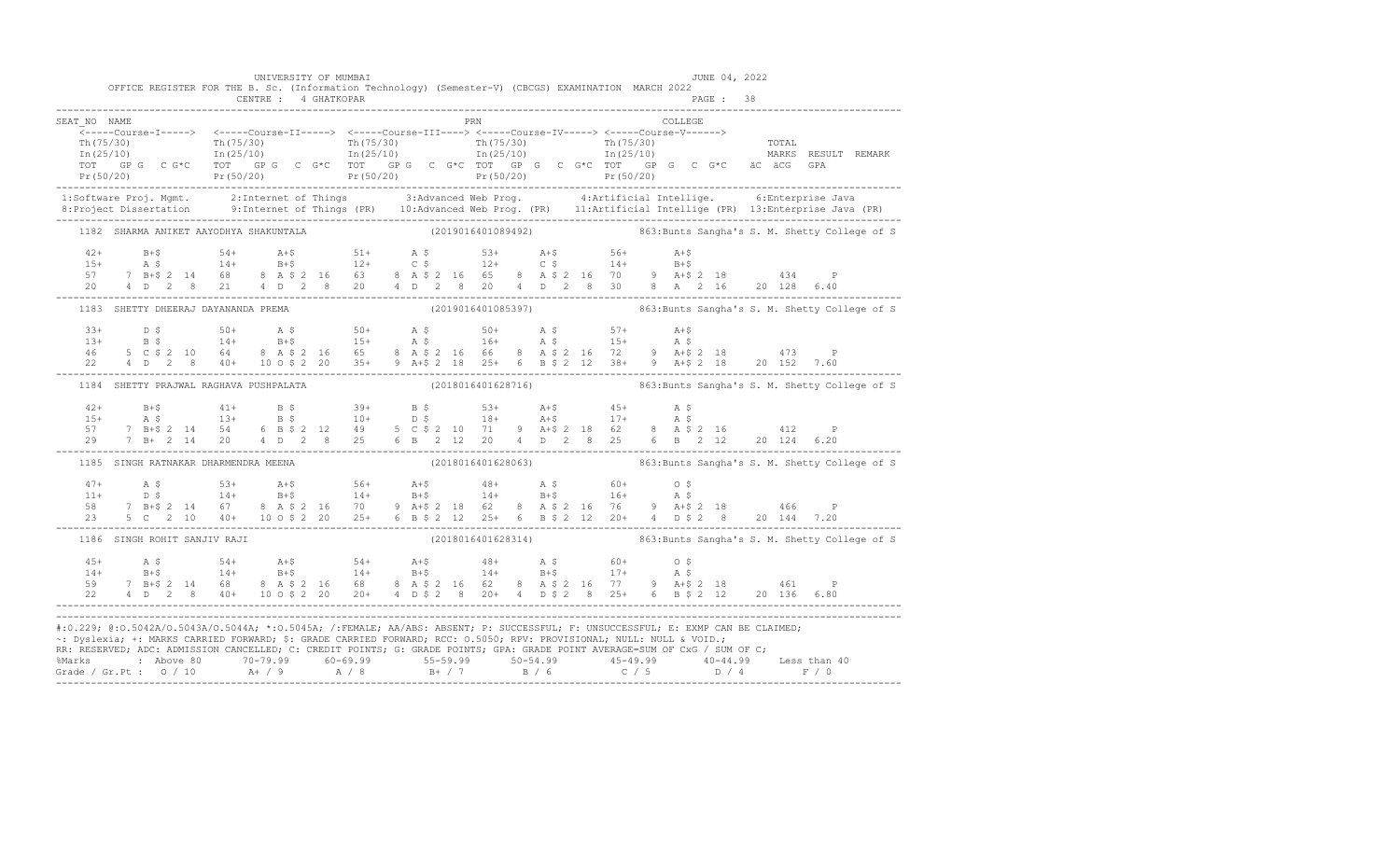|              | OFFICE REGISTER FOR THE B. Sc. (Information Technology) (Semester-V) (CBCGS) EXAMINATION MARCH 2022                                                                                                                                                                                                                                                                                     |  | UNIVERSITY OF MUMBAI |  |  |     |  |  |         | JUNE 04, 2022 |  |                                                                  |
|--------------|-----------------------------------------------------------------------------------------------------------------------------------------------------------------------------------------------------------------------------------------------------------------------------------------------------------------------------------------------------------------------------------------|--|----------------------|--|--|-----|--|--|---------|---------------|--|------------------------------------------------------------------|
|              |                                                                                                                                                                                                                                                                                                                                                                                         |  |                      |  |  |     |  |  |         |               |  |                                                                  |
| SEAT NO NAME |                                                                                                                                                                                                                                                                                                                                                                                         |  |                      |  |  | PRN |  |  | COLLEGE |               |  |                                                                  |
|              | -----Course-I-----> <-----Course-II-----> <-----Course-III----> <-----Course-IV-----> <-----Course-V------>                                                                                                                                                                                                                                                                             |  |                      |  |  |     |  |  |         |               |  |                                                                  |
|              |                                                                                                                                                                                                                                                                                                                                                                                         |  |                      |  |  |     |  |  |         |               |  |                                                                  |
|              |                                                                                                                                                                                                                                                                                                                                                                                         |  |                      |  |  |     |  |  |         |               |  |                                                                  |
|              |                                                                                                                                                                                                                                                                                                                                                                                         |  |                      |  |  |     |  |  |         |               |  |                                                                  |
|              |                                                                                                                                                                                                                                                                                                                                                                                         |  |                      |  |  |     |  |  |         |               |  |                                                                  |
|              | 1:Software Proj. Mgmt. 2:Internet of Things 3:Advanced Web Prog. 4:Artificial Intellige. 6:Enterprise Java<br>8:Project Dissertation 9:Internet of Things (PR) 10:Advanced Web Prog. (PR) 11:Artificial Intellige (PR) 13:Enterpr                                                                                                                                                       |  |                      |  |  |     |  |  |         |               |  |                                                                  |
|              | 1182 SHARMA ANIKET AAYODHYA SHAKUNTALA (2019016401089492)                                                                                                                                                                                                                                                                                                                               |  |                      |  |  |     |  |  |         |               |  | 863: Bunts Sangha's S. M. Shetty College of S                    |
|              |                                                                                                                                                                                                                                                                                                                                                                                         |  |                      |  |  |     |  |  |         |               |  |                                                                  |
|              |                                                                                                                                                                                                                                                                                                                                                                                         |  |                      |  |  |     |  |  |         |               |  |                                                                  |
|              |                                                                                                                                                                                                                                                                                                                                                                                         |  |                      |  |  |     |  |  |         |               |  |                                                                  |
|              | $\begin{array}{cccccccccccc} 42+ & & B+\$ & & 54+ & A+\$ & & 51+ & A$\,\$ & & 53+ & A+\$ & & 56+ & A+\$ \\ 15+ & A$\,\$ & & 14+ & B+\$ & & 12+ & C$\,\$ & & 12+ & C$\,\$ & & 14+ & B+\$ \\ 57 & 7 & B+\$ & 2 & 14 & 68 & 8 & A$\,\$ & 2 & 16 & 63 & 8 & A$\,\$ & 2 & 16 & 65 & 8 & A$\,\$ & 2 & 16 & 70 & 9 & A+\$ & 2 & 18 & 434 & P \\ 20 & 4 & D$                                    |  |                      |  |  |     |  |  |         |               |  |                                                                  |
|              |                                                                                                                                                                                                                                                                                                                                                                                         |  |                      |  |  |     |  |  |         |               |  |                                                                  |
|              |                                                                                                                                                                                                                                                                                                                                                                                         |  |                      |  |  |     |  |  |         |               |  |                                                                  |
|              |                                                                                                                                                                                                                                                                                                                                                                                         |  |                      |  |  |     |  |  |         |               |  |                                                                  |
|              |                                                                                                                                                                                                                                                                                                                                                                                         |  |                      |  |  |     |  |  |         |               |  |                                                                  |
|              | $\begin{array}{lllllllllllll} 33+&\text{D$\,\$} &\text{50+}&\text{A$\,\$} &\text{50+}&\text{A$\,\$} &\text{50+}&\text{A$\,\$} &\text{57+}&\text{A+$} &\text{54+}\\ 13+&\text{B$\,\$} &\text{14+}&\text{B+$} &\text{15+}&\text{A$\,\$} &\text{15+}&\text{A$\,\$} &\text{15+}&\text{A$\,\$} &\text{5+}\\ 46&\text{5$\,\$} &\text{C$\,\$} &\text{2$\,\$} &\text{10+}&\text$                |  |                      |  |  |     |  |  |         |               |  |                                                                  |
|              | 1184 SHETTY PRAJWAL RAGHAVA PUSHPALATA                                                                                                                                                                                                                                                                                                                                                  |  |                      |  |  |     |  |  |         |               |  | (2018016401628716) 863: Bunts Sangha's S. M. Shetty College of S |
|              |                                                                                                                                                                                                                                                                                                                                                                                         |  |                      |  |  |     |  |  |         |               |  |                                                                  |
|              |                                                                                                                                                                                                                                                                                                                                                                                         |  |                      |  |  |     |  |  |         |               |  |                                                                  |
|              |                                                                                                                                                                                                                                                                                                                                                                                         |  |                      |  |  |     |  |  |         |               |  |                                                                  |
|              | $\begin{array}{cccccccccccc} 42+ & 8+5 & 41+ & 8& 5 & 39+ & 8& 53+ & A+5 & 45+ & A& 5\\ 15+ & A& 5 & 13+ & B& 5 & 10+ & D& 5 & 18+ & A+5 & 17+ & A& 5\\ 57 & 7 & B+5& 2& 14 & 54 & 6& B& 5& 2& 12& 49& 5& C& 5& 2& 10& 71& 9& A+5& 2& 18& 62& 8& A& 5& 2& 16& 412& P\\ 29 & 7 & B+ & 2& $                                                                                               |  |                      |  |  |     |  |  |         |               |  |                                                                  |
|              | 1185 SINGH RATNAKAR DHARMENDRA MEENA                                                                                                                                                                                                                                                                                                                                                    |  |                      |  |  |     |  |  |         |               |  | (2018016401628063) 363:Bunts Sangha's S. M. Shetty College of S  |
|              | $\begin{array}{cccccccccccc} 47+ & & {\rm A}\ \,S\qquad & & 53+ & & {\rm A}+ \zeta\qquad & & 56+ & & {\rm A}+ \zeta\qquad & & 48+ & & {\rm A}\ \,S\qquad & & 60+ & & 0\ \,S\qquad & & 14+ & {\rm B}+ \zeta\qquad & & 14+ & {\rm B}+ \zeta\qquad & & 14+ & {\rm B}+ \zeta\qquad & & 14+ & {\rm B}+ \zeta\qquad & & 16+ & {\rm A}\ \,S\qquad & & 7\ \,B+ \zeta\ 2\ 14 & & 67 & & 8\ \,A\$ |  |                      |  |  |     |  |  |         |               |  |                                                                  |
|              |                                                                                                                                                                                                                                                                                                                                                                                         |  |                      |  |  |     |  |  |         |               |  |                                                                  |
|              |                                                                                                                                                                                                                                                                                                                                                                                         |  |                      |  |  |     |  |  |         |               |  |                                                                  |
|              |                                                                                                                                                                                                                                                                                                                                                                                         |  |                      |  |  |     |  |  |         |               |  |                                                                  |
|              | 1186 SINGH ROHIT SANJIV RAJI                                                                                                                                                                                                                                                                                                                                                            |  |                      |  |  |     |  |  |         |               |  | (2018016401628314) 863: Bunts Sangha's S. M. Shetty College of S |
|              | $\begin{array}{cccccccccccc} 45+ & & {\bf A}\ \,S\, \\ 14+ & & {\bf B}+ \hat{S} & & 54+ & {\bf A}+ \hat{S} & & 54+ & {\bf A}+ \hat{S} & & 48+ & {\bf A}\ \,S\, \\ 14+ & & {\bf B}+ \hat{S} & & 14+ & {\bf B}+ \hat{S} & & 14+ & {\bf B}+ \hat{S} & & 17+ & {\bf A}\ \,S\, \\ 59 & & 7 & {\bf B}+ \hat{S} & 2 & 14 & 68 & 8 & {\bf A}\ \,S\,2 & 16 & 68 & 8 & {\bf A}\ \,$               |  |                      |  |  |     |  |  |         |               |  |                                                                  |
|              |                                                                                                                                                                                                                                                                                                                                                                                         |  |                      |  |  |     |  |  |         |               |  |                                                                  |
|              |                                                                                                                                                                                                                                                                                                                                                                                         |  |                      |  |  |     |  |  |         |               |  |                                                                  |
|              |                                                                                                                                                                                                                                                                                                                                                                                         |  |                      |  |  |     |  |  |         |               |  |                                                                  |
|              | #:0.229; @:0.5042A/0.5043A/0.5044A; *:0.5045A; /:FEMALE; AA/ABS: ABSENT; P: SUCCESSFUL; F: UNSUCCESSFUL; E: EXMP CAN BE CLAIMED;                                                                                                                                                                                                                                                        |  |                      |  |  |     |  |  |         |               |  |                                                                  |
|              | ~: Dyslexia; +: MARKS CARRIED FORWARD; \$: GRADE CARRIED FORWARD; RCC: 0.5050; RPV: PROVISIONAL; NULL: NULL & VOID.;                                                                                                                                                                                                                                                                    |  |                      |  |  |     |  |  |         |               |  |                                                                  |
|              | RR: RESERVED; ADC: ADMISSION CANCELLED; C: CREDIT POINTS; G: GRADE POINTS; GPA: GRADE POINT AVERAGE=SUM OF CxG / SUM OF C;                                                                                                                                                                                                                                                              |  |                      |  |  |     |  |  |         |               |  |                                                                  |
|              |                                                                                                                                                                                                                                                                                                                                                                                         |  |                      |  |  |     |  |  |         |               |  |                                                                  |
|              |                                                                                                                                                                                                                                                                                                                                                                                         |  |                      |  |  |     |  |  |         |               |  |                                                                  |
|              |                                                                                                                                                                                                                                                                                                                                                                                         |  |                      |  |  |     |  |  |         |               |  |                                                                  |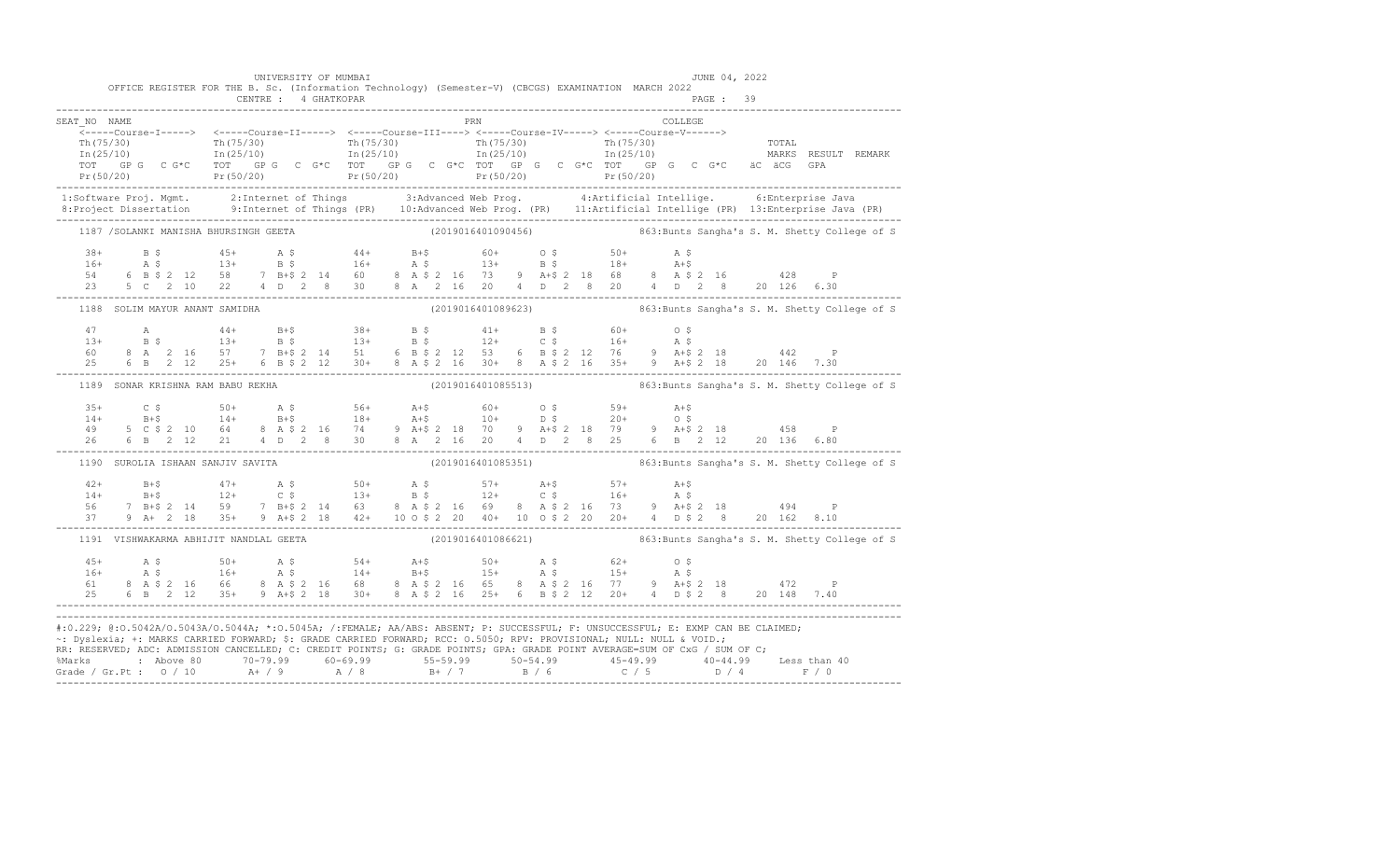|                                                                                                                      | UNIVERSITY OF MUMBAI              | OFFICE REGISTER FOR THE B. Sc. (Information Technology) (Semester-V) (CBCGS) EXAMINATION MARCH 2022 |     | JUNE 04, 2022                                                                                                                                                                                                                                                                                                                                                                                                                     |                                                                                                                                                                                                                                                                                                                                                                                    |
|----------------------------------------------------------------------------------------------------------------------|-----------------------------------|-----------------------------------------------------------------------------------------------------|-----|-----------------------------------------------------------------------------------------------------------------------------------------------------------------------------------------------------------------------------------------------------------------------------------------------------------------------------------------------------------------------------------------------------------------------------------|------------------------------------------------------------------------------------------------------------------------------------------------------------------------------------------------------------------------------------------------------------------------------------------------------------------------------------------------------------------------------------|
|                                                                                                                      |                                   |                                                                                                     |     |                                                                                                                                                                                                                                                                                                                                                                                                                                   |                                                                                                                                                                                                                                                                                                                                                                                    |
| SEAT NO NAME                                                                                                         |                                   |                                                                                                     | PRN | COLLEGE                                                                                                                                                                                                                                                                                                                                                                                                                           |                                                                                                                                                                                                                                                                                                                                                                                    |
|                                                                                                                      |                                   |                                                                                                     |     |                                                                                                                                                                                                                                                                                                                                                                                                                                   |                                                                                                                                                                                                                                                                                                                                                                                    |
|                                                                                                                      |                                   |                                                                                                     |     |                                                                                                                                                                                                                                                                                                                                                                                                                                   |                                                                                                                                                                                                                                                                                                                                                                                    |
|                                                                                                                      |                                   |                                                                                                     |     |                                                                                                                                                                                                                                                                                                                                                                                                                                   |                                                                                                                                                                                                                                                                                                                                                                                    |
|                                                                                                                      |                                   |                                                                                                     |     |                                                                                                                                                                                                                                                                                                                                                                                                                                   | $\begin{array}{cccccccc} \texttt{Tr}(75/30) & \texttt{Tr}(75/30) & \texttt{Tr}(75/30) & \texttt{Tr}(75/30) & \texttt{Tr}(75/30) & \texttt{Tr}(75/30) & \texttt{Tr}(75/30) & \texttt{Tr}(75/30) & \texttt{Tr}(75/30) & \texttt{Tr}(75/30) & \texttt{Tr}(75/30) & \texttt{Tr}(75/30) & \texttt{Tr}(75/30) & \texttt{Tr}(75/30) & \texttt{Tr}(75/30) & \texttt{Tr}(75/30) & \texttt{$ |
|                                                                                                                      |                                   |                                                                                                     |     |                                                                                                                                                                                                                                                                                                                                                                                                                                   | 1:Software Proj. Mgmt. 2:Internet of Things 3:Advanced Web Prog. 4:Artificial Intellige. 6:Enterprise Java<br>8:Project Dissertation 9:Internet of Things (PR) 10:Advanced Web Prog. (PR) 11:Artificial Intellige (PR) 13:Enterpr                                                                                                                                                  |
|                                                                                                                      |                                   |                                                                                                     |     |                                                                                                                                                                                                                                                                                                                                                                                                                                   | 1187 /SOLANKI MANISHA BHURSINGH GEETA (2019016401090456) 863:Bunts Sangha's S. M. Shetty College of S                                                                                                                                                                                                                                                                              |
|                                                                                                                      |                                   |                                                                                                     |     |                                                                                                                                                                                                                                                                                                                                                                                                                                   |                                                                                                                                                                                                                                                                                                                                                                                    |
|                                                                                                                      |                                   |                                                                                                     |     |                                                                                                                                                                                                                                                                                                                                                                                                                                   |                                                                                                                                                                                                                                                                                                                                                                                    |
|                                                                                                                      |                                   |                                                                                                     |     |                                                                                                                                                                                                                                                                                                                                                                                                                                   |                                                                                                                                                                                                                                                                                                                                                                                    |
|                                                                                                                      |                                   |                                                                                                     |     | $\begin{array}{cccccccccccccccc} 38+ & & B & \xi & & 45+ & & A & \xi & & 44+ & & B+\xi & & 60+ & & 0 & \xi & & 50+ & & A & \xi \\ 16+ & & A & \xi & & 13+ & & B & \xi & & 16+ & A & \xi & & 13+ & B & \xi & & 18+ & A+\xi \\ 54 & & 6 & B & \xi & 2 & 12 & 58 & & 7 & B+\xi & 2 & 14 & 60 & & 8 & A & \xi & 2 & 16 & 73 & 9 & A+\xi & 2 & 18 & 68 & & 8 & A & \xi & 2 & 16$                                                       |                                                                                                                                                                                                                                                                                                                                                                                    |
| 1188 SOLIM MAYUR ANANT SAMIDHA                                                                                       |                                   |                                                                                                     |     |                                                                                                                                                                                                                                                                                                                                                                                                                                   |                                                                                                                                                                                                                                                                                                                                                                                    |
|                                                                                                                      |                                   |                                                                                                     |     |                                                                                                                                                                                                                                                                                                                                                                                                                                   |                                                                                                                                                                                                                                                                                                                                                                                    |
|                                                                                                                      |                                   |                                                                                                     |     |                                                                                                                                                                                                                                                                                                                                                                                                                                   |                                                                                                                                                                                                                                                                                                                                                                                    |
|                                                                                                                      |                                   |                                                                                                     |     |                                                                                                                                                                                                                                                                                                                                                                                                                                   |                                                                                                                                                                                                                                                                                                                                                                                    |
|                                                                                                                      |                                   |                                                                                                     |     | $\begin{array}{lllllllllllllll} \mbox{A} & \mbox{A} & \mbox{A4+} & \mbox{B+$}\hat{S} & \mbox{38+} & \mbox{B$}\hat{S} & \mbox{41+} & \mbox{B$}\hat{S} & \mbox{60+} & \mbox{0$}\hat{S} \\ \mbox{13+} & \mbox{B$}\hat{S} & \mbox{13+} & \mbox{B$}\hat{S} & \mbox{13+} & \mbox{B$}\hat{S} & \mbox{12+} & \mbox{C$}\hat{S} & \mbox{16+} & \mbox{A$}\hat{S} \\ \m$                                                                      |                                                                                                                                                                                                                                                                                                                                                                                    |
| 1189 SONAR KRISHNA RAM BABU REKHA                                                                                    |                                   |                                                                                                     |     |                                                                                                                                                                                                                                                                                                                                                                                                                                   | (2019016401085513) 863: Bunts Sangha's S. M. Shetty College of S                                                                                                                                                                                                                                                                                                                   |
|                                                                                                                      |                                   |                                                                                                     |     |                                                                                                                                                                                                                                                                                                                                                                                                                                   |                                                                                                                                                                                                                                                                                                                                                                                    |
|                                                                                                                      |                                   |                                                                                                     |     | $\begin{array}{cccccccccccccccc} 35+ & & C & \xi & & 50+ & & \text{A} & \xi & & 56+ & & \text{A}+ \xi & & 60+ & & O & \xi & & 59+ & & \text{A}+ \xi \\ 14+ & & B+ \xi & & 14+ & & B+ \xi & & 18+ & & A+ \xi & & 10+ & & D & \xi & & 20+ & & O & \xi \\ 49 & & 5 & C & \xi & 2 & 10 & 64 & & 8 & A & \xi & 2 & 16 & & 74 & & 9 & A+ \xi & 2 & 18 & & 70 & & 9 & A+ \xi & 2 & 1$                                                    |                                                                                                                                                                                                                                                                                                                                                                                    |
|                                                                                                                      |                                   |                                                                                                     |     |                                                                                                                                                                                                                                                                                                                                                                                                                                   |                                                                                                                                                                                                                                                                                                                                                                                    |
|                                                                                                                      |                                   |                                                                                                     |     |                                                                                                                                                                                                                                                                                                                                                                                                                                   |                                                                                                                                                                                                                                                                                                                                                                                    |
|                                                                                                                      | 1190 SUROLIA ISHAAN SANJIV SAVITA |                                                                                                     |     |                                                                                                                                                                                                                                                                                                                                                                                                                                   | (2019016401085351) 863: Bunts Sangha's S. M. Shetty College of S                                                                                                                                                                                                                                                                                                                   |
|                                                                                                                      |                                   |                                                                                                     |     |                                                                                                                                                                                                                                                                                                                                                                                                                                   |                                                                                                                                                                                                                                                                                                                                                                                    |
|                                                                                                                      |                                   |                                                                                                     |     |                                                                                                                                                                                                                                                                                                                                                                                                                                   |                                                                                                                                                                                                                                                                                                                                                                                    |
|                                                                                                                      |                                   |                                                                                                     |     |                                                                                                                                                                                                                                                                                                                                                                                                                                   |                                                                                                                                                                                                                                                                                                                                                                                    |
|                                                                                                                      |                                   |                                                                                                     |     |                                                                                                                                                                                                                                                                                                                                                                                                                                   |                                                                                                                                                                                                                                                                                                                                                                                    |
|                                                                                                                      |                                   |                                                                                                     |     |                                                                                                                                                                                                                                                                                                                                                                                                                                   | 1191 VISHWAKARMA ABHIJIT NANDLAL GEETA (2019016401086621) 863:Bunts Sangha's S. M. Shetty College of S                                                                                                                                                                                                                                                                             |
|                                                                                                                      |                                   |                                                                                                     |     |                                                                                                                                                                                                                                                                                                                                                                                                                                   |                                                                                                                                                                                                                                                                                                                                                                                    |
|                                                                                                                      |                                   |                                                                                                     |     |                                                                                                                                                                                                                                                                                                                                                                                                                                   |                                                                                                                                                                                                                                                                                                                                                                                    |
|                                                                                                                      |                                   |                                                                                                     |     |                                                                                                                                                                                                                                                                                                                                                                                                                                   |                                                                                                                                                                                                                                                                                                                                                                                    |
|                                                                                                                      |                                   |                                                                                                     |     | $\begin{array}{cccccccccccccccc} 45+ & & {\bf A}\; \hat{\bf y} & & & & & & & & 50+ & & {\bf A}\; \hat{\bf y} & & & & & & 50+ & & {\bf A}\; \hat{\bf y} & & & & & & & 50+ & & {\bf A}\; \hat{\bf y} & & & & & & & 50+ & & {\bf A}\; \hat{\bf y} & & & & & & & 50+ & & {\bf A}\; \hat{\bf y} & & & & & & & 50+ & & {\bf A}\; \hat{\bf y} & & & & & & & 50+ & & {\bf A}\; \hat{\bf y} & & & & & & & 50+ & & {\bf A}\; \hat{\bf y} &$ |                                                                                                                                                                                                                                                                                                                                                                                    |
| ~: Dyslexia; +: MARKS CARRIED FORWARD; \$: GRADE CARRIED FORWARD; RCC: 0.5050; RPV: PROVISIONAL; NULL: NULL & VOID.; |                                   |                                                                                                     |     | #:0.229; @:0.5042A/0.5043A/0.5044A; *:0.5045A; /:FEMALE; AA/ABS: ABSENT; P: SUCCESSFUL; F: UNSUCCESSFUL; E: EXMP CAN BE CLAIMED;<br>RR: RESERVED; ADC: ADMISSION CANCELLED; C: CREDIT POINTS; G: GRADE POINTS; GPA: GRADE POINT AVERAGE=SUM OF CxG / SUM OF C;                                                                                                                                                                    |                                                                                                                                                                                                                                                                                                                                                                                    |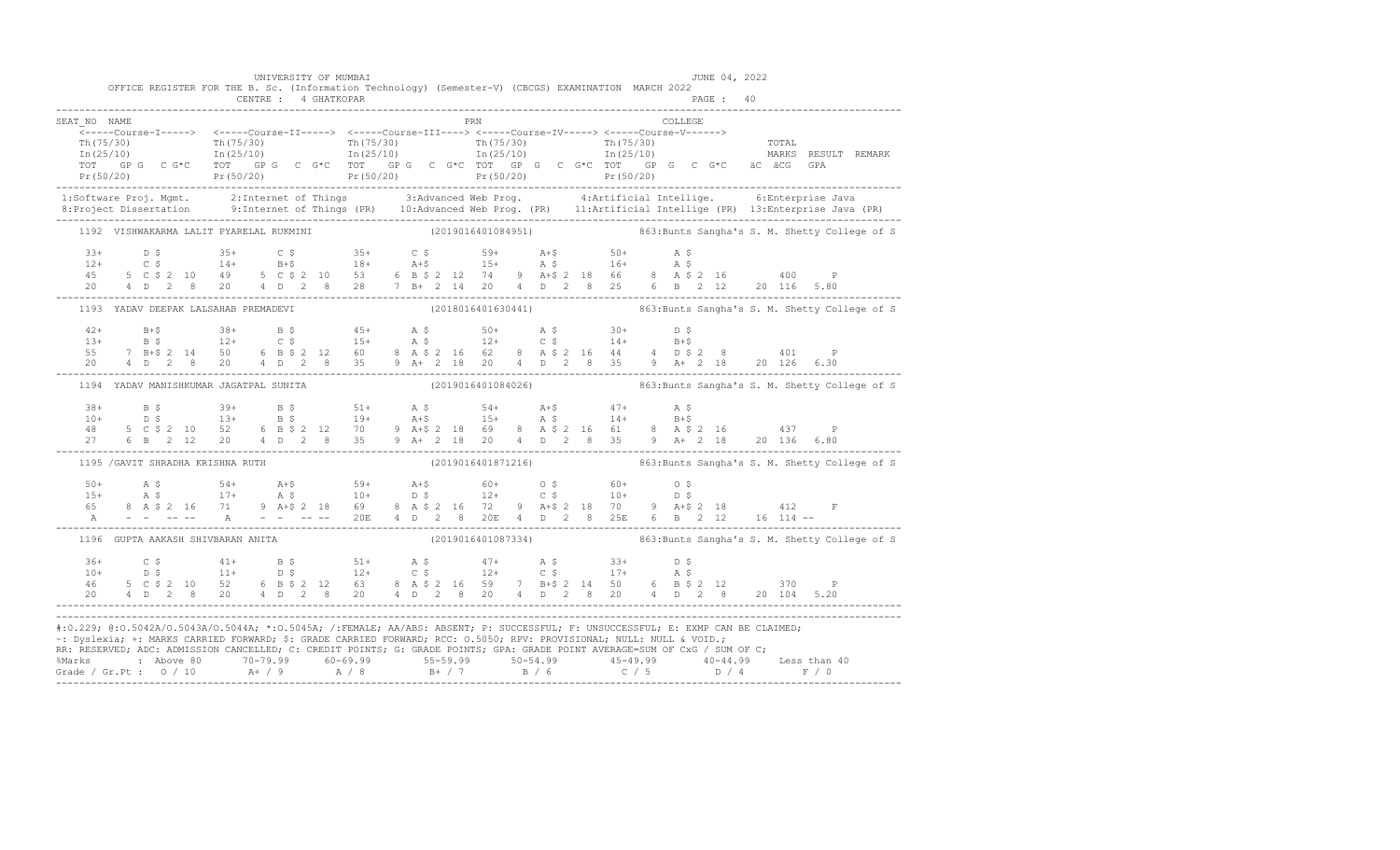|              |                                        | UNIVERSITY OF MUMBAI |     | OFFICE REGISTER FOR THE B. Sc. (Information Technology) (Semester-V) (CBCGS) EXAMINATION MARCH 2022                                                                                                                                                                                                                                                                                                                    | JUNE 04, 2022 |                                                                                                                                                                                                                                                                                                                                                                                                                                                                                                  |
|--------------|----------------------------------------|----------------------|-----|------------------------------------------------------------------------------------------------------------------------------------------------------------------------------------------------------------------------------------------------------------------------------------------------------------------------------------------------------------------------------------------------------------------------|---------------|--------------------------------------------------------------------------------------------------------------------------------------------------------------------------------------------------------------------------------------------------------------------------------------------------------------------------------------------------------------------------------------------------------------------------------------------------------------------------------------------------|
|              |                                        |                      |     |                                                                                                                                                                                                                                                                                                                                                                                                                        |               |                                                                                                                                                                                                                                                                                                                                                                                                                                                                                                  |
| SEAT NO NAME |                                        |                      | PRN |                                                                                                                                                                                                                                                                                                                                                                                                                        | COLLEGE       |                                                                                                                                                                                                                                                                                                                                                                                                                                                                                                  |
|              |                                        |                      |     |                                                                                                                                                                                                                                                                                                                                                                                                                        |               |                                                                                                                                                                                                                                                                                                                                                                                                                                                                                                  |
|              |                                        |                      |     |                                                                                                                                                                                                                                                                                                                                                                                                                        |               |                                                                                                                                                                                                                                                                                                                                                                                                                                                                                                  |
|              |                                        |                      |     |                                                                                                                                                                                                                                                                                                                                                                                                                        |               |                                                                                                                                                                                                                                                                                                                                                                                                                                                                                                  |
|              |                                        |                      |     |                                                                                                                                                                                                                                                                                                                                                                                                                        |               |                                                                                                                                                                                                                                                                                                                                                                                                                                                                                                  |
|              |                                        |                      |     |                                                                                                                                                                                                                                                                                                                                                                                                                        |               | $\begin{array}{cccccccc} \texttt{\footnotesize{Tr(75/30)}} & \texttt{\footnotesize{Tr(75/30)}} & \texttt{\footnotesize{Tr(75/30)}} & \texttt{\footnotesize{Tr(75/30)}} & \texttt{\footnotesize{Tr(75/30)}} & \texttt{\footnotesize{Tr(75/30)}} & \texttt{\footnotesize{Tr(75/30)}} & \texttt{\footnotesize{Tr(75/30)}} & \texttt{\footnotesize{Tr(75/30)}} & \texttt{\footnotesize{Tr(75/30)}} & \texttt{\footnotesize{Tr(75/30)}} & \texttt{\footnotesize{Tr(75/30)}} & \texttt{\footnotesize{$ |
|              |                                        |                      |     |                                                                                                                                                                                                                                                                                                                                                                                                                        |               | 1:Software Proj. Mgmt. 2:Internet of Things 3:Advanced Web Prog. 4:Artificial Intellige. 6:Enterprise Java<br>8:Project Dissertation 9:Internet of Things (PR) 10:Advanced Web Prog. (PR) 11:Artificial Intellige (PR) 13:Enterpr                                                                                                                                                                                                                                                                |
|              |                                        |                      |     |                                                                                                                                                                                                                                                                                                                                                                                                                        |               |                                                                                                                                                                                                                                                                                                                                                                                                                                                                                                  |
|              |                                        |                      |     |                                                                                                                                                                                                                                                                                                                                                                                                                        |               | 1192 VISHWAKARMA LALIT PYARELAL RUKMINI (2019016401084951) 863:Bunts Sangha's S. M. Shetty College of S                                                                                                                                                                                                                                                                                                                                                                                          |
|              |                                        |                      |     |                                                                                                                                                                                                                                                                                                                                                                                                                        |               |                                                                                                                                                                                                                                                                                                                                                                                                                                                                                                  |
|              |                                        |                      |     |                                                                                                                                                                                                                                                                                                                                                                                                                        |               |                                                                                                                                                                                                                                                                                                                                                                                                                                                                                                  |
|              |                                        |                      |     |                                                                                                                                                                                                                                                                                                                                                                                                                        |               |                                                                                                                                                                                                                                                                                                                                                                                                                                                                                                  |
|              |                                        |                      |     |                                                                                                                                                                                                                                                                                                                                                                                                                        |               | $\begin{array}{cccccccccccccccc} 33+ & & D & \xi & & & 35+ & & C & \xi & & & 35+ & & C & \xi & & & 59+ & & A+ \xi & & & 50+ & & A & \xi \\ 12+ & & C & \xi & & & 14+ & & B+ \xi & & & 18+ & & A+ \xi & & 15+ & & A & \xi & & & 16+ & & A & \xi \\ 45 & & 5 & C & \xi & 2 & 10 & & 49 & & 5 & C & \xi & 2 & 10 & & 53 & & 6 & B & \xi & 2 & 12 & 74 & 9 & A+ \xi & 2 & 18 & 66 &$                                                                                                                 |
|              | 1193 YADAV DEEPAK LALSAHAB PREMADEVI   |                      |     |                                                                                                                                                                                                                                                                                                                                                                                                                        |               | (2018016401630441)                             863:Bunts Sangha's S. M. Shetty College of S                                                                                                                                                                                                                                                                                                                                                                                                      |
|              |                                        |                      |     |                                                                                                                                                                                                                                                                                                                                                                                                                        |               |                                                                                                                                                                                                                                                                                                                                                                                                                                                                                                  |
|              |                                        |                      |     |                                                                                                                                                                                                                                                                                                                                                                                                                        |               |                                                                                                                                                                                                                                                                                                                                                                                                                                                                                                  |
|              |                                        |                      |     |                                                                                                                                                                                                                                                                                                                                                                                                                        |               |                                                                                                                                                                                                                                                                                                                                                                                                                                                                                                  |
|              |                                        |                      |     |                                                                                                                                                                                                                                                                                                                                                                                                                        |               | $\begin{array}{cccccccccccccccc} 42+ & 8+ \$& 38+ & 8\, \$& 45+ & 8\, \$& 50+ & 8\, \$& 30+ & 8\, \$& 12+ & 8\, \$& 12+ & 8\, \$& 12+ & 8\, \$& 12+ & 8\, \$& 12+ & 8\, \$& 12+ & 8\, \$& 12+ & 8\, \$& 12+ & 8\, \$& 12+ & 8\, \$& 12+ & 8\, \$& 12+ & 8\, \$& 12+ & 8\, \$& 12+ & 8\, \$& 12+ & 8\, \$& 1$                                                                                                                                                                                     |
|              | 1194 YADAV MANISHKUMAR JAGATPAL SUNITA |                      |     |                                                                                                                                                                                                                                                                                                                                                                                                                        |               | (2019016401084026) 863:Bunts Sangha's S. M. Shetty College of S                                                                                                                                                                                                                                                                                                                                                                                                                                  |
|              |                                        |                      |     |                                                                                                                                                                                                                                                                                                                                                                                                                        |               |                                                                                                                                                                                                                                                                                                                                                                                                                                                                                                  |
|              |                                        |                      |     | 1993<br>1994 B 2 13+ B 2 1954 B 2 1954 B 2 14 B 4 5<br>1994 B 2 1954 B 2 1955 B 3 1955 B 3 14 B 4 5<br>1995 B 3 2 18 69 8 A 5 2 16 6 1 8 A 5 2 16<br>1995 B 3 A 5 2 16<br>1995 B 3 A 5 2 16<br>1995 B 3 A 5 2 16<br>1995 B 3 A 5 2 16<br>1996                                                                                                                                                                          |               |                                                                                                                                                                                                                                                                                                                                                                                                                                                                                                  |
|              |                                        |                      |     |                                                                                                                                                                                                                                                                                                                                                                                                                        |               |                                                                                                                                                                                                                                                                                                                                                                                                                                                                                                  |
|              |                                        |                      |     |                                                                                                                                                                                                                                                                                                                                                                                                                        |               |                                                                                                                                                                                                                                                                                                                                                                                                                                                                                                  |
|              | 1195 / GAVIT SHRADHA KRISHNA RUTH      |                      |     |                                                                                                                                                                                                                                                                                                                                                                                                                        |               | (2019016401871216) 863: Bunts Sangha's S. M. Shetty College of S                                                                                                                                                                                                                                                                                                                                                                                                                                 |
|              |                                        |                      |     |                                                                                                                                                                                                                                                                                                                                                                                                                        |               |                                                                                                                                                                                                                                                                                                                                                                                                                                                                                                  |
|              |                                        |                      |     |                                                                                                                                                                                                                                                                                                                                                                                                                        |               |                                                                                                                                                                                                                                                                                                                                                                                                                                                                                                  |
|              |                                        |                      |     |                                                                                                                                                                                                                                                                                                                                                                                                                        |               |                                                                                                                                                                                                                                                                                                                                                                                                                                                                                                  |
|              |                                        |                      |     | $\begin{array}{cccccccccccccccc} 50+ & & {\rm A}\,\,\hat{\textrm{S}} & & & 54+ & & {\rm A}\,\hat{\textrm{S}} & & & 59+ & & {\rm A}\,\hat{\textrm{S}} & & & & 60+ & & 0\,\,\hat{\textrm{S}} & & & & & 60+ & & 0\,\,\hat{\textrm{S}} \\ 15+ & & {\rm A}\,\,\hat{\textrm{S}} & & & 17+ & & {\rm A}\,\,\hat{\textrm{S}} & & & 10+ & & {\rm D}\,\,\hat{\textrm{S}} & & & 12+ & & {\rm C}\,\,\hat{\textrm{S}} & & & & 10+ &$ |               |                                                                                                                                                                                                                                                                                                                                                                                                                                                                                                  |
|              | 1196 GUPTA AAKASH SHIVBARAN ANITA      |                      |     |                                                                                                                                                                                                                                                                                                                                                                                                                        |               | (2019016401087334) 863: Bunts Sangha's S. M. Shetty College of S                                                                                                                                                                                                                                                                                                                                                                                                                                 |
|              |                                        |                      |     |                                                                                                                                                                                                                                                                                                                                                                                                                        |               |                                                                                                                                                                                                                                                                                                                                                                                                                                                                                                  |
|              |                                        |                      |     |                                                                                                                                                                                                                                                                                                                                                                                                                        |               |                                                                                                                                                                                                                                                                                                                                                                                                                                                                                                  |
|              |                                        |                      |     |                                                                                                                                                                                                                                                                                                                                                                                                                        |               |                                                                                                                                                                                                                                                                                                                                                                                                                                                                                                  |
|              |                                        |                      |     |                                                                                                                                                                                                                                                                                                                                                                                                                        |               | $\begin{array}{cccccccccccccccc} 36+ & & C & \xi & & 41+ & & B & \xi & & 51+ & & A & \xi & & 47+ & & A & \xi & & 33+ & & D & \xi \\ 10+ & & D & \xi & & 11+ & & D & \xi & & 12+ & & C & \xi & & 12+ & & C & \xi & & 17+ & & A & \xi \\ 46 & & 5 & C & \xi & 2 & 10 & & 52 & & 6 & B & \xi & 2 & 12 & & 63 & & 8 & A & \xi & 2 & 16 & 59 & 7 & B & \xi & 2 & 14 & 50 & & 6 & B & \$                                                                                                               |
|              |                                        |                      |     | #:0.229; @:0.5042A/0.5043A/0.5044A; *:0.5045A; /:FEMALE; AA/ABS: ABSENT; P: SUCCESSFUL; F: UNSUCCESSFUL; E: EXMP CAN BE CLAIMED;<br>~: Dyslexia; +: MARKS CARRIED FORWARD; \$: GRADE CARRIED FORWARD; RCC: 0.5050; RPV: PROVISIONAL; NULL: NULL & VOID.;<br>RR: RESERVED, ADC: ADMISSION CANCELLED, C: CREDIT POINTS, G: GRADE POINTS, GPA: GRADE POINT AVERAGE=SUM OF CxG / SUM OF C;                                 |               | *Marks : Above 80 70-79.99 60-69.99 55-59.99 50-54.99 50-54.99 45-49.99 40-44.99 Less than 40<br>Grade / Gr.Pt : 0 / 10 A+ / 9 A / 8 B+ / 7 B / 6 C / 5 D / 4 F / 0                                                                                                                                                                                                                                                                                                                              |
|              |                                        |                      |     |                                                                                                                                                                                                                                                                                                                                                                                                                        |               |                                                                                                                                                                                                                                                                                                                                                                                                                                                                                                  |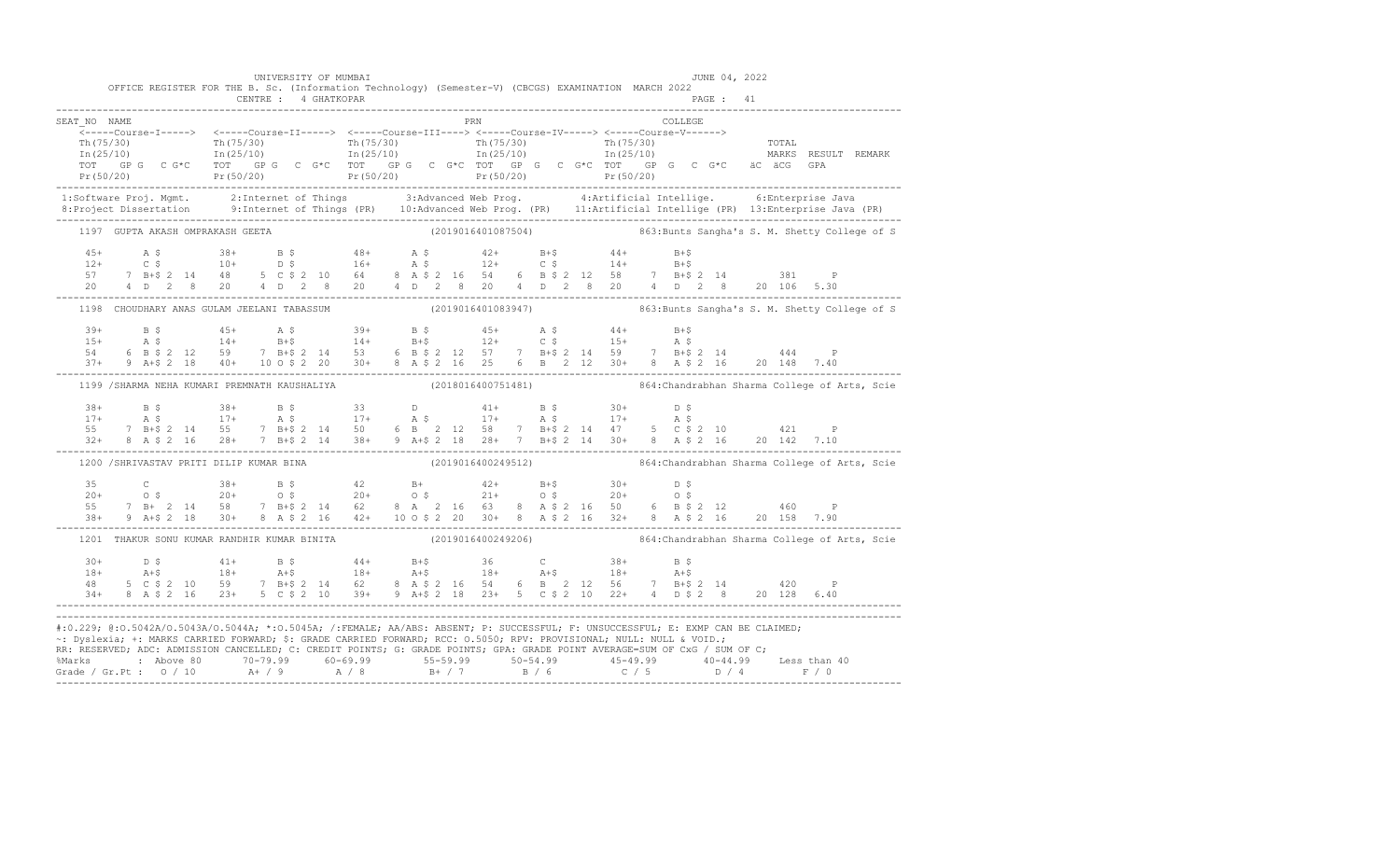|                                                                                                                                                                                                                                                                                                                                                                          |  | OFFICE REGISTER FOR THE B. Sc. (Information Technology) (Semester-V) (CBCGS) EXAMINATION MARCH 2022 |  | UNIVERSITY OF MUMBAI |  |  |  |            |  |         |  | JUNE 04, 2022 |                                                                                                                                                                                                                                                                                                                                                        |                                                                                                                                                                                                                                                                                                                                                                                    |
|--------------------------------------------------------------------------------------------------------------------------------------------------------------------------------------------------------------------------------------------------------------------------------------------------------------------------------------------------------------------------|--|-----------------------------------------------------------------------------------------------------|--|----------------------|--|--|--|------------|--|---------|--|---------------|--------------------------------------------------------------------------------------------------------------------------------------------------------------------------------------------------------------------------------------------------------------------------------------------------------------------------------------------------------|------------------------------------------------------------------------------------------------------------------------------------------------------------------------------------------------------------------------------------------------------------------------------------------------------------------------------------------------------------------------------------|
|                                                                                                                                                                                                                                                                                                                                                                          |  |                                                                                                     |  |                      |  |  |  |            |  |         |  |               |                                                                                                                                                                                                                                                                                                                                                        |                                                                                                                                                                                                                                                                                                                                                                                    |
| SEAT NO NAME                                                                                                                                                                                                                                                                                                                                                             |  |                                                                                                     |  |                      |  |  |  | <b>PRN</b> |  | COLLEGE |  |               |                                                                                                                                                                                                                                                                                                                                                        |                                                                                                                                                                                                                                                                                                                                                                                    |
|                                                                                                                                                                                                                                                                                                                                                                          |  |                                                                                                     |  |                      |  |  |  |            |  |         |  |               |                                                                                                                                                                                                                                                                                                                                                        |                                                                                                                                                                                                                                                                                                                                                                                    |
|                                                                                                                                                                                                                                                                                                                                                                          |  |                                                                                                     |  |                      |  |  |  |            |  |         |  |               |                                                                                                                                                                                                                                                                                                                                                        |                                                                                                                                                                                                                                                                                                                                                                                    |
|                                                                                                                                                                                                                                                                                                                                                                          |  |                                                                                                     |  |                      |  |  |  |            |  |         |  |               |                                                                                                                                                                                                                                                                                                                                                        |                                                                                                                                                                                                                                                                                                                                                                                    |
|                                                                                                                                                                                                                                                                                                                                                                          |  |                                                                                                     |  |                      |  |  |  |            |  |         |  |               |                                                                                                                                                                                                                                                                                                                                                        | $\begin{array}{cccccccc} \texttt{Tr}(75/30) & \texttt{Tr}(75/30) & \texttt{Tr}(75/30) & \texttt{Tr}(75/30) & \texttt{Tr}(75/30) & \texttt{Tr}(75/30) & \texttt{Tr}(75/30) & \texttt{Tr}(75/30) & \texttt{Tr}(75/30) & \texttt{Tr}(75/30) & \texttt{Tr}(75/30) & \texttt{Tr}(75/30) & \texttt{Tr}(75/30) & \texttt{Tr}(75/30) & \texttt{Tr}(75/30) & \texttt{Tr}(75/30) & \texttt{$ |
|                                                                                                                                                                                                                                                                                                                                                                          |  |                                                                                                     |  |                      |  |  |  |            |  |         |  |               |                                                                                                                                                                                                                                                                                                                                                        | 1:Software Proj. Mgmt. 2:Internet of Things 3:Advanced Web Prog. 4:Artificial Intellige. 6:Enterprise Java<br>8:Project Dissertation 9:Internet of Things (PR) 10:Advanced Web Prog. (PR) 11:Artificial Intellige (PR) 13:Enterpr                                                                                                                                                  |
|                                                                                                                                                                                                                                                                                                                                                                          |  |                                                                                                     |  |                      |  |  |  |            |  |         |  |               |                                                                                                                                                                                                                                                                                                                                                        | 1197 GUPTA AKASH OMPRAKASH GEETA (2019016401087504) 863:Bunts Sangha's S. M. Shetty College of S                                                                                                                                                                                                                                                                                   |
|                                                                                                                                                                                                                                                                                                                                                                          |  |                                                                                                     |  |                      |  |  |  |            |  |         |  |               |                                                                                                                                                                                                                                                                                                                                                        |                                                                                                                                                                                                                                                                                                                                                                                    |
|                                                                                                                                                                                                                                                                                                                                                                          |  |                                                                                                     |  |                      |  |  |  |            |  |         |  |               |                                                                                                                                                                                                                                                                                                                                                        |                                                                                                                                                                                                                                                                                                                                                                                    |
|                                                                                                                                                                                                                                                                                                                                                                          |  |                                                                                                     |  |                      |  |  |  |            |  |         |  |               |                                                                                                                                                                                                                                                                                                                                                        |                                                                                                                                                                                                                                                                                                                                                                                    |
|                                                                                                                                                                                                                                                                                                                                                                          |  |                                                                                                     |  |                      |  |  |  |            |  |         |  |               |                                                                                                                                                                                                                                                                                                                                                        |                                                                                                                                                                                                                                                                                                                                                                                    |
|                                                                                                                                                                                                                                                                                                                                                                          |  |                                                                                                     |  |                      |  |  |  |            |  |         |  |               |                                                                                                                                                                                                                                                                                                                                                        | 1198 CHOUDHARY ANAS GULAM JEELANI TABASSUM (2019016401083947) 863:Bunts Sangha's S. M. Shetty College of S                                                                                                                                                                                                                                                                         |
|                                                                                                                                                                                                                                                                                                                                                                          |  |                                                                                                     |  |                      |  |  |  |            |  |         |  |               |                                                                                                                                                                                                                                                                                                                                                        |                                                                                                                                                                                                                                                                                                                                                                                    |
|                                                                                                                                                                                                                                                                                                                                                                          |  |                                                                                                     |  |                      |  |  |  |            |  |         |  |               |                                                                                                                                                                                                                                                                                                                                                        |                                                                                                                                                                                                                                                                                                                                                                                    |
|                                                                                                                                                                                                                                                                                                                                                                          |  |                                                                                                     |  |                      |  |  |  |            |  |         |  |               |                                                                                                                                                                                                                                                                                                                                                        |                                                                                                                                                                                                                                                                                                                                                                                    |
|                                                                                                                                                                                                                                                                                                                                                                          |  |                                                                                                     |  |                      |  |  |  |            |  |         |  |               |                                                                                                                                                                                                                                                                                                                                                        |                                                                                                                                                                                                                                                                                                                                                                                    |
|                                                                                                                                                                                                                                                                                                                                                                          |  |                                                                                                     |  |                      |  |  |  |            |  |         |  |               |                                                                                                                                                                                                                                                                                                                                                        | 1199 /SHARMA NEHA KUMARI PREMNATH KAUSHALIYA (2018016400751481) 664: Chandrabhan Sharma College of Arts, Scie                                                                                                                                                                                                                                                                      |
|                                                                                                                                                                                                                                                                                                                                                                          |  |                                                                                                     |  |                      |  |  |  |            |  |         |  |               |                                                                                                                                                                                                                                                                                                                                                        |                                                                                                                                                                                                                                                                                                                                                                                    |
|                                                                                                                                                                                                                                                                                                                                                                          |  |                                                                                                     |  |                      |  |  |  |            |  |         |  |               |                                                                                                                                                                                                                                                                                                                                                        |                                                                                                                                                                                                                                                                                                                                                                                    |
|                                                                                                                                                                                                                                                                                                                                                                          |  |                                                                                                     |  |                      |  |  |  |            |  |         |  |               |                                                                                                                                                                                                                                                                                                                                                        |                                                                                                                                                                                                                                                                                                                                                                                    |
|                                                                                                                                                                                                                                                                                                                                                                          |  |                                                                                                     |  |                      |  |  |  |            |  |         |  |               | $\begin{array}{cccccccccccc} 38+ & & B $ & & 38+ & B $ & & 33 & & D & & 41+ & B $ & 30+ & D $ \\ 17+ & & A $ & & 17+ & A $ & & 17+ & A $ & & 17+ & A $ & & 17+ & A $ \\ 55 & 7 & B+$ & 2 & 14 & 55 & 7 & B+$ & 2 & 14 & 50 & 6 & B & 2 & 12 & 58 & 7 & B+$ & 2 & 14 & 47 & 5 & C $ & 2 & 10 & & 421 & P \\ 32+ & 8 & A $ & 2 & 16 & 28+ & 7 & B+$      |                                                                                                                                                                                                                                                                                                                                                                                    |
|                                                                                                                                                                                                                                                                                                                                                                          |  |                                                                                                     |  |                      |  |  |  |            |  |         |  |               |                                                                                                                                                                                                                                                                                                                                                        | 1200 /SHRIVASTAV PRITI DILIP KUMAR BINA (2019016400249512) 864: Chandrabhan Sharma College of Arts, Scie                                                                                                                                                                                                                                                                           |
|                                                                                                                                                                                                                                                                                                                                                                          |  |                                                                                                     |  |                      |  |  |  |            |  |         |  |               | $\begin{array}{cccccccccccccccc} 35 & C & 38+ & B & \xi & 42 & B+ & 42+ & B+\xi & 30+ & D & \xi \\ 20+ & 0 & \xi & 20+ & 0 & \xi & 20+ & 0 & \xi & 21+ & 0 & \xi & 20+ & 0 & \xi \\ 55 & 7 & B+ & 2 & 14 & 58 & 7 & B+\xi & 2 & 14 & 62 & 8 & A & 2 & 16 & 63 & 8 & A & \xi & 2 & 16 & 50 & 6 & B & \xi & 2 & 12 & 460 & P \\ 38+ & 9 & A+\xi & 2 & 1$ |                                                                                                                                                                                                                                                                                                                                                                                    |
|                                                                                                                                                                                                                                                                                                                                                                          |  |                                                                                                     |  |                      |  |  |  |            |  |         |  |               |                                                                                                                                                                                                                                                                                                                                                        |                                                                                                                                                                                                                                                                                                                                                                                    |
|                                                                                                                                                                                                                                                                                                                                                                          |  |                                                                                                     |  |                      |  |  |  |            |  |         |  |               |                                                                                                                                                                                                                                                                                                                                                        |                                                                                                                                                                                                                                                                                                                                                                                    |
|                                                                                                                                                                                                                                                                                                                                                                          |  |                                                                                                     |  |                      |  |  |  |            |  |         |  |               |                                                                                                                                                                                                                                                                                                                                                        |                                                                                                                                                                                                                                                                                                                                                                                    |
|                                                                                                                                                                                                                                                                                                                                                                          |  |                                                                                                     |  |                      |  |  |  |            |  |         |  |               |                                                                                                                                                                                                                                                                                                                                                        | 1201 THAKUR SONU KUMAR RANDHIR KUMAR BINITA (2019016400249206) 864: Chandrabhan Sharma College of Arts, Scie                                                                                                                                                                                                                                                                       |
|                                                                                                                                                                                                                                                                                                                                                                          |  |                                                                                                     |  |                      |  |  |  |            |  |         |  |               |                                                                                                                                                                                                                                                                                                                                                        |                                                                                                                                                                                                                                                                                                                                                                                    |
|                                                                                                                                                                                                                                                                                                                                                                          |  |                                                                                                     |  |                      |  |  |  |            |  |         |  |               |                                                                                                                                                                                                                                                                                                                                                        |                                                                                                                                                                                                                                                                                                                                                                                    |
|                                                                                                                                                                                                                                                                                                                                                                          |  |                                                                                                     |  |                      |  |  |  |            |  |         |  |               |                                                                                                                                                                                                                                                                                                                                                        |                                                                                                                                                                                                                                                                                                                                                                                    |
| $\begin{array}{cccccccccccccccc} 30+ & & D & \xi & & & 41+ & & B & \xi & & & 44+ & & B+\xi & & 36 & & C & & 38+ & & B & \xi \\ 18+ & & & & 18+ & & & 18+ & & & 18+ & & A+\xi & & 18+ & & A+\xi & & 18+ & & A+\xi \\ 48 & & 5 & C & \xi & 2 & 10 & & 59 & & 7 & B+\xi & 2 & 14 & & 62 & & 8 & A & \xi & 2 & 16 & 54 & & 6 & B & 2 & 12 & 56 & & 7 & B+\xi & 2 & 14 & & 4$ |  |                                                                                                     |  |                      |  |  |  |            |  |         |  |               |                                                                                                                                                                                                                                                                                                                                                        |                                                                                                                                                                                                                                                                                                                                                                                    |
| #:0.229; @:0.5042A/0.5043A/0.5044A; *:0.5045A; /:FEMALE; AA/ABS: ABSENT; P: SUCCESSFUL; F: UNSUCCESSFUL; E: EXMP CAN BE CLAIMED;                                                                                                                                                                                                                                         |  |                                                                                                     |  |                      |  |  |  |            |  |         |  |               |                                                                                                                                                                                                                                                                                                                                                        |                                                                                                                                                                                                                                                                                                                                                                                    |
| ~: Dyslexia; +: MARKS CARRIED FORWARD; \$: GRADE CARRIED FORWARD; RCC: 0.5050; RPV: PROVISIONAL; NULL: NULL & VOID.;                                                                                                                                                                                                                                                     |  |                                                                                                     |  |                      |  |  |  |            |  |         |  |               |                                                                                                                                                                                                                                                                                                                                                        |                                                                                                                                                                                                                                                                                                                                                                                    |
| RR: RESERVED; ADC: ADMISSION CANCELLED; C: CREDIT POINTS; G: GRADE POINTS; GPA: GRADE POINT AVERAGE=SUM OF CxG / SUM OF C;                                                                                                                                                                                                                                               |  |                                                                                                     |  |                      |  |  |  |            |  |         |  |               |                                                                                                                                                                                                                                                                                                                                                        |                                                                                                                                                                                                                                                                                                                                                                                    |
|                                                                                                                                                                                                                                                                                                                                                                          |  |                                                                                                     |  |                      |  |  |  |            |  |         |  |               |                                                                                                                                                                                                                                                                                                                                                        |                                                                                                                                                                                                                                                                                                                                                                                    |
|                                                                                                                                                                                                                                                                                                                                                                          |  |                                                                                                     |  |                      |  |  |  |            |  |         |  |               |                                                                                                                                                                                                                                                                                                                                                        |                                                                                                                                                                                                                                                                                                                                                                                    |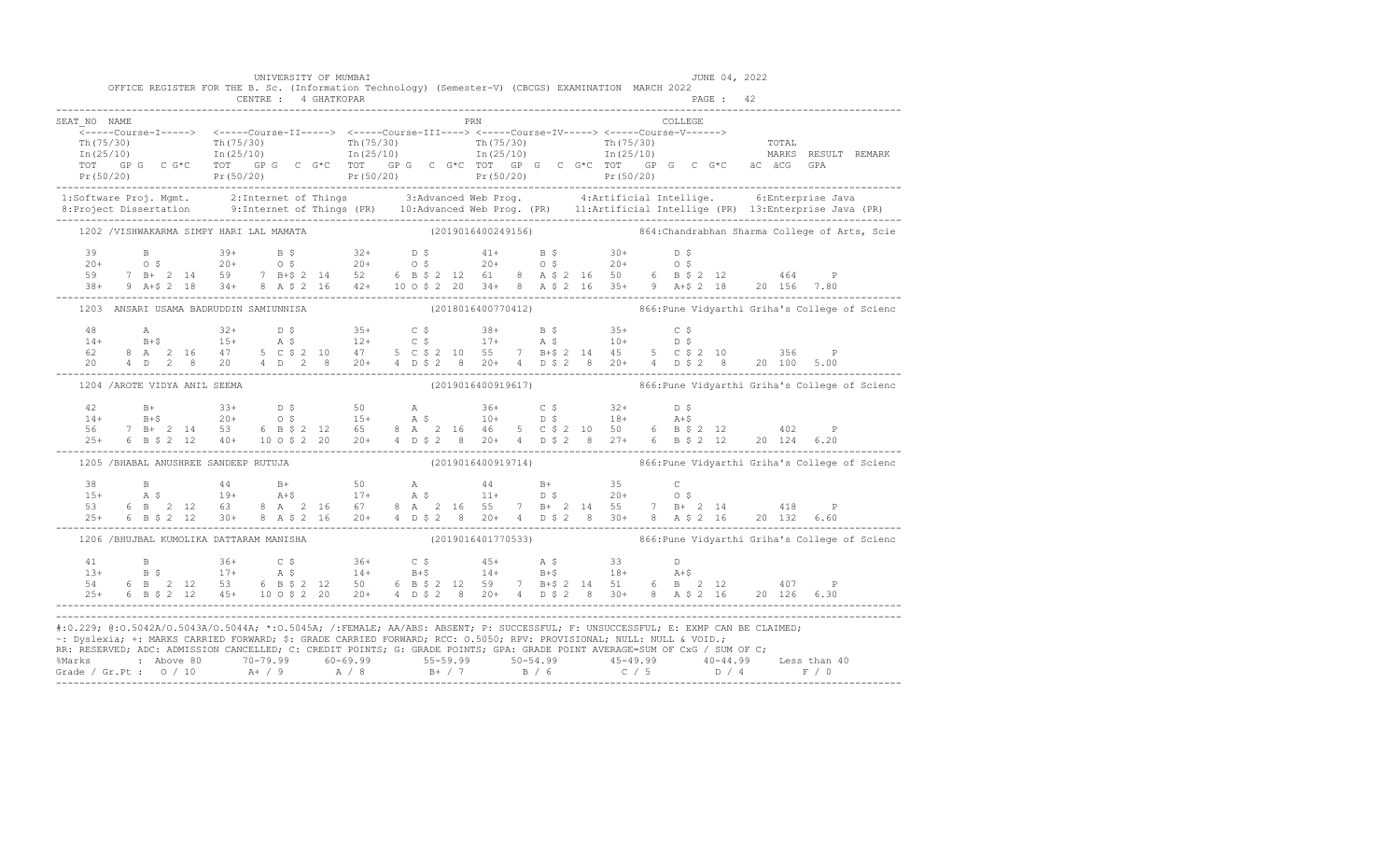| PRN<br>COLLEGE<br>SEAT NO NAME<br>1:Software Proj. Mgmt. 2:Internet of Things 3:Advanced Web Prog. 4:Artificial Intellige. 6:Enterprise Java<br>8:Project Dissertation 9:Internet of Things (PR) 10:Advanced Web Prog. (PR) 11:Artificial Intellige (PR) 13:Enterpr<br>1202 /VISHWAKARMA SIMPY HARI LAL MAMATA (2019016400249156) 864: Chandrabhan Sharma College of Arts, Scie<br>$\begin{array}{cccccccccccccccc} 39 & & B & & 39+ & B & \xi & & 32+ & D & \xi & & 41+ & B & \xi & & 30+ & D & \xi \\ 20+ & & O & \xi & & 20+ & & O & \xi & & 20+ & O & \xi & & 20+ & O & \xi \\ 59 & & 7 & B+ & 2 & 14 & 59 & & 7 & B+ \xi & 2 & 14 & 52 & 6 & B & \xi & 2 & 12 & 61 & 8 & A & \xi & 2 & 16 & 50 & 6 & B & \xi & 2 & 12 & & 464 & P \\ 38+ & 9 & A+ \$<br>$\begin{array}{cccccccccccccccc} 48 & \mathrm{A} & \mathrm{32+} & \mathrm{D}~\mathcal{S} & \mathrm{35+} & \mathrm{C}~\mathcal{S} & \mathrm{38+} & \mathrm{B}~\mathcal{S} & \mathrm{35+} & \mathrm{C}~\mathcal{S} \\ 14+ & \mathrm{B+}\mathcal{S} & \mathrm{15+} & \mathrm{A}~\mathcal{S} & \mathrm{12+} & \mathrm{C}~\mathcal{S} & \mathrm{17+} & \mathrm{A}~\mathcal{S} & \mathrm{10+} & \mathrm{D}~\mathcal{S} \\ 62 & 8~\mathrm{A} & 2$<br>(2019016400919617) 866: Pune Vidyarthi Griha's College of Scienc<br>1204 / AROTE VIDYA ANIL SEEMA<br>$\begin{array}{cccccccccccc} 42 & B+ & 33+ & D & S & 50 & A & 36+ & C & S & 32+ & D & S \\ 14+ & B+S & 20+ & 0 & S & 15+ & A & S & 10+ & D & S & 18+ & A+S \\ 56 & 7 & B+ & 2 & 14 & 53 & 6 & B & S & 2 & 12 & 65 & 8 & A & 2 & 16 & 46 & 5 & C & S & 2 & 10 & 50 & 6 & B & S & 2 & 12 & 402 & P \\ 25+ & 6 & B & S & 2 & 12 & 40+ & 10 & 0 &$<br>1205 /BHABAL ANUSHREE SANDEEP RUTUJA (2019016400919714) 866: Pune Vidyarthi Griha's College of Scienc<br>$\begin{array}{cccccccccccccccc} 38 & & B & & 44 & & B+ & & 50 & & A & & 44 & & B+ & & 35 & & C \\ 15+ & & A & \xi & & 19+ & & A+\xi & & 17+ & & A & \xi & & 11+ & D & \xi & & 20+ & O & \xi \\ 53 & & 6 & B & 2 & 12 & 63 & & 8 & A & 2 & 16 & 67 & & 8 & A & 2 & 16 & 55 & 7 & B+ & 2 & 14 & 55 & 7 & B+ & 2 & 14 & & 418 & & P \\ 25+ & 6 & B & \xi & 2 & 12$<br>1206 /BHUJBAL KUMOLIKA DATTARAM MANISHA (2019016401770533) 6 866:Pune Vidyarthi Griha's College of Scienc<br>$\begin{array}{cccccccccccc} 41 & B & 36+ & C & \xi & 36+ & C & \xi & 45+ & A & \xi & 33 & D \\ 13+ & B & \xi & 17+ & A & \xi & 14+ & B+ \xi & 14+ & B+ \xi & 18+ & A+ \xi \\ 54 & 6 & B & 2 & 12 & 53 & 6 & B & \xi & 2 & 12 & 50 & 6 & B & \xi & 2 & 12 & 59 & 7 & B+ \xi & 2 & 14 & 51 & 6 & B & 2 & 12 & 407 & P \\ 25+ & 6 & B & \xi & 2 & 12 & 45$<br>#:0.229; @:0.5042A/0.5043A/0.5044A; *:0.5045A; /:FEMALE; AA/ABS: ABSENT; P: SUCCESSFUL; F: UNSUCCESSFUL; E: EXMP CAN BE CLAIMED;<br>~: Dyslexia; +: MARKS CARRIED FORWARD; \$: GRADE CARRIED FORWARD; RCC: 0.5050; RPV: PROVISIONAL; NULL: NULL & VOID.;<br>RR: RESERVED; ADC: ADMISSION CANCELLED; C: CREDIT POINTS; G: GRADE POINTS; GPA: GRADE POINT AVERAGE=SUM OF CxG / SUM OF C; | OFFICE REGISTER FOR THE B. Sc. (Information Technology) (Semester-V) (CBCGS) EXAMINATION MARCH 2022 |  | UNIVERSITY OF MUMBAI<br>CENTRE : 4 GHATKOPAR |  |  |  |  | JUNE 04, 2022<br>PAGE: 42 |  |  |
|----------------------------------------------------------------------------------------------------------------------------------------------------------------------------------------------------------------------------------------------------------------------------------------------------------------------------------------------------------------------------------------------------------------------------------------------------------------------------------------------------------------------------------------------------------------------------------------------------------------------------------------------------------------------------------------------------------------------------------------------------------------------------------------------------------------------------------------------------------------------------------------------------------------------------------------------------------------------------------------------------------------------------------------------------------------------------------------------------------------------------------------------------------------------------------------------------------------------------------------------------------------------------------------------------------------------------------------------------------------------------------------------------------------------------------------------------------------------------------------------------------------------------------------------------------------------------------------------------------------------------------------------------------------------------------------------------------------------------------------------------------------------------------------------------------------------------------------------------------------------------------------------------------------------------------------------------------------------------------------------------------------------------------------------------------------------------------------------------------------------------------------------------------------------------------------------------------------------------------------------------------------------------------------------------------------------------------------------------------------------------------------------------------------------------------------------------------------------------------------------------------------------------------------------------------------------------------------------------------------------------------------------------------------------------------------------------------------------------------------------------------------------------------------------------------------------------------------------------------------------------------------------------------------------------------------------------------------------------------------------------------------|-----------------------------------------------------------------------------------------------------|--|----------------------------------------------|--|--|--|--|---------------------------|--|--|
|                                                                                                                                                                                                                                                                                                                                                                                                                                                                                                                                                                                                                                                                                                                                                                                                                                                                                                                                                                                                                                                                                                                                                                                                                                                                                                                                                                                                                                                                                                                                                                                                                                                                                                                                                                                                                                                                                                                                                                                                                                                                                                                                                                                                                                                                                                                                                                                                                                                                                                                                                                                                                                                                                                                                                                                                                                                                                                                                                                                                                |                                                                                                     |  |                                              |  |  |  |  |                           |  |  |
|                                                                                                                                                                                                                                                                                                                                                                                                                                                                                                                                                                                                                                                                                                                                                                                                                                                                                                                                                                                                                                                                                                                                                                                                                                                                                                                                                                                                                                                                                                                                                                                                                                                                                                                                                                                                                                                                                                                                                                                                                                                                                                                                                                                                                                                                                                                                                                                                                                                                                                                                                                                                                                                                                                                                                                                                                                                                                                                                                                                                                |                                                                                                     |  |                                              |  |  |  |  |                           |  |  |
|                                                                                                                                                                                                                                                                                                                                                                                                                                                                                                                                                                                                                                                                                                                                                                                                                                                                                                                                                                                                                                                                                                                                                                                                                                                                                                                                                                                                                                                                                                                                                                                                                                                                                                                                                                                                                                                                                                                                                                                                                                                                                                                                                                                                                                                                                                                                                                                                                                                                                                                                                                                                                                                                                                                                                                                                                                                                                                                                                                                                                |                                                                                                     |  |                                              |  |  |  |  |                           |  |  |
|                                                                                                                                                                                                                                                                                                                                                                                                                                                                                                                                                                                                                                                                                                                                                                                                                                                                                                                                                                                                                                                                                                                                                                                                                                                                                                                                                                                                                                                                                                                                                                                                                                                                                                                                                                                                                                                                                                                                                                                                                                                                                                                                                                                                                                                                                                                                                                                                                                                                                                                                                                                                                                                                                                                                                                                                                                                                                                                                                                                                                |                                                                                                     |  |                                              |  |  |  |  |                           |  |  |
|                                                                                                                                                                                                                                                                                                                                                                                                                                                                                                                                                                                                                                                                                                                                                                                                                                                                                                                                                                                                                                                                                                                                                                                                                                                                                                                                                                                                                                                                                                                                                                                                                                                                                                                                                                                                                                                                                                                                                                                                                                                                                                                                                                                                                                                                                                                                                                                                                                                                                                                                                                                                                                                                                                                                                                                                                                                                                                                                                                                                                |                                                                                                     |  |                                              |  |  |  |  |                           |  |  |
|                                                                                                                                                                                                                                                                                                                                                                                                                                                                                                                                                                                                                                                                                                                                                                                                                                                                                                                                                                                                                                                                                                                                                                                                                                                                                                                                                                                                                                                                                                                                                                                                                                                                                                                                                                                                                                                                                                                                                                                                                                                                                                                                                                                                                                                                                                                                                                                                                                                                                                                                                                                                                                                                                                                                                                                                                                                                                                                                                                                                                |                                                                                                     |  |                                              |  |  |  |  |                           |  |  |
|                                                                                                                                                                                                                                                                                                                                                                                                                                                                                                                                                                                                                                                                                                                                                                                                                                                                                                                                                                                                                                                                                                                                                                                                                                                                                                                                                                                                                                                                                                                                                                                                                                                                                                                                                                                                                                                                                                                                                                                                                                                                                                                                                                                                                                                                                                                                                                                                                                                                                                                                                                                                                                                                                                                                                                                                                                                                                                                                                                                                                |                                                                                                     |  |                                              |  |  |  |  |                           |  |  |
|                                                                                                                                                                                                                                                                                                                                                                                                                                                                                                                                                                                                                                                                                                                                                                                                                                                                                                                                                                                                                                                                                                                                                                                                                                                                                                                                                                                                                                                                                                                                                                                                                                                                                                                                                                                                                                                                                                                                                                                                                                                                                                                                                                                                                                                                                                                                                                                                                                                                                                                                                                                                                                                                                                                                                                                                                                                                                                                                                                                                                |                                                                                                     |  |                                              |  |  |  |  |                           |  |  |
|                                                                                                                                                                                                                                                                                                                                                                                                                                                                                                                                                                                                                                                                                                                                                                                                                                                                                                                                                                                                                                                                                                                                                                                                                                                                                                                                                                                                                                                                                                                                                                                                                                                                                                                                                                                                                                                                                                                                                                                                                                                                                                                                                                                                                                                                                                                                                                                                                                                                                                                                                                                                                                                                                                                                                                                                                                                                                                                                                                                                                |                                                                                                     |  |                                              |  |  |  |  |                           |  |  |
|                                                                                                                                                                                                                                                                                                                                                                                                                                                                                                                                                                                                                                                                                                                                                                                                                                                                                                                                                                                                                                                                                                                                                                                                                                                                                                                                                                                                                                                                                                                                                                                                                                                                                                                                                                                                                                                                                                                                                                                                                                                                                                                                                                                                                                                                                                                                                                                                                                                                                                                                                                                                                                                                                                                                                                                                                                                                                                                                                                                                                |                                                                                                     |  |                                              |  |  |  |  |                           |  |  |
|                                                                                                                                                                                                                                                                                                                                                                                                                                                                                                                                                                                                                                                                                                                                                                                                                                                                                                                                                                                                                                                                                                                                                                                                                                                                                                                                                                                                                                                                                                                                                                                                                                                                                                                                                                                                                                                                                                                                                                                                                                                                                                                                                                                                                                                                                                                                                                                                                                                                                                                                                                                                                                                                                                                                                                                                                                                                                                                                                                                                                |                                                                                                     |  |                                              |  |  |  |  |                           |  |  |
|                                                                                                                                                                                                                                                                                                                                                                                                                                                                                                                                                                                                                                                                                                                                                                                                                                                                                                                                                                                                                                                                                                                                                                                                                                                                                                                                                                                                                                                                                                                                                                                                                                                                                                                                                                                                                                                                                                                                                                                                                                                                                                                                                                                                                                                                                                                                                                                                                                                                                                                                                                                                                                                                                                                                                                                                                                                                                                                                                                                                                |                                                                                                     |  |                                              |  |  |  |  |                           |  |  |
|                                                                                                                                                                                                                                                                                                                                                                                                                                                                                                                                                                                                                                                                                                                                                                                                                                                                                                                                                                                                                                                                                                                                                                                                                                                                                                                                                                                                                                                                                                                                                                                                                                                                                                                                                                                                                                                                                                                                                                                                                                                                                                                                                                                                                                                                                                                                                                                                                                                                                                                                                                                                                                                                                                                                                                                                                                                                                                                                                                                                                |                                                                                                     |  |                                              |  |  |  |  |                           |  |  |
|                                                                                                                                                                                                                                                                                                                                                                                                                                                                                                                                                                                                                                                                                                                                                                                                                                                                                                                                                                                                                                                                                                                                                                                                                                                                                                                                                                                                                                                                                                                                                                                                                                                                                                                                                                                                                                                                                                                                                                                                                                                                                                                                                                                                                                                                                                                                                                                                                                                                                                                                                                                                                                                                                                                                                                                                                                                                                                                                                                                                                |                                                                                                     |  |                                              |  |  |  |  |                           |  |  |
|                                                                                                                                                                                                                                                                                                                                                                                                                                                                                                                                                                                                                                                                                                                                                                                                                                                                                                                                                                                                                                                                                                                                                                                                                                                                                                                                                                                                                                                                                                                                                                                                                                                                                                                                                                                                                                                                                                                                                                                                                                                                                                                                                                                                                                                                                                                                                                                                                                                                                                                                                                                                                                                                                                                                                                                                                                                                                                                                                                                                                |                                                                                                     |  |                                              |  |  |  |  |                           |  |  |
|                                                                                                                                                                                                                                                                                                                                                                                                                                                                                                                                                                                                                                                                                                                                                                                                                                                                                                                                                                                                                                                                                                                                                                                                                                                                                                                                                                                                                                                                                                                                                                                                                                                                                                                                                                                                                                                                                                                                                                                                                                                                                                                                                                                                                                                                                                                                                                                                                                                                                                                                                                                                                                                                                                                                                                                                                                                                                                                                                                                                                |                                                                                                     |  |                                              |  |  |  |  |                           |  |  |
|                                                                                                                                                                                                                                                                                                                                                                                                                                                                                                                                                                                                                                                                                                                                                                                                                                                                                                                                                                                                                                                                                                                                                                                                                                                                                                                                                                                                                                                                                                                                                                                                                                                                                                                                                                                                                                                                                                                                                                                                                                                                                                                                                                                                                                                                                                                                                                                                                                                                                                                                                                                                                                                                                                                                                                                                                                                                                                                                                                                                                |                                                                                                     |  |                                              |  |  |  |  |                           |  |  |
|                                                                                                                                                                                                                                                                                                                                                                                                                                                                                                                                                                                                                                                                                                                                                                                                                                                                                                                                                                                                                                                                                                                                                                                                                                                                                                                                                                                                                                                                                                                                                                                                                                                                                                                                                                                                                                                                                                                                                                                                                                                                                                                                                                                                                                                                                                                                                                                                                                                                                                                                                                                                                                                                                                                                                                                                                                                                                                                                                                                                                |                                                                                                     |  |                                              |  |  |  |  |                           |  |  |
|                                                                                                                                                                                                                                                                                                                                                                                                                                                                                                                                                                                                                                                                                                                                                                                                                                                                                                                                                                                                                                                                                                                                                                                                                                                                                                                                                                                                                                                                                                                                                                                                                                                                                                                                                                                                                                                                                                                                                                                                                                                                                                                                                                                                                                                                                                                                                                                                                                                                                                                                                                                                                                                                                                                                                                                                                                                                                                                                                                                                                |                                                                                                     |  |                                              |  |  |  |  |                           |  |  |
|                                                                                                                                                                                                                                                                                                                                                                                                                                                                                                                                                                                                                                                                                                                                                                                                                                                                                                                                                                                                                                                                                                                                                                                                                                                                                                                                                                                                                                                                                                                                                                                                                                                                                                                                                                                                                                                                                                                                                                                                                                                                                                                                                                                                                                                                                                                                                                                                                                                                                                                                                                                                                                                                                                                                                                                                                                                                                                                                                                                                                |                                                                                                     |  |                                              |  |  |  |  |                           |  |  |
|                                                                                                                                                                                                                                                                                                                                                                                                                                                                                                                                                                                                                                                                                                                                                                                                                                                                                                                                                                                                                                                                                                                                                                                                                                                                                                                                                                                                                                                                                                                                                                                                                                                                                                                                                                                                                                                                                                                                                                                                                                                                                                                                                                                                                                                                                                                                                                                                                                                                                                                                                                                                                                                                                                                                                                                                                                                                                                                                                                                                                |                                                                                                     |  |                                              |  |  |  |  |                           |  |  |
|                                                                                                                                                                                                                                                                                                                                                                                                                                                                                                                                                                                                                                                                                                                                                                                                                                                                                                                                                                                                                                                                                                                                                                                                                                                                                                                                                                                                                                                                                                                                                                                                                                                                                                                                                                                                                                                                                                                                                                                                                                                                                                                                                                                                                                                                                                                                                                                                                                                                                                                                                                                                                                                                                                                                                                                                                                                                                                                                                                                                                |                                                                                                     |  |                                              |  |  |  |  |                           |  |  |
|                                                                                                                                                                                                                                                                                                                                                                                                                                                                                                                                                                                                                                                                                                                                                                                                                                                                                                                                                                                                                                                                                                                                                                                                                                                                                                                                                                                                                                                                                                                                                                                                                                                                                                                                                                                                                                                                                                                                                                                                                                                                                                                                                                                                                                                                                                                                                                                                                                                                                                                                                                                                                                                                                                                                                                                                                                                                                                                                                                                                                |                                                                                                     |  |                                              |  |  |  |  |                           |  |  |
|                                                                                                                                                                                                                                                                                                                                                                                                                                                                                                                                                                                                                                                                                                                                                                                                                                                                                                                                                                                                                                                                                                                                                                                                                                                                                                                                                                                                                                                                                                                                                                                                                                                                                                                                                                                                                                                                                                                                                                                                                                                                                                                                                                                                                                                                                                                                                                                                                                                                                                                                                                                                                                                                                                                                                                                                                                                                                                                                                                                                                |                                                                                                     |  |                                              |  |  |  |  |                           |  |  |
|                                                                                                                                                                                                                                                                                                                                                                                                                                                                                                                                                                                                                                                                                                                                                                                                                                                                                                                                                                                                                                                                                                                                                                                                                                                                                                                                                                                                                                                                                                                                                                                                                                                                                                                                                                                                                                                                                                                                                                                                                                                                                                                                                                                                                                                                                                                                                                                                                                                                                                                                                                                                                                                                                                                                                                                                                                                                                                                                                                                                                |                                                                                                     |  |                                              |  |  |  |  |                           |  |  |
|                                                                                                                                                                                                                                                                                                                                                                                                                                                                                                                                                                                                                                                                                                                                                                                                                                                                                                                                                                                                                                                                                                                                                                                                                                                                                                                                                                                                                                                                                                                                                                                                                                                                                                                                                                                                                                                                                                                                                                                                                                                                                                                                                                                                                                                                                                                                                                                                                                                                                                                                                                                                                                                                                                                                                                                                                                                                                                                                                                                                                |                                                                                                     |  |                                              |  |  |  |  |                           |  |  |
|                                                                                                                                                                                                                                                                                                                                                                                                                                                                                                                                                                                                                                                                                                                                                                                                                                                                                                                                                                                                                                                                                                                                                                                                                                                                                                                                                                                                                                                                                                                                                                                                                                                                                                                                                                                                                                                                                                                                                                                                                                                                                                                                                                                                                                                                                                                                                                                                                                                                                                                                                                                                                                                                                                                                                                                                                                                                                                                                                                                                                |                                                                                                     |  |                                              |  |  |  |  |                           |  |  |
|                                                                                                                                                                                                                                                                                                                                                                                                                                                                                                                                                                                                                                                                                                                                                                                                                                                                                                                                                                                                                                                                                                                                                                                                                                                                                                                                                                                                                                                                                                                                                                                                                                                                                                                                                                                                                                                                                                                                                                                                                                                                                                                                                                                                                                                                                                                                                                                                                                                                                                                                                                                                                                                                                                                                                                                                                                                                                                                                                                                                                |                                                                                                     |  |                                              |  |  |  |  |                           |  |  |
|                                                                                                                                                                                                                                                                                                                                                                                                                                                                                                                                                                                                                                                                                                                                                                                                                                                                                                                                                                                                                                                                                                                                                                                                                                                                                                                                                                                                                                                                                                                                                                                                                                                                                                                                                                                                                                                                                                                                                                                                                                                                                                                                                                                                                                                                                                                                                                                                                                                                                                                                                                                                                                                                                                                                                                                                                                                                                                                                                                                                                |                                                                                                     |  |                                              |  |  |  |  |                           |  |  |
|                                                                                                                                                                                                                                                                                                                                                                                                                                                                                                                                                                                                                                                                                                                                                                                                                                                                                                                                                                                                                                                                                                                                                                                                                                                                                                                                                                                                                                                                                                                                                                                                                                                                                                                                                                                                                                                                                                                                                                                                                                                                                                                                                                                                                                                                                                                                                                                                                                                                                                                                                                                                                                                                                                                                                                                                                                                                                                                                                                                                                |                                                                                                     |  |                                              |  |  |  |  |                           |  |  |
|                                                                                                                                                                                                                                                                                                                                                                                                                                                                                                                                                                                                                                                                                                                                                                                                                                                                                                                                                                                                                                                                                                                                                                                                                                                                                                                                                                                                                                                                                                                                                                                                                                                                                                                                                                                                                                                                                                                                                                                                                                                                                                                                                                                                                                                                                                                                                                                                                                                                                                                                                                                                                                                                                                                                                                                                                                                                                                                                                                                                                |                                                                                                     |  |                                              |  |  |  |  |                           |  |  |
|                                                                                                                                                                                                                                                                                                                                                                                                                                                                                                                                                                                                                                                                                                                                                                                                                                                                                                                                                                                                                                                                                                                                                                                                                                                                                                                                                                                                                                                                                                                                                                                                                                                                                                                                                                                                                                                                                                                                                                                                                                                                                                                                                                                                                                                                                                                                                                                                                                                                                                                                                                                                                                                                                                                                                                                                                                                                                                                                                                                                                |                                                                                                     |  |                                              |  |  |  |  |                           |  |  |
|                                                                                                                                                                                                                                                                                                                                                                                                                                                                                                                                                                                                                                                                                                                                                                                                                                                                                                                                                                                                                                                                                                                                                                                                                                                                                                                                                                                                                                                                                                                                                                                                                                                                                                                                                                                                                                                                                                                                                                                                                                                                                                                                                                                                                                                                                                                                                                                                                                                                                                                                                                                                                                                                                                                                                                                                                                                                                                                                                                                                                |                                                                                                     |  |                                              |  |  |  |  |                           |  |  |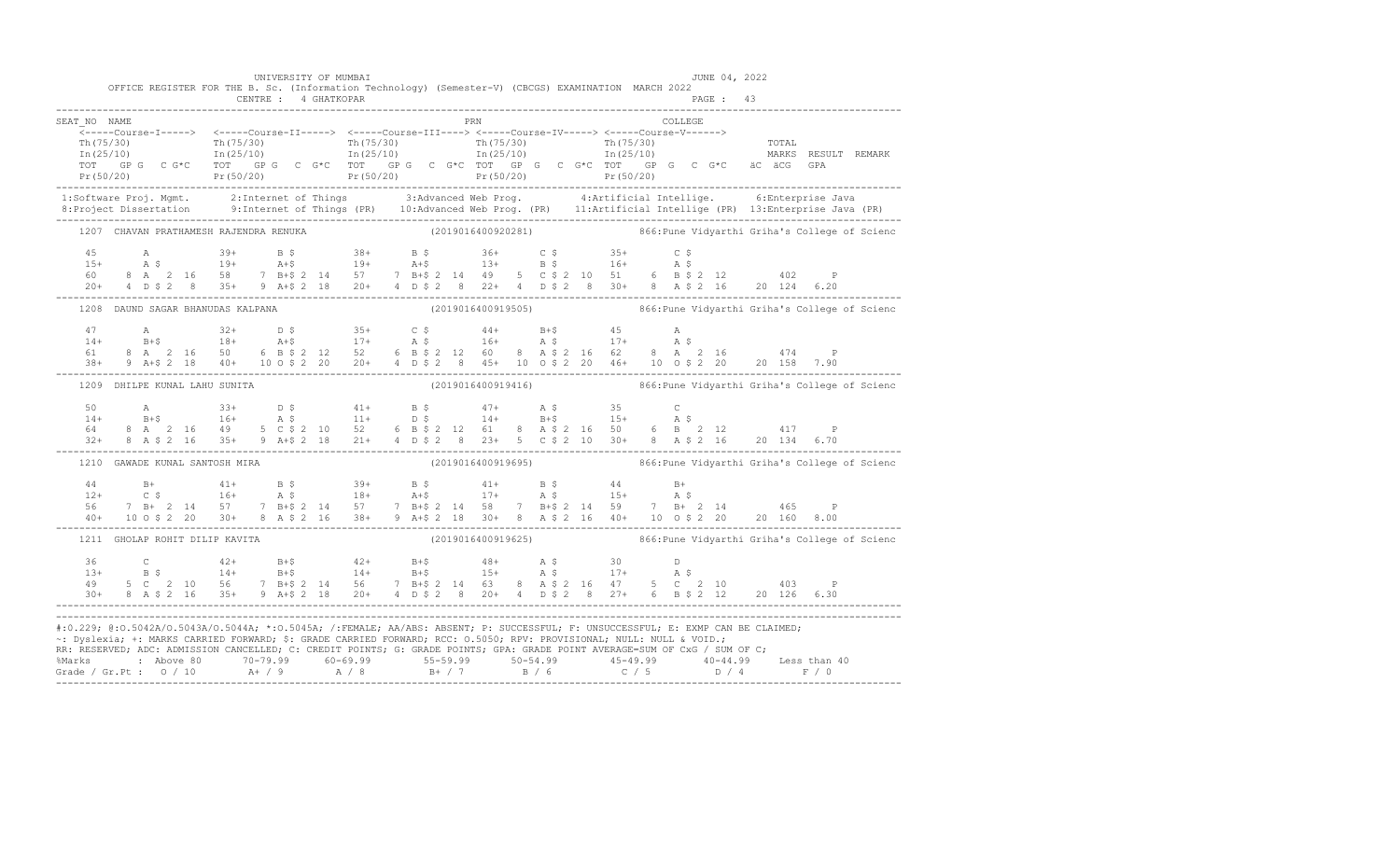|              | OFFICE REGISTER FOR THE B. Sc. (Information Technology) (Semester-V) (CBCGS) EXAMINATION MARCH 2022                                                                                                                                                                                                                                                                                                                                                                                                                                                                                                                                                                                                                                                           | CENTRE : 4 GHATKOPAR | UNIVERSITY OF MUMBAI |     |  |  |  |         | JUNE 04, 2022<br>PAGE: 43 |                                                                  |  |
|--------------|---------------------------------------------------------------------------------------------------------------------------------------------------------------------------------------------------------------------------------------------------------------------------------------------------------------------------------------------------------------------------------------------------------------------------------------------------------------------------------------------------------------------------------------------------------------------------------------------------------------------------------------------------------------------------------------------------------------------------------------------------------------|----------------------|----------------------|-----|--|--|--|---------|---------------------------|------------------------------------------------------------------|--|
| SEAT NO NAME |                                                                                                                                                                                                                                                                                                                                                                                                                                                                                                                                                                                                                                                                                                                                                               |                      |                      | PRN |  |  |  | COLLEGE |                           |                                                                  |  |
|              |                                                                                                                                                                                                                                                                                                                                                                                                                                                                                                                                                                                                                                                                                                                                                               |                      |                      |     |  |  |  |         |                           |                                                                  |  |
|              |                                                                                                                                                                                                                                                                                                                                                                                                                                                                                                                                                                                                                                                                                                                                                               |                      |                      |     |  |  |  |         |                           |                                                                  |  |
|              |                                                                                                                                                                                                                                                                                                                                                                                                                                                                                                                                                                                                                                                                                                                                                               |                      |                      |     |  |  |  |         |                           |                                                                  |  |
|              |                                                                                                                                                                                                                                                                                                                                                                                                                                                                                                                                                                                                                                                                                                                                                               |                      |                      |     |  |  |  |         |                           |                                                                  |  |
|              | $\begin{array}{cccccccc} \texttt{Tr(75/30)} & \texttt{Tr(75/30)} & \texttt{Tr(75/30)} & \texttt{Tr(75/30)} & \texttt{Tr(75/30)} & \texttt{Tr(75/30)} & \texttt{Tr(75/30)} & \texttt{Tr(75/30)} & \texttt{Tr(75/30)} & \texttt{Tr(75/30)} & \texttt{Tr(75/30)} & \texttt{Tr(75/30)} & \texttt{Tr(75/30)} & \texttt{Tr(75/30)} & \texttt{Tr(75/30)} & \texttt{Tr(75/30)} & \texttt{$                                                                                                                                                                                                                                                                                                                                                                            |                      |                      |     |  |  |  |         |                           |                                                                  |  |
|              | 1:Software Proj. Mgmt. 2:Internet of Things 3:Advanced Web Prog. 4:Artificial Intellige. 6:Enterprise Java<br>8:Project Dissertation 9:Internet of Things (PR) 10:Advanced Web Prog. (PR) 11:Artificial Intellige (PR) 13:Enterpr                                                                                                                                                                                                                                                                                                                                                                                                                                                                                                                             |                      |                      |     |  |  |  |         |                           |                                                                  |  |
|              | 1207 CHAVAN PRATHAMESH RAJENDRA RENUKA (2019016400920281) 866: Pune Vidyarthi Griha's College of Scienc                                                                                                                                                                                                                                                                                                                                                                                                                                                                                                                                                                                                                                                       |                      |                      |     |  |  |  |         |                           |                                                                  |  |
|              |                                                                                                                                                                                                                                                                                                                                                                                                                                                                                                                                                                                                                                                                                                                                                               |                      |                      |     |  |  |  |         |                           |                                                                  |  |
|              |                                                                                                                                                                                                                                                                                                                                                                                                                                                                                                                                                                                                                                                                                                                                                               |                      |                      |     |  |  |  |         |                           |                                                                  |  |
|              |                                                                                                                                                                                                                                                                                                                                                                                                                                                                                                                                                                                                                                                                                                                                                               |                      |                      |     |  |  |  |         |                           |                                                                  |  |
|              |                                                                                                                                                                                                                                                                                                                                                                                                                                                                                                                                                                                                                                                                                                                                                               |                      |                      |     |  |  |  |         |                           |                                                                  |  |
|              |                                                                                                                                                                                                                                                                                                                                                                                                                                                                                                                                                                                                                                                                                                                                                               |                      |                      |     |  |  |  |         |                           |                                                                  |  |
|              |                                                                                                                                                                                                                                                                                                                                                                                                                                                                                                                                                                                                                                                                                                                                                               |                      |                      |     |  |  |  |         |                           |                                                                  |  |
|              |                                                                                                                                                                                                                                                                                                                                                                                                                                                                                                                                                                                                                                                                                                                                                               |                      |                      |     |  |  |  |         |                           |                                                                  |  |
|              |                                                                                                                                                                                                                                                                                                                                                                                                                                                                                                                                                                                                                                                                                                                                                               |                      |                      |     |  |  |  |         |                           |                                                                  |  |
|              | $\begin{array}{lllllllllllll} 47\qquad \qquad \text{A}\qquad \qquad 32+\qquad \text{D}\ \text{S}\qquad \qquad 35+\qquad \text{C}\ \text{S}\qquad \qquad 44+\qquad \text{B}+\$ & \qquad 45 & \qquad \text{A}\qquad \qquad \\ 14+\qquad \text{B}+\$ & \qquad 18+\qquad \text{A}+\$ & \qquad 17+\qquad \text{A}\ \text{S}\qquad \qquad 16+\qquad \text{A}\ \text{S}\qquad \qquad 17+\qquad \text{A}\ \text{S}\qquad \qquad \\ 61\qquad \text{8}\ \text$                                                                                                                                                                                                                                                                                                          |                      |                      |     |  |  |  |         |                           |                                                                  |  |
|              | 1209 DHILPE KUNAL LAHU SUNITA                                                                                                                                                                                                                                                                                                                                                                                                                                                                                                                                                                                                                                                                                                                                 |                      |                      |     |  |  |  |         |                           |                                                                  |  |
|              |                                                                                                                                                                                                                                                                                                                                                                                                                                                                                                                                                                                                                                                                                                                                                               |                      |                      |     |  |  |  |         |                           |                                                                  |  |
|              |                                                                                                                                                                                                                                                                                                                                                                                                                                                                                                                                                                                                                                                                                                                                                               |                      |                      |     |  |  |  |         |                           |                                                                  |  |
|              |                                                                                                                                                                                                                                                                                                                                                                                                                                                                                                                                                                                                                                                                                                                                                               |                      |                      |     |  |  |  |         |                           |                                                                  |  |
|              | $\begin{array}{cccccccccccccccc} 50 & \text{A} & 33+ & \text{D} & 5 & 41+ & \text{B} & 5 & 47+ & \text{A} & 5 & 35 & \text{C} \\ 14+ & \text{B}+5 & 16+ & \text{A} & 5 & 11+ & \text{D} & 5 & 14+ & \text{B}+5 & 15+ & \text{A} & 5 \\ 64 & 8 & \text{A} & 2 & 16 & 49 & 5 & \text{C} & 52 & 10 & 52 & 6 & \text{B} & 5 & 2 & 12 & 61 & 8 & \text{A} & 5 &$                                                                                                                                                                                                                                                                                                                                                                                                   |                      |                      |     |  |  |  |         |                           |                                                                  |  |
|              | 1210 GAWADE KUNAL SANTOSH MIRA                                                                                                                                                                                                                                                                                                                                                                                                                                                                                                                                                                                                                                                                                                                                |                      |                      |     |  |  |  |         |                           | (2019016400919695) 866: Pune Vidyarthi Griha's College of Scienc |  |
|              |                                                                                                                                                                                                                                                                                                                                                                                                                                                                                                                                                                                                                                                                                                                                                               |                      |                      |     |  |  |  |         |                           |                                                                  |  |
|              |                                                                                                                                                                                                                                                                                                                                                                                                                                                                                                                                                                                                                                                                                                                                                               |                      |                      |     |  |  |  |         |                           |                                                                  |  |
|              |                                                                                                                                                                                                                                                                                                                                                                                                                                                                                                                                                                                                                                                                                                                                                               |                      |                      |     |  |  |  |         |                           |                                                                  |  |
|              |                                                                                                                                                                                                                                                                                                                                                                                                                                                                                                                                                                                                                                                                                                                                                               |                      |                      |     |  |  |  |         |                           |                                                                  |  |
|              |                                                                                                                                                                                                                                                                                                                                                                                                                                                                                                                                                                                                                                                                                                                                                               |                      |                      |     |  |  |  |         |                           | (2019016400919625) 866: Pune Vidyarthi Griha's College of Scienc |  |
|              |                                                                                                                                                                                                                                                                                                                                                                                                                                                                                                                                                                                                                                                                                                                                                               |                      |                      |     |  |  |  |         |                           |                                                                  |  |
|              |                                                                                                                                                                                                                                                                                                                                                                                                                                                                                                                                                                                                                                                                                                                                                               |                      |                      |     |  |  |  |         |                           |                                                                  |  |
|              |                                                                                                                                                                                                                                                                                                                                                                                                                                                                                                                                                                                                                                                                                                                                                               |                      |                      |     |  |  |  |         |                           |                                                                  |  |
|              |                                                                                                                                                                                                                                                                                                                                                                                                                                                                                                                                                                                                                                                                                                                                                               |                      |                      |     |  |  |  |         |                           |                                                                  |  |
|              | 1211 GHOLAP ROHIT DILIP KAVITA<br>$\begin{array}{cccccccccccccccc} 36 & C & 42+ & B+$ & 42+ & B+$ & 48+ & A$ & 30 & D \\ 13+ & B$ & 14+ & B+$ & 14+ & B+$ & 15+ & A$ & 17+ & A$ & \\ 49 & 5 C & 2 & 10 & 56 & 7 & B+$ & 2 & 14 & 56 & 7 & B+$ & 2 & 14 & 63 & 8 & A$ & 2 & 16 & 47 & 5 & C & 2 & 10 & 403 & P \\ 30+ & 8 & A$ & 2 & 16 & 35+ & 9 & A+$ & 2 & 18 & $<br>#:0.229; @:0.5042A/0.5043A/0.5044A; *:0.5045A; /:FEMALE; AA/ABS: ABSENT; P: SUCCESSFUL; F: UNSUCCESSFUL; E: EXMP CAN BE CLAIMED;<br>~: Dyslexia; +: MARKS CARRIED FORWARD; \$: GRADE CARRIED FORWARD; RCC: 0.5050; RPV: PROVISIONAL; NULL: NULL & VOID.;<br>RR: RESERVED; ADC: ADMISSION CANCELLED; C: CREDIT POINTS; G: GRADE POINTS; GPA: GRADE POINT AVERAGE=SUM OF CxG / SUM OF C; |                      |                      |     |  |  |  |         |                           |                                                                  |  |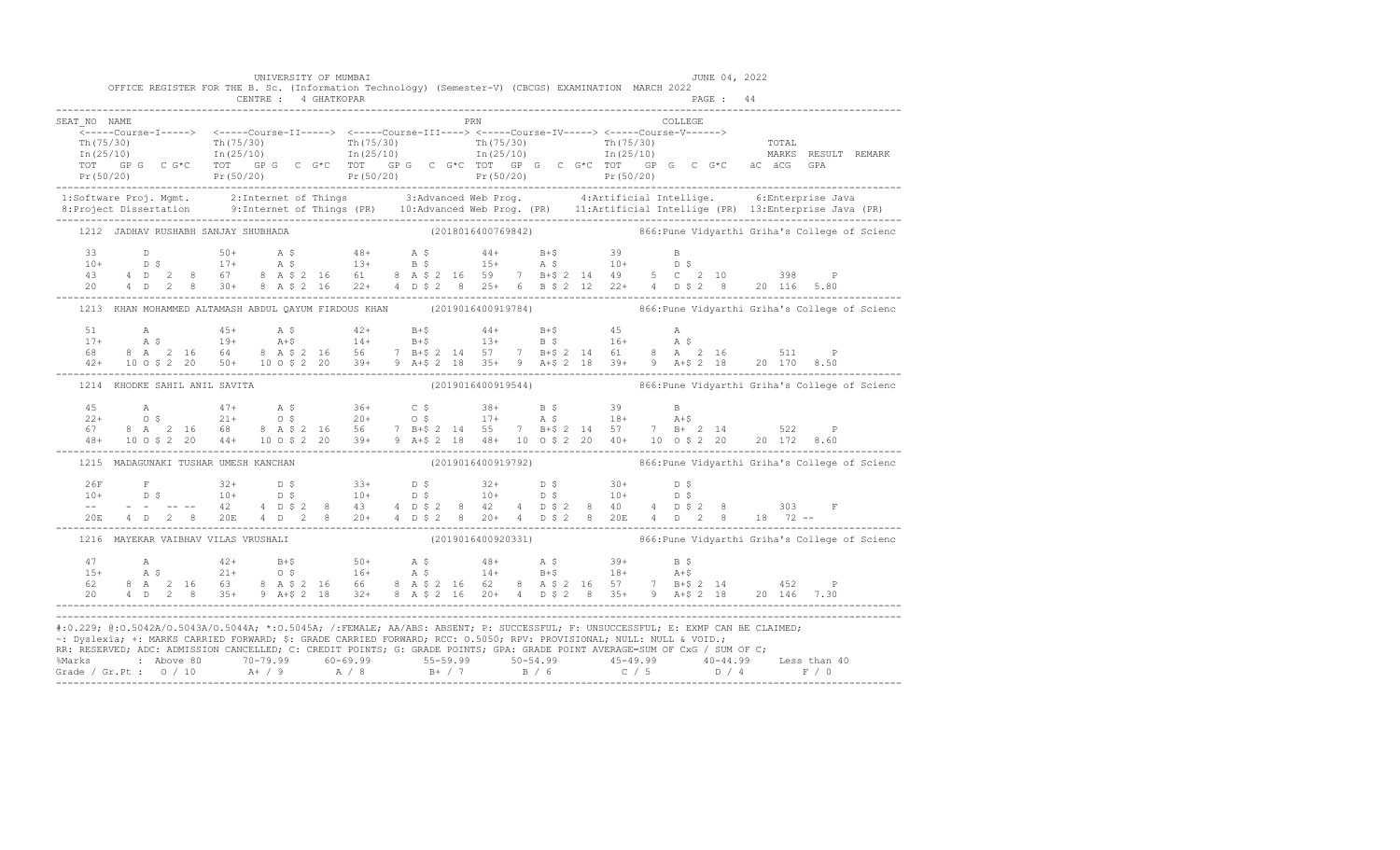|              | OFFICE REGISTER FOR THE B. Sc. (Information Technology) (Semester-V) (CBCGS) EXAMINATION MARCH 2022                  | UNIVERSITY OF MUMBAI |     |  | JUNE 04, 2022                                                                                                                                                                                                                                                  |                                                                                                                                                                                                                                                                                                                                                                                                                                                         |
|--------------|----------------------------------------------------------------------------------------------------------------------|----------------------|-----|--|----------------------------------------------------------------------------------------------------------------------------------------------------------------------------------------------------------------------------------------------------------------|---------------------------------------------------------------------------------------------------------------------------------------------------------------------------------------------------------------------------------------------------------------------------------------------------------------------------------------------------------------------------------------------------------------------------------------------------------|
|              |                                                                                                                      |                      |     |  |                                                                                                                                                                                                                                                                |                                                                                                                                                                                                                                                                                                                                                                                                                                                         |
| SEAT NO NAME |                                                                                                                      |                      | PRN |  | COLLEGE                                                                                                                                                                                                                                                        |                                                                                                                                                                                                                                                                                                                                                                                                                                                         |
|              |                                                                                                                      |                      |     |  |                                                                                                                                                                                                                                                                |                                                                                                                                                                                                                                                                                                                                                                                                                                                         |
|              |                                                                                                                      |                      |     |  |                                                                                                                                                                                                                                                                | 1:Software Proj. Mgmt. 2:Internet of Things 3:Advanced Web Prog. 4:Artificial Intellige. 6:Enterprise Java<br>8:Project Dissertation 9:Internet of Things (PR) 10:Advanced Web Prog. (PR) 11:Artificial Intellige (PR) 13:Enterpr                                                                                                                                                                                                                       |
|              |                                                                                                                      |                      |     |  |                                                                                                                                                                                                                                                                | 1212 JADHAV RUSHABH SANJAY SHUBHADA (2018016400769842) 866: Pune Vidyarthi Griha's College of Scienc                                                                                                                                                                                                                                                                                                                                                    |
|              |                                                                                                                      |                      |     |  |                                                                                                                                                                                                                                                                | $\begin{array}{cccccccccccccccc} 33 && \texttt{D} && 50+ && \texttt{A}~\hat{S} && 48+ && \texttt{A}~\hat{S} && 44+ && \texttt{B}+\hat{S} && 39 && \texttt{B} \\ 10+ && \texttt{D}~\hat{S} && 17+ && \texttt{A}~\hat{S} && 13+ && \texttt{B}~\hat{S} && 15+ && \texttt{A}~\hat{S} && 10+ && \texttt{D}~\hat{S} \\ 43 && 4& \texttt{D} & 2 && 8 && 67 && 8 && \texttt{A}~\hat{S} & 2 && 1$                                                                |
|              |                                                                                                                      |                      |     |  |                                                                                                                                                                                                                                                                | 1213 KHAN MOHAMMED ALTAMASH ABDUL QAYUM FIRDOUS KHAN (2019016400919784) 866:Pune Vidyarthi Griha's College of Scienc                                                                                                                                                                                                                                                                                                                                    |
|              |                                                                                                                      |                      |     |  |                                                                                                                                                                                                                                                                | $\begin{array}{cccccccccccc} 51 & \quad A & \quad 45+ & \quad A\, 5 & \quad 42+ & \quad B+5 & \quad 44+ & \quad B+5 & \quad 45 & \quad A & \quad 51 & \quad 8 & \quad 19+ & \quad 19+ & \quad 14+ & \quad 14+ & \quad B+5 & \quad 13+ & \quad B\, 5 & \quad 16+ & \quad A\, 5 & \quad 68 & \quad 8 & \quad 2 & \quad 16 & \quad 64 & \quad 8 & \quad 8 & \quad 2 & \quad 16 & \quad 64 & \quad 8 & \quad 2 & \quad 16 & \quad 5 & \$                    |
|              | 1214 KHODKE SAHIL ANIL SAVITA                                                                                        |                      |     |  |                                                                                                                                                                                                                                                                | (2019016400919544) 866: Pune Vidyarthi Griha's College of Scienc                                                                                                                                                                                                                                                                                                                                                                                        |
|              |                                                                                                                      |                      |     |  |                                                                                                                                                                                                                                                                | $\begin{array}{cccccccccccc} 45 & \quad & \mathsf{A} & \quad & 47+ & \quad \mathsf{A} \; \text{S} & \quad & 36+ & \quad \mathsf{C} \; \text{S} & \quad & 38+ & \quad \mathsf{B} \; \text{S} & \quad & 39 & \quad \mathsf{B} \\ 22+ & \quad & \mathsf{O} \; \text{S} & \quad & 21+ & \quad \mathsf{O} \; \text{S} & \quad & 20+ & \quad \mathsf{O} \; \text{S} & \quad & 17+ & \quad \mathsf{A} \; \text{S} & \quad & 18+ & \quad \mathsf{A$             |
|              |                                                                                                                      |                      |     |  |                                                                                                                                                                                                                                                                | 1215 MADAGUNAKI TUSHAR UMESH KANCHAN (2019016400919792) (2019016400919792) 866:Pune Vidyarthi Griha's College of Scienc                                                                                                                                                                                                                                                                                                                                 |
|              |                                                                                                                      |                      |     |  |                                                                                                                                                                                                                                                                | $\begin{array}{cccccccccccccccc} 26\mathrm{F} & \mathrm{F} & 32+ & \mathrm{D}\;\,\mathrm{S} & 33+ & \mathrm{D}\;\,\mathrm{S} & 32+ & \mathrm{D}\;\,\mathrm{S} & 30+ & \mathrm{D}\;\,\mathrm{S} & 10+ & \mathrm{D}\;\,\mathrm{S} & 10+ & \mathrm{D}\;\,\mathrm{S} & 10+ & \mathrm{D}\;\,\mathrm{S} & 10+ & \mathrm{D}\;\,\mathrm{S} & 10+ & \mathrm{D}\;\,\mathrm{S} & 10+ & \mathrm{D}\;\,\mathrm{S} & 10+ & \mathrm{D}\;\,\mathrm{S} & 10+ & \mathrm{$ |
|              |                                                                                                                      |                      |     |  |                                                                                                                                                                                                                                                                | 1216 MAYEKAR VAIBHAV VILAS VRUSHALI (2019016400920331) (2019016400920331) 866: Pune Vidyarthi Griha's College of Scienc                                                                                                                                                                                                                                                                                                                                 |
|              |                                                                                                                      |                      |     |  |                                                                                                                                                                                                                                                                | 47 A<br>$15+$ A $5$ $21+$ B + $50+$ A $5$ $48+$ A $5$ $39+$ B $5$<br>$15+$ A $5$ $21+$ O $5$ $16+$ A $5$ $14+$ B + $5$ $18+$ A + $5$<br>$62$ 8 A $2$ 16 63 8 A $52$ 16 66 8 A $52$ 16 62 8 A $52$ 16 57 7 B + $52$ 14 452 P<br>$20$ 4                                                                                                                                                                                                                   |
|              | ~: Dyslexia; +: MARKS CARRIED FORWARD; \$: GRADE CARRIED FORWARD; RCC: 0.5050; RPV: PROVISIONAL; NULL: NULL & VOID.; |                      |     |  | #:0.229; @:0.5042A/0.5043A/0.5044A; *:0.5045A; /:FEMALE; AA/ABS: ABSENT; P: SUCCESSFUL; F: UNSUCCESSFUL; E: EXMP CAN BE CLAIMED;<br>RR: RESERVED, ADC: ADMISSION CANCELLED, C: CREDIT POINTS, G: GRADE POINTS, GPA: GRADE POINT AVERAGE=SUM OF CxG / SUM OF C; |                                                                                                                                                                                                                                                                                                                                                                                                                                                         |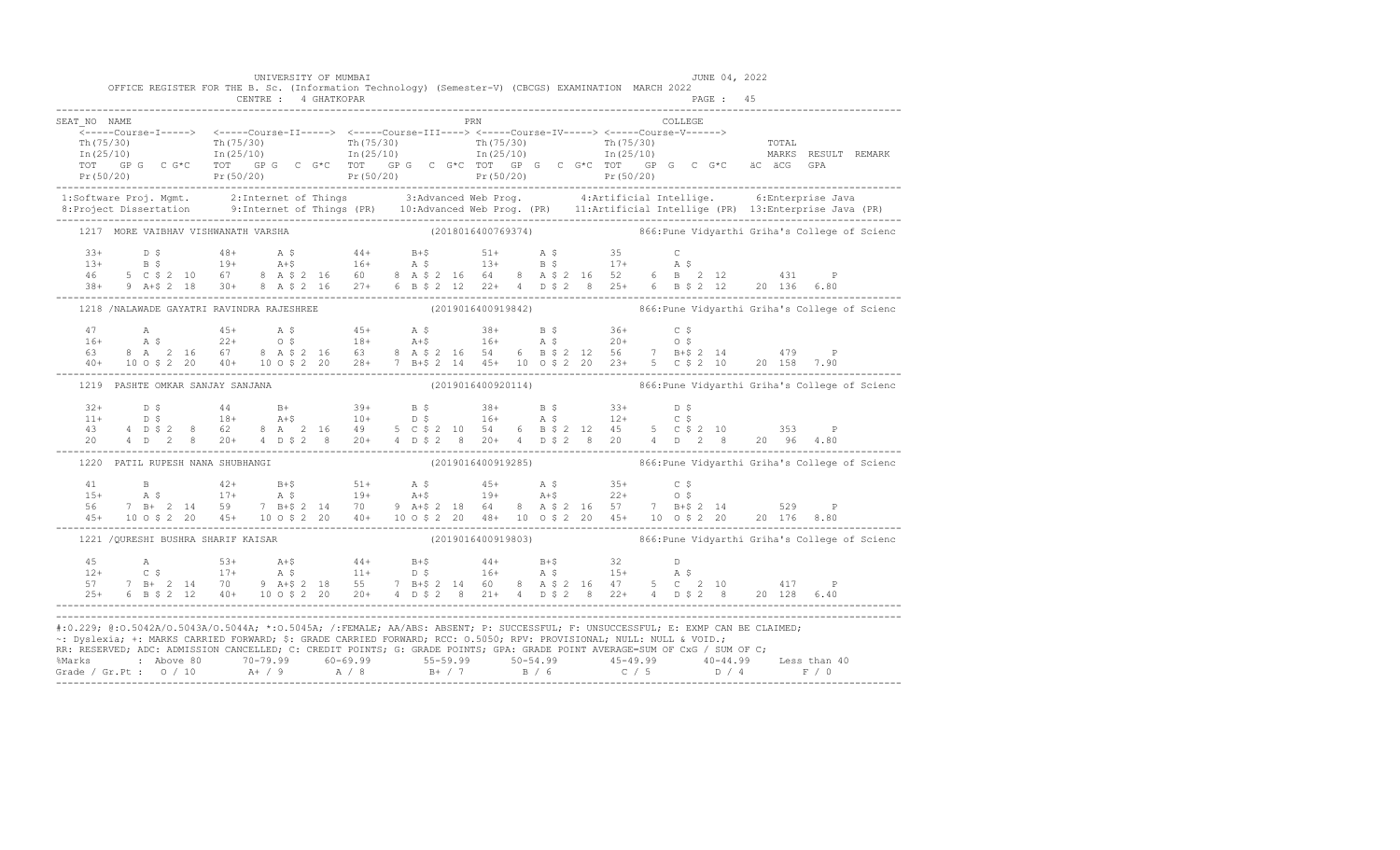|              | OFFICE REGISTER FOR THE B. Sc. (Information Technology) (Semester-V) (CBCGS) EXAMINATION MARCH 2022                                                                                                                                                                                                                                                                                                                                     |  | UNIVERSITY OF MUMBAI |  |     |  |  |         | JUNE 04, 2022 |  |                                                                  |
|--------------|-----------------------------------------------------------------------------------------------------------------------------------------------------------------------------------------------------------------------------------------------------------------------------------------------------------------------------------------------------------------------------------------------------------------------------------------|--|----------------------|--|-----|--|--|---------|---------------|--|------------------------------------------------------------------|
|              |                                                                                                                                                                                                                                                                                                                                                                                                                                         |  | CENTRE : 4 GHATKOPAR |  |     |  |  |         |               |  |                                                                  |
| SEAT NO NAME |                                                                                                                                                                                                                                                                                                                                                                                                                                         |  |                      |  | PRN |  |  | COLLEGE |               |  |                                                                  |
|              |                                                                                                                                                                                                                                                                                                                                                                                                                                         |  |                      |  |     |  |  |         |               |  |                                                                  |
|              |                                                                                                                                                                                                                                                                                                                                                                                                                                         |  |                      |  |     |  |  |         |               |  |                                                                  |
|              |                                                                                                                                                                                                                                                                                                                                                                                                                                         |  |                      |  |     |  |  |         |               |  |                                                                  |
|              |                                                                                                                                                                                                                                                                                                                                                                                                                                         |  |                      |  |     |  |  |         |               |  |                                                                  |
|              |                                                                                                                                                                                                                                                                                                                                                                                                                                         |  |                      |  |     |  |  |         |               |  |                                                                  |
|              | 1:Software Proj. Mgmt. 2:Internet of Things 3:Advanced Web Prog. 4:Artificial Intellige. 6:Enterprise Java<br>8:Project Dissertation 9:Internet of Things (PR) 10:Advanced Web Prog. (PR) 11:Artificial Intellige (PR) 13:Enterpr                                                                                                                                                                                                       |  |                      |  |     |  |  |         |               |  |                                                                  |
|              |                                                                                                                                                                                                                                                                                                                                                                                                                                         |  |                      |  |     |  |  |         |               |  |                                                                  |
|              | 1217 MORE VAIBHAV VISHWANATH VARSHA (2018016400769374) 866:Pune Vidyarthi Griha's College of Scienc                                                                                                                                                                                                                                                                                                                                     |  |                      |  |     |  |  |         |               |  |                                                                  |
|              |                                                                                                                                                                                                                                                                                                                                                                                                                                         |  |                      |  |     |  |  |         |               |  |                                                                  |
|              |                                                                                                                                                                                                                                                                                                                                                                                                                                         |  |                      |  |     |  |  |         |               |  |                                                                  |
|              |                                                                                                                                                                                                                                                                                                                                                                                                                                         |  |                      |  |     |  |  |         |               |  |                                                                  |
|              | $\begin{array}{cccccccccccc} 33+ & & D & \xi & & 48+ & A & \xi & & 44+ & B+ \xi & & 51+ & A & \xi & & 35 & C \\ 13+ & & B & \xi & & 19+ & & A+ \xi & & 16+ & A & \xi & & 13+ & B & \xi & & 17+ & A & \xi \\ 46 & & 5 & C & \xi & 2 & 10 & 67 & 8 & A & \xi & 2 & 16 & 60 & 8 & A & \xi & 2 & 16 & 64 & 8 & A & \xi & 2 & 16 & 52 & 6 & B & 2 & 12 & & 431 & P \\ 38$                                                                    |  |                      |  |     |  |  |         |               |  |                                                                  |
|              | 1218 /NALAWADE GAYATRI RAVINDRA RAJESHREE (2019016400919842) 866:Pune Vidyarthi Griha's College of Scienc                                                                                                                                                                                                                                                                                                                               |  |                      |  |     |  |  |         |               |  |                                                                  |
|              |                                                                                                                                                                                                                                                                                                                                                                                                                                         |  |                      |  |     |  |  |         |               |  |                                                                  |
|              |                                                                                                                                                                                                                                                                                                                                                                                                                                         |  |                      |  |     |  |  |         |               |  |                                                                  |
|              |                                                                                                                                                                                                                                                                                                                                                                                                                                         |  |                      |  |     |  |  |         |               |  |                                                                  |
|              | $\begin{array}{lllllllllllll} 47\qquad \qquad \text{A}\qquad & 45+ \qquad \text{A}\ \hat{\text{S}} & 45+ \qquad \text{A}\ \hat{\text{S}} & 45+ \qquad \text{A}\ \hat{\text{S}} & 38+ \qquad \text{B}\ \hat{\text{S}} & 36+ \qquad \text{C}\ \hat{\text{S}} \\ 16+ \qquad \text{A}\ \hat{\text{S}} & 22+ \qquad \text{O}\ \hat{\text{S}} & 18+ \qquad \text{A}+ \hat{\text{S}} & 16+ \qquad \text{A}\ \hat{\text{S}} & 20+ \qquad \text$ |  |                      |  |     |  |  |         |               |  |                                                                  |
|              | 1219 PASHTE OMKAR SANJAY SANJANA                                                                                                                                                                                                                                                                                                                                                                                                        |  |                      |  |     |  |  |         |               |  | (2019016400920114) 866: Pune Vidyarthi Griha's College of Scienc |
|              |                                                                                                                                                                                                                                                                                                                                                                                                                                         |  |                      |  |     |  |  |         |               |  |                                                                  |
|              |                                                                                                                                                                                                                                                                                                                                                                                                                                         |  |                      |  |     |  |  |         |               |  |                                                                  |
|              |                                                                                                                                                                                                                                                                                                                                                                                                                                         |  |                      |  |     |  |  |         |               |  |                                                                  |
|              |                                                                                                                                                                                                                                                                                                                                                                                                                                         |  |                      |  |     |  |  |         |               |  |                                                                  |
|              | 1220 PATIL RUPESH NANA SHUBHANGI                                                                                                                                                                                                                                                                                                                                                                                                        |  |                      |  |     |  |  |         |               |  | (2019016400919285) 866: Pune Vidyarthi Griha's College of Scienc |
|              |                                                                                                                                                                                                                                                                                                                                                                                                                                         |  |                      |  |     |  |  |         |               |  |                                                                  |
|              |                                                                                                                                                                                                                                                                                                                                                                                                                                         |  |                      |  |     |  |  |         |               |  |                                                                  |
|              |                                                                                                                                                                                                                                                                                                                                                                                                                                         |  |                      |  |     |  |  |         |               |  |                                                                  |
|              | $\begin{array}{cccccccccccc} 41 & B & 42+ & B+\$ & 51+ & A\ \bar{S} & 17+ & A\ \bar{S} & 19+ & A+\$ & 19+ & A+\$ & 22+ & 0\ \bar{S} & 7 & B+ & 2 & 14 & 59 & 7 & B+\$ & 2 & 14 & 70 & 9 & A+\$ & 2 & 18 & 64 & 8 & A\ \bar{S} & 45+ & 10 & 0\ \bar{S} & 20 & 45+ & 10 & 0\ \bar{S} & 20 & 45+ & 10 & 0\ \bar{S} & 21+ & 0 & 0 & $                                                                                                       |  |                      |  |     |  |  |         |               |  |                                                                  |
|              | 1221 /QURESHI BUSHRA SHARIF KAISAR (2019016400919803) 866: Pune Vidyarthi Griha's College of Scienc                                                                                                                                                                                                                                                                                                                                     |  |                      |  |     |  |  |         |               |  |                                                                  |
|              |                                                                                                                                                                                                                                                                                                                                                                                                                                         |  |                      |  |     |  |  |         |               |  |                                                                  |
|              |                                                                                                                                                                                                                                                                                                                                                                                                                                         |  |                      |  |     |  |  |         |               |  |                                                                  |
|              |                                                                                                                                                                                                                                                                                                                                                                                                                                         |  |                      |  |     |  |  |         |               |  |                                                                  |
|              | 45 A<br>$12+$ C \$ $17+$ A \$ $11+$ D \$ $16+$ A \$ $15+$ A \$<br>$57$ 7 B + 2 14 70 9 A + \$ 2 18 55 7 B + \$ 2 14 60 8 A \$ 2 16 47 5 C 2 10 417 P<br>$25+$ 6 B \$ 2 12 40 + 10 0 \$ 2 20 20 + 4 D \$ 2 8 21 + 4 D \$ 2 8 22 + 4 D \$ 2 8 20 1                                                                                                                                                                                        |  |                      |  |     |  |  |         |               |  |                                                                  |
|              | #:0.229; @:0.5042A/0.5043A/0.5044A; *:0.5045A; /:FEMALE; AA/ABS: ABSENT; P: SUCCESSFUL; F: UNSUCCESSFUL; E: EXMP CAN BE CLAIMED;                                                                                                                                                                                                                                                                                                        |  |                      |  |     |  |  |         |               |  |                                                                  |
|              | ~: Dyslexia; +: MARKS CARRIED FORWARD; \$: GRADE CARRIED FORWARD; RCC: 0.5050; RPV: PROVISIONAL; NULL: NULL & VOID.;                                                                                                                                                                                                                                                                                                                    |  |                      |  |     |  |  |         |               |  |                                                                  |
|              | RR: RESERVED, ADC: ADMISSION CANCELLED, C: CREDIT POINTS, G: GRADE POINTS, GPA: GRADE POINT AVERAGE=SUM OF CxG / SUM OF C;                                                                                                                                                                                                                                                                                                              |  |                      |  |     |  |  |         |               |  |                                                                  |
|              |                                                                                                                                                                                                                                                                                                                                                                                                                                         |  |                      |  |     |  |  |         |               |  |                                                                  |
|              |                                                                                                                                                                                                                                                                                                                                                                                                                                         |  |                      |  |     |  |  |         |               |  |                                                                  |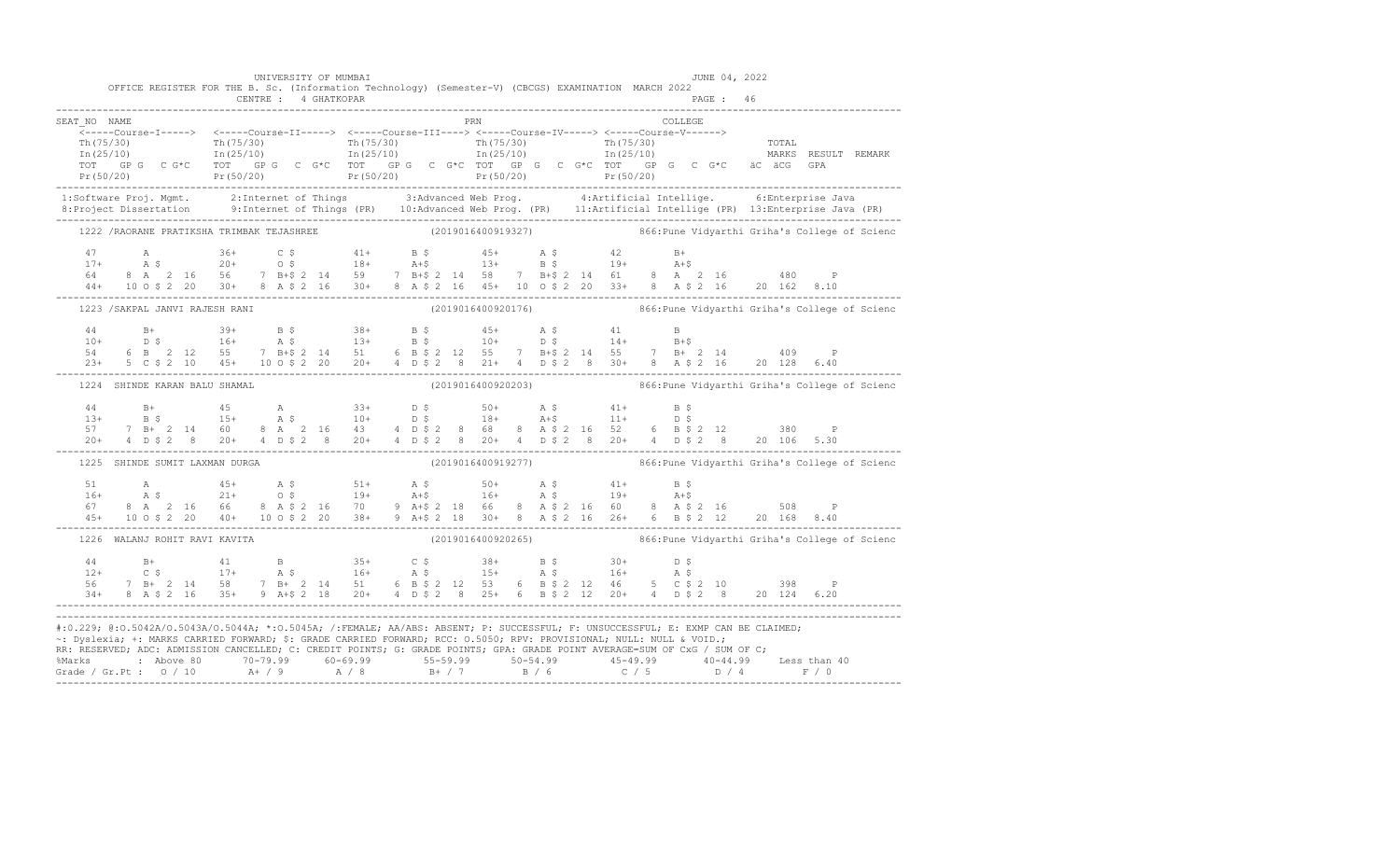| OFFICE REGISTER FOR THE B. Sc. (Information Technology) (Semester-V) (CBCGS) EXAMINATION MARCH 2022                                                                                                                                                                                                                                                                                                                  | CENTRE : 4 GHATKOPAR |  |  |  |  |     |  |  |         | PAGE: 46 |  |                                                                  |  |
|----------------------------------------------------------------------------------------------------------------------------------------------------------------------------------------------------------------------------------------------------------------------------------------------------------------------------------------------------------------------------------------------------------------------|----------------------|--|--|--|--|-----|--|--|---------|----------|--|------------------------------------------------------------------|--|
| SEAT NO NAME                                                                                                                                                                                                                                                                                                                                                                                                         |                      |  |  |  |  | PRN |  |  | COLLEGE |          |  |                                                                  |  |
|                                                                                                                                                                                                                                                                                                                                                                                                                      |                      |  |  |  |  |     |  |  |         |          |  |                                                                  |  |
| $\frac{1}{2}$ The contract of the contract of the contract of the contract of the contract of the contract of the contract of the contract of the contract of the contract of the contract of the contract of the contract of the                                                                                                                                                                                    |                      |  |  |  |  |     |  |  |         |          |  |                                                                  |  |
|                                                                                                                                                                                                                                                                                                                                                                                                                      |                      |  |  |  |  |     |  |  |         |          |  |                                                                  |  |
|                                                                                                                                                                                                                                                                                                                                                                                                                      |                      |  |  |  |  |     |  |  |         |          |  |                                                                  |  |
| 1:Software Proj. Mgmt. 2:Internet of Things 3:Advanced Web Prog. 4:Artificial Intellige. 6:Enterprise Java<br>8:Project Dissertation 9:Internet of Things (PR) 10:Advanced Web Prog. (PR) 11:Artificial Intellige (PR) 13:Enterpr                                                                                                                                                                                    |                      |  |  |  |  |     |  |  |         |          |  |                                                                  |  |
| 1222 /RAORANE PRATIKSHA TRIMBAK TEJASHREE (2019016400919327) 6 866:Pune Vidyarthi Griha's College of Scienc                                                                                                                                                                                                                                                                                                          |                      |  |  |  |  |     |  |  |         |          |  |                                                                  |  |
|                                                                                                                                                                                                                                                                                                                                                                                                                      |                      |  |  |  |  |     |  |  |         |          |  |                                                                  |  |
|                                                                                                                                                                                                                                                                                                                                                                                                                      |                      |  |  |  |  |     |  |  |         |          |  |                                                                  |  |
|                                                                                                                                                                                                                                                                                                                                                                                                                      |                      |  |  |  |  |     |  |  |         |          |  |                                                                  |  |
| $\begin{array}{lllllllllllll} 47\qquad \qquad \text{A}\qquad \qquad 36+ \qquad \text{C}\ \,\$ & \qquad 41+ \qquad \text{B}\ \,\$ & \qquad 45+ \qquad \text{A}\ \,\$ & \qquad 20+ \qquad \text{O}\ \,\$ & \qquad 18+ \qquad \text{A}+$ & \qquad 13+ \qquad \text{B}\ \,\$ & \qquad 19+ \qquad \text{A}+$ & \qquad 14+ \qquad \text{A}+$ & \qquad 15+ \qquad \text{B}\ \,\$ & \qquad 19+ \qquad \text{A}+$ & \qquad 1$ |                      |  |  |  |  |     |  |  |         |          |  |                                                                  |  |
| 1223 / SAKPAL JANVI RAJESH RANI                                                                                                                                                                                                                                                                                                                                                                                      |                      |  |  |  |  |     |  |  |         |          |  | (2019016400920176) 866: Pune Vidyarthi Griha's College of Scienc |  |
|                                                                                                                                                                                                                                                                                                                                                                                                                      |                      |  |  |  |  |     |  |  |         |          |  |                                                                  |  |
|                                                                                                                                                                                                                                                                                                                                                                                                                      |                      |  |  |  |  |     |  |  |         |          |  |                                                                  |  |
|                                                                                                                                                                                                                                                                                                                                                                                                                      |                      |  |  |  |  |     |  |  |         |          |  |                                                                  |  |
| $\begin{array}{cccccccccccccccc} 44 & B+ & 39+ & B & \xi & 38+ & B & \xi & 45+ & A & \xi & 41 & B \\ 10+ & D & \xi & 16+ & A & \xi & 13+ & B & \xi & 10+ & D & \xi & 14+ & B + \xi \\ 54 & 6 & B & 2 & 12 & 55 & 7 & B + \xi & 2 & 14 & 51 & 6 & B & \xi & 2 & 12 & 55 & 7 & B + \xi & 2 & 14 & 55 & 7 & B + & 2 & 14 & 409 & P \\ 23+ & 5 & C & \xi & 2 & 10 &$                                                     |                      |  |  |  |  |     |  |  |         |          |  |                                                                  |  |
| 1224 SHINDE KARAN BALU SHAMAL                                                                                                                                                                                                                                                                                                                                                                                        |                      |  |  |  |  |     |  |  |         |          |  | (2019016400920203) 866: Pune Vidyarthi Griha's College of Scienc |  |
|                                                                                                                                                                                                                                                                                                                                                                                                                      |                      |  |  |  |  |     |  |  |         |          |  |                                                                  |  |
|                                                                                                                                                                                                                                                                                                                                                                                                                      |                      |  |  |  |  |     |  |  |         |          |  |                                                                  |  |
|                                                                                                                                                                                                                                                                                                                                                                                                                      |                      |  |  |  |  |     |  |  |         |          |  |                                                                  |  |
|                                                                                                                                                                                                                                                                                                                                                                                                                      |                      |  |  |  |  |     |  |  |         |          |  |                                                                  |  |
| 1225 SHINDE SUMIT LAXMAN DURGA                                                                                                                                                                                                                                                                                                                                                                                       |                      |  |  |  |  |     |  |  |         |          |  | (2019016400919277) 866: Pune Vidyarthi Griha's College of Scienc |  |
| $\begin{array}{cccccccccccccccc} 51 & \text{A} & 45+ & \text{A}\ \hat{\text{S}} & 51+ & \text{A}\ \hat{\text{S}} & 51+ & \text{A}\ \hat{\text{S}} & 50+ & \text{A}\ \hat{\text{S}} & 41+ & \text{B}\ \hat{\text{S}} \\ 16+ & \text{A}\ \hat{\text{S}} & 21+ & 0\ \hat{\text{S}} & 19+ & \text{A}+ \hat{\text{S}} & 16+ & \text{A}\ \hat{\text{S}} & 19+ & \text{A}+ \hat{\text{S}} \\ 67 & 8 & \text{A} & 2 & 16 &$  |                      |  |  |  |  |     |  |  |         |          |  |                                                                  |  |
|                                                                                                                                                                                                                                                                                                                                                                                                                      |                      |  |  |  |  |     |  |  |         |          |  |                                                                  |  |
|                                                                                                                                                                                                                                                                                                                                                                                                                      |                      |  |  |  |  |     |  |  |         |          |  |                                                                  |  |
|                                                                                                                                                                                                                                                                                                                                                                                                                      |                      |  |  |  |  |     |  |  |         |          |  |                                                                  |  |
| 1226 WALANJ ROHIT RAVI KAVITA                                                                                                                                                                                                                                                                                                                                                                                        |                      |  |  |  |  |     |  |  |         |          |  | (2019016400920265) 866: Pune Vidyarthi Griha's College of Scienc |  |
|                                                                                                                                                                                                                                                                                                                                                                                                                      |                      |  |  |  |  |     |  |  |         |          |  |                                                                  |  |
|                                                                                                                                                                                                                                                                                                                                                                                                                      |                      |  |  |  |  |     |  |  |         |          |  |                                                                  |  |
|                                                                                                                                                                                                                                                                                                                                                                                                                      |                      |  |  |  |  |     |  |  |         |          |  |                                                                  |  |
| $\begin{array}{cccccccccccccccc} 44 & & & B+ & & & 41 & & & B & & & 35+ & & C & \hat{\text{S}} & & & 38+ & & B & \hat{\text{S}} & & & 30+ & & D & \hat{\text{S}} \\ 12+ & & C & \hat{\text{S}} & & & 17+ & & A & \hat{\text{S}} & & & 16+ & A & \hat{\text{S}} & & & 16+ & A & \hat{\text{S}} \\ 56 & & 7 & B+ & 2 & 14 & & 58 & & 7 & B+ & 2 & 14 & 51 & & 6 & B & \hat{\text{S}} & 2 & 12 & 53 & & 6$              |                      |  |  |  |  |     |  |  |         |          |  |                                                                  |  |
| #:0.229; @:0.5042A/0.5043A/0.5044A; *:0.5045A; /:FEMALE; AA/ABS: ABSENT; P: SUCCESSFUL; F: UNSUCCESSFUL; E: EXMP CAN BE CLAIMED;                                                                                                                                                                                                                                                                                     |                      |  |  |  |  |     |  |  |         |          |  |                                                                  |  |
| ~: Dyslexia; +: MARKS CARRIED FORWARD; \$: GRADE CARRIED FORWARD; RCC: 0.5050; RPV: PROVISIONAL; NULL: NULL & VOID.;<br>RR: RESERVED, ADC: ADMISSION CANCELLED, C: CREDIT POINTS, G: GRADE POINTS, GPA: GRADE POINT AVERAGE=SUM OF CxG / SUM OF C;                                                                                                                                                                   |                      |  |  |  |  |     |  |  |         |          |  |                                                                  |  |
|                                                                                                                                                                                                                                                                                                                                                                                                                      |                      |  |  |  |  |     |  |  |         |          |  |                                                                  |  |
|                                                                                                                                                                                                                                                                                                                                                                                                                      |                      |  |  |  |  |     |  |  |         |          |  |                                                                  |  |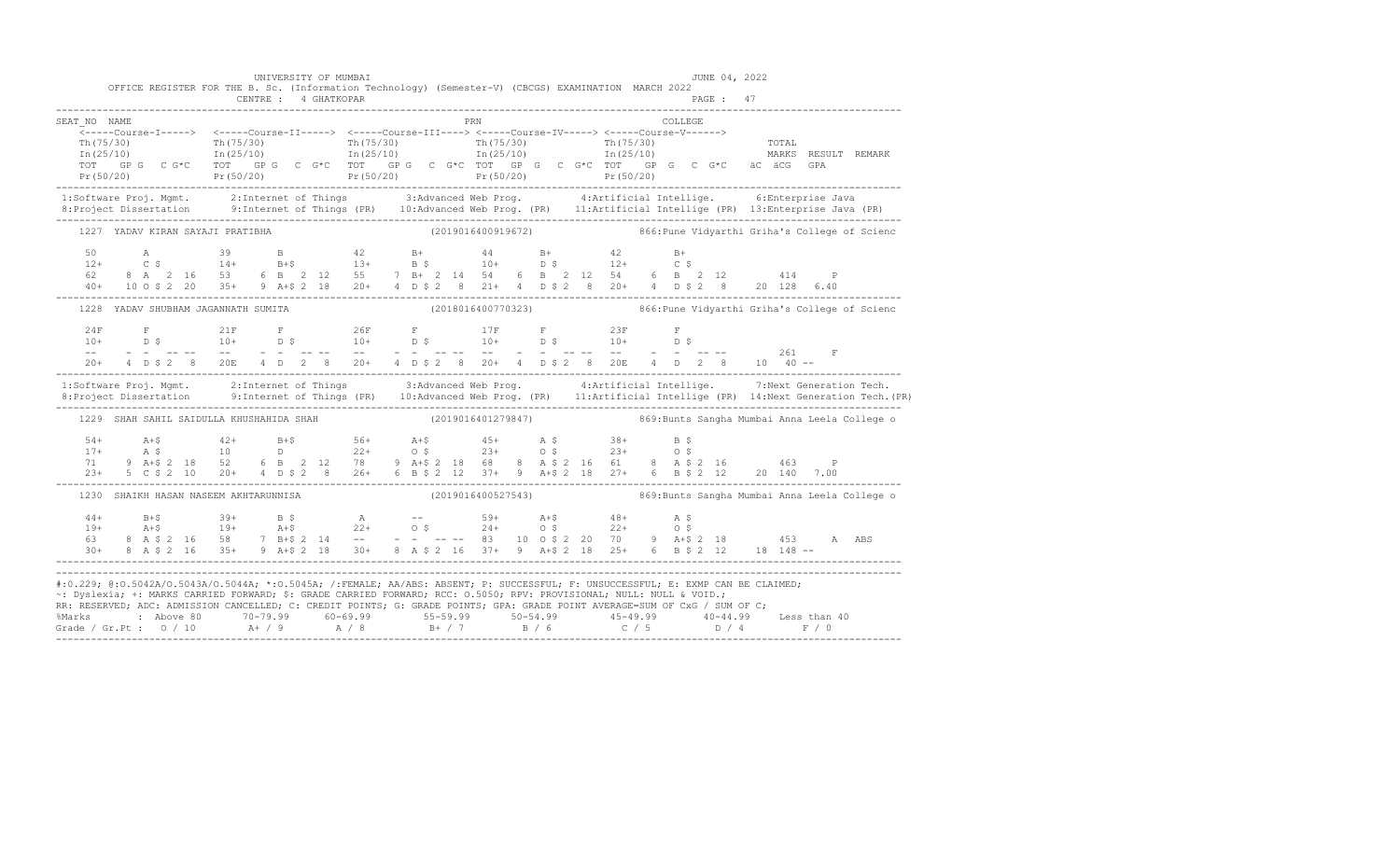|                                                                                                                                                                                                                                                                                                                                                                                                                                                                                                                                                      |  | OFFICE REGISTER FOR THE B. Sc. (Information Technology) (Semester-V) (CBCGS) EXAMINATION MARCH 2022                                                                                                                                                                                                                                                                                                                               |  | UNIVERSITY OF MUMBAI |                      |  |  |     |  |  |                                                                                       |          | JUNE 04, 2022 |  |  |                                                                   |
|------------------------------------------------------------------------------------------------------------------------------------------------------------------------------------------------------------------------------------------------------------------------------------------------------------------------------------------------------------------------------------------------------------------------------------------------------------------------------------------------------------------------------------------------------|--|-----------------------------------------------------------------------------------------------------------------------------------------------------------------------------------------------------------------------------------------------------------------------------------------------------------------------------------------------------------------------------------------------------------------------------------|--|----------------------|----------------------|--|--|-----|--|--|---------------------------------------------------------------------------------------|----------|---------------|--|--|-------------------------------------------------------------------|
|                                                                                                                                                                                                                                                                                                                                                                                                                                                                                                                                                      |  |                                                                                                                                                                                                                                                                                                                                                                                                                                   |  |                      | CENTRE : 4 GHATKOPAR |  |  |     |  |  |                                                                                       |          | PAGE: 47      |  |  |                                                                   |
| SEAT NO NAME                                                                                                                                                                                                                                                                                                                                                                                                                                                                                                                                         |  |                                                                                                                                                                                                                                                                                                                                                                                                                                   |  |                      |                      |  |  | PRN |  |  |                                                                                       | COLLEGE. |               |  |  |                                                                   |
| $\begin{array}{cccccccc} \text{Tr} (75/30) & \text{Tr} (75/30) & \text{Tr} (75/30) & \text{Tr} (75/30) & \text{Tr} (75/30) & \text{Tr} (75/30) & \text{Tr} (75/30) & \text{Tr} (75/30) & \text{Tr} (75/30) & \text{Tr} (75/30) & \text{Tr} (75/30) & \text{Tr} (75/30) & \text{Tr} (75/30) & \text{Tr} (75/30) & \text{Tr} (75/30) & \text{Tr} (75/30) & \text{Tr$                                                                                                                                                                                   |  |                                                                                                                                                                                                                                                                                                                                                                                                                                   |  |                      |                      |  |  |     |  |  |                                                                                       |          |               |  |  |                                                                   |
| 1:Software Proj. Mgmt. 2:Internet of Things 3:Advanced Web Prog. 4:Artificial Intellige. 6:Enterprise Java<br>8:Project Dissertation 9:Internet of Things (PR) 10:Advanced Web Prog. (PR) 11:Artificial Intellige (PR) 13:Enterpr                                                                                                                                                                                                                                                                                                                    |  |                                                                                                                                                                                                                                                                                                                                                                                                                                   |  |                      |                      |  |  |     |  |  |                                                                                       |          |               |  |  |                                                                   |
|                                                                                                                                                                                                                                                                                                                                                                                                                                                                                                                                                      |  | 1227 YADAV KIRAN SAYAJI PRATIBHA                                                                                                                                                                                                                                                                                                                                                                                                  |  |                      |                      |  |  |     |  |  | (2019016400919672) 866: Pune Vidyarthi Griha's College of Scienc                      |          |               |  |  |                                                                   |
|                                                                                                                                                                                                                                                                                                                                                                                                                                                                                                                                                      |  |                                                                                                                                                                                                                                                                                                                                                                                                                                   |  |                      |                      |  |  |     |  |  |                                                                                       |          |               |  |  |                                                                   |
|                                                                                                                                                                                                                                                                                                                                                                                                                                                                                                                                                      |  | 1228 YADAV SHUBHAM JAGANNATH SUMITA                                                                                                                                                                                                                                                                                                                                                                                               |  |                      |                      |  |  |     |  |  |                                                                                       |          |               |  |  | (2018016400770323)  866: Pune Vidyarthi Griha's College of Scienc |
|                                                                                                                                                                                                                                                                                                                                                                                                                                                                                                                                                      |  |                                                                                                                                                                                                                                                                                                                                                                                                                                   |  |                      |                      |  |  |     |  |  |                                                                                       |          |               |  |  |                                                                   |
|                                                                                                                                                                                                                                                                                                                                                                                                                                                                                                                                                      |  | $20+$ 4 D \$ 2 8 20E 4 D 2 8 20+ 4 D \$ 2 8 20+ 4 D \$ 2 8 20E 4 D 2 8 10 40 --                                                                                                                                                                                                                                                                                                                                                   |  |                      |                      |  |  |     |  |  |                                                                                       |          |               |  |  |                                                                   |
| 1:Software Proj. Mgmt. 2:Internet of Things 3:Advanced Web Prog. 4:Artificial Intellige. 7:Next Generation Tech.<br>1:Project Dissertation 9:Internet of Things (PR) 10:Advanced Web Prog. (PR) 11:Artificial Intellige (PR) 14:N                                                                                                                                                                                                                                                                                                                    |  |                                                                                                                                                                                                                                                                                                                                                                                                                                   |  |                      |                      |  |  |     |  |  |                                                                                       |          |               |  |  |                                                                   |
|                                                                                                                                                                                                                                                                                                                                                                                                                                                                                                                                                      |  | 1229 SHAH SAHIL SAIDULLA KHUSHAHIDA SHAH (2019016401279847) 869:Bunts Sangha Mumbai Anna Leela College o                                                                                                                                                                                                                                                                                                                          |  |                      |                      |  |  |     |  |  |                                                                                       |          |               |  |  |                                                                   |
|                                                                                                                                                                                                                                                                                                                                                                                                                                                                                                                                                      |  | $\begin{array}{lllllllllllll} 54+ & \multicolumn{3}{c }{A+\$} & \multicolumn{3}{c }{A+\$} & \multicolumn{3}{c }{A+\$} & \multicolumn{3}{c }{A+\$} & \multicolumn{3}{c }{A+\$} & \multicolumn{3}{c }{A+\$} & \multicolumn{3}{c }{A+\$} & \multicolumn{3}{c }{A+\$} & \multicolumn{3}{c }{A+\$} & \multicolumn{3}{c }{A+\$} & \multicolumn{3}{c }{A+\$} & \multicolumn{3}{c }{A+\$} & \multicolumn{3}{c }{A+\$} & \multicolumn{3}{$ |  |                      |                      |  |  |     |  |  |                                                                                       |          |               |  |  |                                                                   |
|                                                                                                                                                                                                                                                                                                                                                                                                                                                                                                                                                      |  | 1230 SHAIKH HASAN NASEEM AKHTARUNNISA                                                                                                                                                                                                                                                                                                                                                                                             |  |                      |                      |  |  |     |  |  | (2019016400527543)                       869:Bunts Sangha Mumbai Anna Leela College o |          |               |  |  |                                                                   |
|                                                                                                                                                                                                                                                                                                                                                                                                                                                                                                                                                      |  |                                                                                                                                                                                                                                                                                                                                                                                                                                   |  |                      |                      |  |  |     |  |  |                                                                                       |          |               |  |  |                                                                   |
| #:0.229; @:0.5042A/0.5043A/0.5044A; *:0.5045A; /:FEMALE; AA/ABS: ABSENT; P: SUCCESSFUL; F: UNSUCCESSFUL; E: EXMP CAN BE CLAIMED;<br>~: Dyslexia; +: MARKS CARRIED FORWARD; \$: GRADE CARRIED FORWARD; RCC: 0.5050; RPV: PROVISIONAL; NULL: NULL & VOID.;<br>RR: RESERVED; ADC: ADMISSION CANCELLED; C: CREDIT POINTS; G: GRADE POINTS; GPA: GRADE POINT AVERAGE=SUM OF CxG / SUM OF C;<br>%Marks : Above 80 70-79.99 60-69.99 55-59.99 50-54.99 45-49.99 40-44.99 Less than 40<br>Grade / Gr.Pt : 0 / 10 A+ / 9 A / 8 B+ / 7 B / 6 C / 5 D / 4 F / 0 |  |                                                                                                                                                                                                                                                                                                                                                                                                                                   |  |                      |                      |  |  |     |  |  |                                                                                       |          |               |  |  |                                                                   |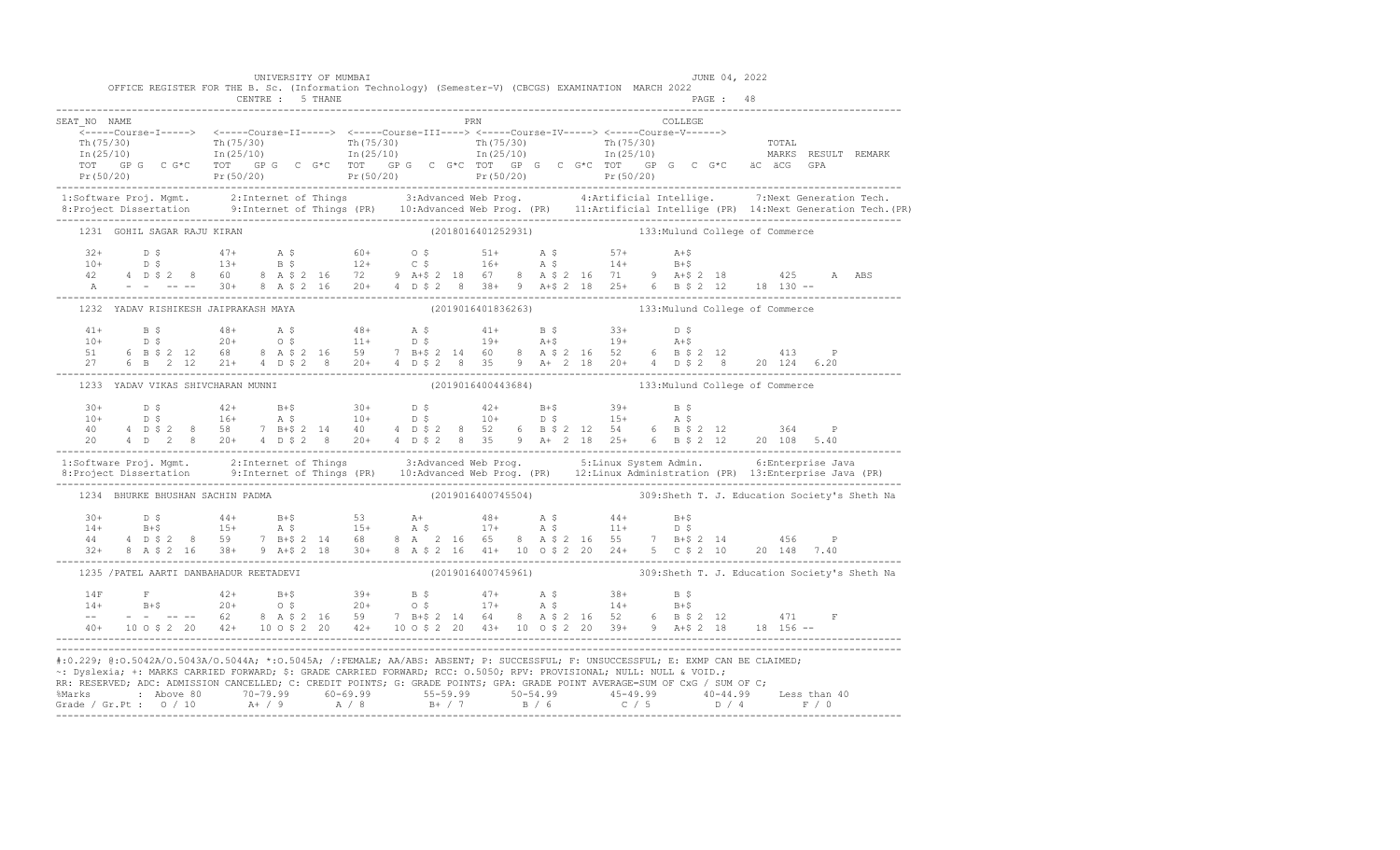|                             | UNIVERSITY OF MUMBAI<br>OFFICE REGISTER FOR THE B. Sc. (Information Technology) (Semester-V) (CBCGS) EXAMINATION MARCH 2022 |     | JUNE 04, 2022                                                                                                                                                                                                                                                                                                                                                                                        |                                                                                                                                                                                                                                   |
|-----------------------------|-----------------------------------------------------------------------------------------------------------------------------|-----|------------------------------------------------------------------------------------------------------------------------------------------------------------------------------------------------------------------------------------------------------------------------------------------------------------------------------------------------------------------------------------------------------|-----------------------------------------------------------------------------------------------------------------------------------------------------------------------------------------------------------------------------------|
| SEAT NO NAME                |                                                                                                                             | PRN | COLLEGE                                                                                                                                                                                                                                                                                                                                                                                              |                                                                                                                                                                                                                                   |
|                             | <-----Course-I-----> <-----Course-II-----> <-----Course-III----> <-----Course-IV-----> <-----Course-V------>                |     | $\begin{array}{cccccccccccc} \text{Th (75 / 30)} & \text{Th (75 / 30)} & \text{Th (75 / 30)} & \text{Th (75 / 30)} & \text{Th (75 / 30)} & \text{Th (75 / 30)} & \text{Th (75 / 30)} & \text{Th (75 / 30)} & \text{Tr (75 / 30)} & \text{Tr (75 / 30)} & \text{Tr (75 / 30)} & \text{Tr (75 / 30)} & \text{Tr (75 / 30)} & \text{Tr (75 / 30)} & \text{Tr (75 / 30)} & \text{Tr (75 / 30)} & \text{$ |                                                                                                                                                                                                                                   |
|                             |                                                                                                                             |     |                                                                                                                                                                                                                                                                                                                                                                                                      | 1:Software Proj. Mgmt. 2:Internet of Things 3:Advanced Web Prog. 4:Artificial Intellige. 7:Next Generation Tech.<br>8:Project Dissertation 9:Internet of Things (PR) 10:Advanced Web Prog. (PR) 11:Artificial Intellige (PR) 14:N |
| 1231 GOHIL SAGAR RAJU KIRAN |                                                                                                                             |     | (2018016401252931) 133: Mulund College of Commerce                                                                                                                                                                                                                                                                                                                                                   |                                                                                                                                                                                                                                   |
|                             |                                                                                                                             |     | $\begin{array}{cccccccccccccccc} 32+ & & D & \xi & & & 47+ & & \text{A} & \xi & & & 60+ & & 0 & \xi & & & 51+ & & \text{A} & \xi & & & 57+ & & \text{A}+ \xi \\ 10+ & & D & \xi & & & 13+ & & B & \xi & & & 12+ & & C & \xi & & & 16+ & & \text{A} & \xi & & & 14+ & & B+\xi \\ 42 & & 4 & D & \xi & 2 & & 8 & & 60 & & 8 & A & \xi & 2 & 16 & & 72 & & 9 & A+\xi & 2 & 18 & & 67 & & $              |                                                                                                                                                                                                                                   |
|                             | 1232 YADAV RISHIKESH JAIPRAKASH MAYA                                                                                        |     | (2019016401836263) 133: Mulund College of Commerce                                                                                                                                                                                                                                                                                                                                                   |                                                                                                                                                                                                                                   |
|                             |                                                                                                                             |     | $\begin{array}{cccccccccccc} 41+ & & B & \xi & & 48+ & & A & \xi & & 48+ & & A & \xi & & 41+ & & B & \xi & & 33+ & & D & \xi \\ 10+ & & D & \xi & & 20+ & & O & \xi & & 11+ & & D & \xi & & 19+ & & A+\xi & & 19+ & & A+\xi \\ 51 & & 6 & B & \xi & 2 & 12 & 68 & & 8 & A & \xi & 2 & 16 & 59 & & 7 & B+\xi & 2 & 14 & 60 & 8 & A & \xi & 2 & 16 & 52 & 6 & B & \xi & 2 & 1$                         |                                                                                                                                                                                                                                   |
|                             | 1233 YADAV VIKAS SHIVCHARAN MUNNI                                                                                           |     | (2019016400443684) 133: Mulund College of Commerce                                                                                                                                                                                                                                                                                                                                                   |                                                                                                                                                                                                                                   |
|                             |                                                                                                                             |     | $\begin{array}{cccccccccccccccc} 30+ & & D & \xi & & & 42+ & & B+ \xi & & 30+ & & D & \xi & & 42+ & B+ \xi & & 39+ & B & \xi \\ 10+ & & D & \xi & & & 16+ & & A & \xi & & 10+ & & D & \xi & & 10+ & & D & \xi & & 15+ & A & \xi \\ 40 & & 4 & D & \xi & 2 & 8 & 58 & & 7 & B+ \xi & 2 & 14 & 40 & & 4 & D & \xi & 2 & 8 & 52 & 6 & B & \xi & 2 & 12 & 54 & & 6 & B & \xi & 2 &$                      |                                                                                                                                                                                                                                   |
|                             |                                                                                                                             |     | 1:Software Proj. Mgmt. 2:Internet of Things 3:Advanced Web Prog. 5:Linux System Admin. 6:Enterprise Java<br>8:Project Dissertation 9:Internet of Things (PR) 10:Advanced Web Prog. (PR) 12:Linux Administration (PR) 13:Enterpris                                                                                                                                                                    |                                                                                                                                                                                                                                   |
|                             | 1234 BHURKE BHUSHAN SACHIN PADMA                                                                                            |     |                                                                                                                                                                                                                                                                                                                                                                                                      |                                                                                                                                                                                                                                   |
|                             |                                                                                                                             |     |                                                                                                                                                                                                                                                                                                                                                                                                      |                                                                                                                                                                                                                                   |
|                             | 1235 / PATEL AARTI DANBAHADUR REETADEVI                                                                                     |     | (2019016400745961) 309:Sheth T. J. Education Society's Sheth Na                                                                                                                                                                                                                                                                                                                                      |                                                                                                                                                                                                                                   |
|                             |                                                                                                                             |     | $\begin{array}{lllllllll} 14\mathrm{F}&\mathrm{F}&42+&\mathrm{B}+\$&39+&\mathrm{B}~\$&47+&\mathrm{A}~\$&38+&\mathrm{B}~\$ \\ 14+&\mathrm{B}+\$&20+&\mathrm{O}~\$&20+&\mathrm{O}~\$&17+&\mathrm{A}~\$&14+&\mathrm{B}+\$ \\ --&-&-&-&-&62&8&\mathrm{A}~\$&2&16&59&7&\mathrm{B}+\$&2&14&64&8&\mathrm{A}~\$&2&16&52&6&\mathrm{B}~\$&2&12&471&\mathrm{F}$                                                 |                                                                                                                                                                                                                                   |
|                             | ~: Dyslexia; +: MARKS CARRIED FORWARD; \$: GRADE CARRIED FORWARD; RCC: 0.5050; RPV: PROVISIONAL; NULL: NULL & VOID.;        |     | #:0.229; @:0.5042A/O.5043A/O.5044A; *:0.5045A; /:FEMALE; AA/ABS: ABSENT; P: SUCCESSFUL; F: UNSUCCESSFUL; E: EXMP CAN BE CLAIMED;<br>RR: RESERVED; ADC: ADMISSION CANCELLED; C: CREDIT POINTS; G: GRADE POINTS; GPA: GRADE POINT AVERAGE=SUM OF CxG / SUM OF C;                                                                                                                                       |                                                                                                                                                                                                                                   |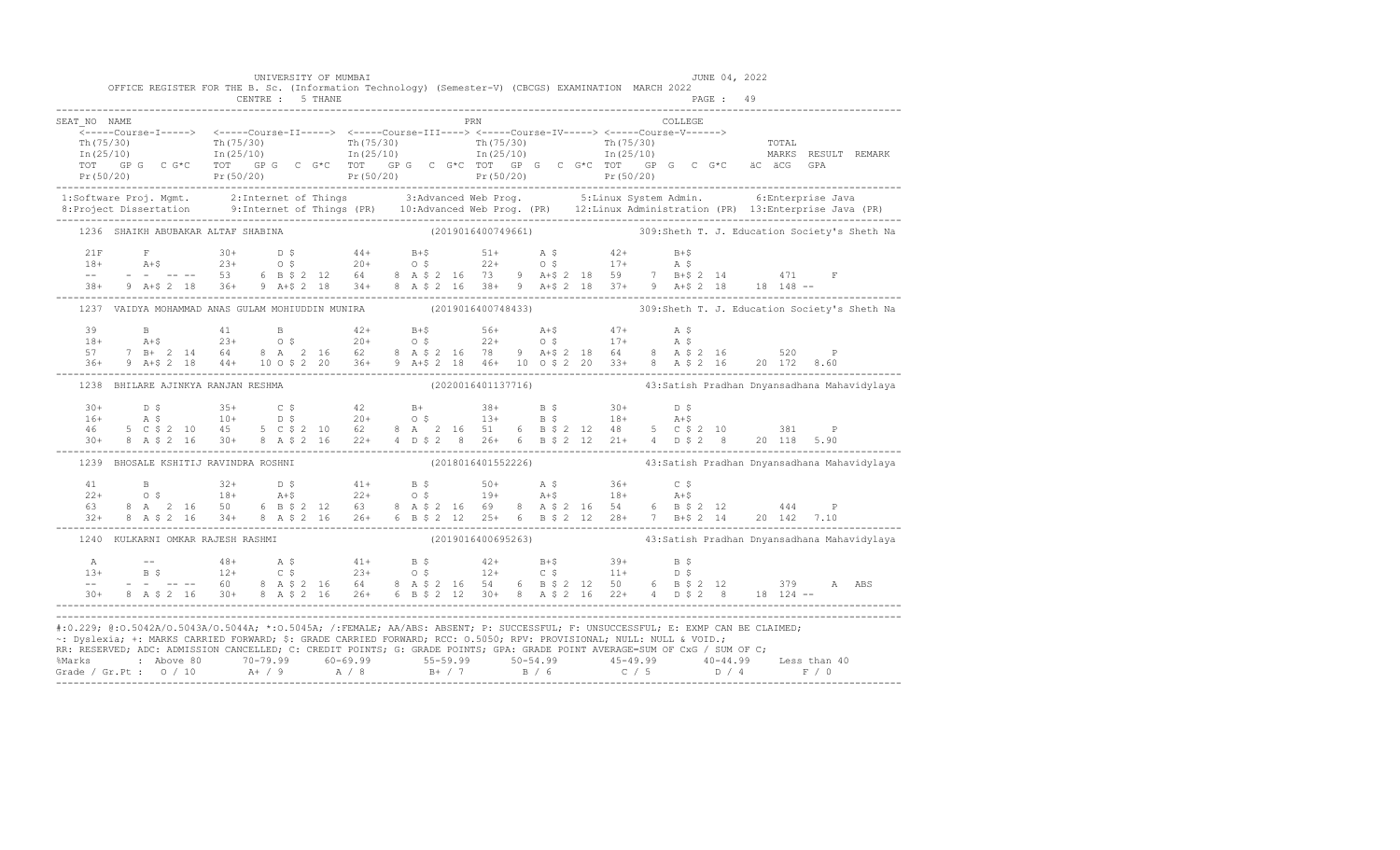|                                      | UNIVERSITY OF MUMBAI               | OFFICE REGISTER FOR THE B. Sc. (Information Technology) (Semester-V) (CBCGS) EXAMINATION MARCH 2022                  | JUNE 04, 2022                                                                                                                                                                                                                                                                                                                                                                                                     |
|--------------------------------------|------------------------------------|----------------------------------------------------------------------------------------------------------------------|-------------------------------------------------------------------------------------------------------------------------------------------------------------------------------------------------------------------------------------------------------------------------------------------------------------------------------------------------------------------------------------------------------------------|
|                                      | CENTRE : 5 THANE                   |                                                                                                                      |                                                                                                                                                                                                                                                                                                                                                                                                                   |
| SEAT NO NAME                         |                                    | <b>PRN</b>                                                                                                           | COLLEGE                                                                                                                                                                                                                                                                                                                                                                                                           |
|                                      |                                    |                                                                                                                      |                                                                                                                                                                                                                                                                                                                                                                                                                   |
|                                      |                                    |                                                                                                                      |                                                                                                                                                                                                                                                                                                                                                                                                                   |
|                                      |                                    |                                                                                                                      |                                                                                                                                                                                                                                                                                                                                                                                                                   |
|                                      |                                    |                                                                                                                      |                                                                                                                                                                                                                                                                                                                                                                                                                   |
|                                      | 1236 SHAIKH ABUBAKAR ALTAF SHABINA |                                                                                                                      |                                                                                                                                                                                                                                                                                                                                                                                                                   |
|                                      |                                    |                                                                                                                      |                                                                                                                                                                                                                                                                                                                                                                                                                   |
|                                      |                                    |                                                                                                                      |                                                                                                                                                                                                                                                                                                                                                                                                                   |
|                                      |                                    |                                                                                                                      | $\begin{array}{lllllllll} 21\mathrm{F} & \mathrm{F} & 30+ & \mathrm{D}~\mathsf{S} & 44+ & \mathrm{B}+ \mathsf{S} & 51+ & \mathrm{A}~\mathsf{S} & 42+ & \mathrm{B}+ \mathsf{S} \\ 18+ & \mathrm{A}+ \mathsf{S} & 23+ & \mathrm{O}~\mathsf{S} & 20+ & \mathrm{O}~\mathsf{S} & 22+ & \mathrm{O}~\mathsf{S} & 17+ & \mathrm{A}~\mathsf{S} \\ -- & - & - & - & - & - & 53 & 6 & \mathrm{B}~\mathsf{S}$                 |
|                                      |                                    |                                                                                                                      | 1237 VAIDYA MOHAMMAD ANAS GULAM MOHIUDDIN MUNIRA (2019016400748433) 309:Sheth T. J. Education Society's Sheth Na                                                                                                                                                                                                                                                                                                  |
|                                      |                                    |                                                                                                                      |                                                                                                                                                                                                                                                                                                                                                                                                                   |
|                                      |                                    |                                                                                                                      |                                                                                                                                                                                                                                                                                                                                                                                                                   |
|                                      |                                    |                                                                                                                      | $\begin{array}{cccccccccccccccc} 39 & & B & & 41 & & B & & 42+ & B+5 & & 56+ & A+5 & & 47+ & A & S \\ 18+ & & A+5 & & 23+ & 0 & S & & 20+ & 0 & S & & 22+ & 0 & S & & 17+ & A & S \\ 57 & & 7 & B+ & 2 & 14 & 64 & 8 & A & 2 & 16 & 62 & 8 & A & 5 & 2 & 16 & 78 & 9 & A+5 & 2 & 18 & 64 & 8 & A & 5 & 2 & 16 & 520 & P \\ 36+ & 9 & A+5 & 2 &$                                                                   |
|                                      |                                    |                                                                                                                      | 1238 BHILARE AJINKYA RANJAN RESHMA (2020016401137716) 43:Satish Pradhan Dnyansadhana Mahavidylaya                                                                                                                                                                                                                                                                                                                 |
|                                      |                                    |                                                                                                                      |                                                                                                                                                                                                                                                                                                                                                                                                                   |
|                                      |                                    |                                                                                                                      |                                                                                                                                                                                                                                                                                                                                                                                                                   |
|                                      |                                    |                                                                                                                      |                                                                                                                                                                                                                                                                                                                                                                                                                   |
| 1239 BHOSALE KSHITIJ RAVINDRA ROSHNI |                                    |                                                                                                                      |                                                                                                                                                                                                                                                                                                                                                                                                                   |
|                                      |                                    |                                                                                                                      |                                                                                                                                                                                                                                                                                                                                                                                                                   |
|                                      |                                    |                                                                                                                      |                                                                                                                                                                                                                                                                                                                                                                                                                   |
|                                      |                                    |                                                                                                                      | $\begin{array}{cccccccccccc} 41 & B & 32+ & D \; \hat{S} & 41+ & B \; \hat{S} & 50+ & A \; \hat{S} & 36+ & C \; \hat{S} \\ 22+ & 0 \; \hat{S} & 18+ & A+ \hat{S} & 22+ & 0 \; \hat{S} & 19+ & A+ \hat{S} & 18+ & A+ \hat{S} \\ 63 & 8 & A & 2 & 16 & 50 & 6 & B \; \hat{S} \; 2 & 12 & 63 & 8 & A \; \hat{S} \; 2 & 16 & 69 & 8 & A \; \hat{S} \$                                                                 |
|                                      | 1240 KULKARNI OMKAR RAJESH RASHMI  |                                                                                                                      | (2019016400695263)       43:Satish Pradhan Dnyansadhana Mahavidylaya                                                                                                                                                                                                                                                                                                                                              |
|                                      |                                    |                                                                                                                      |                                                                                                                                                                                                                                                                                                                                                                                                                   |
|                                      |                                    |                                                                                                                      |                                                                                                                                                                                                                                                                                                                                                                                                                   |
|                                      |                                    |                                                                                                                      | $\begin{array}{cccccccccccccccc} \texttt{A} & & \texttt{---} & & & 48+ & & \texttt{A} & \texttt{S} & & & 41+ & & \texttt{B} & \texttt{S} & & & 42+ & & \texttt{B}+\texttt{S} & & & 39+ & & \texttt{B} & \texttt{S} & & & & & & \\ 13+ & & \texttt{B} & \texttt{S} & & & 12+ & & \texttt{C} & \texttt{S} & & & 23+ & & \texttt{O} & \texttt{S} & & & 12+ & & \texttt{C} & \texttt{S} & & & 11+ & & \texttt{D} & \$ |
|                                      |                                    |                                                                                                                      |                                                                                                                                                                                                                                                                                                                                                                                                                   |
|                                      |                                    | ~: Dyslexia; +: MARKS CARRIED FORWARD; \$: GRADE CARRIED FORWARD; RCC: 0.5050; RPV: PROVISIONAL; NULL: NULL & VOID.; | #:0.229; @:0.5042A/0.5043A/0.5044A; *:0.5045A; /:FEMALE; AA/ABS: ABSENT; P: SUCCESSFUL; F: UNSUCCESSFUL; E: EXMP CAN BE CLAIMED;                                                                                                                                                                                                                                                                                  |
|                                      |                                    |                                                                                                                      | RR: RESERVED, ADC: ADMISSION CANCELLED, C: CREDIT POINTS, G: GRADE POINTS, GPA: GRADE POINT AVERAGE=SUM OF CxG / SUM OF C;                                                                                                                                                                                                                                                                                        |
|                                      |                                    |                                                                                                                      | %Marks : Above 80 70-79.99 60-69.99 55-59.99 50-54.99 45-49.99 40-44.99 Less than 40<br>Grade / Gr.Pt : 0 / 10 A+ / 9 A / 8 B+ / 7 B / 6 C / 5 D / 4 F / 0                                                                                                                                                                                                                                                        |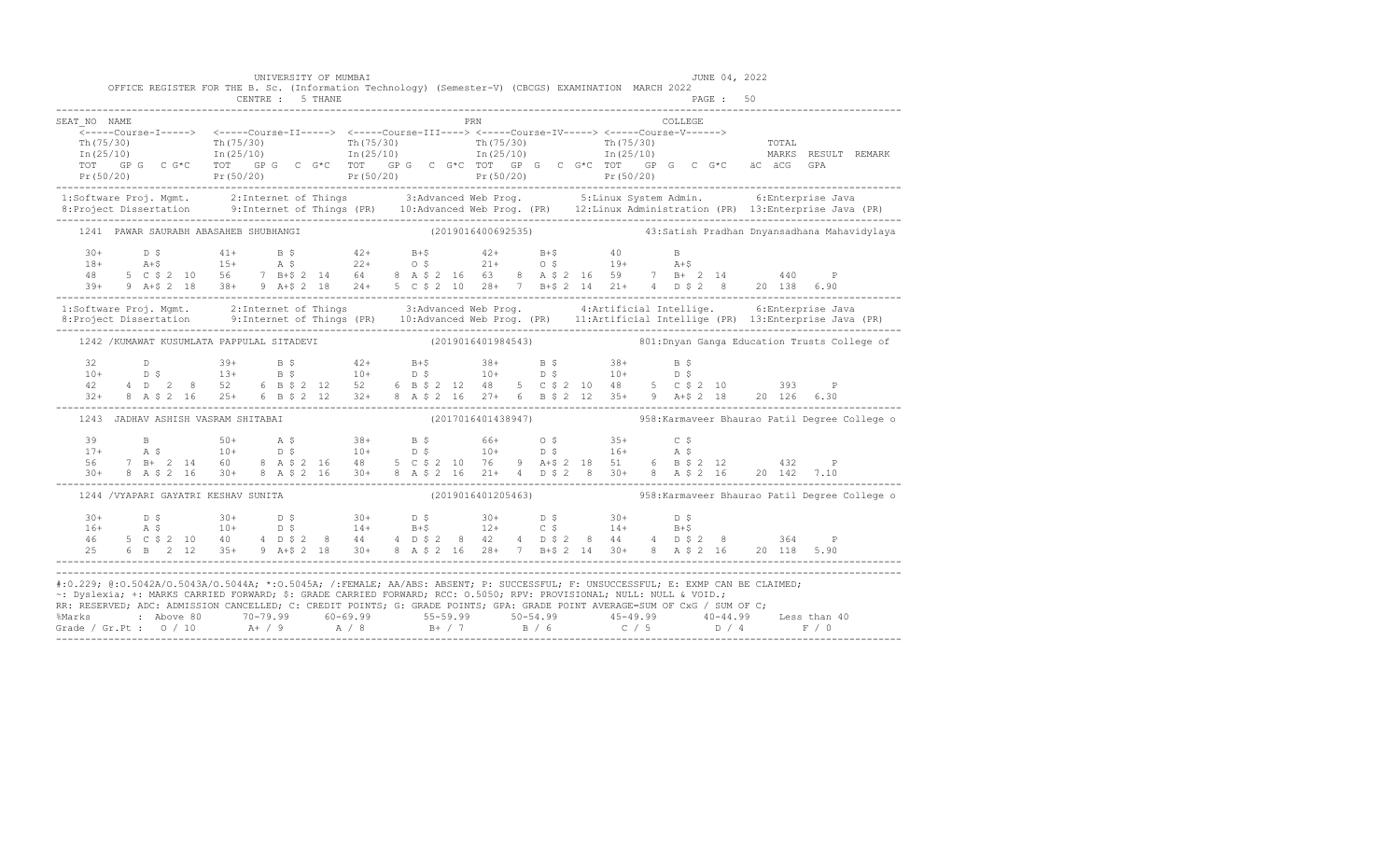|                                                                                                                                                                                                                                                                                                                                                                                                                                                                                                                                                      |  |  | CENTRE : 5 THANE                     |  | UNIVERSITY OF MUMBAI | OFFICE REGISTER FOR THE B. Sc. (Information Technology) (Semester-V) (CBCGS) EXAMINATION MARCH 2022                                                                                                                                                                                                                                                                     |  |  |     |  |  |  |          | JUNE 04, 2022<br>PAGE: 50 |  |                                                                                                                                                                                                                                                                                                                                                                                      |
|------------------------------------------------------------------------------------------------------------------------------------------------------------------------------------------------------------------------------------------------------------------------------------------------------------------------------------------------------------------------------------------------------------------------------------------------------------------------------------------------------------------------------------------------------|--|--|--------------------------------------|--|----------------------|-------------------------------------------------------------------------------------------------------------------------------------------------------------------------------------------------------------------------------------------------------------------------------------------------------------------------------------------------------------------------|--|--|-----|--|--|--|----------|---------------------------|--|--------------------------------------------------------------------------------------------------------------------------------------------------------------------------------------------------------------------------------------------------------------------------------------------------------------------------------------------------------------------------------------|
| SEAT NO NAME                                                                                                                                                                                                                                                                                                                                                                                                                                                                                                                                         |  |  |                                      |  |                      |                                                                                                                                                                                                                                                                                                                                                                         |  |  | PRN |  |  |  | COLLEGE. |                           |  |                                                                                                                                                                                                                                                                                                                                                                                      |
|                                                                                                                                                                                                                                                                                                                                                                                                                                                                                                                                                      |  |  |                                      |  |                      |                                                                                                                                                                                                                                                                                                                                                                         |  |  |     |  |  |  |          |                           |  | $\begin{tabular}{lllllllllllllllllllllcl} \hline \texttt{Th(75/30)} & \texttt{Th(75/30)} & \texttt{Th(75/30)} & \texttt{Th(75/30)} & \texttt{Th(75/30)} & \texttt{Th(75/30)} & \texttt{Tr(75/30)} & \texttt{Tr(75/30)} & \texttt{Tr(75/30)} & \texttt{Tr(75/30)} & \texttt{Tr(75/30)} & \texttt{Tr(75/30)} & \texttt{Tr(75/30)} & \texttt{Tr(75/30)} & \texttt{Tr(75/30)} & \texttt$ |
|                                                                                                                                                                                                                                                                                                                                                                                                                                                                                                                                                      |  |  |                                      |  |                      |                                                                                                                                                                                                                                                                                                                                                                         |  |  |     |  |  |  |          |                           |  | 1:Software Proj. Mgmt. 2:Internet of Things 3:Advanced Web Prog. 5:Linux System Admin. 6:Enterprise Java<br>8:Project Dissertation 9:Internet of Things (PR) 10:Advanced Web Prog. (PR) 12:Linux Administration (PR) 13:Enterpris                                                                                                                                                    |
|                                                                                                                                                                                                                                                                                                                                                                                                                                                                                                                                                      |  |  |                                      |  |                      |                                                                                                                                                                                                                                                                                                                                                                         |  |  |     |  |  |  |          |                           |  | 1241 PAWAR SAURABH ABASAHEB SHUBHANGI (2019016400692535) 43:Satish Pradhan Dnyansadhana Mahavidylaya                                                                                                                                                                                                                                                                                 |
| $\begin{array}{cccccccccccccccc} 30+ & & D & \xi & & 41+ & B & \xi & & 42+ & B+\xi & & 42+ & B+\xi & & 40 & B \\ 18+ & & \text{A}+\xi & & 15+ & & \text{A} & \xi & & 22+ & \text{O} & \xi & & 21+ & \text{O} & \xi & & 19+ & \text{A}+\xi \\ 48 & & 5 & C & \xi & 2 & 10 & 56 & 7 & B+\xi & 2 & 14 & 64 & 8 & A & \xi & 2 & 16 & 63 & 8 & A & \xi & 2 & 16 & 59 & 7 & B+ & $                                                                                                                                                                         |  |  |                                      |  |                      |                                                                                                                                                                                                                                                                                                                                                                         |  |  |     |  |  |  |          |                           |  |                                                                                                                                                                                                                                                                                                                                                                                      |
|                                                                                                                                                                                                                                                                                                                                                                                                                                                                                                                                                      |  |  |                                      |  |                      |                                                                                                                                                                                                                                                                                                                                                                         |  |  |     |  |  |  |          |                           |  | 1:Software Proj. Mgmt. 2:Internet of Things 3:Advanced Web Prog. 4:Artificial Intellige. 6:Enterprise Java<br>8:Project Dissertation 9:Internet of Things (PR) 10:Advanced Web Prog. (PR) 11:Artificial Intellige (PR) 13:Enterpr                                                                                                                                                    |
|                                                                                                                                                                                                                                                                                                                                                                                                                                                                                                                                                      |  |  |                                      |  |                      |                                                                                                                                                                                                                                                                                                                                                                         |  |  |     |  |  |  |          |                           |  | 1242 /KUMAWAT KUSUMLATA PAPPULAL SITADEVI (2019016401984543) 3 801: Dnyan Ganga Education Trusts College of                                                                                                                                                                                                                                                                          |
|                                                                                                                                                                                                                                                                                                                                                                                                                                                                                                                                                      |  |  |                                      |  |                      | $\begin{array}{cccccccccccccccc} 32 & D & 39+ & B $ & 42+ & B $ & 38+ & B $ & 38+ & B $ & 38+ & B $ & 39+ & 39+ & 39+ & B $ & 10+ & D $ & 10+ & D $ & 10+ & D $ & 10+ & D $ & 10+ & D $ & 10+ & D $ & 10+ & D $ & 10+ & D $ & 10+ & D $ & 10+ & D $ & 10+ & D $ & 10+ & D $ & 10+ & D $ & 10+ & D $ & 10+ & D $ & 10+ & D $ & 10+ & D $ & 10+ & D $ & 1$                |  |  |     |  |  |  |          |                           |  |                                                                                                                                                                                                                                                                                                                                                                                      |
|                                                                                                                                                                                                                                                                                                                                                                                                                                                                                                                                                      |  |  | 1243 JADHAV ASHISH VASRAM SHITABAI   |  |                      |                                                                                                                                                                                                                                                                                                                                                                         |  |  |     |  |  |  |          |                           |  | (2017016401438947) 958: Karmaveer Bhaurao Patil Degree College o                                                                                                                                                                                                                                                                                                                     |
|                                                                                                                                                                                                                                                                                                                                                                                                                                                                                                                                                      |  |  |                                      |  |                      | $\begin{array}{cccccccccccccccc} 39 & & B & & 50+ & A & \xi & & 38+ & B & \xi & & 66+ & O & \xi & & 35+ & C & \xi \\ 17+ & & A & \xi & & 10+ & D & \xi & & 10+ & D & \xi & & 10+ & D & \xi & & 16+ & A & \xi \\ 56 & & 7 & B+ & 2 & 14 & 60 & 8 & A & \xi & 2 & 16 & 48 & 5 & C & \xi & 2 & 10 & 76 & 9 & A+\xi & 2 & 18 & 51 & 6 & B & \xi & 2 & 12 & & 432 & P \\ 30$ |  |  |     |  |  |  |          |                           |  |                                                                                                                                                                                                                                                                                                                                                                                      |
|                                                                                                                                                                                                                                                                                                                                                                                                                                                                                                                                                      |  |  | 1244 / VYAPARI GAYATRI KESHAV SUNITA |  |                      |                                                                                                                                                                                                                                                                                                                                                                         |  |  |     |  |  |  |          |                           |  | (2019016401205463) 58: Karmaveer Bhaurao Patil Degree College o                                                                                                                                                                                                                                                                                                                      |
|                                                                                                                                                                                                                                                                                                                                                                                                                                                                                                                                                      |  |  |                                      |  |                      |                                                                                                                                                                                                                                                                                                                                                                         |  |  |     |  |  |  |          |                           |  |                                                                                                                                                                                                                                                                                                                                                                                      |
| #:0.229; @:0.5042A/0.5043A/0.5044A; *:0.5045A; /:FEMALE; AA/ABS: ABSENT; P: SUCCESSFUL; F: UNSUCCESSFUL; E: EXMP CAN BE CLAIMED;<br>~: Dyslexia; +: MARKS CARRIED FORWARD; \$: GRADE CARRIED FORWARD; RCC: 0.5050; RPV: PROVISIONAL; NULL: NULL & VOID.;<br>RR: RESERVED; ADC: ADMISSION CANCELLED; C: CREDIT POINTS; G: GRADE POINTS; GPA: GRADE POINT AVERAGE=SUM OF CxG / SUM OF C;<br>%Marks : Above 80 70-79.99 60-69.99 55-59.99 50-54.99 45-49.99 40-44.99 Less than 40<br>Grade / Gr.Pt : 0 / 10 A+ / 9 A / 8 B+ / 7 B / 6 C / 5 D / 4 F / 0 |  |  |                                      |  |                      |                                                                                                                                                                                                                                                                                                                                                                         |  |  |     |  |  |  |          |                           |  |                                                                                                                                                                                                                                                                                                                                                                                      |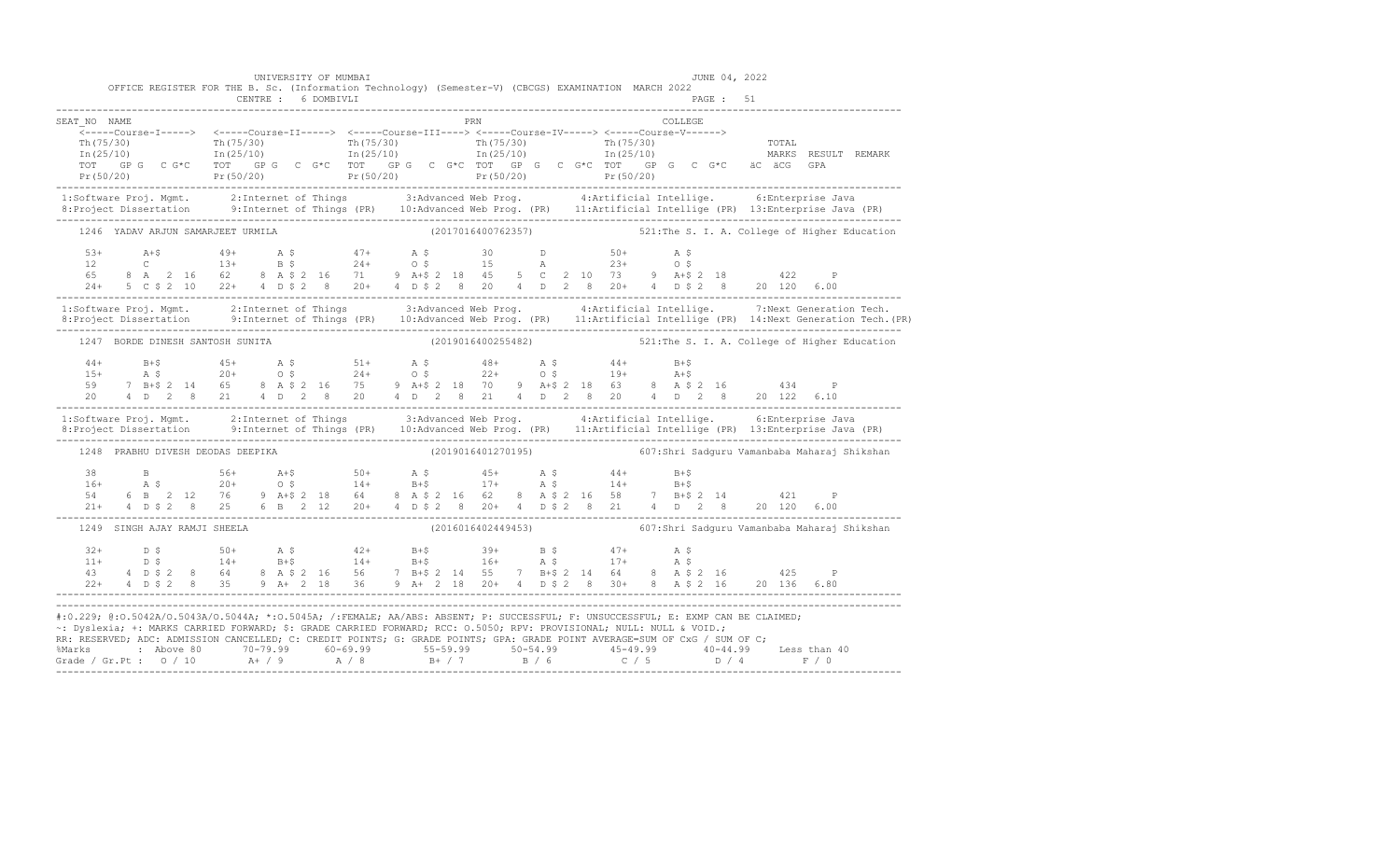|                                                                                                                     |  |                              |                                                                       |                                   |                     |  |     |                    | $22+$ 4 D \$ 2 8 35 9 A + 2 18 36 9 A + 2 18 20 + 4 D \$ 2 8 30 + 8 A \$ 2 16 20 136 6.80 |  |  |         |           |                                                                                                                                                                                                                                                                                                                                                                                                                                                                                                                                                                                                                                                                                                                                                                                                                                                                                                                                                                                                                                                                                                                                                                                                                                                                                                                                                                                                                                                                                                                                                                                                                                                                                                                                                                                                                                                                                                                  |
|---------------------------------------------------------------------------------------------------------------------|--|------------------------------|-----------------------------------------------------------------------|-----------------------------------|---------------------|--|-----|--------------------|-------------------------------------------------------------------------------------------|--|--|---------|-----------|------------------------------------------------------------------------------------------------------------------------------------------------------------------------------------------------------------------------------------------------------------------------------------------------------------------------------------------------------------------------------------------------------------------------------------------------------------------------------------------------------------------------------------------------------------------------------------------------------------------------------------------------------------------------------------------------------------------------------------------------------------------------------------------------------------------------------------------------------------------------------------------------------------------------------------------------------------------------------------------------------------------------------------------------------------------------------------------------------------------------------------------------------------------------------------------------------------------------------------------------------------------------------------------------------------------------------------------------------------------------------------------------------------------------------------------------------------------------------------------------------------------------------------------------------------------------------------------------------------------------------------------------------------------------------------------------------------------------------------------------------------------------------------------------------------------------------------------------------------------------------------------------------------------|
| OFFICE REGISTER FOR THE B. Sc. (Information Technology) (Semester-V) (CBCGS) EXAMINATION MARCH 2022<br>SEAT NO NAME |  | 1249 SINGH AJAY RAMJI SHEELA | 1247 BORDE DINESH SANTOSH SUNITA<br>1248 PRABHU DIVESH DEODAS DEEPIKA | 1246 YADAV ARJUN SAMARJEET URMILA | CENTRE : 6 DOMBIVLI |  | PRN | (2019016401270195) |                                                                                           |  |  | COLLEGE | PAGE : 51 | $\begin{array}{cccccccccc} \texttt{Th(75/30)} & & & & \texttt{Th(75/30)} & & & & \texttt{Th(75/30)} & & & \texttt{Th(75/30)} & & & \texttt{Th(75/30)} & & & \texttt{Th(25/10)} & & & \texttt{Th(25/10)} & & & \texttt{In(25/10)} & & & \texttt{In(25/10)} & & & \texttt{In(25/10)} & & & & \texttt{In(25/10)} & & & \texttt{In(25/10)} & & & & \texttt{In(25/10)} & & & & \texttt{In(25/10$<br>$TOT$ GP G C G*C TOT GP G C G*C TOT GP G C G*C TOT GP G C G*C TOT GP G C G*C aC aCG GPA<br>Pr(50/20) Pr(50/20) Pr(50/20) Pr(50/20) Pr(50/20) Pr(50/20)<br>1:Software Proj. Mgmt. 2:Internet of Things 3:Advanced Web Prog. 4:Artificial Intellige. 6:Enterprise Java<br>8:Project Dissertation 9:Internet of Things (PR) 10:Advanced Web Prog. (PR) 11:Artificial Intellige (PR) 13:Enterpr<br>(2017016400762357) 521: The S. I. A. College of Higher Education<br>$\mathbb{P}$<br>24+ 5 C \$ 2 10 22+ 4 D \$ 2 8 20+ 4 D \$ 2 8 20 4 D 2 8 20+ 4 D \$ 2 8 20 120 6.00<br>1:Software Proj. Mgmt. 2:Internet of Things 3:Advanced Web Prog. 4:Artificial Intellige. 7:Next Generation Tech.<br>8: Project Dissertation 9: Internet of Things (PR) 10: Advanced Web Prog. (PR) 11: Artificial Intellige (PR) 14: Next Generation Tech. (PR)<br>(2019016400255482) 521: The S. I. A. College of Higher Education<br>20 4 D 2 8 21 4 D 2 8 20 4 D 2 8 21 4 D 2 8 20 4 D 2 8 20 122 6.10<br>1:Software Proj. Mgmt. 2:Internet of Things 3:Advanced Web Prog. 4:Artificial Intellige. 6:Enterprise Java<br>607:Shri Sadquru Vamanbaba Maharaj Shikshan<br>38 B $56+$ $A+5$ $50+$ $A+5$ $45+$ $A+5$ $44+$ $B+5$<br>$16+$ A.S $20+$ O.S $14+$ $B+5$ $17+$ A.S $14+$ $B+5$<br>$54$ 6 B $2$ 12 76 9 A+S $2$ 18 64 8 A 5 $2$ 16 62 8 A 5 $2$ 16 58 7 B+S $2$ 14 $421$ P<br>21+ 4 D \$ 2 8 25 6 B 2 12 20+ 4 D \$ 2 8 20+ 4 D \$ 2 8 21 4 D 2 8 20 120 6.00<br>(2016016402449453) 607:Shri Sadquru Vamanbaba Maharaj Shikshan |

-------------------------------------------------------------------------------------------------------------------------------------------------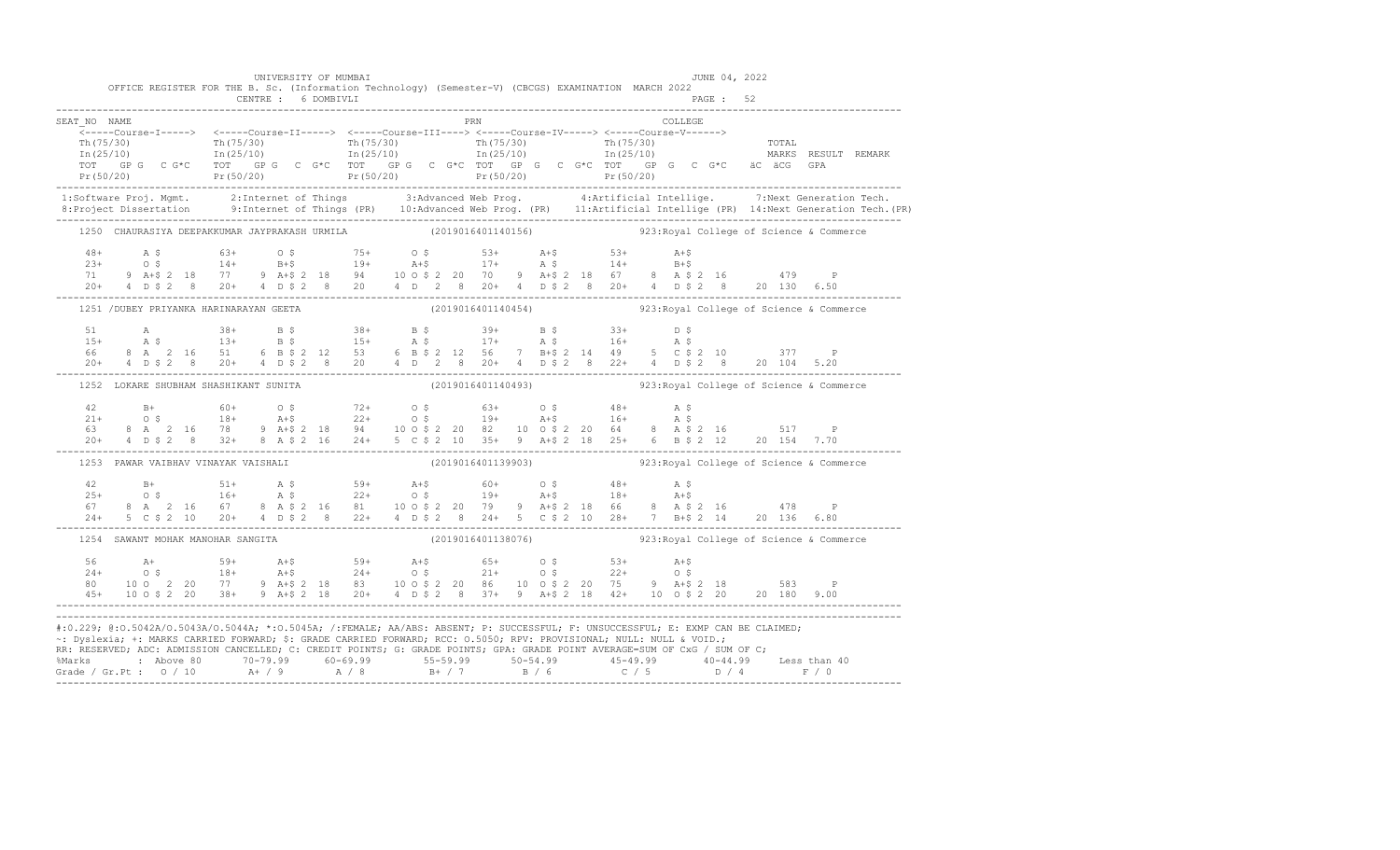|              |                                                                                                                                                                                                                                                                                                                                                                                                                                                                                | UNIVERSITY OF MUMBAI |  |  |     |                    |  |         | JUNE 04, 2022 |  |                                                              |  |
|--------------|--------------------------------------------------------------------------------------------------------------------------------------------------------------------------------------------------------------------------------------------------------------------------------------------------------------------------------------------------------------------------------------------------------------------------------------------------------------------------------|----------------------|--|--|-----|--------------------|--|---------|---------------|--|--------------------------------------------------------------|--|
|              | OFFICE REGISTER FOR THE B. Sc. (Information Technology) (Semester-V) (CBCGS) EXAMINATION MARCH 2022                                                                                                                                                                                                                                                                                                                                                                            | CENTRE : 6 DOMBIVLI  |  |  |     |                    |  |         | PAGE: 52      |  |                                                              |  |
| SEAT NO NAME |                                                                                                                                                                                                                                                                                                                                                                                                                                                                                |                      |  |  | PRN |                    |  | COLLEGE |               |  |                                                              |  |
|              |                                                                                                                                                                                                                                                                                                                                                                                                                                                                                |                      |  |  |     |                    |  |         |               |  |                                                              |  |
|              |                                                                                                                                                                                                                                                                                                                                                                                                                                                                                |                      |  |  |     |                    |  |         |               |  |                                                              |  |
|              |                                                                                                                                                                                                                                                                                                                                                                                                                                                                                |                      |  |  |     |                    |  |         |               |  |                                                              |  |
|              | TOT GPG CG*C TOT GPG CG*C TOT GPG CG*C TOT GPG CG*C TOT GPG CG*C äCäCG GPA                                                                                                                                                                                                                                                                                                                                                                                                     |                      |  |  |     |                    |  |         |               |  |                                                              |  |
|              |                                                                                                                                                                                                                                                                                                                                                                                                                                                                                |                      |  |  |     |                    |  |         |               |  |                                                              |  |
|              |                                                                                                                                                                                                                                                                                                                                                                                                                                                                                |                      |  |  |     |                    |  |         |               |  |                                                              |  |
|              | 1:Software Proj. Mgmt. 2:Internet of Things 3:Advanced Web Prog. 4:Artificial Intellige. 7:Next Generation Tech.<br>10:Advanced Web Prog. (PR) 11:Artificial Intellige (PR) 14:Next Generation Tech. (PR) 8:Project Dissertation                                                                                                                                                                                                                                               |                      |  |  |     |                    |  |         |               |  |                                                              |  |
|              | 1250 CHAURASIYA DEEPAKKUMAR JAYPRAKASH URMILA (2019016401140156)                                                                                                                                                                                                                                                                                                                                                                                                               |                      |  |  |     |                    |  |         |               |  | 923: Royal College of Science & Commerce                     |  |
|              |                                                                                                                                                                                                                                                                                                                                                                                                                                                                                |                      |  |  |     |                    |  |         |               |  |                                                              |  |
|              | $\begin{array}{cccccccccccccccc} 48+ & & {\bf A}\ \, 5 & & & 63+ & & 0\ \, 5 & & & 75+ & & 0\ \, 5 & & & 14+ & & {\bf B}+ \hat{\bf S} & & & 19+ & & {\bf A}+ \hat{\bf S} & & & 17+ & & {\bf A}\ \, 5 & & & 14+ & & {\bf B}+ \hat{\bf S} & & & 14+ & & {\bf B}+ \hat{\bf S} & & & 14+ & & {\bf B}+ \hat{\bf S} & & & 14+ & {\bf B}+ \hat{\bf S} & & & 14+ & {\bf B}+ \hat{\bf S} & & & 14+ & {\$                                                                                |                      |  |  |     |                    |  |         |               |  |                                                              |  |
|              |                                                                                                                                                                                                                                                                                                                                                                                                                                                                                |                      |  |  |     |                    |  |         |               |  |                                                              |  |
|              | $20+$ 4 D \$ 2 8 20 + 4 D \$ 2 8 20 4 D 2 8 20 + 4 D \$ 2 8 20 + 4 D \$ 2 8 20 130 6.50                                                                                                                                                                                                                                                                                                                                                                                        |                      |  |  |     |                    |  |         |               |  |                                                              |  |
|              | 1251 / DUBEY PRIYANKA HARINARAYAN GEETA                                                                                                                                                                                                                                                                                                                                                                                                                                        |                      |  |  |     |                    |  |         |               |  | $(2019016401140454)$ 923:Royal College of Science & Commerce |  |
|              |                                                                                                                                                                                                                                                                                                                                                                                                                                                                                |                      |  |  |     |                    |  |         |               |  |                                                              |  |
|              |                                                                                                                                                                                                                                                                                                                                                                                                                                                                                |                      |  |  |     |                    |  |         |               |  |                                                              |  |
|              |                                                                                                                                                                                                                                                                                                                                                                                                                                                                                |                      |  |  |     |                    |  |         |               |  |                                                              |  |
|              | $\begin{array}{cccccccccccccccc} 51 & \text{A} & 38+ & \text{B}\ \hat{\textsf{x}} & 38+ & \text{B}\ \hat{\textsf{x}} & 39+ & \text{B}\ \hat{\textsf{x}} & 39+ & \text{B}\ \hat{\textsf{x}} & 33+ & \text{D}\ \hat{\textsf{x}} & 35+ & \text{A}\ \hat{\textsf{x}} & 37+ & \text{B}\ \hat{\textsf{x}} & 39+ & \text{B}\ \hat{\textsf{x}} & 39+ & \text{B}\ \hat{\textsf{x}} & 39+ & \text{B}\ \hat{\textsf{x}} & 30+ & \text{B}\ \hat{\textsf{x}} & 3$                           |                      |  |  |     |                    |  |         |               |  |                                                              |  |
|              | 1252 LOKARE SHUBHAM SHASHIKANT SUNITA                                                                                                                                                                                                                                                                                                                                                                                                                                          |                      |  |  |     | (2019016401140493) |  |         |               |  | 923: Royal College of Science & Commerce                     |  |
|              |                                                                                                                                                                                                                                                                                                                                                                                                                                                                                |                      |  |  |     |                    |  |         |               |  |                                                              |  |
|              | $\begin{array}{cccccccccccccccc} 42 & & B+ & & 60+ & & 0 & \xi & & 72+ & & 0 & \xi & & 63+ & & 0 & \xi & & 48+ & & \text{A} & \xi \\ 21+ & & 0 & \xi & & 18+ & & \text{A}+\xi & & 22+ & & 0 & \xi & & 19+ & & \text{A}+\xi & & 16+ & & \text{A} & \xi \\ 63 & & 8 & \text{A} & 2 & 16 & & 78 & & 9 & \text{A}+\xi & 2 & 18 & & 94 & & 10 & 0 & \xi & 2 & 20 & & 82 & & 1$                                                                                                      |                      |  |  |     |                    |  |         |               |  |                                                              |  |
|              |                                                                                                                                                                                                                                                                                                                                                                                                                                                                                |                      |  |  |     |                    |  |         |               |  |                                                              |  |
|              |                                                                                                                                                                                                                                                                                                                                                                                                                                                                                |                      |  |  |     |                    |  |         |               |  |                                                              |  |
|              | 1253 PAWAR VAIBHAV VINAYAK VAISHALI                                                                                                                                                                                                                                                                                                                                                                                                                                            |                      |  |  |     |                    |  |         |               |  | $(2019016401139903)$ 923:Royal College of Science & Commerce |  |
|              |                                                                                                                                                                                                                                                                                                                                                                                                                                                                                |                      |  |  |     |                    |  |         |               |  |                                                              |  |
|              | 42 B+<br>$25+$ 51+ A \$<br>$59+$ A +\$<br>$60+$ O \$<br>$48+$ A \$<br>$18+$ A \$<br>$18+$ A +\$<br>$18+$ A +\$<br>$18+$ A +\$<br>$18+$ A +\$<br>$18+$ A +\$<br>$18+$ A +\$<br>$18+$ A +\$<br>$18+$ A +\$<br>$18+$ A +\$<br>$18+$ A +\$<br>$18+$ A +\$<br>$216$ A +3<br>$216$ A 3<br>                                                                                                                                                                                           |                      |  |  |     |                    |  |         |               |  |                                                              |  |
|              |                                                                                                                                                                                                                                                                                                                                                                                                                                                                                |                      |  |  |     |                    |  |         |               |  |                                                              |  |
|              | 24+ 5 C \$ 2 10 20+ 4 D \$ 2 8 22+ 4 D \$ 2 8 24+ 5 C \$ 2 10 28+ 7 B+\$ 2 14 20 136 6.80                                                                                                                                                                                                                                                                                                                                                                                      |                      |  |  |     |                    |  |         |               |  |                                                              |  |
|              | 1254 SAWANT MOHAK MANOHAR SANGITA                                                                                                                                                                                                                                                                                                                                                                                                                                              |                      |  |  |     |                    |  |         |               |  | (2019016401138076) 923: Royal College of Science & Commerce  |  |
|              |                                                                                                                                                                                                                                                                                                                                                                                                                                                                                |                      |  |  |     |                    |  |         |               |  |                                                              |  |
|              |                                                                                                                                                                                                                                                                                                                                                                                                                                                                                |                      |  |  |     |                    |  |         |               |  |                                                              |  |
|              |                                                                                                                                                                                                                                                                                                                                                                                                                                                                                |                      |  |  |     |                    |  |         |               |  |                                                              |  |
|              | $\begin{array}{cccccccccccccccc} 56 & \quad \text{A+} & \quad & 59+ & \quad \text{A+5} & \quad & 59+ & \quad \text{A+5} & \quad & 65+ & \quad \text{O$} & \quad & 53+ & \quad \text{A+5} & \quad & 54+ & \quad & 24+ & \quad \text{O$} & \quad & 22+ & \quad \text{O$} & \quad & 24+ & \quad \text{O$} & \quad & 22+ & \quad \text{O$} & \quad & 24+ & \quad \text{O$} & \quad & 24+ & \quad \text{O$} & \quad & 24+ & \quad \text{O$}$                                        |                      |  |  |     |                    |  |         |               |  |                                                              |  |
|              | #:0.229; @:0.5042A/0.5043A/0.5044A; *:0.5045A; /:FEMALE; AA/ABS: ABSENT; P: SUCCESSFUL; F: UNSUCCESSFUL; E: EXMP CAN BE CLAIMED;<br>~: Dyslexia; +: MARKS CARRIED FORWARD; \$: GRADE CARRIED FORWARD; RCC: 0.5050; RPV: PROVISIONAL; NULL: NULL & VOID.;<br>RR: RESERVED; ADC: ADMISSION CANCELLED; C: CREDIT POINTS; G: GRADE POINTS; GPA: GRADE POINT AVERAGE=SUM OF CxG / SUM OF C;<br>%Marks : Above 80 70-79.99 60-69.99 55-59.99 50-54.99 45-49.99 40-44.99 Less than 40 |                      |  |  |     |                    |  |         |               |  |                                                              |  |
|              |                                                                                                                                                                                                                                                                                                                                                                                                                                                                                |                      |  |  |     |                    |  |         |               |  |                                                              |  |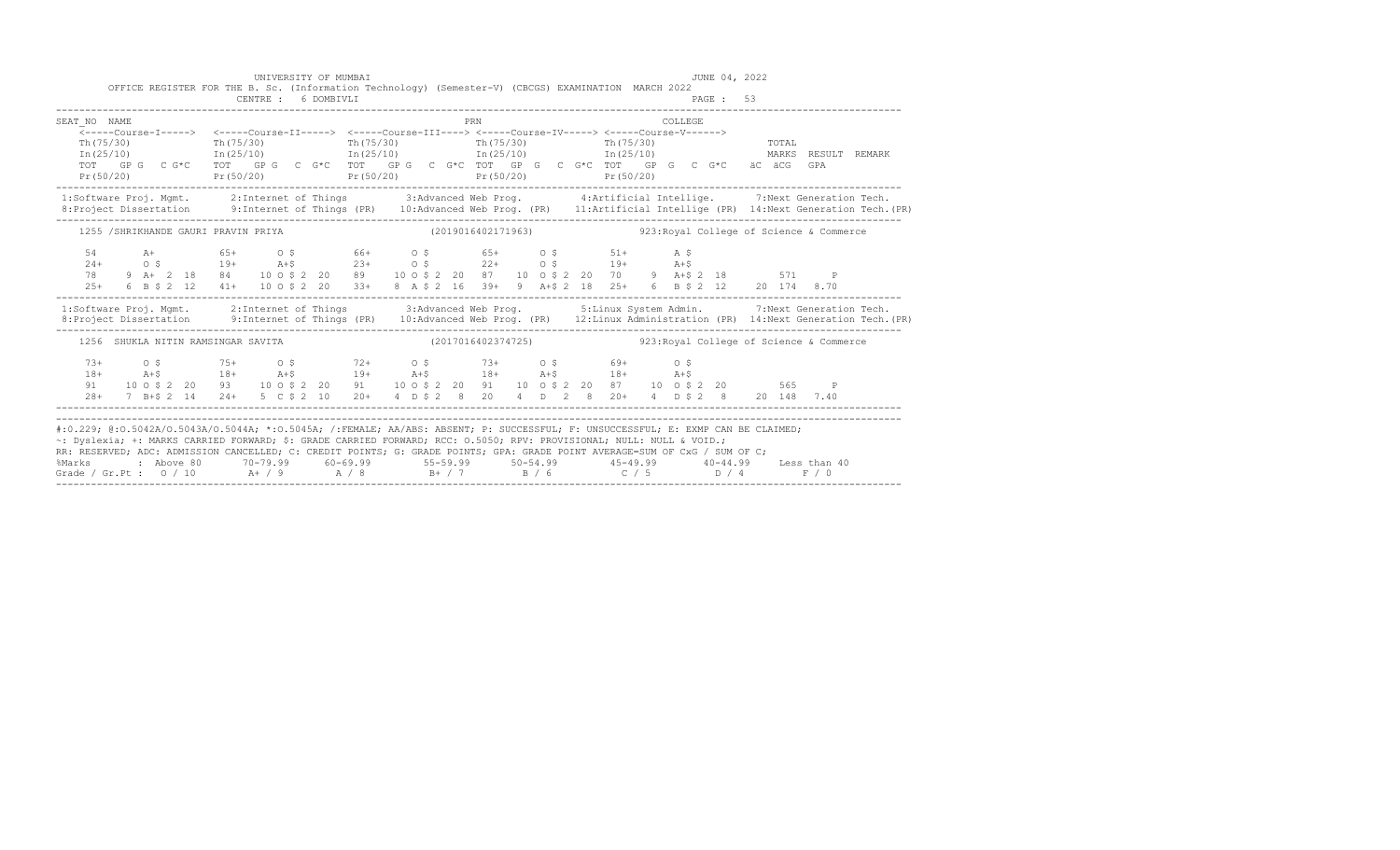|                                    | UNIVERSITY OF MUMBAI<br>OFFICE REGISTER FOR THE B. Sc. (Information Technology) (Semester-V) (CBCGS) EXAMINATION MARCH 2022                                                                                                                                                                                                                |                    | JUNE 04, 2022                                                                                                                                                                                                                                                                                                                                                                                                                                 |                                                                                                                                                                                                                                   |
|------------------------------------|--------------------------------------------------------------------------------------------------------------------------------------------------------------------------------------------------------------------------------------------------------------------------------------------------------------------------------------------|--------------------|-----------------------------------------------------------------------------------------------------------------------------------------------------------------------------------------------------------------------------------------------------------------------------------------------------------------------------------------------------------------------------------------------------------------------------------------------|-----------------------------------------------------------------------------------------------------------------------------------------------------------------------------------------------------------------------------------|
|                                    | CENTRE : 6 DOMBIVLI                                                                                                                                                                                                                                                                                                                        |                    | PAGE: 53                                                                                                                                                                                                                                                                                                                                                                                                                                      |                                                                                                                                                                                                                                   |
| SEAT NO NAME<br>Pr(50/20)          | <-----Course-I-----> <-----Course-II-----> <-----Course-III----> <-----Course-IV-----> <-----Course-V------><br>$\texttt{Th}(75/30)$ $\texttt{Th}(75/30)$ $\texttt{Th}(75/30)$ $\texttt{Th}(75/30)$ $\texttt{Th}(25/10)$ $\texttt{In}(25/10)$ $\texttt{In}(25/10)$ $\texttt{In}(25/10)$<br>$Pr(50/20)$ $Pr(50/20)$ $Pr(50/20)$ $Pr(50/20)$ | PRN                | COLLEGE<br>TOT GPG CG*C TOT GPG CG*C TOT GPG CG*C TOT GPG CG*C TOT GEG CG*C TOT GPG CG*C äC äCG GPA                                                                                                                                                                                                                                                                                                                                           | TOTAL<br>MARKS RESULT REMARK                                                                                                                                                                                                      |
|                                    |                                                                                                                                                                                                                                                                                                                                            |                    |                                                                                                                                                                                                                                                                                                                                                                                                                                               | 1:Software Proj. Mgmt. 2:Internet of Things 3:Advanced Web Prog. 4:Artificial Intellige. 7:Next Generation Tech.<br>8:Project Dissertation 9:Internet of Things (PR) 10:Advanced Web Prog. (PR) 11:Artificial Intellige (PR) 14:N |
|                                    | 1255 /SHRIKHANDE GAURI PRAVIN PRIYA                                                                                                                                                                                                                                                                                                        | (2019016402171963) |                                                                                                                                                                                                                                                                                                                                                                                                                                               | 923: Royal College of Science & Commerce                                                                                                                                                                                          |
|                                    |                                                                                                                                                                                                                                                                                                                                            |                    | $\begin{array}{cccccccccccc} 54 & \quad \text{A+} & \quad & 65+ & \quad \text{O} & \text{S} & \quad & 66+ & \quad \text{O} & \text{S} & \quad & 65+ & \quad \text{O} & \text{S} & \quad & 51+ & \quad \text{A} & \text{S} \\ 24+ & \quad \text{O} & \text{S} & \quad & 19+ & \quad \text{A+}\text{S} & \quad & 23+ & \quad \text{O} & \text{S} & \quad & 22+ & \quad \text{O} & \text{S} & \quad & 19+ & \quad \text{A+}\text{S} \\ 78 & \$   |                                                                                                                                                                                                                                   |
|                                    |                                                                                                                                                                                                                                                                                                                                            |                    |                                                                                                                                                                                                                                                                                                                                                                                                                                               | 1:Software Proj. Mgmt. 2:Internet of Things 3:Advanced Web Prog. 5:Linux System Admin. 7:Next Generation Tech.<br>1:Project Dissertation 9:Internet of Things (PR) 10:Advanced Web Prog. (PR) 12:Linux Administration (PR) 14:Nex |
| 1256 SHUKLA NITIN RAMSINGAR SAVITA |                                                                                                                                                                                                                                                                                                                                            |                    | (2017016402374725)  923: Royal College of Science & Commerce                                                                                                                                                                                                                                                                                                                                                                                  |                                                                                                                                                                                                                                   |
| $73+$<br>$18+$<br>91               | $0.5$ $75+$ $0.5$ $72+$ $0.5$ $73+$ $0.5$ $69+$ $0.5$<br>$A + 5$ 18+ $A + 5$ 19+ $A + 5$ 18+ $A + 5$ 18+ $A + 5$                                                                                                                                                                                                                           |                    | 10 0 \$ 2 20 93 10 0 \$ 2 20 91 10 0 \$ 2 20 91 10 0 \$ 2 20 87 10 0 \$ 2 20 565 P<br>28+ 7 B+\$ 2 14 24+ 5 C \$ 2 10 20+ 4 D \$ 2 8 20 4 D 2 8 20+ 4 D \$ 2 8 20 148 7.40                                                                                                                                                                                                                                                                    |                                                                                                                                                                                                                                   |
| %Marks                             | ~: Dyslexia; +: MARKS CARRIED FORWARD; \$: GRADE CARRIED FORWARD; RCC: 0.5050; RPV: PROVISIONAL; NULL: NULL & VOID.;                                                                                                                                                                                                                       |                    | #:0.229; @:0.5042A/0.5043A/0.5044A; *:0.5045A; /:FEMALE; AA/ABS: ABSENT; P: SUCCESSFUL; F: UNSUCCESSFUL; E: EXMP CAN BE CLAIMED;<br>RR: RESERVED; ADC: ADMISSION CANCELLED; C: CREDIT POINTS; G: GRADE POINTS; GPA: GRADE POINT AVERAGE=SUM OF CxG / SUM OF C;<br>: Above 80    70-79.99    60-69.99     55-59.99     50-54.99     45-49.99     40-44.99   Less than 40<br>Grade / Gr.Pt : $0/10$ A / 9 A / 8 B + / 7 B / 6 C / 5 D / 4 F / 0 |                                                                                                                                                                                                                                   |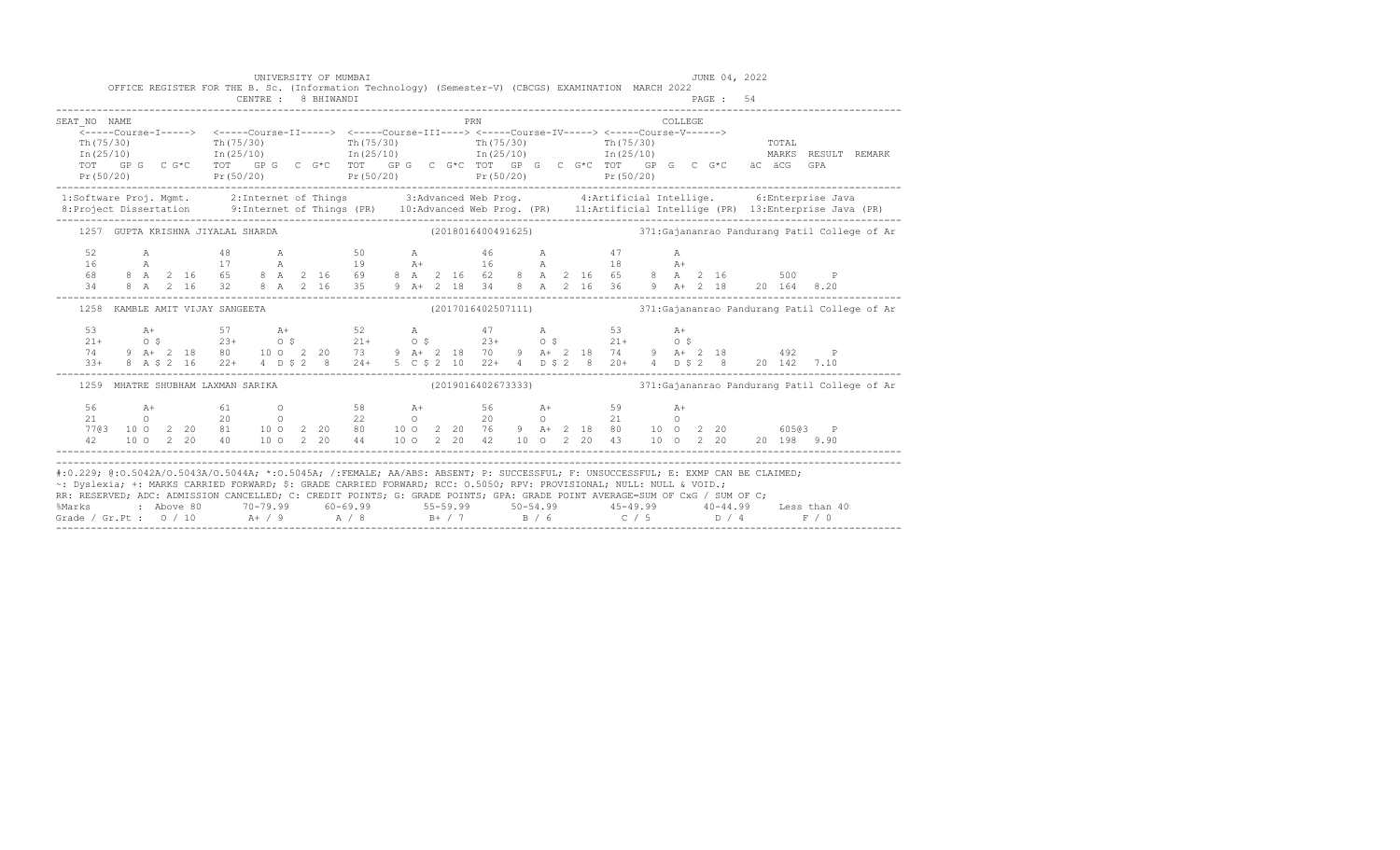|                                   | PRN                             | COLLEGE                                                                                                                                                                                                                                                                                                                                                                                                                                                                                                                                                                                                                                                                                                                                                                                                                                                                                                                                                                                                                                                                                |
|-----------------------------------|---------------------------------|----------------------------------------------------------------------------------------------------------------------------------------------------------------------------------------------------------------------------------------------------------------------------------------------------------------------------------------------------------------------------------------------------------------------------------------------------------------------------------------------------------------------------------------------------------------------------------------------------------------------------------------------------------------------------------------------------------------------------------------------------------------------------------------------------------------------------------------------------------------------------------------------------------------------------------------------------------------------------------------------------------------------------------------------------------------------------------------|
|                                   |                                 |                                                                                                                                                                                                                                                                                                                                                                                                                                                                                                                                                                                                                                                                                                                                                                                                                                                                                                                                                                                                                                                                                        |
|                                   |                                 | TOTAL                                                                                                                                                                                                                                                                                                                                                                                                                                                                                                                                                                                                                                                                                                                                                                                                                                                                                                                                                                                                                                                                                  |
|                                   |                                 |                                                                                                                                                                                                                                                                                                                                                                                                                                                                                                                                                                                                                                                                                                                                                                                                                                                                                                                                                                                                                                                                                        |
|                                   |                                 |                                                                                                                                                                                                                                                                                                                                                                                                                                                                                                                                                                                                                                                                                                                                                                                                                                                                                                                                                                                                                                                                                        |
|                                   |                                 |                                                                                                                                                                                                                                                                                                                                                                                                                                                                                                                                                                                                                                                                                                                                                                                                                                                                                                                                                                                                                                                                                        |
|                                   |                                 |                                                                                                                                                                                                                                                                                                                                                                                                                                                                                                                                                                                                                                                                                                                                                                                                                                                                                                                                                                                                                                                                                        |
|                                   |                                 |                                                                                                                                                                                                                                                                                                                                                                                                                                                                                                                                                                                                                                                                                                                                                                                                                                                                                                                                                                                                                                                                                        |
|                                   |                                 |                                                                                                                                                                                                                                                                                                                                                                                                                                                                                                                                                                                                                                                                                                                                                                                                                                                                                                                                                                                                                                                                                        |
|                                   |                                 |                                                                                                                                                                                                                                                                                                                                                                                                                                                                                                                                                                                                                                                                                                                                                                                                                                                                                                                                                                                                                                                                                        |
|                                   |                                 |                                                                                                                                                                                                                                                                                                                                                                                                                                                                                                                                                                                                                                                                                                                                                                                                                                                                                                                                                                                                                                                                                        |
|                                   |                                 |                                                                                                                                                                                                                                                                                                                                                                                                                                                                                                                                                                                                                                                                                                                                                                                                                                                                                                                                                                                                                                                                                        |
|                                   |                                 |                                                                                                                                                                                                                                                                                                                                                                                                                                                                                                                                                                                                                                                                                                                                                                                                                                                                                                                                                                                                                                                                                        |
|                                   |                                 | (2017016402507111) 371: Gajananrao Pandurang Patil College of Ar                                                                                                                                                                                                                                                                                                                                                                                                                                                                                                                                                                                                                                                                                                                                                                                                                                                                                                                                                                                                                       |
|                                   |                                 |                                                                                                                                                                                                                                                                                                                                                                                                                                                                                                                                                                                                                                                                                                                                                                                                                                                                                                                                                                                                                                                                                        |
|                                   |                                 |                                                                                                                                                                                                                                                                                                                                                                                                                                                                                                                                                                                                                                                                                                                                                                                                                                                                                                                                                                                                                                                                                        |
|                                   |                                 |                                                                                                                                                                                                                                                                                                                                                                                                                                                                                                                                                                                                                                                                                                                                                                                                                                                                                                                                                                                                                                                                                        |
|                                   |                                 |                                                                                                                                                                                                                                                                                                                                                                                                                                                                                                                                                                                                                                                                                                                                                                                                                                                                                                                                                                                                                                                                                        |
| 1259 MHATRE SHUBHAM LAXMAN SARIKA |                                 | (2019016402673333) 371: Gajananrao Pandurang Patil College of Ar                                                                                                                                                                                                                                                                                                                                                                                                                                                                                                                                                                                                                                                                                                                                                                                                                                                                                                                                                                                                                       |
|                                   |                                 |                                                                                                                                                                                                                                                                                                                                                                                                                                                                                                                                                                                                                                                                                                                                                                                                                                                                                                                                                                                                                                                                                        |
|                                   |                                 |                                                                                                                                                                                                                                                                                                                                                                                                                                                                                                                                                                                                                                                                                                                                                                                                                                                                                                                                                                                                                                                                                        |
|                                   |                                 |                                                                                                                                                                                                                                                                                                                                                                                                                                                                                                                                                                                                                                                                                                                                                                                                                                                                                                                                                                                                                                                                                        |
|                                   |                                 | $\begin{array}{cccccccccccccccc} 56 & & & \text{A+} & & & 61 & & & 0 & & & 58 & & \text{A+} & & & 56 & & \text{A+} & & & 59 & & \text{A+} \\ 21 & & & 0 & & & 20 & & 0 & & 22 & & 0 & & 20 & & 0 & & 21 & & 0 \\ 77@3 & 10 & 0 & 2 & 20 & 81 & & 10 & 0 & 2 & 20 & 80 & & 10 & 0 & 2 & 20 & 76 & & 9 & \text{A+} & 2 & 18 & 80 & & 10 & 0 & 2 & 20$                                                                                                                                                                                                                                                                                                                                                                                                                                                                                                                                                                                                                                                                                                                                    |
|                                   | 1258 KAMBLE AMIT VIJAY SANGEETA | <-----Course-I-----> <-----Course-II-----> <-----Course-III----> <-----Course-IV-----> <-----Course-V------><br>$\begin{tabular}{lcccccc} \texttt{Th(75/30)} & \texttt{Th(75/30)} & \texttt{Th(75/30)} & \texttt{Th(75/30)} & \texttt{Th(75/30)} & \texttt{Th(75/30)} & \texttt{Th(75/30)} & \texttt{Th(75/30)} & \texttt{Th(75/30)} & \texttt{Tr(75/30)} & \texttt{Tr(75/30)} & \texttt{Tr(75/30)} & \texttt{Tr(75/30)} & \texttt{Tr(75/30)} & \texttt{Tr(75/30)} & \texttt{Tr(75/30)} & \text$<br>1:Software Proj. Mgmt. 2:Internet of Things 3:Advanced Web Prog. 4:Artificial Intellige. 6:Enterprise Java<br>1257 GUPTA KRISHNA JIYALAL SHARDA (2018016400491625) 371:Gajananrao Pandurang Patil College of Ar<br>A 48 A 50 A 46 A 47 A<br>$\begin{array}{cccccccccccccccc} \text{A+} & & & 57 & & & \text{A+} & & & 52 & & \text{A} & & & 47 & & \text{A} & & & 53 & & \text{A+} \\ \text{O$ $\$&$23+$&$O$\$&$21+$&$O$\$&$21+$&$O$\$&$23+$&$O$\$&$21+$&$O$\$&$21+$&$O$\$&$21+$&$O$\$&$3$&$A+ \\ \text{9} $\text{A+} & 2 & 18 & 80 & 10 & 2 & 20 & 73 & 9 & \text{A+} & 2 & 18 &$ |

-------------------------------------------------------------------------------------------------------------------------------------------------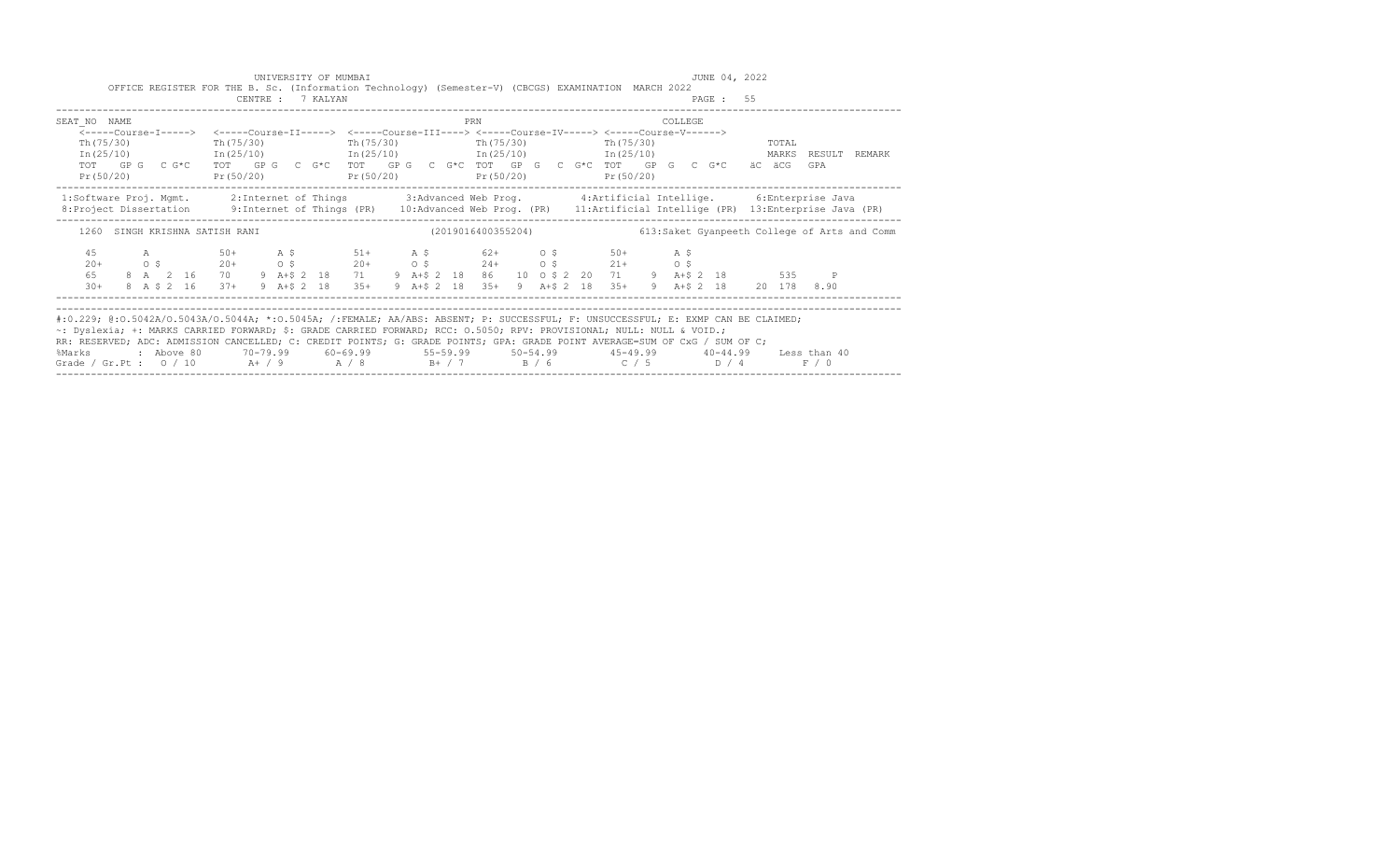|                                                        | UNIVERSITY OF MUMBAI | OFFICE REGISTER FOR THE B. Sc. (Information Technology) (Semester-V) (CBCGS) EXAMINATION MARCH 2022                                                                                                                                                                                                                                                                                    | JUNE 04, 2022                                                                                                                                                                                                                                                                                                                                                                                                                   |
|--------------------------------------------------------|----------------------|----------------------------------------------------------------------------------------------------------------------------------------------------------------------------------------------------------------------------------------------------------------------------------------------------------------------------------------------------------------------------------------|---------------------------------------------------------------------------------------------------------------------------------------------------------------------------------------------------------------------------------------------------------------------------------------------------------------------------------------------------------------------------------------------------------------------------------|
|                                                        | CENTRE : 7 KALYAN    |                                                                                                                                                                                                                                                                                                                                                                                        | PAGE: 55                                                                                                                                                                                                                                                                                                                                                                                                                        |
| SEAT NO NAME                                           |                      | PRN                                                                                                                                                                                                                                                                                                                                                                                    | COLLEGE.                                                                                                                                                                                                                                                                                                                                                                                                                        |
| Th (75/30)                                             |                      | <-----Course-I-----> <-----Course-II-----> <-----Course-III----> <-----Course-IV-----> <-----Course-V------><br>Th(75/30) Th(75/30) Th(75/30) Th(75/30) Th(75/30)<br>Pr (50/20) Pr (50/20) Pr (50/20) Pr (50/20) Pr (50/20) Pr (50/20)                                                                                                                                                 | TOTAL<br>In (25/10) 1n (25/10) 1n (25/10) 1n (25/10) 1n (25/10) 1n (25/10) 1n (25/10) 2n (25/10) 1n (25/10)<br>TOT GPG CG*C TOT GPG CG*C TOT GPG CG*C TOT GPG CG*CTOT CPG CG*C TOT GPG CG*C äCÄCG<br>GPA                                                                                                                                                                                                                        |
|                                                        |                      |                                                                                                                                                                                                                                                                                                                                                                                        | 1:Software Proj. Mgmt. 2:Internet of Things 3:Advanced Web Prog. 4:Artificial Intellige. 6:Enterprise Java<br>8: Project Dissertation 9: Internet of Things (PR) 10: Advanced Web Prog. (PR) 11: Artificial Intellige (PR) 13: Enterprise Java (PR)                                                                                                                                                                             |
| 1260 SINGH KRISHNA SATISH RANI                         |                      |                                                                                                                                                                                                                                                                                                                                                                                        | (2019016400355204) 613:Saket Gyanpeeth College of Arts and Comm                                                                                                                                                                                                                                                                                                                                                                 |
| A 50+<br>45<br>$20+$<br>65<br>$30+$<br>8 A \$ 2 16 37+ | 9 A+\$ 2 18 35+      | A \$ 51+ A \$ 62+ 0 \$ 50+ A \$<br>$\circ \quad \  \  \, \mathsf{0} \ \, \mathsf{5} \qquad \qquad \  \  \, \mathsf{20+} \qquad \qquad \mathsf{0} \ \, \mathsf{5} \qquad \qquad \  \  \, \mathsf{20+} \qquad \qquad \mathsf{0} \ \, \mathsf{5} \qquad \qquad \mathsf{24+} \qquad \qquad \mathsf{0} \ \, \mathsf{5} \qquad \qquad \mathsf{21+} \qquad \qquad \mathsf{0} \ \, \mathsf{5}$ | 8 A 2 16 70 9 A+\$ 2 18 71 9 A+\$ 2 18 86 10 0 \$ 2 20 71 9 A+\$ 2 18 535 P<br>9 A+\$ 2 18 35+ 9 A+\$ 2 18 35+ 9 A+\$ 2 18 20 178 8.90                                                                                                                                                                                                                                                                                          |
|                                                        |                      | ~: Dyslexia; +: MARKS CARRIED FORWARD; \$: GRADE CARRIED FORWARD; RCC: 0.5050; RPV: PROVISIONAL; NULL: NULL & VOID.;                                                                                                                                                                                                                                                                   | #:0.229; @:0.5042A/0.5043A/0.5044A; *:0.5045A; /:FEMALE; AA/ABS: ABSENT; P: SUCCESSFUL; F: UNSUCCESSFUL; E: EXMP CAN BE CLAIMED;<br>RR: RESERVED; ADC: ADMISSION CANCELLED; C: CREDIT POINTS; G: GRADE POINTS; GPA: GRADE POINT AVERAGE=SUM OF CxG / SUM OF C;<br>%Marks : Above 80 70-79.99 60-69.99 55-59.99 50-54.99 45-49.99 40-44.99 Less than 40<br>Grade / Gr.Pt : $0/10$ A+ / 9 A / 8 B+ / 7 B / 6 C / 5 D / 4<br>F / 0 |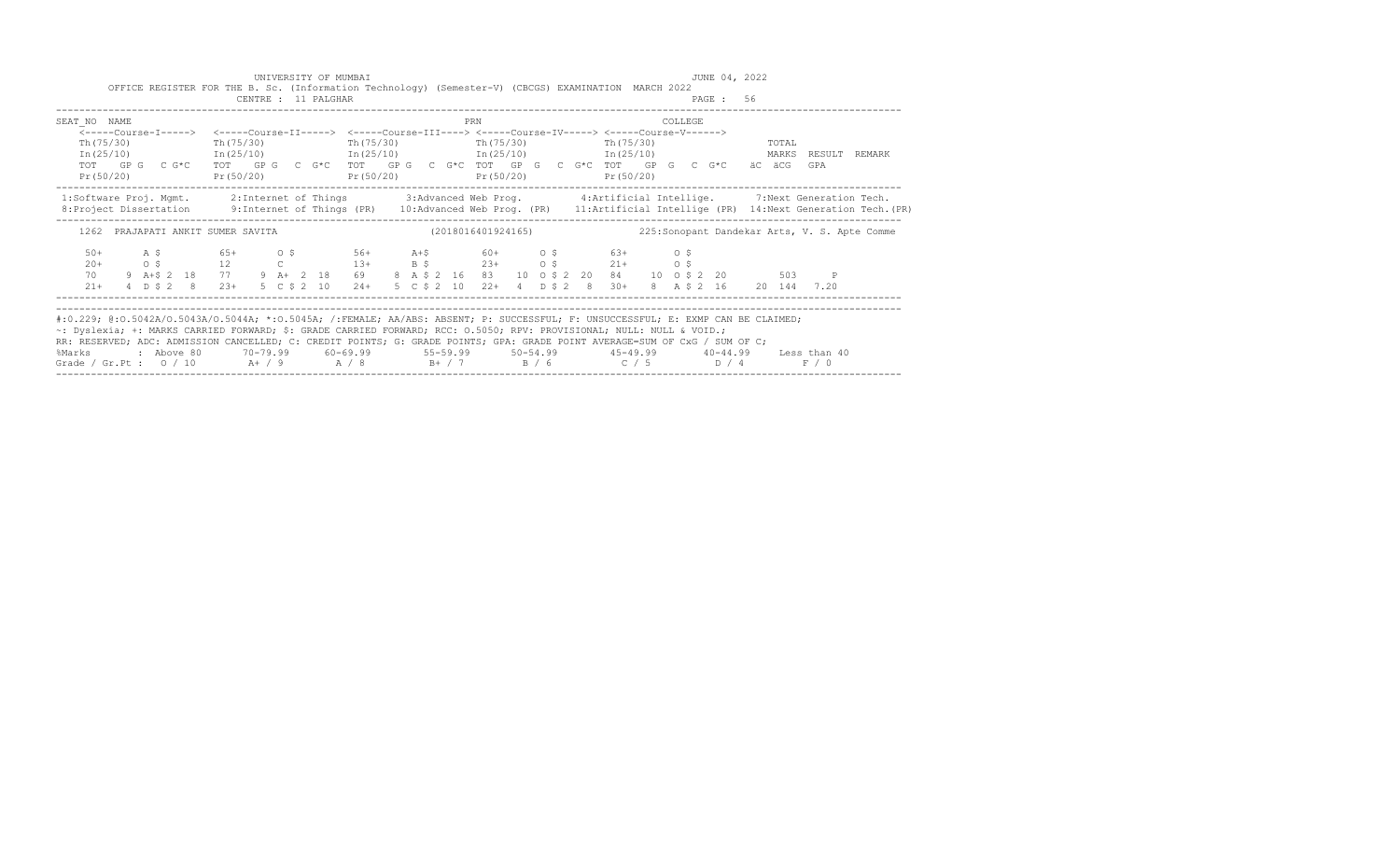|                                                                                                                                                                                                                                                                                                                                                                                                                                                                                                                                                  |  |  |  |  |                     | UNIVERSITY OF MUMBAI<br>OFFICE REGISTER FOR THE B. Sc. (Information Technology) (Semester-V) (CBCGS) EXAMINATION MARCH 2022                                                                                                                                                                                                                                         |  |     |  |  |                          |  |         | JUNE 04, 2022 |       |       |        |                                                                                                                                             |
|--------------------------------------------------------------------------------------------------------------------------------------------------------------------------------------------------------------------------------------------------------------------------------------------------------------------------------------------------------------------------------------------------------------------------------------------------------------------------------------------------------------------------------------------------|--|--|--|--|---------------------|---------------------------------------------------------------------------------------------------------------------------------------------------------------------------------------------------------------------------------------------------------------------------------------------------------------------------------------------------------------------|--|-----|--|--|--------------------------|--|---------|---------------|-------|-------|--------|---------------------------------------------------------------------------------------------------------------------------------------------|
|                                                                                                                                                                                                                                                                                                                                                                                                                                                                                                                                                  |  |  |  |  | CENTRE : 11 PALGHAR |                                                                                                                                                                                                                                                                                                                                                                     |  |     |  |  |                          |  |         | PAGE: 56      |       |       |        |                                                                                                                                             |
| SEAT NO NAME                                                                                                                                                                                                                                                                                                                                                                                                                                                                                                                                     |  |  |  |  |                     |                                                                                                                                                                                                                                                                                                                                                                     |  | PRN |  |  |                          |  | COLLEGE |               |       |       |        |                                                                                                                                             |
| Th $(75/30)$<br>Pr(50/20)                                                                                                                                                                                                                                                                                                                                                                                                                                                                                                                        |  |  |  |  |                     | <-----Course-I-----> <-----Course-II-----> <-----Course-III----> <-----Course-IV-----> <-----Course-V------><br>Th $(75/30)$ Th $(75/30)$ Th $(75/30)$<br>$In (25/10)$ $In (25/10)$ $In (25/10)$ $In (25/10)$ $In (25/10)$ $In (25/10)$<br>TOT GP G C G*C TOT GP G C G*C TOT GP G C G*C TOT GP G C G*C TOT GP G C G*C äC äCG<br>$Pr(50/20)$ $Pr(50/20)$ $Pr(50/20)$ |  |     |  |  | Th (75/30)<br>Pr (50/20) |  |         |               | TOTAL | GPA   | RESULT | REMARK                                                                                                                                      |
| 1:Software Proj. Mgmt. 2:Internet of Things 3:Advanced Web Prog. 4:Artificial Intellige. 7:Next Generation Tech.                                                                                                                                                                                                                                                                                                                                                                                                                                 |  |  |  |  |                     |                                                                                                                                                                                                                                                                                                                                                                     |  |     |  |  |                          |  |         |               |       |       |        | 8: Project Dissertation 9: Internet of Things (PR) 10: Advanced Web Prog. (PR) 11: Artificial Intellige (PR) 14: Next Generation Tech. (PR) |
|                                                                                                                                                                                                                                                                                                                                                                                                                                                                                                                                                  |  |  |  |  |                     | 1262 PRAJAPATI ANKIT SUMER SAVITA (2018016401924165)                                                                                                                                                                                                                                                                                                                |  |     |  |  |                          |  |         |               |       |       |        | 225: Sonopant Dandekar Arts, V. S. Apte Comme                                                                                               |
| $50+$<br>$20+$<br>70<br>$21+$                                                                                                                                                                                                                                                                                                                                                                                                                                                                                                                    |  |  |  |  |                     | 4 D \$ 2 8 23+ 5 C \$ 2 10 24+ 5 C \$ 2 10 22+ 4 D \$ 2 8 30+ 8 A \$ 2 16 20 144 7.20                                                                                                                                                                                                                                                                               |  |     |  |  |                          |  |         |               |       |       |        |                                                                                                                                             |
| #:0.229; @:0.5042A/0.5043A/0.5044A; *:0.5045A; /:FEMALE; AA/ABS: ABSENT; P: SUCCESSFUL; F: UNSUCCESSFUL; E: EXMP CAN BE CLAIMED;<br>~: Dyslexia; +: MARKS CARRIED FORWARD; \$: GRADE CARRIED FORWARD; RCC: 0.5050; RPV: PROVISIONAL; NULL: NULL & VOID.;<br>RR: RESERVED; ADC: ADMISSION CANCELLED; C: CREDIT POINTS; G: GRADE POINTS; GPA: GRADE POINT AVERAGE=SUM OF CxG / SUM OF C;<br>%Marks : Above 80 70-79.99 60-69.99 55-59.99 50-54.99 45-49.99 40-44.99 Less than 40<br>Grade / Gr.Pt : $0$ / 10 A+ / 9 A / 8 B+ / 7 B / 6 C / 5 D / 4 |  |  |  |  |                     |                                                                                                                                                                                                                                                                                                                                                                     |  |     |  |  |                          |  |         |               |       | F / 0 |        |                                                                                                                                             |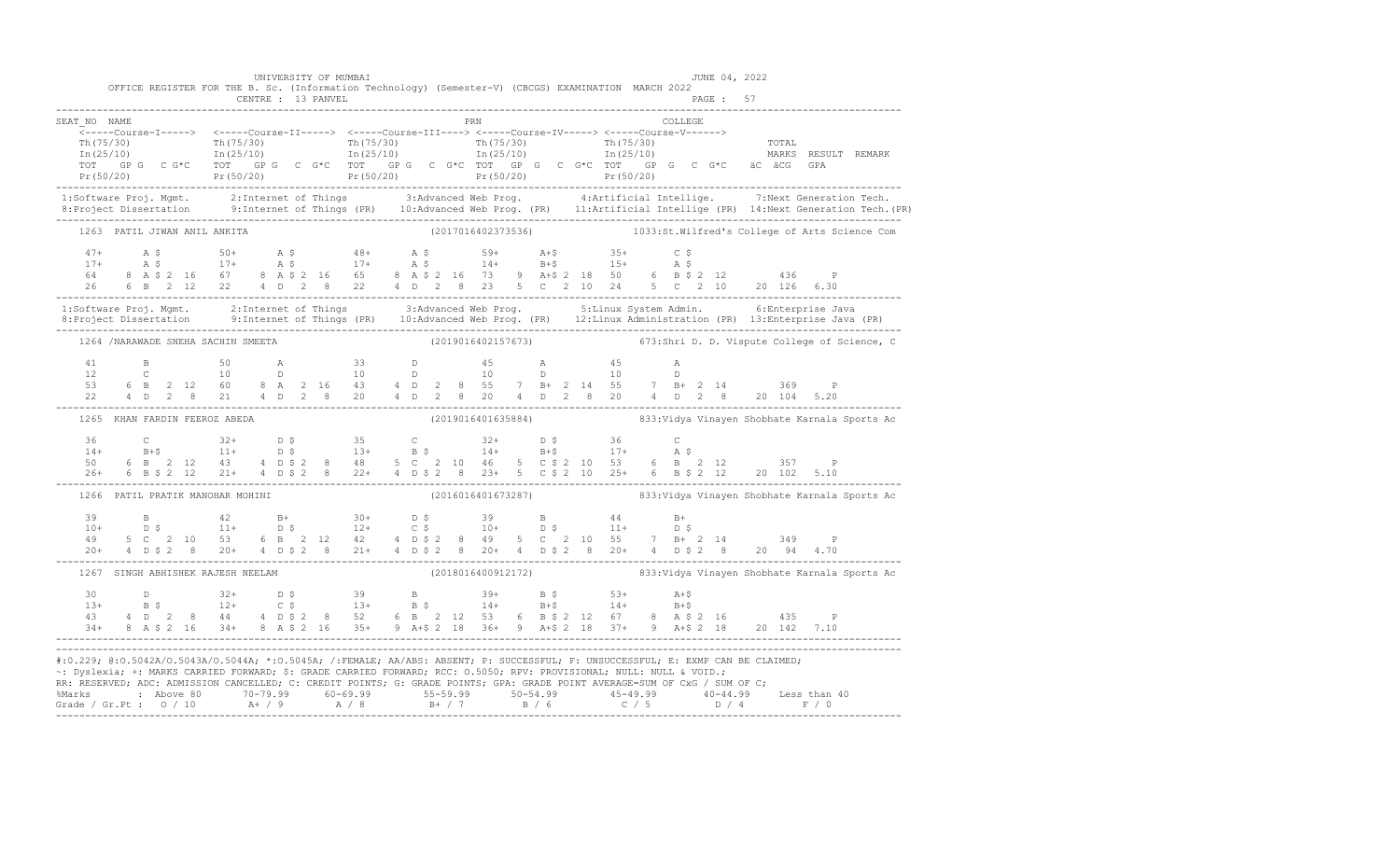|                               | UNIVERSITY OF MUMBAI              | OFFICE REGISTER FOR THE B. Sc. (Information Technology) (Semester-V) (CBCGS) EXAMINATION MARCH 2022                  | JUNE 04, 2022                                                                                                                                                                                                                                                                                                                                                                                                                                                                                                                                                 |  |
|-------------------------------|-----------------------------------|----------------------------------------------------------------------------------------------------------------------|---------------------------------------------------------------------------------------------------------------------------------------------------------------------------------------------------------------------------------------------------------------------------------------------------------------------------------------------------------------------------------------------------------------------------------------------------------------------------------------------------------------------------------------------------------------|--|
| SEAT NO NAME                  |                                   | PRN                                                                                                                  | <b>COLLEGE</b>                                                                                                                                                                                                                                                                                                                                                                                                                                                                                                                                                |  |
|                               |                                   | ______Course-I-----> <-----Course-II-----> <-----Course-III----> <-----Course-IV-----> <-----Course-V------>         | $\begin{array}{cccccccc} \texttt{Th(75/30)} & \texttt{Th(75/30)} & \texttt{Th(75/30)} & \texttt{Th(75/30)} & \texttt{Th(75/30)} & \texttt{Th(75/30)} & \texttt{Th(75/30)} & \texttt{Th(75/30)} & \texttt{Tr(75/30)} & \texttt{Tr(75/30)} & \texttt{Tr(75/30)} & \texttt{Tr(75/30)} & \texttt{Tr(75/30)} & \texttt{Tr(75/30)} & \texttt{Tr(75/30)} & \texttt{Tr(75/30)} & \texttt{$<br>$TOT$ (GP G C G*C TOT (GP G C G*C TOT (GP G C G*C TOT (GP G C G*C TOT (GP G C G*C & ac acc GPA<br>Pr(50/20) Pr(50/20) Pr(50/20) Pr(50/20) Pr(50/20) Pr(50/20) Pr(50/20) |  |
|                               |                                   |                                                                                                                      | 1:Software Proj. Mgmt. 2:Internet of Things 3:Advanced Web Prog. 4:Artificial Intellige. 7:Next Generation Tech.<br>8:Project Dissertation 9:Internet of Things (PR) 10:Advanced Web Prog. (PR) 11:Artificial Intellige (PR) 14:N                                                                                                                                                                                                                                                                                                                             |  |
|                               | 1263 PATIL JIWAN ANIL ANKITA      |                                                                                                                      | (2017016402373536) 1033:St.Wilfred's College of Arts Science Com                                                                                                                                                                                                                                                                                                                                                                                                                                                                                              |  |
|                               |                                   |                                                                                                                      | $\begin{array}{cccccccccccccccc} 47+ & & {\rm A}\ \, {\rm S} & & & 50+ & & {\rm A}\ \, {\rm S} & & & 50+ & & {\rm A}\ \, {\rm S} & & & & 17+ & & {\rm A}\ \, {\rm S} & & & & 17+ & & {\rm A}\ \, {\rm S} & & & & 17+ & & {\rm A}\ \, {\rm S} & & & & 17+ & & {\rm A}\ \, {\rm S} & & & & 17+ & & {\rm A}\ \, {\rm S} & & & & 17+ & & {\rm A}\ \, {\rm S} & & & & 14+ & & {\rm B}+{\rm S} & & & 15+ & {\rm A}\ \, {\rm S$                                                                                                                                      |  |
|                               |                                   |                                                                                                                      | 1:Software Proj. Mgmt.       2:Internet of Things         3:Advanced Web Prog.         5:Linux System Admin.         6:Enterprise Java<br>8:Project Dissertation       9:Internet of Things (PR)   10:Advanced Web Prog. (PR)   1                                                                                                                                                                                                                                                                                                                             |  |
|                               |                                   |                                                                                                                      | 1264 /NARAWADE SNEHA SACHIN SMEETA (2019016402157673) 673:Shri D. D. Vispute College of Science, C                                                                                                                                                                                                                                                                                                                                                                                                                                                            |  |
|                               |                                   |                                                                                                                      |                                                                                                                                                                                                                                                                                                                                                                                                                                                                                                                                                               |  |
| 1265 KHAN FARDIN FEEROZ ABEDA |                                   |                                                                                                                      |                                                                                                                                                                                                                                                                                                                                                                                                                                                                                                                                                               |  |
|                               |                                   |                                                                                                                      | $14+$ B+\$ $11+$ D \$ $13+$ B \$ $14+$ B+\$ $17+$ A \$<br>50 6 B 2 12 43 4 D \$ 2 8 48 5 C 2 10 46 5 C \$ 2 10 53 6 B 2 12 357 P                                                                                                                                                                                                                                                                                                                                                                                                                              |  |
|                               |                                   |                                                                                                                      | 1266 PATIL PRATIK MANOHAR MOHINI (2016016401673287) 333: Vidya Vinayen Shobhate Karnala Sports Ac                                                                                                                                                                                                                                                                                                                                                                                                                                                             |  |
|                               |                                   |                                                                                                                      |                                                                                                                                                                                                                                                                                                                                                                                                                                                                                                                                                               |  |
|                               | 1267 SINGH ABHISHEK RAJESH NEELAM |                                                                                                                      | (2018016400912172) 833: Vidya Vinayen Shobhate Karnala Sports Ac                                                                                                                                                                                                                                                                                                                                                                                                                                                                                              |  |
|                               |                                   |                                                                                                                      | $\begin{array}{cccccccccccccccc} 30 & D & 32+ & D & \xi & 39 & B & 39+ & B & \xi & 53+ & A+\xi & 14+ & B+\xi & 14+ & B+\xi & 14+ & B+\xi & 14+ & B+\xi & 14+ & B+\xi & 14+ & B+\xi & 14+ & B+\xi & 14+ & B+\xi & 14+ & B+\xi & 14+ & B+\xi & 14+ & B+\xi & 14+ & B+\xi & 14+ & B+\xi & 14+ & B+\xi & 14+ & B+\xi & 14+ & B+\xi & 14+ & B+\xi & 14+ & B+\xi & 14+ & B+\$                                                                                                                                                                                       |  |
|                               |                                   | ~: Dyslexia; +: MARKS CARRIED FORWARD; \$: GRADE CARRIED FORWARD; RCC: 0.5050; RPV: PROVISIONAL; NULL: NULL & VOID.; | #:0.229; @:0.5042A/0.5043A/0.5044A; *:0.5045A; /:FEMALE; AA/ABS: ABSENT; P: SUCCESSFUL; F: UNSUCCESSFUL; E: EXMP CAN BE CLAIMED;<br>RR: RESERVED; ADC: ADMISSION CANCELLED; C: CREDIT POINTS; G: GRADE POINTS; GPA: GRADE POINT AVERAGE=SUM OF CxG / SUM OF C;                                                                                                                                                                                                                                                                                                |  |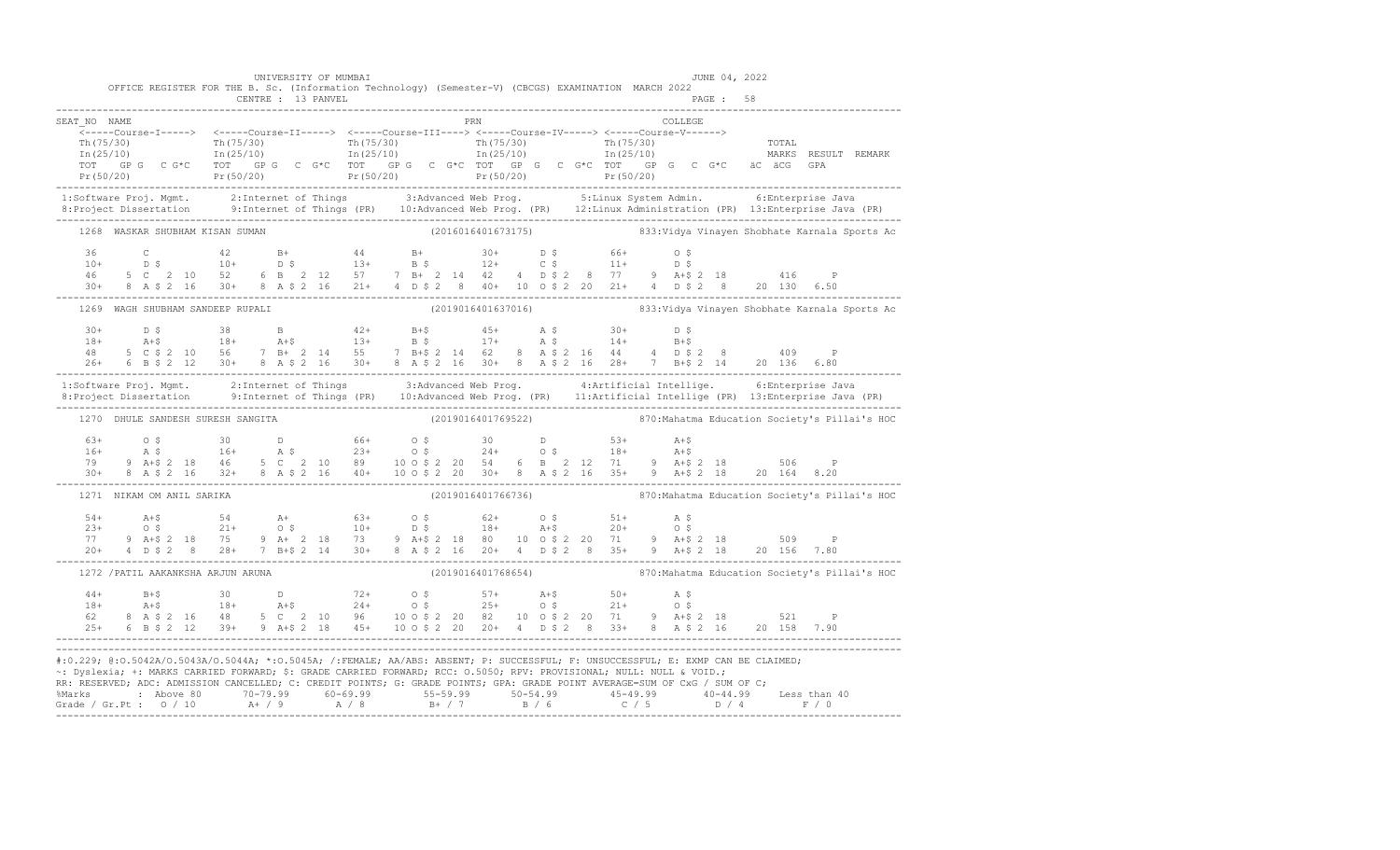|              | OFFICE REGISTER FOR THE B. Sc. (Information Technology) (Semester-V) (CBCGS) EXAMINATION MARCH 2022                                                                                                                                                                                                                                                                                                                                                                                                                                                                                                                                                                                                            | UNIVERSITY OF MUMBAI |                     |  |  |         |          | JUNE 04, 2022 |                                                                  |
|--------------|----------------------------------------------------------------------------------------------------------------------------------------------------------------------------------------------------------------------------------------------------------------------------------------------------------------------------------------------------------------------------------------------------------------------------------------------------------------------------------------------------------------------------------------------------------------------------------------------------------------------------------------------------------------------------------------------------------------|----------------------|---------------------|--|--|---------|----------|---------------|------------------------------------------------------------------|
|              |                                                                                                                                                                                                                                                                                                                                                                                                                                                                                                                                                                                                                                                                                                                |                      |                     |  |  |         | PAGE: 58 |               |                                                                  |
| SEAT NO NAME | _______Course-I-----> <-----Course-II-----> <-----Course-III----> <-----Course-IV-----> <-----Course-V------><br>$\begin{array}{cccccccccc} \texttt{Th(75/30)} & & & & & & \texttt{Th(75/30)} & & & & \texttt{Th(75/30)} & & & & \texttt{Th(75/30)} & & & \texttt{Th(75/30)} & & & \texttt{Th(75/30)} & & & \texttt{Th(75/30)} & & & \texttt{Th(75/30)} & & & \texttt{Th(75/30)} & & & \texttt{Th(75/30)} & & & \texttt{Th(75/30)} & & & \texttt{Th(75/30)} & & & \texttt{Th(75/30)} & & & \texttt{Th(75/30$<br>- The GP G C G*C TOT GP G C G*C TOT GP G C G*C TOT GP G C G*C TOT GP G C G*C AC & GPA<br>Pr(50/20) Pr(50/20) Pr(50/20) Pr(50/20) Pr(50/20) Pr(50/20) Pr(50/20) Pr(50/20)<br>__________________ |                      | <b>EXAMPLE 1988</b> |  |  | COLLEGE |          |               |                                                                  |
|              | 1:Software Proj. Mgmt. 2:Internet of Things 3:Advanced Web Prog. 5:Linux System Admin. 6:Enterprise Java<br>8:Project Dissertation 9:Internet of Things (PR) 10:Advanced Web Prog. (PR) 12:Linux Administration (PR) 13:Enterpris                                                                                                                                                                                                                                                                                                                                                                                                                                                                              |                      |                     |  |  |         |          |               |                                                                  |
|              | 1268 WASKAR SHUBHAM KISAN SUMAN                                                                                                                                                                                                                                                                                                                                                                                                                                                                                                                                                                                                                                                                                |                      |                     |  |  |         |          |               |                                                                  |
|              | $\begin{array}{cccccccccccccccc} 36 & C & 42 & B+ & 44 & B+ & 30+ & D & \$ & 66+ & O & \$ \\ 10+ & D & \$ & 10+ & D & \$ & 13+ & B & \$ & 12+ & C & \$ & 11+ & D & \$ \\ 46 & 5 & C & 2 & 10 & 52 & 6 & B & 2 & 12 & 57 & 7 & B+ & 2 & 14 & 42 & 4 & D & \$ & 2 & 8 & 77 & 9 & A+\$ & 2 & 18 & 416 & P \\ 30+ & 8 & A & \$ & 2 & 16 & 30+ & 8 &$                                                                                                                                                                                                                                                                                                                                                               |                      |                     |  |  |         |          |               |                                                                  |
|              | 1269 WAGH SHUBHAM SANDEEP RUPALI (2019016401637016) 833: Vidya Vinayen Shobhate Karnala Sports Ac                                                                                                                                                                                                                                                                                                                                                                                                                                                                                                                                                                                                              |                      |                     |  |  |         |          |               |                                                                  |
|              | $\begin{array}{cccccccccccccccc} 30+ & D & \xi & 38 & B & A2+ & B+ \xi & 45+ & A & \xi & 30+ & D & \xi & 18+ & A+ \xi & 18+ & A+ \xi & 18+ & A+ \xi & 13+ & B & \xi & 17+ & A & \xi & 14+ & B+ \xi & 48 & 5 & C & \xi & 2 & 10 & 56 & 7 & B+ & 2 & 14 & 55 & 7 & B+ \xi & 2 & 14 & 62 & 8 & A & \xi & 2 & 16 & 44 & 4 & D & \xi & 2 & 8 & 409 & P & 26+ & $                                                                                                                                                                                                                                                                                                                                                    |                      |                     |  |  |         |          |               |                                                                  |
|              | 1:Software Proj. Mgmt. 2:Internet of Things 3:Advanced Web Prog. 4:Artificial Intellige. 6:Enterprise Java<br>8:Project Dissertation 9:Internet of Things (PR) 10:Advanced Web Prog. (PR) 11:Artificial Intellige (PR) 13:Enterpr                                                                                                                                                                                                                                                                                                                                                                                                                                                                              |                      |                     |  |  |         |          |               |                                                                  |
|              | 1270 DHULE SANDESH SURESH SANGITA                                                                                                                                                                                                                                                                                                                                                                                                                                                                                                                                                                                                                                                                              |                      |                     |  |  |         |          |               | (2019016401769522) 370: Mahatma Education Society's Pillai's HOC |
|              | $\begin{array}{lllllllllllllll} 63+&\quad \  \, 0&\  \  \, 5&\quad \  \  30&\quad \  \  \, 0&\quad \  \  \, 5&\quad \  \  30&\quad \  \  \, 0&\quad \  \  \, 16+&\quad \  \  \, \mathtt{A}&\, \mathtt{S}&\, \  \  \, 16+&\quad \  \  \, \mathtt{A}&\, \mathtt{S}&\, \  \  \, 16+&\quad \  \, \mathtt{A}&\, \mathtt{S}&\, \  \  \, 23+&\quad \  \  \, 0&\, \$                                                                                                                                                                                                                                                                                                                                                   |                      |                     |  |  |         |          |               |                                                                  |
|              | 1271 NIKAM OM ANIL SARIKA                                                                                                                                                                                                                                                                                                                                                                                                                                                                                                                                                                                                                                                                                      |                      |                     |  |  |         |          |               | (2019016401766736) 870: Mahatma Education Society's Pillai's HOC |
|              | $\begin{array}{lllllllllllll} 54+36+54&\text{A}+8&\text{A}+8&\text{A}+8&\text{A}+8&\text{A}+8&\text{A}+8&\text{A}+8&\text{A}+8&\text{A}+8&\text{A}+8&\text{A}+8&\text{A}+8&\text{A}+8&\text{A}+8&\text{A}+8&\text{A}+8&\text{A}+8&\text{A}+8&\text{A}+8&\text{A}+8&\text{A}+8&\text{A}+8&\text{A}+8&\text{A}+8&\text{A}$                                                                                                                                                                                                                                                                                                                                                                                       |                      |                     |  |  |         |          |               |                                                                  |
|              | 1272 / PATIL AAKANKSHA ARJUN ARUNA                                                                                                                                                                                                                                                                                                                                                                                                                                                                                                                                                                                                                                                                             |                      |                     |  |  |         |          |               | (2019016401768654) 870: Mahatma Education Society's Pillai's HOC |
|              |                                                                                                                                                                                                                                                                                                                                                                                                                                                                                                                                                                                                                                                                                                                |                      |                     |  |  |         |          |               |                                                                  |
|              | #:0.229; @:0.5042A/0.5043A/0.5044A; *:0.5045A; /:FEMALE; AA/ABS: ABSENT; P: SUCCESSFUL; F: UNSUCCESSFUL; E: EXMP CAN BE CLAIMED;<br>-: Dyslexia; +: MARKS CARRIED FORWARD; \$: GRADE CARRIED FORWARD; RCC: 0.5050; RPV: PROVISIONAL; NULL: NULL & VOID.;<br>RR: RESERVED; ADC: ADMISSION CANCELLED; C: CREDIT POINTS; G: GRADE POINTS; GPA: GRADE POINT AVERAGE=SUM OF CxG / SUM OF C;                                                                                                                                                                                                                                                                                                                         |                      |                     |  |  |         |          |               |                                                                  |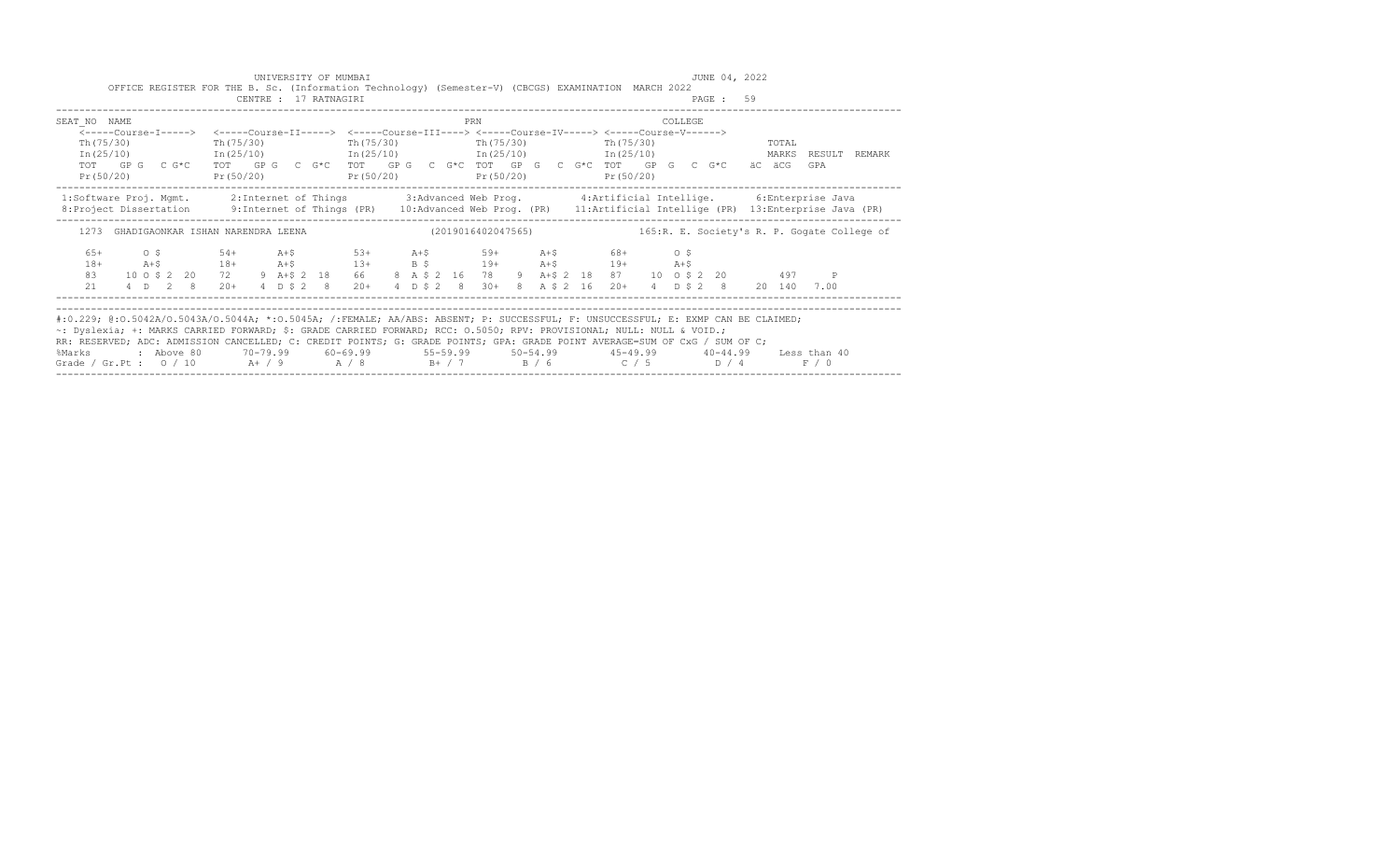|                                                                                                                                                                                                                                                                                                                                                                                                                                                                                                                                                |                                                 |           |  | UNIVERSITY OF MUMBAI  | OFFICE REGISTER FOR THE B. Sc. (Information Technology) (Semester-V) (CBCGS) EXAMINATION MARCH 2022                                                                                                                      |  |  |     |  |  |  |          | JUNE 04, 2022 |       |       |                     |
|------------------------------------------------------------------------------------------------------------------------------------------------------------------------------------------------------------------------------------------------------------------------------------------------------------------------------------------------------------------------------------------------------------------------------------------------------------------------------------------------------------------------------------------------|-------------------------------------------------|-----------|--|-----------------------|--------------------------------------------------------------------------------------------------------------------------------------------------------------------------------------------------------------------------|--|--|-----|--|--|--|----------|---------------|-------|-------|---------------------|
|                                                                                                                                                                                                                                                                                                                                                                                                                                                                                                                                                |                                                 |           |  | CENTRE : 17 RATNAGIRI |                                                                                                                                                                                                                          |  |  |     |  |  |  |          | PAGE: 59      |       |       |                     |
| SEAT NO NAME                                                                                                                                                                                                                                                                                                                                                                                                                                                                                                                                   |                                                 |           |  |                       |                                                                                                                                                                                                                          |  |  | PRN |  |  |  | COLLEGE. |               |       |       |                     |
| <-----Course-I-----> <-----Course-II-----> <-----Course-III----> <-----Course-IV-----> <-----Course-V------><br>Th (75/30)<br>$In (25/10)$ $In (25/10)$ $In (25/10)$ $In (25/10)$ $In (25/10)$<br>TOT GPG C G*C TOT GPG C G*C TOT GPG C G*C TOT GPG C G*C TOT GPG C G*C äC äCG<br>Pr(50/20)                                                                                                                                                                                                                                                    |                                                 | Pr(50/20) |  |                       | Th(75/30) Th(75/30) Th(75/30) Th(75/30) Th(75/30)<br>$Pr(50/20)$ $Pr(50/20)$ $Pr(50/20)$                                                                                                                                 |  |  |     |  |  |  |          |               | TOTAL | GPA   | MARKS RESULT REMARK |
| 1:Software Proj. Mgmt. 2:Internet of Things 3:Advanced Web Prog. 4:Artificial Intellige. 6:Enterprise Java<br>8: Project Dissertation 9: Internet of Things (PR) 10: Advanced Web Prog. (PR) 11: Artificial Intellige (PR) 13: Enterprise Java (PR)                                                                                                                                                                                                                                                                                            |                                                 |           |  |                       |                                                                                                                                                                                                                          |  |  |     |  |  |  |          |               |       |       |                     |
| 1273 GHADIGAONKAR ISHAN NARENDRA LEENA (2019016402047565) 165:R.E. Society's R.P. Gogate College of                                                                                                                                                                                                                                                                                                                                                                                                                                            |                                                 |           |  |                       |                                                                                                                                                                                                                          |  |  |     |  |  |  |          |               |       |       |                     |
| $6.5+$<br>$18+$<br>83<br>21                                                                                                                                                                                                                                                                                                                                                                                                                                                                                                                    | $0 \,$ \$ 54+<br>10 0 \$ 2 20 72<br>4 D 2 8 20+ |           |  |                       | A+\$ 53+ A+\$ 59+ A+\$ 68+ 0\$<br>A+\$ 18+ A+\$ 13+ B \$ 19+ A+\$ 19+ A+\$<br>9 A+\$ 2 18 66 8 A \$ 2 16 78 9 A+\$ 2 18 87 10 0 \$ 2 20 497 P<br>4 D \$ 2 8 20 + 4 D \$ 2 8 30 + 8 A \$ 2 16 20 + 4 D \$ 2 8 20 140 7.00 |  |  |     |  |  |  |          |               |       |       |                     |
| #:0.229; @:0.5042A/0.5043A/0.5044A; *:0.5045A; /:FEMALE; AA/ABS: ABSENT; P: SUCCESSFUL; F: UNSUCCESSFUL; E: EXMP CAN BE CLAIMED;<br>~: Dyslexia; +: MARKS CARRIED FORWARD; \$: GRADE CARRIED FORWARD; RCC: 0.5050; RPV: PROVISIONAL; NULL: NULL & VOID.;<br>RR: RESERVED; ADC: ADMISSION CANCELLED; C: CREDIT POINTS; G: GRADE POINTS; GPA: GRADE POINT AVERAGE=SUM OF CxG / SUM OF C;<br>%Marks : Above 80 70-79.99 60-69.99 55-59.99 50-54.99 45-49.99 40-44.99 Less than 40<br>Grade / Gr.Pt : $0/10$ A+ / 9 A / 8 B+ / 7 B / 6 C / 5 D / 4 |                                                 |           |  |                       |                                                                                                                                                                                                                          |  |  |     |  |  |  |          |               |       | F / 0 |                     |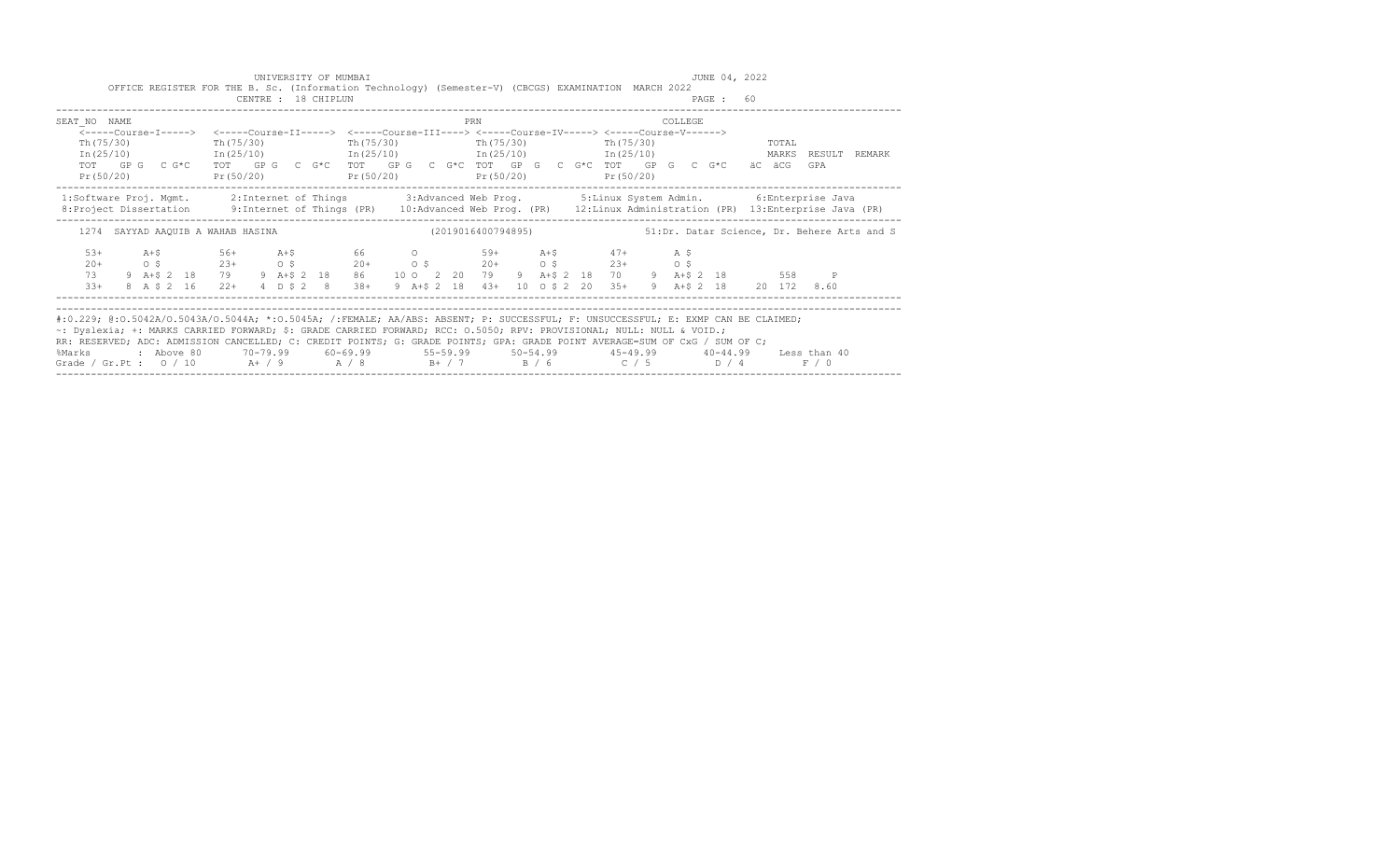|                                                                                                                                                                                                                                                                                                                                                                                                                                                                                                                                                |  |  | OFFICE REGISTER FOR THE B. Sc. (Information Technology) (Semester-V) (CBCGS) EXAMINATION MARCH 2022                                                                                                 |  |                     | UNIVERSITY OF MUMBAI                                   |  |  |                                                          |  |  |  |         |           | JUNE 04, 2022 |       |       |                                                                                                    |
|------------------------------------------------------------------------------------------------------------------------------------------------------------------------------------------------------------------------------------------------------------------------------------------------------------------------------------------------------------------------------------------------------------------------------------------------------------------------------------------------------------------------------------------------|--|--|-----------------------------------------------------------------------------------------------------------------------------------------------------------------------------------------------------|--|---------------------|--------------------------------------------------------|--|--|----------------------------------------------------------|--|--|--|---------|-----------|---------------|-------|-------|----------------------------------------------------------------------------------------------------|
|                                                                                                                                                                                                                                                                                                                                                                                                                                                                                                                                                |  |  |                                                                                                                                                                                                     |  | CENTRE : 18 CHIPLUN |                                                        |  |  |                                                          |  |  |  |         | PAGE : 60 |               |       |       |                                                                                                    |
| SEAT NO NAME                                                                                                                                                                                                                                                                                                                                                                                                                                                                                                                                   |  |  |                                                                                                                                                                                                     |  |                     |                                                        |  |  | PRN                                                      |  |  |  | COLLEGE |           |               |       |       |                                                                                                    |
| Th (75/30)                                                                                                                                                                                                                                                                                                                                                                                                                                                                                                                                     |  |  | <-----Course-I-----> <-----Course-II-----> <-----Course-III----> <-----Course-IV-----> <-----Course-V------><br>Th (75/30) Th (75/30) Th (75/30) Th (75/30) Th (75/30)                              |  |                     |                                                        |  |  |                                                          |  |  |  |         |           |               | TOTAL |       | In (25/10) 1n (25/10) 1n (25/10) 1n (25/10) 1n (25/10) 1n (25/10) 1n (25/10) 1n (25/10) 1n (25/10) |
| Pr(50/20)                                                                                                                                                                                                                                                                                                                                                                                                                                                                                                                                      |  |  | TOT GPG CG*C TOT GPG CG*C TOT GPG CG*C TOT GPG CG*C TOT GPG CG*C TOT GPG CG*C äC äCG GPA                                                                                                            |  |                     | Pr (50/20) Pr (50/20) Pr (50/20) Pr (50/20) Pr (50/20) |  |  |                                                          |  |  |  |         |           |               |       |       |                                                                                                    |
| 1:Software Proj. Mgmt. 2:Internet of Things 3:Advanced Web Prog. 5:Linux System Admin. 6:Enterprise Java<br>8: Project Dissertation 9: Internet of Things (PR) 10: Advanced Web Prog. (PR) 12: Linux Administration (PR) 13: Enterprise Java (PR)                                                                                                                                                                                                                                                                                              |  |  |                                                                                                                                                                                                     |  |                     |                                                        |  |  |                                                          |  |  |  |         |           |               |       |       |                                                                                                    |
|                                                                                                                                                                                                                                                                                                                                                                                                                                                                                                                                                |  |  | 1274 SAYYAD AAQUIB A WAHAB HASINA (2019016400794895)                                                                                                                                                |  |                     |                                                        |  |  |                                                          |  |  |  |         |           |               |       |       | 51:Dr. Datar Science, Dr. Behere Arts and S                                                        |
| $5.3+$<br>$20+$<br>73<br>$3.3+$                                                                                                                                                                                                                                                                                                                                                                                                                                                                                                                |  |  | $A + $$ 56+<br>$0.5$ $23+$ $0.5$ $20+$ $0.5$ $20+$ $0.5$ $20+$ $0.5$ $23+$ $0.5$<br>9 A+\$ 2 18 79 9 A+\$ 2 18 86 10 0 2 20 79 9 A+\$ 2 18 70 9 A+\$ 2 18 558 P<br>8 A \$ 2 16 22 + 4 D \$ 2 8 38 + |  |                     | A+\$ 66 0 59+ A+\$ 47+ A \$                            |  |  | 9 A+\$ 2 18 43+ 10 0 \$ 2 20 35+ 9 A+\$ 2 18 20 172 8.60 |  |  |  |         |           |               |       |       |                                                                                                    |
| #:0.229; @:0.5042A/0.5043A/0.5044A; *:0.5045A; /:FEMALE; AA/ABS: ABSENT; P: SUCCESSFUL; F: UNSUCCESSFUL; E: EXMP CAN BE CLAIMED;<br>~: Dyslexia; +: MARKS CARRIED FORWARD; \$: GRADE CARRIED FORWARD; RCC: 0.5050; RPV: PROVISIONAL; NULL: NULL & VOID.;<br>RR: RESERVED; ADC: ADMISSION CANCELLED; C: CREDIT POINTS; G: GRADE POINTS; GPA: GRADE POINT AVERAGE=SUM OF CxG / SUM OF C;<br>%Marks : Above 80 70-79.99 60-69.99 55-59.99 50-54.99 45-49.99 40-44.99 Less than 40<br>Grade / Gr.Pt : $0/10$ A+ / 9 A / 8 B+ / 7 B / 6 C / 5 D / 4 |  |  |                                                                                                                                                                                                     |  |                     |                                                        |  |  |                                                          |  |  |  |         |           |               |       | F / 0 |                                                                                                    |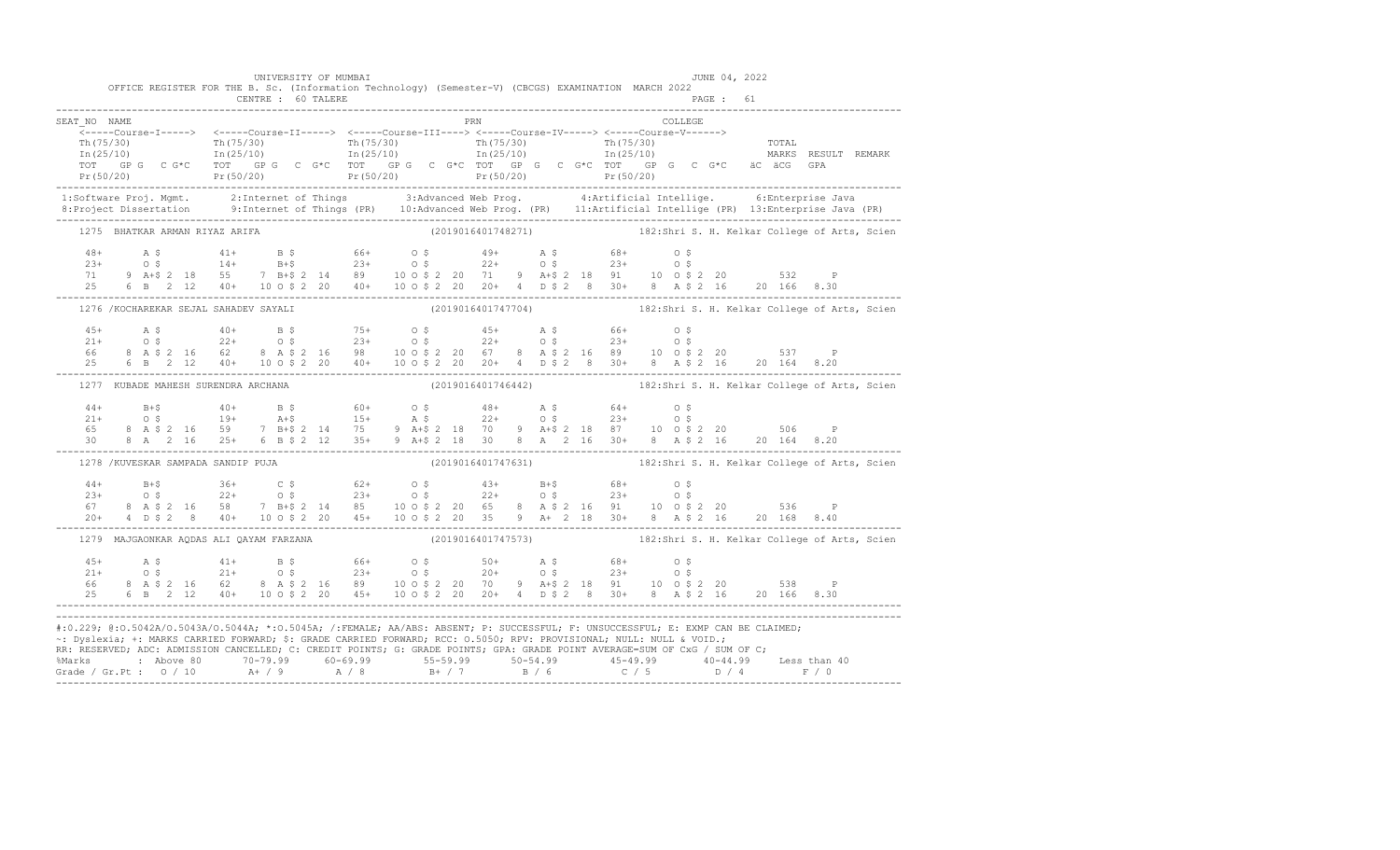|                                     | UNIVERSITY OF MUMBAI<br>CENTRE : 60 TALERE | OFFICE REGISTER FOR THE B. Sc. (Information Technology) (Semester-V) (CBCGS) EXAMINATION MARCH 2022                                                                                                                                                                                                                                                                                    | JUNE 04, 2022<br>PAGE: 61                                                                                                                                                                                                                                                                                                                                                                                                          |
|-------------------------------------|--------------------------------------------|----------------------------------------------------------------------------------------------------------------------------------------------------------------------------------------------------------------------------------------------------------------------------------------------------------------------------------------------------------------------------------------|------------------------------------------------------------------------------------------------------------------------------------------------------------------------------------------------------------------------------------------------------------------------------------------------------------------------------------------------------------------------------------------------------------------------------------|
| SEAT NO NAME                        |                                            | PRN                                                                                                                                                                                                                                                                                                                                                                                    | COLLEGE                                                                                                                                                                                                                                                                                                                                                                                                                            |
|                                     |                                            |                                                                                                                                                                                                                                                                                                                                                                                        | (1997)<br>The course in the course of the course of the course of the course of the course of the course of the course of the course of the course of the course of the course of the course of the course of the course of the                                                                                                                                                                                                    |
|                                     |                                            |                                                                                                                                                                                                                                                                                                                                                                                        |                                                                                                                                                                                                                                                                                                                                                                                                                                    |
| 1275 BHATKAR ARMAN RIYAZ ARIFA      |                                            |                                                                                                                                                                                                                                                                                                                                                                                        | (2019016401748271) 182:Shri S. H. Kelkar College of Arts, Scien                                                                                                                                                                                                                                                                                                                                                                    |
|                                     |                                            |                                                                                                                                                                                                                                                                                                                                                                                        | $\begin{array}{cccccccccccc} 48+ & & {\bf A}\; \mathbf{\hat{S}} & & 41+ & {\bf B}\; \mathbf{\hat{S}} & & 66+ & {\bf O}\; \mathbf{\hat{S}} & & 49+ & {\bf A}\; \mathbf{\hat{S}} & & 68+ & {\bf O}\; \mathbf{\hat{S}} \\ 23+ & & {\bf O}\; \mathbf{\hat{S}} & & 14+ & {\bf B}+\mathbf{\hat{S}} & & 23+ & {\bf O}\; \mathbf{\hat{S}} & & 22+ & {\bf O}\; \mathbf{\hat{S}} & & 23+ & {\bf O}\; \mathbf{\hat{S}} \\ 71 & 9 & {\bf A}+\$ |
|                                     |                                            |                                                                                                                                                                                                                                                                                                                                                                                        | 1276 /KOCHAREKAR SEJAL SAHADEV SAYALI (2019016401747704) 182:Shri S. H. Kelkar College of Arts, Scien                                                                                                                                                                                                                                                                                                                              |
|                                     |                                            |                                                                                                                                                                                                                                                                                                                                                                                        |                                                                                                                                                                                                                                                                                                                                                                                                                                    |
| 1277 KUBADE MAHESH SURENDRA ARCHANA |                                            |                                                                                                                                                                                                                                                                                                                                                                                        | (2019016401746442) 182:Shri S. H. Kelkar College of Arts, Scien                                                                                                                                                                                                                                                                                                                                                                    |
|                                     |                                            |                                                                                                                                                                                                                                                                                                                                                                                        |                                                                                                                                                                                                                                                                                                                                                                                                                                    |
| 1278 /KUVESKAR SAMPADA SANDIP PUJA  |                                            |                                                                                                                                                                                                                                                                                                                                                                                        | (2019016401747631) 182:Shri S. H. Kelkar College of Arts, Scien                                                                                                                                                                                                                                                                                                                                                                    |
|                                     |                                            |                                                                                                                                                                                                                                                                                                                                                                                        |                                                                                                                                                                                                                                                                                                                                                                                                                                    |
|                                     | 1279 MAJGAONKAR AODAS ALI OAYAM FARZANA    |                                                                                                                                                                                                                                                                                                                                                                                        | (2019016401747573) 182:Shri S. H. Kelkar College of Arts, Scien                                                                                                                                                                                                                                                                                                                                                                    |
|                                     |                                            |                                                                                                                                                                                                                                                                                                                                                                                        | $\begin{array}{cccccccccccc} 45+ & & {\bf A}\ \,S\, \\ 21+ & & {\bf O}\ \,S\, \\ 66 & & {\bf B}\ \,A\ \,S\,2\ \,16 & & {\bf G2} & & {\bf B}\ \,A\ \,S\,2\ \,16 & & {\bf G3} & & 20+ & {\bf O}\ \,S\, \\ 66 & & {\bf B}\ \,A\ \,S\,2\ \,16 & & {\bf G2} & & {\bf B}\ \,A\ \,S\,2\ \,16 & & {\bf B4} & & 20+ & {\bf O}\ \,S\, \\ 67 & & {\bf B1} & {\bf B2} & & 10+ & 10\$                                                           |
|                                     |                                            | #:0.229; @:0.5042A/0.5043A/0.5044A; *:0.5045A; /:FEMALE; AA/ABS: ABSENT; P: SUCCESSFUL; F: UNSUCCESSFUL; E: EXMP CAN BE CLAIMED;<br>~: Dyslexia; +: MARKS CARRIED FORWARD; \$: GRADE CARRIED FORWARD; RCC: 0.5050; RPV: PROVISIONAL; NULL: NULL & VOID.;<br>RR: RESERVED, ADC: ADMISSION CANCELLED, C: CREDIT POINTS, G: GRADE POINTS, GPA: GRADE POINT AVERAGE=SUM OF CxG / SUM OF C; | % Marks : Above 80 70-79.99 60-69.99 55-59.99 50-54.99 45-49.99 40-44.99 Less than 40<br>Grade / Gr.Pt : 0 / 10 A+ / 9 A / 8 B+ / 7 B / 6 C / 5 D / 4 F / 0                                                                                                                                                                                                                                                                        |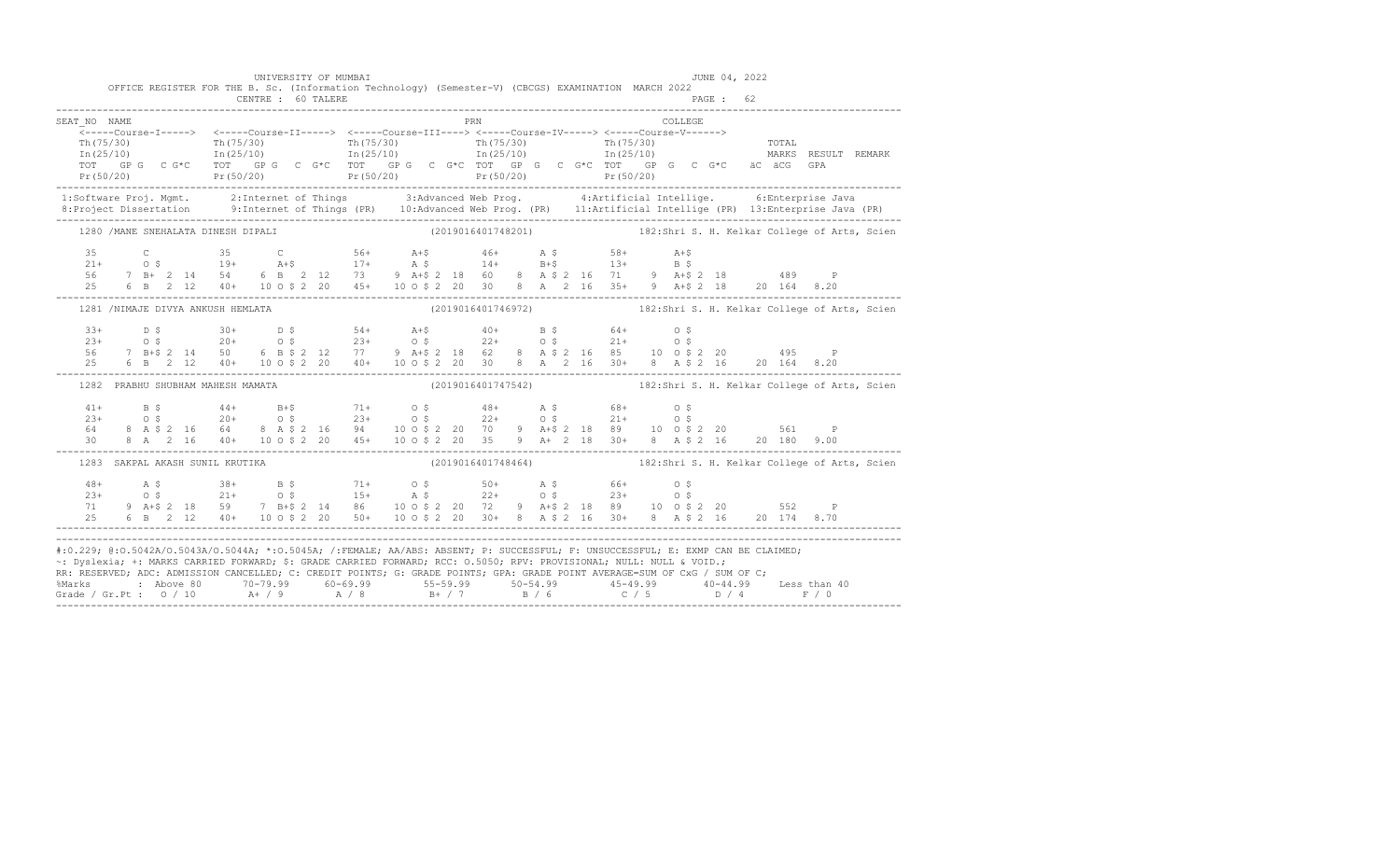|                                                                                                                                                                                                                                                                                                                                                                                                                                                                                                                                                       |  |  |                                   |                                     | UNIVERSITY OF MUMBAI |  |  |     |  |                                                                                                                                                                                                                                                                                                                                                                      |          | JUNE 04, 2022 |  |                                                                 |
|-------------------------------------------------------------------------------------------------------------------------------------------------------------------------------------------------------------------------------------------------------------------------------------------------------------------------------------------------------------------------------------------------------------------------------------------------------------------------------------------------------------------------------------------------------|--|--|-----------------------------------|-------------------------------------|----------------------|--|--|-----|--|----------------------------------------------------------------------------------------------------------------------------------------------------------------------------------------------------------------------------------------------------------------------------------------------------------------------------------------------------------------------|----------|---------------|--|-----------------------------------------------------------------|
|                                                                                                                                                                                                                                                                                                                                                                                                                                                                                                                                                       |  |  |                                   | CENTRE : 60 TALERE                  |                      |  |  |     |  | OFFICE REGISTER FOR THE B. Sc. (Information Technology) (Semester-V) (CBCGS) EXAMINATION MARCH 2022                                                                                                                                                                                                                                                                  |          | PAGE: 62      |  |                                                                 |
| SEAT NO NAME                                                                                                                                                                                                                                                                                                                                                                                                                                                                                                                                          |  |  |                                   |                                     |                      |  |  | PRN |  |                                                                                                                                                                                                                                                                                                                                                                      | COLLEGE. |               |  |                                                                 |
|                                                                                                                                                                                                                                                                                                                                                                                                                                                                                                                                                       |  |  |                                   |                                     |                      |  |  |     |  |                                                                                                                                                                                                                                                                                                                                                                      |          |               |  |                                                                 |
|                                                                                                                                                                                                                                                                                                                                                                                                                                                                                                                                                       |  |  |                                   |                                     |                      |  |  |     |  |                                                                                                                                                                                                                                                                                                                                                                      |          |               |  |                                                                 |
|                                                                                                                                                                                                                                                                                                                                                                                                                                                                                                                                                       |  |  |                                   | 1280 / MANE SNEHALATA DINESH DIPALI |                      |  |  |     |  |                                                                                                                                                                                                                                                                                                                                                                      |          |               |  | (2019016401748201) 182:Shri S. H. Kelkar College of Arts, Scien |
|                                                                                                                                                                                                                                                                                                                                                                                                                                                                                                                                                       |  |  |                                   |                                     |                      |  |  |     |  | $\begin{array}{cccccccccccccccc} 35 & C & 35 & C & 56+ & A+$ & 46+ & A$ & 58+ & A+$ & \\ 21+ & O$ & 19+ & A+$ & 17+ & A$ & 14+ & B+$ & 13+ & B$ & \\ 56 & 7 & B+ & 2 & 14 & 54 & 6 & B & 2 & 12 & 73 & 9 & A+$ & 2 & 18 & 60 & 8 & A$ & 2 & 16 & 71 & 9 & A+$ & 2 & 18 & 489 & P \\ 25 & 6 & B & 2 & 12 & 40+ & 10 & 0$ & 2 & 20$                                    |          |               |  |                                                                 |
|                                                                                                                                                                                                                                                                                                                                                                                                                                                                                                                                                       |  |  | 1281 /NIMAJE DIVYA ANKUSH HEMLATA |                                     |                      |  |  |     |  |                                                                                                                                                                                                                                                                                                                                                                      |          |               |  | (2019016401746972) 182:Shri S. H. Kelkar College of Arts, Scien |
|                                                                                                                                                                                                                                                                                                                                                                                                                                                                                                                                                       |  |  |                                   |                                     |                      |  |  |     |  | $\begin{array}{cccccccccccccccc} 33+ & & D & S & & 30+ & & D & S & & 54+ & A+ \hat{5} & & 40+ & B & \hat{5} & & 64+ & O & \hat{5} \\ 23+ & & O & \hat{S} & & 20+ & O & \hat{S} & & 23+ & O & \hat{S} & & 22+ & O & \hat{S} & & 21+ & O & \hat{S} \\ 56 & & 7 & B+ \hat{S} & 2 & 14 & 50 & 6 & B & \hat{S} & 2 & 12 & 77 & 9 & A+ \hat{S} & 2 & 18 & 62 & 8 & A & \$  |          |               |  |                                                                 |
|                                                                                                                                                                                                                                                                                                                                                                                                                                                                                                                                                       |  |  | 1282 PRABHU SHUBHAM MAHESH MAMATA |                                     |                      |  |  |     |  |                                                                                                                                                                                                                                                                                                                                                                      |          |               |  | (2019016401747542) 182:Shri S. H. Kelkar College of Arts, Scien |
|                                                                                                                                                                                                                                                                                                                                                                                                                                                                                                                                                       |  |  |                                   |                                     |                      |  |  |     |  | $\begin{array}{cccccccccccc} 41+ & & B & \xi & & 44+ & & B+\xi & & 71+ & & 0 & \xi & & 48+ & A & \xi & & 68+ & 0 & \xi \\ 23+ & & O & \xi & & 20+ & & O & \xi & & 23+ & & O & \xi & & 22+ & O & \xi & & 21+ & O & \xi \\ 64 & & 8 & A & \xi & 2 & 16 & 64 & 8 & A & \xi & 2 & 16 & 94 & & 10 & 0 & \xi & 2 & 20 & 70 & 9 & A+\xi & 2 & 18 & 89 & 10 & 0 & \xi & 2 &$ |          |               |  |                                                                 |
|                                                                                                                                                                                                                                                                                                                                                                                                                                                                                                                                                       |  |  | 1283 SAKPAL AKASH SUNIL KRUTIKA   |                                     |                      |  |  |     |  |                                                                                                                                                                                                                                                                                                                                                                      |          |               |  | (2019016401748464) 182:Shri S. H. Kelkar College of Arts, Scien |
| $48+$<br>$23+$<br>71<br>25                                                                                                                                                                                                                                                                                                                                                                                                                                                                                                                            |  |  |                                   |                                     |                      |  |  |     |  | A \$38+ B \$71+ 0 \$50+ A \$66+ 0 \$<br>0 \$21+ 0 \$15+ A \$22+ 0 \$23+ 0 \$<br>9 A+\$ 2 18 59 7 B+\$ 2 14 86 10 0 \$ 2 20 72 9 A+\$ 2 18 89 10 0 \$ 2 20 552 P<br>6 B 2 12 40+ 10 O \$ 2 20 50+ 10 O \$ 2 20 30+ 8 A \$ 2 16 30+ 8 A \$ 2 16 20 174 8.70                                                                                                            |          |               |  |                                                                 |
| #:0.229; @:0.5042A/0.5043A/0.5044A; *:0.5045A; /:FEMALE; AA/ABS: ABSENT; P: SUCCESSFUL; F: UNSUCCESSFUL; E: EXMP CAN BE CLAIMED;<br>~: Dyslexia; +: MARKS CARRIED FORWARD; \$: GRADE CARRIED FORWARD; RCC: 0.5050; RPV: PROVISIONAL; NULL: NULL & VOID.;<br>RR: RESERVED, ADC: ADMISSION CANCELLED, C: CREDIT POINTS, G: GRADE POINTS, GPA: GRADE POINT AVERAGE=SUM OF CxG / SUM OF C,<br>% Marks : Above 80 70-79.99 60-69.99 55-59.99 50-54.99 45-49.99 40-44.99 Less than 40<br>Grade / Gr.Pt : 0 / 10 A+ / 9 A / 8 B+ / 7 B / 6 C / 5 D / 4 F / 0 |  |  |                                   |                                     |                      |  |  |     |  |                                                                                                                                                                                                                                                                                                                                                                      |          |               |  |                                                                 |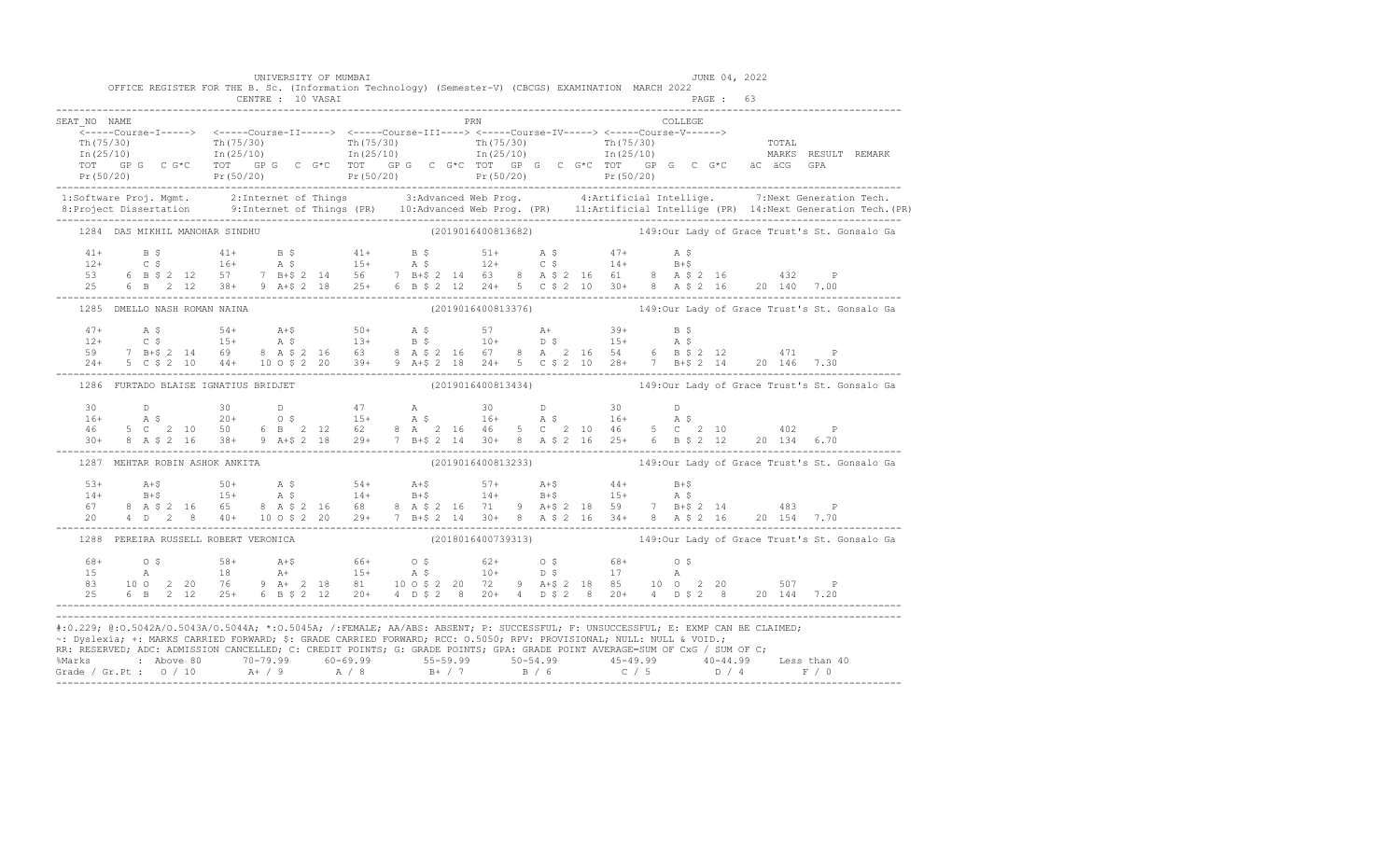|              | OFFICE REGISTER FOR THE B. Sc. (Information Technology) (Semester-V) (CBCGS) EXAMINATION MARCH 2022                                                                                                                                                                                                                                                                                        |                   | UNIVERSITY OF MUMBAI |  |  |     |  |  |         | JUNE 04, 2022 |  |                                                                 |
|--------------|--------------------------------------------------------------------------------------------------------------------------------------------------------------------------------------------------------------------------------------------------------------------------------------------------------------------------------------------------------------------------------------------|-------------------|----------------------|--|--|-----|--|--|---------|---------------|--|-----------------------------------------------------------------|
|              |                                                                                                                                                                                                                                                                                                                                                                                            | CENTRE : 10 VASAI |                      |  |  |     |  |  |         | PAGE: 63      |  |                                                                 |
| SEAT NO NAME |                                                                                                                                                                                                                                                                                                                                                                                            |                   |                      |  |  | PRN |  |  | COLLEGE |               |  |                                                                 |
|              |                                                                                                                                                                                                                                                                                                                                                                                            |                   |                      |  |  |     |  |  |         |               |  |                                                                 |
|              | The country of the country of the country of the country of the country of the country of the country of the country of the country of the country of the country of the country of the country of the country of the country                                                                                                                                                              |                   |                      |  |  |     |  |  |         |               |  |                                                                 |
|              |                                                                                                                                                                                                                                                                                                                                                                                            |                   |                      |  |  |     |  |  |         |               |  |                                                                 |
|              | Pr (50/20) Pr (50/20) Pr (50/20) Pr (50/20) Pr (50/20) Pr (50/20) Pr (50/20) Pr (50/20) Pr (50/20) Pr (50/20)                                                                                                                                                                                                                                                                              |                   |                      |  |  |     |  |  |         |               |  |                                                                 |
|              | 1:Software Proj. Mgmt. 2:Internet of Things 3:Advanced Web Prog. 4:Artificial Intellige. 7:Next Generation Tech.<br>1.Project Dissertation 9:Internet of Things (PR) 10:Advanced Web Prog. (PR) 11:Artificial Intellige (PR) 14:N                                                                                                                                                          |                   |                      |  |  |     |  |  |         |               |  |                                                                 |
|              | 1284 DAS MIKHIL MANOHAR SINDHU (2019016400813682) 149:0ur Lady of Grace Trust's St. Gonsalo Ga                                                                                                                                                                                                                                                                                             |                   |                      |  |  |     |  |  |         |               |  |                                                                 |
|              |                                                                                                                                                                                                                                                                                                                                                                                            |                   |                      |  |  |     |  |  |         |               |  |                                                                 |
|              |                                                                                                                                                                                                                                                                                                                                                                                            |                   |                      |  |  |     |  |  |         |               |  |                                                                 |
|              |                                                                                                                                                                                                                                                                                                                                                                                            |                   |                      |  |  |     |  |  |         |               |  |                                                                 |
|              |                                                                                                                                                                                                                                                                                                                                                                                            |                   |                      |  |  |     |  |  |         |               |  |                                                                 |
|              | 1285 DMELLO NASH ROMAN NAINA                                                                                                                                                                                                                                                                                                                                                               |                   |                      |  |  |     |  |  |         |               |  | (2019016400813376) 149:0ur Lady of Grace Trust's St. Gonsalo Ga |
|              |                                                                                                                                                                                                                                                                                                                                                                                            |                   |                      |  |  |     |  |  |         |               |  |                                                                 |
|              |                                                                                                                                                                                                                                                                                                                                                                                            |                   |                      |  |  |     |  |  |         |               |  |                                                                 |
|              |                                                                                                                                                                                                                                                                                                                                                                                            |                   |                      |  |  |     |  |  |         |               |  |                                                                 |
|              | $\begin{array}{cccccccccccc} 47+ & & {\rm A}\!\!\!\!\!&5& & 54+ & & {\rm A}\!+\!\hat{\textrm{S}}& & 50+ & & {\rm A}\!\!\!\!\!&5& & 57 & & {\rm A}\!+\!\!\!\!\!&12+ & & 39+ & {\rm B}\!\!\!\!\!&5& & & \\ 12+ & & {\rm C}\!\!\!\!\!\!&5& & 15+ & {\rm A}\!\!\!\!\!&5& & 13+ & {\rm B}\!\!\!\!\!&5& & 10+ & {\rm D}\!\!\!\!\!&5& & 15+ & {\rm A}\!\!\!\!\!&5& & \\ 59 & & 7 & {\rm B}\!+\!\$ |                   |                      |  |  |     |  |  |         |               |  |                                                                 |
|              | 1286 FURTADO BLAISE IGNATIUS BRIDJET                                                                                                                                                                                                                                                                                                                                                       |                   |                      |  |  |     |  |  |         |               |  | (2019016400813434) 149:0ur Lady of Grace Trust's St. Gonsalo Ga |
|              |                                                                                                                                                                                                                                                                                                                                                                                            |                   |                      |  |  |     |  |  |         |               |  |                                                                 |
|              |                                                                                                                                                                                                                                                                                                                                                                                            |                   |                      |  |  |     |  |  |         |               |  |                                                                 |
|              | $\begin{array}{cccccccccccccccc} 30 & D & 30 & D & 47 & A & 30 & D & 30 & D \\ 16+ & A & \texttt{S} & 20+ & 0 & \texttt{S} & 15+ & A & \texttt{S} & 16+ & A & \texttt{S} & 16+ & A & \texttt{S} \\ 46 & 5 & C & 2 & 10 & 50 & 6 & B & 2 & 12 & 62 & 8 & A & 2 & 16 & 46 & 5 & C & 2 & 10 & 46 & 5 & C & 2 & 10 & 402 & P \\ 30+ & 8 & A & \texttt{S} & 2 & 1$                              |                   |                      |  |  |     |  |  |         |               |  |                                                                 |
|              | 1287 MEHTAR ROBIN ASHOK ANKITA                                                                                                                                                                                                                                                                                                                                                             |                   |                      |  |  |     |  |  |         |               |  | (2019016400813233) 149:0ur Lady of Grace Trust's St. Gonsalo Ga |
|              |                                                                                                                                                                                                                                                                                                                                                                                            |                   |                      |  |  |     |  |  |         |               |  |                                                                 |
|              |                                                                                                                                                                                                                                                                                                                                                                                            |                   |                      |  |  |     |  |  |         |               |  |                                                                 |
|              | $14+$ $14+$ $15+$ $15+$ $15+$ $15+$ $15+$ $15+$ $15+$ $15+$ $15+$ $15+$ $15+$ $15+$ $15+$ $15+$ $15+$ $15+$ $15+$ $15+$ $15+$ $15+$ $15+$ $15+$ $15+$ $15+$ $15+$ $15+$ $15+$ $15+$ $15+$ $15+$ $15+$ $15+$ $15+$ $15+$ $15+$                                                                                                                                                              |                   |                      |  |  |     |  |  |         |               |  |                                                                 |
|              |                                                                                                                                                                                                                                                                                                                                                                                            |                   |                      |  |  |     |  |  |         |               |  |                                                                 |
|              | 1288 PEREIRA RUSSELL ROBERT VERONICA                                                                                                                                                                                                                                                                                                                                                       |                   |                      |  |  |     |  |  |         |               |  | (2018016400739313) 149:0ur Lady of Grace Trust's St. Gonsalo Ga |
|              |                                                                                                                                                                                                                                                                                                                                                                                            |                   |                      |  |  |     |  |  |         |               |  |                                                                 |
|              |                                                                                                                                                                                                                                                                                                                                                                                            |                   |                      |  |  |     |  |  |         |               |  |                                                                 |
|              |                                                                                                                                                                                                                                                                                                                                                                                            |                   |                      |  |  |     |  |  |         |               |  |                                                                 |
|              |                                                                                                                                                                                                                                                                                                                                                                                            |                   |                      |  |  |     |  |  |         |               |  |                                                                 |
|              | #:0.229; @:0.5042A/0.5043A/0.5044A; *:0.5045A; /:FEMALE; AA/ABS: ABSENT; P: SUCCESSFUL; F: UNSUCCESSFUL; E: EXMP CAN BE CLAIMED;<br>~: Dyslexia; +: MARKS CARRIED FORWARD; \$: GRADE CARRIED FORWARD; RCC: 0.5050; RPV: PROVISIONAL; NULL: NULL & VOID.;<br>RR: RESERVED; ADC: ADMISSION CANCELLED; C: CREDIT POINTS; G: GRADE POINTS; GPA: GRADE POINT AVERAGE=SUM OF CxG / SUM OF C;     |                   |                      |  |  |     |  |  |         |               |  |                                                                 |
|              | %Marks : Above 80 70-79.99 60-69.99 55-59.99 50-54.99 45-49.99 40-44.99 Less than 40<br>Grade / Gr.Pt : 0 / 10 A+ / 9 A / 8 B+ / 7 B / 6 C / 5 D / 4 F / 0                                                                                                                                                                                                                                 |                   |                      |  |  |     |  |  |         |               |  |                                                                 |
|              |                                                                                                                                                                                                                                                                                                                                                                                            |                   |                      |  |  |     |  |  |         |               |  |                                                                 |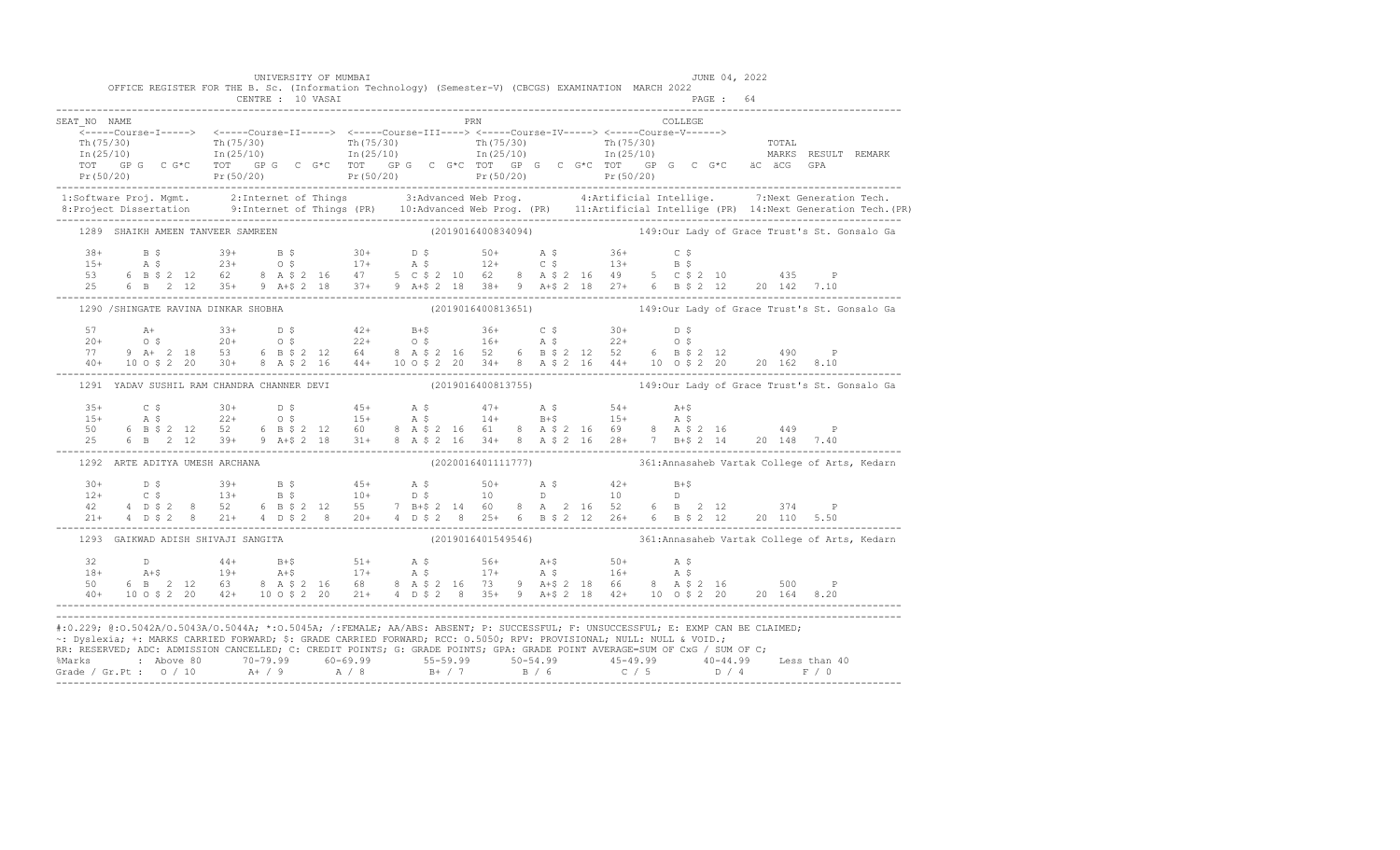|                                   | UNIVERSITY OF MUMBAI                       | OFFICE REGISTER FOR THE B. Sc. (Information Technology) (Semester-V) (CBCGS) EXAMINATION MARCH 2022                                                                                                                                                                                                                                                                                                                                                                                                                                                                                                                                                           | JUNE 04, 2022 |                                                                  |
|-----------------------------------|--------------------------------------------|---------------------------------------------------------------------------------------------------------------------------------------------------------------------------------------------------------------------------------------------------------------------------------------------------------------------------------------------------------------------------------------------------------------------------------------------------------------------------------------------------------------------------------------------------------------------------------------------------------------------------------------------------------------|---------------|------------------------------------------------------------------|
|                                   | CENTRE : 10 VASAI                          |                                                                                                                                                                                                                                                                                                                                                                                                                                                                                                                                                                                                                                                               | PAGE: 64      |                                                                  |
| SEAT NO NAME                      |                                            | <b>PRN</b>                                                                                                                                                                                                                                                                                                                                                                                                                                                                                                                                                                                                                                                    | COLLEGE       |                                                                  |
|                                   |                                            |                                                                                                                                                                                                                                                                                                                                                                                                                                                                                                                                                                                                                                                               |               |                                                                  |
|                                   |                                            |                                                                                                                                                                                                                                                                                                                                                                                                                                                                                                                                                                                                                                                               |               |                                                                  |
|                                   |                                            |                                                                                                                                                                                                                                                                                                                                                                                                                                                                                                                                                                                                                                                               |               |                                                                  |
|                                   |                                            |                                                                                                                                                                                                                                                                                                                                                                                                                                                                                                                                                                                                                                                               |               |                                                                  |
|                                   |                                            |                                                                                                                                                                                                                                                                                                                                                                                                                                                                                                                                                                                                                                                               |               |                                                                  |
|                                   |                                            | 1:Software Proj. Mgmt. 2:Internet of Things 3:Advanced Web Prog. 4:Artificial Intellige. 7:Next Generation Tech.<br>1.Project Dissertation 9:Internet of Things (PR) 10:Advanced Web Prog. (PR) 11:Artificial Intellige (PR) 14:N                                                                                                                                                                                                                                                                                                                                                                                                                             |               |                                                                  |
| 1289 SHAIKH AMEEN TANVEER SAMREEN |                                            | (2019016400834094) 149:0ur Lady of Grace Trust's St. Gonsalo Ga                                                                                                                                                                                                                                                                                                                                                                                                                                                                                                                                                                                               |               |                                                                  |
|                                   |                                            |                                                                                                                                                                                                                                                                                                                                                                                                                                                                                                                                                                                                                                                               |               |                                                                  |
|                                   |                                            |                                                                                                                                                                                                                                                                                                                                                                                                                                                                                                                                                                                                                                                               |               |                                                                  |
|                                   |                                            |                                                                                                                                                                                                                                                                                                                                                                                                                                                                                                                                                                                                                                                               |               |                                                                  |
|                                   |                                            | $\begin{array}{cccccccccccccccc} 38+ & & B & \xi & & 39+ & & B & \xi & & 30+ & & D & \xi & & 50+ & & A & \xi & & 36+ & & C & \xi \\ 15+ & & A & \xi & & 23+ & & 0 & \xi & & 17+ & & A & \xi & & 12+ & & C & \xi & & 13+ & & B & \xi \\ 53 & & 6 & B & \xi & 2 & 12 & 62 & & 8 & A & \xi & 2 & 16 & 47 & & 5 & C & \xi & 2 & 10 & 62 & & 8 & A & \xi & 2 & 16 & 49 & & 5 & C & \$                                                                                                                                                                                                                                                                              |               |                                                                  |
|                                   |                                            | 1290 / SHINGATE RAVINA DINKAR SHOBHA (2019016400813651) 149:0ur Lady of Grace Trust's St. Gonsalo Ga                                                                                                                                                                                                                                                                                                                                                                                                                                                                                                                                                          |               |                                                                  |
|                                   |                                            |                                                                                                                                                                                                                                                                                                                                                                                                                                                                                                                                                                                                                                                               |               |                                                                  |
|                                   |                                            |                                                                                                                                                                                                                                                                                                                                                                                                                                                                                                                                                                                                                                                               |               |                                                                  |
|                                   |                                            |                                                                                                                                                                                                                                                                                                                                                                                                                                                                                                                                                                                                                                                               |               |                                                                  |
|                                   |                                            |                                                                                                                                                                                                                                                                                                                                                                                                                                                                                                                                                                                                                                                               |               |                                                                  |
|                                   | 1291 YADAV SUSHIL RAM CHANDRA CHANNER DEVI |                                                                                                                                                                                                                                                                                                                                                                                                                                                                                                                                                                                                                                                               |               | (2019016400813755) 149:0ur Lady of Grace Trust's St. Gonsalo Ga  |
|                                   |                                            |                                                                                                                                                                                                                                                                                                                                                                                                                                                                                                                                                                                                                                                               |               |                                                                  |
|                                   |                                            |                                                                                                                                                                                                                                                                                                                                                                                                                                                                                                                                                                                                                                                               |               |                                                                  |
|                                   |                                            | $\begin{array}{cccccccccccccccc} 35+ & & C & \xi & & 30+ & D & \xi & & 45+ & A & \xi & & 47+ & A & \xi & & 54+ & A+ \xi \\ 15+ & & A & \xi & & 22+ & O & \xi & & 15+ & A & \xi & & 14+ & B+ \xi & & 15+ & A & \xi \\ 50 & & 6 & B & \xi & 2 & 12 & 52 & 6 & B & \xi & 2 & 12 & 60 & 8 & A & \xi & 2 & 16 & 61 & 8 & A & \xi & 2 & 16 & 69 & 8 & A & \xi & 2 & 16 & & 44$                                                                                                                                                                                                                                                                                      |               |                                                                  |
| 1292 ARTE ADITYA UMESH ARCHANA    |                                            |                                                                                                                                                                                                                                                                                                                                                                                                                                                                                                                                                                                                                                                               |               | (2020016401111777) 361: Annasaheb Vartak College of Arts, Kedarn |
|                                   |                                            |                                                                                                                                                                                                                                                                                                                                                                                                                                                                                                                                                                                                                                                               |               |                                                                  |
|                                   |                                            |                                                                                                                                                                                                                                                                                                                                                                                                                                                                                                                                                                                                                                                               |               |                                                                  |
|                                   |                                            |                                                                                                                                                                                                                                                                                                                                                                                                                                                                                                                                                                                                                                                               |               |                                                                  |
|                                   |                                            |                                                                                                                                                                                                                                                                                                                                                                                                                                                                                                                                                                                                                                                               |               |                                                                  |
|                                   |                                            |                                                                                                                                                                                                                                                                                                                                                                                                                                                                                                                                                                                                                                                               |               |                                                                  |
|                                   |                                            |                                                                                                                                                                                                                                                                                                                                                                                                                                                                                                                                                                                                                                                               |               |                                                                  |
|                                   |                                            |                                                                                                                                                                                                                                                                                                                                                                                                                                                                                                                                                                                                                                                               |               |                                                                  |
|                                   |                                            |                                                                                                                                                                                                                                                                                                                                                                                                                                                                                                                                                                                                                                                               |               |                                                                  |
|                                   |                                            |                                                                                                                                                                                                                                                                                                                                                                                                                                                                                                                                                                                                                                                               |               |                                                                  |
|                                   |                                            | 1293 GAIKWAD ADISH SHIVAJI SANGITA (2019016401549546) 361:Annasaheb Vartak College of Arts, Kedarn<br>#:0.229; @:0.5042A/0.5043A/0.5044A; *:0.5045A; /:FEMALE; AA/ABS: ABSENT; P: SUCCESSFUL; F: UNSUCCESSFUL; E: EXMP CAN BE CLAIMED;<br>~: Dyslexia; +: MARKS CARRIED FORWARD; \$: GRADE CARRIED FORWARD; RCC: 0.5050; RPV: PROVISIONAL; NULL: NULL & VOID.;<br>RR: RESERVED; ADC: ADMISSION CANCELLED; C: CREDIT POINTS; G: GRADE POINTS; GPA: GRADE POINT AVERAGE=SUM OF CxG / SUM OF C;<br>% Marks : Above 80 70-79.99 60-69.99 55-59.99 50-54.99 45-49.99 40-44.99 Less than 40<br>Grade / Gr.Pt : 0 / 10 A + / 9 A / 8 B + / 7 B / 6 C / 5 D / 4 F / 0 |               |                                                                  |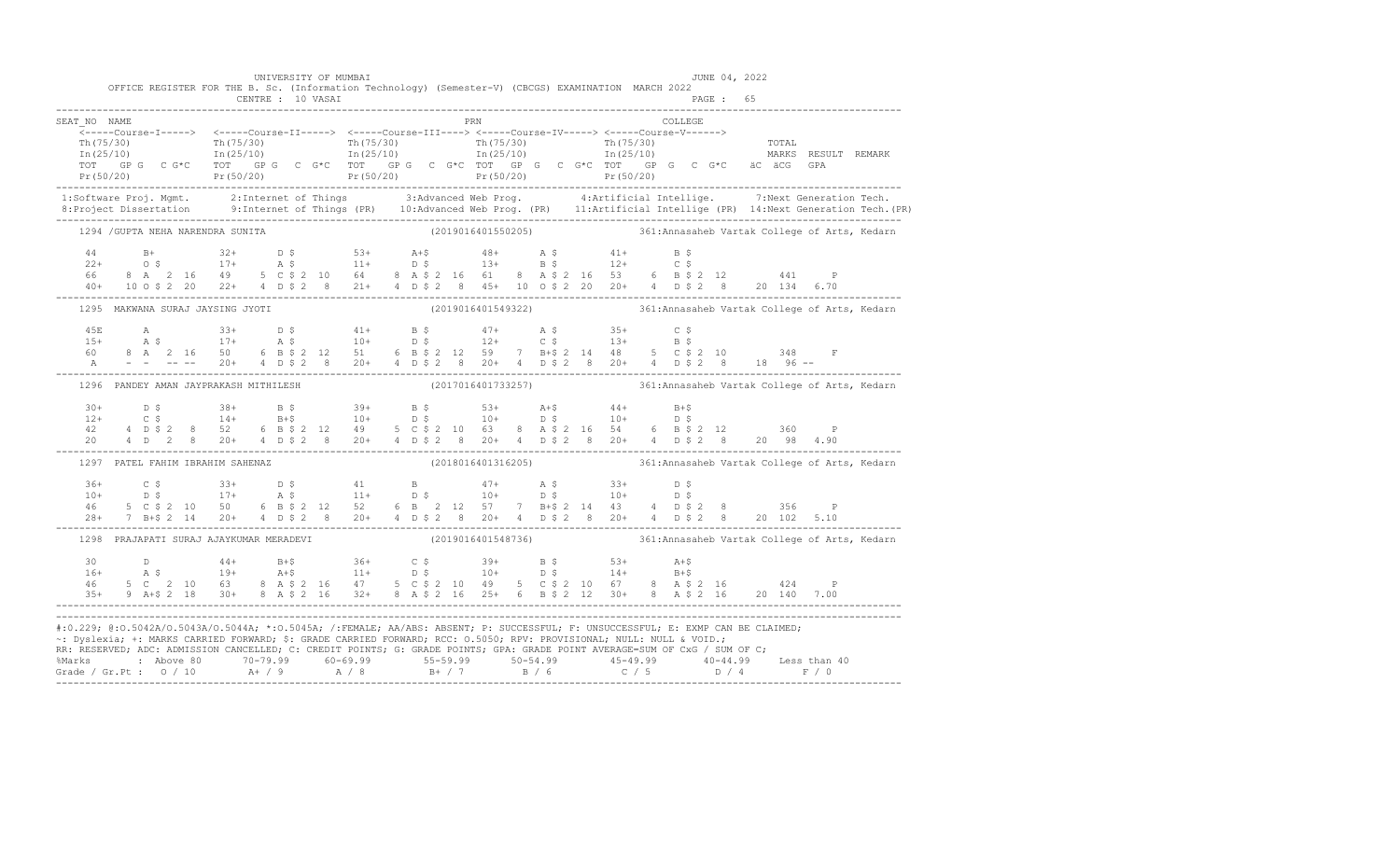|              |                                                                                                                                                                                                                                                                                                                                                                                                                                         | UNIVERSITY OF MUMBAI |  |  |                     |  |  |  |         | JUNE 04, 2022 |  |                                                                  |  |
|--------------|-----------------------------------------------------------------------------------------------------------------------------------------------------------------------------------------------------------------------------------------------------------------------------------------------------------------------------------------------------------------------------------------------------------------------------------------|----------------------|--|--|---------------------|--|--|--|---------|---------------|--|------------------------------------------------------------------|--|
|              | OFFICE REGISTER FOR THE B. Sc. (Information Technology) (Semester-V) (CBCGS) EXAMINATION MARCH 2022                                                                                                                                                                                                                                                                                                                                     | CENTRE : 10 VASAI    |  |  |                     |  |  |  |         | PAGE: 65      |  |                                                                  |  |
| SEAT NO NAME |                                                                                                                                                                                                                                                                                                                                                                                                                                         |                      |  |  | <b>EXAMPLE 1989</b> |  |  |  | COLLEGE |               |  |                                                                  |  |
|              |                                                                                                                                                                                                                                                                                                                                                                                                                                         |                      |  |  |                     |  |  |  |         |               |  |                                                                  |  |
|              |                                                                                                                                                                                                                                                                                                                                                                                                                                         |                      |  |  |                     |  |  |  |         |               |  |                                                                  |  |
|              |                                                                                                                                                                                                                                                                                                                                                                                                                                         |                      |  |  |                     |  |  |  |         |               |  |                                                                  |  |
|              |                                                                                                                                                                                                                                                                                                                                                                                                                                         |                      |  |  |                     |  |  |  |         |               |  |                                                                  |  |
|              |                                                                                                                                                                                                                                                                                                                                                                                                                                         |                      |  |  |                     |  |  |  |         |               |  |                                                                  |  |
|              | 1:Software Proj. Mgmt. 2:Internet of Things 3:Advanced Web Prog. 4:Artificial Intellige. 7:Next Generation Tech.<br>1.Project Dissertation 9:Internet of Things (PR) 10:Advanced Web Prog. (PR) 11:Artificial Intellige (PR) 14:N                                                                                                                                                                                                       |                      |  |  |                     |  |  |  |         |               |  |                                                                  |  |
|              | 1294 / GUPTA NEHA NARENDRA SUNITA (2019016401550205) 361:Annasaheb Vartak College of Arts, Kedarn                                                                                                                                                                                                                                                                                                                                       |                      |  |  |                     |  |  |  |         |               |  |                                                                  |  |
|              |                                                                                                                                                                                                                                                                                                                                                                                                                                         |                      |  |  |                     |  |  |  |         |               |  |                                                                  |  |
|              |                                                                                                                                                                                                                                                                                                                                                                                                                                         |                      |  |  |                     |  |  |  |         |               |  |                                                                  |  |
|              |                                                                                                                                                                                                                                                                                                                                                                                                                                         |                      |  |  |                     |  |  |  |         |               |  |                                                                  |  |
|              | $\begin{array}{cccccccccccc} 44 & & B+ & & 32+ & D & \xi & & 53+ & A+\xi & & 48+ & A & \xi & & 41+ & B & \xi \\ 22+ & & O & \xi & & 17+ & A & \xi & & 11+ & D & \xi & & 13+ & B & \xi & & 12+ & C & \xi \\ 66 & & 8 & A & 2 & 16 & 49 & 5 & C & \xi & 2 & 10 & 64 & 8 & A & \xi & 2 & 16 & 61 & 8 & A & \xi & 2 & 16 & 53 & 6 & B & \xi & 2 & 12 & & 441 & P \\ 40+$                                                                    |                      |  |  |                     |  |  |  |         |               |  |                                                                  |  |
|              | 1295 MAKWANA SURAJ JAYSING JYOTI                                                                                                                                                                                                                                                                                                                                                                                                        |                      |  |  |                     |  |  |  |         |               |  | (2019016401549322) 361:Annasaheb Vartak College of Arts, Kedarn  |  |
|              |                                                                                                                                                                                                                                                                                                                                                                                                                                         |                      |  |  |                     |  |  |  |         |               |  |                                                                  |  |
|              |                                                                                                                                                                                                                                                                                                                                                                                                                                         |                      |  |  |                     |  |  |  |         |               |  |                                                                  |  |
|              |                                                                                                                                                                                                                                                                                                                                                                                                                                         |                      |  |  |                     |  |  |  |         |               |  |                                                                  |  |
|              | $\begin{array}{lllllllllll} 45\mathbb{E} & \quad \text{A} & \quad & 33+ & \quad \text{D} \ \ \text{S} & \quad & 41+ & \quad \text{B} \ \ \text{S} & \quad & 41+ & \quad \text{B} \ \ \text{S} & \quad & 41+ & \quad \text{B} \ \ \text{S} & \quad & 12+ & \quad \text{C} \ \ \text{S} & \quad & 13+ & \quad \text{B} \ \ \text{S} & \quad & 17+ & \quad \text{A} \ \ \text{S} & \quad & 10+ & \quad \text{D} \ \ \text{S} & \quad & 12$ |                      |  |  |                     |  |  |  |         |               |  |                                                                  |  |
|              | 1296 PANDEY AMAN JAYPRAKASH MITHILESH                                                                                                                                                                                                                                                                                                                                                                                                   |                      |  |  |                     |  |  |  |         |               |  | (2017016401733257) 361: Annasaheb Vartak College of Arts, Kedarn |  |
|              | $12+$ 0.5 $38+$ 13 $39+$ 13 $53+$ 14 $44+$ 14 $15+5$<br>$12+$ 0.5 14 13+5 10+ 0.5 10+ 0.5 10+ 0.5<br>42 4 0.5 2 6 13 5 2 12 49 5 0.5 2 10 63 8 14 5 2 16 54 6 13 5 2 12 360 P                                                                                                                                                                                                                                                           |                      |  |  |                     |  |  |  |         |               |  |                                                                  |  |
|              |                                                                                                                                                                                                                                                                                                                                                                                                                                         |                      |  |  |                     |  |  |  |         |               |  |                                                                  |  |
|              |                                                                                                                                                                                                                                                                                                                                                                                                                                         |                      |  |  |                     |  |  |  |         |               |  |                                                                  |  |
|              |                                                                                                                                                                                                                                                                                                                                                                                                                                         |                      |  |  |                     |  |  |  |         |               |  |                                                                  |  |
|              | 1297 PATEL FAHIM IBRAHIM SAHENAZ                                                                                                                                                                                                                                                                                                                                                                                                        |                      |  |  |                     |  |  |  |         |               |  | (2018016401316205) 361: Annasaheb Vartak College of Arts, Kedarn |  |
|              |                                                                                                                                                                                                                                                                                                                                                                                                                                         |                      |  |  |                     |  |  |  |         |               |  |                                                                  |  |
|              |                                                                                                                                                                                                                                                                                                                                                                                                                                         |                      |  |  |                     |  |  |  |         |               |  |                                                                  |  |
|              |                                                                                                                                                                                                                                                                                                                                                                                                                                         |                      |  |  |                     |  |  |  |         |               |  |                                                                  |  |
|              |                                                                                                                                                                                                                                                                                                                                                                                                                                         |                      |  |  |                     |  |  |  |         |               |  |                                                                  |  |
|              | 1298 PRAJAPATI SURAJ AJAYKUMAR MERADEVI (2019016401548736) 361:Annasaheb Vartak College of Arts, Kedarn                                                                                                                                                                                                                                                                                                                                 |                      |  |  |                     |  |  |  |         |               |  |                                                                  |  |
|              |                                                                                                                                                                                                                                                                                                                                                                                                                                         |                      |  |  |                     |  |  |  |         |               |  |                                                                  |  |
|              |                                                                                                                                                                                                                                                                                                                                                                                                                                         |                      |  |  |                     |  |  |  |         |               |  |                                                                  |  |
|              | $\begin{array}{cccccccccccccccc} 30 & D & 44+ & B+\$ & 36+ & C\$ & 39+ & B\$ & 53+ & A+\$ & \\ 16+ & A\$ & 19+ & A+\$ & 11+ & D\$ & 10+ & D\$ & 14+ & B+\$ & \\ 46 & 5 C & 2 & 10 & 63 & 8 & A\$ & 2 & 16 & 47 & 5 & C\$ & 2 & 10 & 49 & 5 & C\$ & 2 & 10 & 67 & 8 & A\$ & 2 & 16 & 424 & P \\ 35+ & 9 & A+\$ & 2 & 18 & 30+ & 8 & A\$ & 2 & 16$                                                                                        |                      |  |  |                     |  |  |  |         |               |  |                                                                  |  |
|              |                                                                                                                                                                                                                                                                                                                                                                                                                                         |                      |  |  |                     |  |  |  |         |               |  |                                                                  |  |
|              | #:0.229; @:0.5042A/0.5043A/0.5044A; *:0.5045A; /:FEMALE; AA/ABS: ABSENT; P: SUCCESSFUL; F: UNSUCCESSFUL; E: EXMP CAN BE CLAIMED;                                                                                                                                                                                                                                                                                                        |                      |  |  |                     |  |  |  |         |               |  |                                                                  |  |
|              | ~: Dyslexia; +: MARKS CARRIED FORWARD; \$: GRADE CARRIED FORWARD; RCC: 0.5050; RPV: PROVISIONAL; NULL: NULL & VOID.;                                                                                                                                                                                                                                                                                                                    |                      |  |  |                     |  |  |  |         |               |  |                                                                  |  |
|              | RR: RESERVED; ADC: ADMISSION CANCELLED; C: CREDIT POINTS; G: GRADE POINTS; GPA: GRADE POINT AVERAGE=SUM OF CxG / SUM OF C;                                                                                                                                                                                                                                                                                                              |                      |  |  |                     |  |  |  |         |               |  |                                                                  |  |
|              | %Marks : Above 80 70-79.99 60-69.99 55-59.99 50-54.99 45-49.99 40-44.99 Less than 40<br>Grade / Gr.Pt : 0 / 10 A+ / 9 A / 8 B+ / 7 B / 6 C / 5 D / 4 F / 0                                                                                                                                                                                                                                                                              |                      |  |  |                     |  |  |  |         |               |  |                                                                  |  |
|              |                                                                                                                                                                                                                                                                                                                                                                                                                                         |                      |  |  |                     |  |  |  |         |               |  |                                                                  |  |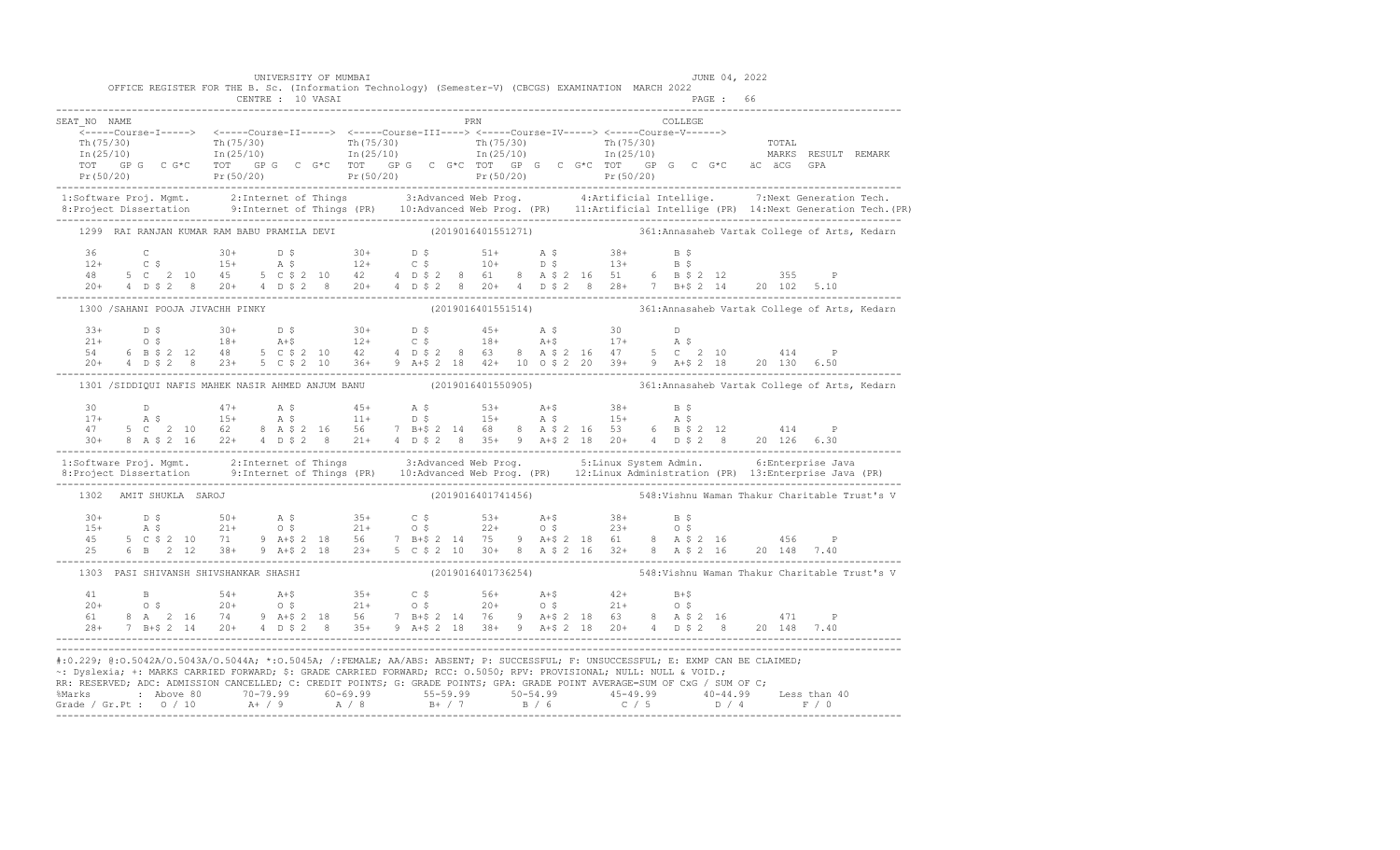|                                       | UNIVERSITY OF MUMBAI              | OFFICE REGISTER FOR THE B. Sc. (Information Technology) (Semester-V) (CBCGS) EXAMINATION MARCH 2022 |                                                                                                                                                                                                                                                                                                                                                                                                                                                                                                                                                      | JUNE 04, 2022                                                                                                                                                                                                                                                                                                                                                          |
|---------------------------------------|-----------------------------------|-----------------------------------------------------------------------------------------------------|------------------------------------------------------------------------------------------------------------------------------------------------------------------------------------------------------------------------------------------------------------------------------------------------------------------------------------------------------------------------------------------------------------------------------------------------------------------------------------------------------------------------------------------------------|------------------------------------------------------------------------------------------------------------------------------------------------------------------------------------------------------------------------------------------------------------------------------------------------------------------------------------------------------------------------|
|                                       |                                   |                                                                                                     |                                                                                                                                                                                                                                                                                                                                                                                                                                                                                                                                                      |                                                                                                                                                                                                                                                                                                                                                                        |
| SEAT NO NAME                          |                                   | PRN                                                                                                 | COLLEGE                                                                                                                                                                                                                                                                                                                                                                                                                                                                                                                                              |                                                                                                                                                                                                                                                                                                                                                                        |
|                                       |                                   |                                                                                                     | $\begin{array}{cccccccccc} \texttt{Th(75/30)} & & & & & & \texttt{Th(75/30)} & & & & \texttt{Th(75/30)} & & & & \texttt{Th(75/30)} & & & \texttt{Th(75/30)} & & & \texttt{Th(75/30)} & & & \texttt{Th(75/30)} & & & \texttt{Th(75/30)} & & & \texttt{Th(75/30)} & & & \texttt{Th(75/30)} & & & \texttt{Th(75/30)} & & & \texttt{Th(75/30)} & & & \texttt{Th(75/30)} & & & \texttt{Th(75/30$                                                                                                                                                          |                                                                                                                                                                                                                                                                                                                                                                        |
|                                       |                                   |                                                                                                     |                                                                                                                                                                                                                                                                                                                                                                                                                                                                                                                                                      | 1:Software Proj. Mgmt. 2:Internet of Things 3:Advanced Web Prog. 4:Artificial Intellige. 7:Next Generation Tech.<br>8:Project Dissertation 9:Internet of Things (PR) 10:Advanced Web Prog. (PR) 11:Artificial Intellige (PR) 14:N                                                                                                                                      |
|                                       |                                   |                                                                                                     | 1299 RAI RANJAN KUMAR RAM BABU PRAMILA DEVI (2019016401551271) 361:Annasaheb Vartak College of Arts, Kedarn                                                                                                                                                                                                                                                                                                                                                                                                                                          |                                                                                                                                                                                                                                                                                                                                                                        |
|                                       |                                   |                                                                                                     |                                                                                                                                                                                                                                                                                                                                                                                                                                                                                                                                                      |                                                                                                                                                                                                                                                                                                                                                                        |
|                                       | 1300 / SAHANI POOJA JIVACHH PINKY |                                                                                                     | (2019016401551514) 361: Annasaheb Vartak College of Arts, Kedarn                                                                                                                                                                                                                                                                                                                                                                                                                                                                                     |                                                                                                                                                                                                                                                                                                                                                                        |
|                                       |                                   |                                                                                                     | $\begin{array}{cccccccccccc} 33+ & & D & \xi & & 30+ & D & \xi & & 30+ & D & \xi & & 45+ & A & \xi & & 30 & & D \\ 21+ & & O & \xi & & 18+ & & A+\xi & & 12+ & C & \xi & & 18+ & A+\xi & & 17+ & A & \xi \\ 54 & & 6 & B & \xi & 2 & 12 & 48 & 5 & C & \xi & 2 & 10 & 42 & 4 & D & \xi & 2 & 8 & 63 & 8 & A & \xi & 2 & 16 & 47 & 5 & C & 2 & 10 & & 414 & P \\ 20+ &$                                                                                                                                                                               |                                                                                                                                                                                                                                                                                                                                                                        |
|                                       |                                   |                                                                                                     | 1301 /SIDDIQUI NAFIS MAHEK NASIR AHMED ANJUM BANU (2019016401550905) 361:Annasaheb Vartak College of Arts, Kedarn                                                                                                                                                                                                                                                                                                                                                                                                                                    |                                                                                                                                                                                                                                                                                                                                                                        |
|                                       |                                   |                                                                                                     | $\begin{array}{cccccccccccccccc} 30 & D & 47+ & A & S & 45+ & A & S & 53+ & A+5 & 38+ & B & S \\ 17+ & A & S & 15+ & A & S & 11+ & D & S & 15+ & A & S & 15+ & A & S \\ 47 & 5 & C & 2 & 10 & 62 & 8 & A & S & 2 & 16 & 56 & 7 & B+5 & 2 & 14 & 68 & 8 & A & S & 2 & 16 & 53 & 6 & B & S & 2 & 12 & 414 & P \\ 30+ & 8 & A & S & 2 & 16 & 22+ & 4 & D$                                                                                                                                                                                               |                                                                                                                                                                                                                                                                                                                                                                        |
|                                       |                                   |                                                                                                     | 1:Software Proj. Mgmt. 2:Internet of Things 3:Advanced Web Prog. 5:Linux System Admin. 6:Enterprise Java<br>8:Project Dissertation 9:Internet of Things (PR) 10:Advanced Web Prog. (PR) 12:Linux Administration (PR) 13:Enterpris                                                                                                                                                                                                                                                                                                                    |                                                                                                                                                                                                                                                                                                                                                                        |
| 1302 AMIT SHUKLA SAROJ                |                                   | (2019016401741456)                                                                                  |                                                                                                                                                                                                                                                                                                                                                                                                                                                                                                                                                      | 548:Vishnu Waman Thakur Charitable Trust's V                                                                                                                                                                                                                                                                                                                           |
|                                       |                                   |                                                                                                     |                                                                                                                                                                                                                                                                                                                                                                                                                                                                                                                                                      | $\begin{array}{cccccccccccccccc} 30+ & & D & \xi & & & 50+ & & A & \xi & & 35+ & & C & \xi & & 53+ & & A+ \xi & & 38+ & & B & \xi \\ 15+ & & A & \xi & & & 21+ & & 0 & \xi & & 21+ & 0 & \xi & & 22+ & 0 & \xi & & 23+ & 0 & \xi \\ 45 & & 5 & C & \xi & 2 & 10 & & 71 & 9 & A+ \xi & 2 & 18 & 56 & & 7 & B+ \xi & 2 & 14 & 75 & 9 & A+ \xi & 2 & 18 & 61 & 8 & A & \$ |
| 1303 PASI SHIVANSH SHIVSHANKAR SHASHI |                                   |                                                                                                     | (2019016401736254) 548: Vishnu Waman Thakur Charitable Trust's V                                                                                                                                                                                                                                                                                                                                                                                                                                                                                     |                                                                                                                                                                                                                                                                                                                                                                        |
|                                       |                                   |                                                                                                     |                                                                                                                                                                                                                                                                                                                                                                                                                                                                                                                                                      |                                                                                                                                                                                                                                                                                                                                                                        |
|                                       |                                   |                                                                                                     | #:0.229; @:0.5042A/0.5043A/0.5044A; *:0.5045A; /:FEMALE; AA/ABS: ABSENT; P: SUCCESSFUL; F: UNSUCCESSFUL; E: EXMP CAN BE CLAIMED;<br>~: Dyslexia; +: MARKS CARRIED FORWARD; \$: GRADE CARRIED FORWARD; RCC: 0.5050; RPV: PROVISIONAL; NULL: NULL & VOID.;<br>RR: RESERVED; ADC: ADMISSION CANCELLED; C: CREDIT POINTS; G: GRADE POINTS; GPA: GRADE POINT AVERAGE=SUM OF CxG / SUM OF C;<br>%Marks : Above 80 70-79.99 60-69.99 55-59.99 50-54.99 45-49.99 40-44.99 Less than 40<br>Grade / Gr.Pt : 0 / 10 A+ / 9 A / 8 B+ / 7 B / 6 C / 5 D / 4 F / 0 |                                                                                                                                                                                                                                                                                                                                                                        |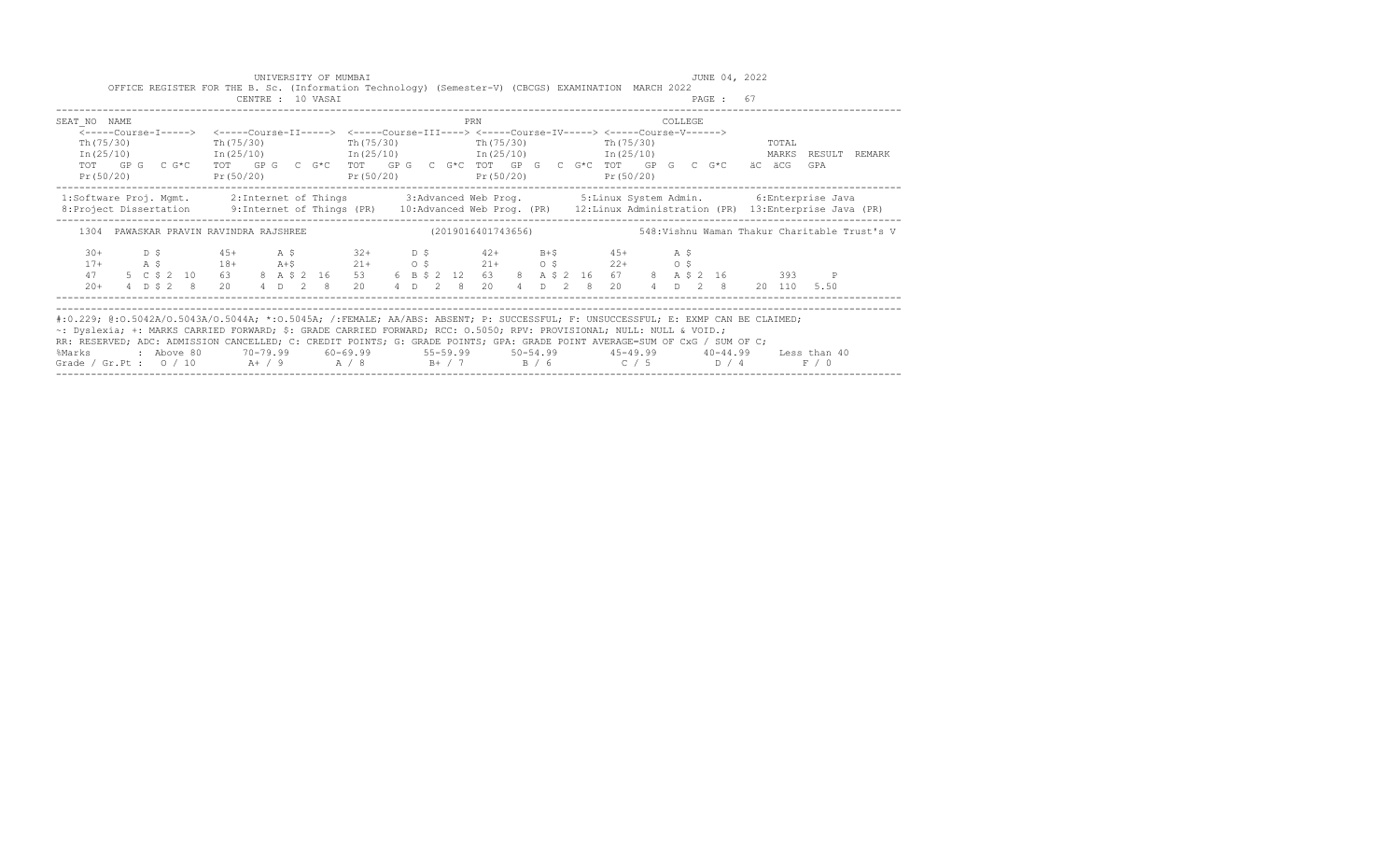|                                                                                                                                                                                                                                                                                                                                                                                                                                                                                                                                                |  |  |  |  | UNIVERSITY OF MUMBAI | OFFICE REGISTER FOR THE B. Sc. (Information Technology) (Semester-V) (CBCGS) EXAMINATION MARCH 2022                                                                                                                                             |  |  |     |  |  |  |         |           | JUNE 04, 2022 |       |       |                                                                                                         |
|------------------------------------------------------------------------------------------------------------------------------------------------------------------------------------------------------------------------------------------------------------------------------------------------------------------------------------------------------------------------------------------------------------------------------------------------------------------------------------------------------------------------------------------------|--|--|--|--|----------------------|-------------------------------------------------------------------------------------------------------------------------------------------------------------------------------------------------------------------------------------------------|--|--|-----|--|--|--|---------|-----------|---------------|-------|-------|---------------------------------------------------------------------------------------------------------|
|                                                                                                                                                                                                                                                                                                                                                                                                                                                                                                                                                |  |  |  |  | CENTRE : 10 VASAI    |                                                                                                                                                                                                                                                 |  |  |     |  |  |  |         | PAGE : 67 |               |       |       |                                                                                                         |
| SEAT NO NAME                                                                                                                                                                                                                                                                                                                                                                                                                                                                                                                                   |  |  |  |  |                      |                                                                                                                                                                                                                                                 |  |  | PRN |  |  |  | COLLEGE |           |               |       |       |                                                                                                         |
| Th (75/30)                                                                                                                                                                                                                                                                                                                                                                                                                                                                                                                                     |  |  |  |  |                      | <-----Course-I-----> <-----Course-II-----> <-----Course-III----> <-----Course-IV-----> <-----Course-V------><br>Th (75/30) Th (75/30) Th (75/30) Th (75/30) Th (75/30)                                                                          |  |  |     |  |  |  |         |           |               | TOTAL |       | In (25/10) 1n (25/10) 1n (25/10) 1n (25/10) 1n (25/10) 1n (25/10) 1n (25/10) 1n (25/10) 1n (25/10)      |
| Pr(50/20)                                                                                                                                                                                                                                                                                                                                                                                                                                                                                                                                      |  |  |  |  |                      | TOT GPG CG*C TOT GPG CG*C TOT GPG CG*C TOT GPG CG*C TOT GPG CG*C TOT GPG CG*C äC äCG GPA<br>$Pr(50/20)$ $Pr(50/20)$ $Pr(50/20)$ $Pr(50/20)$ $Pr(50/20)$                                                                                         |  |  |     |  |  |  |         |           |               |       |       |                                                                                                         |
| 1:Software Proj. Mgmt. 2:Internet of Things 3:Advanced Web Prog. 5:Linux System Admin. 6:Enterprise Java<br>8: Project Dissertation 9: Internet of Things (PR) 10: Advanced Web Prog. (PR) 12: Linux Administration (PR) 13: Enterprise Java (PR)                                                                                                                                                                                                                                                                                              |  |  |  |  |                      |                                                                                                                                                                                                                                                 |  |  |     |  |  |  |         |           |               |       |       |                                                                                                         |
|                                                                                                                                                                                                                                                                                                                                                                                                                                                                                                                                                |  |  |  |  |                      |                                                                                                                                                                                                                                                 |  |  |     |  |  |  |         |           |               |       |       | 1304 PAWASKAR PRAVIN RAVINDRA RAJSHREE (2019016401743656) 548: Vishnu Waman Thakur Charitable Trust's V |
| $30+$<br>$17+$<br>47                                                                                                                                                                                                                                                                                                                                                                                                                                                                                                                           |  |  |  |  |                      | D \$ 45+ A \$ 32+ D \$ 42+ B+\$ 45+ A \$<br>A \$ 18+ A+\$ 21+ 0 \$ 21+ 0 \$ 22+ 0 \$<br>5 C \$ 2 10 63 8 A \$ 2 16 53 6 B \$ 2 12 63 8 A \$ 2 16 67 8 A \$ 2 16 393 P<br>20+ 4 D \$ 2 8 20 4 D 2 8 20 4 D 2 8 20 4 D 2 8 20 4 D 2 8 20 110 5.50 |  |  |     |  |  |  |         |           |               |       |       |                                                                                                         |
| #:0.229; @:0.5042A/0.5043A/0.5044A; *:0.5045A; /:FEMALE; AA/ABS: ABSENT; P: SUCCESSFUL; F: UNSUCCESSFUL; E: EXMP CAN BE CLAIMED;<br>~: Dyslexia; +: MARKS CARRIED FORWARD; \$: GRADE CARRIED FORWARD; RCC: 0.5050; RPV: PROVISIONAL; NULL: NULL & VOID.;<br>RR: RESERVED; ADC: ADMISSION CANCELLED; C: CREDIT POINTS; G: GRADE POINTS; GPA: GRADE POINT AVERAGE=SUM OF CxG / SUM OF C;<br>%Marks : Above 80 70-79.99 60-69.99 55-59.99 50-54.99 45-49.99 40-44.99 Less than 40<br>Grade / Gr.Pt : $0/10$ A+ / 9 A / 8 B+ / 7 B / 6 C / 5 D / 4 |  |  |  |  |                      |                                                                                                                                                                                                                                                 |  |  |     |  |  |  |         |           |               |       | F / 0 |                                                                                                         |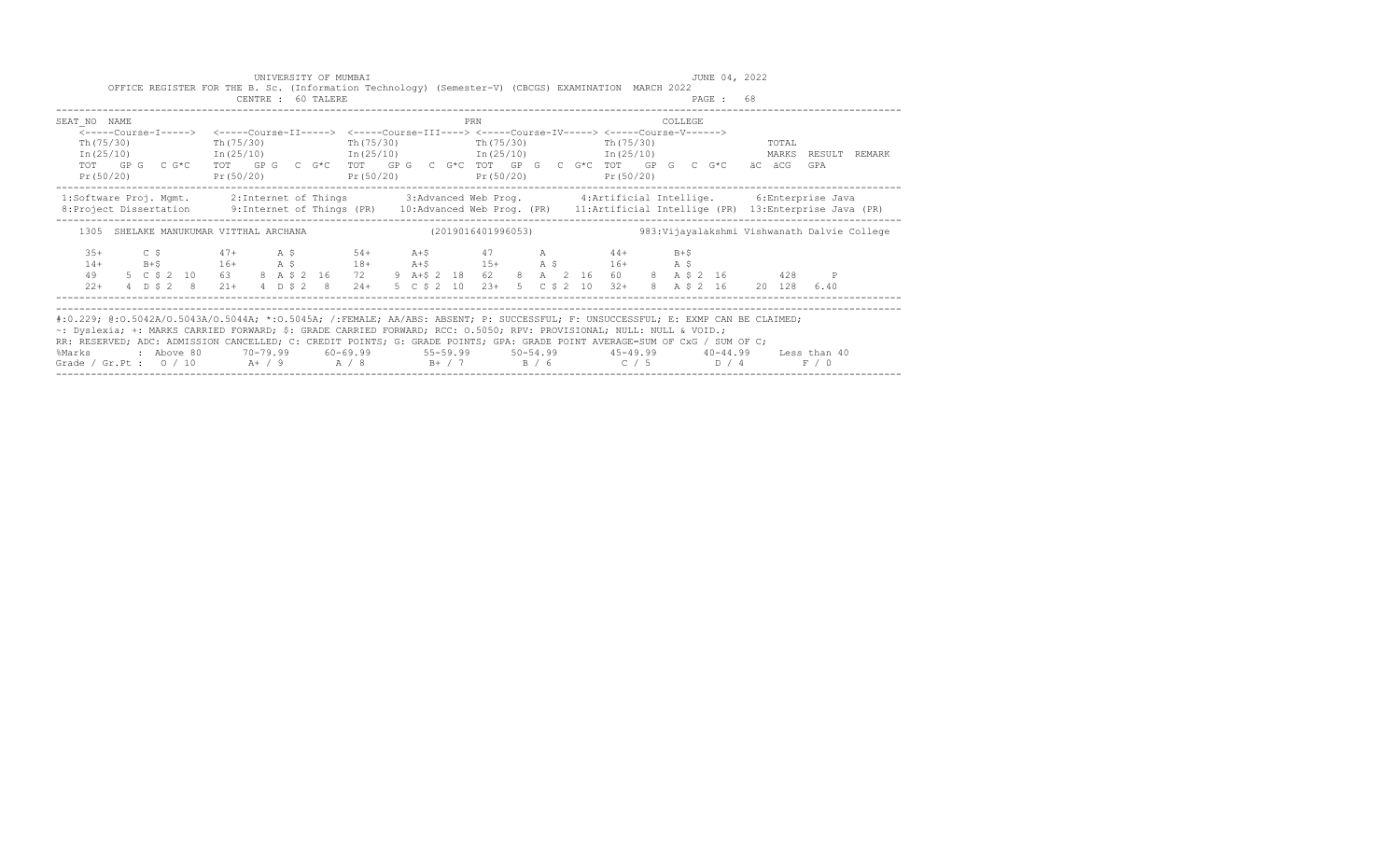|                                                                                                                                                                                                                                                                                                                                                                                                                                                                                                                                                |  |  |  |  |                    | UNIVERSITY OF MUMBAI<br>OFFICE REGISTER FOR THE B. Sc. (Information Technology) (Semester-V) (CBCGS) EXAMINATION MARCH 2022                                                                                                                                                                                                                                                        |  |  |     |  |  |  |         |           | JUNE 04, 2022 |       |       |  |
|------------------------------------------------------------------------------------------------------------------------------------------------------------------------------------------------------------------------------------------------------------------------------------------------------------------------------------------------------------------------------------------------------------------------------------------------------------------------------------------------------------------------------------------------|--|--|--|--|--------------------|------------------------------------------------------------------------------------------------------------------------------------------------------------------------------------------------------------------------------------------------------------------------------------------------------------------------------------------------------------------------------------|--|--|-----|--|--|--|---------|-----------|---------------|-------|-------|--|
|                                                                                                                                                                                                                                                                                                                                                                                                                                                                                                                                                |  |  |  |  | CENTRE : 60 TALERE |                                                                                                                                                                                                                                                                                                                                                                                    |  |  |     |  |  |  |         | PAGE : 68 |               |       |       |  |
| SEAT NO NAME                                                                                                                                                                                                                                                                                                                                                                                                                                                                                                                                   |  |  |  |  |                    |                                                                                                                                                                                                                                                                                                                                                                                    |  |  | PRN |  |  |  | COLLEGE |           |               |       |       |  |
| Th $(75/30)$                                                                                                                                                                                                                                                                                                                                                                                                                                                                                                                                   |  |  |  |  |                    | <-----Course-I-----> <-----Course-II-----> <-----Course-III----> <-----Course-IV-----> <-----Course-V------><br>Th (75/30) Th (75/30) Th (75/30) Th (75/30) Th (75/30)<br>In (25/10) 1n (25/10) 1n (25/10) 1n (25/10) 1n (25/10) 1n (25/10) 1n (25/10) 1n (25/10) 1n (25/10)                                                                                                       |  |  |     |  |  |  |         |           |               | TOTAL |       |  |
| Pr(50/20)                                                                                                                                                                                                                                                                                                                                                                                                                                                                                                                                      |  |  |  |  |                    | TOT GPG CG*C TOT GPG CG*C TOT GPG CG*C TOT GPG CG*C TOT GPG CG*C TOT GPG CG*C äCGG<br>$Pr(50/20)$ $Pr(50/20)$ $Pr(50/20)$ $Pr(50/20)$ $Pr(50/20)$                                                                                                                                                                                                                                  |  |  |     |  |  |  |         |           |               |       | GPA   |  |
| 1:Software Proj. Mgmt. 2:Internet of Things 3:Advanced Web Prog. 4:Artificial Intellige. 6:Enterprise Java<br>8: Project Dissertation 9: Internet of Things (PR) 10: Advanced Web Prog. (PR) 11: Artificial Intellige (PR) 13: Enterprise Java (PR)                                                                                                                                                                                                                                                                                            |  |  |  |  |                    |                                                                                                                                                                                                                                                                                                                                                                                    |  |  |     |  |  |  |         |           |               |       |       |  |
|                                                                                                                                                                                                                                                                                                                                                                                                                                                                                                                                                |  |  |  |  |                    | 1305 SHELAKE MANUKUMAR VITTHAL ARCHANA (2019016401996053) 303:Vijayalakshmi Vishwanath Dalvie College                                                                                                                                                                                                                                                                              |  |  |     |  |  |  |         |           |               |       |       |  |
| $3.5+$<br>$14+$<br>49<br>$2.2+$                                                                                                                                                                                                                                                                                                                                                                                                                                                                                                                |  |  |  |  |                    | $C$ $\begin{array}{cccccccccc} \xi & 47 + & \lambda & \xi & 54 + & \lambda + \xi & 47 & \lambda & 44 + & \lambda + \xi \end{array}$<br>B+\$ $16+$ $A \,$ \$ $18+$ $A+$ \$ $15+$ $A \,$ \$ $16+$ $A \,$ \$<br>5 C \$ 2 10 63 8 A \$ 2 16 72 9 A + \$ 2 18 62 8 A 2 16 60 8 A \$ 2 16 428 P<br>4 D \$ 2 8 21+ 4 D \$ 2 8 24+ 5 C \$ 2 10 23+ 5 C \$ 2 10 32+ 8 A \$ 2 16 20 128 6.40 |  |  |     |  |  |  |         |           |               |       |       |  |
| #:0.229; @:0.5042A/0.5043A/0.5044A; *:0.5045A; /:FEMALE; AA/ABS: ABSENT; P: SUCCESSFUL; F: UNSUCCESSFUL; E: EXMP CAN BE CLAIMED;<br>~: Dyslexia; +: MARKS CARRIED FORWARD; \$: GRADE CARRIED FORWARD; RCC: 0.5050; RPV: PROVISIONAL; NULL: NULL & VOID.;<br>RR: RESERVED; ADC: ADMISSION CANCELLED; C: CREDIT POINTS; G: GRADE POINTS; GPA: GRADE POINT AVERAGE=SUM OF CxG / SUM OF C;<br>%Marks : Above 80 70-79.99 60-69.99 55-59.99 50-54.99 45-49.99 40-44.99 Less than 40<br>Grade / Gr.Pt : $0/10$ A+ / 9 A / 8 B+ / 7 B / 6 C / 5 D / 4 |  |  |  |  |                    |                                                                                                                                                                                                                                                                                                                                                                                    |  |  |     |  |  |  |         |           |               |       | F / 0 |  |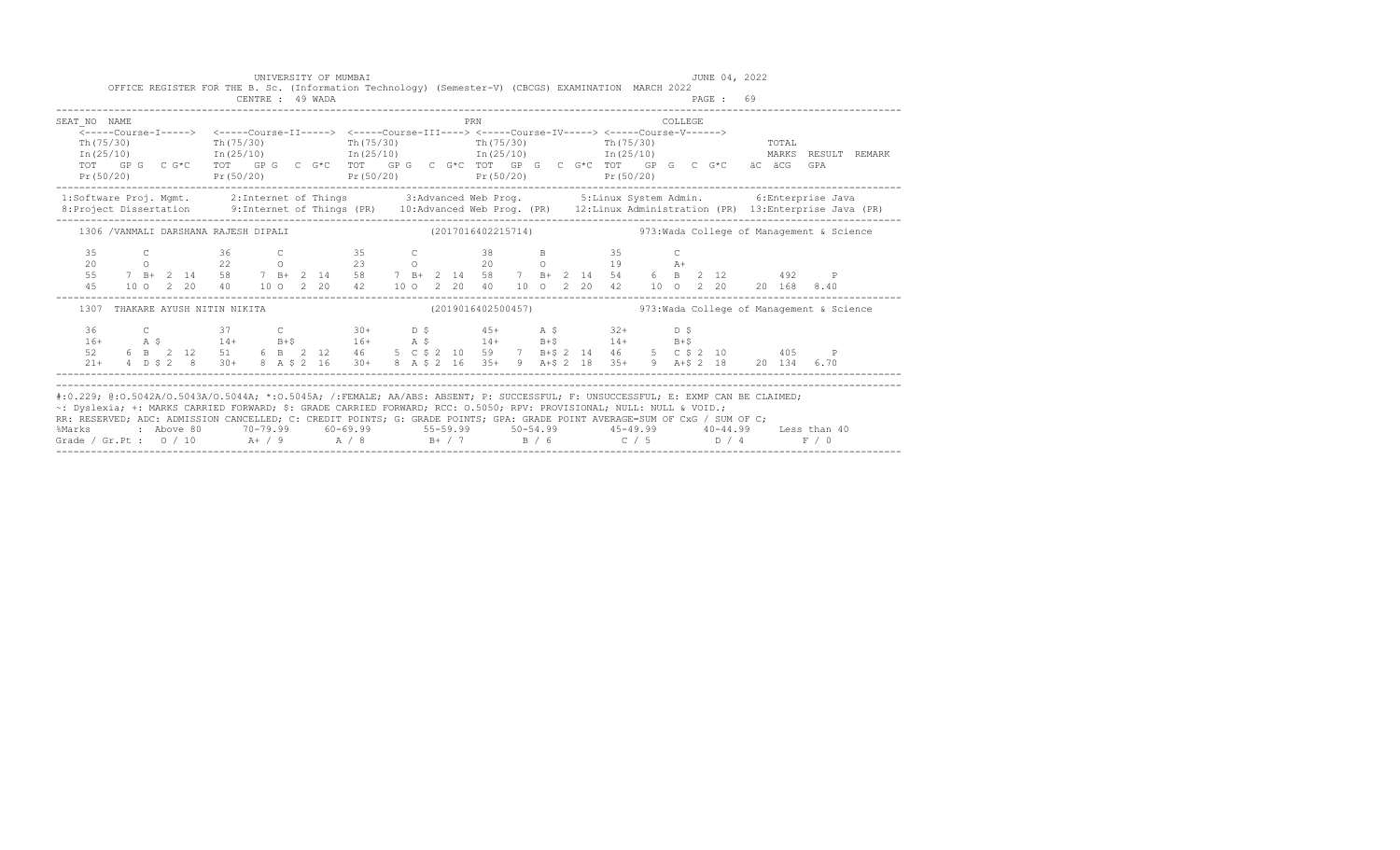|                                                                                                                                                                                                                                                                                                                                                                                        |  |  |                                                                                                                                                                                                                                                                                                                                |  | UNIVERSITY OF MUMBAI |  |  |     |  |  |  |         | JUNE 04, 2022 |  |       |                                                               |  |
|----------------------------------------------------------------------------------------------------------------------------------------------------------------------------------------------------------------------------------------------------------------------------------------------------------------------------------------------------------------------------------------|--|--|--------------------------------------------------------------------------------------------------------------------------------------------------------------------------------------------------------------------------------------------------------------------------------------------------------------------------------|--|----------------------|--|--|-----|--|--|--|---------|---------------|--|-------|---------------------------------------------------------------|--|
|                                                                                                                                                                                                                                                                                                                                                                                        |  |  | OFFICE REGISTER FOR THE B. Sc. (Information Technology) (Semester-V) (CBCGS) EXAMINATION MARCH 2022                                                                                                                                                                                                                            |  | CENTRE : 49 WADA     |  |  |     |  |  |  |         | PAGE: 69      |  |       |                                                               |  |
| SEAT NO NAME                                                                                                                                                                                                                                                                                                                                                                           |  |  |                                                                                                                                                                                                                                                                                                                                |  |                      |  |  | PRN |  |  |  | COLLEGE |               |  |       |                                                               |  |
|                                                                                                                                                                                                                                                                                                                                                                                        |  |  | <-----Course-I-----> <-----Course-II-----> <-----Course-III----> <-----Course-IV-----> <-----Course-V------>                                                                                                                                                                                                                   |  |                      |  |  |     |  |  |  |         |               |  |       |                                                               |  |
| Th (75/30)                                                                                                                                                                                                                                                                                                                                                                             |  |  | Th (75/30) Th (75/30) Th (75/30) Th (75/30) Th (75/30) Th (75/30)<br>$\text{In (25/10)}$ $\text{In (25/10)}$ $\text{In (25/10)}$ $\text{In (25/10)}$ $\text{In (25/10)}$ $\text{In (25/11)}$ $\text{MARKS}$ RESULT REMARK                                                                                                      |  |                      |  |  |     |  |  |  |         |               |  |       |                                                               |  |
|                                                                                                                                                                                                                                                                                                                                                                                        |  |  | TOT GPG CG*C TOT GPG CG*C TOT GPG CG*C TOT GPG CG*C TOT GPG CG*C FOT GPG CG*C äC äCG GPA                                                                                                                                                                                                                                       |  |                      |  |  |     |  |  |  |         |               |  |       |                                                               |  |
|                                                                                                                                                                                                                                                                                                                                                                                        |  |  | $Pr(50/20)$ $Pr(50/20)$ $Pr(50/20)$ $Pr(50/20)$ $Pr(50/20)$ $Pr(50/20)$                                                                                                                                                                                                                                                        |  |                      |  |  |     |  |  |  |         |               |  |       |                                                               |  |
| 1:Software Proj. Mgmt. 2:Internet of Things 3:Advanced Web Prog. 5:Linux System Admin. 6:Enterprise Java                                                                                                                                                                                                                                                                               |  |  |                                                                                                                                                                                                                                                                                                                                |  |                      |  |  |     |  |  |  |         |               |  |       |                                                               |  |
| 8: Project Dissertation 9: Internet of Things (PR) 10: Advanced Web Prog. (PR) 12: Linux Administration (PR) 13: Enterprise Java (PR)                                                                                                                                                                                                                                                  |  |  |                                                                                                                                                                                                                                                                                                                                |  |                      |  |  |     |  |  |  |         |               |  |       |                                                               |  |
|                                                                                                                                                                                                                                                                                                                                                                                        |  |  | 1306 /VANMALI DARSHANA RAJESH DIPALI (2017016402215714) 473: Wada College of Management & Science                                                                                                                                                                                                                              |  |                      |  |  |     |  |  |  |         |               |  |       |                                                               |  |
|                                                                                                                                                                                                                                                                                                                                                                                        |  |  |                                                                                                                                                                                                                                                                                                                                |  |                      |  |  |     |  |  |  |         |               |  |       |                                                               |  |
|                                                                                                                                                                                                                                                                                                                                                                                        |  |  | $\begin{array}{cccccccccccccccc} 35 & C & 36 & C & 35 & C & 38 & B & 35 & C \\ 20 & 0 & 22 & 0 & 23 & 0 & 20 & 0 & 19 & A+ \\ 55 & 7 & B+ & 2 & 14 & 58 & 7 & B+ & 2 & 14 & 58 & 7 & B+ & 2 & 14 & 54 & 6 & B & 2 & 12 & 492 & P \\ 45 & 10 & 0 & 2 & 20 & 40 & 10 & 0 & 2 & 20 & 42 & 10 & 0 & 2 & 20 & 40 & 10 & 0 & 2 & 20$ |  |                      |  |  |     |  |  |  |         |               |  |       |                                                               |  |
|                                                                                                                                                                                                                                                                                                                                                                                        |  |  |                                                                                                                                                                                                                                                                                                                                |  |                      |  |  |     |  |  |  |         |               |  |       |                                                               |  |
|                                                                                                                                                                                                                                                                                                                                                                                        |  |  |                                                                                                                                                                                                                                                                                                                                |  |                      |  |  |     |  |  |  |         |               |  |       |                                                               |  |
| 1307                                                                                                                                                                                                                                                                                                                                                                                   |  |  | THAKARE AYUSH NITIN NIKITA                                                                                                                                                                                                                                                                                                     |  |                      |  |  |     |  |  |  |         |               |  |       | (2019016402500457)  973: Wada College of Management & Science |  |
| 36                                                                                                                                                                                                                                                                                                                                                                                     |  |  |                                                                                                                                                                                                                                                                                                                                |  |                      |  |  |     |  |  |  |         |               |  |       |                                                               |  |
| $16+$                                                                                                                                                                                                                                                                                                                                                                                  |  |  | C 37 C 30+ D \$ 45+ A \$ 32+ D \$<br>A \$ 14+ B+\$ 16+ A \$ 14+ B+\$ 14+ B+\$<br>6 B 2 12 51 6 B 2 12 46 5 C \$ 2 10 59 7 B+\$ 2 14 46 5 C \$ 2 10 405 P                                                                                                                                                                       |  |                      |  |  |     |  |  |  |         |               |  |       |                                                               |  |
| 52                                                                                                                                                                                                                                                                                                                                                                                     |  |  |                                                                                                                                                                                                                                                                                                                                |  |                      |  |  |     |  |  |  |         |               |  |       |                                                               |  |
|                                                                                                                                                                                                                                                                                                                                                                                        |  |  | 21+ 4 D \$ 2 8 30+ 8 A \$ 2 16 30+ 8 A \$ 2 16 35+ 9 A + \$ 2 18 35+ 9 A + \$ 2 18 20 134 6.70                                                                                                                                                                                                                                 |  |                      |  |  |     |  |  |  |         |               |  |       |                                                               |  |
|                                                                                                                                                                                                                                                                                                                                                                                        |  |  |                                                                                                                                                                                                                                                                                                                                |  |                      |  |  |     |  |  |  |         |               |  |       |                                                               |  |
| #:0.229; @:0.5042A/0.5043A/0.5044A; *:0.5045A; /:FEMALE; AA/ABS: ABSENT; P: SUCCESSFUL; F: UNSUCCESSFUL; E: EXMP CAN BE CLAIMED;<br>~: Dyslexia; +: MARKS CARRIED FORWARD; \$: GRADE CARRIED FORWARD; RCC: 0.5050; RPV: PROVISIONAL; NULL: NULL & VOID.;<br>RR: RESERVED; ADC: ADMISSION CANCELLED; C: CREDIT POINTS; G: GRADE POINTS; GPA: GRADE POINT AVERAGE=SUM OF CxG / SUM OF C; |  |  |                                                                                                                                                                                                                                                                                                                                |  |                      |  |  |     |  |  |  |         |               |  |       |                                                               |  |
| %Marks : Above 80 70-79.99 60-69.99 55-59.99 50-54.99 45-49.99 40-44.99 Less than 40                                                                                                                                                                                                                                                                                                   |  |  |                                                                                                                                                                                                                                                                                                                                |  |                      |  |  |     |  |  |  |         |               |  |       |                                                               |  |
| Grade / Gr.Pt : $0/10$ A + / 9 A / 8 B + / 7 B / 6 C / 5 D / 4                                                                                                                                                                                                                                                                                                                         |  |  |                                                                                                                                                                                                                                                                                                                                |  |                      |  |  |     |  |  |  |         |               |  | F / 0 |                                                               |  |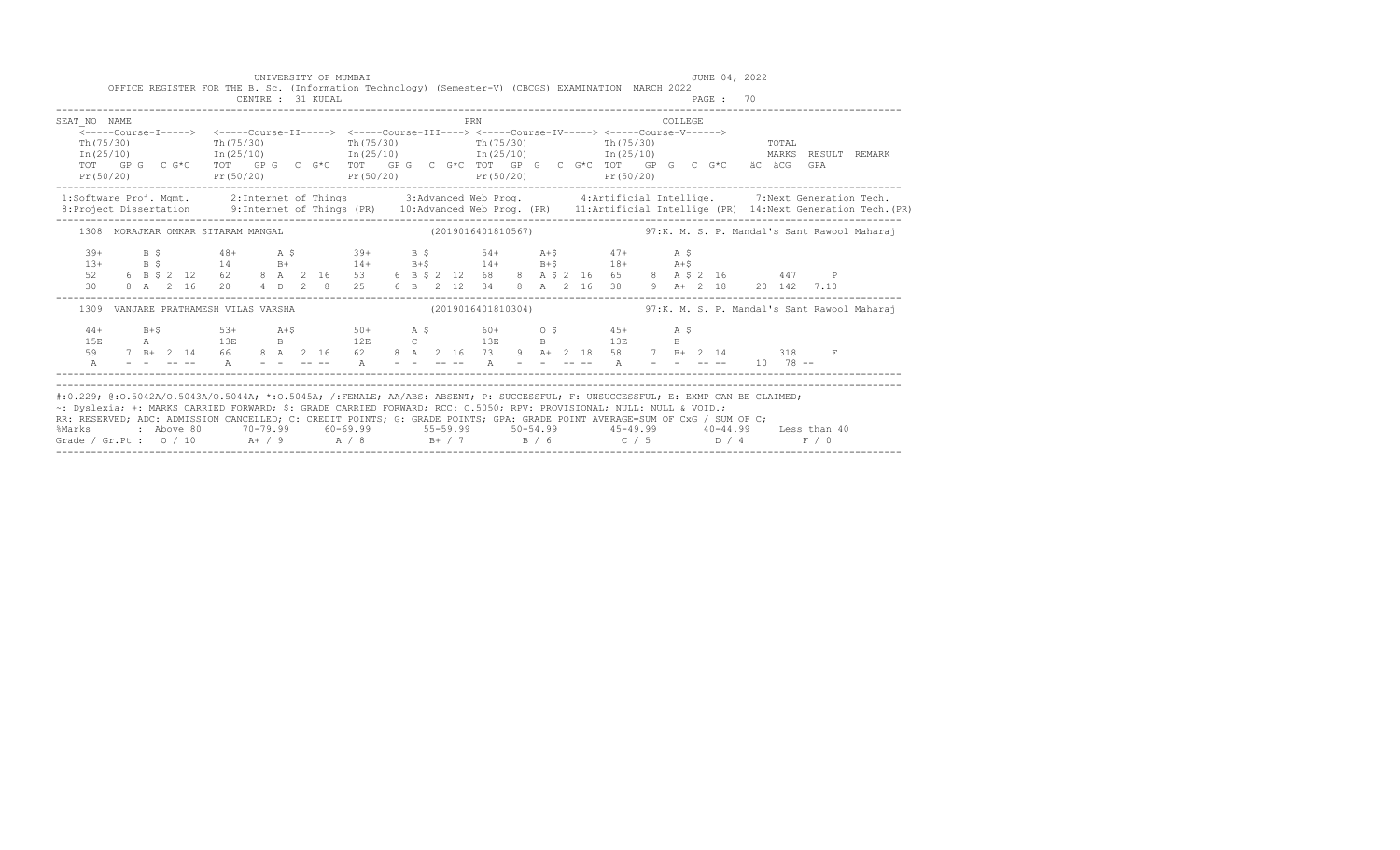| SEAT NO NAME<br>Pr(50/20)                                                                                                                                                                                                                                                                                                                                                                                                                                                                                                                            |  |  |  |  |  | <-----Course-I-----> <-----Course-II-----> <-----Course-III----> <-----Course-IV-----> <-----Course-V------><br>Th (75/30) Th (75/30) Th (75/30) Th (75/30) Th (75/30) Th (75/30) Th (75/30) Th (75/30)<br>$\text{In (25/10)}$ $\text{In (25/10)}$ $\text{In (25/10)}$ $\text{In (25/10)}$ $\text{In (25/10)}$ $\text{In (25/11)}$ $\text{MARKS}$ RESULT REMARK<br>TOT GPG CG*C TOT GPG CG*C TOT GPG CG*C TOT GPG CG*C TOT GPG CG*C & C&C & CGPA<br>$Pr(50/20)$ $Pr(50/20)$ $Pr(50/20)$ $Pr(50/20)$ |  |  | <b>PRN</b> |  |  |  | <b>COLLEGE</b> |  |  |             |                                                                                                                                             |
|------------------------------------------------------------------------------------------------------------------------------------------------------------------------------------------------------------------------------------------------------------------------------------------------------------------------------------------------------------------------------------------------------------------------------------------------------------------------------------------------------------------------------------------------------|--|--|--|--|--|-----------------------------------------------------------------------------------------------------------------------------------------------------------------------------------------------------------------------------------------------------------------------------------------------------------------------------------------------------------------------------------------------------------------------------------------------------------------------------------------------------|--|--|------------|--|--|--|----------------|--|--|-------------|---------------------------------------------------------------------------------------------------------------------------------------------|
| 1:Software Proj. Mgmt. 2:Internet of Things 3:Advanced Web Prog. 4:Artificial Intellige. 7:Next Generation Tech.                                                                                                                                                                                                                                                                                                                                                                                                                                     |  |  |  |  |  |                                                                                                                                                                                                                                                                                                                                                                                                                                                                                                     |  |  |            |  |  |  |                |  |  |             | 8: Project Dissertation 9: Internet of Things (PR) 10: Advanced Web Prog. (PR) 11: Artificial Intellige (PR) 14: Next Generation Tech. (PR) |
|                                                                                                                                                                                                                                                                                                                                                                                                                                                                                                                                                      |  |  |  |  |  | 1308 MORAJKAR OMKAR SITARAM MANGAL (2019016401810567) 57:K. M. S. P. Mandal's Sant Rawool Maharaj                                                                                                                                                                                                                                                                                                                                                                                                   |  |  |            |  |  |  |                |  |  |             |                                                                                                                                             |
| $39+$<br>$13+$                                                                                                                                                                                                                                                                                                                                                                                                                                                                                                                                       |  |  |  |  |  |                                                                                                                                                                                                                                                                                                                                                                                                                                                                                                     |  |  |            |  |  |  |                |  |  |             |                                                                                                                                             |
|                                                                                                                                                                                                                                                                                                                                                                                                                                                                                                                                                      |  |  |  |  |  | 1309 VANJARE PRATHAMESH VILAS VARSHA (2019016401810304) 97:K. M. S. P. Mandal's Sant Rawool Maharaj                                                                                                                                                                                                                                                                                                                                                                                                 |  |  |            |  |  |  |                |  |  |             |                                                                                                                                             |
|                                                                                                                                                                                                                                                                                                                                                                                                                                                                                                                                                      |  |  |  |  |  |                                                                                                                                                                                                                                                                                                                                                                                                                                                                                                     |  |  |            |  |  |  |                |  |  | $\mathbb F$ |                                                                                                                                             |
| #:0.229; @:0.5042A/0.5043A/0.5044A; *:0.5045A; /:FEMALE; AA/ABS: ABSENT; P: SUCCESSFUL; F: UNSUCCESSFUL; E: EXMP CAN BE CLAIMED;<br>~: Dyslexia; +: MARKS CARRIED FORWARD; \$: GRADE CARRIED FORWARD; RCC: 0.5050; RPV: PROVISIONAL; NULL: NULL & VOID.;<br>RR: RESERVED; ADC: ADMISSION CANCELLED; C: CREDIT POINTS; G: GRADE POINTS; GPA: GRADE POINT AVERAGE=SUM OF CxG / SUM OF C;<br>%Marks : Above 80 70-79.99 60-69.99 55-59.99 50-54.99 45-49.99 40-44.99 Less than 40<br>Grade / Gr.Pt : 0 / 10 A+ / 9 A / 8 B+ / 7 B / 6 C / 5 D / 4 F / 0 |  |  |  |  |  |                                                                                                                                                                                                                                                                                                                                                                                                                                                                                                     |  |  |            |  |  |  |                |  |  |             |                                                                                                                                             |

UNIVERSITY OF MUMBAI **JUNE 04, 2022**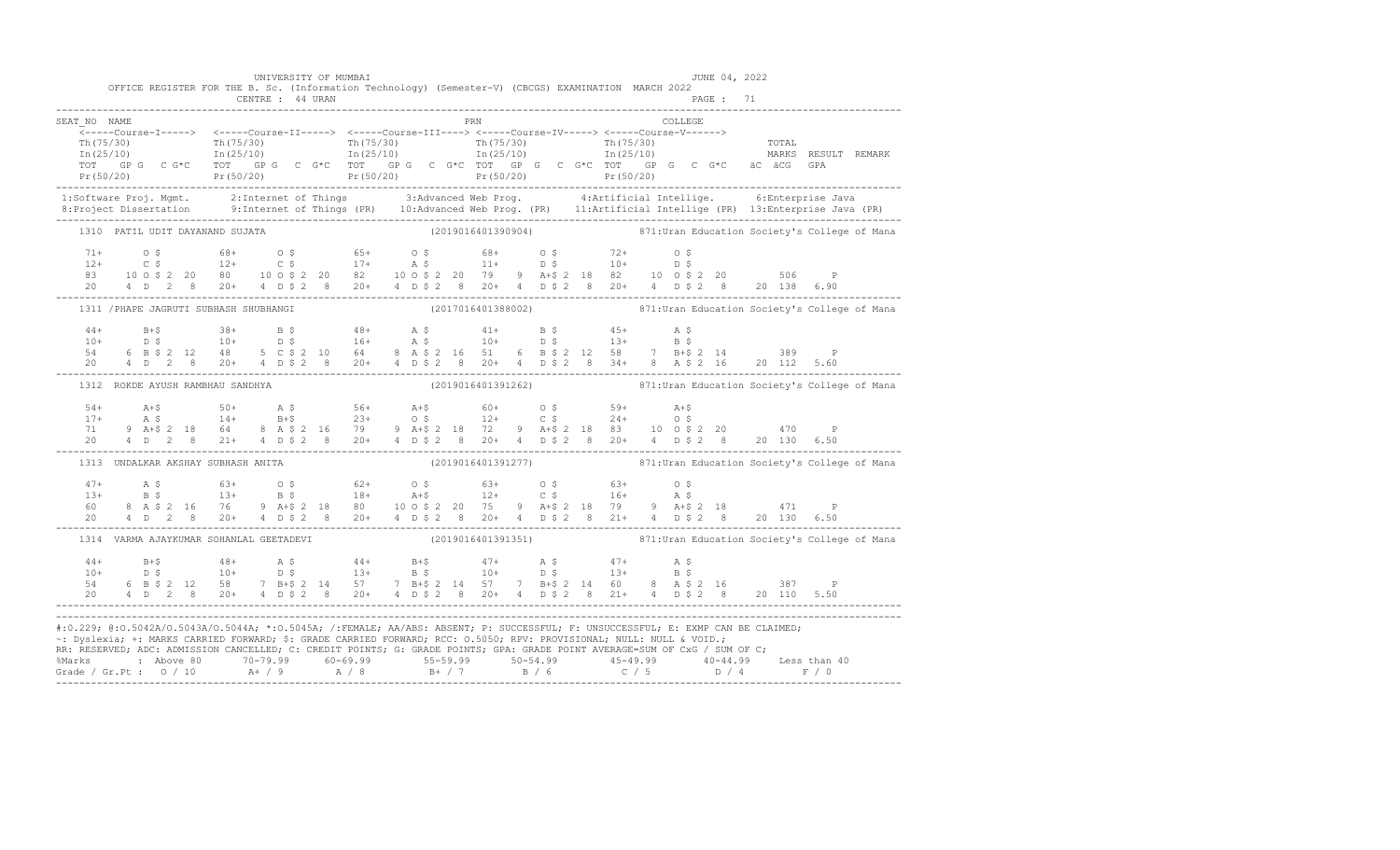|              | OFFICE REGISTER FOR THE B. Sc. (Information Technology) (Semester-V) (CBCGS) EXAMINATION MARCH 2022                  | CENTRE : 44 URAN | UNIVERSITY OF MUMBAI |  |     |  | JUNE 04, 2022<br>PAGE : 71                                                                                                                                                                                                                                     |                                                                                                                                                                                                                                                                                                                                                                                                                                                 |
|--------------|----------------------------------------------------------------------------------------------------------------------|------------------|----------------------|--|-----|--|----------------------------------------------------------------------------------------------------------------------------------------------------------------------------------------------------------------------------------------------------------------|-------------------------------------------------------------------------------------------------------------------------------------------------------------------------------------------------------------------------------------------------------------------------------------------------------------------------------------------------------------------------------------------------------------------------------------------------|
| SEAT NO NAME |                                                                                                                      |                  |                      |  | PRN |  | COLLEGE                                                                                                                                                                                                                                                        |                                                                                                                                                                                                                                                                                                                                                                                                                                                 |
|              |                                                                                                                      |                  |                      |  |     |  |                                                                                                                                                                                                                                                                |                                                                                                                                                                                                                                                                                                                                                                                                                                                 |
|              | 1310 PATIL UDIT DAYANAND SUJATA                                                                                      |                  |                      |  |     |  |                                                                                                                                                                                                                                                                | (2019016401390904) 871: Uran Education Society's College of Mana                                                                                                                                                                                                                                                                                                                                                                                |
|              |                                                                                                                      |                  |                      |  |     |  |                                                                                                                                                                                                                                                                |                                                                                                                                                                                                                                                                                                                                                                                                                                                 |
|              | 1311 / PHAPE JAGRUTI SUBHASH SHUBHANGI                                                                               |                  |                      |  |     |  |                                                                                                                                                                                                                                                                | (2017016401388002) 371:Uran Education Society's College of Mana                                                                                                                                                                                                                                                                                                                                                                                 |
|              |                                                                                                                      |                  |                      |  |     |  |                                                                                                                                                                                                                                                                | $\begin{array}{cccccccccccccccc} 44+ & & & & 8+ & & & 38+ & & B & \xi & & & 48+ & & A & \xi & & & 41+ & & B & \xi & & & 45+ & & A & \xi \\ 10+ & & & & 0 & \xi & & & 10+ & & D & \xi & & & 16+ & & A & \xi & & & 10+ & & D & \xi & & & 13+ & & B & \xi \\ 54 & & 6 & B & \xi & 2 & 12 & 48 & & 5 & C & \xi & 2 & 10 & 64 & & 8 & A & \xi & 2 & 16 & 51 & 6 & B & \xi & 2 & 12 & $                                                               |
|              | 1312 ROKDE AYUSH RAMBHAU SANDHYA                                                                                     |                  |                      |  |     |  |                                                                                                                                                                                                                                                                | (2019016401391262) 871: Uran Education Society's College of Mana                                                                                                                                                                                                                                                                                                                                                                                |
|              |                                                                                                                      |                  |                      |  |     |  |                                                                                                                                                                                                                                                                |                                                                                                                                                                                                                                                                                                                                                                                                                                                 |
|              | 1313 UNDALKAR AKSHAY SUBHASH ANITA                                                                                   |                  |                      |  |     |  |                                                                                                                                                                                                                                                                | (2019016401391277) 871: Uran Education Society's College of Mana                                                                                                                                                                                                                                                                                                                                                                                |
|              |                                                                                                                      |                  |                      |  |     |  |                                                                                                                                                                                                                                                                | $\begin{array}{lllllllllllll} 47+ & \quad \text{A}\ \ \$ & \quad \text{63+} & \quad \text{0}\ \ \$ & \quad \text{63+} & \quad \text{0}\ \ \$ & \quad \text{63+} & \quad \text{64+} & \quad \text{65+} & \quad \text{66+} & \quad \text{67+} & \quad \text{68+} \\ 13+ & \quad \text{B}\ \ \$ & \quad \text{13+} & \quad \text{B}\ \ \$ & \quad \text{18+} & \quad \text{A+}\$ & \quad \text{12+} & \quad \text{C}\ \ \$ & \quad \text{16+} & \$ |
|              | 1314 VARMA AJAYKUMAR SOHANLAL GEETADEVI                                                                              |                  |                      |  |     |  |                                                                                                                                                                                                                                                                | (2019016401391351) 871: Uran Education Society's College of Mana                                                                                                                                                                                                                                                                                                                                                                                |
|              |                                                                                                                      |                  |                      |  |     |  | 20 4 D 2 8 20 + 4 D \$ 2 8 20 + 4 D \$ 2 8 20 + 4 D \$ 2 8 21 + 4 D \$ 2 8 20 110 5.50                                                                                                                                                                         |                                                                                                                                                                                                                                                                                                                                                                                                                                                 |
|              | ~: Dyslexia; +: MARKS CARRIED FORWARD; \$: GRADE CARRIED FORWARD; RCC: 0.5050; RPV: PROVISIONAL; NULL: NULL & VOID.; |                  |                      |  |     |  | #:0.229; @:0.5042A/0.5043A/0.5044A; *:0.5045A; /:FEMALE; AA/ABS: ABSENT; P: SUCCESSFUL; F: UNSUCCESSFUL; E: EXMP CAN BE CLAIMED;<br>RR: RESERVED; ADC: ADMISSION CANCELLED; C: CREDIT POINTS; G: GRADE POINTS; GPA: GRADE POINT AVERAGE=SUM OF CxG / SUM OF C; | %Marks : Above 80 70-79.99 60-69.99 55-59.99 50-54.99 45-49.99 40-44.99 Less than 40<br>Grade / Gr.Pt : 0 / 10 A+ / 9 A / 8 B+ / 7 B / 6 C / 5 D / 4 F / 0                                                                                                                                                                                                                                                                                      |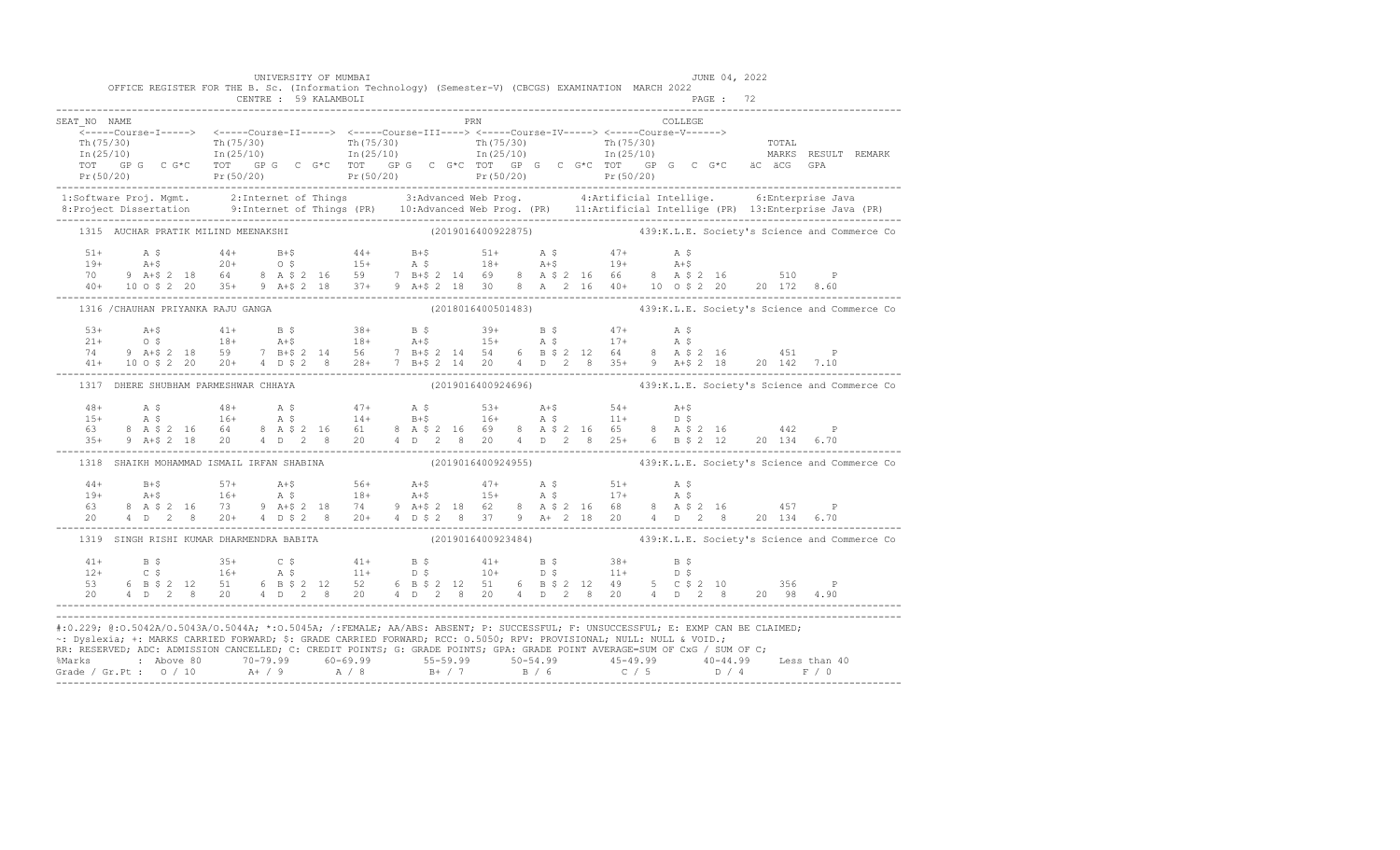|                                      | UNIVERSITY OF MUMBAI<br>OFFICE REGISTER FOR THE B. Sc. (Information Technology) (Semester-V) (CBCGS) EXAMINATION MARCH 2022                                                                                                                                                                                                                                                                                                                                                                                                                           |                                                                 | JUNE 04, 2022                                                        |  |
|--------------------------------------|-------------------------------------------------------------------------------------------------------------------------------------------------------------------------------------------------------------------------------------------------------------------------------------------------------------------------------------------------------------------------------------------------------------------------------------------------------------------------------------------------------------------------------------------------------|-----------------------------------------------------------------|----------------------------------------------------------------------|--|
| SEAT NO NAME                         | ------Ourse-1-----> <-----Course-11-----> <-----Course-11-----> <-----Course-10------> <-----Course-V------> Th(75/30)<br>Th(75/30) Th(75/30) Th(75/30) Th(75/30) Th(75/30) Th(75/30) Th(75/30) Th(75/30) Th(75/30) Th(75/30) T                                                                                                                                                                                                                                                                                                                       | <b>PRN</b>                                                      | COLLEGE                                                              |  |
|                                      |                                                                                                                                                                                                                                                                                                                                                                                                                                                                                                                                                       |                                                                 |                                                                      |  |
| 1315 AUCHAR PRATIK MILIND MEENAKSHI  |                                                                                                                                                                                                                                                                                                                                                                                                                                                                                                                                                       |                                                                 | (2019016400922875) 439:K.L.E. Society's Science and Commerce Co      |  |
|                                      | $\begin{array}{lllllllllll} 51+ & \quad\text{A $ $\mathfrak{S}$} & \quad\text{44+} & \quad\text{B+$} & \quad\text{44+} & \quad\text{B+$} & \quad\text{51+} & \quad\text{A $ $\mathfrak{S}$} & \quad\text{47+} & \quad\text{A $ $\mathfrak{S}$} \\ 19+ & \quad\text{A+$} & \quad\text{20+} & \quad\text{0 $ $\mathfrak{S}$} & \quad\text{15+} & \quad\text{A $ $\mathfrak{S}$} & \quad\text{18+} & \quad\text{A+$} & \quad\text{19+$                                                                                                                   |                                                                 |                                                                      |  |
|                                      | 1316 / CHAUHAN PRIYANKA RAJU GANGA                                                                                                                                                                                                                                                                                                                                                                                                                                                                                                                    |                                                                 | (2018016400501483) 439:K.L.E. Society's Science and Commerce Co      |  |
|                                      | $\begin{array}{lllllllllll} 53+ & \multicolumn{3}{c }{\textbf{A}}+5 & \multicolumn{3}{c }{\textbf{A}}+5 & \multicolumn{3}{c }{\textbf{A}}+5 & \multicolumn{3}{c }{\textbf{A}}+5 & \multicolumn{3}{c }{\textbf{A}}+5 & \multicolumn{3}{c }{\textbf{A}}+5 & \multicolumn{3}{c }{\textbf{A}}+5 & \multicolumn{3}{c }{\textbf{A}}+5 & \multicolumn{3}{c }{\textbf{A}}+5 & \multicolumn{3}{c }{\textbf{A}}+5 & \multicolumn{3}{c }{\textbf$                                                                                                                |                                                                 |                                                                      |  |
| 1317 DHERE SHUBHAM PARMESHWAR CHHAYA |                                                                                                                                                                                                                                                                                                                                                                                                                                                                                                                                                       |                                                                 | $(2019016400924696)$ $439:$ K.L.E. Society's Science and Commerce Co |  |
|                                      | $\begin{array}{cccccccccccc} 48+ & & {\rm A}\ \ \, & \mathbf{S} & & 48+ & & {\rm A}\ \ \, & \mathbf{S} & & 48+ & & {\rm A}\ \ \, & \mathbf{S} & & 16+ & & {\rm A}\ \ \, & \mathbf{S} & & 16+ & & {\rm A}\ \ \, & \mathbf{S} & & 16+ & & {\rm A}\ \ \, & \mathbf{S} & & 16+ & & {\rm A}\ \ \, & \mathbf{S} & & 16+ & & {\rm A}\ \ \, & \mathbf{S} & & 16+ & & {\rm A}\ \ \, & \mathbf{S} & & 16+ & & {\rm A}\ \ \,$                                                                                                                                    |                                                                 |                                                                      |  |
|                                      | 1318 SHAIKH MOHAMMAD ISMAIL IRFAN SHABINA                                                                                                                                                                                                                                                                                                                                                                                                                                                                                                             | (2019016400924955) 439:K.L.E. Society's Science and Commerce Co |                                                                      |  |
|                                      |                                                                                                                                                                                                                                                                                                                                                                                                                                                                                                                                                       |                                                                 |                                                                      |  |
|                                      | 1319 SINGH RISHI KUMAR DHARMENDRA BABITA                                                                                                                                                                                                                                                                                                                                                                                                                                                                                                              | (2019016400923484) 439:K.L.E. Society's Science and Commerce Co |                                                                      |  |
|                                      | $\begin{array}{cccccccccccccccc} 41+ & & B & \xi & & 35+ & & C & \xi & & 41+ & & B & \xi & & 41+ & & B & \xi & & 38+ & & B & \xi \\ 12+ & & C & \xi & & 16+ & & A & \xi & & 11+ & & D & \xi & & 10+ & & D & \xi & & 11+ & & D & \xi \\ 53 & & 6 & B & \xi & 2 & 12 & 51 & & 6 & B & \xi & 2 & 12 & 51 & & 6 & B & \xi & 2 & 12 & 49 & & 5 & C & \xi & 2 & 10 & & 356 & & P \\ 20$                                                                                                                                                                     |                                                                 |                                                                      |  |
|                                      | #:0.229; @:0.5042A/0.5043A/0.5044A; *:0.5045A; /:FEMALE; AA/ABS: ABSENT; P: SUCCESSFUL; F: UNSUCCESSFUL; E: EXMP CAN BE CLAIMED;<br>~: Dyslexia; +: MARKS CARRIED FORWARD; \$: GRADE CARRIED FORWARD; RCC: 0.5050; RPV: PROVISIONAL; NULL: NULL & VOID.;<br>RR: RESERVED, ADC: ADMISSION CANCELLED, C: CREDIT POINTS, G: GRADE POINTS, GPA: GRADE POINT AVERAGE=SUM OF CxG / SUM OF C;<br>% Marks : Above 80 70-79.99 60-69.99 55-59.99 50-54.99 45-49.99 40-44.99 Less than 40<br>Grade / Gr.Pt : 0 / 10 A+ / 9 A / 8 B+ / 7 B / 6 C / 5 D / 4 F / 0 |                                                                 |                                                                      |  |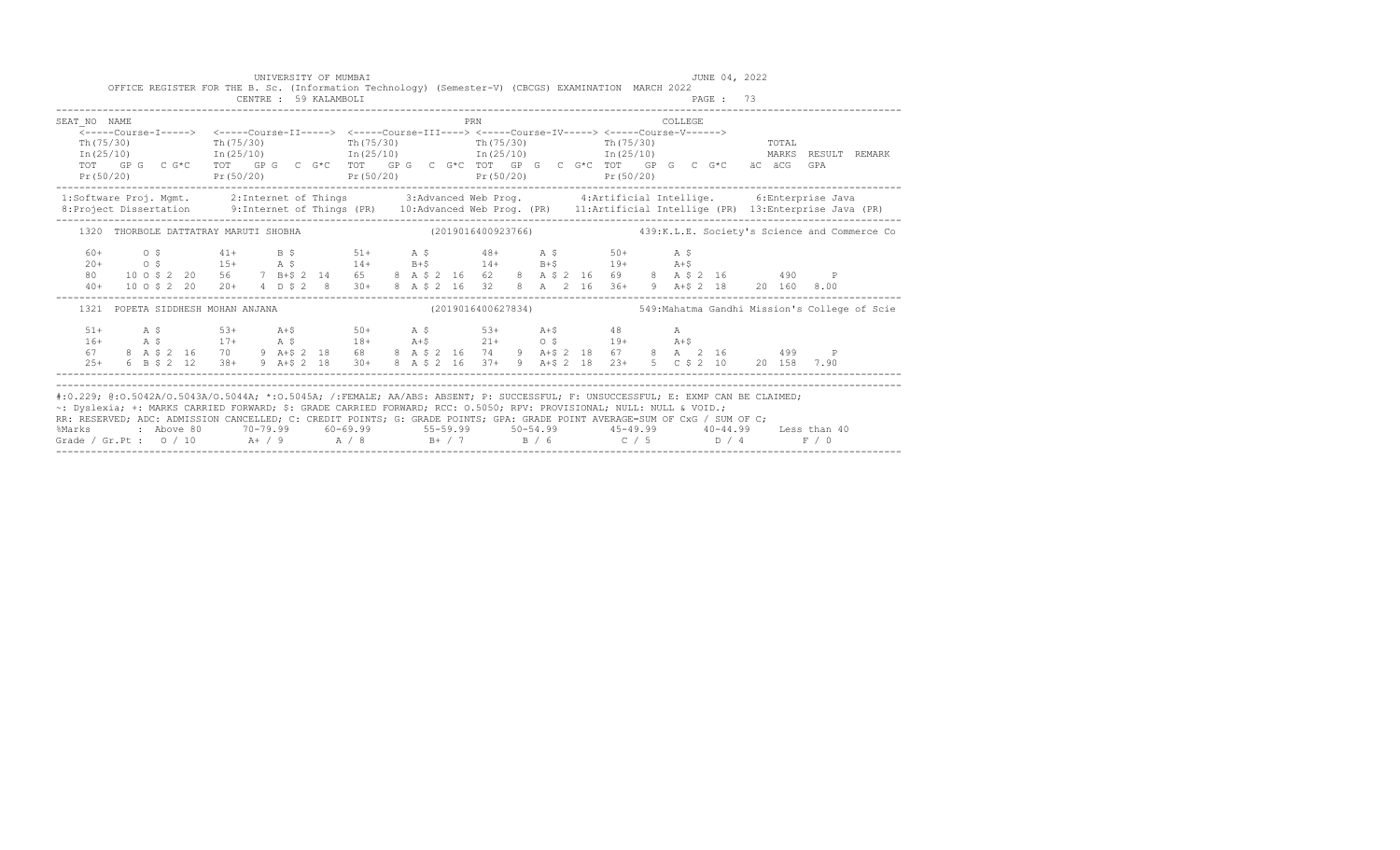|              |                                                                                                                                                                                                                                                                                                                                                                                        |                                                          | UNIVERSITY OF MUMBAI  |  |  |     |  |            |          | JUNE 04, 2022 |       |     |                                                                   |
|--------------|----------------------------------------------------------------------------------------------------------------------------------------------------------------------------------------------------------------------------------------------------------------------------------------------------------------------------------------------------------------------------------------|----------------------------------------------------------|-----------------------|--|--|-----|--|------------|----------|---------------|-------|-----|-------------------------------------------------------------------|
|              | OFFICE REGISTER FOR THE B. Sc. (Information Technology) (Semester-V) (CBCGS) EXAMINATION MARCH 2022                                                                                                                                                                                                                                                                                    |                                                          | CENTRE : 59 KALAMBOLI |  |  |     |  |            |          | PAGE: 73      |       |     |                                                                   |
| SEAT NO NAME |                                                                                                                                                                                                                                                                                                                                                                                        |                                                          |                       |  |  | PRN |  |            | COLLEGE. |               |       |     |                                                                   |
|              | <-----Course-I-----> <-----Course-II-----> <-----Course-III----> <-----Course-IV-----> <-----Course-V------>                                                                                                                                                                                                                                                                           |                                                          |                       |  |  |     |  |            |          |               |       |     |                                                                   |
| Th (75/30)   |                                                                                                                                                                                                                                                                                                                                                                                        | $\text{Th}(75/30)$ $\text{Th}(75/30)$ $\text{Th}(75/30)$ |                       |  |  |     |  | Th (75/30) |          |               | TOTAL |     |                                                                   |
|              | $\text{In (25/10)}$ $\text{In (25/10)}$ $\text{In (25/10)}$ $\text{In (25/10)}$ $\text{In (25/10)}$ $\text{MARKS}$ RESULT<br>TOT GPG CG*C TOT GPG CG*C TOT GPG CG*C TOT GPG CG*C TOT GPG CG*C äCäCG                                                                                                                                                                                    |                                                          |                       |  |  |     |  |            |          |               |       | GPA | <b>REMARK</b>                                                     |
|              | $Pr(50/20)$ $Pr(50/20)$ $Pr(50/20)$ $Pr(50/20)$ $Pr(50/20)$ $Pr(50/20)$                                                                                                                                                                                                                                                                                                                |                                                          |                       |  |  |     |  |            |          |               |       |     |                                                                   |
|              | 1:Software Proj. Mgmt. 2:Internet of Things 3:Advanced Web Prog. 4:Artificial Intellige. 6:Enterprise Java<br>8:Project Dissertation 9:Internet of Things (PR) 10:Advanced Web Prog. (PR) 11:Artificial Intellige (PR) 13:Enterpr                                                                                                                                                      |                                                          |                       |  |  |     |  |            |          |               |       |     |                                                                   |
|              |                                                                                                                                                                                                                                                                                                                                                                                        |                                                          |                       |  |  |     |  |            |          |               |       |     |                                                                   |
|              | 1320 THORBOLE DATTATRAY MARUTI SHOBHA (2019016400923766) 439:K.L.E. Society's Science and Commerce Co                                                                                                                                                                                                                                                                                  |                                                          |                       |  |  |     |  |            |          |               |       |     |                                                                   |
| $60+$        |                                                                                                                                                                                                                                                                                                                                                                                        |                                                          |                       |  |  |     |  |            |          |               |       |     |                                                                   |
|              | $20+$ 0.5 15+ 2.5 14+ 1+5 14+ 1+5 19+ 2.16<br>80 100\$2 20 56 7 B+\$2 14 65 8 A \$2 16 62 8 A \$2 16 69 8 A \$2 16 490                                                                                                                                                                                                                                                                 |                                                          |                       |  |  |     |  |            |          |               |       |     |                                                                   |
|              |                                                                                                                                                                                                                                                                                                                                                                                        |                                                          |                       |  |  |     |  |            |          |               |       | P   |                                                                   |
|              | 40+ 10 0 \$ 2 20 20+ 4 D \$ 2 8 30+ 8 A \$ 2 16 32 8 A 2 16 36+ 9 A + \$ 2 18 20 160 8.00                                                                                                                                                                                                                                                                                              |                                                          |                       |  |  |     |  |            |          |               |       |     |                                                                   |
|              | 1321 POPETA SIDDHESH MOHAN ANJANA                                                                                                                                                                                                                                                                                                                                                      |                                                          |                       |  |  |     |  |            |          |               |       |     | $(2019016400627834)$ 549:Mahatma Gandhi Mission's College of Scie |
| $51+$        | A \$53+ A+\$50+ A \$53+ A+\$48 A                                                                                                                                                                                                                                                                                                                                                       |                                                          |                       |  |  |     |  |            |          |               |       |     |                                                                   |
| $16+$        | A \$17+ A \$18+ A+\$21+ O \$19+ A+\$<br>8 A \$2 16 70 9 A+\$2 18 68 8 A \$2 16 74 9 A+\$2 18 67 8 A 2 16 499 P                                                                                                                                                                                                                                                                         |                                                          |                       |  |  |     |  |            |          |               |       |     |                                                                   |
| 67           |                                                                                                                                                                                                                                                                                                                                                                                        |                                                          |                       |  |  |     |  |            |          |               |       |     |                                                                   |
|              | 25+ 6 B \$ 2 12 38+ 9 A + \$ 2 18 30+ 8 A \$ 2 16 37+ 9 A + \$ 2 18 23+ 5 C \$ 2 10 20 158 7.90                                                                                                                                                                                                                                                                                        |                                                          |                       |  |  |     |  |            |          |               |       |     |                                                                   |
|              |                                                                                                                                                                                                                                                                                                                                                                                        |                                                          |                       |  |  |     |  |            |          |               |       |     |                                                                   |
|              | #:0.229; @:0.5042A/0.5043A/0.5044A; *:0.5045A; /:FEMALE; AA/ABS: ABSENT; P: SUCCESSFUL; F: UNSUCCESSFUL; E: EXMP CAN BE CLAIMED;<br>~: Dyslexia; +: MARKS CARRIED FORWARD; \$: GRADE CARRIED FORWARD; RCC: 0.5050; RPV: PROVISIONAL; NULL: NULL & VOID.;<br>RR: RESERVED; ADC: ADMISSION CANCELLED; C: CREDIT POINTS; G: GRADE POINTS; GPA: GRADE POINT AVERAGE=SUM OF CxG / SUM OF C; |                                                          |                       |  |  |     |  |            |          |               |       |     |                                                                   |
|              | %Marks : Above 80 70-79.99 60-69.99 55-59.99 50-54.99 45-49.99 40-44.99 Less than 40                                                                                                                                                                                                                                                                                                   |                                                          |                       |  |  |     |  |            |          |               |       |     |                                                                   |
|              | Grade / Gr.Pt : 0 / 10 $A + / 9$ $A / 8$ $B + / 7$ $B / 6$ $C / 5$ $D / 4$ $F / 0$                                                                                                                                                                                                                                                                                                     |                                                          |                       |  |  |     |  |            |          |               |       |     |                                                                   |
|              |                                                                                                                                                                                                                                                                                                                                                                                        |                                                          |                       |  |  |     |  |            |          |               |       |     |                                                                   |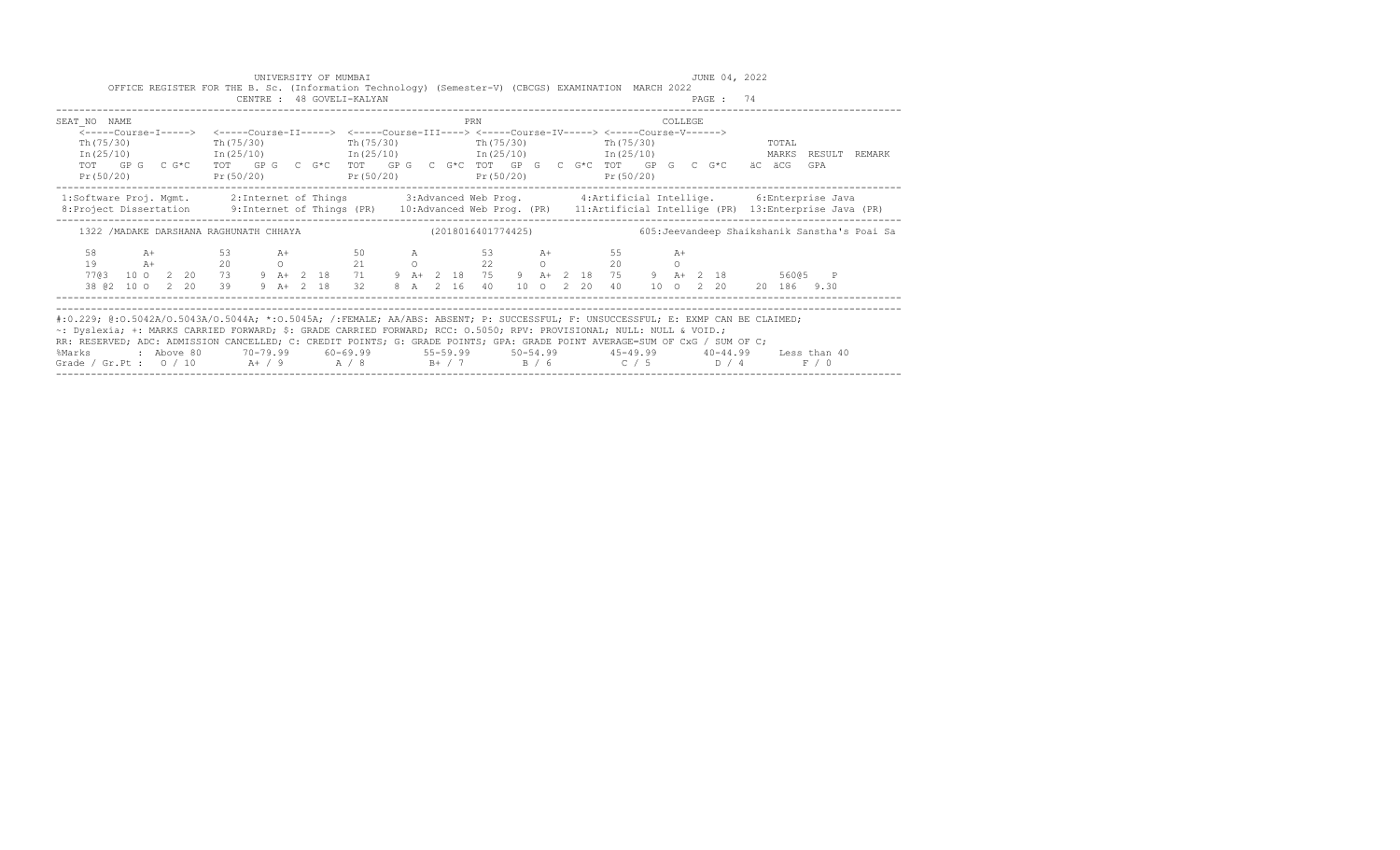|                                       | UNIVERSITY OF MUMBAI<br>CENTRE : 48 GOVELI-KALYAN | OFFICE REGISTER FOR THE B. Sc. (Information Technology) (Semester-V) (CBCGS) EXAMINATION MARCH 2022                                                                                                                         | JUNE 04, 2022<br>PAGE: 74                                                                                                                                                                                                                                                                                                                                                                                              |
|---------------------------------------|---------------------------------------------------|-----------------------------------------------------------------------------------------------------------------------------------------------------------------------------------------------------------------------------|------------------------------------------------------------------------------------------------------------------------------------------------------------------------------------------------------------------------------------------------------------------------------------------------------------------------------------------------------------------------------------------------------------------------|
| SEAT NO NAME<br>Th (75/30)            | Th (75/30)                                        | PRN<br><-----Course-I-----> <-----Course-II-----> <-----Course-III----> <-----Course-IV-----> <-----Course-V------><br>Th(75/30)<br>Th(75/30) Th(75/30)<br>$In (25/10)$ $In (25/10)$ $In (25/10)$ $In (25/10)$ $In (25/10)$ | COLLEGE<br>TOTAL<br>MARKS RESULT REMARK                                                                                                                                                                                                                                                                                                                                                                                |
| Pr(50/20)                             |                                                   | $Pr(50/20)$ $Pr(50/20)$ $Pr(50/20)$ $Pr(50/20)$                                                                                                                                                                             | TOT GPG C G*C TOT GPG C G*C TOT GPG C G*C TOT GPG C G*C TOT GPG C G*C äC äCG<br>GPA                                                                                                                                                                                                                                                                                                                                    |
|                                       |                                                   |                                                                                                                                                                                                                             | 1:Software Proj. Mgmt. 2:Internet of Things 3:Advanced Web Prog. 4:Artificial Intellige. 6:Enterprise Java<br>8: Project Dissertation 9: Internet of Things (PR) 10: Advanced Web Prog. (PR) 11: Artificial Intellige (PR) 13: Enterprise Java (PR)                                                                                                                                                                    |
|                                       |                                                   | 1322 /MADAKE DARSHANA RAGHUNATH CHHAYA                                  (2018016401774425)                                                                                                                                  | 605: Jeevandeep Shaikshanik Sanstha's Poai Sa                                                                                                                                                                                                                                                                                                                                                                          |
| 10 0 2 20<br>7703<br>38 @ 2 10 0 2 20 | 39 9 A + 2 18                                     | 58 A+ 53 A+ 50 A 53 A+ 55<br>19 $A+$ 20 0 21 0 22 0 20<br>32<br>8 A 2 16 40                                                                                                                                                 | $A+$<br>$\Omega$<br>73 9 A+ 2 18 71 9 A+ 2 18 75 9 A+ 2 18 75 9 A+ 2 18<br>56005 P<br>10 0 2 20 40 10 0 2 20 20 186 9.30                                                                                                                                                                                                                                                                                               |
| %Marks                                |                                                   | ~: Dyslexia; +: MARKS CARRIED FORWARD; \$: GRADE CARRIED FORWARD; RCC: 0.5050; RPV: PROVISIONAL; NULL: NULL & VOID.;                                                                                                        | #:0.229; @:0.5042A/0.5043A/0.5044A; *:0.5045A; /:FEMALE; AA/ABS: ABSENT; P: SUCCESSFUL; F: UNSUCCESSFUL; E: EXMP CAN BE CLAIMED;<br>RR: RESERVED; ADC: ADMISSION CANCELLED; C: CREDIT POINTS; G: GRADE POINTS; GPA: GRADE POINT AVERAGE=SUM OF CxG / SUM OF C;<br>10−41.99 Eessthan 40 + 55−59.99 50−64.99 45−49.99 40−44.99 Eessthan 40 + 3.<br>Grade / Gr.Pt : $0/10$ A+ / 9 A / 8 B+ / 7 B / 6 C / 5 D / 4<br>F / 0 |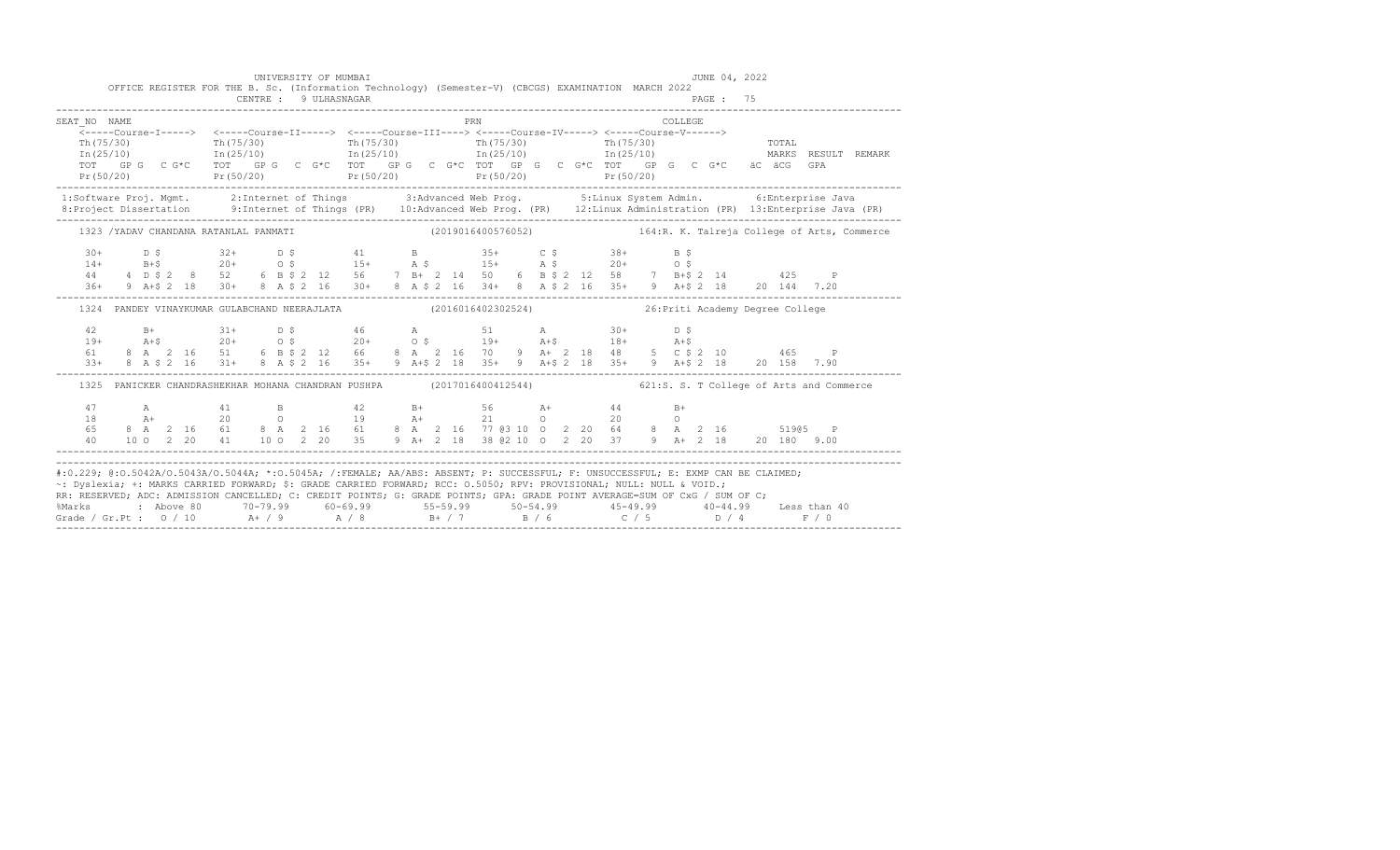| SEAT NO NAME<br>Th $(75/30)$ | <b>PRN</b> | COLLEGE.<br>Th (75/30) Th (75/30) Th (75/30) Th (75/30) Th (75/30) Toral<br>$\texttt{In}\,(25/10) \qquad \qquad \texttt{In}\,(25/10) \qquad \qquad \texttt{In}\,(25/10) \qquad \qquad \texttt{In}\,(25/10) \qquad \qquad \texttt{In}\,(25/10) \qquad \qquad \texttt{MARKS} \qquad \texttt{RESULT} \qquad \texttt{RMMRK}$                                                                       |
|------------------------------|------------|------------------------------------------------------------------------------------------------------------------------------------------------------------------------------------------------------------------------------------------------------------------------------------------------------------------------------------------------------------------------------------------------|
|                              |            |                                                                                                                                                                                                                                                                                                                                                                                                |
|                              |            | 1:Software Proj. Mgmt. 2:Internet of Things 3:Advanced Web Prog. 5:Linux System Admin. 6:Enterprise Java                                                                                                                                                                                                                                                                                       |
|                              |            | 1323 /YADAV CHANDANA RATANLAL PANMATI (2019016400576052) 164:R. K. Talreja College of Arts, Commerce                                                                                                                                                                                                                                                                                           |
|                              |            | $\begin{array}{cccccccccccccccc} 30+ & & D & \xi & & 32+ & D & \xi & & 41 & B & & 35+ & C & \xi & & 38+ & B & \xi \\ 14+ & & B+\xi & & 20+ & & 0 & \xi & & 15+ & A & \xi & & 15+ & A & \xi & & 20+ & O & \xi \\ 44 & & 4 & D & \xi & 2 & 8 & 52 & 6 & B & \xi & 2 & 12 & 56 & 7 & B+ & 2 & 14 & 50 & 6 & B & \xi & 2 & 12 & 58 & 7 & B+\xi & 2 & 14 & & 425 & P \\ 36$                         |
|                              |            |                                                                                                                                                                                                                                                                                                                                                                                                |
|                              |            | 1324 PANDEY VINAYKUMAR GULABCHAND NEERAJLATA (2016016402302524) 26: Priti Academy Degree College                                                                                                                                                                                                                                                                                               |
| 42<br>$19+$<br>61<br>$3.3+$  |            | B+<br>$31+$<br>$20+$<br>$05+$<br>$20+$<br>$05+$<br>$05+$<br>$05+$<br>$05+$<br>$05+$<br>$05+$<br>$05+$<br>$05+$<br>$05+$<br>$05+$<br>$05+$<br>$05+$<br>$05+$<br>$05+$<br>$05+$<br>$05+$<br>$05+$<br>$05+$<br>$05+$<br>$05+$<br>$05+$<br>$05+$<br>$05+$<br>$05+$<br>$05+$<br>$05+$<br>$05+$<br><br>8 A \$ 2 16 31+ 8 A \$ 2 16 35+ 9 A + \$ 2 18 35+ 9 A + \$ 2 18 35+ 9 A + \$ 2 18 20 158 7.90 |
|                              |            | 1325 PANICKER CHANDRASHEKHAR MOHANA CHANDRAN PUSHPA (2017016400412544) 621:S. S. T College of Arts and Commerce                                                                                                                                                                                                                                                                                |
|                              |            |                                                                                                                                                                                                                                                                                                                                                                                                |
|                              |            |                                                                                                                                                                                                                                                                                                                                                                                                |

-------------------------------------------------------------------------------------------------------------------------------------------------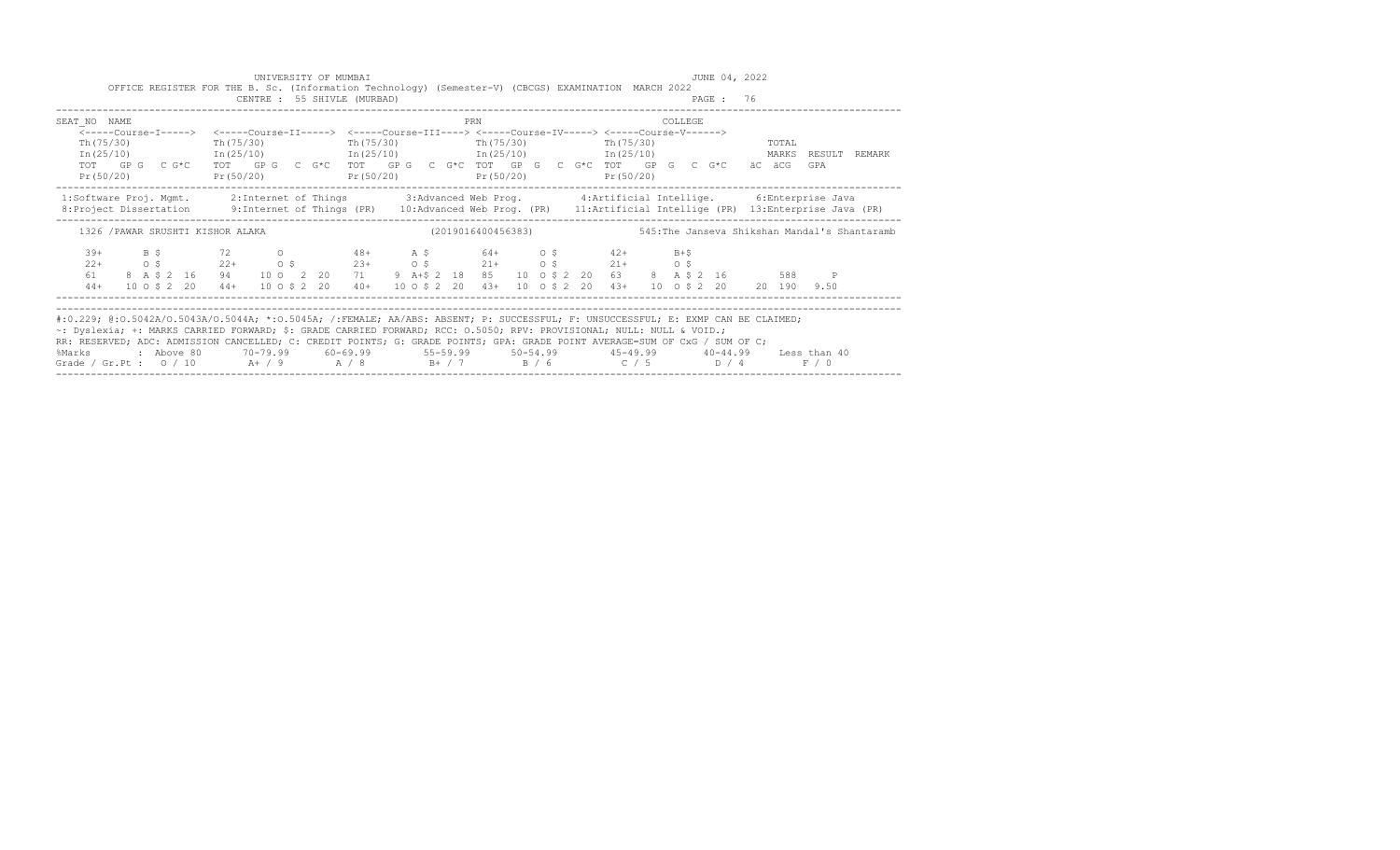|                                                              | UNIVERSITY OF MUMBAI        | OFFICE REGISTER FOR THE B. Sc. (Information Technology) (Semester-V) (CBCGS) EXAMINATION MARCH 2022                                                               | JUNE 04, 2022                                                                                                                                                                                                                                                                                                                                                                                                                                   |
|--------------------------------------------------------------|-----------------------------|-------------------------------------------------------------------------------------------------------------------------------------------------------------------|-------------------------------------------------------------------------------------------------------------------------------------------------------------------------------------------------------------------------------------------------------------------------------------------------------------------------------------------------------------------------------------------------------------------------------------------------|
|                                                              | CENTRE : 55 SHIVLE (MURBAD) |                                                                                                                                                                   | PAGE: 76                                                                                                                                                                                                                                                                                                                                                                                                                                        |
| SEAT NO NAME                                                 |                             | PRN                                                                                                                                                               | <b>COLLEGE</b>                                                                                                                                                                                                                                                                                                                                                                                                                                  |
| Th (75/30)                                                   |                             | <-----Course-I-----> <-----Course-II-----> <-----Course-III----> <-----Course-IV-----> <-----Course-V------><br>Th(75/30) Th(75/30) Th(75/30) Th(75/30) Th(75/30) | <b>TOTAL</b>                                                                                                                                                                                                                                                                                                                                                                                                                                    |
|                                                              |                             |                                                                                                                                                                   | $In (25/10)$ $In (25/10)$ $In (25/10)$ $In (25/10)$ $In (25/10)$<br>MARKS RESULT REMARK                                                                                                                                                                                                                                                                                                                                                         |
| Pr(50/20)                                                    |                             | TOT GPG CG*C TOT GPG CG*C TOT GPG CG*C TOT GPG CG*C TOT GPG CG*C<br>$Pr(50/20)$ $Pr(50/20)$ $Pr(50/20)$ $Pr(50/20)$                                               | äC äCG<br>GPA                                                                                                                                                                                                                                                                                                                                                                                                                                   |
|                                                              |                             |                                                                                                                                                                   | 1:Software Proj. Mqmt. 2:Internet of Things 3:Advanced Web Prog. 4:Artificial Intellige. 6:Enterprise Java<br>8:Project Dissertation 9:Internet of Things (PR) 10:Advanced Web Prog. (PR) 11:Artificial Intellige (PR) 13:Enterprise Java (PR)                                                                                                                                                                                                  |
| 1326 / PAWAR SRUSHTI KISHOR ALAKA                            |                             |                                                                                                                                                                   |                                                                                                                                                                                                                                                                                                                                                                                                                                                 |
| $39+$<br>$2.2+$                                              |                             | B \$72 0 48+ A \$64+ 0 \$42+ B+\$<br>$0.5$ $0.5$ $22+$ $0.5$ $23+$ $0.5$ $21+$ $0.5$ $21+$ $0.5$                                                                  |                                                                                                                                                                                                                                                                                                                                                                                                                                                 |
| 8 A \$ 2 16 94<br>61<br>$10 \t0 \t5 \t2 \t20 \t44+$<br>$44+$ |                             |                                                                                                                                                                   | 10 0 2 20 71 9 A+\$ 2 18 85 10 0 \$ 2 20 63 8 A \$ 2 16<br>588 P<br>10 0 \$ 2 20 40 + 10 0 \$ 2 20 43 + 10 0 \$ 2 20 43 + 10 0 \$ 2 20 20 190 9.50                                                                                                                                                                                                                                                                                              |
| %Marks                                                       |                             | ~: Dyslexia; +: MARKS CARRIED FORWARD; \$: GRADE CARRIED FORWARD; RCC: 0.5050; RPV: PROVISIONAL; NULL: NULL & VOID.;                                              | #:0.229; @:0.5042A/0.5043A/0.5044A; *:0.5045A; /:FEMALE; AA/ABS: ABSENT; P: SUCCESSFUL; F: UNSUCCESSFUL; E: EXMP CAN BE CLAIMED;<br>RR: RESERVED; ADC: ADMISSION CANCELLED; C: CREDIT POINTS; G: GRADE POINTS; GPA: GRADE POINT AVERAGE=SUM OF CxG / SUM OF C;<br>10−44.99 tess than 40 tess −69.99 tess −69.99 tess −69.99 tess −69.99 tess −69.99 tess −69.99 tess −<br>Grade / Gr.Pt : $0/10$ A+ / 9 A / 8 B+ / 7 B / 6 C / 5 D / 4<br>F / 0 |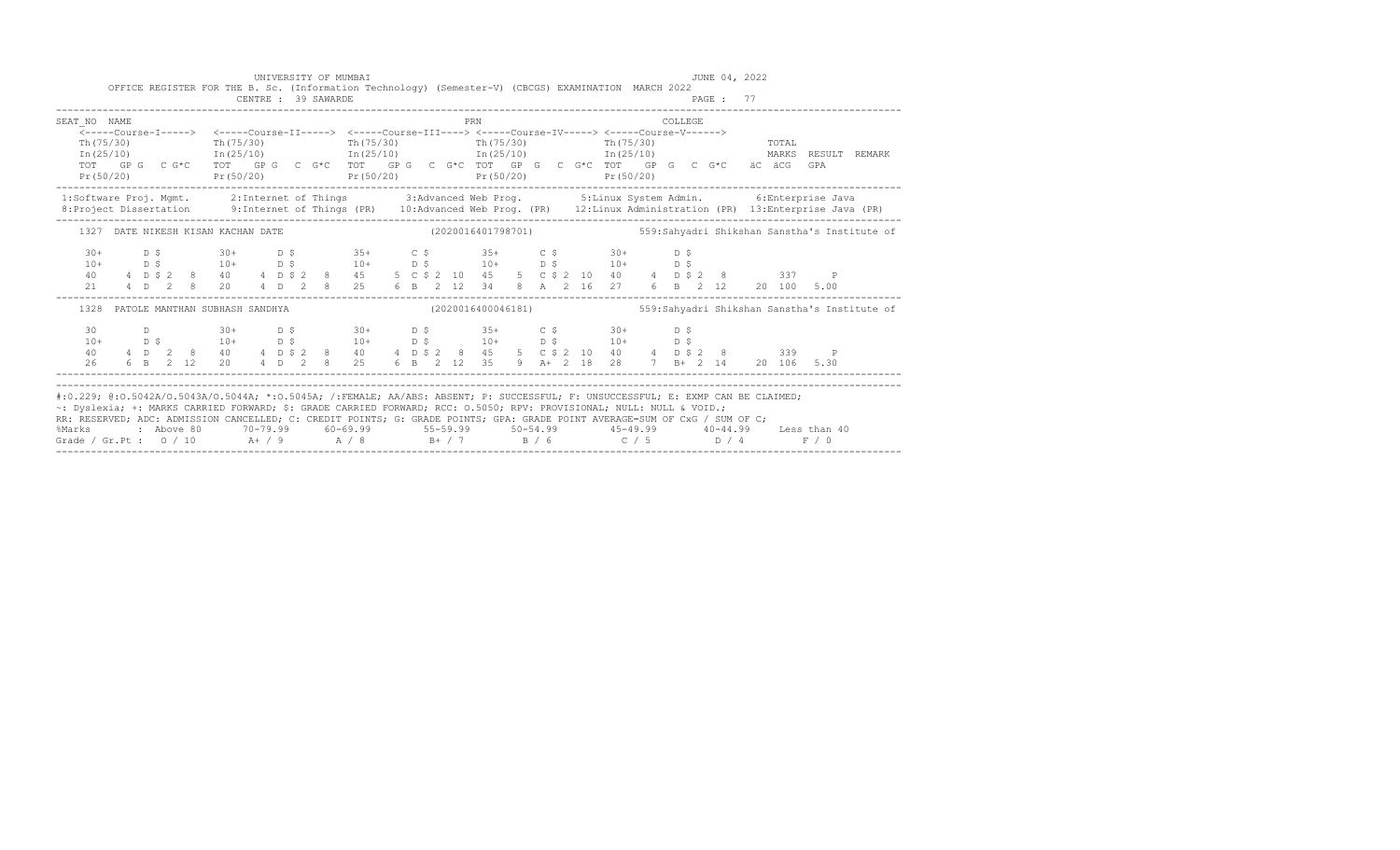| SEAT NO NAME  |  |  |                                |  |  |                                                                                                                                                                                                                                   |  |  | PRN                                                              |  |  |  | COLLEGE |  |       |     |                     |  |
|---------------|--|--|--------------------------------|--|--|-----------------------------------------------------------------------------------------------------------------------------------------------------------------------------------------------------------------------------------|--|--|------------------------------------------------------------------|--|--|--|---------|--|-------|-----|---------------------|--|
|               |  |  |                                |  |  | <-----Course-I-----> <-----Course-II-----> <-----Course-III----> <-----Course-IV-----> <-----Course-V------>                                                                                                                      |  |  |                                                                  |  |  |  |         |  |       |     |                     |  |
| Th (75/30)    |  |  | Th(75/30)                      |  |  | $Th(75/30)$ The $(75/30)$ The $(75/30)$ The $(75/30)$<br>$\text{In (25/10)}$ $\text{In (25/10)}$ $\text{In (25/10)}$ $\text{In (25/10)}$ $\text{In (25/10)}$                                                                      |  |  |                                                                  |  |  |  |         |  | TOTAL |     | MARKS RESULT REMARK |  |
|               |  |  |                                |  |  | TOT GPG CG*C TOT GPG CG*C TOT GPG CG*C TOT GPG CG*C TOT GPG CG*C ACG ACG                                                                                                                                                          |  |  |                                                                  |  |  |  |         |  |       | GPA |                     |  |
|               |  |  |                                |  |  | $Pr(50/20)$ $Pr(50/20)$ $Pr(50/20)$ $Pr(50/20)$ $Pr(50/20)$ $Pr(50/20)$                                                                                                                                                           |  |  |                                                                  |  |  |  |         |  |       |     |                     |  |
|               |  |  |                                |  |  |                                                                                                                                                                                                                                   |  |  |                                                                  |  |  |  |         |  |       |     |                     |  |
|               |  |  |                                |  |  | 1:Software Proj. Mgmt. 2:Internet of Things 3:Advanced Web Prog. 5:Linux System Admin. 6:Enterprise Java<br>8:Project Dissertation 9:Internet of Things (PR) 10:Advanced Web Prog. (PR) 12:Linux Administration (PR) 13:Enterpris |  |  |                                                                  |  |  |  |         |  |       |     |                     |  |
|               |  |  |                                |  |  | 1327 DATE NIKESH KISAN KACHAN DATE (2020016401798701) 559:Sahyadri Shikshan Sanstha's Institute of                                                                                                                                |  |  |                                                                  |  |  |  |         |  |       |     |                     |  |
| $30+$         |  |  |                                |  |  | $D$ \$ 30+ $D$ \$ 35+ $C$ \$ 35+ $C$ \$ 30+                                                                                                                                                                                       |  |  |                                                                  |  |  |  | D S     |  |       |     |                     |  |
| $10+$         |  |  |                                |  |  |                                                                                                                                                                                                                                   |  |  |                                                                  |  |  |  |         |  |       |     |                     |  |
| 40 — 10<br>21 |  |  |                                |  |  | 104 105 104 105 104 105 104 105 104 105<br>4 D \$ 2 8 40 4 D \$ 2 8 45 5 C \$ 2 10 40 4 D \$ 337 P<br>4 D 2 8 20 4 D 2 8 25 6 B 2 12 34 8 A 2 16 27 6 B 2 12 20 100 5.00                                                          |  |  |                                                                  |  |  |  |         |  |       |     |                     |  |
|               |  |  |                                |  |  |                                                                                                                                                                                                                                   |  |  |                                                                  |  |  |  |         |  |       |     |                     |  |
| 1328          |  |  | PATOLE MANTHAN SUBHASH SANDHYA |  |  |                                                                                                                                                                                                                                   |  |  | (2020016400046181) 559: Sahyadri Shikshan Sanstha's Institute of |  |  |  |         |  |       |     |                     |  |
| 30            |  |  |                                |  |  | D 30+ D \$ 30+ D \$ 35+ C \$ 30+                                                                                                                                                                                                  |  |  |                                                                  |  |  |  | D S     |  |       |     |                     |  |
| $10+$         |  |  |                                |  |  | $D \,$ \$ 10+ $D \,$ \$ 10+ $D \,$ \$ 10+ $D \,$ \$ 10+ $D \,$ \$ 10+ $D \,$ \$                                                                                                                                                   |  |  |                                                                  |  |  |  |         |  |       |     |                     |  |
| 40            |  |  |                                |  |  | 4 D 2 8 40 4 D \$ 2 8 40 4 D \$ 2 8 45 5 C \$ 2 10 40 4 D \$ 2 8 339 P                                                                                                                                                            |  |  |                                                                  |  |  |  |         |  |       |     |                     |  |
| 26            |  |  |                                |  |  | 6 B 2 12 20 4 D 2 8 25 6 B 2 12 35 9 A+ 2 18 28 7 B+ 2 14 20 106 5.30                                                                                                                                                             |  |  |                                                                  |  |  |  |         |  |       |     |                     |  |
|               |  |  |                                |  |  |                                                                                                                                                                                                                                   |  |  |                                                                  |  |  |  |         |  |       |     |                     |  |
|               |  |  |                                |  |  | #:0.229; @:0.5042A/0.5043A/0.5044A; *:0.5045A; /:FEMALE; AA/ABS: ABSENT; P: SUCCESSFUL; F: UNSUCCESSFUL; E: EXMP CAN BE CLAIMED;                                                                                                  |  |  |                                                                  |  |  |  |         |  |       |     |                     |  |
|               |  |  |                                |  |  | ~: Dyslexia; +: MARKS CARRIED FORWARD; \$: GRADE CARRIED FORWARD; RCC: 0.5050; RPV: PROVISIONAL; NULL: NULL & VOID.;                                                                                                              |  |  |                                                                  |  |  |  |         |  |       |     |                     |  |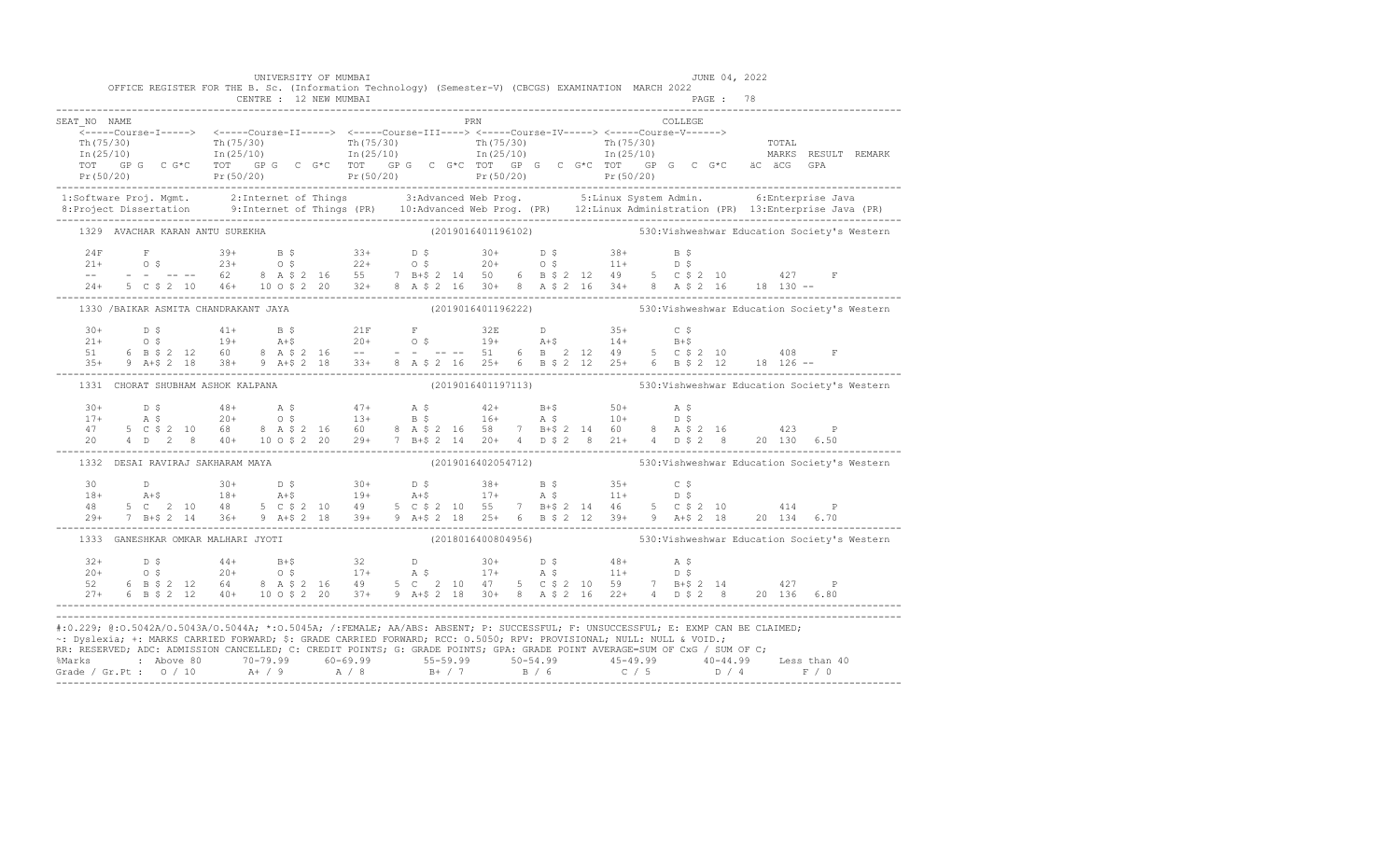| OFFICE REGISTER FOR THE B. Sc. (Information Technology) (Semester-V) (CBCGS) EXAMINATION MARCH 2022                                                                                                                                                                                                                                                                                                          |  | UNIVERSITY OF MUMBAI |  |  |  |                                                                 |  |         |  | JUNE 04, 2022 |  |                                                                 |
|--------------------------------------------------------------------------------------------------------------------------------------------------------------------------------------------------------------------------------------------------------------------------------------------------------------------------------------------------------------------------------------------------------------|--|----------------------|--|--|--|-----------------------------------------------------------------|--|---------|--|---------------|--|-----------------------------------------------------------------|
| SEAT NO NAME                                                                                                                                                                                                                                                                                                                                                                                                 |  |                      |  |  |  | PRN                                                             |  | COLLEGE |  |               |  |                                                                 |
| ______Course-I-----> <-----Course-II-----> <-----Course-III----> <-----Course-IV-----> <-----Course-V------>                                                                                                                                                                                                                                                                                                 |  |                      |  |  |  |                                                                 |  |         |  |               |  |                                                                 |
|                                                                                                                                                                                                                                                                                                                                                                                                              |  |                      |  |  |  |                                                                 |  |         |  |               |  |                                                                 |
|                                                                                                                                                                                                                                                                                                                                                                                                              |  |                      |  |  |  |                                                                 |  |         |  |               |  |                                                                 |
|                                                                                                                                                                                                                                                                                                                                                                                                              |  |                      |  |  |  |                                                                 |  |         |  |               |  |                                                                 |
|                                                                                                                                                                                                                                                                                                                                                                                                              |  |                      |  |  |  |                                                                 |  |         |  |               |  |                                                                 |
| 1:Software Proj. Mgmt. 2:Internet of Things 3:Advanced Web Prog. 5:Linux System Admin. 6:Enterprise Java<br>8:Project Dissertation 9:Internet of Things (PR) 10:Advanced Web Prog. (PR) 12:Linux Administration (PR) 13:Enterpris                                                                                                                                                                            |  |                      |  |  |  |                                                                 |  |         |  |               |  |                                                                 |
| 1329 AVACHAR KARAN ANTU SUREKHA                                                                                                                                                                                                                                                                                                                                                                              |  |                      |  |  |  |                                                                 |  |         |  |               |  | (2019016401196102) 530: Vishweshwar Education Society's Western |
|                                                                                                                                                                                                                                                                                                                                                                                                              |  |                      |  |  |  |                                                                 |  |         |  |               |  |                                                                 |
|                                                                                                                                                                                                                                                                                                                                                                                                              |  |                      |  |  |  |                                                                 |  |         |  |               |  |                                                                 |
|                                                                                                                                                                                                                                                                                                                                                                                                              |  |                      |  |  |  |                                                                 |  |         |  |               |  |                                                                 |
| $\begin{array}{lcccccccccccc} 24\text{F} & \text{F} & 39+ & \text{B}\ \hat{\text{s}} & 33+ & \text{D}\ \hat{\text{s}} & 21+ & 0\ \hat{\text{s}} & 23+ & 0\ \hat{\text{s}} & 24+ & 0\ \hat{\text{s}} & 25+ & 0\ \hat{\text{s}} & 26+ & 0\ \hat{\text{s}} & 27+ & 0\ \hat{\text{s}} & 28+ & 0\ \hat{\text{s}} & 29+ & 0\ \hat{\text{s}} & 21+ & 0\ \hat{\text{s}} & 22+ & 0\ \hat{\text{s}} & 21+ & 0\ \hat{\$ |  |                      |  |  |  |                                                                 |  |         |  |               |  |                                                                 |
| 1330 /BAIKAR ASMITA CHANDRAKANT JAYA (2019016401196222) 530: Vishweshwar Education Society's Western                                                                                                                                                                                                                                                                                                         |  |                      |  |  |  |                                                                 |  |         |  |               |  |                                                                 |
|                                                                                                                                                                                                                                                                                                                                                                                                              |  |                      |  |  |  |                                                                 |  |         |  |               |  |                                                                 |
|                                                                                                                                                                                                                                                                                                                                                                                                              |  |                      |  |  |  |                                                                 |  |         |  |               |  |                                                                 |
|                                                                                                                                                                                                                                                                                                                                                                                                              |  |                      |  |  |  |                                                                 |  |         |  |               |  |                                                                 |
| $\begin{array}{cccccccccccccccc} 30+ & & D & S & & 41+ & B & S & & 21F & F & 32E & D & 35+ & C & S \\ 21+ & & O & S & & 19+ & & A+S & & 20+ & O & S & & 19+ & A+S & 14+ & B+S \\ 51 & & 6 & B & S & 2 & 12 & 60 & 8 & A & S & 2 & 16 & -& - & - & - & - & - & 51 & 6 & B & 2 & 12 & 49 & 5 & C & S & 2 & 10 & 408 & F \\ 35+ & 9 & A+S & 2 & 18 & 38+ & 9 & A+S &$                                           |  |                      |  |  |  |                                                                 |  |         |  |               |  |                                                                 |
| 1331 CHORAT SHUBHAM ASHOK KALPANA                                                                                                                                                                                                                                                                                                                                                                            |  |                      |  |  |  | (2019016401197113) 530: Vishweshwar Education Society's Western |  |         |  |               |  |                                                                 |
|                                                                                                                                                                                                                                                                                                                                                                                                              |  |                      |  |  |  |                                                                 |  |         |  |               |  |                                                                 |
|                                                                                                                                                                                                                                                                                                                                                                                                              |  |                      |  |  |  |                                                                 |  |         |  |               |  |                                                                 |
|                                                                                                                                                                                                                                                                                                                                                                                                              |  |                      |  |  |  |                                                                 |  |         |  |               |  |                                                                 |
|                                                                                                                                                                                                                                                                                                                                                                                                              |  |                      |  |  |  |                                                                 |  |         |  |               |  |                                                                 |
| 1332 DESAI RAVIRAJ SAKHARAM MAYA                                                                                                                                                                                                                                                                                                                                                                             |  |                      |  |  |  | (2019016402054712) 530: Vishweshwar Education Society's Western |  |         |  |               |  |                                                                 |
|                                                                                                                                                                                                                                                                                                                                                                                                              |  |                      |  |  |  |                                                                 |  |         |  |               |  |                                                                 |
|                                                                                                                                                                                                                                                                                                                                                                                                              |  |                      |  |  |  |                                                                 |  |         |  |               |  |                                                                 |
|                                                                                                                                                                                                                                                                                                                                                                                                              |  |                      |  |  |  |                                                                 |  |         |  |               |  |                                                                 |
|                                                                                                                                                                                                                                                                                                                                                                                                              |  |                      |  |  |  |                                                                 |  |         |  |               |  |                                                                 |
| 1333 GANESHKAR OMKAR MALHARI JYOTI (2018016400804956) 530:Vishweshwar Education Society's Western                                                                                                                                                                                                                                                                                                            |  |                      |  |  |  |                                                                 |  |         |  |               |  |                                                                 |
|                                                                                                                                                                                                                                                                                                                                                                                                              |  |                      |  |  |  |                                                                 |  |         |  |               |  |                                                                 |
|                                                                                                                                                                                                                                                                                                                                                                                                              |  |                      |  |  |  |                                                                 |  |         |  |               |  |                                                                 |
|                                                                                                                                                                                                                                                                                                                                                                                                              |  |                      |  |  |  |                                                                 |  |         |  |               |  |                                                                 |
| $\begin{array}{cccccccccccccccc} 32+ & & D & \xi & & 44+ & B+ \xi & & 32 & D & 30+ & D & \xi & & 48+ & A & \xi \\ 20+ & & O & \xi & & 20+ & O & \xi & & 17+ & A & \xi & & 17+ & A & \xi & & 11+ & D & \xi \\ 52 & & 6 & B & \xi & 2 & 12 & 64 & 8 & A & \xi & 2 & 16 & 49 & 5 & C & 2 & 10 & 47 & 5 & C & \xi & 2 & 10 & 59 & 7 & B+ \xi & 2 & 14 & & 427 & P \\ 27+$                                        |  |                      |  |  |  |                                                                 |  |         |  |               |  |                                                                 |
| #:0.229; @:0.5042A/0.5043A/0.5044A; *:0.5045A; /:FEMALE; AA/ABS: ABSENT; P: SUCCESSFUL; F: UNSUCCESSFUL; E: EXMP CAN BE CLAIMED;<br>~: Dyslexia; +: MARKS CARRIED FORWARD; \$: GRADE CARRIED FORWARD; RCC: 0.5050; RPV: PROVISIONAL; NULL: NULL & VOID.;<br>RR: RESERVED; ADC: ADMISSION CANCELLED; C: CREDIT POINTS; G: GRADE POINTS; GPA: GRADE POINT AVERAGE=SUM OF CxG / SUM OF C;                       |  |                      |  |  |  |                                                                 |  |         |  |               |  |                                                                 |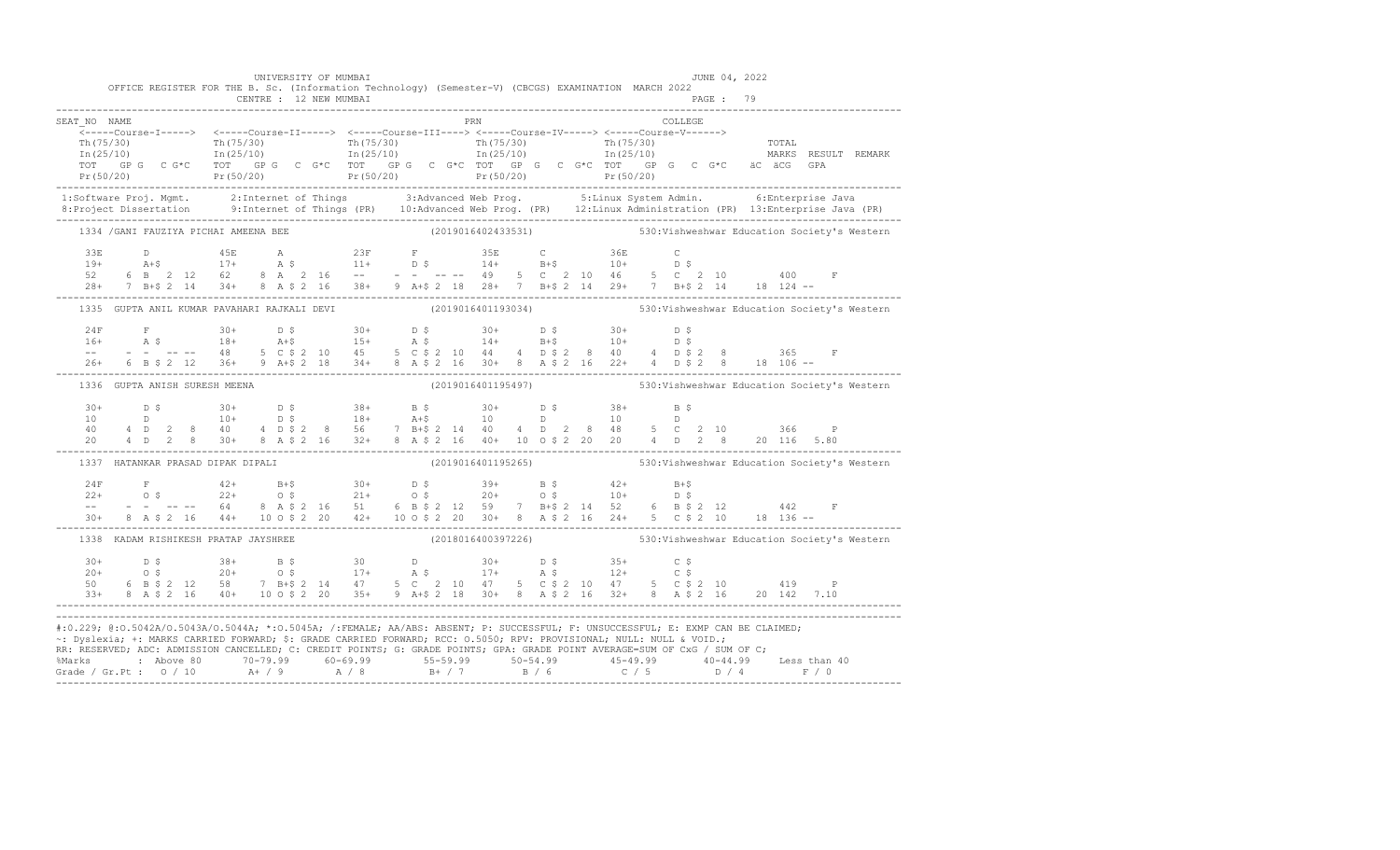|                                       | UNIVERSITY OF MUMBAI | OFFICE REGISTER FOR THE B. Sc. (Information Technology) (Semester-V) (CBCGS) EXAMINATION MARCH 2022                  | JUNE 04, 2022                                                                                                                                                                                                                                                                                                                                                                                                                                                                   |
|---------------------------------------|----------------------|----------------------------------------------------------------------------------------------------------------------|---------------------------------------------------------------------------------------------------------------------------------------------------------------------------------------------------------------------------------------------------------------------------------------------------------------------------------------------------------------------------------------------------------------------------------------------------------------------------------|
| SEAT NO NAME                          |                      | <b>PRN</b>                                                                                                           | COLLEGE<br>$\begin{array}{cccccccc} \texttt{-----} & \texttt{1---} & \texttt{2---} & \texttt{2---} & \texttt{2---} & \texttt{2---} & \texttt{2---} & \texttt{2---} & \texttt{2---} & \texttt{2---} & \texttt{2---} & \texttt{2---} & \texttt{2---} & \texttt{2---} & \texttt{2---} & \texttt{2---} & \texttt{2---} & \texttt{2---} & \texttt{2---} & \texttt{2---} & \texttt{2---} & \texttt{2---} & \texttt{2---} & \texttt{2---} & \texttt{2---} & \texttt{2---} & \texttt{2$ |
|                                       |                      |                                                                                                                      |                                                                                                                                                                                                                                                                                                                                                                                                                                                                                 |
| 1334 / GANI FAUZIYA PICHAI AMEENA BEE |                      |                                                                                                                      | (2019016402433531) 530: Vishweshwar Education Society's Western                                                                                                                                                                                                                                                                                                                                                                                                                 |
|                                       |                      |                                                                                                                      | $\begin{array}{cccccccccccccccc} 33\mathbb{E} & \mathbb{D} & & 45\mathbb{E} & \mathbb{A} & & 23\mathbb{F} & \mathbb{F} & & 35\mathbb{E} & \mathbb{C} & & 36\mathbb{E} & \mathbb{C} \\ 19+ & \mathbb{A}+ \$ & 17+ & \mathbb{A} & \$ & 11+ & \mathbb{D} & \$ & 14+ & \mathbb{B}+ \$ & 10+ & \mathbb{D} & \$ \\ 52 & 6 & \mathbb{B} & 2 & 12 & 62 & 8 & \mathbb{A} & 2 & 16 & -- & -- & -- & -- & --$                                                                              |
|                                       |                      |                                                                                                                      | 1335 GUPTA ANIL KUMAR PAVAHARI RAJKALI DEVI (2019016401193034) 530: Vishweshwar Education Society's Western                                                                                                                                                                                                                                                                                                                                                                     |
|                                       |                      |                                                                                                                      |                                                                                                                                                                                                                                                                                                                                                                                                                                                                                 |
| 1336 GUPTA ANISH SURESH MEENA         |                      |                                                                                                                      | (2019016401195497) 530: Vishweshwar Education Society's Western                                                                                                                                                                                                                                                                                                                                                                                                                 |
|                                       |                      |                                                                                                                      | $\begin{array}{cccccccccccccccc} 30+ & & D & \xi & & 30+ & & D & \xi & & 38+ & B & \xi & & 30+ & D & \xi & & 38+ & B & \xi \\ 10 & & D & & & 10+ & & D & \xi & & 18+ & A+ \xi & & 10 & & D & & 10 & & D \\ 40 & & 4 & D & 2 & 8 & & 40 & & 4 & D & \xi & 2 & 8 & 56 & & 7 & B+ \xi & 2 & 14 & 40 & 4 & D & 2 & 8 & 48 & 5 & C & 2 & 10 & & 366 & P \\ 20 & & 4 & D & 2$                                                                                                         |
| 1337 HATANKAR PRASAD DIPAK DIPALI     |                      |                                                                                                                      | (2019016401195265) 530: Vishweshwar Education Society's Western                                                                                                                                                                                                                                                                                                                                                                                                                 |
|                                       |                      |                                                                                                                      | $\begin{array}{lllllllll} 24\mathrm{F} & \mathrm{F} & 42+ & \mathrm{B}+\$ & 30+ & \mathrm{D}~\$ & 39+ & \mathrm{B}~\$ & 42+ & \mathrm{B}+\$ \\ 22+ & 0~\$ & 22+ & 0~\$ & 21+ & 0~\$ & 20+ & 0~\$ & 10+ & \mathrm{D}~\$ \\ - & - & - & - & - & 64 & 8 & \mathrm{A}~\$ & 2 & 16 & 51 & 6 & \mathrm{B}~\$ & 2 & 12 & 59 & 7 & \mathrm{B}+\$ & 2 & 14 & 52 & 6 & \mathrm{B}~$                                                                                                       |
|                                       |                      |                                                                                                                      | 1338 KADAM RISHIKESH PRATAP JAYSHREE (2018016400397226) 530: Vishweshwar Education Society's Western                                                                                                                                                                                                                                                                                                                                                                            |
|                                       |                      |                                                                                                                      | $\begin{array}{cccccccccccccccc} 30+ & & D & \xi & & 38+ & B & \xi & & 30 & & D & & 30+ & D & \xi & & 35+ & C & \xi \\ 20+ & & O & \xi & & 20+ & & O & \xi & & 17+ & A & \xi & & 17+ & A & \xi & & 12+ & C & \xi \\ 50 & & 6 & B & \xi & 2 & 12 & 58 & 7 & B+ \xi & 2 & 14 & 47 & 5 & C & 2 & 10 & 47 & 5 & C & \xi & 2 & 10 & 47 & 5 & C & \xi & 2 & 10 & 47 & 5 & C &$                                                                                                        |
|                                       |                      | ~: Dyslexia; +: MARKS CARRIED FORWARD; \$: GRADE CARRIED FORWARD; RCC: 0.5050; RPV: PROVISIONAL; NULL: NULL & VOID.; | #:0.229; @:0.5042A/0.5043A/0.5044A; *:0.5045A; /:FEMALE; AA/ABS: ABSENT; P: SUCCESSFUL; F: UNSUCCESSFUL; E: EXMP CAN BE CLAIMED;<br>RR: RESERVED, ADC: ADMISSION CANCELLED, C: CREDIT POINTS, G: GRADE POINTS, GPA: GRADE POINT AVERAGE=SUM OF CxG / SUM OF C;<br>% Marks : Above 80 70-79.99 60-69.99 55-59.99 50-54.99 45-49.99 40-44.99 Less than 40<br>Grade / Gr.Pt : 0 / 10 A+ / 9 A / 8 B+ / 7 B / 6 C / 5 D / 4 F / 0                                                   |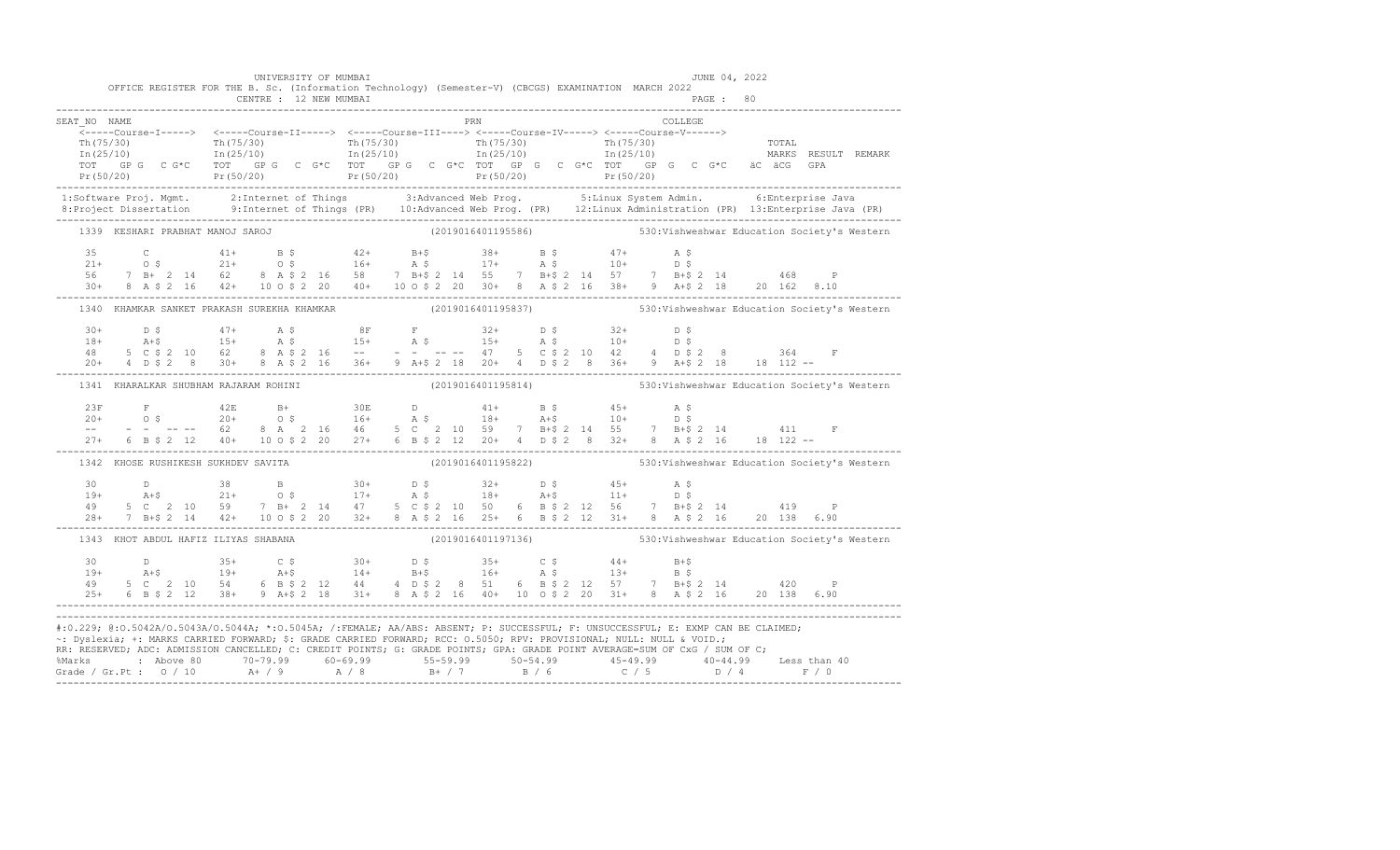|                                                                                                                                                                                                                                                                                                                                                                                                                                                                                                  |  |  |                                       |  | UNIVERSITY OF MUMBAI | OFFICE REGISTER FOR THE B. Sc. (Information Technology) (Semester-V) (CBCGS) EXAMINATION MARCH 2022                                                                                                                                                                                                                                                                                                                                                                            |  |  |                                                                 |  |  |  |         | JUNE 04, 2022 |  |  |  |
|--------------------------------------------------------------------------------------------------------------------------------------------------------------------------------------------------------------------------------------------------------------------------------------------------------------------------------------------------------------------------------------------------------------------------------------------------------------------------------------------------|--|--|---------------------------------------|--|----------------------|--------------------------------------------------------------------------------------------------------------------------------------------------------------------------------------------------------------------------------------------------------------------------------------------------------------------------------------------------------------------------------------------------------------------------------------------------------------------------------|--|--|-----------------------------------------------------------------|--|--|--|---------|---------------|--|--|--|
|                                                                                                                                                                                                                                                                                                                                                                                                                                                                                                  |  |  |                                       |  |                      |                                                                                                                                                                                                                                                                                                                                                                                                                                                                                |  |  |                                                                 |  |  |  |         |               |  |  |  |
| SEAT NO NAME                                                                                                                                                                                                                                                                                                                                                                                                                                                                                     |  |  |                                       |  |                      |                                                                                                                                                                                                                                                                                                                                                                                                                                                                                |  |  | <b>PRN</b>                                                      |  |  |  | COLLEGE |               |  |  |  |
|                                                                                                                                                                                                                                                                                                                                                                                                                                                                                                  |  |  |                                       |  |                      |                                                                                                                                                                                                                                                                                                                                                                                                                                                                                |  |  |                                                                 |  |  |  |         |               |  |  |  |
|                                                                                                                                                                                                                                                                                                                                                                                                                                                                                                  |  |  |                                       |  |                      |                                                                                                                                                                                                                                                                                                                                                                                                                                                                                |  |  |                                                                 |  |  |  |         |               |  |  |  |
|                                                                                                                                                                                                                                                                                                                                                                                                                                                                                                  |  |  |                                       |  |                      |                                                                                                                                                                                                                                                                                                                                                                                                                                                                                |  |  |                                                                 |  |  |  |         |               |  |  |  |
| $\begin{array}{cccccccc} \texttt{\footnotesize{Tr(75/30)}} & \texttt{\footnotesize{Tr(75/30)}} & \texttt{\footnotesize{Tr(75/30)}} & \texttt{\footnotesize{Tr(75/30)}} & \texttt{\footnotesize{Tr(75/30)}} & \texttt{\footnotesize{Tr(75/30)}} & \texttt{\footnotesize{Tr(75/30)}} & \texttt{\footnotesize{Tr(75/30)}} & \texttt{\footnotesize{Tr(75/30)}} & \texttt{\footnotesize{Tr(75/30)}} & \texttt{\footnotesize{Tr(75/30)}} & \texttt{\footnotesize{Tr(75/30)}} & \texttt{\footnotesize{$ |  |  |                                       |  |                      |                                                                                                                                                                                                                                                                                                                                                                                                                                                                                |  |  |                                                                 |  |  |  |         |               |  |  |  |
| 1:Software Proj. Mgmt. 2:Internet of Things 3:Advanced Web Prog. 5:Linux System Admin. 6:Enterprise Java<br>8:Project Dissertation 9:Internet of Things (PR) 10:Advanced Web Prog. (PR) 12:Linux Administration (PR) 13:Enterpris                                                                                                                                                                                                                                                                |  |  |                                       |  |                      |                                                                                                                                                                                                                                                                                                                                                                                                                                                                                |  |  |                                                                 |  |  |  |         |               |  |  |  |
|                                                                                                                                                                                                                                                                                                                                                                                                                                                                                                  |  |  |                                       |  |                      |                                                                                                                                                                                                                                                                                                                                                                                                                                                                                |  |  |                                                                 |  |  |  |         |               |  |  |  |
|                                                                                                                                                                                                                                                                                                                                                                                                                                                                                                  |  |  |                                       |  |                      | 1339 KESHARI PRABHAT MANOJ SAROJ (2019016401195586) 530: Vishweshwar Education Society's Western                                                                                                                                                                                                                                                                                                                                                                               |  |  |                                                                 |  |  |  |         |               |  |  |  |
|                                                                                                                                                                                                                                                                                                                                                                                                                                                                                                  |  |  |                                       |  |                      |                                                                                                                                                                                                                                                                                                                                                                                                                                                                                |  |  |                                                                 |  |  |  |         |               |  |  |  |
|                                                                                                                                                                                                                                                                                                                                                                                                                                                                                                  |  |  |                                       |  |                      |                                                                                                                                                                                                                                                                                                                                                                                                                                                                                |  |  |                                                                 |  |  |  |         |               |  |  |  |
|                                                                                                                                                                                                                                                                                                                                                                                                                                                                                                  |  |  |                                       |  |                      |                                                                                                                                                                                                                                                                                                                                                                                                                                                                                |  |  |                                                                 |  |  |  |         |               |  |  |  |
|                                                                                                                                                                                                                                                                                                                                                                                                                                                                                                  |  |  |                                       |  |                      | $\begin{array}{cccccccccccccccc} 35 & C & 41+ & B & \xi & 42+ & B+\xi & 38+ & B & \xi & 47+ & A & \xi \\ 21+ & 0 & \xi & 21+ & 0 & \xi & 16+ & A & \xi & 17+ & A & \xi & 10+ & D & \xi \\ 56 & 7 & B+ & 2 & 14 & 62 & 8 & A & \xi & 2 & 16 & 58 & 7 & B+\xi & 2 & 14 & 55 & 7 & B+\xi & 2 & 14 & 57 & 7 & B+\xi & 2 & 14 & 468 & P \\ 30+ & 8 & A & \xi & 2 &$                                                                                                                 |  |  |                                                                 |  |  |  |         |               |  |  |  |
|                                                                                                                                                                                                                                                                                                                                                                                                                                                                                                  |  |  |                                       |  |                      | 1340 KHAMKAR SANKET PRAKASH SUREKHA KHAMKAR (2019016401195837) 530:Vishweshwar Education Society's Western                                                                                                                                                                                                                                                                                                                                                                     |  |  |                                                                 |  |  |  |         |               |  |  |  |
|                                                                                                                                                                                                                                                                                                                                                                                                                                                                                                  |  |  |                                       |  |                      |                                                                                                                                                                                                                                                                                                                                                                                                                                                                                |  |  |                                                                 |  |  |  |         |               |  |  |  |
|                                                                                                                                                                                                                                                                                                                                                                                                                                                                                                  |  |  |                                       |  |                      |                                                                                                                                                                                                                                                                                                                                                                                                                                                                                |  |  |                                                                 |  |  |  |         |               |  |  |  |
|                                                                                                                                                                                                                                                                                                                                                                                                                                                                                                  |  |  |                                       |  |                      |                                                                                                                                                                                                                                                                                                                                                                                                                                                                                |  |  |                                                                 |  |  |  |         |               |  |  |  |
|                                                                                                                                                                                                                                                                                                                                                                                                                                                                                                  |  |  |                                       |  |                      |                                                                                                                                                                                                                                                                                                                                                                                                                                                                                |  |  |                                                                 |  |  |  |         |               |  |  |  |
|                                                                                                                                                                                                                                                                                                                                                                                                                                                                                                  |  |  | 1341 KHARALKAR SHUBHAM RAJARAM ROHINI |  |                      |                                                                                                                                                                                                                                                                                                                                                                                                                                                                                |  |  | (2019016401195814) 530: Vishweshwar Education Society's Western |  |  |  |         |               |  |  |  |
|                                                                                                                                                                                                                                                                                                                                                                                                                                                                                                  |  |  |                                       |  |                      |                                                                                                                                                                                                                                                                                                                                                                                                                                                                                |  |  |                                                                 |  |  |  |         |               |  |  |  |
|                                                                                                                                                                                                                                                                                                                                                                                                                                                                                                  |  |  |                                       |  |                      |                                                                                                                                                                                                                                                                                                                                                                                                                                                                                |  |  |                                                                 |  |  |  |         |               |  |  |  |
|                                                                                                                                                                                                                                                                                                                                                                                                                                                                                                  |  |  |                                       |  |                      |                                                                                                                                                                                                                                                                                                                                                                                                                                                                                |  |  |                                                                 |  |  |  |         |               |  |  |  |
|                                                                                                                                                                                                                                                                                                                                                                                                                                                                                                  |  |  |                                       |  |                      | $\begin{array}{lllllllll} 23\mathrm{F}&\mathrm{F}&42\mathrm{E}&\mathrm{B}+&30\mathrm{E}&\mathrm{D}&41+&\mathrm{B}~\hat{S}&45+&\mathrm{A}~\hat{S}\\ 20+&0&\hat{S}&20+&0&\hat{S}&16+&\mathrm{A}~\hat{S}&18+&\mathrm{A}+ \hat{S}&10+&\mathrm{D}~\hat{S}\\ --&-&-&-&-&-62&8&\mathrm{A}&2&16&46&5&\mathrm{C}&2&10&59&7&\mathrm{B}+ \hat{S}~2&14&55&7&\mathrm{B}+ \$                                                                                                                 |  |  |                                                                 |  |  |  |         |               |  |  |  |
|                                                                                                                                                                                                                                                                                                                                                                                                                                                                                                  |  |  |                                       |  |                      | 1342 KHOSE RUSHIKESH SUKHDEV SAVITA                                                                                                                                                                                                                                                                                                                                                                                                                                            |  |  | (2019016401195822) 530: Vishweshwar Education Society's Western |  |  |  |         |               |  |  |  |
|                                                                                                                                                                                                                                                                                                                                                                                                                                                                                                  |  |  |                                       |  |                      | $\begin{array}{cccccccccccccccc} 30 & D & 38 & B & 30+ & D \ \end{array} \hskip1cm & \begin{array}{cccccccc} 31 & D & 38 & D & 32+ & D \ \end{array} \hskip1cm & \begin{array}{cccccccc} 32 & D & 32+ & D \ \end{array} \hskip1cm & \begin{array}{cccccccc} 35 & D & 45+ & A \ \end{array} \hskip1cm & \begin{array}{cccccccc} 32 & D & 45+ & D \ \end{array} \hskip1cm & \begin{array}{cccccccc} 35 & D \ \end{array} \hskip1cm & \begin{array}{cccccccc} 36 & D & 32+ & D \$ |  |  |                                                                 |  |  |  |         |               |  |  |  |
|                                                                                                                                                                                                                                                                                                                                                                                                                                                                                                  |  |  |                                       |  |                      |                                                                                                                                                                                                                                                                                                                                                                                                                                                                                |  |  |                                                                 |  |  |  |         |               |  |  |  |
|                                                                                                                                                                                                                                                                                                                                                                                                                                                                                                  |  |  |                                       |  |                      |                                                                                                                                                                                                                                                                                                                                                                                                                                                                                |  |  |                                                                 |  |  |  |         |               |  |  |  |
|                                                                                                                                                                                                                                                                                                                                                                                                                                                                                                  |  |  |                                       |  |                      |                                                                                                                                                                                                                                                                                                                                                                                                                                                                                |  |  |                                                                 |  |  |  |         |               |  |  |  |
|                                                                                                                                                                                                                                                                                                                                                                                                                                                                                                  |  |  | 1343 KHOT ABDUL HAFIZ ILIYAS SHABANA  |  |                      |                                                                                                                                                                                                                                                                                                                                                                                                                                                                                |  |  | (2019016401197136) 530: Vishweshwar Education Society's Western |  |  |  |         |               |  |  |  |
| 30 D<br>$19+$ $25+$ $35+$ C $5$ $30+$ D $5$ $35+$ C $5$ $44+$ B+\$<br>$19+$ $25+$ $5$ C $2$ 10 54 6 B $5$ 2 12 44 4 D $5$ 2 8 51 6 B $5$ 2 12 57 7 B+\$ 2 14 420 P<br>$25+$ 6 B $5$ 2 12 38+ 9 A+\$ 2 18 31+ 8 A $5$ 2 16 40+ 10 0 \$ 2                                                                                                                                                                                                                                                          |  |  |                                       |  |                      |                                                                                                                                                                                                                                                                                                                                                                                                                                                                                |  |  |                                                                 |  |  |  |         |               |  |  |  |
|                                                                                                                                                                                                                                                                                                                                                                                                                                                                                                  |  |  |                                       |  |                      |                                                                                                                                                                                                                                                                                                                                                                                                                                                                                |  |  |                                                                 |  |  |  |         |               |  |  |  |
|                                                                                                                                                                                                                                                                                                                                                                                                                                                                                                  |  |  |                                       |  |                      |                                                                                                                                                                                                                                                                                                                                                                                                                                                                                |  |  |                                                                 |  |  |  |         |               |  |  |  |
|                                                                                                                                                                                                                                                                                                                                                                                                                                                                                                  |  |  |                                       |  |                      |                                                                                                                                                                                                                                                                                                                                                                                                                                                                                |  |  |                                                                 |  |  |  |         |               |  |  |  |
| #:0.229; @:0.5042A/0.5043A/0.5044A; *:0.5045A; /:FEMALE; AA/ABS: ABSENT; P: SUCCESSFUL; F: UNSUCCESSFUL; E: EXMP CAN BE CLAIMED;                                                                                                                                                                                                                                                                                                                                                                 |  |  |                                       |  |                      |                                                                                                                                                                                                                                                                                                                                                                                                                                                                                |  |  |                                                                 |  |  |  |         |               |  |  |  |
| ~: Dyslexia; +: MARKS CARRIED FORWARD; \$: GRADE CARRIED FORWARD; RCC: 0.5050; RPV: PROVISIONAL; NULL: NULL & VOID.;                                                                                                                                                                                                                                                                                                                                                                             |  |  |                                       |  |                      |                                                                                                                                                                                                                                                                                                                                                                                                                                                                                |  |  |                                                                 |  |  |  |         |               |  |  |  |
| RR: RESERVED, ADC: ADMISSION CANCELLED, C: CREDIT POINTS, G: GRADE POINTS, GPA: GRADE POINT AVERAGE=SUM OF CxG / SUM OF C;                                                                                                                                                                                                                                                                                                                                                                       |  |  |                                       |  |                      |                                                                                                                                                                                                                                                                                                                                                                                                                                                                                |  |  |                                                                 |  |  |  |         |               |  |  |  |
|                                                                                                                                                                                                                                                                                                                                                                                                                                                                                                  |  |  |                                       |  |                      |                                                                                                                                                                                                                                                                                                                                                                                                                                                                                |  |  |                                                                 |  |  |  |         |               |  |  |  |
|                                                                                                                                                                                                                                                                                                                                                                                                                                                                                                  |  |  |                                       |  |                      |                                                                                                                                                                                                                                                                                                                                                                                                                                                                                |  |  |                                                                 |  |  |  |         |               |  |  |  |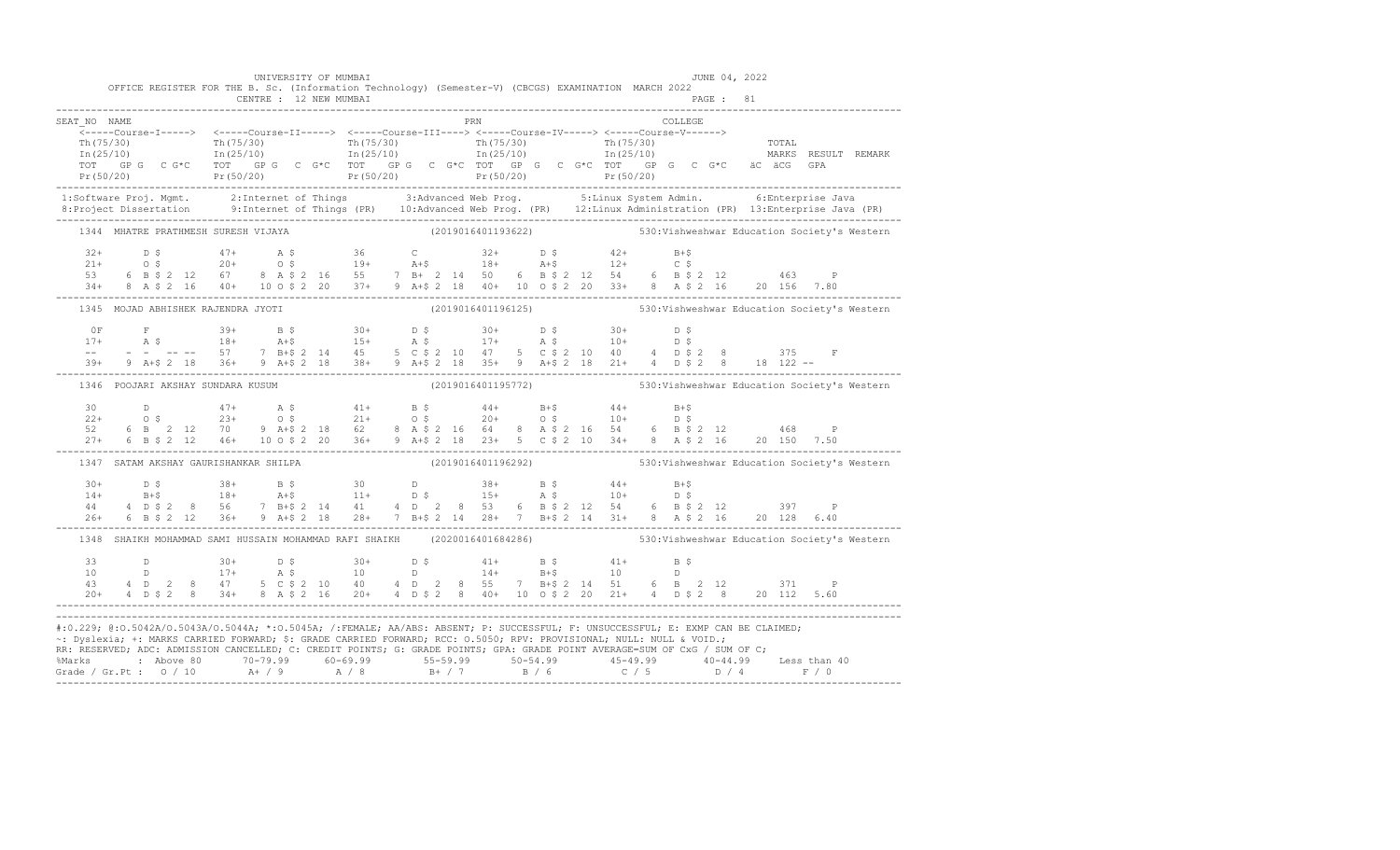|              |  | OFFICE REGISTER FOR THE B. Sc. (Information Technology) (Semester-V) (CBCGS) EXAMINATION MARCH 2022                                                                                                                                                                                                                                                                                       |  | UNIVERSITY OF MUMBAI |  |            |  |  |  |         | JUNE 04, 2022 |  |                                                                                                                                                                                                                                                                                                                                                                     |
|--------------|--|-------------------------------------------------------------------------------------------------------------------------------------------------------------------------------------------------------------------------------------------------------------------------------------------------------------------------------------------------------------------------------------------|--|----------------------|--|------------|--|--|--|---------|---------------|--|---------------------------------------------------------------------------------------------------------------------------------------------------------------------------------------------------------------------------------------------------------------------------------------------------------------------------------------------------------------------|
|              |  |                                                                                                                                                                                                                                                                                                                                                                                           |  |                      |  |            |  |  |  |         |               |  |                                                                                                                                                                                                                                                                                                                                                                     |
| SEAT NO NAME |  |                                                                                                                                                                                                                                                                                                                                                                                           |  |                      |  | <b>PRN</b> |  |  |  | COLLEGE |               |  |                                                                                                                                                                                                                                                                                                                                                                     |
|              |  |                                                                                                                                                                                                                                                                                                                                                                                           |  |                      |  |            |  |  |  |         |               |  |                                                                                                                                                                                                                                                                                                                                                                     |
|              |  |                                                                                                                                                                                                                                                                                                                                                                                           |  |                      |  |            |  |  |  |         |               |  |                                                                                                                                                                                                                                                                                                                                                                     |
|              |  |                                                                                                                                                                                                                                                                                                                                                                                           |  |                      |  |            |  |  |  |         |               |  |                                                                                                                                                                                                                                                                                                                                                                     |
|              |  |                                                                                                                                                                                                                                                                                                                                                                                           |  |                      |  |            |  |  |  |         |               |  |                                                                                                                                                                                                                                                                                                                                                                     |
|              |  |                                                                                                                                                                                                                                                                                                                                                                                           |  |                      |  |            |  |  |  |         |               |  | 1:Software Proj. Mgmt. 2:Internet of Things 3:Advanced Web Prog. 5:Linux System Admin. 6:Enterprise Java<br>8:Project Dissertation 9:Internet of Things (PR) 10:Advanced Web Prog. (PR) 12:Linux Administration (PR) 13:Enterpris                                                                                                                                   |
|              |  |                                                                                                                                                                                                                                                                                                                                                                                           |  |                      |  |            |  |  |  |         |               |  | 1344 MHATRE PRATHMESH SURESH VIJAYA (2019016401193622) 530:Vishweshwar Education Society's Western                                                                                                                                                                                                                                                                  |
|              |  |                                                                                                                                                                                                                                                                                                                                                                                           |  |                      |  |            |  |  |  |         |               |  |                                                                                                                                                                                                                                                                                                                                                                     |
|              |  |                                                                                                                                                                                                                                                                                                                                                                                           |  |                      |  |            |  |  |  |         |               |  |                                                                                                                                                                                                                                                                                                                                                                     |
|              |  |                                                                                                                                                                                                                                                                                                                                                                                           |  |                      |  |            |  |  |  |         |               |  |                                                                                                                                                                                                                                                                                                                                                                     |
|              |  | $\begin{array}{cccccccccccccccc} 32+ & & \text{D} & \text{S} & & 47+ & & \text{A} & \text{S} & & 36 & & \text{C} & & 32+ & \text{D} & \text{S} & & 42+ & \text{B}+ \text{S} \\ 21+ & & \text{O} & \text{S} & & 20+ & \text{O} & \text{S} & & 19+ & \text{A}+ \text{S} & & 18+ & \text{A}+ \text{S} & & 12+ & \text{C} & \text{S} \\ 53 & & 6 & \text{B} & \text{S} & 2 & 12 & 67 & 8 & \$ |  |                      |  |            |  |  |  |         |               |  |                                                                                                                                                                                                                                                                                                                                                                     |
|              |  | 1345 MOJAD ABHISHEK RAJENDRA JYOTI                                                                                                                                                                                                                                                                                                                                                        |  |                      |  |            |  |  |  |         |               |  | (2019016401196125) 530: Vishweshwar Education Society's Western                                                                                                                                                                                                                                                                                                     |
|              |  |                                                                                                                                                                                                                                                                                                                                                                                           |  |                      |  |            |  |  |  |         |               |  |                                                                                                                                                                                                                                                                                                                                                                     |
|              |  |                                                                                                                                                                                                                                                                                                                                                                                           |  |                      |  |            |  |  |  |         |               |  |                                                                                                                                                                                                                                                                                                                                                                     |
|              |  |                                                                                                                                                                                                                                                                                                                                                                                           |  |                      |  |            |  |  |  |         |               |  |                                                                                                                                                                                                                                                                                                                                                                     |
|              |  |                                                                                                                                                                                                                                                                                                                                                                                           |  |                      |  |            |  |  |  |         |               |  | $\begin{array}{lllllllllllll} 0\text{F}&\text{F}&39+&\text{B}\ \text{S}&30+&\text{D}\ \text{S}&30+&\text{D}\ \text{S}&30+&\text{D}\ \text{S} &17+&\text{A}\ \text{S}&18+&\text{A}+ \text{S}&15+&\text{A}\ \text{S}&15+&\text{A}\ \text{S}&17+&\text{A}\ \text{S}&10+&\text{D}\ \text{S} &-&-&-&-&-&57&7&\text{B}+ \text{S}\ 2&14&45&5&\text{C}\ \text{S}&2&10&47&5$ |
|              |  | 1346 POOJARI AKSHAY SUNDARA KUSUM                                                                                                                                                                                                                                                                                                                                                         |  |                      |  |            |  |  |  |         |               |  | (2019016401195772) 530: Vishweshwar Education Society's Western                                                                                                                                                                                                                                                                                                     |
|              |  |                                                                                                                                                                                                                                                                                                                                                                                           |  |                      |  |            |  |  |  |         |               |  |                                                                                                                                                                                                                                                                                                                                                                     |
|              |  |                                                                                                                                                                                                                                                                                                                                                                                           |  |                      |  |            |  |  |  |         |               |  |                                                                                                                                                                                                                                                                                                                                                                     |
|              |  |                                                                                                                                                                                                                                                                                                                                                                                           |  |                      |  |            |  |  |  |         |               |  |                                                                                                                                                                                                                                                                                                                                                                     |
|              |  |                                                                                                                                                                                                                                                                                                                                                                                           |  |                      |  |            |  |  |  |         |               |  |                                                                                                                                                                                                                                                                                                                                                                     |
|              |  |                                                                                                                                                                                                                                                                                                                                                                                           |  |                      |  |            |  |  |  |         |               |  | 1347 SATAM AKSHAY GAURISHANKAR SHILPA (2019016401196292) 530:Vishweshwar Education Society's Western                                                                                                                                                                                                                                                                |
|              |  |                                                                                                                                                                                                                                                                                                                                                                                           |  |                      |  |            |  |  |  |         |               |  |                                                                                                                                                                                                                                                                                                                                                                     |
|              |  |                                                                                                                                                                                                                                                                                                                                                                                           |  |                      |  |            |  |  |  |         |               |  |                                                                                                                                                                                                                                                                                                                                                                     |
|              |  | $\begin{array}{cccccccccccccccc} 30+ & D & S & 38+ & B & S & 30 & D & 38+ & B & S & 44+ & B+5 & 18+ & 18+ & 18+ & 11+ & D & S & 15+ & A & S & 10+ & D & S & 19+ & 18+ & 18+ & 18+ & 11+ & D & S & 15+ & A & S & 10+ & D & S & 10+ & D & S & 10+ & D & S & 10+ & D & S & 11+ & B & 12+ & 13+ & B & 14+ & B & 15+ & 16+ & 18+ & 18+ & 18+ & $                                               |  |                      |  |            |  |  |  |         |               |  |                                                                                                                                                                                                                                                                                                                                                                     |
|              |  |                                                                                                                                                                                                                                                                                                                                                                                           |  |                      |  |            |  |  |  |         |               |  | 1348 SHAIKH MOHAMMAD SAMI HUSSAIN MOHAMMAD RAFI SHAIKH (2020016401684286) 530: Vishweshwar Education Society's Western                                                                                                                                                                                                                                              |
|              |  |                                                                                                                                                                                                                                                                                                                                                                                           |  |                      |  |            |  |  |  |         |               |  |                                                                                                                                                                                                                                                                                                                                                                     |
|              |  |                                                                                                                                                                                                                                                                                                                                                                                           |  |                      |  |            |  |  |  |         |               |  |                                                                                                                                                                                                                                                                                                                                                                     |
|              |  |                                                                                                                                                                                                                                                                                                                                                                                           |  |                      |  |            |  |  |  |         |               |  |                                                                                                                                                                                                                                                                                                                                                                     |
|              |  | $\begin{array}{cccccccccccccccc} 33 & & D & & 30+ & D & \xi & & 30+ & D & \xi & & 41+ & B & \xi & & 41+ & B & \xi \\ 10 & & D & & 17+ & & A & \xi & & 10 & & D & & 14+ & B + \xi & & 10 & & D \\ 43 & & 4 & D & 2 & 8 & & 47 & & 5 & C & \xi & 2 & 10 & 40 & 4 & D & 2 & 8 & 55 & 7 & B + \xi & 2 & 14 & 51 & 6 & B & 2 & 12 & & 371 & P \\ 20+ & 4 & D & \xi & 2 & 8$                    |  |                      |  |            |  |  |  |         |               |  |                                                                                                                                                                                                                                                                                                                                                                     |
|              |  | #:0.229; @:0.5042A/0.5043A/0.5044A; *:0.5045A; /:FEMALE; AA/ABS: ABSENT; P: SUCCESSFUL; F: UNSUCCESSFUL; E: EXMP CAN BE CLAIMED;<br>~: Dyslexia; +: MARKS CARRIED FORWARD; \$: GRADE CARRIED FORWARD; RCC: 0.5050; RPV: PROVISIONAL; NULL: NULL & VOID.;<br>RR: RESERVED; ADC: ADMISSION CANCELLED; C: CREDIT POINTS; G: GRADE POINTS; GPA: GRADE POINT AVERAGE=SUM OF CxG / SUM OF C;    |  |                      |  |            |  |  |  |         |               |  |                                                                                                                                                                                                                                                                                                                                                                     |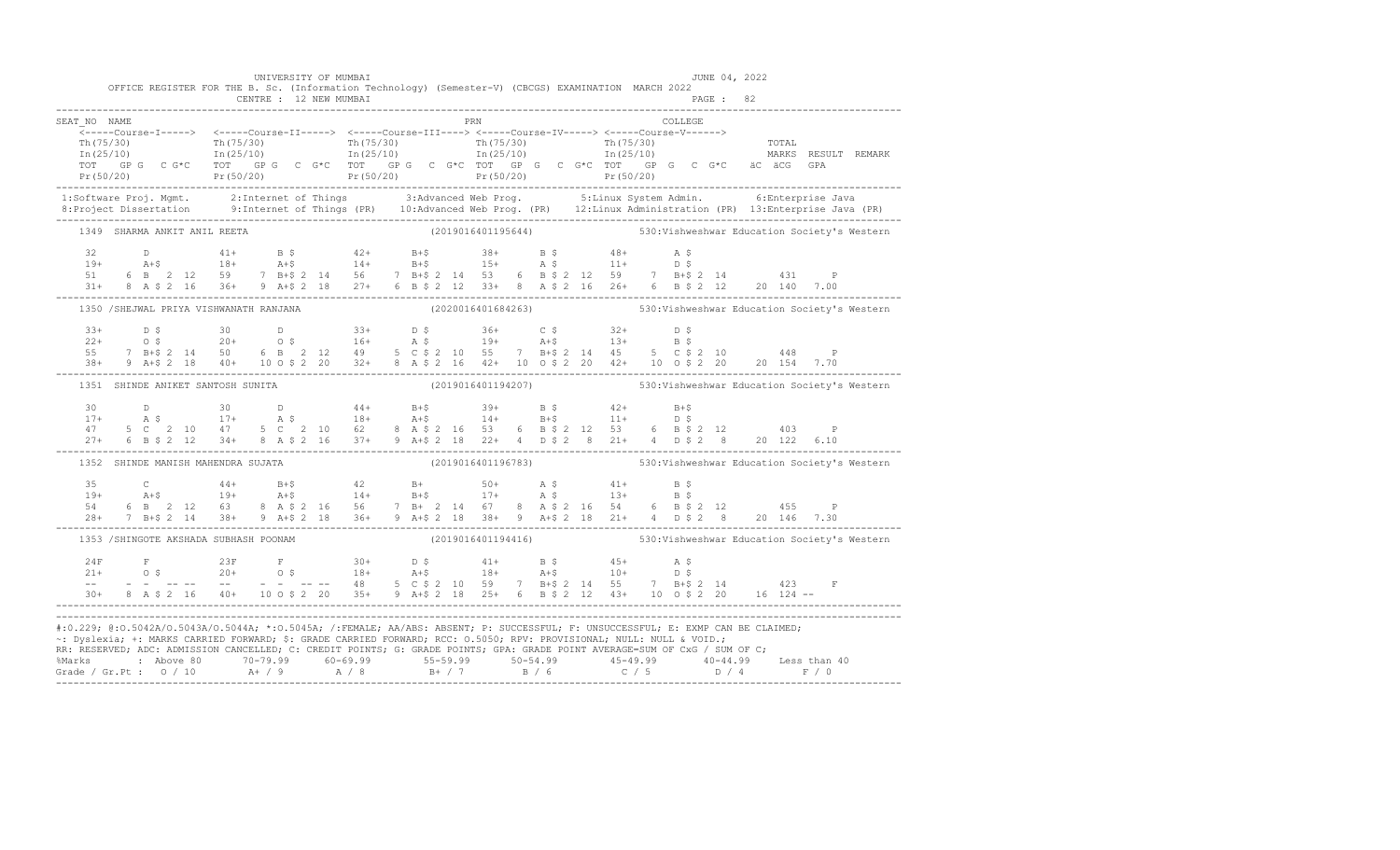| OFFICE REGISTER FOR THE B. Sc. (Information Technology) (Semester-V) (CBCGS) EXAMINATION MARCH 2022                                                                                                                                                                                                                                                                                                                                                                                                                                                   | UNIVERSITY OF MUMBAI |  |            |  |  |  |         | JUNE 04, 2022 |  |                                                                 |
|-------------------------------------------------------------------------------------------------------------------------------------------------------------------------------------------------------------------------------------------------------------------------------------------------------------------------------------------------------------------------------------------------------------------------------------------------------------------------------------------------------------------------------------------------------|----------------------|--|------------|--|--|--|---------|---------------|--|-----------------------------------------------------------------|
|                                                                                                                                                                                                                                                                                                                                                                                                                                                                                                                                                       |                      |  |            |  |  |  |         |               |  |                                                                 |
| SEAT NO NAME                                                                                                                                                                                                                                                                                                                                                                                                                                                                                                                                          |                      |  | <b>PRN</b> |  |  |  | COLLEGE |               |  |                                                                 |
|                                                                                                                                                                                                                                                                                                                                                                                                                                                                                                                                                       |                      |  |            |  |  |  |         |               |  |                                                                 |
|                                                                                                                                                                                                                                                                                                                                                                                                                                                                                                                                                       |                      |  |            |  |  |  |         |               |  |                                                                 |
|                                                                                                                                                                                                                                                                                                                                                                                                                                                                                                                                                       |                      |  |            |  |  |  |         |               |  |                                                                 |
|                                                                                                                                                                                                                                                                                                                                                                                                                                                                                                                                                       |                      |  |            |  |  |  |         |               |  |                                                                 |
| 1:Software Proj. Mgmt. 2:Internet of Things 3:Advanced Web Prog. 5:Linux System Admin. 6:Enterprise Java<br>8:Project Dissertation 9:Internet of Things (PR) 10:Advanced Web Prog. (PR) 12:Linux Administration (PR) 13:Enterpris                                                                                                                                                                                                                                                                                                                     |                      |  |            |  |  |  |         |               |  |                                                                 |
|                                                                                                                                                                                                                                                                                                                                                                                                                                                                                                                                                       |                      |  |            |  |  |  |         |               |  |                                                                 |
| 1349 SHARMA ANKIT ANIL REETA                                                                                                                                                                                                                                                                                                                                                                                                                                                                                                                          |                      |  |            |  |  |  |         |               |  | (2019016401195644) 530: Vishweshwar Education Society's Western |
|                                                                                                                                                                                                                                                                                                                                                                                                                                                                                                                                                       |                      |  |            |  |  |  |         |               |  |                                                                 |
|                                                                                                                                                                                                                                                                                                                                                                                                                                                                                                                                                       |                      |  |            |  |  |  |         |               |  |                                                                 |
|                                                                                                                                                                                                                                                                                                                                                                                                                                                                                                                                                       |                      |  |            |  |  |  |         |               |  |                                                                 |
| $\begin{array}{cccccccccccccccc} 32 & D & 41+ & B & \xi & 42+ & B+ \xi & 38+ & B & \xi & 48+ & A & \xi \\ 19+ & A+ \xi & 18+ & A+ \xi & 14+ & B+ \xi & 15+ & A & \xi & 11+ & D & \xi \\ 51 & 6 & B & 2 & 12 & 59 & 7 & B+ \xi & 2 & 14 & 56 & 7 & B+ \xi & 2 & 14 & 53 & 6 & B & \xi & 2 & 12 & 59 & 7 & B+ \xi & 2 & 14 & 431 & P \\ 31+ & 8 & A & \xi & 2$                                                                                                                                                                                          |                      |  |            |  |  |  |         |               |  |                                                                 |
| 1350 / SHEJWAL PRIYA VISHWANATH RANJANA                                                                                                                                                                                                                                                                                                                                                                                                                                                                                                               |                      |  |            |  |  |  |         |               |  | (2020016401684263) 530: Vishweshwar Education Society's Western |
|                                                                                                                                                                                                                                                                                                                                                                                                                                                                                                                                                       |                      |  |            |  |  |  |         |               |  |                                                                 |
|                                                                                                                                                                                                                                                                                                                                                                                                                                                                                                                                                       |                      |  |            |  |  |  |         |               |  |                                                                 |
|                                                                                                                                                                                                                                                                                                                                                                                                                                                                                                                                                       |                      |  |            |  |  |  |         |               |  |                                                                 |
|                                                                                                                                                                                                                                                                                                                                                                                                                                                                                                                                                       |                      |  |            |  |  |  |         |               |  |                                                                 |
| 1351 SHINDE ANIKET SANTOSH SUNITA                                                                                                                                                                                                                                                                                                                                                                                                                                                                                                                     |                      |  |            |  |  |  |         |               |  | (2019016401194207) 530: Vishweshwar Education Society's Western |
|                                                                                                                                                                                                                                                                                                                                                                                                                                                                                                                                                       |                      |  |            |  |  |  |         |               |  |                                                                 |
|                                                                                                                                                                                                                                                                                                                                                                                                                                                                                                                                                       |                      |  |            |  |  |  |         |               |  |                                                                 |
|                                                                                                                                                                                                                                                                                                                                                                                                                                                                                                                                                       |                      |  |            |  |  |  |         |               |  |                                                                 |
| $\begin{array}{cccccccccccccccc} 30 & D & 30 & D & 44+ & B+$ & 39+ & B$ & 42+ & B+$ & \\ 17+ & A$ & 17+ & A$ & 18+ & A+$ & 14+ & B+$ & 11+ & D$ & \\ 47 & 5 C & 2 & 10 & 47 & 5 C & 2 & 10 & 62 & 8 & A$ & 2 & 16 & 53 & 6 & B$ & 2 & 12 & 53 & 6 & B$ & 2 & 12 & 403 & P \\ 27+ & 6 & B$ & 2 & 12 & 34+ & 8 & A$ & 2 & 16 & 37+$                                                                                                                                                                                                                     |                      |  |            |  |  |  |         |               |  |                                                                 |
| 1352 SHINDE MANISH MAHENDRA SUJATA                                                                                                                                                                                                                                                                                                                                                                                                                                                                                                                    |                      |  |            |  |  |  |         |               |  | (2019016401196783) 530: Vishweshwar Education Society's Western |
| $\begin{array}{cccccccccccccccc} 35 & C & 44+ & B+5 & 42 & B+ & 50+ & A & S & 41+ & B & S \\ 19+ & A+5 & 19+ & A+5 & 14+ & B+5 & 17+ & A & S & 13+ & B & S \\ 54 & 6 & B & 2 & 12 & 63 & 8 & A & S & 2 & 16 & 56 & 7 & B+ & 2 & 14 & 67 & 8 & A & S & 2 & 16 & 54 & 6 & B & S & 2 & 12 & 455 & P \\ 28+ & 7 & B+5 & 2 & 14 & 38+ & 9 & A+5 &$                                                                                                                                                                                                         |                      |  |            |  |  |  |         |               |  |                                                                 |
|                                                                                                                                                                                                                                                                                                                                                                                                                                                                                                                                                       |                      |  |            |  |  |  |         |               |  |                                                                 |
|                                                                                                                                                                                                                                                                                                                                                                                                                                                                                                                                                       |                      |  |            |  |  |  |         |               |  |                                                                 |
|                                                                                                                                                                                                                                                                                                                                                                                                                                                                                                                                                       |                      |  |            |  |  |  |         |               |  |                                                                 |
| 1353 / SHINGOTE AKSHADA SUBHASH POONAM (2019016401194416) 530: Vishweshwar Education Society's Western                                                                                                                                                                                                                                                                                                                                                                                                                                                |                      |  |            |  |  |  |         |               |  |                                                                 |
|                                                                                                                                                                                                                                                                                                                                                                                                                                                                                                                                                       |                      |  |            |  |  |  |         |               |  |                                                                 |
|                                                                                                                                                                                                                                                                                                                                                                                                                                                                                                                                                       |                      |  |            |  |  |  |         |               |  |                                                                 |
|                                                                                                                                                                                                                                                                                                                                                                                                                                                                                                                                                       |                      |  |            |  |  |  |         |               |  |                                                                 |
| $\begin{array}{cccccccccccccccc} 24F & F & 23F & F & 30+ & D & 5 & 41+ & B & 5 & 45+ & A & 5\\ 21+ & O & \, 5 & 20+ & O & \, 5 & 18+ & A & 5 & 18+ & A & 5 & 10+ & D & 5\\ - & - & - & - & - & - & - & - & - & - & 48 & 5 & C & 5 & 2 & 10 & 59 & 7 & B & 5 & 2 & 14 & 55 & 7 & B & 5 & 2 & 14 & 423 & F\\ 30+ & 8 & A & 5 & 2 & 16 & 40+ & 10$                                                                                                                                                                                                       |                      |  |            |  |  |  |         |               |  |                                                                 |
| #:0.229; @:0.5042A/0.5043A/0.5044A; *:0.5045A; /:FEMALE; AA/ABS: ABSENT; P: SUCCESSFUL; F: UNSUCCESSFUL; E: EXMP CAN BE CLAIMED;<br>~: Dyslexia; +: MARKS CARRIED FORWARD; \$: GRADE CARRIED FORWARD; RCC: 0.5050; RPV: PROVISIONAL; NULL: NULL & VOID.;<br>RR: RESERVED; ADC: ADMISSION CANCELLED; C: CREDIT POINTS; G: GRADE POINTS; GPA: GRADE POINT AVERAGE=SUM OF CxG / SUM OF C;<br>% Marks : Above 80 70-79.99 60-69.99 55-59.99 50-54.99 45-49.99 40-44.99 Less than 40<br>Grade / Gr.Pt : 0 / 10 A+ / 9 A / 8 B+ / 7 B / 6 C / 5 D / 4 F / 0 |                      |  |            |  |  |  |         |               |  |                                                                 |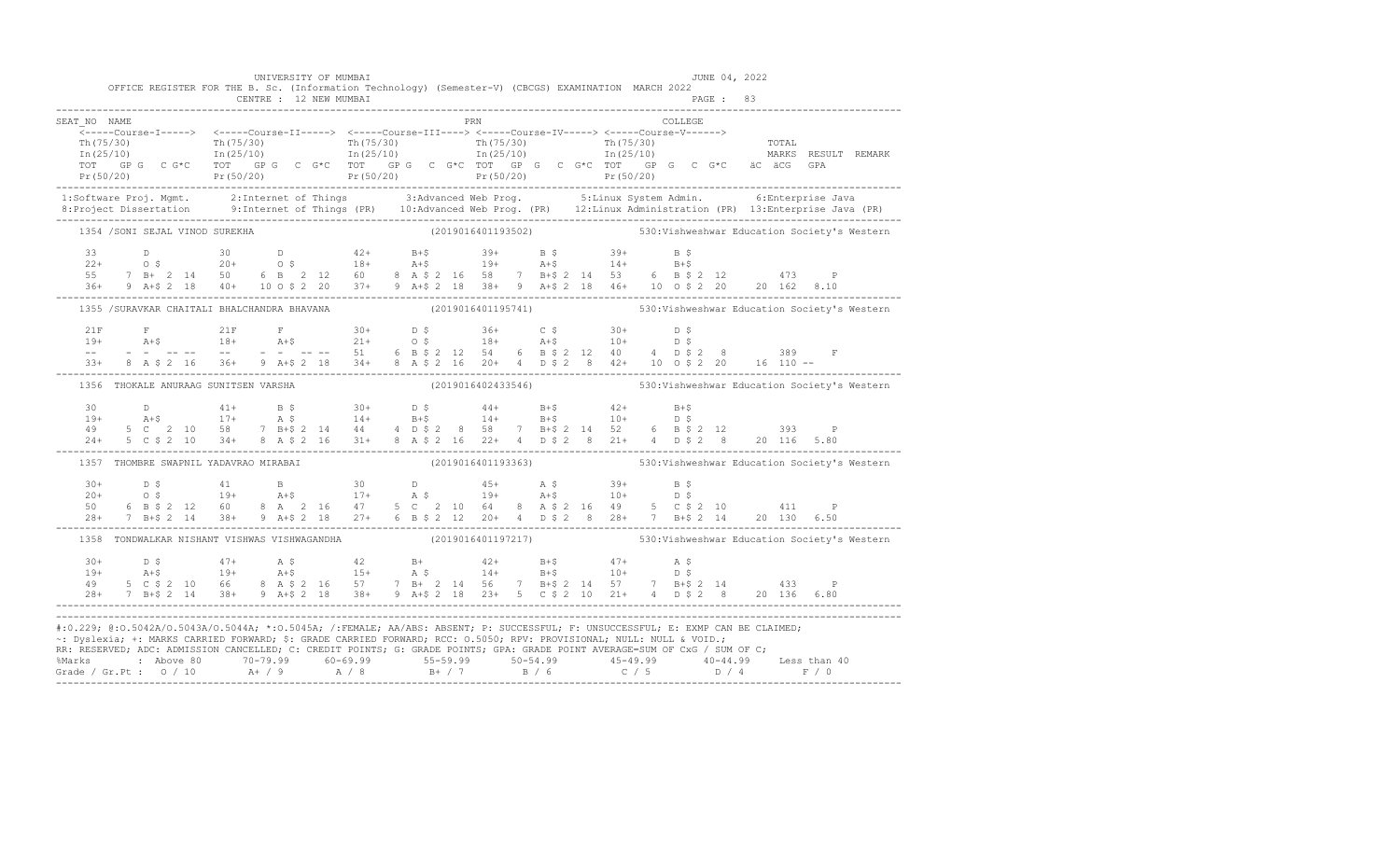|                                                                                                                                                                                                                                                                                                                                                                                        |  |  | OFFICE REGISTER FOR THE B. Sc. (Information Technology) (Semester-V) (CBCGS) EXAMINATION MARCH 2022                                                                                                                                                                                                                                                                    |  | UNIVERSITY OF MUMBAI |  |  |            |  |  |  |         | JUNE 04, 2022 |  |                                                                                                                                                                                                                                                                                                                                                                                                               |
|----------------------------------------------------------------------------------------------------------------------------------------------------------------------------------------------------------------------------------------------------------------------------------------------------------------------------------------------------------------------------------------|--|--|------------------------------------------------------------------------------------------------------------------------------------------------------------------------------------------------------------------------------------------------------------------------------------------------------------------------------------------------------------------------|--|----------------------|--|--|------------|--|--|--|---------|---------------|--|---------------------------------------------------------------------------------------------------------------------------------------------------------------------------------------------------------------------------------------------------------------------------------------------------------------------------------------------------------------------------------------------------------------|
|                                                                                                                                                                                                                                                                                                                                                                                        |  |  |                                                                                                                                                                                                                                                                                                                                                                        |  |                      |  |  |            |  |  |  |         |               |  |                                                                                                                                                                                                                                                                                                                                                                                                               |
| SEAT NO NAME                                                                                                                                                                                                                                                                                                                                                                           |  |  |                                                                                                                                                                                                                                                                                                                                                                        |  |                      |  |  | <b>PRN</b> |  |  |  | COLLEGE |               |  |                                                                                                                                                                                                                                                                                                                                                                                                               |
|                                                                                                                                                                                                                                                                                                                                                                                        |  |  |                                                                                                                                                                                                                                                                                                                                                                        |  |                      |  |  |            |  |  |  |         |               |  |                                                                                                                                                                                                                                                                                                                                                                                                               |
|                                                                                                                                                                                                                                                                                                                                                                                        |  |  |                                                                                                                                                                                                                                                                                                                                                                        |  |                      |  |  |            |  |  |  |         |               |  |                                                                                                                                                                                                                                                                                                                                                                                                               |
|                                                                                                                                                                                                                                                                                                                                                                                        |  |  |                                                                                                                                                                                                                                                                                                                                                                        |  |                      |  |  |            |  |  |  |         |               |  |                                                                                                                                                                                                                                                                                                                                                                                                               |
|                                                                                                                                                                                                                                                                                                                                                                                        |  |  |                                                                                                                                                                                                                                                                                                                                                                        |  |                      |  |  |            |  |  |  |         |               |  |                                                                                                                                                                                                                                                                                                                                                                                                               |
|                                                                                                                                                                                                                                                                                                                                                                                        |  |  |                                                                                                                                                                                                                                                                                                                                                                        |  |                      |  |  |            |  |  |  |         |               |  | 1:Software Proj. Mgmt. 2:Internet of Things 3:Advanced Web Prog. 5:Linux System Admin. 6:Enterprise Java<br>8:Project Dissertation 9:Internet of Things (PR) 10:Advanced Web Prog. (PR) 12:Linux Administration (PR) 13:Enterpris                                                                                                                                                                             |
|                                                                                                                                                                                                                                                                                                                                                                                        |  |  | 1354 /SONI SEJAL VINOD SUREKHA                                                                                                                                                                                                                                                                                                                                         |  |                      |  |  |            |  |  |  |         |               |  | (2019016401193502) 530: Vishweshwar Education Society's Western                                                                                                                                                                                                                                                                                                                                               |
|                                                                                                                                                                                                                                                                                                                                                                                        |  |  |                                                                                                                                                                                                                                                                                                                                                                        |  |                      |  |  |            |  |  |  |         |               |  |                                                                                                                                                                                                                                                                                                                                                                                                               |
|                                                                                                                                                                                                                                                                                                                                                                                        |  |  |                                                                                                                                                                                                                                                                                                                                                                        |  |                      |  |  |            |  |  |  |         |               |  |                                                                                                                                                                                                                                                                                                                                                                                                               |
|                                                                                                                                                                                                                                                                                                                                                                                        |  |  |                                                                                                                                                                                                                                                                                                                                                                        |  |                      |  |  |            |  |  |  |         |               |  |                                                                                                                                                                                                                                                                                                                                                                                                               |
|                                                                                                                                                                                                                                                                                                                                                                                        |  |  | 33 D<br>$22+$ O \$ $20+$ O \$ $18+$ A+\$ $19+$ A+\$ $14+$ B+\$<br>55 7 B+ 2 14 50 6 B 2 12 60 8 A \$ 2 16 58 7 B+\$ 2 14 53 6 B \$ 2 12 473 P<br>36+ 9 A+\$ 2 18 40+ 10 O \$ 2 20 37+ 9 A+\$ 2 18 38+ 9 A+\$ 2 18 46+ 10 O \$ 2 20 20 162 8.10<br>                                                                                                                     |  |                      |  |  |            |  |  |  |         |               |  |                                                                                                                                                                                                                                                                                                                                                                                                               |
|                                                                                                                                                                                                                                                                                                                                                                                        |  |  |                                                                                                                                                                                                                                                                                                                                                                        |  |                      |  |  |            |  |  |  |         |               |  | 1355 /SURAVKAR CHAITALI BHALCHANDRA BHAVANA (2019016401195741) 530: Vishweshwar Education Society's Western                                                                                                                                                                                                                                                                                                   |
|                                                                                                                                                                                                                                                                                                                                                                                        |  |  |                                                                                                                                                                                                                                                                                                                                                                        |  |                      |  |  |            |  |  |  |         |               |  |                                                                                                                                                                                                                                                                                                                                                                                                               |
|                                                                                                                                                                                                                                                                                                                                                                                        |  |  |                                                                                                                                                                                                                                                                                                                                                                        |  |                      |  |  |            |  |  |  |         |               |  |                                                                                                                                                                                                                                                                                                                                                                                                               |
|                                                                                                                                                                                                                                                                                                                                                                                        |  |  |                                                                                                                                                                                                                                                                                                                                                                        |  |                      |  |  |            |  |  |  |         |               |  |                                                                                                                                                                                                                                                                                                                                                                                                               |
|                                                                                                                                                                                                                                                                                                                                                                                        |  |  |                                                                                                                                                                                                                                                                                                                                                                        |  |                      |  |  |            |  |  |  |         |               |  | $\begin{array}{lllllllll} 21\mathrm{F}&\mathrm{F}&21\mathrm{F}&\mathrm{F}&30+&\mathrm{D}\;\mathcal{S}&36+&\mathrm{C}\;\mathcal{S}&30+&\mathrm{D}\;\mathcal{S}\\ 19+&\mathrm{A}+\mathcal{S}&18+&\mathrm{A}+\mathcal{S}&21+&\mathrm{O}\;\mathcal{S}&18+&\mathrm{A}+\mathcal{S}&10+&\mathrm{D}\;\mathcal{S}\\ --&-&-&-&-&-&-&-&-&-&51&6&\mathrm{B}\;\mathcal{S}\;2&12&54&6&\mathrm{B}\;\mathcal{S}\;2&12&40&4&\$ |
|                                                                                                                                                                                                                                                                                                                                                                                        |  |  | 1356 THOKALE ANURAAG SUNITSEN VARSHA                                                                                                                                                                                                                                                                                                                                   |  |                      |  |  |            |  |  |  |         |               |  | (2019016402433546) 530: Vishweshwar Education Society's Western                                                                                                                                                                                                                                                                                                                                               |
|                                                                                                                                                                                                                                                                                                                                                                                        |  |  |                                                                                                                                                                                                                                                                                                                                                                        |  |                      |  |  |            |  |  |  |         |               |  |                                                                                                                                                                                                                                                                                                                                                                                                               |
|                                                                                                                                                                                                                                                                                                                                                                                        |  |  |                                                                                                                                                                                                                                                                                                                                                                        |  |                      |  |  |            |  |  |  |         |               |  |                                                                                                                                                                                                                                                                                                                                                                                                               |
|                                                                                                                                                                                                                                                                                                                                                                                        |  |  |                                                                                                                                                                                                                                                                                                                                                                        |  |                      |  |  |            |  |  |  |         |               |  |                                                                                                                                                                                                                                                                                                                                                                                                               |
|                                                                                                                                                                                                                                                                                                                                                                                        |  |  |                                                                                                                                                                                                                                                                                                                                                                        |  |                      |  |  |            |  |  |  |         |               |  |                                                                                                                                                                                                                                                                                                                                                                                                               |
|                                                                                                                                                                                                                                                                                                                                                                                        |  |  |                                                                                                                                                                                                                                                                                                                                                                        |  |                      |  |  |            |  |  |  |         |               |  | 1357 THOMBRE SWAPNIL YADAVRAO MIRABAI (2019016401193363) 530:Vishweshwar Education Society's Western                                                                                                                                                                                                                                                                                                          |
|                                                                                                                                                                                                                                                                                                                                                                                        |  |  | $\begin{array}{cccccccccccccccc} 30+ & & D & \xi & & 41 & & B & & 30 & & D & & 45+ & A & \xi & & 39+ & B & \xi \\ 20+ & & O & \xi & & 19+ & & A+\xi & & 17+ & A & \xi & & 19+ & A+\xi & & 10+ & D & \xi \\ 50 & & 6 & B & \xi & 2 & 12 & 60 & 8 & A & 2 & 16 & 47 & 5 & C & 2 & 10 & 64 & 8 & A & \xi & 2 & 16 & 49 & 5 & C & \xi & 2 & 10 & & 411 & P \\ 28+ & 7 & B$ |  |                      |  |  |            |  |  |  |         |               |  |                                                                                                                                                                                                                                                                                                                                                                                                               |
|                                                                                                                                                                                                                                                                                                                                                                                        |  |  |                                                                                                                                                                                                                                                                                                                                                                        |  |                      |  |  |            |  |  |  |         |               |  |                                                                                                                                                                                                                                                                                                                                                                                                               |
|                                                                                                                                                                                                                                                                                                                                                                                        |  |  |                                                                                                                                                                                                                                                                                                                                                                        |  |                      |  |  |            |  |  |  |         |               |  |                                                                                                                                                                                                                                                                                                                                                                                                               |
|                                                                                                                                                                                                                                                                                                                                                                                        |  |  |                                                                                                                                                                                                                                                                                                                                                                        |  |                      |  |  |            |  |  |  |         |               |  |                                                                                                                                                                                                                                                                                                                                                                                                               |
|                                                                                                                                                                                                                                                                                                                                                                                        |  |  |                                                                                                                                                                                                                                                                                                                                                                        |  |                      |  |  |            |  |  |  |         |               |  | 1358 TONDWALKAR NISHANT VISHWAS VISHWAGANDHA (2019016401197217) 530:Vishweshwar Education Society's Western                                                                                                                                                                                                                                                                                                   |
|                                                                                                                                                                                                                                                                                                                                                                                        |  |  |                                                                                                                                                                                                                                                                                                                                                                        |  |                      |  |  |            |  |  |  |         |               |  |                                                                                                                                                                                                                                                                                                                                                                                                               |
|                                                                                                                                                                                                                                                                                                                                                                                        |  |  |                                                                                                                                                                                                                                                                                                                                                                        |  |                      |  |  |            |  |  |  |         |               |  |                                                                                                                                                                                                                                                                                                                                                                                                               |
|                                                                                                                                                                                                                                                                                                                                                                                        |  |  |                                                                                                                                                                                                                                                                                                                                                                        |  |                      |  |  |            |  |  |  |         |               |  |                                                                                                                                                                                                                                                                                                                                                                                                               |
|                                                                                                                                                                                                                                                                                                                                                                                        |  |  |                                                                                                                                                                                                                                                                                                                                                                        |  |                      |  |  |            |  |  |  |         |               |  |                                                                                                                                                                                                                                                                                                                                                                                                               |
| #:0.229; @:0.5042A/0.5043A/0.5044A; *:0.5045A; /:FEMALE; AA/ABS: ABSENT; P: SUCCESSFUL; F: UNSUCCESSFUL; E: EXMP CAN BE CLAIMED;<br>~: Dyslexia; +: MARKS CARRIED FORWARD; \$: GRADE CARRIED FORWARD; RCC: 0.5050; RPV: PROVISIONAL; NULL: NULL & VOID.;<br>RR: RESERVED, ADC: ADMISSION CANCELLED, C: CREDIT POINTS, G: GRADE POINTS, GPA: GRADE POINT AVERAGE=SUM OF CxG / SUM OF C; |  |  |                                                                                                                                                                                                                                                                                                                                                                        |  |                      |  |  |            |  |  |  |         |               |  |                                                                                                                                                                                                                                                                                                                                                                                                               |
|                                                                                                                                                                                                                                                                                                                                                                                        |  |  |                                                                                                                                                                                                                                                                                                                                                                        |  |                      |  |  |            |  |  |  |         |               |  |                                                                                                                                                                                                                                                                                                                                                                                                               |
|                                                                                                                                                                                                                                                                                                                                                                                        |  |  |                                                                                                                                                                                                                                                                                                                                                                        |  |                      |  |  |            |  |  |  |         |               |  |                                                                                                                                                                                                                                                                                                                                                                                                               |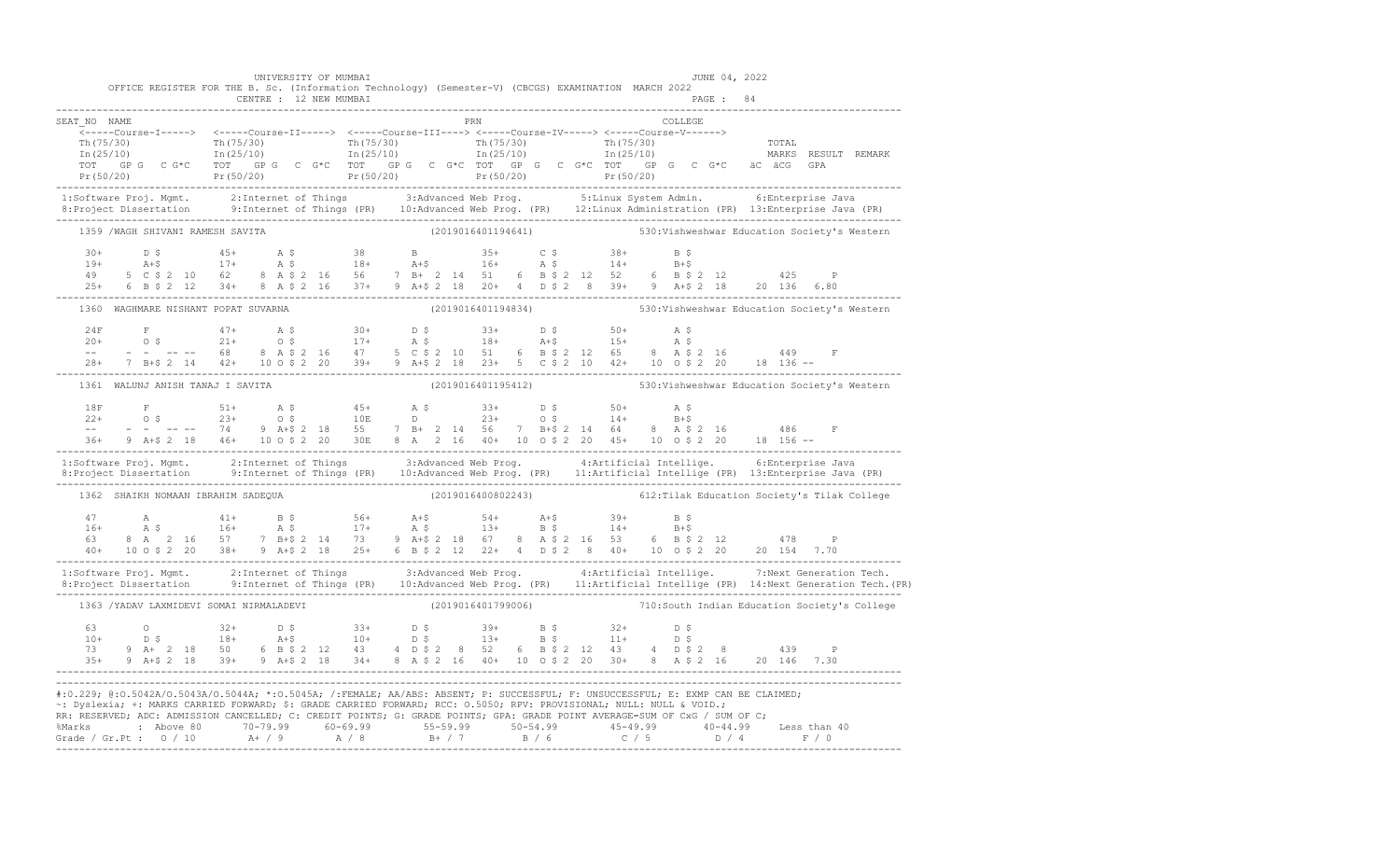|                                    | UNIVERSITY OF MUMBAI<br>OFFICE REGISTER FOR THE B. Sc. (Information Technology) (Semester-V) (CBCGS) EXAMINATION MARCH 2022<br>CENTRE : 12 NEW MUMBAI |                    | JUNE 04, 2022<br>PAGE: 84                                                                                                                                                                                                                                                                                                                                                                                                                                |                                                                                                                                                                                                                                   |
|------------------------------------|-------------------------------------------------------------------------------------------------------------------------------------------------------|--------------------|----------------------------------------------------------------------------------------------------------------------------------------------------------------------------------------------------------------------------------------------------------------------------------------------------------------------------------------------------------------------------------------------------------------------------------------------------------|-----------------------------------------------------------------------------------------------------------------------------------------------------------------------------------------------------------------------------------|
| SEAT NO NAME                       |                                                                                                                                                       | PRN                | COLLEGE                                                                                                                                                                                                                                                                                                                                                                                                                                                  |                                                                                                                                                                                                                                   |
|                                    |                                                                                                                                                       |                    |                                                                                                                                                                                                                                                                                                                                                                                                                                                          |                                                                                                                                                                                                                                   |
|                                    |                                                                                                                                                       |                    |                                                                                                                                                                                                                                                                                                                                                                                                                                                          | 1:Software Proj. Mgmt. 2:Internet of Things 3:Advanced Web Prog. 5:Linux System Admin. 6:Enterprise Java<br>8:Project Dissertation 9:Internet of Things (PR) 10:Advanced Web Prog. (PR) 12:Linux Administration (PR) 13:Enterpris |
| 1359 /WAGH SHIVANI RAMESH SAVITA   |                                                                                                                                                       |                    | (2019016401194641) 530: Vishweshwar Education Society's Western                                                                                                                                                                                                                                                                                                                                                                                          |                                                                                                                                                                                                                                   |
|                                    |                                                                                                                                                       |                    | $\begin{array}{cccccccccccc} 30+ & & D & \xi & & 45+ & A & \xi & & 38 & B & 35+ & C & \xi & & 38+ & B & \xi \\ 19+ & & \text{A}+ \xi & & 17+ & \text{A} & \xi & & 18+ & \text{A}+ \xi & & 16+ & \text{A} & \xi & & 14+ & B+ \xi \\ 49 & & 5 & C & \xi & 2 & 10 & 62 & 8 & A & \xi & 2 & 16 & 56 & 7 & B+ & 2 & 14 & 51 & 6 & B & \xi & 2 & 12 & 52 & 6 & B & \xi & 2 &$                                                                                  |                                                                                                                                                                                                                                   |
|                                    | 1360 WAGHMARE NISHANT POPAT SUVARNA                                                                                                                   |                    | (2019016401194834) 530: Vishweshwar Education Society's Western                                                                                                                                                                                                                                                                                                                                                                                          |                                                                                                                                                                                                                                   |
|                                    |                                                                                                                                                       |                    | $\begin{array}{cccccccccccccccc} 24\mathrm{F} & \mathrm{F} & 47+ & \mathrm{A}\;\mathrel{\S}_{20+} & 30+ & 0\;\mathrel{\S}_{20+} & 50+ & \mathrm{A}\;\mathrel{\S}_{20+} & 0\;\mathrel{\S}_{20+} & 0\;\mathrel{\S}_{21+} & 0\;\mathrel{\S}_{22+} & 0\;\mathrel{\S}_{22+} & 0\;\mathrel{\S}_{22+} & 0\;\mathrel{\S}_{22+} & 0\;\mathrel{\S}_{22+} & 0\;\mathrel{\S}_{22+} & 0\;\mathrel{\S}_{22+} & 0\;\mathrel{\S$                                         | $\;$ F                                                                                                                                                                                                                            |
| 1361 WALUNJ ANISH TANAJ I SAVITA   |                                                                                                                                                       |                    | (2019016401195412) 530: Vishweshwar Education Society's Western                                                                                                                                                                                                                                                                                                                                                                                          |                                                                                                                                                                                                                                   |
|                                    |                                                                                                                                                       |                    |                                                                                                                                                                                                                                                                                                                                                                                                                                                          |                                                                                                                                                                                                                                   |
|                                    |                                                                                                                                                       |                    | 1:Software Proj. Mgmt. 2:Internet of Things 3:Advanced Web Prog. 4:Artificial Intellige. 6:Enterprise Java<br>8:Project Dissertation 9:Internet of Things (PR) 10:Advanced Web Prog. (PR) 11:Artificial Intellige (PR) 13:Enterpr                                                                                                                                                                                                                        |                                                                                                                                                                                                                                   |
| 1362 SHAIKH NOMAAN IBRAHIM SADEQUA |                                                                                                                                                       |                    | (2019016400802243) 612: Tilak Education Society's Tilak College                                                                                                                                                                                                                                                                                                                                                                                          |                                                                                                                                                                                                                                   |
|                                    |                                                                                                                                                       |                    | $\begin{array}{cccccccccccccccc} 47 & \quad & \mathsf{A} & \quad & \mathsf{41+} & \quad \mathsf{B} & \text{S} & \quad & \mathsf{56+} & \quad \mathsf{A}+\text{S} & \quad & \mathsf{54+} & \quad \mathsf{A}+\text{S} & \quad & \mathsf{39+} & \quad \mathsf{B} & \text{S} \\ 16+ & \quad & \mathsf{A} & \text{S} & \quad & 16+ & \quad & \mathsf{A} & \text{S} & \quad & 17+ & \quad & \mathsf{A} & \text{S} & \quad & 13+ & \quad & \mathsf{B} & \text{$ |                                                                                                                                                                                                                                   |
|                                    |                                                                                                                                                       |                    |                                                                                                                                                                                                                                                                                                                                                                                                                                                          | 1:Software Proj. Mgmt.     2:Internet of Things        3:Advanced Web Prog.       4:Artificial Intellige.    7:Next Generation Tech.<br>8:Project Dissertation      9:Internet of Things (PR)   10:Advanced Web Prog. (PR)   11:A |
|                                    | 1363 /YADAV LAXMIDEVI SOMAI NIRMALADEVI                                                                                                               | (2019016401799006) |                                                                                                                                                                                                                                                                                                                                                                                                                                                          | 710:South Indian Education Society's College                                                                                                                                                                                      |
|                                    |                                                                                                                                                       |                    |                                                                                                                                                                                                                                                                                                                                                                                                                                                          |                                                                                                                                                                                                                                   |
|                                    | ~: Dyslexia; +: MARKS CARRIED FORWARD; \$: GRADE CARRIED FORWARD; RCC: 0.5050; RPV: PROVISIONAL; NULL: NULL & VOID.;                                  |                    | #:0.229; @:0.5042A/0.5043A/0.5044A; *:0.5045A; /:FEMALE; AA/ABS: ABSENT; P: SUCCESSFUL; F: UNSUCCESSFUL; E: EXMP CAN BE CLAIMED;<br>RR: RESERVED; ADC: ADMISSION CANCELLED; C: CREDIT POINTS; G: GRADE POINTS; GPA: GRADE POINT AVERAGE=SUM OF CxG / SUM OF C;                                                                                                                                                                                           |                                                                                                                                                                                                                                   |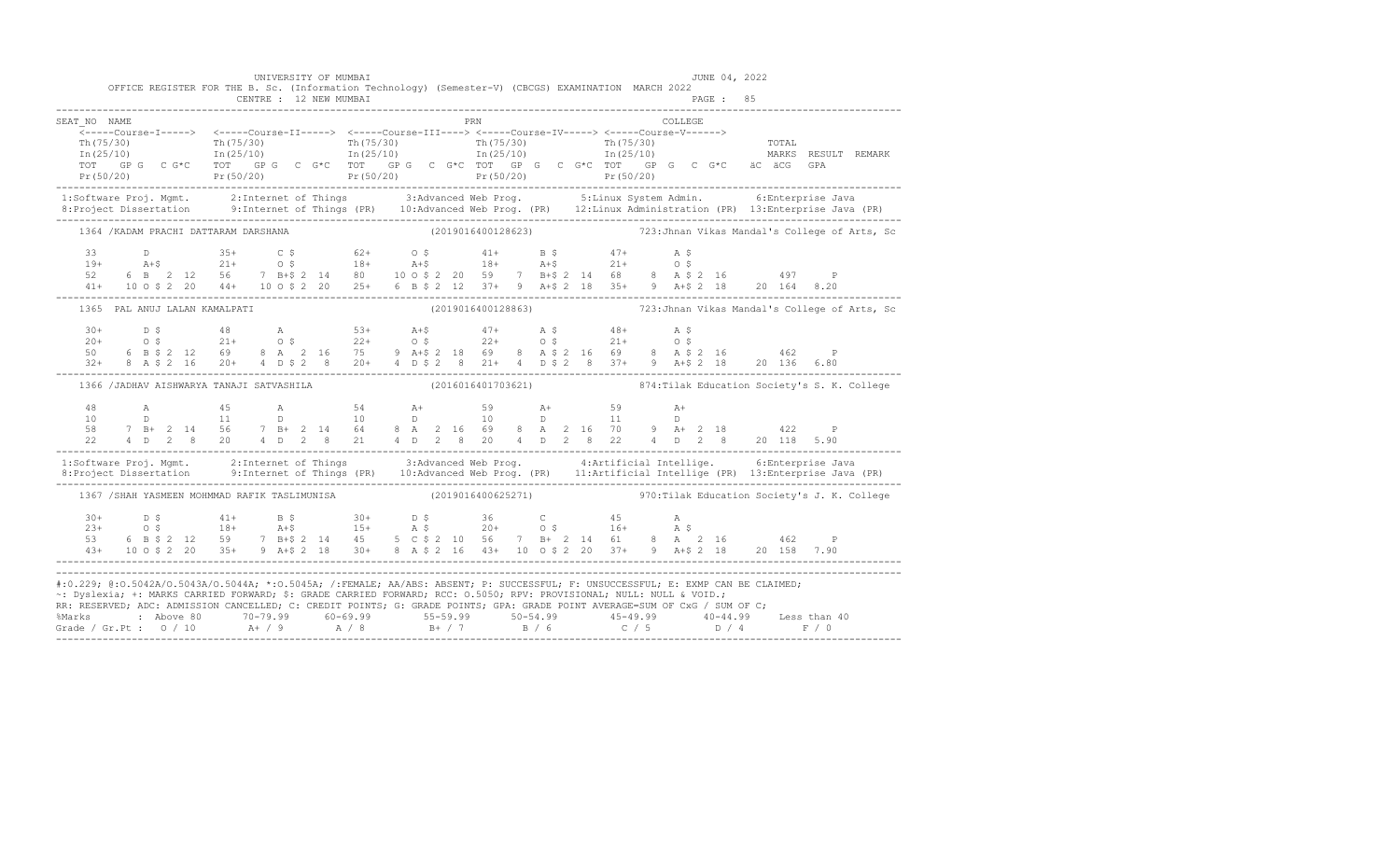|              | UNIVERSITY OF MUMBAI                                                                                |     | JUNE 04, 2022                                                                                                                                                                                                                                                                                                                                                                                                                                                                                                                                         |  |
|--------------|-----------------------------------------------------------------------------------------------------|-----|-------------------------------------------------------------------------------------------------------------------------------------------------------------------------------------------------------------------------------------------------------------------------------------------------------------------------------------------------------------------------------------------------------------------------------------------------------------------------------------------------------------------------------------------------------|--|
|              | OFFICE REGISTER FOR THE B. Sc. (Information Technology) (Semester-V) (CBCGS) EXAMINATION MARCH 2022 |     |                                                                                                                                                                                                                                                                                                                                                                                                                                                                                                                                                       |  |
| SEAT NO NAME |                                                                                                     | PRN | COLLEGE.                                                                                                                                                                                                                                                                                                                                                                                                                                                                                                                                              |  |
|              |                                                                                                     |     |                                                                                                                                                                                                                                                                                                                                                                                                                                                                                                                                                       |  |
|              |                                                                                                     |     |                                                                                                                                                                                                                                                                                                                                                                                                                                                                                                                                                       |  |
|              |                                                                                                     |     |                                                                                                                                                                                                                                                                                                                                                                                                                                                                                                                                                       |  |
|              |                                                                                                     |     | 1:Software Proj. Mgmt. 2:Internet of Things 3:Advanced Web Prog. 5:Linux System Admin. 6:Enterprise Java<br>8:Project Dissertation 9:Internet of Things (PR) 10:Advanced Web Prog. (PR) 12:Linux Administration (PR) 13:Enterpris                                                                                                                                                                                                                                                                                                                     |  |
|              |                                                                                                     |     | 1364 /KADAM PRACHI DATTARAM DARSHANA (2019016400128623) 123:Jhnan Vikas Mandal's College of Arts, Sc                                                                                                                                                                                                                                                                                                                                                                                                                                                  |  |
|              |                                                                                                     |     |                                                                                                                                                                                                                                                                                                                                                                                                                                                                                                                                                       |  |
|              |                                                                                                     |     |                                                                                                                                                                                                                                                                                                                                                                                                                                                                                                                                                       |  |
|              |                                                                                                     |     |                                                                                                                                                                                                                                                                                                                                                                                                                                                                                                                                                       |  |
|              |                                                                                                     |     | $\begin{array}{cccccccccccccccc} 33 && D && 35+ && C & \xi && 62+ && 0 & \xi && 41+ && B & \xi && 47+ && A & \xi && \\ 19+ && A+\xi && 21+ && 0 & \xi && 18+ && A+\xi && 18+ && A+\xi && 21+ && 0 & \xi && \\ 52& 6 && B & 2 && 12 && 56 && 7 && B+\xi && 2 && 14 && 80 && 10 & 0 & \xi && 2 && 20 && 59 && 7 && B+\xi && 2 && 14 && 68 && 8 && A & \xi && 2 && 16 && 497 && P && \\ 41+ && 10 && 0 &$                                                                                                                                                |  |
|              | 1365 PAL ANUJ LALAN KAMALPATI                                                                       |     | (2019016400128863) 723: Jhnan Vikas Mandal's College of Arts, Sc                                                                                                                                                                                                                                                                                                                                                                                                                                                                                      |  |
|              |                                                                                                     |     |                                                                                                                                                                                                                                                                                                                                                                                                                                                                                                                                                       |  |
|              |                                                                                                     |     |                                                                                                                                                                                                                                                                                                                                                                                                                                                                                                                                                       |  |
|              |                                                                                                     |     | $\begin{array}{cccccccccccccccc} 30+ & & D & \xi & & 48 & & A & & 53+ & A+ \xi & & 47+ & A & \xi & & 48+ & A & \xi \\ 20+ & & O & \xi & & 21+ & & O & \xi & & 22+ & O & \xi & & 22+ & O & \xi & & 21+ & O & \xi \\ 50 & & 6 & B & \xi & 2 & 12 & 69 & 8 & A & 2 & 16 & 75 & 9 & A+ \xi & 2 & 18 & 69 & 8 & A & \xi & 2 & 16 & 69 & 8 & A & \xi & 2 & 16 & & 462 & & P \\$                                                                                                                                                                             |  |
|              |                                                                                                     |     | 1366 /JADHAV AISHWARYA TANAJI SATVASHILA (2016016401703621) 874: Tilak Education Society's S. K. College                                                                                                                                                                                                                                                                                                                                                                                                                                              |  |
|              |                                                                                                     |     |                                                                                                                                                                                                                                                                                                                                                                                                                                                                                                                                                       |  |
|              |                                                                                                     |     |                                                                                                                                                                                                                                                                                                                                                                                                                                                                                                                                                       |  |
|              |                                                                                                     |     |                                                                                                                                                                                                                                                                                                                                                                                                                                                                                                                                                       |  |
|              |                                                                                                     |     |                                                                                                                                                                                                                                                                                                                                                                                                                                                                                                                                                       |  |
|              |                                                                                                     |     | 1:Software Proj. Mgmt. 2:Internet of Things 3:Advanced Web Prog. 4:Artificial Intellige. 6:Enterprise Java<br>8:Project Dissertation 9:Internet of Things (PR) 10:Advanced Web Prog. (PR) 11:Artificial Intellige (PR) 13:Enterpr                                                                                                                                                                                                                                                                                                                     |  |
|              |                                                                                                     |     | 1367 /SHAH YASMEEN MOHMMAD RAFIK TASLIMUNISA (2019016400625271) 970: Tilak Education Society's J. K. College                                                                                                                                                                                                                                                                                                                                                                                                                                          |  |
|              |                                                                                                     |     |                                                                                                                                                                                                                                                                                                                                                                                                                                                                                                                                                       |  |
|              |                                                                                                     |     |                                                                                                                                                                                                                                                                                                                                                                                                                                                                                                                                                       |  |
|              |                                                                                                     |     | $\begin{array}{cccccccccccccccc} 30+ & & D & \xi & & & 41+ & & B & \xi & & 30+ & & D & \xi & & 36 & & C & & 45 & & A \\ 23+ & & O & \xi & & & 18+ & & A+\xi & & 15+ & A & \xi & & 20+ & O & \xi & & 16+ & A & \xi \\ 53 & & 6 & B & \xi & 2 & 12 & 59 & & 7 & B+\xi & 2 & 14 & 45 & & 5 & C & \xi & 2 & 10 & 56 & & 7 & B+ & 2 & 14 & 61 & 8 & A & 2 & 16 & & 462 & & P \\$                                                                                                                                                                           |  |
|              |                                                                                                     |     |                                                                                                                                                                                                                                                                                                                                                                                                                                                                                                                                                       |  |
|              |                                                                                                     |     | #:0.229; @:0.5042A/0.5043A/0.5044A; *:0.5045A; /:FEMALE; AA/ABS: ABSENT; P: SUCCESSFUL; F: UNSUCCESSFUL; E: EXMP CAN BE CLAIMED;<br>~: Dyslexia; +: MARKS CARRIED FORWARD; \$: GRADE CARRIED FORWARD; RCC: 0.5050; RPV: PROVISIONAL; NULL: NULL & VOID.;<br>RR: RESERVED; ADC: ADMISSION CANCELLED; C: CREDIT POINTS; G: GRADE POINTS; GPA: GRADE POINT AVERAGE=SUM OF CxG / SUM OF C;<br>% Marks : Above 80 70-79.99 60-69.99 55-59.99 50-54.99 45-49.99 40-44.99 Less than 40<br>Grade / Gr.Pt : 0 / 10 A+ / 9 A / 8 B+ / 7 B / 6 C / 5 D / 4 F / 0 |  |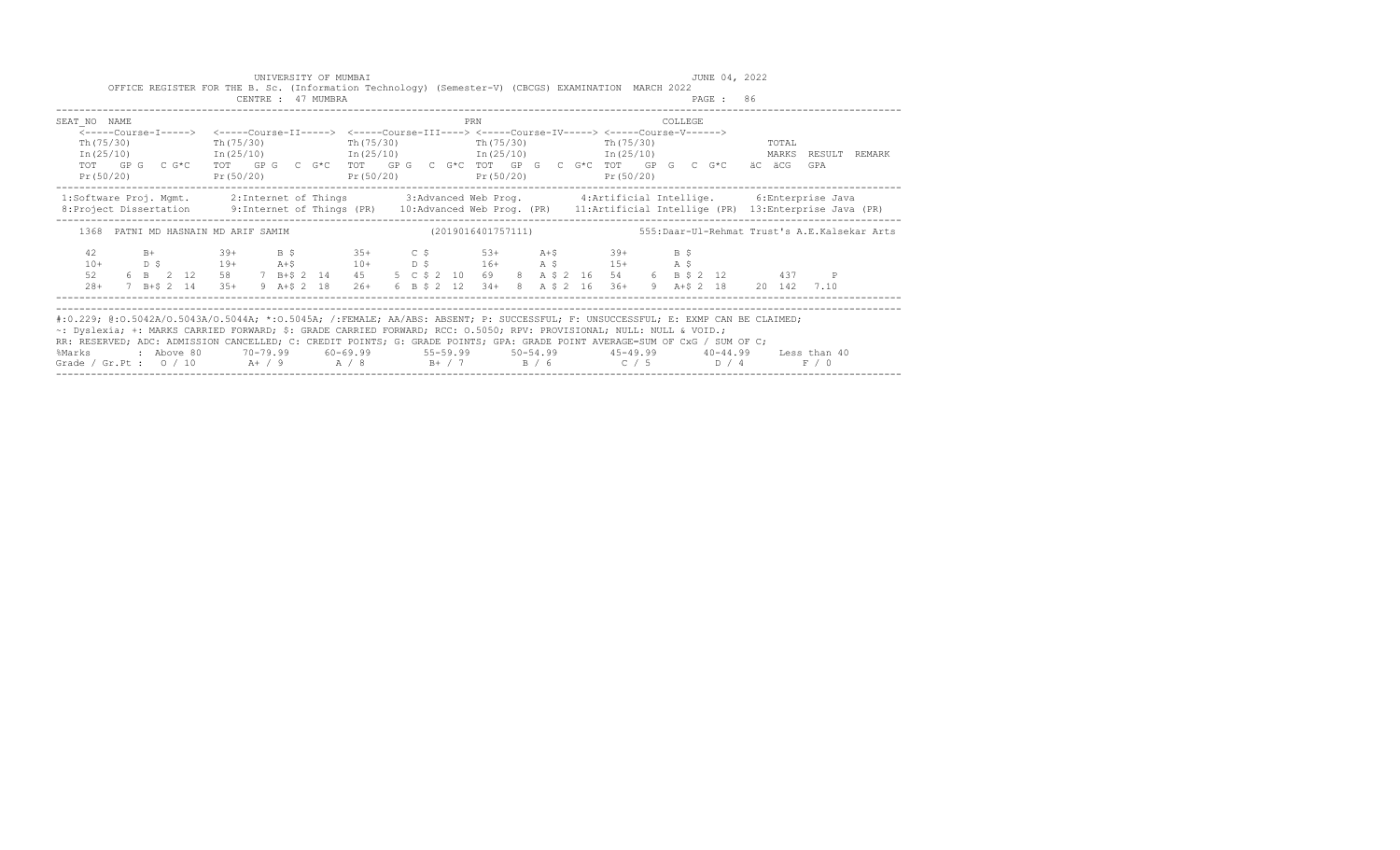| OFFICE REGISTER FOR THE B. Sc. (Information Technology) (Semester-V) (CBCGS) EXAMINATION MARCH 2022                                                                                                                                                                                                                                                                                                                                                                                                                                            |  |  | UNIVERSITY OF MUMBAI |                                                                         |  |  |     |  |  |  |         |           | JUNE 04, 2022 |       |       |  |
|------------------------------------------------------------------------------------------------------------------------------------------------------------------------------------------------------------------------------------------------------------------------------------------------------------------------------------------------------------------------------------------------------------------------------------------------------------------------------------------------------------------------------------------------|--|--|----------------------|-------------------------------------------------------------------------|--|--|-----|--|--|--|---------|-----------|---------------|-------|-------|--|
|                                                                                                                                                                                                                                                                                                                                                                                                                                                                                                                                                |  |  | CENTRE : 47 MUMBRA   |                                                                         |  |  |     |  |  |  |         | PAGE : 86 |               |       |       |  |
| SEAT NO NAME                                                                                                                                                                                                                                                                                                                                                                                                                                                                                                                                   |  |  |                      |                                                                         |  |  | PRN |  |  |  | COLLEGE |           |               |       |       |  |
| <-----Course-I-----> <-----Course-II-----> <-----Course-III----> <-----Course-IV-----> <-----Course-V------>                                                                                                                                                                                                                                                                                                                                                                                                                                   |  |  |                      |                                                                         |  |  |     |  |  |  |         |           |               |       |       |  |
| Th (75/30)                                                                                                                                                                                                                                                                                                                                                                                                                                                                                                                                     |  |  |                      | Th (75/30) Th (75/30) Th (75/30) Th (75/30) Th (75/30)                  |  |  |     |  |  |  |         |           |               | TOTAL |       |  |
| $In (25/10)$ $In (25/10)$ $In (25/10)$ $In (25/10)$ $In (25/10)$ $In (25/10)$ $In (25/10)$ $In (25/10)$<br>TOT GPG CG*C TOT GPG CG*C TOT GPG CG*C TOT GPG CG*C TOT GPG CG*C TOT GPG CG*C äC äCG GPA                                                                                                                                                                                                                                                                                                                                            |  |  |                      |                                                                         |  |  |     |  |  |  |         |           |               |       |       |  |
| Pr(50/20)                                                                                                                                                                                                                                                                                                                                                                                                                                                                                                                                      |  |  |                      | $Pr(50/20)$ $Pr(50/20)$ $Pr(50/20)$ $Pr(50/20)$ $Pr(50/20)$             |  |  |     |  |  |  |         |           |               |       |       |  |
| 1:Software Proj. Mgmt. 2:Internet of Things 3:Advanced Web Prog. 4:Artificial Intellige. 6:Enterprise Java<br>8: Project Dissertation 9: Internet of Things (PR) 10: Advanced Web Prog. (PR) 11: Artificial Intellige (PR) 13: Enterprise Java (PR)                                                                                                                                                                                                                                                                                            |  |  |                      |                                                                         |  |  |     |  |  |  |         |           |               |       |       |  |
| 1368 PATNI MD HASNAIN MD ARIF SAMIM (2019016401757111) 555: Daar-Ul-Rehmat Trust's A.E.Kalsekar Arts                                                                                                                                                                                                                                                                                                                                                                                                                                           |  |  |                      |                                                                         |  |  |     |  |  |  |         |           |               |       |       |  |
| $B+$ 39+<br>42<br>D \$ 19+ A + \$ 10 + D \$ 16 + A \$ 15 + A \$<br>$10+$                                                                                                                                                                                                                                                                                                                                                                                                                                                                       |  |  |                      | B \$ 35+ C \$ 53+ A +\$ 39+ B \$                                        |  |  |     |  |  |  |         |           |               |       |       |  |
| 6 B 2 12 58 7 B+\$ 2 14 45 5 C \$ 2 10 69 8 A \$ 2 16 54 6 B \$ 2 12 437 P<br>52                                                                                                                                                                                                                                                                                                                                                                                                                                                               |  |  |                      |                                                                         |  |  |     |  |  |  |         |           |               |       |       |  |
| $28+$<br>7 B+S 2 14 35+                                                                                                                                                                                                                                                                                                                                                                                                                                                                                                                        |  |  |                      | 9 A+\$ 2 18 26+ 6 B \$ 2 12 34+ 8 A \$ 2 16 36+ 9 A+\$ 2 18 20 142 7.10 |  |  |     |  |  |  |         |           |               |       |       |  |
| #:0.229; @:0.5042A/0.5043A/0.5044A; *:0.5045A; /:FEMALE; AA/ABS: ABSENT; P: SUCCESSFUL; F: UNSUCCESSFUL; E: EXMP CAN BE CLAIMED;<br>~: Dyslexia; +: MARKS CARRIED FORWARD; \$: GRADE CARRIED FORWARD; RCC: 0.5050; RPV: PROVISIONAL; NULL: NULL & VOID.;<br>RR: RESERVED; ADC: ADMISSION CANCELLED; C: CREDIT POINTS; G: GRADE POINTS; GPA: GRADE POINT AVERAGE=SUM OF CxG / SUM OF C;<br>%Marks : Above 80 70-79.99 60-69.99 55-59.99 50-54.99 45-49.99 40-44.99 Less than 40<br>Grade / Gr.Pt : $0/10$ A+ / 9 A / 8 B+ / 7 B / 6 C / 5 D / 4 |  |  |                      |                                                                         |  |  |     |  |  |  |         |           |               |       | F / 0 |  |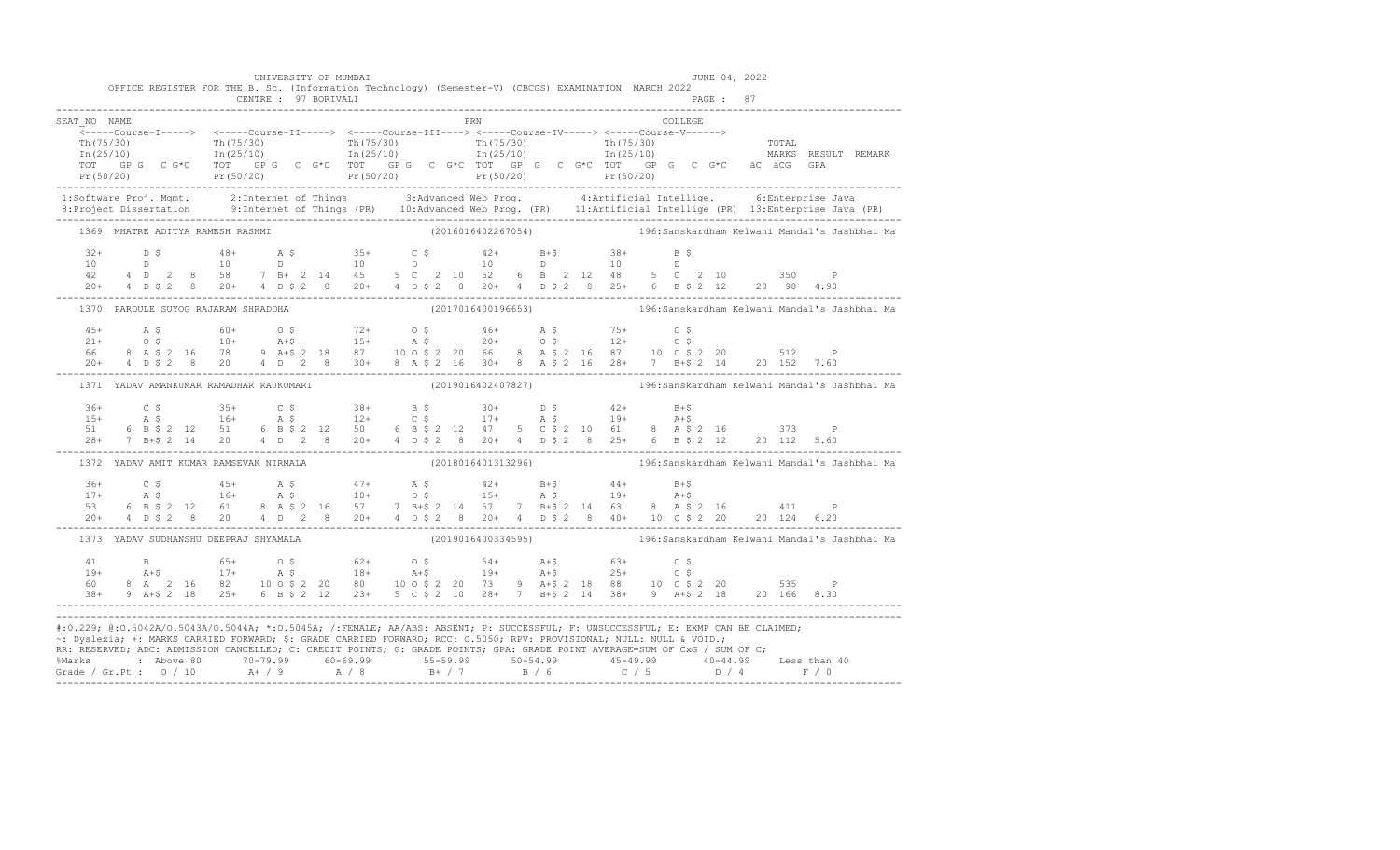|              |  |                                         |  | UNIVERSITY OF MUMBAI<br>OFFICE REGISTER FOR THE B. Sc. (Information Technology) (Semester-V) (CBCGS) EXAMINATION MARCH 2022                                                                                                                                                                                                                                                                                                                    |  |     |  |  |         |  | JUNE 04, 2022 |  |                                                                                                     |
|--------------|--|-----------------------------------------|--|------------------------------------------------------------------------------------------------------------------------------------------------------------------------------------------------------------------------------------------------------------------------------------------------------------------------------------------------------------------------------------------------------------------------------------------------|--|-----|--|--|---------|--|---------------|--|-----------------------------------------------------------------------------------------------------|
|              |  |                                         |  |                                                                                                                                                                                                                                                                                                                                                                                                                                                |  |     |  |  |         |  |               |  |                                                                                                     |
| SEAT NO NAME |  |                                         |  |                                                                                                                                                                                                                                                                                                                                                                                                                                                |  | PRN |  |  | COLLEGE |  |               |  |                                                                                                     |
|              |  |                                         |  |                                                                                                                                                                                                                                                                                                                                                                                                                                                |  |     |  |  |         |  |               |  |                                                                                                     |
|              |  |                                         |  |                                                                                                                                                                                                                                                                                                                                                                                                                                                |  |     |  |  |         |  |               |  |                                                                                                     |
|              |  |                                         |  |                                                                                                                                                                                                                                                                                                                                                                                                                                                |  |     |  |  |         |  |               |  |                                                                                                     |
|              |  |                                         |  |                                                                                                                                                                                                                                                                                                                                                                                                                                                |  |     |  |  |         |  |               |  |                                                                                                     |
|              |  |                                         |  | 1:Software Proj. Mgmt. 2:Internet of Things 3:Advanced Web Prog. 4:Artificial Intellige. 6:Enterprise Java<br>8:Project Dissertation 9:Internet of Things (PR) 10:Advanced Web Prog. (PR) 11:Artificial Intellige (PR) 13:Enterpr                                                                                                                                                                                                              |  |     |  |  |         |  |               |  |                                                                                                     |
|              |  |                                         |  | 1369 MHATRE ADITYA RAMESH RASHMI                                                                                                                                                                                                                                                                                                                                                                                                               |  |     |  |  |         |  |               |  | (2016016402267054)                                     196:Sanskardham Kelwani Mandal's Jashbhai Ma |
|              |  |                                         |  |                                                                                                                                                                                                                                                                                                                                                                                                                                                |  |     |  |  |         |  |               |  |                                                                                                     |
|              |  |                                         |  |                                                                                                                                                                                                                                                                                                                                                                                                                                                |  |     |  |  |         |  |               |  |                                                                                                     |
|              |  |                                         |  |                                                                                                                                                                                                                                                                                                                                                                                                                                                |  |     |  |  |         |  |               |  |                                                                                                     |
|              |  |                                         |  | $\begin{array}{cccccccccccccccc} 32+ & & D & \xi & & & 48+ & & A & \xi & & 35+ & & C & \xi & & 42+ & & B+\xi & & 38+ & & B & \xi \\ 10 & & & D & & & 10 & & D & & 10 & & D & & 10 & & D & & 10 \\ 42 & & 4 & D & 2 & 8 & 58 & & 7 & B+ & 2 & 14 & 45 & 5 & C & 2 & 10 & 52 & 6 & B & 2 & 12 & 48 & 5 & C & 2 & 10 & & 350 & P \\ 20+ & 4 & D & \xi & 2 & 8 & 20+$                                                                              |  |     |  |  |         |  |               |  |                                                                                                     |
|              |  | 1370 PARDULE SUYOG RAJARAM SHRADDHA     |  |                                                                                                                                                                                                                                                                                                                                                                                                                                                |  |     |  |  |         |  |               |  |                                                                                                     |
|              |  |                                         |  |                                                                                                                                                                                                                                                                                                                                                                                                                                                |  |     |  |  |         |  |               |  |                                                                                                     |
|              |  |                                         |  |                                                                                                                                                                                                                                                                                                                                                                                                                                                |  |     |  |  |         |  |               |  |                                                                                                     |
|              |  |                                         |  |                                                                                                                                                                                                                                                                                                                                                                                                                                                |  |     |  |  |         |  |               |  |                                                                                                     |
|              |  |                                         |  | $\begin{array}{lllllllllll} 45+ & \quad\text{A $ $\mathfrak{S}$} & \quad\text{60+} & \quad\text{O $\mathfrak{S}$} & \quad\text{72+} & \quad\text{O $\mathfrak{S}$} & \quad\text{46+} & \quad\text{A $\mathfrak{S}$} & \quad\text{75+} & \quad\text{O $\mathfrak{S}$} \\ 21+ & \quad\text{O $\mathfrak{S}$} & \quad\text{18+} & \quad\text{A+$\mathfrak{S}$} & \quad\text{15+} & \quad\text{A $\mathfrak{S}$} & \quad\text{20+} & \quad\text{O$ |  |     |  |  |         |  |               |  |                                                                                                     |
|              |  | 1371 YADAV AMANKUMAR RAMADHAR RAJKUMARI |  |                                                                                                                                                                                                                                                                                                                                                                                                                                                |  |     |  |  |         |  |               |  | (2019016402407827)                                   196:Sanskardham Kelwani Mandal's Jashbhai Ma   |
|              |  |                                         |  |                                                                                                                                                                                                                                                                                                                                                                                                                                                |  |     |  |  |         |  |               |  |                                                                                                     |
|              |  |                                         |  |                                                                                                                                                                                                                                                                                                                                                                                                                                                |  |     |  |  |         |  |               |  |                                                                                                     |
|              |  |                                         |  |                                                                                                                                                                                                                                                                                                                                                                                                                                                |  |     |  |  |         |  |               |  |                                                                                                     |
|              |  |                                         |  |                                                                                                                                                                                                                                                                                                                                                                                                                                                |  |     |  |  |         |  |               |  |                                                                                                     |
|              |  | 1372 YADAV AMIT KUMAR RAMSEVAK NIRMALA  |  |                                                                                                                                                                                                                                                                                                                                                                                                                                                |  |     |  |  |         |  |               |  | (2018016401313296)                               196:Sanskardham Kelwani Mandal's Jashbhai Ma       |
|              |  |                                         |  |                                                                                                                                                                                                                                                                                                                                                                                                                                                |  |     |  |  |         |  |               |  |                                                                                                     |
|              |  |                                         |  |                                                                                                                                                                                                                                                                                                                                                                                                                                                |  |     |  |  |         |  |               |  |                                                                                                     |
|              |  |                                         |  |                                                                                                                                                                                                                                                                                                                                                                                                                                                |  |     |  |  |         |  |               |  |                                                                                                     |
|              |  |                                         |  | $\begin{array}{cccccccccccccccc} 36+ & & C & \xi & & 45+ & & \lambda & \xi & & 47+ & & \lambda & \xi & & 42+ & & B+ \xi & & 44+ & & B+ \xi \\ 17+ & & \lambda & \xi & & 16+ & & \lambda & \xi & & 10+ & & D & \xi & & 15+ & & \lambda & \xi & & 19+ & & \lambda + \xi \\ 53 & & 6 & B & \xi & 2 & 12 & 61 & & 8 & A & \xi & 2 & 16 & & 57 & & 7 & B+ \xi & 2 & 14 & 57 & & 7 & B+ \xi & 2 & 14 & 63 & &$                                       |  |     |  |  |         |  |               |  |                                                                                                     |
|              |  | 1373 YADAV SUDHANSHU DEEPRAJ SHYAMALA   |  |                                                                                                                                                                                                                                                                                                                                                                                                                                                |  |     |  |  |         |  |               |  |                                                                                                     |
|              |  |                                         |  |                                                                                                                                                                                                                                                                                                                                                                                                                                                |  |     |  |  |         |  |               |  |                                                                                                     |
|              |  |                                         |  |                                                                                                                                                                                                                                                                                                                                                                                                                                                |  |     |  |  |         |  |               |  |                                                                                                     |
|              |  |                                         |  |                                                                                                                                                                                                                                                                                                                                                                                                                                                |  |     |  |  |         |  |               |  |                                                                                                     |
|              |  |                                         |  | $\begin{array}{cccccccccccc} 41 & B & 65+ & O\ \$ & 62+ & O\ \$ & 62+ & O\ \$ & 19+ & A+\$ & 63+ & O\ \$ & 19+ & A+\$ & 25+ & O\ \$ & 8\ \& 1 & 2\ \& 16 & 82 & 10\ \& 9 & 10 & 9 & 2\ \& 20 & 80 & 10 & 9 & 2\ \& 21 & 23+ & 5 & 2\ \& 22 & 10 & 28+ & 7 & B+\$ & 2\ \& 14 & 38+ & 9 & A+\$ & 2\ \& 18 & 20 & 166$                                                                                                                            |  |     |  |  |         |  |               |  |                                                                                                     |
|              |  |                                         |  |                                                                                                                                                                                                                                                                                                                                                                                                                                                |  |     |  |  |         |  |               |  |                                                                                                     |
|              |  |                                         |  | #:0.229; @:0.5042A/0.5043A/0.5044A; *:0.5045A; /:FEMALE; AA/ABS: ABSENT; P: SUCCESSFUL; F: UNSUCCESSFUL; E: EXMP CAN BE CLAIMED;<br>~: Dyslexia; +: MARKS CARRIED FORWARD; \$: GRADE CARRIED FORWARD; RCC: 0.5050; RPV: PROVISIONAL; NULL: NULL & VOID.;                                                                                                                                                                                       |  |     |  |  |         |  |               |  |                                                                                                     |
|              |  |                                         |  | RR: RESERVED; ADC: ADMISSION CANCELLED; C: CREDIT POINTS; G: GRADE POINTS; GPA: GRADE POINT AVERAGE=SUM OF CxG / SUM OF C;                                                                                                                                                                                                                                                                                                                     |  |     |  |  |         |  |               |  |                                                                                                     |
|              |  |                                         |  |                                                                                                                                                                                                                                                                                                                                                                                                                                                |  |     |  |  |         |  |               |  |                                                                                                     |
|              |  |                                         |  |                                                                                                                                                                                                                                                                                                                                                                                                                                                |  |     |  |  |         |  |               |  |                                                                                                     |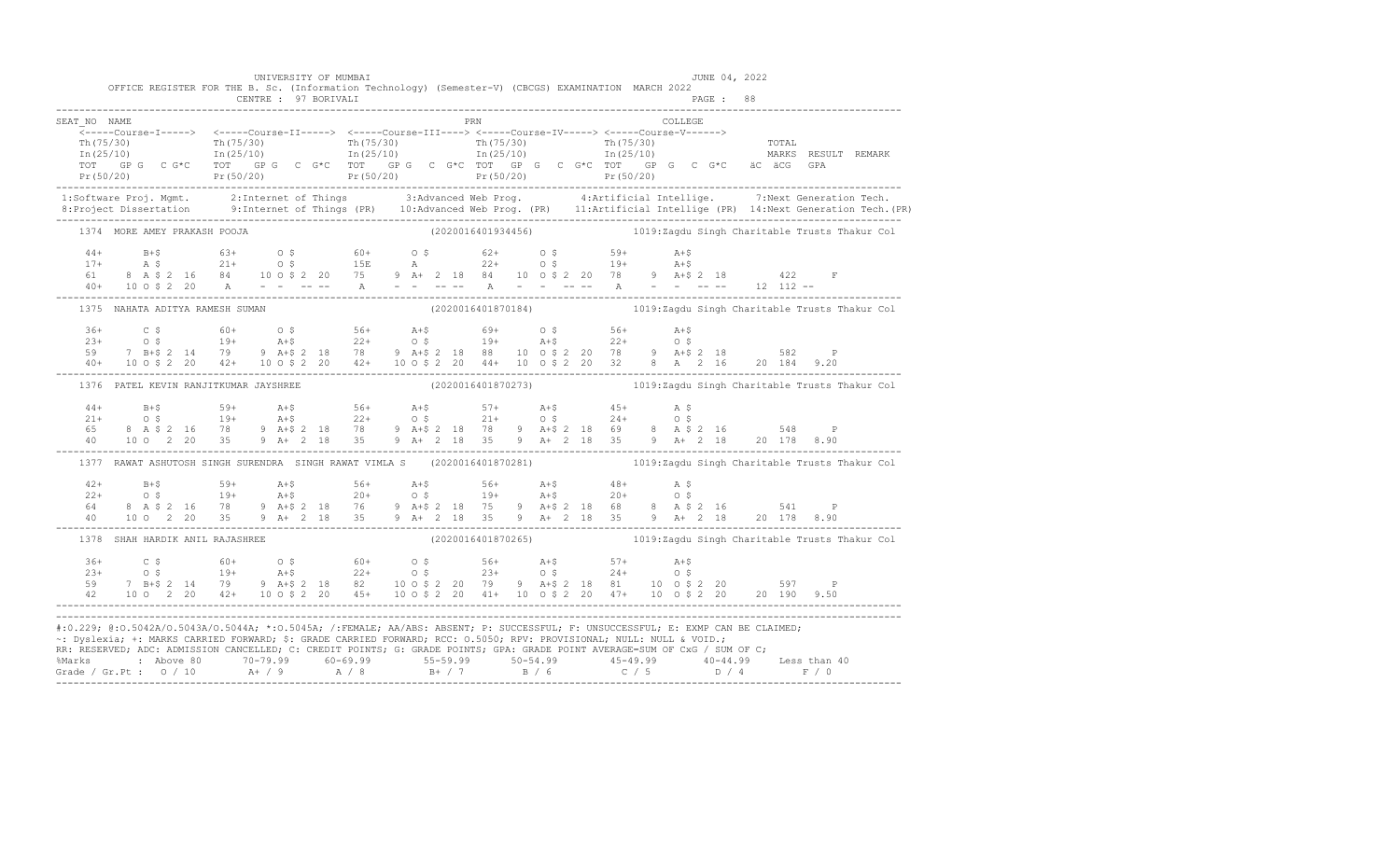|              | OFFICE REGISTER FOR THE B. Sc. (Information Technology) (Semester-V) (CBCGS) EXAMINATION MARCH 2022                                                                                                                                                                                                                                                                                                                                                                                                                                                  | UNIVERSITY OF MUMBAI |  |  |  |                                                                   |  |  |         |  | JUNE 04, 2022 |  |  |
|--------------|------------------------------------------------------------------------------------------------------------------------------------------------------------------------------------------------------------------------------------------------------------------------------------------------------------------------------------------------------------------------------------------------------------------------------------------------------------------------------------------------------------------------------------------------------|----------------------|--|--|--|-------------------------------------------------------------------|--|--|---------|--|---------------|--|--|
|              |                                                                                                                                                                                                                                                                                                                                                                                                                                                                                                                                                      |                      |  |  |  |                                                                   |  |  |         |  |               |  |  |
| SEAT NO NAME |                                                                                                                                                                                                                                                                                                                                                                                                                                                                                                                                                      |                      |  |  |  | PRN                                                               |  |  | COLLEGE |  |               |  |  |
|              |                                                                                                                                                                                                                                                                                                                                                                                                                                                                                                                                                      |                      |  |  |  |                                                                   |  |  |         |  |               |  |  |
|              | $\frac{1}{2}$ The corresponding to the corresponding to the corresponding to the corresponding to the corresponding to the corresponding to the corresponding to the corresponding to the corresponding to the corresponding to t                                                                                                                                                                                                                                                                                                                    |                      |  |  |  |                                                                   |  |  |         |  |               |  |  |
|              | TOT GP G C G*C TOT GP G C G*C TOT GP G C G*C TOT GP G C G*C TOT GP G C G*C äC äCG GPA                                                                                                                                                                                                                                                                                                                                                                                                                                                                |                      |  |  |  |                                                                   |  |  |         |  |               |  |  |
|              | Pr (50/20) Pr (50/20) Pr (50/20) Pr (50/20) Pr (50/20) Pr (50/20) Pr (50/20) Pr (50/20) Pr (50/20) Pr (50/20)                                                                                                                                                                                                                                                                                                                                                                                                                                        |                      |  |  |  |                                                                   |  |  |         |  |               |  |  |
|              | 1:Software Proj. Mgmt. 2:Internet of Things 3:Advanced Web Prog. 4:Artificial Intellige. 7:Next Generation Tech.<br>1.Project Dissertation 9:Internet of Things (PR) 10:Advanced Web Prog. (PR) 11:Artificial Intellige (PR) 14:N                                                                                                                                                                                                                                                                                                                    |                      |  |  |  |                                                                   |  |  |         |  |               |  |  |
|              | 1374 MORE AMEY PRAKASH POOJA                                                                                                                                                                                                                                                                                                                                                                                                                                                                                                                         |                      |  |  |  | (2020016401934456) 1019:Zagdu Singh Charitable Trusts Thakur Col  |  |  |         |  |               |  |  |
|              |                                                                                                                                                                                                                                                                                                                                                                                                                                                                                                                                                      |                      |  |  |  |                                                                   |  |  |         |  |               |  |  |
|              |                                                                                                                                                                                                                                                                                                                                                                                                                                                                                                                                                      |                      |  |  |  |                                                                   |  |  |         |  |               |  |  |
|              |                                                                                                                                                                                                                                                                                                                                                                                                                                                                                                                                                      |                      |  |  |  |                                                                   |  |  |         |  |               |  |  |
|              | $\begin{array}{cccccccccccc} 44+ & & B+\$ & & & 63+ & & 0$ & & 60+ & & 0$ & & 62+ & & 0$ & & 59+ & A+\$ \\ 17+ & & A$ & & 21+ & & 0$ & & 15E & & A & & 22+ & 0$ & & 19+ & A+\$ \\ 61 & & 8& A$ & 2& 16 & 84 & 10& 0$ & 2& 20 & 75 & 9 & A+ & 2 & 18 & 84 & 10 & 0$ & 2& 20 & 78 & 9 & A+\$ & 2& 18 & & 422 & F \\ 40+ & 10&$                                                                                                                                                                                                                         |                      |  |  |  |                                                                   |  |  |         |  |               |  |  |
|              | 1375 NAHATA ADITYA RAMESH SUMAN                                                                                                                                                                                                                                                                                                                                                                                                                                                                                                                      |                      |  |  |  | (2020016401870184) 1019:Zagdu Singh Charitable Trusts Thakur Col  |  |  |         |  |               |  |  |
|              |                                                                                                                                                                                                                                                                                                                                                                                                                                                                                                                                                      |                      |  |  |  |                                                                   |  |  |         |  |               |  |  |
|              |                                                                                                                                                                                                                                                                                                                                                                                                                                                                                                                                                      |                      |  |  |  |                                                                   |  |  |         |  |               |  |  |
|              |                                                                                                                                                                                                                                                                                                                                                                                                                                                                                                                                                      |                      |  |  |  |                                                                   |  |  |         |  |               |  |  |
|              | $\begin{array}{cccccccccccc} 364 & C & \xi & 60+ & 0 & \xi & 56+ & A+ \xi & 69+ & 0 & \xi & 56+ & A+ \xi & 23+ & 0 & \xi & 19+ & A+ \xi & 22+ & 0 & \xi & 19+ & A+ \xi & 22+ & 0 & \xi & 19+ & 582 & 19+ & 582 & 19+ & 582 & 19+ & 582 & 19+ & 582 & 19+ & 582 & 19+ & 582 & 19+ & 582 & 19+ & 582 & 19+ & 582 & 19+ & $                                                                                                                                                                                                                             |                      |  |  |  |                                                                   |  |  |         |  |               |  |  |
|              | 1376 PATEL KEVIN RANJITKUMAR JAYSHREE                                                                                                                                                                                                                                                                                                                                                                                                                                                                                                                |                      |  |  |  | (2020016401870273) 1019: Zagdu Singh Charitable Trusts Thakur Col |  |  |         |  |               |  |  |
|              | $\begin{array}{cccccccccccccccc} 44+ & & & B+5 & & & & 59+ & & & \text{A}+5 & & & 56+ & & \text{A}+5 & & & 57+ & & \text{A}+5 & & & 45+ & & \text{A} & \text{S} \\ 21+ & & & & & 0 & \text{S} & & & 19+ & & \text{A}+5 & & 22+ & & \text{O} & \text{S} & & & 21+ & & \text{O} & \text{S} & & & 24+ & & \text{O} & \text{S} \\ 65 & & 8 & \text{A} & \text{S} & 2 & 16 & & 78 & & 9 &$                                                                                                                                                                |                      |  |  |  |                                                                   |  |  |         |  |               |  |  |
|              |                                                                                                                                                                                                                                                                                                                                                                                                                                                                                                                                                      |                      |  |  |  |                                                                   |  |  |         |  |               |  |  |
|              |                                                                                                                                                                                                                                                                                                                                                                                                                                                                                                                                                      |                      |  |  |  |                                                                   |  |  |         |  |               |  |  |
|              | 1377 RAWAT ASHUTOSH SINGH SURENDRA SINGH RAWAT VIMLA S (2020016401870281) 1019:Zagdu Singh Charitable Trusts Thakur Col                                                                                                                                                                                                                                                                                                                                                                                                                              |                      |  |  |  |                                                                   |  |  |         |  |               |  |  |
|              |                                                                                                                                                                                                                                                                                                                                                                                                                                                                                                                                                      |                      |  |  |  |                                                                   |  |  |         |  |               |  |  |
|              | $\begin{array}{cccccccccccccccc} 42+ & & & B+5 & & & 59+ & & \text{A}+5 & & & 56+ & & \text{A}+5 & & & 56+ & & \text{A}+5 & & & 48+ & & \text{A} & \text{S} \\ 22+ & & & & 0 & \text{S} & & & 19+ & & \text{A}+5 & & 20+ & & \text{O} & \text{S} & & & 19+ & & \text{A}+5 & & & 20+ & & \text{O} & \text{S} \\ 64 & & 8 & \text{A} & \text{S} & 2 & 16 & & 78 & & 9 & \text{A}+5$                                                                                                                                                                    |                      |  |  |  |                                                                   |  |  |         |  |               |  |  |
|              |                                                                                                                                                                                                                                                                                                                                                                                                                                                                                                                                                      |                      |  |  |  |                                                                   |  |  |         |  |               |  |  |
|              |                                                                                                                                                                                                                                                                                                                                                                                                                                                                                                                                                      |                      |  |  |  |                                                                   |  |  |         |  |               |  |  |
|              | 1378 SHAH HARDIK ANIL RAJASHREE                                                                                                                                                                                                                                                                                                                                                                                                                                                                                                                      |                      |  |  |  | (2020016401870265) 1019:Zagdu Singh Charitable Trusts Thakur Col  |  |  |         |  |               |  |  |
|              |                                                                                                                                                                                                                                                                                                                                                                                                                                                                                                                                                      |                      |  |  |  |                                                                   |  |  |         |  |               |  |  |
|              |                                                                                                                                                                                                                                                                                                                                                                                                                                                                                                                                                      |                      |  |  |  |                                                                   |  |  |         |  |               |  |  |
|              |                                                                                                                                                                                                                                                                                                                                                                                                                                                                                                                                                      |                      |  |  |  |                                                                   |  |  |         |  |               |  |  |
|              | $\begin{array}{cccccccccccc} 36+ & C & \xi & 60+ & O & \xi & 60+ & O & \xi & 56+ & A+ \xi & 57+ & A+ \xi \\ 23+ & O & \xi & 19+ & A+ \xi & 22+ & O & \xi & 23+ & O & \xi & 24+ & O & \xi \\ 59 & 7 & B+ \xi & 2 & 14 & 79 & 9 & A+ \xi & 2 & 18 & 82 & 10 & 0 & \xi & 2 & 20 & 79 & 9 & A+ \xi & 2 & 18 & 81 & 10 & 0 & \xi & 2 & 20 & 597 & P \\ 42 & $                                                                                                                                                                                             |                      |  |  |  |                                                                   |  |  |         |  |               |  |  |
|              | #:0.229; @:0.5042A/0.5043A/0.5044A; *:0.5045A; /:FEMALE; AA/ABS: ABSENT; P: SUCCESSFUL; F: UNSUCCESSFUL; E: EXMP CAN BE CLAIMED;<br>~: Dyslexia; +: MARKS CARRIED FORWARD; \$: GRADE CARRIED FORWARD; RCC: 0.5050; RPV: PROVISIONAL; NULL: NULL & VOID.;<br>RR: RESERVED; ADC: ADMISSION CANCELLED; C: CREDIT POINTS; G: GRADE POINTS; GPA: GRADE POINT AVERAGE=SUM OF CxG / SUM OF C;<br>%Marks : Above 80 70-79.99 60-69.99 55-59.99 50-54.99 45-49.99 40-44.99 Less than 40<br>Grade / Gr.Pt : 0 / 10 A+ / 9 A / 8 B+ / 7 B / 6 C / 5 D / 4 F / 0 |                      |  |  |  |                                                                   |  |  |         |  |               |  |  |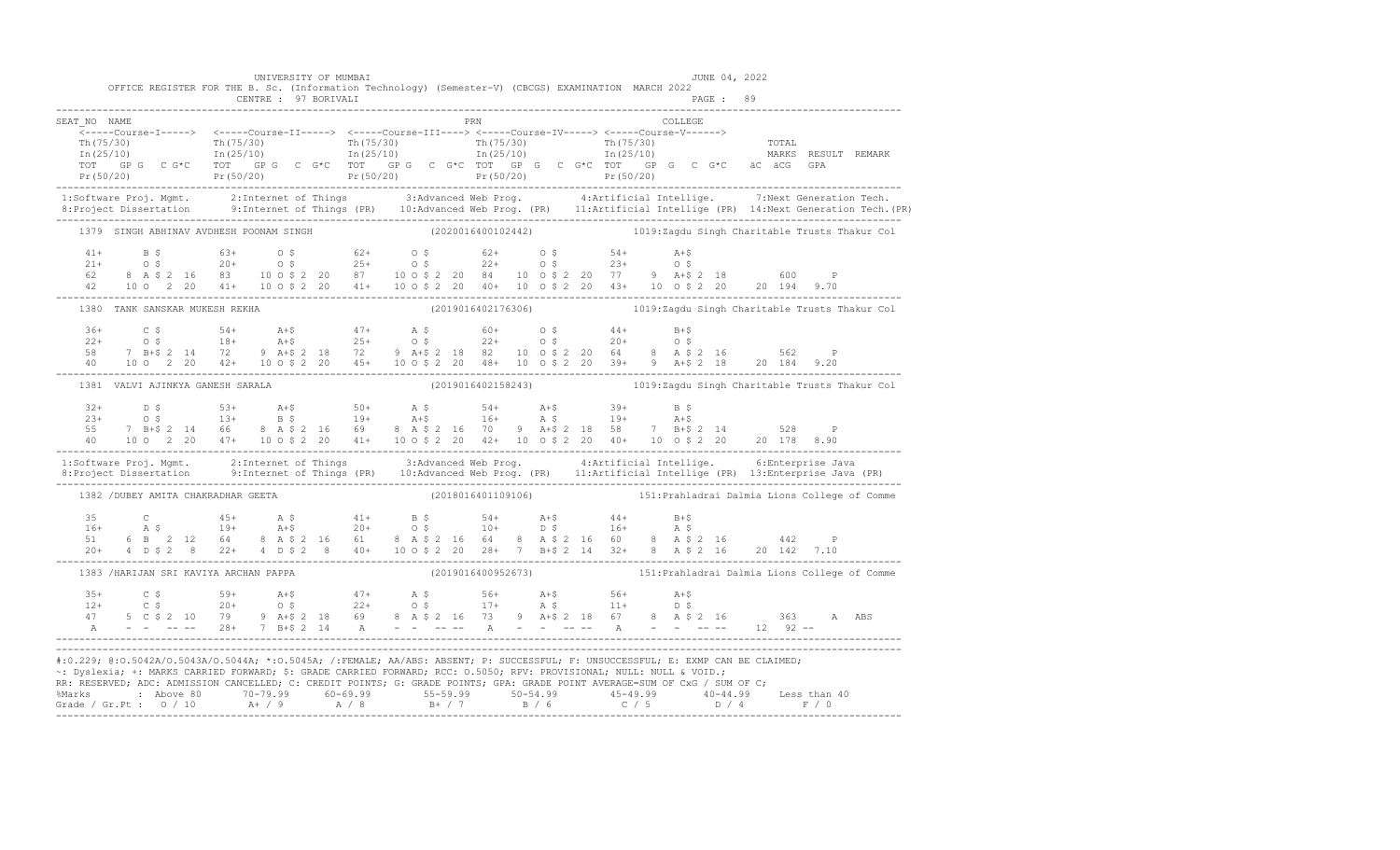|              | OFFICE REGISTER FOR THE B. Sc. (Information Technology) (Semester-V) (CBCGS) EXAMINATION MARCH 2022                                                                                                                                                                                                                                                                                         | UNIVERSITY OF MUMBAI |                                                                  |  |  |                                                                                                                                                                                                                                                                                                                                                                                                                                                                                             | JUNE 04, 2022 |  |  |
|--------------|---------------------------------------------------------------------------------------------------------------------------------------------------------------------------------------------------------------------------------------------------------------------------------------------------------------------------------------------------------------------------------------------|----------------------|------------------------------------------------------------------|--|--|---------------------------------------------------------------------------------------------------------------------------------------------------------------------------------------------------------------------------------------------------------------------------------------------------------------------------------------------------------------------------------------------------------------------------------------------------------------------------------------------|---------------|--|--|
|              |                                                                                                                                                                                                                                                                                                                                                                                             |                      |                                                                  |  |  |                                                                                                                                                                                                                                                                                                                                                                                                                                                                                             |               |  |  |
| SEAT NO NAME | _______Course-I-----> <-----Course-II-----> <-----Course-III----> <-----Course-IV-----> <-----Course-V------>                                                                                                                                                                                                                                                                               |                      | PRN                                                              |  |  | $\begin{tabular}{ll} \multicolumn{2}{c}{\textbf{COLLEGE}}\\ \multicolumn{2}{c}{\textbf{COLLEGE}}\\ \multicolumn{2}{c}{\textbf{COLLEGE}}\\ \multicolumn{2}{c}{\textbf{COLLEGE}}\\ \multicolumn{2}{c}{\textbf{COLLEGE}}\\ \multicolumn{2}{c}{\textbf{COLLEGE}}\\ \multicolumn{2}{c}{\textbf{COLLEGE}}\\ \multicolumn{2}{c}{\textbf{COLLEGE}}\\ \multicolumn{2}{c}{\textbf{COLLEGE}}\\ \multicolumn{2}{c}{\textbf{COLLEGE}}\\ \multicolumn{2}{c}{\textbf{COLLEGE}}\\ \multicolumn{2}{c}{\text$ |               |  |  |
|              | $\begin{array}{cccccccc} \text{Th (75/30)} & \text{Th (75/30)} & \text{Th (75/30)} & \text{Th (75/30)} & \text{Th (75/30)} & \text{Th (75/30)} & \text{Tr (75/30)} & \text{Tr (75/30)} & \text{Tr (75/30)} & \text{Tr (75/30)} & \text{Tr (75/30)} & \text{Tr (75/30)} & \text{Tr (75/30)} & \text{Tr (75/30)} & \text{Tr (75/30)} & \text{Tr (75/30)} & \text{Tr (75/30)} & \text{Tr (75/$ |                      |                                                                  |  |  |                                                                                                                                                                                                                                                                                                                                                                                                                                                                                             |               |  |  |
|              | 1:Software Proj. Mgmt. 2:Internet of Things 3:Advanced Web Prog. 4:Artificial Intellige. 7:Next Generation Tech.<br>8:Project Dissertation 9:Internet of Things (PR) 10:Advanced Web Prog. (PR) 11:Artificial Intellige (PR) 14:N                                                                                                                                                           |                      |                                                                  |  |  |                                                                                                                                                                                                                                                                                                                                                                                                                                                                                             |               |  |  |
|              | 1379 SINGH ABHINAV AVDHESH POONAM SINGH (2020016400102442) 1019:Zagdu Singh Charitable Trusts Thakur Col                                                                                                                                                                                                                                                                                    |                      |                                                                  |  |  |                                                                                                                                                                                                                                                                                                                                                                                                                                                                                             |               |  |  |
|              | $\begin{array}{cccccccccccc} 41+ & & B & \xi & & 63+ & O & \xi & & 62+ & O & \xi & & 62+ & O & \xi & & 54+ & A+\xi \\ 21+ & & O & \xi & & 20+ & & O & \xi & & 25+ & O & \xi & & 22+ & O & \xi & & 23+ & O & \xi \\ 62 & & 8 & A & \xi & 2 & 16 & 83 & 10 & 0 & \xi & 2 & 20 & 87 & 10 & 0 & \xi & 2 & 20 & 84 & 10 & 0 & \xi & 2 & 20 & 77 & 9 & A+\xi & 2 & 18 &$                          |                      |                                                                  |  |  |                                                                                                                                                                                                                                                                                                                                                                                                                                                                                             |               |  |  |
|              | 1380 TANK SANSKAR MUKESH REKHA (2019016402176306) 1019:Zagdu Singh Charitable Trusts Thakur Col                                                                                                                                                                                                                                                                                             |                      |                                                                  |  |  |                                                                                                                                                                                                                                                                                                                                                                                                                                                                                             |               |  |  |
|              | $\begin{array}{cccccccccccc} 36+&C&\ 5&54+&A+\$&47+&A&\$&60+&0&\$&44+&B+\$& \\ 22+&0&\$&18+&A+\$&25+&0&\$&22+&0&\$&20+&0&\$& \\ 58&7&B+\$2&14&72&9&A+\$2&18&72&9&A+\$2&18&82&10&0&\$2&20&64&8&A&\$2&16&562&P \\ 40&10&0&2&20&42+&10&0&\$2&20&45+&10&0&\$2&20&48+&10&0$                                                                                                                      |                      |                                                                  |  |  |                                                                                                                                                                                                                                                                                                                                                                                                                                                                                             |               |  |  |
|              | 1381 VALVI AJINKYA GANESH SARALA                                                                                                                                                                                                                                                                                                                                                            |                      | (2019016402158243) 1019:Zagdu Singh Charitable Trusts Thakur Col |  |  |                                                                                                                                                                                                                                                                                                                                                                                                                                                                                             |               |  |  |
|              | $\begin{array}{cccccccccccc} 32+ & D & S & S & 53+ & A+ \zeta & S & 50+ & A & \zeta & S & 4+ & A+ \zeta & 39+ & B & \zeta & 23+ & 0 & \zeta & 13+ & B & \zeta & 19+ & A+ \zeta & 16+ & A & \zeta & 19+ & A+ \zeta & 19+ & A+ \zeta & 19+ & A+ \zeta & 19+ & A+ \zeta & 19+ & A+ \zeta & 19+ & A+ \zeta & 19+ & A+ \zeta & 19+ & A+ \zeta & 19+ & A+ \zeta & 19+ & A+ \z$                    |                      |                                                                  |  |  |                                                                                                                                                                                                                                                                                                                                                                                                                                                                                             |               |  |  |
|              | 1:Software Proj. Mgmt. 2:Internet of Things 3:Advanced Web Prog. 4:Artificial Intellige. 6:Enterprise Java<br>8:Project Dissertation 9:Internet of Things (PR) 10:Advanced Web Prog. (PR) 11:Artificial Intellige (PR) 13:Enterpr                                                                                                                                                           |                      |                                                                  |  |  |                                                                                                                                                                                                                                                                                                                                                                                                                                                                                             |               |  |  |
|              | 1382 / DUBEY AMITA CHAKRADHAR GEETA                                                                                                                                                                                                                                                                                                                                                         |                      |                                                                  |  |  | (2018016401109106) 151: Prahladrai Dalmia Lions College of Comme                                                                                                                                                                                                                                                                                                                                                                                                                            |               |  |  |
|              |                                                                                                                                                                                                                                                                                                                                                                                             |                      |                                                                  |  |  |                                                                                                                                                                                                                                                                                                                                                                                                                                                                                             |               |  |  |
|              | 1383 /HARIJAN SRI KAVIYA ARCHAN PAPPA                                                                                                                                                                                                                                                                                                                                                       |                      |                                                                  |  |  |                                                                                                                                                                                                                                                                                                                                                                                                                                                                                             |               |  |  |
|              |                                                                                                                                                                                                                                                                                                                                                                                             |                      |                                                                  |  |  |                                                                                                                                                                                                                                                                                                                                                                                                                                                                                             |               |  |  |
|              | #:0.229; @:0.5042A/0.5043A/0.5044A; *:0.5045A; /:FEMALE; AA/ABS: ABSENT; P: SUCCESSFUL; F: UNSUCCESSFUL; E: EXMP CAN BE CLAIMED;<br>~: Dyslexia; +: MARKS CARRIED FORWARD; \$: GRADE CARRIED FORWARD; RCC: 0.5050; RPV: PROVISIONAL; NULL: NULL & VOID.;<br>RR: RESERVED; ADC: ADMISSION CANCELLED; C: CREDIT POINTS; G: GRADE POINTS; GPA: GRADE POINT AVERAGE=SUM OF CxG / SUM OF C;      |                      |                                                                  |  |  |                                                                                                                                                                                                                                                                                                                                                                                                                                                                                             |               |  |  |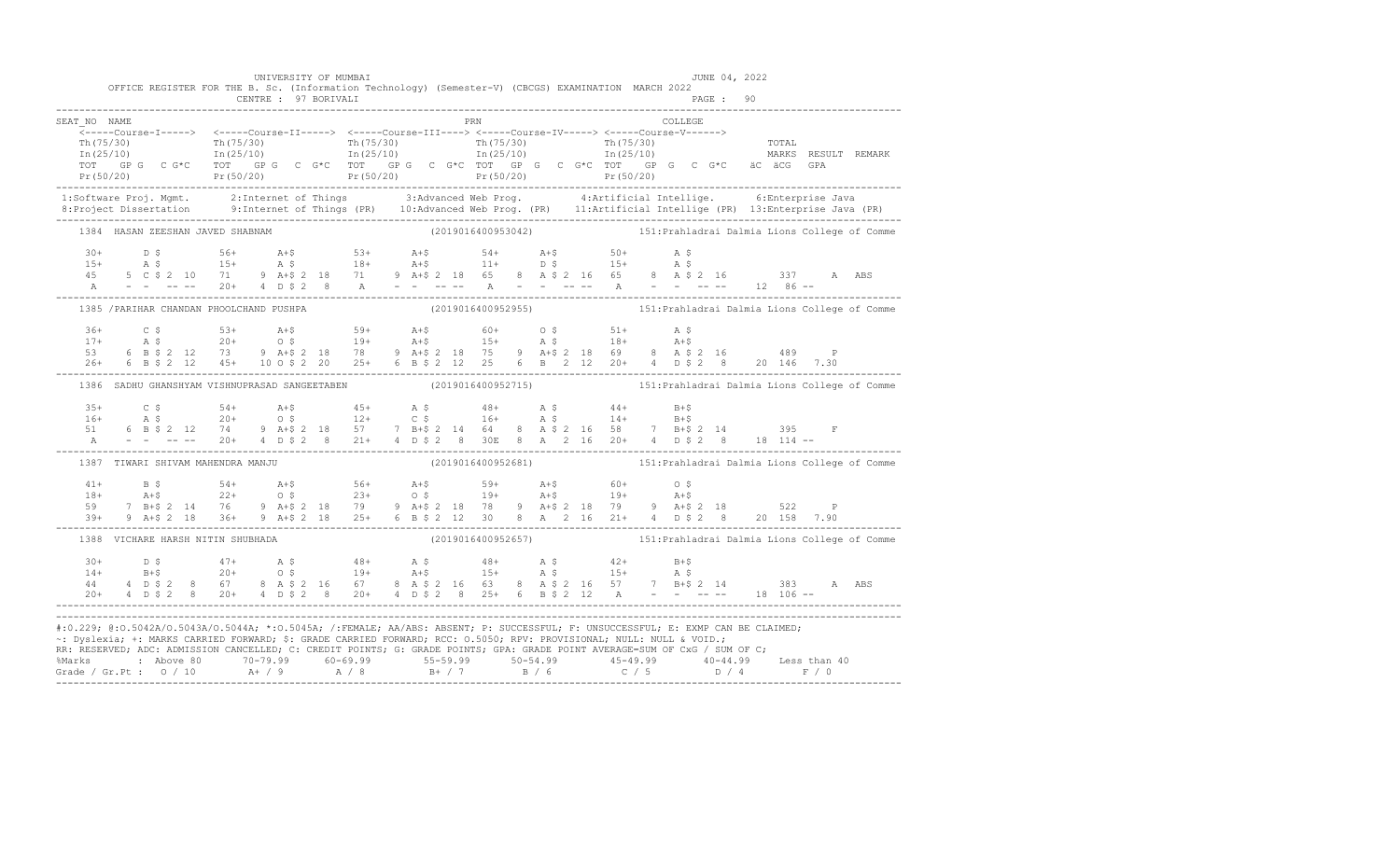|              |                                   | UNIVERSITY OF MUMBAI<br>OFFICE REGISTER FOR THE B. Sc. (Information Technology) (Semester-V) (CBCGS) EXAMINATION MARCH 2022<br>CENTRE : 97 BORIVALI |     | JUNE 04, 2022                                                                                                                                                                                                                                                                                                                                                                                            |                                                                                                                                                                                                                                                                                                                                                                            |
|--------------|-----------------------------------|-----------------------------------------------------------------------------------------------------------------------------------------------------|-----|----------------------------------------------------------------------------------------------------------------------------------------------------------------------------------------------------------------------------------------------------------------------------------------------------------------------------------------------------------------------------------------------------------|----------------------------------------------------------------------------------------------------------------------------------------------------------------------------------------------------------------------------------------------------------------------------------------------------------------------------------------------------------------------------|
| SEAT NO NAME |                                   |                                                                                                                                                     | PRN | COLLEGE                                                                                                                                                                                                                                                                                                                                                                                                  | $\begin{array}{cccccccc} \texttt{&\small{--1--1--00178e-11--1--2}} & \texttt{&\small{--1--1--00178e-11--1--2}} & \texttt{&\small{--1--1--00178e-11--1--2}} & \texttt{&\small{--1--1--1--00178e-11--1--2}} & \texttt{&\small{--1--1--1--00178e-11--1--2}} & \texttt{&\small{--1--1--1--00178e-11--1--2}} & \texttt{&\small{--1--1--1--00178e-11--1--2}} & \texttt{&\small{$ |
|              |                                   |                                                                                                                                                     |     |                                                                                                                                                                                                                                                                                                                                                                                                          |                                                                                                                                                                                                                                                                                                                                                                            |
|              | 1384 HASAN ZEESHAN JAVED SHABNAM  |                                                                                                                                                     |     |                                                                                                                                                                                                                                                                                                                                                                                                          | (2019016400953042) 151: Prahladrai Dalmia Lions College of Comme                                                                                                                                                                                                                                                                                                           |
|              |                                   |                                                                                                                                                     |     |                                                                                                                                                                                                                                                                                                                                                                                                          |                                                                                                                                                                                                                                                                                                                                                                            |
|              |                                   | 1385 / PARIHAR CHANDAN PHOOLCHAND PUSHPA                                                                                                            |     |                                                                                                                                                                                                                                                                                                                                                                                                          |                                                                                                                                                                                                                                                                                                                                                                            |
|              |                                   |                                                                                                                                                     |     | $36+$ $C$ $5$ $53+$ $A+5$ $59+$ $A+5$ $60+$ $O$ $5$ $51+$ $A$ $5$<br>$17+$ $A$ $5$ $20+$ $O$ $5$ $19+$ $A+5$ $15+$ $A$ $5$ $18+$ $A+5$<br>$53$ $6$ $B$ $5$ $2$ $12$ $73$ $9$ $A+5$ $2$ $18$ $78$ $9$ $A+5$ $2$ $18$ $75$ $9$ $A+5$                                                                                                                                                                       |                                                                                                                                                                                                                                                                                                                                                                            |
|              |                                   |                                                                                                                                                     |     |                                                                                                                                                                                                                                                                                                                                                                                                          | 1386 SADHU GHANSHYAM VISHNUPRASAD SANGEETABEN (2019016400952715) 151: Prahladrai Dalmia Lions College of Comme                                                                                                                                                                                                                                                             |
|              |                                   |                                                                                                                                                     |     | $\begin{array}{cccccccccccccccc} 35+ & & C & S & & S4+ & A+\$ & & 45+ & A & S & & 48+ & A & S & & 44+ & B+\$ \\ 16+ & A & S & & 20+ & O & S & & 12+ & C & S & & 16+ & A & S & & 14+ & B+\$ \\ 51 & 6 & B & S & 2 & 12 & 74 & 9 & A+\$ & 2 & 18 & 57 & 7 & B+\$ & 2 & 14 & 64 & 8 & A & S & 2 & 16 & 58 & 7 & B+\$ & 2 & 14 & & 395 & F \\ 8 & - & - & - & - & - & $                                      |                                                                                                                                                                                                                                                                                                                                                                            |
|              | 1387 TIWARI SHIVAM MAHENDRA MANJU |                                                                                                                                                     |     |                                                                                                                                                                                                                                                                                                                                                                                                          | (2019016400952681) 151: Prahladrai Dalmia Lions College of Comme                                                                                                                                                                                                                                                                                                           |
|              |                                   |                                                                                                                                                     |     | $\begin{array}{cccccccccccc} 41+ & & \text{B}\; \text{S} & & \text{54+} & & \text{A+}\text{S} & & \text{56+} & & \text{A+}\text{S} & & \text{59+} & & \text{A+}\text{S} & & \text{60+} & & \text{0}\; \text{S} & & & \\ 18+ & & \text{A+}\text{S} & & 22+ & & \text{O}\; \text{S} & & 23+ & & \text{O}\; \text{S} & & 19+ & & \text{A+}\text{S} & & 19+ & & \text{A+}\text{S} & & \\ 59 & & 7 & \text{B$ |                                                                                                                                                                                                                                                                                                                                                                            |
|              |                                   | 1388 VICHARE HARSH NITIN SHUBHADA                                                                                                                   |     |                                                                                                                                                                                                                                                                                                                                                                                                          | (2019016400952657) 151: Prahladrai Dalmia Lions College of Comme                                                                                                                                                                                                                                                                                                           |
|              |                                   |                                                                                                                                                     |     | $\begin{array}{cccccccccccccccc} 30+ & & D & \xi & & & 47+ & & A & \xi & & & 48+ & & A & \xi & & & 48+ & & A & \xi & & & 42+ & & B+ \xi \\ 14+ & & & B+ \xi & & & 20+ & & 0 & \xi & & & 19+ & & A+ \xi & & & 15+ & & A & \xi & & & 15+ & & A & \xi \\ 44 & & 4 & D & \xi & 2 & 8 & 67 & & 8 & A & \xi & 2 & 16 & 67 & & 8 & A & \xi & 2 & 16 & 63 & & 8 & A & \xi & 2 & 16 & 57$                         |                                                                                                                                                                                                                                                                                                                                                                            |
|              |                                   | ~: Dyslexia; +: MARKS CARRIED FORWARD; \$: GRADE CARRIED FORWARD; RCC: 0.5050; RPV: PROVISIONAL; NULL: NULL & VOID.;                                |     | #:0.229; @:0.5042A/0.5043A/0.5044A; *:0.5045A; /:FEMALE; AA/ABS: ABSENT; P: SUCCESSFUL; F: UNSUCCESSFUL; E: EXMP CAN BE CLAIMED;<br>RR: RESERVED; ADC: ADMISSION CANCELLED; C: CREDIT POINTS; G: GRADE POINTS; GPA: GRADE POINT AVERAGE=SUM OF CxG / SUM OF C;                                                                                                                                           |                                                                                                                                                                                                                                                                                                                                                                            |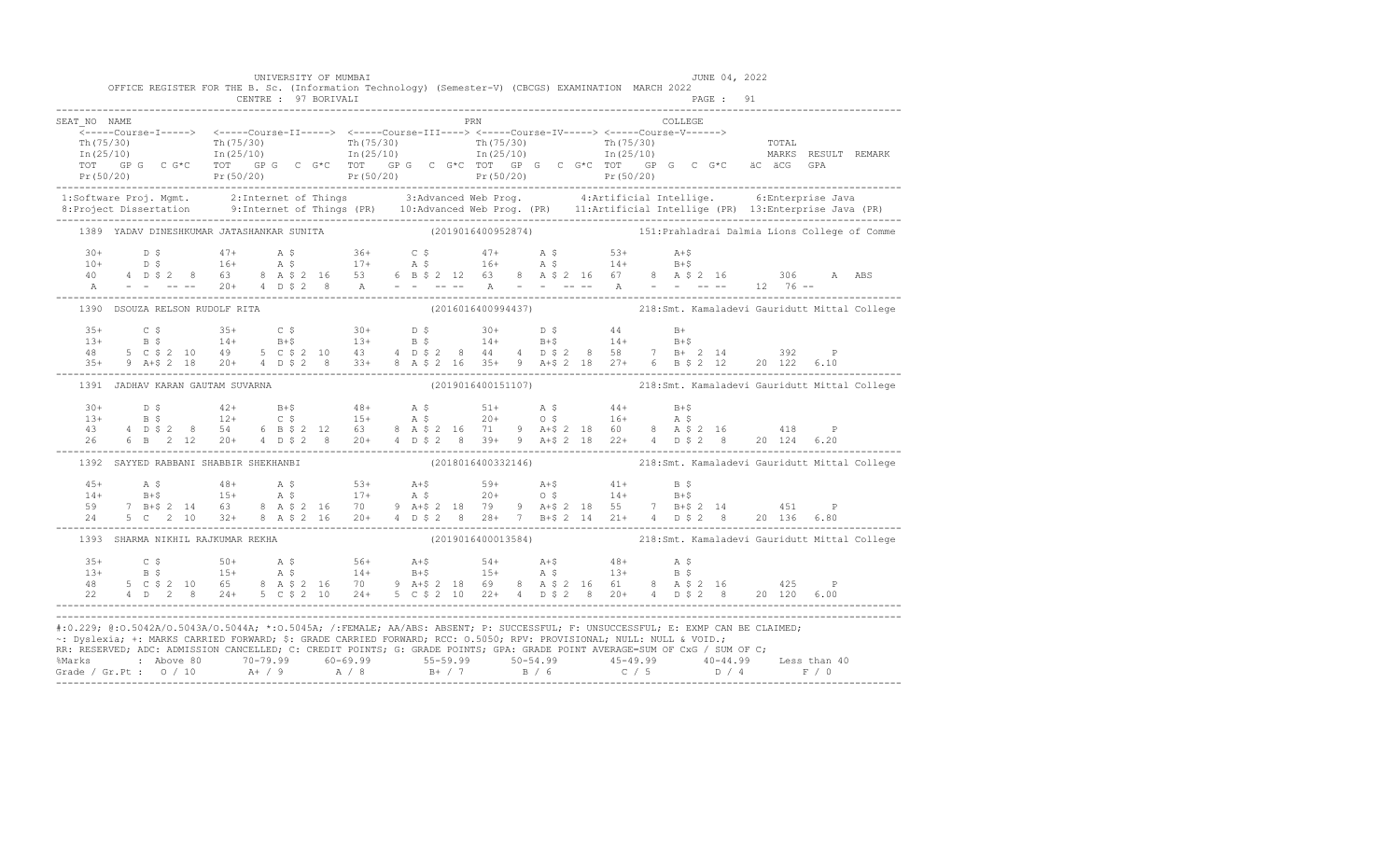|              |                                  | CENTRE : 97 BORIVALI                  | UNIVERSITY OF MUMBAI | OFFICE REGISTER FOR THE B. Sc. (Information Technology) (Semester-V) (CBCGS) EXAMINATION MARCH 2022                                                                                                                                                                                                                                                                                    | JUNE 04, 2022<br>PAGE : 91 |                                                                                                                                                                                                                                                                                                                                                                                                                                    |
|--------------|----------------------------------|---------------------------------------|----------------------|----------------------------------------------------------------------------------------------------------------------------------------------------------------------------------------------------------------------------------------------------------------------------------------------------------------------------------------------------------------------------------------|----------------------------|------------------------------------------------------------------------------------------------------------------------------------------------------------------------------------------------------------------------------------------------------------------------------------------------------------------------------------------------------------------------------------------------------------------------------------|
| SEAT NO NAME |                                  |                                       |                      | PRN                                                                                                                                                                                                                                                                                                                                                                                    | COLLEGE                    | $\begin{array}{cccccc} \texttt{&\texttt{S=1111111}} & \texttt{&\texttt{S=1111111}} & \texttt{&\texttt{S=1111111}} & \texttt{&\texttt{S=1111111}} & \texttt{&\texttt{S=1111111}} & \texttt{&\texttt{S=1111111}} & \texttt{&\texttt{S=1111111}} & \texttt{&\texttt{S=1111111}} & \texttt{&\texttt{S=111111}} & \texttt{&\texttt{S=111111}} & \texttt{&\texttt{S=111$                                                                 |
|              |                                  |                                       |                      |                                                                                                                                                                                                                                                                                                                                                                                        |                            |                                                                                                                                                                                                                                                                                                                                                                                                                                    |
|              |                                  |                                       |                      |                                                                                                                                                                                                                                                                                                                                                                                        |                            | 1389 YADAV DINESHKUMAR JATASHANKAR SUNITA (2019016400952874) 151: Prahladrai Dalmia Lions College of Comme                                                                                                                                                                                                                                                                                                                         |
|              |                                  |                                       |                      |                                                                                                                                                                                                                                                                                                                                                                                        |                            | $\begin{array}{cccccccccccccccc} 30+ & & D & \xi & & & 47+ & & \text{A} & \xi & & 36+ & & C & \xi & & 47+ & & \text{A} & \xi & & 53+ & & \text{A}+ \xi \\ 10+ & & D & \xi & & & 16+ & & \text{A} & \xi & & 17+ & & \text{A} & \xi & & 16+ & & \text{A} & \xi & & 14+ & & B+ \xi \\ 40 & & 4 & D & \xi & 2 & 8 & 63 & 8 & A & \xi & 2 & 16 & 53 & 6 & B & \xi & 2 & 12 & 63 & 8 & A &$                                              |
|              | 1390 DSOUZA RELSON RUDOLF RITA   |                                       |                      |                                                                                                                                                                                                                                                                                                                                                                                        |                            | (2016016400994437) 218:Smt. Kamaladevi Gauridutt Mittal College                                                                                                                                                                                                                                                                                                                                                                    |
|              |                                  |                                       |                      | $\begin{array}{cccccccccccccccc} 35+ & & C \; \xi & & & 35+ & & C \; \xi & & & 30+ & & D \; \xi & & & 30+ & & D \; \xi & & & 44 & & B+ \\ 13+ & & B \; \xi & & & 14+ & & B+ \xi & & 13+ & B \; \xi & & & 14+ & B+ \xi & & 14+ & B+ \xi \\ 48 & & 5 & C \; \xi & 2 & 10 & 49 & 5 & C \; \xi & 2 & 10 & 43 & 4 & D \; \xi & 2 & 8 & 44 & 4 & D \; \xi & 2 & 8 & 58 & 7 &$                |                            |                                                                                                                                                                                                                                                                                                                                                                                                                                    |
|              | 1391 JADHAV KARAN GAUTAM SUVARNA |                                       |                      |                                                                                                                                                                                                                                                                                                                                                                                        |                            | (2019016400151107) 218:Smt. Kamaladevi Gauridutt Mittal College                                                                                                                                                                                                                                                                                                                                                                    |
|              |                                  |                                       |                      |                                                                                                                                                                                                                                                                                                                                                                                        |                            | $\begin{array}{cccccccccccccccc} 30+ & & D & \xi & & & 42+ & & B+\xi & & & 48+ & & A & \xi & & 51+ & & A & \xi & & 44+ & & B+\xi \\ 13+ & & B & \xi & & & 12+ & & C & \xi & & & 15+ & & A & \xi & & 20+ & & 0 & \xi & & 16+ & & A & \xi \\ 43 & & 4 & D & \xi & 2 & 8 & & 54 & & 6 & B & \xi & 2 & 12 & & 63 & & 8 & A & \xi & 2 & 16 & & 71 & 9 & A+\xi & 2 & 18 & 60 & & 8 & A$                                                  |
|              |                                  | 1392 SAYYED RABBANI SHABBIR SHEKHANBI |                      |                                                                                                                                                                                                                                                                                                                                                                                        |                            | (2018016400332146) 218:Smt. Kamaladevi Gauridutt Mittal College                                                                                                                                                                                                                                                                                                                                                                    |
|              |                                  |                                       |                      |                                                                                                                                                                                                                                                                                                                                                                                        |                            | $\begin{array}{cccccccccccc} 45+ & & {\rm A}\,\,\hat{\textrm{s}} & & & 48+ & & {\rm A}\,\,\hat{\textrm{s}} & & & 53+ & {\rm A}+ \hat{\textrm{s}} & & 59+ & {\rm A}+ \hat{\textrm{s}} & & 41+ & {\rm B}\,\,\hat{\textrm{s}} \\ 14+ & & {\rm B}+ \hat{\textrm{s}} & & 15+ & {\rm A}\,\,\hat{\textrm{s}} & & 17+ & {\rm A}\,\,\hat{\textrm{s}} & & 20+ & {\rm O}\,\,\hat{\textrm{s}} & & 14+ & {\rm B}+ \hat{\textrm{s}} \\ 59+ & 7\$ |
|              |                                  | 1393 SHARMA NIKHIL RAJKUMAR REKHA     |                      |                                                                                                                                                                                                                                                                                                                                                                                        |                            | (2019016400013584) 218:Smt. Kamaladevi Gauridutt Mittal College                                                                                                                                                                                                                                                                                                                                                                    |
|              |                                  |                                       |                      |                                                                                                                                                                                                                                                                                                                                                                                        |                            |                                                                                                                                                                                                                                                                                                                                                                                                                                    |
|              |                                  |                                       |                      | #:0.229; @:0.5042A/0.5043A/0.5044A; *:0.5045A; /:FEMALE; AA/ABS: ABSENT; P: SUCCESSFUL; F: UNSUCCESSFUL; E: EXMP CAN BE CLAIMED;<br>~: Dyslexia; +: MARKS CARRIED FORWARD; \$: GRADE CARRIED FORWARD; RCC: 0.5050; RPV: PROVISIONAL; NULL: NULL & VOID.;<br>RR: RESERVED; ADC: ADMISSION CANCELLED; C: CREDIT POINTS; G: GRADE POINTS; GPA: GRADE POINT AVERAGE=SUM OF CxG / SUM OF C; |                            | % Marks : Above 80 70-79.99 60-69.99 55-59.99 50-54.99 45-49.99 40-44.99 Less than 40<br>Grade / Gr.Pt : 0 / 10 A+ / 9 A / 8 B+ / 7 B / 6 C / 5 D / 4 F / 0                                                                                                                                                                                                                                                                        |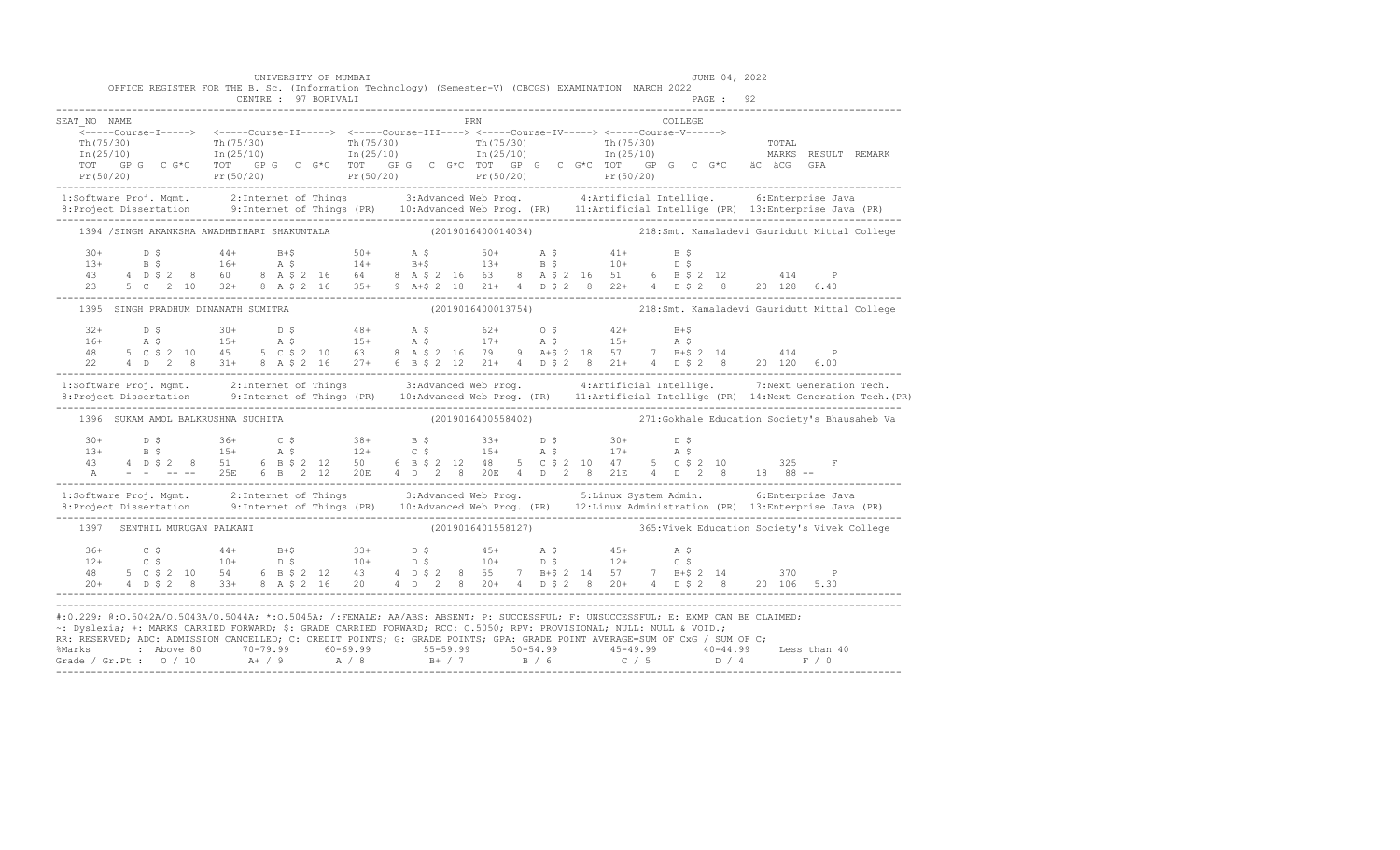|                                                                                                                                                                                                                                                                                                                                                                                                                                                                                                                                                       |  |  |  |                                     |  | UNIVERSITY OF MUMBAI |  |  |                    |  |  | OFFICE REGISTER FOR THE B. Sc. (Information Technology) (Semester-V) (CBCGS) EXAMINATION MARCH 2022                                                                                                                                                                                                                                                                                               |         | JUNE 04, 2022 |  |     |                                                                                                                                                                                                                                   |
|-------------------------------------------------------------------------------------------------------------------------------------------------------------------------------------------------------------------------------------------------------------------------------------------------------------------------------------------------------------------------------------------------------------------------------------------------------------------------------------------------------------------------------------------------------|--|--|--|-------------------------------------|--|----------------------|--|--|--------------------|--|--|---------------------------------------------------------------------------------------------------------------------------------------------------------------------------------------------------------------------------------------------------------------------------------------------------------------------------------------------------------------------------------------------------|---------|---------------|--|-----|-----------------------------------------------------------------------------------------------------------------------------------------------------------------------------------------------------------------------------------|
|                                                                                                                                                                                                                                                                                                                                                                                                                                                                                                                                                       |  |  |  |                                     |  | CENTRE : 97 BORIVALI |  |  |                    |  |  |                                                                                                                                                                                                                                                                                                                                                                                                   |         | PAGE: 92      |  |     |                                                                                                                                                                                                                                   |
| SEAT NO NAME                                                                                                                                                                                                                                                                                                                                                                                                                                                                                                                                          |  |  |  |                                     |  |                      |  |  | PRN                |  |  | $\ln(75/30)$ The $\ln(75/30)$ The $\ln(25/10)$ The $\ln(25/10)$ The $\ln(25/10)$ The $\ln(25/10)$ The $\ln(25/10)$ The $\ln(25/10)$ The $\ln(25/10)$ The $\ln(25/10)$ The $\ln(25/10)$ The $\ln(25/10)$ The $\ln(25/10)$ The $\ln(25/10)$ T<br>TOT GPG CG*C TOT GPG CG*C TOT GPG CG*C TOT GPG CG*C TOT GPG CG*C äCÄCG                                                                             | COLLEGE |               |  | GPA |                                                                                                                                                                                                                                   |
|                                                                                                                                                                                                                                                                                                                                                                                                                                                                                                                                                       |  |  |  |                                     |  |                      |  |  |                    |  |  |                                                                                                                                                                                                                                                                                                                                                                                                   |         |               |  |     | 1:Software Proj. Mgmt. 2:Internet of Things 3:Advanced Web Prog. 4:Artificial Intellige. 6:Enterprise Java<br>8:Project Dissertation 9:Internet of Things (PR) 10:Advanced Web Prog. (PR) 11:Artificial Intellige (PR) 13:Enterpr |
|                                                                                                                                                                                                                                                                                                                                                                                                                                                                                                                                                       |  |  |  |                                     |  |                      |  |  |                    |  |  |                                                                                                                                                                                                                                                                                                                                                                                                   |         |               |  |     | 1394 /SINGH AKANKSHA AWADHBIHARI SHAKUNTALA (2019016400014034) 218:Smt. Kamaladevi Gauridutt Mittal College                                                                                                                       |
|                                                                                                                                                                                                                                                                                                                                                                                                                                                                                                                                                       |  |  |  |                                     |  |                      |  |  |                    |  |  | $\begin{array}{cccccccccccccccc} 30+ & & D & \xi & & 44+ & & B+ \xi & & 50+ & & A & \xi & & 50+ & & A & \xi & & 41+ & & B & \xi \\ 13+ & & B & \xi & & 16+ & & A & \xi & & 14+ & & B+ \xi & & 13+ & & B & \xi & & 10+ & & D & \xi \\ 43+ & & B & \xi & & 2 & 8 & 60 & & 8 & A & \xi & 2 & 16 & & 64 & & 8 & A & \xi & 2 & 16 & & 63 & & 8 & A & \xi & 2 & 16 & & 51 & & 6 & B & \$                |         |               |  |     |                                                                                                                                                                                                                                   |
|                                                                                                                                                                                                                                                                                                                                                                                                                                                                                                                                                       |  |  |  | 1395 SINGH PRADHUM DINANATH SUMITRA |  |                      |  |  |                    |  |  |                                                                                                                                                                                                                                                                                                                                                                                                   |         |               |  |     | (2019016400013754) 218:Smt. Kamaladevi Gauridutt Mittal College                                                                                                                                                                   |
|                                                                                                                                                                                                                                                                                                                                                                                                                                                                                                                                                       |  |  |  |                                     |  |                      |  |  |                    |  |  | $\begin{array}{cccccccccccccccc} 32+ & & \text{D} & \text{S} & & 30+ & & \text{D} & \text{S} & & 48+ & & \text{A} & \text{S} & & 62+ & & \text{O} & \text{S} & & 42+ & & \text{B}+ \text{S} \\ 16+ & & \text{A} & \text{S} & & 15+ & & \text{A} & \text{S} & & 15+ & & \text{A} & \text{S} & & 17+ & & \text{A} & \text{S} & & 15+ & & \text{A} & \text{S} \\ 48 & & 5 & \text{C} & \text{S} & 2$ |         |               |  |     |                                                                                                                                                                                                                                   |
|                                                                                                                                                                                                                                                                                                                                                                                                                                                                                                                                                       |  |  |  |                                     |  |                      |  |  |                    |  |  | 1:Software Proj. Mgmt. 2:Internet of Things 3:Advanced Web Prog. 4:Artificial Intellige. 7:Next Generation Tech.                                                                                                                                                                                                                                                                                  |         |               |  |     |                                                                                                                                                                                                                                   |
|                                                                                                                                                                                                                                                                                                                                                                                                                                                                                                                                                       |  |  |  | 1396 SUKAM AMOL BALKRUSHNA SUCHITA  |  |                      |  |  | (2019016400558402) |  |  |                                                                                                                                                                                                                                                                                                                                                                                                   |         |               |  |     | 271: Gokhale Education Society's Bhausaheb Va                                                                                                                                                                                     |
|                                                                                                                                                                                                                                                                                                                                                                                                                                                                                                                                                       |  |  |  |                                     |  |                      |  |  |                    |  |  | $\begin{array}{cccccccccccccccc} 30+ & & D & \xi & & 36+ & C & \xi & & 38+ & B & \xi & & 33+ & D & \xi & & 30+ & D & \xi \\ 13+ & & B & \xi & & 15+ & & A & \xi & & 12+ & C & \xi & & 15+ & A & \xi & & 17+ & A & \xi \\ 43 & & 4 & D & \xi & 2 & 8 & & 51 & 6 & B & \xi & 2 & 12 & 50 & 6 & B & \xi & 2 & 12 & 48 & 5 & C & \xi & 2 & 10 & 47 & 5 & C & \xi & 2 & 10 & & 3$                      |         |               |  |     |                                                                                                                                                                                                                                   |
|                                                                                                                                                                                                                                                                                                                                                                                                                                                                                                                                                       |  |  |  |                                     |  |                      |  |  |                    |  |  |                                                                                                                                                                                                                                                                                                                                                                                                   |         |               |  |     | 1:Software Proj. Mgmt. 2:Internet of Things 3:Advanced Web Prog. 5:Linux System Admin. 6:Enterprise Java<br>8:Project Dissertation 9:Internet of Things (PR) 10:Advanced Web Prog. (PR) 12:Linux Administration (PR) 13:Enterpris |
|                                                                                                                                                                                                                                                                                                                                                                                                                                                                                                                                                       |  |  |  | 1397 SENTHIL MURUGAN PALKANI        |  |                      |  |  |                    |  |  | (2019016401558127) 365: Vivek Education Society's Vivek College                                                                                                                                                                                                                                                                                                                                   |         |               |  |     |                                                                                                                                                                                                                                   |
|                                                                                                                                                                                                                                                                                                                                                                                                                                                                                                                                                       |  |  |  |                                     |  |                      |  |  |                    |  |  | $\begin{array}{cccccccccccccccc} 36+ & & C & \hat{S} & & 44+ & B+ \hat{S} & & 33+ & D & \hat{S} & & 45+ & A & \hat{S} & & 45+ & A & \hat{S} \\ 12+ & & C & \hat{S} & & 10+ & D & \hat{S} & & 10+ & D & \hat{S} & & 10+ & D & \hat{S} & & 12+ & C & \hat{S} \\ 48 & & 5 & C & \hat{S} & 2 & 10 & 54 & 6 & B & \hat{S} & 2 & 12 & 43 & 4 & D & \hat{S} & 2 & 8 & 55 &$                              |         |               |  |     |                                                                                                                                                                                                                                   |
| #:0.229; @:0.5042A/0.5043A/0.5044A; *:0.5045A; /:FEMALE; AA/ABS: ABSENT; P: SUCCESSFUL; F: UNSUCCESSFUL; E: EXMP CAN BE CLAIMED;<br>~: Dyslexia; +: MARKS CARRIED FORWARD; \$: GRADE CARRIED FORWARD; RCC: 0.5050; RPV: PROVISIONAL; NULL: NULL & VOID.;<br>RR: RESERVED; ADC: ADMISSION CANCELLED; C: CREDIT POINTS; G: GRADE POINTS; GPA: GRADE POINT AVERAGE=SUM OF CxG / SUM OF C;<br>% Marks : Above 80 70-79.99 60-69.99 55-59.99 50-54.99 45-49.99 40-44.99 Less than 40<br>Grade / Gr.Pt : 0 / 10 A+ / 9 A / 8 B+ / 7 B / 6 C / 5 D / 4 F / 0 |  |  |  |                                     |  |                      |  |  |                    |  |  |                                                                                                                                                                                                                                                                                                                                                                                                   |         |               |  |     |                                                                                                                                                                                                                                   |

-------------------------------------------------------------------------------------------------------------------------------------------------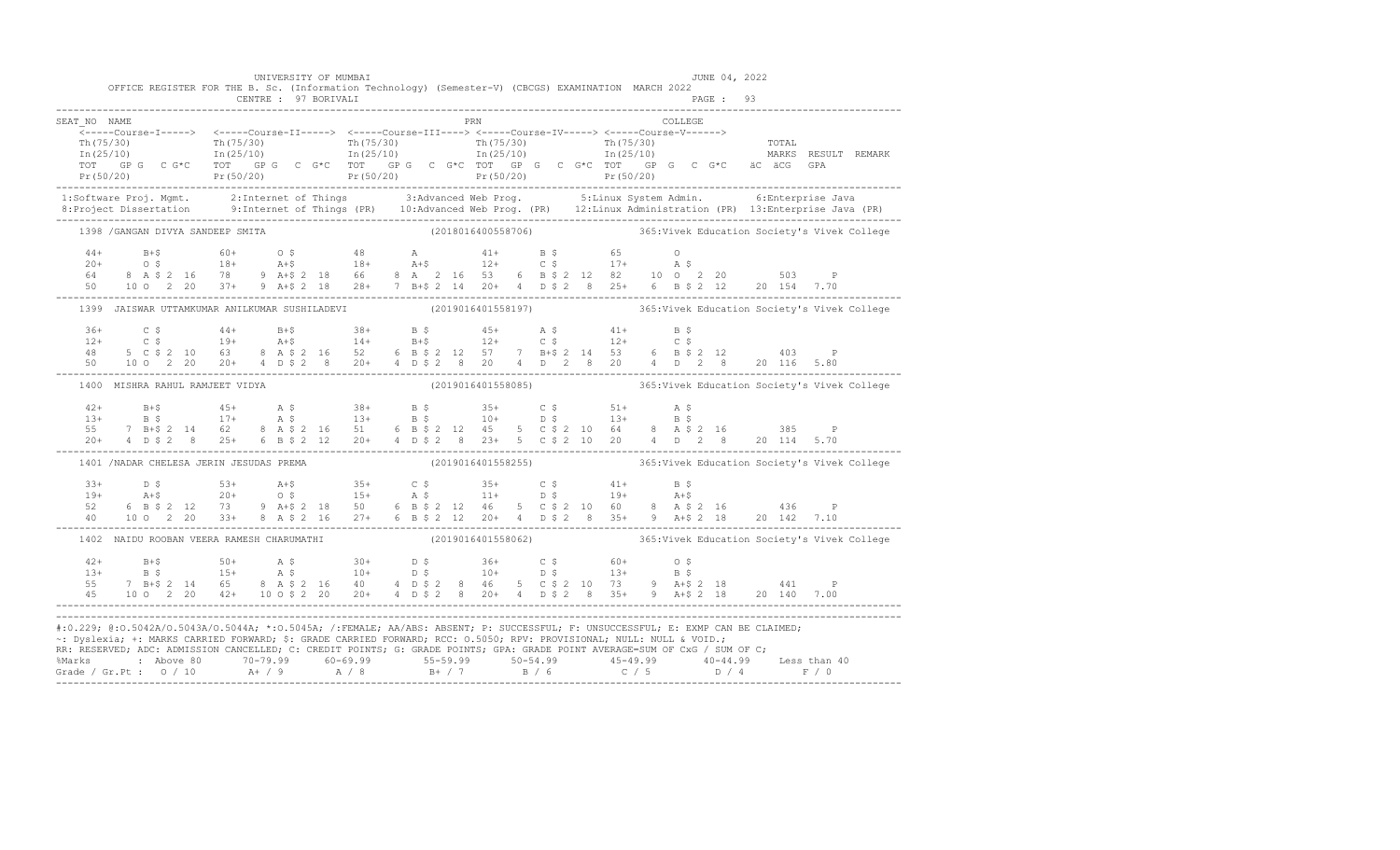|                                   | UNIVERSITY OF MUMBAI<br>CENTRE : 97 BORIVALI | OFFICE REGISTER FOR THE B. Sc. (Information Technology) (Semester-V) (CBCGS) EXAMINATION MARCH 2022                  | JUNE 04, 2022<br>PAGE: 93                                                                                                                                                                                                                                                                                                                                                                                                                                                       |
|-----------------------------------|----------------------------------------------|----------------------------------------------------------------------------------------------------------------------|---------------------------------------------------------------------------------------------------------------------------------------------------------------------------------------------------------------------------------------------------------------------------------------------------------------------------------------------------------------------------------------------------------------------------------------------------------------------------------|
| SEAT NO NAME                      |                                              | <b>PRN</b>                                                                                                           | COLLEGE<br>$\begin{array}{cccccccc} \texttt{-----} & \texttt{1---} & \texttt{2---} & \texttt{2---} & \texttt{2---} & \texttt{2---} & \texttt{2---} & \texttt{2---} & \texttt{2---} & \texttt{2---} & \texttt{2---} & \texttt{2---} & \texttt{2---} & \texttt{2---} & \texttt{2---} & \texttt{2---} & \texttt{2---} & \texttt{2---} & \texttt{2---} & \texttt{2---} & \texttt{2---} & \texttt{2---} & \texttt{2---} & \texttt{2---} & \texttt{2---} & \texttt{2---} & \texttt{2$ |
|                                   |                                              |                                                                                                                      |                                                                                                                                                                                                                                                                                                                                                                                                                                                                                 |
| 1398 / GANGAN DIVYA SANDEEP SMITA |                                              |                                                                                                                      |                                                                                                                                                                                                                                                                                                                                                                                                                                                                                 |
|                                   |                                              |                                                                                                                      | $\begin{array}{cccccccccccc} 44+ & & B+\$ & & & 60+ & & 0 & \$ & & 48 & & \text{A} & & 41+ & & B & \$ & & 65 & & 0 \\ 20+ & & 0 & \$ & & 18+ & & 18+ & & 18+ & & 12+ & & 0 & \$ & 17+ & & \text{A} & \$ \\ 64 & & 8 & A & \$ & 2 & 16 & & 78 & & 9 & A+\$ & 2 & 18 & 66 & & 8 & A & 2 & 16 & 53 & 6 & B & \$ & 2 & 12 & 82 & 10 & 0 & 2 & 20 & & 503 & & \text$                                                                                                                 |
|                                   |                                              |                                                                                                                      | 1399 JAISWAR UTTAMKUMAR ANILKUMAR SUSHILADEVI (2019016401558197) 365:Vivek Education Society's Vivek College                                                                                                                                                                                                                                                                                                                                                                    |
|                                   |                                              |                                                                                                                      | $\begin{array}{cccccccccccccccc} 36+ & & C & \xi & & 44+ & B+ \xi & & 38+ & B & \xi & & 45+ & A & \xi & & 41+ & B & \xi \\ 12+ & & C & \xi & & 19+ & A+ \xi & & 14+ & B+ \xi & & 12+ & C & \xi & & 12+ & C & \xi \\ 48 & & 5 & C & \xi & 2 & 10 & 63 & 8 & A & \xi & 2 & 16 & 52 & 6 & B & \xi & 2 & 12 & 57 & 7 & B+ \xi & 2 & 14 & 53 & 6 & B & \xi & 2 & 12 & & 40$                                                                                                          |
| 1400 MISHRA RAHUL RAMJEET VIDYA   |                                              |                                                                                                                      | (2019016401558085) 365: Vivek Education Society's Vivek College                                                                                                                                                                                                                                                                                                                                                                                                                 |
|                                   |                                              |                                                                                                                      | $\begin{array}{cccccccccccc} 42+ & & B+\$ & & 45+ & & A\;\$ & & 38+ & & B\;\$ & & 35+ & & C\;\$ & & 51+ & & A\;\$ & & & & & 13+ & & B\;\$ & & 17+ & & A\;\$ & & 13+ & & B\;\$ & & 10+ & & D\;\$ & & 13+ & & B\;\$ & & & & & & 14+ & B\;\$ & & & & & & 15+ & & 16+ & & 17+ & & 18+ & & 18+ & & 18+ & & 18+ & & 18+ & & 18+ & & 18+ & & 18+ & & 18+$                                                                                                                              |
|                                   | 1401 / NADAR CHELESA JERIN JESUDAS PREMA     |                                                                                                                      | (2019016401558255) 365: Vivek Education Society's Vivek College                                                                                                                                                                                                                                                                                                                                                                                                                 |
|                                   |                                              |                                                                                                                      |                                                                                                                                                                                                                                                                                                                                                                                                                                                                                 |
|                                   |                                              |                                                                                                                      | 1402 NAIDU ROOBAN VEERA RAMESH CHARUMATHI (2019016401558062) 365: Vivek Education Society's Vivek College                                                                                                                                                                                                                                                                                                                                                                       |
|                                   |                                              |                                                                                                                      |                                                                                                                                                                                                                                                                                                                                                                                                                                                                                 |
|                                   |                                              | ~: Dyslexia; +: MARKS CARRIED FORWARD; \$: GRADE CARRIED FORWARD; RCC: 0.5050; RPV: PROVISIONAL; NULL: NULL & VOID.; | #:0.229; @:0.5042A/0.5043A/0.5044A; *:0.5045A; /:FEMALE; AA/ABS: ABSENT; P: SUCCESSFUL; F: UNSUCCESSFUL; E: EXMP CAN BE CLAIMED;<br>RR: RESERVED, ADC: ADMISSION CANCELLED, C: CREDIT POINTS, G: GRADE POINTS, GPA: GRADE POINT AVERAGE=SUM OF CxG / SUM OF C;<br>% Marks : Above 80 70-79.99 60-69.99 55-59.99 50-54.99 45-49.99 40-44.99 Less than 40<br>Grade / Gr.Pt : 0 / 10 A+ / 9 A / 8 B+ / 7 B / 6 C / 5 D / 4 F / 0                                                   |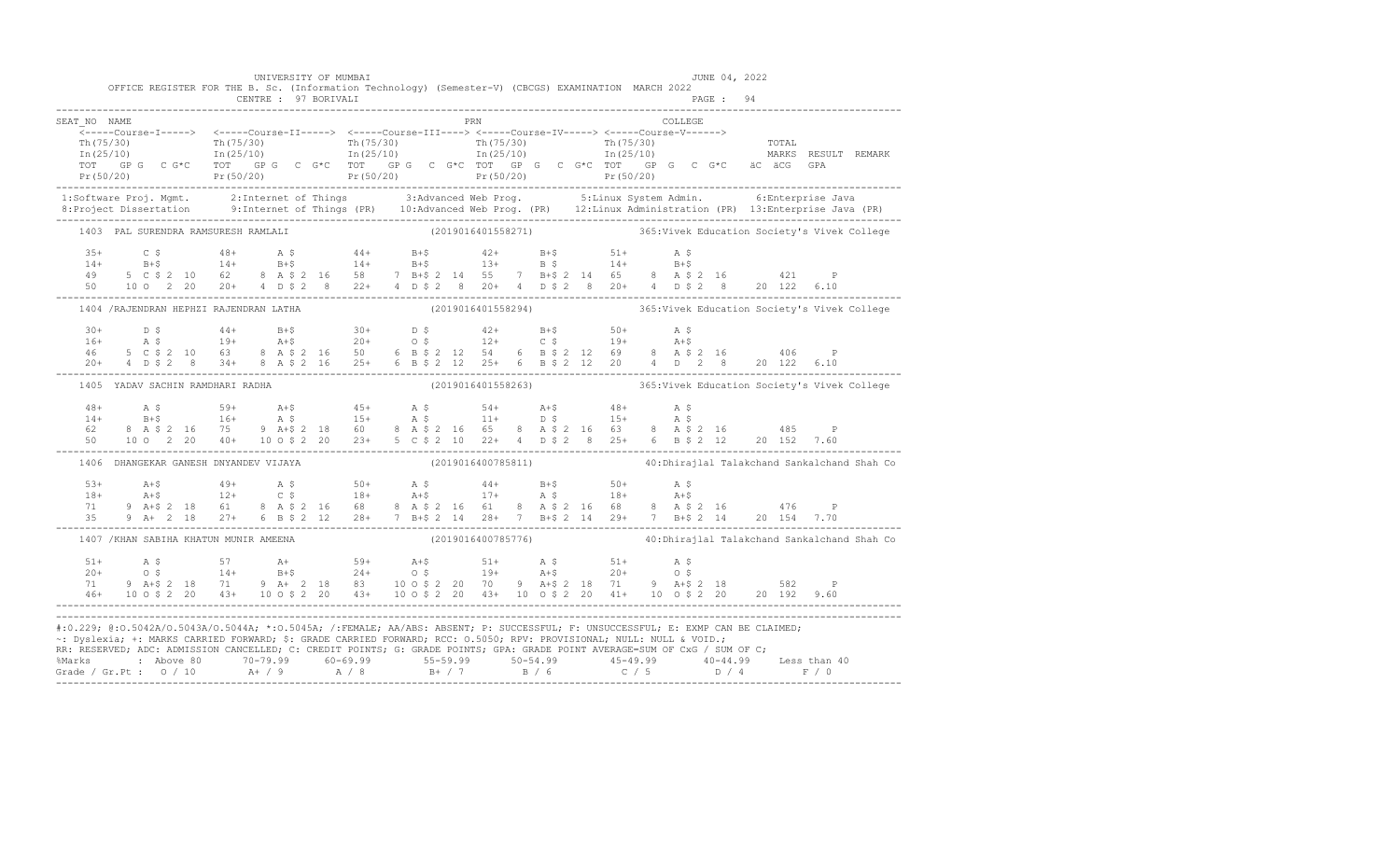|                                       | UNIVERSITY OF MUMBAI<br>OFFICE REGISTER FOR THE B. Sc. (Information Technology) (Semester-V) (CBCGS) EXAMINATION MARCH 2022<br>CENTRE : 97 BORIVALI                                                                                                                                                                                                                                                                                                                                                                                                   |                    | JUNE 04, 2022                                                   |  |
|---------------------------------------|-------------------------------------------------------------------------------------------------------------------------------------------------------------------------------------------------------------------------------------------------------------------------------------------------------------------------------------------------------------------------------------------------------------------------------------------------------------------------------------------------------------------------------------------------------|--------------------|-----------------------------------------------------------------|--|
| SEAT NO NAME                          | $\begin{array}{cccccc} \texttt{&\texttt{107330}} & \texttt{&\texttt{107330}} & \texttt{&\texttt{107330}} & \texttt{&\texttt{107330}} & \texttt{&\texttt{107330}} & \texttt{&\texttt{107330}} & \texttt{&\texttt{107330}} & \texttt{&\texttt{107330}} & \texttt{&\texttt{107330}} & \texttt{&\texttt{107330}} & \texttt{&\texttt{107330}} & \texttt{&\texttt{107330}} & \texttt{&\texttt$                                                                                                                                                              | <b>PRN</b>         | COLLEGE                                                         |  |
|                                       |                                                                                                                                                                                                                                                                                                                                                                                                                                                                                                                                                       |                    |                                                                 |  |
| 1403 PAL SURENDRA RAMSURESH RAMLALI   |                                                                                                                                                                                                                                                                                                                                                                                                                                                                                                                                                       |                    | (2019016401558271) 365: Vivek Education Society's Vivek College |  |
|                                       | $\begin{array}{cccccccccccc} 35+ & C & \xi & 48+ & A & \xi & 44+ & B+\xi & 42+ & B+\xi & 51+ & A & \xi \\ 14+ & B+\xi & 14+ & B+\xi & 14+ & B+\xi & 13+ & B & \xi & 14+ & B+\xi \\ 49 & 5 & C & \xi & 2 & 10 & 62 & 8 & A & \xi & 2 & 16 & 58 & 7 & B+\xi & 2 & 14 & 55 & 7 & B+\xi & 2 & 14 & 65 & 8 & A & \xi & 2 & 16 & 421 & P \\ 50 & 10 & 0 & 2 & 20$                                                                                                                                                                                           |                    |                                                                 |  |
|                                       | 1404 /RAJENDRAN HEPHZI RAJENDRAN LATHA (2019016401558294) 365: Vivek Education Society's Vivek College                                                                                                                                                                                                                                                                                                                                                                                                                                                |                    |                                                                 |  |
|                                       | $\begin{array}{cccccccccccccccc} 30+ & & D & \xi & & 44+ & B+ \xi & & 30+ & D & \xi & & 42+ & B+ \xi & & 50+ & A & \xi \\ 16+ & & A & \xi & & 19+ & & A+ \xi & & 20+ & O & \xi & & 12+ & C & \xi & & 19+ & A+ \xi \\ 46 & & 5 & C & \xi & 2 & 10 & 63 & 8 & A & \xi & 2 & 16 & 50 & 6 & B & \xi & 2 & 12 & 54 & 6 & B & \xi & 2 & 12 & 69 & 8 & A & \xi & 2 & 16 & & 4$                                                                                                                                                                               |                    |                                                                 |  |
| 1405 YADAV SACHIN RAMDHARI RADHA      |                                                                                                                                                                                                                                                                                                                                                                                                                                                                                                                                                       |                    | (2019016401558263) 365: Vivek Education Society's Vivek College |  |
|                                       | $\begin{array}{cccccccccccc} 48+ & & {\rm A}\ \ \, & \rm S\ \ \, & \, & 59+ & & {\rm A}+5 & & 45+ & & {\rm A}\ \ \, & \, 14+ & & {\rm B}+5 & & 16+ & & {\rm A}\ \ \, & \, & 5+5 & & 16+ & & {\rm A}\ \ \, & \, & 5+5 & & 16+ & & {\rm A}\ \ \, & \, & 5+5 & & 16+ & & {\rm A}\ \ \, & \, & 5+5 & & 16+ & & {\rm A}\ \ \, & \, & 5+5 & & 16+ & & {\rm A}\ \ \, & \, & 5+5 & & 16+$                                                                                                                                                                     |                    |                                                                 |  |
| 1406 DHANGEKAR GANESH DNYANDEV VIJAYA |                                                                                                                                                                                                                                                                                                                                                                                                                                                                                                                                                       | (2019016400785811) | 40: Dhirajlal Talakchand Sankalchand Shah Co                    |  |
|                                       | $\begin{array}{lllllllllllll} 53+ & \text{A+$$\uparrow$}& 49+ & \text{A$\uparrow$}& 50+ & \text{A$\uparrow$}& 50+ & \text{A$\uparrow$}& 50+ & \text{A$\uparrow$}& 50+ & \text{A$\uparrow$}& 50+ & \text{A$\uparrow$}& 50+ & \text{A$\uparrow$}& 50+ & \text{A$\uparrow$}& 50+ & \text{A$\uparrow$}& 50+ & \text{A$\uparrow$}& 50+ & \text{A$\uparrow$}& 50+ & \text{A$\uparrow$}& 50+ & \text{A$\uparrow$}& 50+ & \text{A$                                                                                                                            |                    |                                                                 |  |
|                                       | 1407 / KHAN SABIHA KHATUN MUNIR AMEENA                                                                                                                                                                                                                                                                                                                                                                                                                                                                                                                | (2019016400785776) | 40: Dhirajlal Talakchand Sankalchand Shah Co                    |  |
| $51+$<br>71                           | $\begin{array}{cccccccccccc} 51+ & & {\rm A}\,\,\$ & & 57 & & {\rm A}\,+ & & 59+ & {\rm A}\,+\$ & & 51+ & {\rm A}\,\,\$ & & 51+ & {\rm A}\,\,\$ & & \\ 20+ & & 0\,\,\$ & & 14+ & {\rm B}\,+\$ & & 24+ & 0\,\,\$ & & 19+ & {\rm A}\,+\$ & & 20+ & 0\,\,\$ & \\ 71 & 9 & {\rm A}\,+\$ & 2 & 18 & 71 & 9 & {\rm A}\,+\& 2 & 18 & 83 & 10 & 0\,\,\$ & 2 & 20 & 70 & 9 &$                                                                                                                                                                                  |                    |                                                                 |  |
|                                       | #:0.229; @:0.5042A/0.5043A/0.5044A; *:0.5045A; /:FEMALE; AA/ABS: ABSENT; P: SUCCESSFUL; F: UNSUCCESSFUL; E: EXMP CAN BE CLAIMED;<br>~: Dyslexia; +: MARKS CARRIED FORWARD; \$: GRADE CARRIED FORWARD; RCC: 0.5050; RPV: PROVISIONAL; NULL: NULL & VOID.;<br>RR: RESERVED; ADC: ADMISSION CANCELLED; C: CREDIT POINTS; G: GRADE POINTS; GPA: GRADE POINT AVERAGE=SUM OF CxG / SUM OF C;<br>% Marks : Above 80 70-79.99 60-69.99 55-59.99 50-54.99 45-49.99 40-44.99 Less than 40<br>Grade / Gr.Pt : 0 / 10 A+ / 9 A / 8 B+ / 7 B / 6 C / 5 D / 4 F / 0 |                    |                                                                 |  |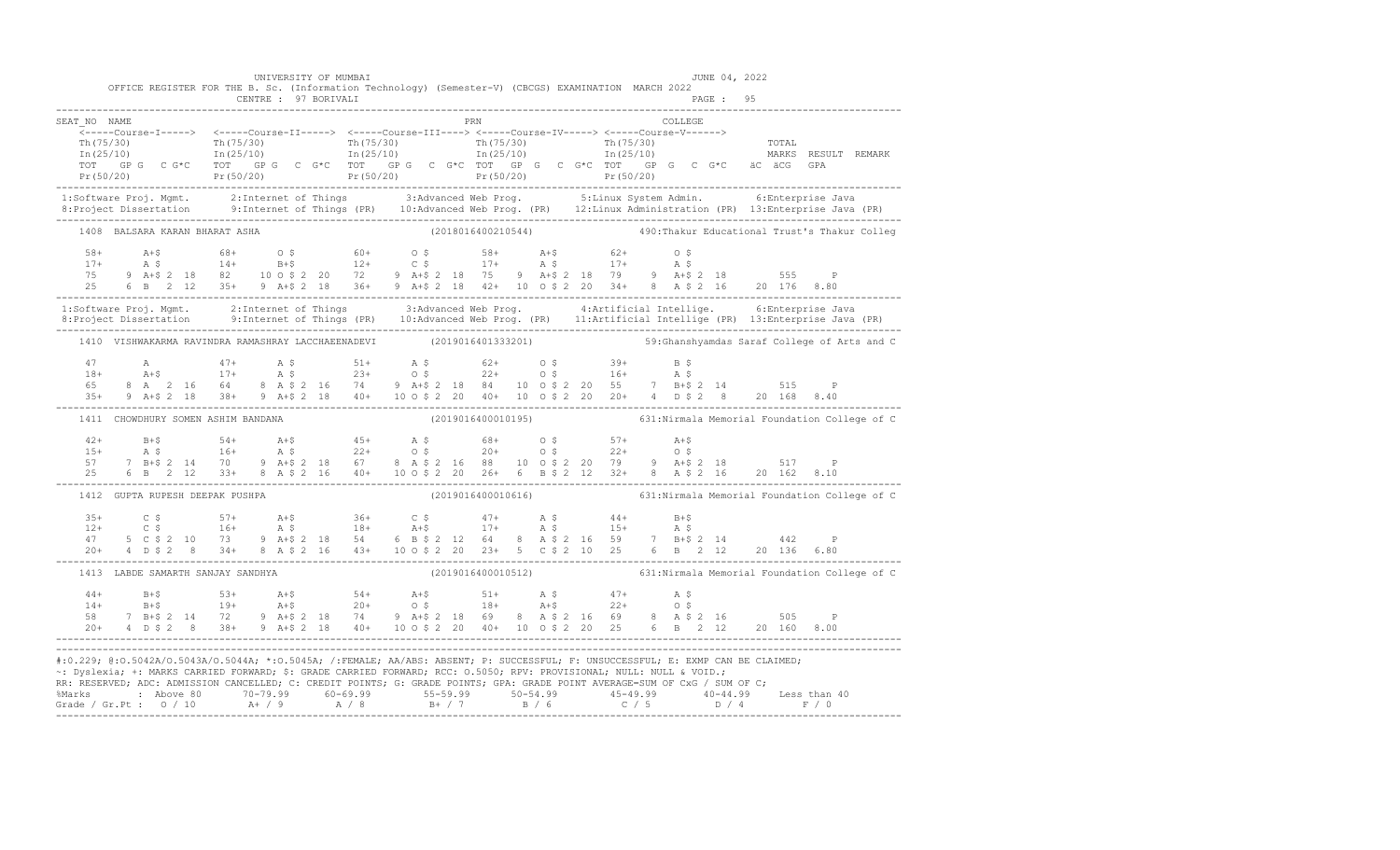|                                                                                                                                                                                                                                                                                                                                                                                                                                                                                                                                                       |                                    | UNIVERSITY OF MUMBAI | OFFICE REGISTER FOR THE B. Sc. (Information Technology) (Semester-V) (CBCGS) EXAMINATION MARCH 2022                                                                                                                                                                                                                                                                                                                                                                          |  |  |                                                    | JUNE 04, 2022 |  |                                                                  |  |
|-------------------------------------------------------------------------------------------------------------------------------------------------------------------------------------------------------------------------------------------------------------------------------------------------------------------------------------------------------------------------------------------------------------------------------------------------------------------------------------------------------------------------------------------------------|------------------------------------|----------------------|------------------------------------------------------------------------------------------------------------------------------------------------------------------------------------------------------------------------------------------------------------------------------------------------------------------------------------------------------------------------------------------------------------------------------------------------------------------------------|--|--|----------------------------------------------------|---------------|--|------------------------------------------------------------------|--|
| SEAT NO NAME                                                                                                                                                                                                                                                                                                                                                                                                                                                                                                                                          |                                    |                      | <b>EXAMPLE 1988</b><br>_______Course-I-----> <-----Course-II-----> <-----Course-III----> <-----Course-IV-----> <-----Course-V------>                                                                                                                                                                                                                                                                                                                                         |  |  | $\begin{array}{cccc}\n\text{COLLEGE}\n\end{array}$ |               |  |                                                                  |  |
|                                                                                                                                                                                                                                                                                                                                                                                                                                                                                                                                                       |                                    |                      |                                                                                                                                                                                                                                                                                                                                                                                                                                                                              |  |  |                                                    |               |  |                                                                  |  |
| 1:Software Proj. Mgmt. 2:Internet of Things 3:Advanced Web Prog. 5:Linux System Admin. 6:Enterprise Java<br>8:Project Dissertation 9:Internet of Things (PR) 10:Advanced Web Prog. (PR) 12:Linux Administration (PR) 13:Enterpris                                                                                                                                                                                                                                                                                                                     |                                    |                      |                                                                                                                                                                                                                                                                                                                                                                                                                                                                              |  |  |                                                    |               |  |                                                                  |  |
|                                                                                                                                                                                                                                                                                                                                                                                                                                                                                                                                                       | 1408 BALSARA KARAN BHARAT ASHA     |                      | (2018016400210544) 490: Thakur Educational Trust's Thakur Colleg                                                                                                                                                                                                                                                                                                                                                                                                             |  |  |                                                    |               |  |                                                                  |  |
| $\begin{array}{cccccccccccc} 58+ & & & & & 68+ & & 68+ & & 0 & \varsigma & & & 60+ & & 0 & \varsigma & & & 58+ & & \mathtt{A}+\varsigma & & & 62+ & & 0 & \varsigma \\ 17+ & & & \mathtt{A} & \varsigma & & & 14+ & & \mathtt{B}+\varsigma & & & 12+ & & \mathtt{C} & \varsigma & & & 17+ & & \mathtt{A} & \varsigma & & & 17+ & & \mathtt{A} & \varsigma \\ 75 & & 9 & & \mathtt{A}+\varsigma & 2 & 18 & & 82 & & 10 & 0 & \varsigma$                                                                                                                |                                    |                      |                                                                                                                                                                                                                                                                                                                                                                                                                                                                              |  |  |                                                    |               |  |                                                                  |  |
| 1:Software Proj. Mgmt.     2:Internet of Things       3:Advanced Web Prog.       4:Artificial Intellige.       6:Enterprise Java<br>8:Project Dissertation     9:Internet of Things (PR)   10:Advanced Web Prog. (PR)   11:Artifi                                                                                                                                                                                                                                                                                                                     |                                    |                      |                                                                                                                                                                                                                                                                                                                                                                                                                                                                              |  |  |                                                    |               |  |                                                                  |  |
|                                                                                                                                                                                                                                                                                                                                                                                                                                                                                                                                                       |                                    |                      | 1410 VISHWAKARMA RAVINDRA RAMASHRAY LACCHAEENADEVI (2019016401333201) 59:Ghanshyamdas Saraf College of Arts and C                                                                                                                                                                                                                                                                                                                                                            |  |  |                                                    |               |  |                                                                  |  |
|                                                                                                                                                                                                                                                                                                                                                                                                                                                                                                                                                       |                                    |                      | $\begin{array}{lllllllllllll} 47 & \quad \text{A} & \quad \text{47+} & \quad \text{A} \; \text{\$5--} & \quad \text{5--} & \quad \text{5--} & \quad \text{5--} & \quad \text{5--} & \quad \text{5--} & \quad \text{5--} & \quad \text{5--} & \quad \text{5--} & \quad \text{5--} & \quad \text{5--} & \quad \text{5--} & \quad \text{5--} & \quad \text{5--} & \quad \text{5--} & \quad \text{5--} & \quad \text{5--} & \quad \text{5--} & \quad \text{5--} & \quad \text{5$ |  |  |                                                    |               |  |                                                                  |  |
|                                                                                                                                                                                                                                                                                                                                                                                                                                                                                                                                                       | 1411 CHOWDHURY SOMEN ASHIM BANDANA |                      |                                                                                                                                                                                                                                                                                                                                                                                                                                                                              |  |  |                                                    |               |  | (2019016400010195) 631: Nirmala Memorial Foundation College of C |  |
|                                                                                                                                                                                                                                                                                                                                                                                                                                                                                                                                                       |                                    |                      | $\begin{array}{cccccccccccc} 42+ & & B+\$ & & 54+ & A+\$ & & 45+ & A$\$ & & 68+ & O$\$ & & 57+ & A+\$ \\ 15+ & & A$\$ & & 16+ & A$\$ & & 22+ & O$\$ & & 20+ & O$\$ & & 22+ & O$\$ \\ 57 & 7 & B+\$ & 2 & 14 & 70 & 9 & A+\$ & 2 & 18 & 67 & 8 & A$\$ & 2 & 16 & 88 & 10 & 0$\$ & 2 & 20 & 79 & 9 & A+\$ & 2 & 18 & 517 & P \\ 25 & 6 & B & 2 &$                                                                                                                              |  |  |                                                    |               |  |                                                                  |  |
|                                                                                                                                                                                                                                                                                                                                                                                                                                                                                                                                                       |                                    |                      | 1412 GUPTA RUPESH DEEPAK PUSHPA (2019016400010616) (2019016400010616) 631:Nirmala Memorial Foundation College of C                                                                                                                                                                                                                                                                                                                                                           |  |  |                                                    |               |  |                                                                  |  |
|                                                                                                                                                                                                                                                                                                                                                                                                                                                                                                                                                       |                                    |                      | $\begin{array}{cccccccccccc} 35+ & C & \xi & 57+ & A+ \xi & 36+ & C & \xi & 47+ & A & \xi & 44+ & B+ \xi \\ 12+ & C & \xi & 16+ & A & \xi & 18+ & A+ \xi & 17+ & A & \xi & 15+ & A & \xi \\ 47 & 5 & C & \xi & 2 & 10 & 73 & 9 & A+ \xi & 2 & 18 & 54 & 6 & B & \xi & 2 & 12 & 64 & 8 & A & \xi & 2 & 16 & 59 & 7 & B+ \xi & 2 & 14 & 442 & P \\ 20+ & 4 & D$                                                                                                                |  |  |                                                    |               |  |                                                                  |  |
|                                                                                                                                                                                                                                                                                                                                                                                                                                                                                                                                                       | 1413 LABDE SAMARTH SANJAY SANDHYA  |                      |                                                                                                                                                                                                                                                                                                                                                                                                                                                                              |  |  |                                                    |               |  | (2019016400010512) 631: Nirmala Memorial Foundation College of C |  |
|                                                                                                                                                                                                                                                                                                                                                                                                                                                                                                                                                       |                                    |                      |                                                                                                                                                                                                                                                                                                                                                                                                                                                                              |  |  |                                                    |               |  |                                                                  |  |
| #:0.229; @:0.5042A/0.5043A/0.5044A; *:0.5045A; /:FEMALE; AA/ABS: ABSENT; P: SUCCESSFUL; F: UNSUCCESSFUL; E: EXMP CAN BE CLAIMED;<br>~: Dyslexia; +: MARKS CARRIED FORWARD; \$: GRADE CARRIED FORWARD; RCC: 0.5050; RPV: PROVISIONAL; NULL: NULL & VOID.;<br>RR: RESERVED; ADC: ADMISSION CANCELLED; C: CREDIT POINTS; G: GRADE POINTS; GPA: GRADE POINT AVERAGE=SUM OF CxG / SUM OF C;<br>% Marks : Above 80 70-79.99 60-69.99 55-59.99 50-54.99 45-49.99 40-44.99 Less than 40<br>Grade / Gr.Pt : 0 / 10 A+ / 9 A / 8 B+ / 7 B / 6 C / 5 D / 4 F / 0 |                                    |                      |                                                                                                                                                                                                                                                                                                                                                                                                                                                                              |  |  |                                                    |               |  |                                                                  |  |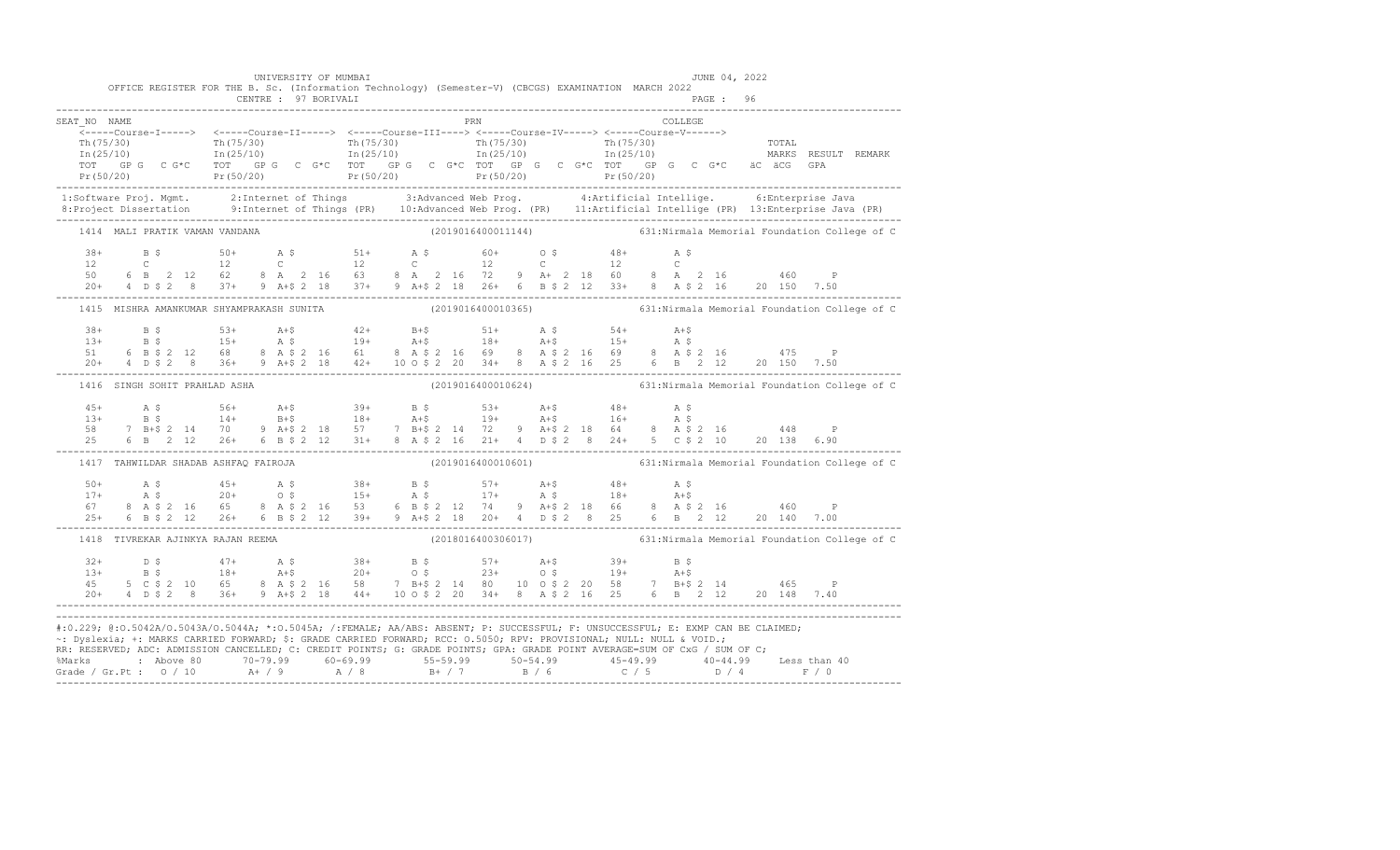|              | OFFICE REGISTER FOR THE B. Sc. (Information Technology) (Semester-V) (CBCGS) EXAMINATION MARCH 2022                  | CENTRE : 97 BORIVALI | UNIVERSITY OF MUMBAI |            | JUNE 04, 2022                                                                                                                                                                                                                                                  |                                                                                                                                                                                                                                                                                                                                                                                                                                           |
|--------------|----------------------------------------------------------------------------------------------------------------------|----------------------|----------------------|------------|----------------------------------------------------------------------------------------------------------------------------------------------------------------------------------------------------------------------------------------------------------------|-------------------------------------------------------------------------------------------------------------------------------------------------------------------------------------------------------------------------------------------------------------------------------------------------------------------------------------------------------------------------------------------------------------------------------------------|
| SEAT NO NAME |                                                                                                                      |                      |                      | <b>PRN</b> | COLLEGE                                                                                                                                                                                                                                                        |                                                                                                                                                                                                                                                                                                                                                                                                                                           |
|              |                                                                                                                      |                      |                      |            |                                                                                                                                                                                                                                                                | ------Ourse-1-----> <-----Course-11-----> <-----Course-11-----> <-----Course-10------> <-----Course-10------> <-----Course-10------> <-----Course-V-------> Th(75/30)<br>Th(75/30) Th(25/10) Th(75/30) Th(25/10) Th(75/30) Th(2                                                                                                                                                                                                           |
|              |                                                                                                                      |                      |                      |            |                                                                                                                                                                                                                                                                |                                                                                                                                                                                                                                                                                                                                                                                                                                           |
|              | 1414 MALI PRATIK VAMAN VANDANA                                                                                       |                      |                      |            |                                                                                                                                                                                                                                                                | (2019016400011144) 631: Nirmala Memorial Foundation College of C                                                                                                                                                                                                                                                                                                                                                                          |
|              |                                                                                                                      |                      |                      |            |                                                                                                                                                                                                                                                                |                                                                                                                                                                                                                                                                                                                                                                                                                                           |
|              |                                                                                                                      |                      |                      |            |                                                                                                                                                                                                                                                                | 1415 MISHRA AMANKUMAR SHYAMPRAKASH SUNITA (2019016400010365) 631:Nirmala Memorial Foundation College of C                                                                                                                                                                                                                                                                                                                                 |
|              |                                                                                                                      |                      |                      |            |                                                                                                                                                                                                                                                                |                                                                                                                                                                                                                                                                                                                                                                                                                                           |
|              | 1416 SINGH SOHIT PRAHLAD ASHA                                                                                        |                      |                      |            |                                                                                                                                                                                                                                                                | (2019016400010624) 631: Nirmala Memorial Foundation College of C                                                                                                                                                                                                                                                                                                                                                                          |
|              |                                                                                                                      |                      |                      |            |                                                                                                                                                                                                                                                                | $\begin{array}{cccccccccccc} 45+ & & {\rm A}\ \ \, & \text{S}\ \ \, & \text{S}\ \ \, & \text{S}\ \ \, & \text{S}\ \ \, & \text{S}\ \ \, & \text{S}\ \ \, & \text{S}\ \ \, & \text{S}\ \ \, & \text{S}\ \ \, & \text{S}\ \ \, & \text{S}\ \ \, & \text{S}\ \ \, & \text{S}\ \ \, & \text{S}\ \ \, & \text{S}\ \ \, & \text{S}\ \ \, & \text{S}\ \ \, & \text{S}\ \ \, & \text{S}\ \ \, & \text{S}\ \ \, & \text{S}\ \ \, & \text{S}\ \ \,$ |
|              | 1417 TAHWILDAR SHADAB ASHFAQ FAIROJA                                                                                 |                      |                      |            |                                                                                                                                                                                                                                                                | (2019016400010601) 631: Nirmala Memorial Foundation College of C                                                                                                                                                                                                                                                                                                                                                                          |
|              |                                                                                                                      |                      |                      |            |                                                                                                                                                                                                                                                                |                                                                                                                                                                                                                                                                                                                                                                                                                                           |
|              | 1418 TIVREKAR AJINKYA RAJAN REEMA                                                                                    |                      |                      |            |                                                                                                                                                                                                                                                                | $(2018016400306017)$ 631: Nirmala Memorial Foundation College of C                                                                                                                                                                                                                                                                                                                                                                        |
|              |                                                                                                                      |                      |                      |            |                                                                                                                                                                                                                                                                |                                                                                                                                                                                                                                                                                                                                                                                                                                           |
|              | ~: Dyslexia; +: MARKS CARRIED FORWARD; \$: GRADE CARRIED FORWARD; RCC: 0.5050; RPV: PROVISIONAL; NULL: NULL & VOID.; |                      |                      |            | #:0.229; @:0.5042A/0.5043A/0.5044A; *:0.5045A; /:FEMALE; AA/ABS: ABSENT; P: SUCCESSFUL; F: UNSUCCESSFUL; E: EXMP CAN BE CLAIMED;<br>RR: RESERVED; ADC: ADMISSION CANCELLED; C: CREDIT POINTS; G: GRADE POINTS; GPA: GRADE POINT AVERAGE=SUM OF CxG / SUM OF C; | % Marks : Above 80 70-79.99 60-69.99 55-59.99 50-54.99 45-49.99 40-44.99 Less than 40<br>Grade / Gr.Pt : 0 / 10 A+ / 9 A / 8 B+ / 7 B / 6 C / 5 D / 4 F / 0                                                                                                                                                                                                                                                                               |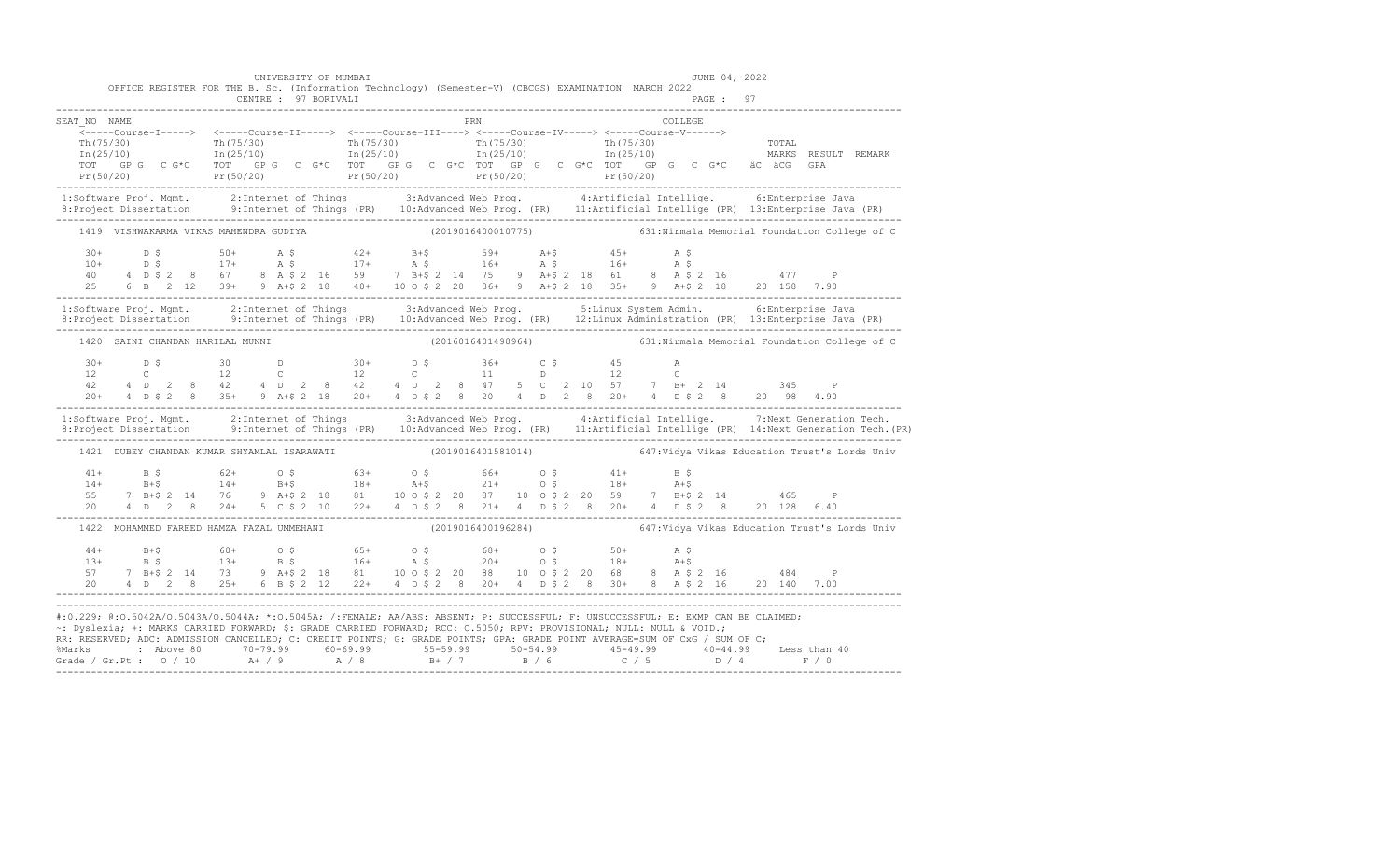|              | UNIVERSITY OF MUMBAI<br>OFFICE REGISTER FOR THE B. Sc. (Information Technology) (Semester-V) (CBCGS) EXAMINATION MARCH 2022<br>CENTRE : 97 BORIVALI |     | JUNE 04, 2022<br>PAGE: 97                                                                                                                                                                                                                                                                                                                                                                                                     |                                                                                                                                                                                                                                                                                                                                                                                        |
|--------------|-----------------------------------------------------------------------------------------------------------------------------------------------------|-----|-------------------------------------------------------------------------------------------------------------------------------------------------------------------------------------------------------------------------------------------------------------------------------------------------------------------------------------------------------------------------------------------------------------------------------|----------------------------------------------------------------------------------------------------------------------------------------------------------------------------------------------------------------------------------------------------------------------------------------------------------------------------------------------------------------------------------------|
| SEAT NO NAME |                                                                                                                                                     | PRN | COLLEGE                                                                                                                                                                                                                                                                                                                                                                                                                       |                                                                                                                                                                                                                                                                                                                                                                                        |
|              |                                                                                                                                                     |     |                                                                                                                                                                                                                                                                                                                                                                                                                               | $\begin{array}{cccccccccccc} \text{Th (75/30)} & \text{Th (75/30)} & \text{Th (75/30)} & \text{Trh (75/30)} & \text{Trh (75/30)} & \text{Trh (75/30)} & \text{Trh (75/30)} & \text{Trh (75/30)} & \text{Trh (75/30)} & \text{Trh (75/30)} & \text{Trh (75/30)} & \text{Trh (75/30)} & \text{Trh (75/30)} & \text{Trh (75/30)} & \text{Trh (75/30)} & \text{Trh (75/30)} & \text{Trh ($ |
|              |                                                                                                                                                     |     |                                                                                                                                                                                                                                                                                                                                                                                                                               | 1:Software Proj. Mgmt. 2:Internet of Things 3:Advanced Web Prog. 4:Artificial Intellige. 6:Enterprise Java<br>8:Project Dissertation 9:Internet of Things (PR) 10:Advanced Web Prog. (PR) 11:Artificial Intellige (PR) 13:Enterpr                                                                                                                                                      |
|              |                                                                                                                                                     |     | 1419 VISHWAKARMA VIKAS MAHENDRA GUDIYA (2019016400010775) (31:Nirmala Memorial Foundation College of C                                                                                                                                                                                                                                                                                                                        |                                                                                                                                                                                                                                                                                                                                                                                        |
|              |                                                                                                                                                     |     |                                                                                                                                                                                                                                                                                                                                                                                                                               |                                                                                                                                                                                                                                                                                                                                                                                        |
|              |                                                                                                                                                     |     |                                                                                                                                                                                                                                                                                                                                                                                                                               | 1:Software Proj. Mgmt. 2:Internet of Things 3:Advanced Web Prog. 5:Linux System Admin. 6:Enterprise Java<br>8:Project Dissertation 9:Internet of Things (PR) 10:Advanced Web Prog. (PR) 12:Linux Administration (PR) 13:Enterpris                                                                                                                                                      |
|              | 1420 SAINI CHANDAN HARILAL MUNNI                                                                                                                    |     | (2016016401490964) 631: Nirmala Memorial Foundation College of C                                                                                                                                                                                                                                                                                                                                                              |                                                                                                                                                                                                                                                                                                                                                                                        |
|              |                                                                                                                                                     |     |                                                                                                                                                                                                                                                                                                                                                                                                                               | $20+$ 4 D \$ 2 $8$ 35+ 9 A+\$ 2 18 20+ 4 D \$ 2 $8$ 20 $\overline{4}$ D $\overline{2}$ 8 $20+$ 4 D \$ 2 $\overline{8}$ 20 $\overline{98}$ 4.90                                                                                                                                                                                                                                         |
|              |                                                                                                                                                     |     |                                                                                                                                                                                                                                                                                                                                                                                                                               | 1:Software Proj. Mgmt. 2:Internet of Things 3:Advanced Web Prog. 4:Artificial Intellige. 7:Next Generation Tech.<br>8:Project Dissertation 9:Internet of Things (PR) 10:Advanced Web Prog. (PR) 11:Artificial Intellige (PR) 14:N                                                                                                                                                      |
|              | 1421 DUBEY CHANDAN KUMAR SHYAMLAL ISARAWATI                                                                                                         |     |                                                                                                                                                                                                                                                                                                                                                                                                                               | (2019016401581014)  647: Vidya Vikas Education Trust's Lords Univ                                                                                                                                                                                                                                                                                                                      |
|              |                                                                                                                                                     |     | $\begin{array}{cccccccccccc} 41 + & & \text{B}\ \ \text{S} & & \text{62+} & & \text{O}\ \ \text{S} & & \text{63+} & & \text{04+} & & \text{65+} & & \text{66+} & & \text{67+} & & \text{88+} & & \text{89+} & & \text{80+} & & \text{81+} & & \text{81+} & & \text{82+} & & \text{83+} & & \text{84+} & & \text{85+} & & \text{86+} & & \text{87+} & & \text{88+} & & \text{81+} & & \text{81+} &$                            |                                                                                                                                                                                                                                                                                                                                                                                        |
|              | 1422 MOHAMMED FAREED HAMZA FAZAL UMMEHANI                                                                                                           |     |                                                                                                                                                                                                                                                                                                                                                                                                                               |                                                                                                                                                                                                                                                                                                                                                                                        |
|              |                                                                                                                                                     |     |                                                                                                                                                                                                                                                                                                                                                                                                                               |                                                                                                                                                                                                                                                                                                                                                                                        |
|              | ~: Dyslexia; +: MARKS CARRIED FORWARD; \$: GRADE CARRIED FORWARD; RCC: 0.5050; RPV: PROVISIONAL; NULL: NULL & VOID.;                                |     | #:0.229; @:0.5042A/0.5043A/0.5044A; *:0.5045A; /:FEMALE; AA/ABS: ABSENT; P: SUCCESSFUL; F: UNSUCCESSFUL; E: EXMP CAN BE CLAIMED;<br>RR: RESERVED; ADC: ADMISSION CANCELLED; C: CREDIT POINTS; G: GRADE POINTS; GPA: GRADE POINT AVERAGE=SUM OF CxG / SUM OF C;<br>% Marks : Above 80 70-79.99 60-69.99 55-59.99 50-54.99 45-49.99 40-44.99 Less than 40<br>Grade / Gr.Pt : 0 / 10 A+ / 9 A / 8 B+ / 7 B / 6 C / 5 D / 4 F / 0 |                                                                                                                                                                                                                                                                                                                                                                                        |

-------------------------------------------------------------------------------------------------------------------------------------------------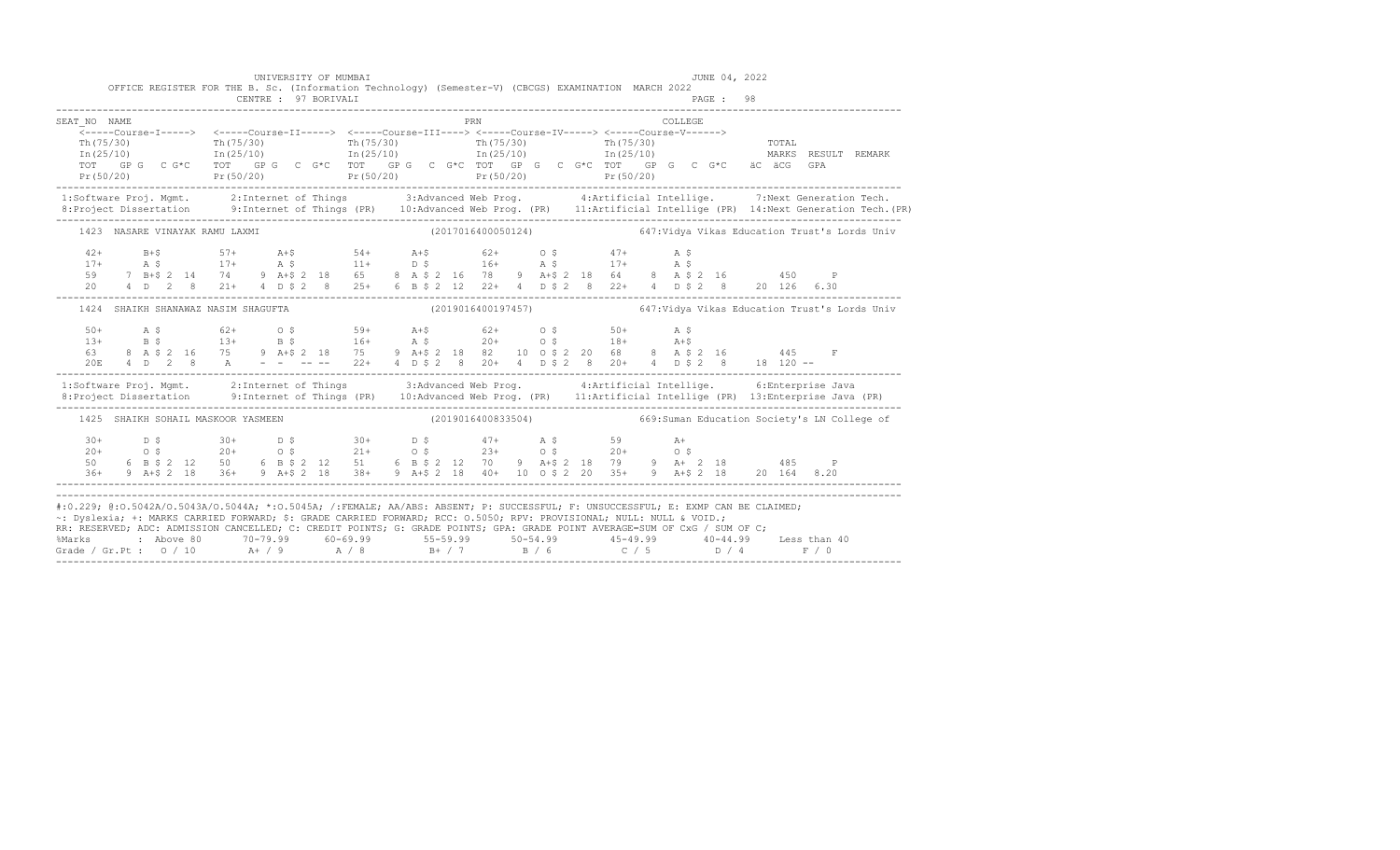|                                | UNIVERSITY OF MUMBAI<br>CENTRE : 97 BORIVALI | OFFICE REGISTER FOR THE B. Sc. (Information Technology) (Semester-V) (CBCGS) EXAMINATION MARCH 2022 | JUNE 04, 2022<br>PAGE: 98                                                                                                                                                                                                                                                                                                                                                                                                                                                                                                                                       |
|--------------------------------|----------------------------------------------|-----------------------------------------------------------------------------------------------------|-----------------------------------------------------------------------------------------------------------------------------------------------------------------------------------------------------------------------------------------------------------------------------------------------------------------------------------------------------------------------------------------------------------------------------------------------------------------------------------------------------------------------------------------------------------------|
| SEAT NO NAME                   |                                              | PRN                                                                                                 | COLLEGE<br>$\begin{array}{ccccccccccccc} \texttt{Th(75/30)} & & & & & & & & & & & \texttt{Th(75/30)} & & & & & & & & \texttt{Th(75/30)} & & & & & & & & \texttt{Th(75/30)} & & & & & & & & \texttt{Th(75/30)} & & & & & & & & \texttt{Th(75/30)} & & & & & & & & & \texttt{Th(75/30)} & & & & & & & & & & \texttt{Th(75/30)} & & & & & & & & & & \texttt{Th(75/30)} & & & & & & & & & & & \texttt{Th(75/30)} & & & & & & &$<br>TOTAL<br>MARKS RESULT REMARK<br>äC äCG<br>GPA<br>Pr(50/20) Pr(50/20) Pr(50/20) Pr(50/20) Pr(50/20) Pr(50/20) Pr(50/20) Pr(50/20) |
|                                |                                              |                                                                                                     | 1:Software Proj. Mgmt. 2:Internet of Things 3:Advanced Web Prog. 4:Artificial Intellige. 7:Next Generation Tech.<br>1:Project Dissertation 9:Internet of Things (PR) 10:Advanced Web Prog. (PR) 11:Artificial Intellige (PR) 14:N                                                                                                                                                                                                                                                                                                                               |
| 1423 NASARE VINAYAK RAMU LAXMI |                                              |                                                                                                     | (2017016400050124) 647: Vidya Vikas Education Trust's Lords Univ                                                                                                                                                                                                                                                                                                                                                                                                                                                                                                |
|                                |                                              |                                                                                                     | 20 4 D 2 8 21+ 4 D \$ 2 8 25+ 6 B \$ 2 12 22+ 4 D \$ 2 8 22+ 4 D \$ 2 8 20 126 6.30                                                                                                                                                                                                                                                                                                                                                                                                                                                                             |
|                                | 1424 SHAIKH SHANAWAZ NASIM SHAGUFTA          |                                                                                                     |                                                                                                                                                                                                                                                                                                                                                                                                                                                                                                                                                                 |
|                                |                                              |                                                                                                     |                                                                                                                                                                                                                                                                                                                                                                                                                                                                                                                                                                 |
|                                |                                              |                                                                                                     | 1:Software Proj. Mgmt. 2:Internet of Things 3:Advanced Web Prog. 4:Artificial Intellige. 6:Enterprise Java                                                                                                                                                                                                                                                                                                                                                                                                                                                      |
|                                | 1425 SHAIKH SOHAIL MASKOOR YASMEEN           |                                                                                                     | (2019016400833504) 669:Suman Education Society's LN College of                                                                                                                                                                                                                                                                                                                                                                                                                                                                                                  |
|                                |                                              |                                                                                                     | $\begin{array}{cccccccccccccccc} 30+ & & D & \xi & & 30+ & D & \xi & & 30+ & D & \xi & & 47+ & A & \xi & & 59 & A+ & A+ & 0 & \xi & & 20+ & 0 & \xi & & 20+ & 0 & \xi & & 20+ & 0 & \xi & & 20+ & 0 & \xi & & 20+ & 0 & \xi & & 20+ & 0 & \xi & & 20+ & 0 & \xi & & 20+ & 0 & \xi & & 20+ & 0 & \xi & & 20+ & 0 & \xi & & 20+ & 0 & \xi & & 20+ & 0 & \xi & & 20+$                                                                                                                                                                                              |
|                                |                                              |                                                                                                     | #:0.229; @:0.5042A/0.5043A/0.5044A; *:0.5045A; /:FEMALE; AA/ABS: ABSENT; P: SUCCESSFUL; F: UNSUCCESSFUL; E: EXMP CAN BE CLAIMED;<br>~: Dyslexia; +: MARKS CARRIED FORWARD; \$: GRADE CARRIED FORWARD; RCC: 0.5050; RPV: PROVISIONAL; NULL: NULL & VOID.;<br>RR: RESERVED; ADC: ADMISSION CANCELLED; C: CREDIT POINTS; G: GRADE POINTS; GPA: GRADE POINT AVERAGE=SUM OF CxG / SUM OF C;                                                                                                                                                                          |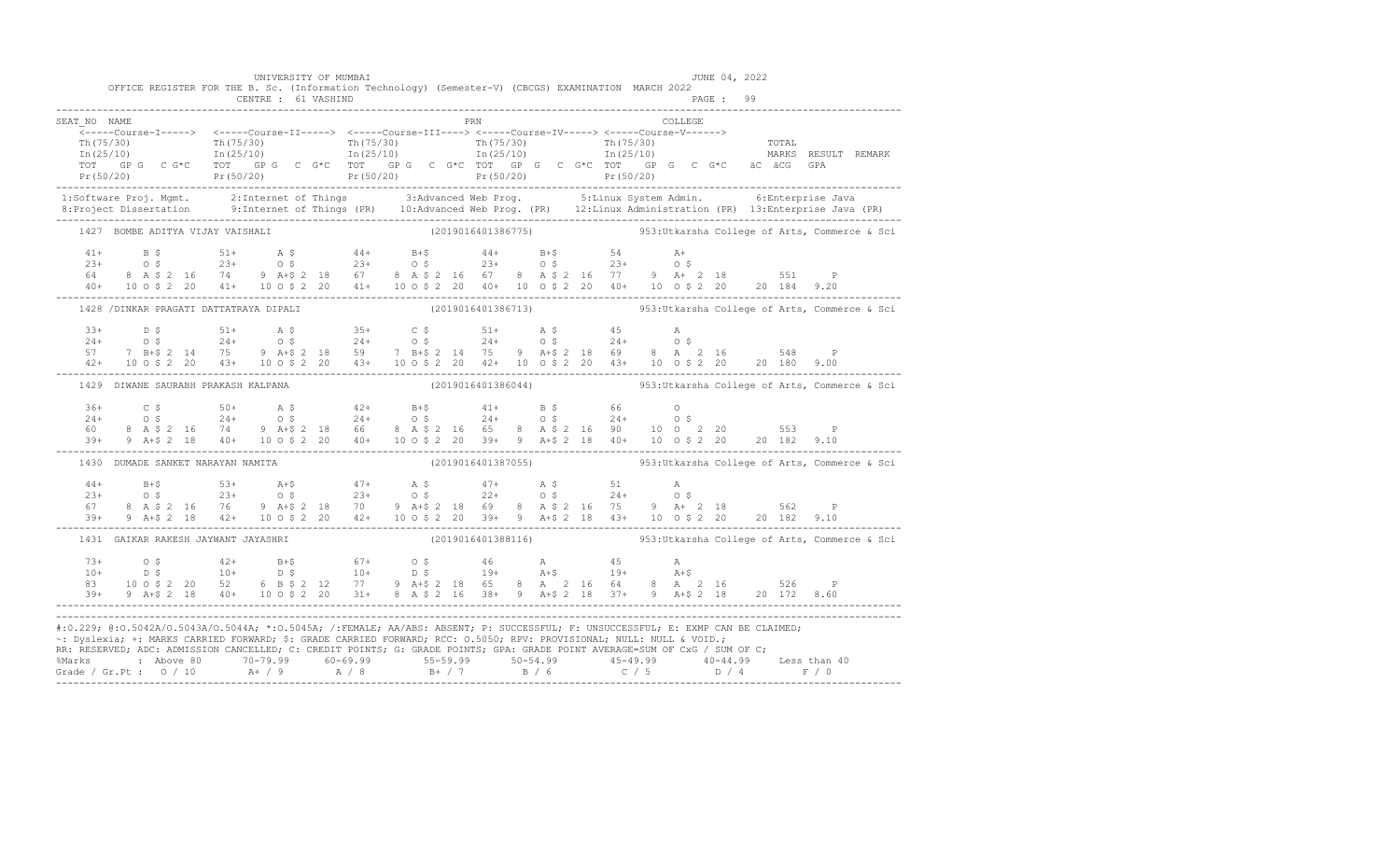|              | OFFICE REGISTER FOR THE B. Sc. (Information Technology) (Semester-V) (CBCGS) EXAMINATION MARCH 2022                                                                                                                                                                                                                                                                                                                                                                                                                                                   | CENTRE : 61 VASHIND | UNIVERSITY OF MUMBAI |  |     |  | PAGE: 99 | JUNE 04, 2022 |                                                                    |
|--------------|-------------------------------------------------------------------------------------------------------------------------------------------------------------------------------------------------------------------------------------------------------------------------------------------------------------------------------------------------------------------------------------------------------------------------------------------------------------------------------------------------------------------------------------------------------|---------------------|----------------------|--|-----|--|----------|---------------|--------------------------------------------------------------------|
| SEAT NO NAME | $\begin{array}{cccccccc} \texttt{-----} & \texttt{1---} & \texttt{2---} & \texttt{2---} & \texttt{2---} & \texttt{2---} & \texttt{2---} & \texttt{2---} & \texttt{2---} & \texttt{2---} & \texttt{2---} & \texttt{2---} & \texttt{2---} & \texttt{2---} & \texttt{2---} & \texttt{2---} & \texttt{2---} & \texttt{2---} & \texttt{2---} & \texttt{2---} & \texttt{2---} & \texttt{2---} & \texttt{2---} & \texttt{2---} & \texttt{2---} & \texttt{2---} & \texttt{2$                                                                                  |                     |                      |  | PRN |  | COLLEGE  |               |                                                                    |
|              |                                                                                                                                                                                                                                                                                                                                                                                                                                                                                                                                                       |                     |                      |  |     |  |          |               |                                                                    |
|              | 1427 BOMBE ADITYA VIJAY VAISHALI                                                                                                                                                                                                                                                                                                                                                                                                                                                                                                                      |                     |                      |  |     |  |          |               | $(2019016401386775)$ 953:Utkarsha College of Arts, Commerce & Sci  |
|              |                                                                                                                                                                                                                                                                                                                                                                                                                                                                                                                                                       |                     |                      |  |     |  |          |               |                                                                    |
|              | 1428 /DINKAR PRAGATI DATTATRAYA DIPALI (2019016401386713) 353:Utkarsha College of Arts, Commerce & Sci                                                                                                                                                                                                                                                                                                                                                                                                                                                |                     |                      |  |     |  |          |               |                                                                    |
|              | $\begin{array}{cccccccccccc} 33+ & & \text{D5} & & & 51+ & & \text{A5} & & 35+ & & \text{C5} & & 51+ & & \text{A5} & & 45 & & \text{A} \\ 24+ & & \text{O5} & & 24+ & & \text{O5} & & 24+ & & \text{O5} & & 24+ & & \text{O5} & & 24+ & & \text{O5} \\ 57 & & 7 & \text{B}+5 & 2 & 14 & & 75 & 9 & \text{A}+5 & 2 & 14 & & 75 & 9 & & \text{A}+5 & 2 & 18 & & 69$                                                                                                                                                                                     |                     |                      |  |     |  |          |               |                                                                    |
|              | 1429 DIWANE SAURABH PRAKASH KALPANA                                                                                                                                                                                                                                                                                                                                                                                                                                                                                                                   |                     |                      |  |     |  |          |               | $(2019016401386044)$ 953:Utkarsha College of Arts, Commerce & Sci  |
|              | $\begin{array}{cccccccccccc} 36+ & C & \xi & 50+ & A & \xi & 42+ & B+ \xi & 41+ & B & \xi & 66 & O \\ 24+ & O & \xi & 24+ & O & \xi & 24+ & O & \xi & 24+ & O & \xi & 24+ & O & \xi \\ 60 & 8 & A & \xi & 2 & 16 & 74 & 9 & A+ \xi & 2 & 18 & 66 & 8 & A & \xi & 2 & 16 & 65 & 8 & A & \xi & 2 & 16 & 90 & 10 & O & 2 & 20 & 553 & P \\ 39+ & 9 & A+ \xi & 2$                                                                                                                                                                                         |                     |                      |  |     |  |          |               |                                                                    |
|              | 1430 DUMADE SANKET NARAYAN NAMITA                                                                                                                                                                                                                                                                                                                                                                                                                                                                                                                     |                     |                      |  |     |  |          |               | $(2019016401387055)$ 953: Utkarsha College of Arts, Commerce & Sci |
|              |                                                                                                                                                                                                                                                                                                                                                                                                                                                                                                                                                       |                     |                      |  |     |  |          |               |                                                                    |
|              | 1431 GAIKAR RAKESH JAYWANT JAYASHRI                                                                                                                                                                                                                                                                                                                                                                                                                                                                                                                   |                     |                      |  |     |  |          |               | $(2019016401388116)$ 953: Utkarsha College of Arts, Commerce & Sci |
|              | 73+ 0\$ 42+ B+\$ 67+ 0\$ 46 A 45 A<br>10+ D\$ 10+ D\$ 10+ D\$ 19+ A+\$ 19+ A+\$<br>83 10 0\$ 2 20 52 6 B\$ 2 12 77 9 A+\$ 2 18 65 8 A 2 16 64 8 A 2 16 526 P<br>39+ 9 A+\$ 2 18 40+ 10 0\$ 2 20 31+ 8 A \$ 2 16 38+ 9 A+\$ 2 18 37+ 9 A+\$ 2 18 20 172                                                                                                                                                                                                                                                                                                |                     |                      |  |     |  |          |               |                                                                    |
|              | #:0.229; @:0.5042A/0.5043A/0.5044A; *:0.5045A; /:FEMALE; AA/ABS: ABSENT; P: SUCCESSFUL; F: UNSUCCESSFUL; E: EXMP CAN BE CLAIMED;<br>~: Dyslexia; +: MARKS CARRIED FORWARD; \$: GRADE CARRIED FORWARD; RCC: 0.5050; RPV: PROVISIONAL; NULL: NULL & VOID.;<br>RR: RESERVED, ADC: ADMISSION CANCELLED, C: CREDIT POINTS, G: GRADE POINTS, GPA: GRADE POINT AVERAGE=SUM OF CxG / SUM OF C;<br>% Marks : Above 80 70-79.99 60-69.99 55-59.99 50-54.99 45-49.99 40-44.99 Less than 40<br>Grade / Gr.Pt : 0 / 10 A+ / 9 A / 8 B+ / 7 B / 6 C / 5 D / 4 F / 0 |                     |                      |  |     |  |          |               |                                                                    |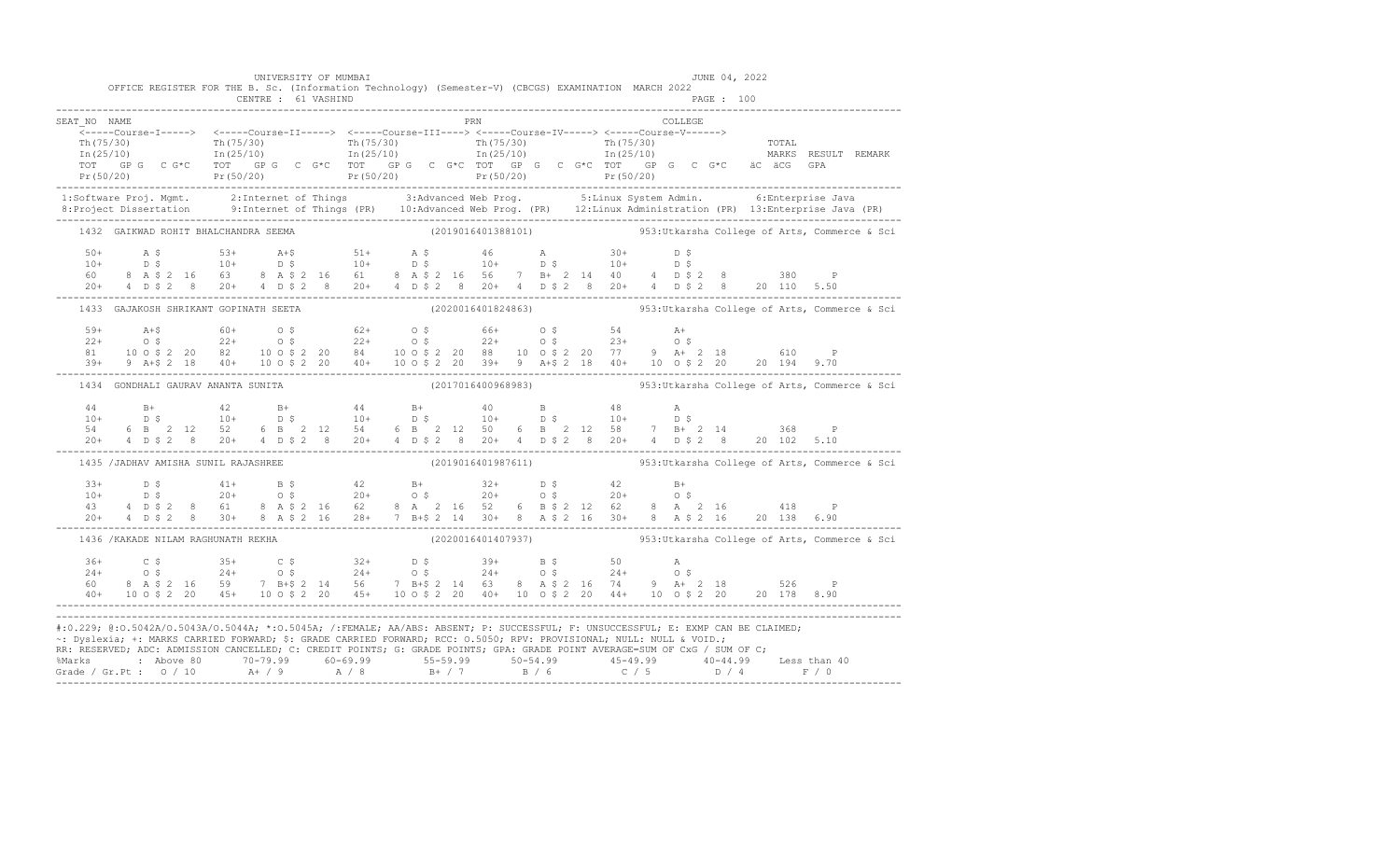|              |                                     | UNIVERSITY OF MUMBAI<br>CENTRE : 61 VASHIND | OFFICE REGISTER FOR THE B. Sc. (Information Technology) (Semester-V) (CBCGS) EXAMINATION MARCH 2022                                                                                                                                                                                                                                                                                    |     |         | JUNE 04, 2022<br>PAGE : 100                                                                                                                                                                                                                                                                                                                                                                                                                                          |
|--------------|-------------------------------------|---------------------------------------------|----------------------------------------------------------------------------------------------------------------------------------------------------------------------------------------------------------------------------------------------------------------------------------------------------------------------------------------------------------------------------------------|-----|---------|----------------------------------------------------------------------------------------------------------------------------------------------------------------------------------------------------------------------------------------------------------------------------------------------------------------------------------------------------------------------------------------------------------------------------------------------------------------------|
| SEAT NO NAME |                                     |                                             |                                                                                                                                                                                                                                                                                                                                                                                        | PRN | COLLEGE | $\begin{array}{cccccccc} \texttt{-----} & \texttt{1---} & \texttt{2---} & \texttt{2---} & \texttt{2---} & \texttt{2---} & \texttt{2---} & \texttt{2---} & \texttt{2---} & \texttt{2---} & \texttt{2---} & \texttt{2---} & \texttt{2---} & \texttt{2---} & \texttt{2---} & \texttt{2---} & \texttt{2---} & \texttt{2---} & \texttt{2---} & \texttt{2---} & \texttt{2---} & \texttt{2---} & \texttt{2---} & \texttt{2---} & \texttt{2---} & \texttt{2---} & \texttt{2$ |
|              |                                     |                                             |                                                                                                                                                                                                                                                                                                                                                                                        |     |         |                                                                                                                                                                                                                                                                                                                                                                                                                                                                      |
|              |                                     | 1432 GAIKWAD ROHIT BHALCHANDRA SEEMA        |                                                                                                                                                                                                                                                                                                                                                                                        |     |         | (2019016401388101)  953:Utkarsha College of Arts, Commerce & Sci                                                                                                                                                                                                                                                                                                                                                                                                     |
|              |                                     |                                             |                                                                                                                                                                                                                                                                                                                                                                                        |     |         |                                                                                                                                                                                                                                                                                                                                                                                                                                                                      |
|              |                                     |                                             |                                                                                                                                                                                                                                                                                                                                                                                        |     |         | 1433 GAJAKOSH SHRIKANT GOPINATH SEETA (2020016401824863) 353:Utkarsha College of Arts, Commerce & Sci                                                                                                                                                                                                                                                                                                                                                                |
|              |                                     |                                             |                                                                                                                                                                                                                                                                                                                                                                                        |     |         |                                                                                                                                                                                                                                                                                                                                                                                                                                                                      |
|              |                                     | 1434 GONDHALI GAURAV ANANTA SUNITA          |                                                                                                                                                                                                                                                                                                                                                                                        |     |         | $(2017016400968983)$ 953: Utkarsha College of Arts, Commerce & Sci                                                                                                                                                                                                                                                                                                                                                                                                   |
|              |                                     |                                             |                                                                                                                                                                                                                                                                                                                                                                                        |     |         | $\begin{array}{cccccccccccccccc} 44 & & & B+ & & & 42 & & B+ & & 44 & & B+ & & 40 & & B & & 48 & & A \\ 10+ & & & D & \, \text{S} & & & 10+ & & D & \, \text{S} & & & 10+ & & D & \, \text{S} & & & 10+ & & D & \, \text{S} & & & & 10+ & & D & \, \text{S} & & & & & 10+ & & D & \, \text{S} & & & & & & 10+ & & D & \, \text{S} & & & & & & & 10+ & & D & \, \text{S} & & & & & & & & & & & & & &$                                                                 |
|              | 1435 /JADHAV AMISHA SUNIL RAJASHREE |                                             |                                                                                                                                                                                                                                                                                                                                                                                        |     |         | (2019016401987611) 953: Utkarsha College of Arts, Commerce & Sci                                                                                                                                                                                                                                                                                                                                                                                                     |
|              |                                     |                                             |                                                                                                                                                                                                                                                                                                                                                                                        |     |         | $\begin{array}{cccccccccccc} 33+ & D & \xi & 41+ & B & \xi & 42 & B+ & 32+ & D & \xi & 42 & B+ & 10+ & D & \xi & 20+ & 0 & \xi & 20+ & 0 & \xi & 20+ & 0 & \xi & 20+ & 0 & \xi & 20+ & 0 & \xi & 20+ & 0 & 0 & 20+ & 0 & 0 & 20+ & 0 & 0 & 20+ & 0 & 0 & 20+ & 0 & 0 & 20+ & 0 & 0 & 20+ & 0 & 0 & 20+ & 0 & 0 & 20+ & 4 & 0 & 5 &$                                                                                                                                  |
|              |                                     | 1436 / KAKADE NILAM RAGHUNATH REKHA         |                                                                                                                                                                                                                                                                                                                                                                                        |     |         | $(2020016401407937)$ 953:Utkarsha College of Arts, Commerce & Sci                                                                                                                                                                                                                                                                                                                                                                                                    |
|              |                                     |                                             | $\begin{array}{cccccccccccccccc} 36+ & & C \; \xi & & 35+ & C \; \xi & & 32+ & D \; \xi & & 39+ & B \; \xi & & 50 & A \\ 24+ & & 0 \; \xi & & 24+ & 0 \; \xi & & 24+ & 0 \; \xi & & 24+ & 0 \; \xi & & 24+ & 0 \; \xi & & 24+ & 0 \; \xi & & 24+ & 0 \; \xi & & 24+ & 0 \; \xi & & 24+ & 0 \; \xi & & 24+ & 0 \; \xi & & 24+ & 0 \; \xi & & 24+ & 0 \; \xi$                            |     |         |                                                                                                                                                                                                                                                                                                                                                                                                                                                                      |
|              |                                     |                                             | #:0.229; @:0.5042A/0.5043A/0.5044A; *:0.5045A; /:FEMALE; AA/ABS: ABSENT; P: SUCCESSFUL; F: UNSUCCESSFUL; E: EXMP CAN BE CLAIMED;<br>~: Dyslexia; +: MARKS CARRIED FORWARD; \$: GRADE CARRIED FORWARD; RCC: 0.5050; RPV: PROVISIONAL; NULL: NULL & VOID.;<br>RR: RESERVED, ADC: ADMISSION CANCELLED, C: CREDIT POINTS, G: GRADE POINTS, GPA: GRADE POINT AVERAGE=SUM OF CxG / SUM OF C; |     |         | % Marks : Above 80 70-79.99 60-69.99 55-59.99 50-54.99 45-49.99 40-44.99 Less than 40<br>Grade / Gr.Pt : 0 / 10 A+ / 9 A / 8 B+ / 7 B / 6 C / 5 D / 4 F / 0                                                                                                                                                                                                                                                                                                          |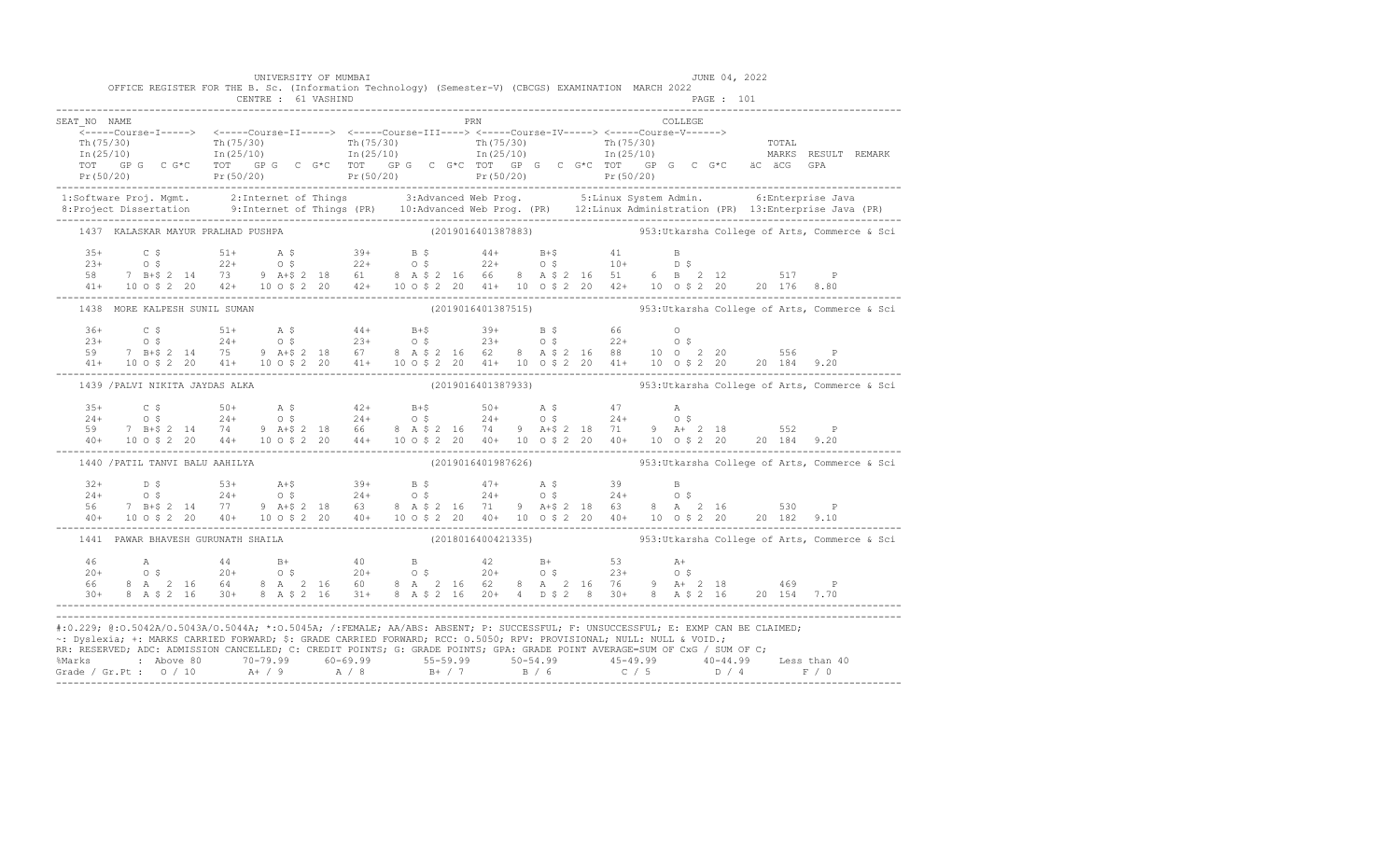|                                                                                                                                                                                                                                                                                                                                                                                                                                                                                                                                                       | OFFICE REGISTER FOR THE B. Sc. (Information Technology) (Semester-V) (CBCGS) EXAMINATION MARCH 2022                                                                                                                                                                                                                                                                  | CENTRE : 61 VASHIND | UNIVERSITY OF MUMBAI |  |  |            |  |  |         | JUNE 04, 2022<br>PAGE : 101 |  |                                                                    |  |
|-------------------------------------------------------------------------------------------------------------------------------------------------------------------------------------------------------------------------------------------------------------------------------------------------------------------------------------------------------------------------------------------------------------------------------------------------------------------------------------------------------------------------------------------------------|----------------------------------------------------------------------------------------------------------------------------------------------------------------------------------------------------------------------------------------------------------------------------------------------------------------------------------------------------------------------|---------------------|----------------------|--|--|------------|--|--|---------|-----------------------------|--|--------------------------------------------------------------------|--|
| SEAT NO NAME<br>$\begin{array}{cccccccc} \texttt{&\small{----coures-I------}} & \texttt{&\small{----coures-I1-----}} & \texttt{&\small{----coures-I1-----}} & \texttt{&\small{----coures-I1-----}} & \texttt{&\small{----coures-I1-----}} & \texttt{&\small{----coures-I1-----}} & \texttt{&\small{----coures-I1-----}} & \texttt{&\small{----coures-I1-----}} & \texttt{&\small{----coures-I1-----}} & \texttt{&\small{----coures-I1-----}} & \texttt{&\small{----coures-I1-----}} & \texttt{$                                                       |                                                                                                                                                                                                                                                                                                                                                                      |                     |                      |  |  | <b>PRN</b> |  |  | COLLEGE |                             |  |                                                                    |  |
|                                                                                                                                                                                                                                                                                                                                                                                                                                                                                                                                                       |                                                                                                                                                                                                                                                                                                                                                                      |                     |                      |  |  |            |  |  |         |                             |  |                                                                    |  |
|                                                                                                                                                                                                                                                                                                                                                                                                                                                                                                                                                       | 1437 KALASKAR MAYUR PRALHAD PUSHPA                                                                                                                                                                                                                                                                                                                                   |                     |                      |  |  |            |  |  |         |                             |  | $(2019016401387883)$ 953: Utkarsha College of Arts, Commerce & Sci |  |
|                                                                                                                                                                                                                                                                                                                                                                                                                                                                                                                                                       | $\begin{array}{cccccccccccc} 35+ & & C & \xi & & 51+ & A & \xi & & 39+ & B & \xi & & 44+ & B+ \xi & & 41 & B \\ 23+ & & 0 & \xi & & 22+ & 0 & \xi & & 22+ & 0 & \xi & & 22+ & 0 & \xi & & 10+ & D & \xi \\ 58 & & 7 & B+ \xi & 2 & 14 & 73 & 9 & A+ \xi & 2 & 18 & 61 & 8 & A & \xi & 2 & 16 & 66 & 8 & A & \xi & 2 & 16 & 51 & 6 & B & 2 & 12 & 517 & P \\ $        |                     |                      |  |  |            |  |  |         |                             |  |                                                                    |  |
|                                                                                                                                                                                                                                                                                                                                                                                                                                                                                                                                                       | 1438 MORE KALPESH SUNIL SUMAN                                                                                                                                                                                                                                                                                                                                        |                     |                      |  |  |            |  |  |         |                             |  | $(2019016401387515)$ 953: Utkarsha College of Arts, Commerce & Sci |  |
|                                                                                                                                                                                                                                                                                                                                                                                                                                                                                                                                                       | $\begin{array}{cccccccccccc} 36+ & & C & \xi & & 51+ & A & \xi & & 44+ & B+ \xi & & 39+ & B & \xi & & 66 & & O \\ 23+ & & O & \xi & & 24+ & O & \xi & & 23+ & O & \xi & & 22+ & O & \xi & & 22+ & O & \xi \\ 59 & & 7 & B+ \xi & 2 & 14 & 75 & 9 & A+ \xi & 2 & 18 & 67 & 8 & A & \xi & 2 & 16 & 62 & 8 & A & \xi & 2 & 16 & 88 & & 10 & O & 2 & 20 & & 556 & P \\ $ |                     |                      |  |  |            |  |  |         |                             |  |                                                                    |  |
|                                                                                                                                                                                                                                                                                                                                                                                                                                                                                                                                                       | 1439 /PALVI NIKITA JAYDAS ALKA                                                                                                                                                                                                                                                                                                                                       |                     |                      |  |  |            |  |  |         |                             |  | $(2019016401387933)$ 953: Utkarsha College of Arts, Commerce & Sci |  |
|                                                                                                                                                                                                                                                                                                                                                                                                                                                                                                                                                       | $\begin{array}{cccccccccccc} 35+ & C & \xi & 50+ & A & \xi & 42+ & B+ \xi & 50+ & A & \xi & 47 & A \\ 24+ & O & \xi & 24+ & O & \xi & 24+ & O & \xi & 24+ & O & \xi & 24+ & O & \xi \\ 59 & 7 & B+ \xi & 2 & 14 & 74 & 9 & A+ \xi & 2 & 18 & 66 & 8 & A & \xi & 2 & 16 & 74 & 9 & A+ \xi & 2 & 18 & 71 & 9 & A+ & 2 & 18 & 552 & P \\ 40+ & 10 & 0 & \xi &$          |                     |                      |  |  |            |  |  |         |                             |  |                                                                    |  |
|                                                                                                                                                                                                                                                                                                                                                                                                                                                                                                                                                       | 1440 / PATIL TANVI BALU AAHILYA                                                                                                                                                                                                                                                                                                                                      |                     |                      |  |  |            |  |  |         |                             |  | (2019016401987626) 953: Utkarsha College of Arts, Commerce & Sci   |  |
|                                                                                                                                                                                                                                                                                                                                                                                                                                                                                                                                                       | $\begin{array}{cccccccccccc} 32+ & D & \xi & 53+ & A+ \xi & 39+ & B & \xi & 47+ & A & \xi & 39 & B \\ 24+ & O & \xi & 24+ & O & \xi & 24+ & O & \xi & 24+ & O & \xi & 24+ & O & \xi \\ 56 & 7 & B+ \xi & 2 & 14 & 77 & 9 & A+ \xi & 2 & 18 & 63 & 8 & A & \xi & 2 & 16 & 71 & 9 & A+ \xi & 2 & 18 & 63 & 8 & A & 2 & 16 & 530 & P \\ 40+ & 10 & 0 & \xi & $          |                     |                      |  |  |            |  |  |         |                             |  |                                                                    |  |
|                                                                                                                                                                                                                                                                                                                                                                                                                                                                                                                                                       | 1441 PAWAR BHAVESH GURUNATH SHAILA                                                                                                                                                                                                                                                                                                                                   |                     |                      |  |  |            |  |  |         |                             |  | $(2018016400421335)$ 953: Utkarsha College of Arts, Commerce & Sci |  |
| 46<br>$20+$                                                                                                                                                                                                                                                                                                                                                                                                                                                                                                                                           | 46<br>$20+$<br>$20+$<br>$20+$<br>$20+$<br>$20+$<br>$20+$<br>$20+$<br>$20+$<br>$20+$<br>$20+$<br>$20+$<br>$20+$<br>$20+$<br>$20+$<br>$20+$<br>$20+$<br>$20+$<br>$20+$<br>$20+$<br>$20+$<br>$20+$<br>$20+$<br>$20+$<br>$20+$<br>$20+$<br>$20+$<br>$20+$<br>$20+$<br>$20+$<br>$20+$<br>$20+$<br>                                                                        |                     |                      |  |  |            |  |  |         |                             |  |                                                                    |  |
| #:0.229; @:0.5042A/0.5043A/0.5044A; *:0.5045A; /:FEMALE; AA/ABS: ABSENT; P: SUCCESSFUL; F: UNSUCCESSFUL; E: EXMP CAN BE CLAIMED;<br>~: Dyslexia; +: MARKS CARRIED FORWARD; \$: GRADE CARRIED FORWARD; RCC: 0.5050; RPV: PROVISIONAL; NULL: NULL & VOID.;<br>RR: RESERVED, ADC: ADMISSION CANCELLED, C: CREDIT POINTS, G: GRADE POINTS, GPA: GRADE POINT AVERAGE=SUM OF CxG / SUM OF C;<br>% Marks : Above 80 70-79.99 60-69.99 55-59.99 50-54.99 45-49.99 40-44.99 Less than 40<br>Grade / Gr.Pt : 0 / 10 A+ / 9 A / 8 B+ / 7 B / 6 C / 5 D / 4 F / 0 |                                                                                                                                                                                                                                                                                                                                                                      |                     |                      |  |  |            |  |  |         |                             |  |                                                                    |  |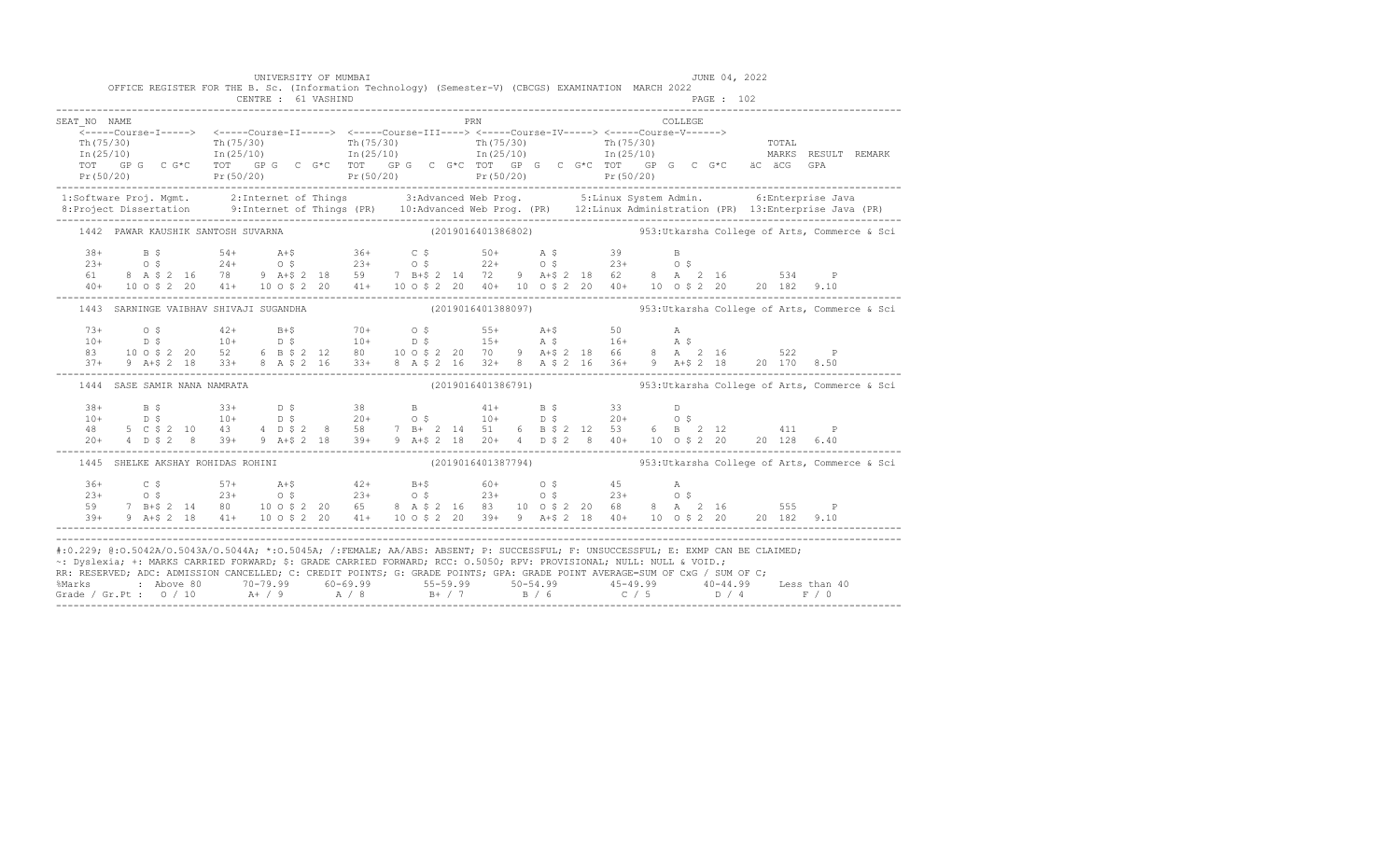|                                                                                                                                                                                                                                                                                                                                                                                        |  |  |                                        |  | UNIVERSITY OF MUMBAI | OFFICE REGISTER FOR THE B. Sc. (Information Technology) (Semester-V) (CBCGS) EXAMINATION MARCH 2022                                                                                                                                                                                                                                                                          |  |     |                    |  |          | JUNE 04, 2022 |  |                     |                                                                                                                                                                                                                                   |
|----------------------------------------------------------------------------------------------------------------------------------------------------------------------------------------------------------------------------------------------------------------------------------------------------------------------------------------------------------------------------------------|--|--|----------------------------------------|--|----------------------|------------------------------------------------------------------------------------------------------------------------------------------------------------------------------------------------------------------------------------------------------------------------------------------------------------------------------------------------------------------------------|--|-----|--------------------|--|----------|---------------|--|---------------------|-----------------------------------------------------------------------------------------------------------------------------------------------------------------------------------------------------------------------------------|
|                                                                                                                                                                                                                                                                                                                                                                                        |  |  |                                        |  | CENTRE : 61 VASHIND  |                                                                                                                                                                                                                                                                                                                                                                              |  |     |                    |  |          | PAGE : 102    |  |                     |                                                                                                                                                                                                                                   |
| SEAT NO NAME                                                                                                                                                                                                                                                                                                                                                                           |  |  |                                        |  |                      |                                                                                                                                                                                                                                                                                                                                                                              |  | PRN |                    |  | COLLEGE. |               |  |                     |                                                                                                                                                                                                                                   |
|                                                                                                                                                                                                                                                                                                                                                                                        |  |  |                                        |  |                      |                                                                                                                                                                                                                                                                                                                                                                              |  |     |                    |  |          |               |  | MARKS RESULT REMARK | Pr (50/20) Pr (50/20) Pr (50/20) Pr (50/20) Pr (50/20) Pr (50/20) Pr (50/20) Pr (50/20)                                                                                                                                           |
|                                                                                                                                                                                                                                                                                                                                                                                        |  |  |                                        |  |                      |                                                                                                                                                                                                                                                                                                                                                                              |  |     |                    |  |          |               |  |                     | 1:Software Proj. Mgmt. 2:Internet of Things 3:Advanced Web Prog. 5:Linux System Admin. 6:Enterprise Java<br>8:Project Dissertation 9:Internet of Things (PR) 10:Advanced Web Prog. (PR) 12:Linux Administration (PR) 13:Enterpris |
|                                                                                                                                                                                                                                                                                                                                                                                        |  |  | 1442 PAWAR KAUSHIK SANTOSH SUVARNA     |  |                      |                                                                                                                                                                                                                                                                                                                                                                              |  |     |                    |  |          |               |  |                     | (2019016401386802) 353: Utkarsha College of Arts, Commerce & Sci                                                                                                                                                                  |
|                                                                                                                                                                                                                                                                                                                                                                                        |  |  |                                        |  |                      | $\begin{array}{cccccccccccccccc} 38+ & & B & S & S4+ & A+ \zeta & 36+ & C & \zeta & 50+ & A & \zeta & 39 & B \\ 23+ & & O & \zeta & & 24+ & O & \zeta & 23+ & O & \zeta & 22+ & O & \zeta & 23+ & O & \zeta \\ 61 & & 8 & A & \zeta & 2 & 16 & 78 & 9 & A+ \zeta & 2 & 18 & 59 & 7 & B+ \zeta & 2 & 14 & 72 & 9 & A+ \zeta & 2 & 18 & 62 & 8 & A & 2 & 16 & 534 & P \\ $     |  |     |                    |  |          |               |  |                     |                                                                                                                                                                                                                                   |
|                                                                                                                                                                                                                                                                                                                                                                                        |  |  | 1443 SARNINGE VAIBHAV SHIVAJI SUGANDHA |  |                      |                                                                                                                                                                                                                                                                                                                                                                              |  |     | (2019016401388097) |  |          |               |  |                     | 953: Utkarsha College of Arts, Commerce & Sci                                                                                                                                                                                     |
|                                                                                                                                                                                                                                                                                                                                                                                        |  |  |                                        |  |                      | $\begin{array}{cccccccccccc} 73+ & & & 0 & \xi & & & 42+ & & B+\xi & & 70+ & & 0 & \xi & & 55+ & A+\xi & & 50 & & A \\ 10+ & & D & \xi & & & 10+ & & D & \xi & & 10+ & & D & \xi & & 15+ & A & \xi & & 16+ & A & \xi \\ 83 & & 10 & 0 & \xi & 2 & 20 & 52 & 6 & B & \xi & 2 & 12 & 80 & & 10 & 0 & \xi & 2 & 20 & 70 & 9 & A+\xi & 2 & 18 & 66 & 8 & A & 2 & 16 &$           |  |     |                    |  |          |               |  |                     |                                                                                                                                                                                                                                   |
|                                                                                                                                                                                                                                                                                                                                                                                        |  |  | 1444 SASE SAMIR NANA NAMRATA           |  |                      |                                                                                                                                                                                                                                                                                                                                                                              |  |     |                    |  |          |               |  |                     | (2019016401386791) 953: Utkarsha College of Arts, Commerce & Sci                                                                                                                                                                  |
|                                                                                                                                                                                                                                                                                                                                                                                        |  |  |                                        |  |                      | $\begin{array}{cccccccccccccccc} 38 + & & & \text{B5} & & & 33 + & & \text{D5} & & & 38 & & \text{B} & & & 41 + & & \text{B5} & & 33 & & \text{D} \\ 10 + & & & \text{D5} & & & 10 + & & \text{D5} & & 20 + & & 0 & 5 & & 10 + & & \text{D5} & & 20 + & & 0 & 5 \\ 48 & & 5 & 0 & 5 & 2 & 10 & & 43 & & 4 & \text{D5} & 2 & 8 & & 58 & & 7 & \text{B} + & 2 & 14 & & 51 & &$ |  |     |                    |  |          |               |  |                     |                                                                                                                                                                                                                                   |
|                                                                                                                                                                                                                                                                                                                                                                                        |  |  | 1445 SHELKE AKSHAY ROHIDAS ROHINI      |  |                      |                                                                                                                                                                                                                                                                                                                                                                              |  |     |                    |  |          |               |  |                     | (2019016401387794) 953: Utkarsha College of Arts, Commerce & Sci                                                                                                                                                                  |
| $36+$<br>$23+$<br>59                                                                                                                                                                                                                                                                                                                                                                   |  |  |                                        |  |                      | 39+ 9 A+\$ 2 18 41+ 10 0 \$ 2 20 41+ 10 0 \$ 2 20 39+ 9 A+\$ 2 18 40+ 10 0 \$ 2 20 20 182 9.10                                                                                                                                                                                                                                                                               |  |     |                    |  |          |               |  |                     |                                                                                                                                                                                                                                   |
| #:0.229; @:0.5042A/O.5043A/O.5044A; *:0.5045A; /:FEMALE; AA/ABS: ABSENT; P: SUCCESSFUL; F: UNSUCCESSFUL; E: EXMP CAN BE CLAIMED;<br>~: Dyslexia; +: MARKS CARRIED FORWARD; \$: GRADE CARRIED FORWARD; RCC: 0.5050; RPV: PROVISIONAL; NULL: NULL & VOID.;<br>RR: RESERVED; ADC: ADMISSION CANCELLED; C: CREDIT POINTS; G: GRADE POINTS; GPA: GRADE POINT AVERAGE=SUM OF CxG / SUM OF C; |  |  |                                        |  |                      |                                                                                                                                                                                                                                                                                                                                                                              |  |     |                    |  |          |               |  |                     |                                                                                                                                                                                                                                   |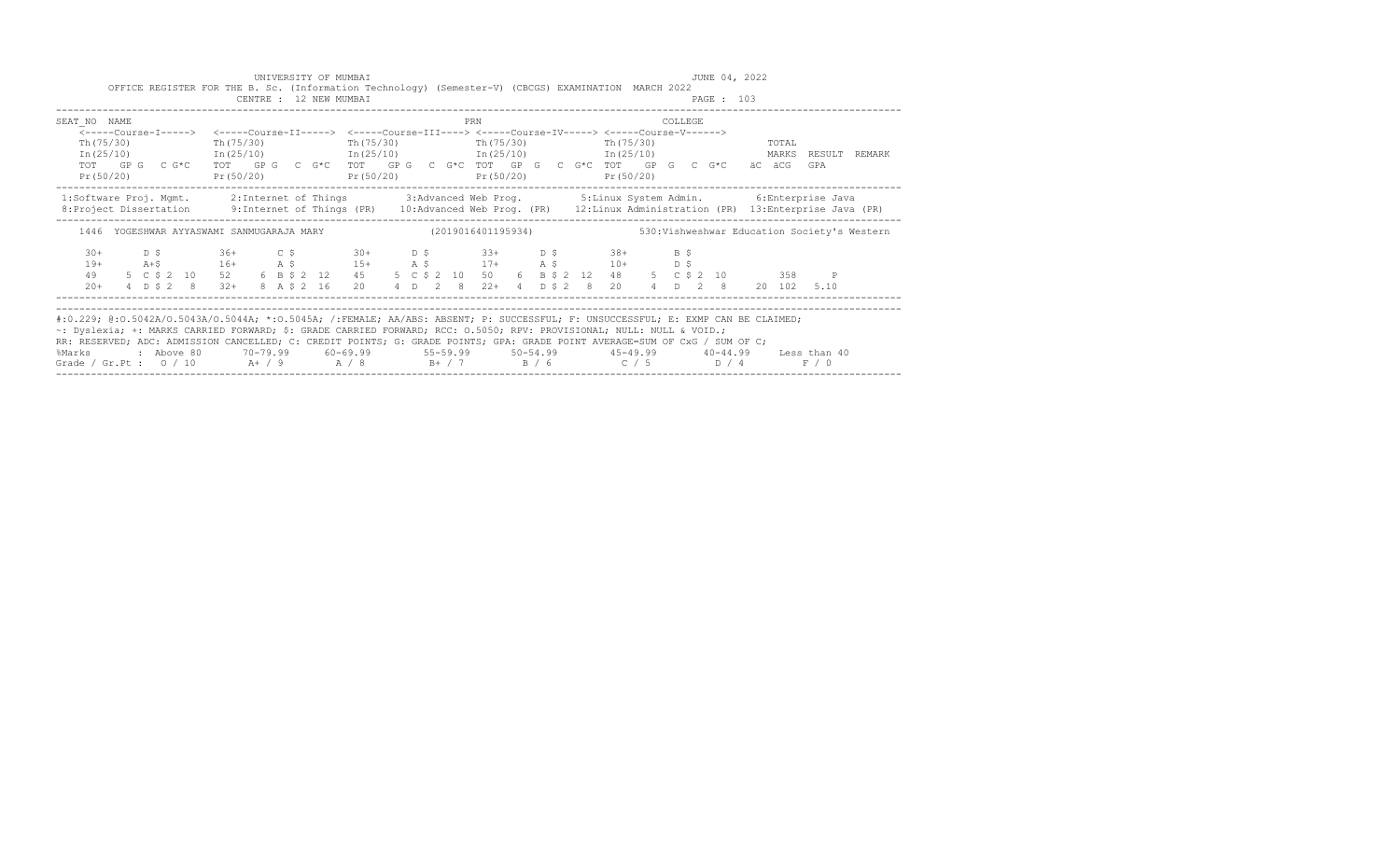|                               | UNIVERSITY OF MUMBAI<br>CENTRE : 12 NEW MUMBAI | OFFICE REGISTER FOR THE B. Sc. (Information Technology) (Semester-V) (CBCGS) EXAMINATION MARCH 2022                                                                                                                                                                                                                                                                                                                                                    | JUNE 04, 2022<br>PAGE : 103                                                                                                                                                                                                                       |
|-------------------------------|------------------------------------------------|--------------------------------------------------------------------------------------------------------------------------------------------------------------------------------------------------------------------------------------------------------------------------------------------------------------------------------------------------------------------------------------------------------------------------------------------------------|---------------------------------------------------------------------------------------------------------------------------------------------------------------------------------------------------------------------------------------------------|
| SEAT NO NAME                  |                                                | PRN<br><-----Course-I-----> <-----Course-II-----> <-----Course-III----> <-----Course-IV-----> <-----Course-V------>                                                                                                                                                                                                                                                                                                                                    | <b>COLLEGE</b>                                                                                                                                                                                                                                    |
| Th (75/30)                    |                                                | Th(75/30) Th(75/30) Th(75/30) Th(75/30) Th(75/30)<br>TOT GPG CG*C TOT GPG CG*C TOT GPG CG*C TOT GPG CG*CTOT GACTOT GPG CG*C äCäCG<br>Pr (50/20) Pr (50/20) Pr (50/20) Pr (50/20) Pr (50/20)                                                                                                                                                                                                                                                            | <b>TOTAL</b><br>In (25/10) 1n (25/10) 1n (25/10) 1n (25/10) 1n (25/10) 1n (25/10) 1n (25/10) 1n (25/10)<br>GPA                                                                                                                                    |
|                               |                                                |                                                                                                                                                                                                                                                                                                                                                                                                                                                        | 1:Software Proj. Mqmt. 2:Internet of Things 3:Advanced Web Prog. 5:Linux System Admin. 6:Enterprise Java<br>8: Project Dissertation 9: Internet of Things (PR) 10: Advanced Web Prog. (PR) 12: Linux Administration (PR) 13: Enterprise Java (PR) |
|                               |                                                |                                                                                                                                                                                                                                                                                                                                                                                                                                                        | 1446 YOGESHWAR AYYASWAMI SANMUGARAJA MARY (2019016401195934) 530:Vishweshwar Education Society's Western                                                                                                                                          |
| $30+$<br>$19+$<br>49<br>$20+$ |                                                | $D$ \$ 36+ $C$ \$ 30+ $D$ \$ 33+ $D$ \$ 38+ $B$ \$                                                                                                                                                                                                                                                                                                                                                                                                     | 4 D \$ 2 8 32 + 8 A \$ 2 16 20 4 D 2 8 22 + 4 D \$ 2 8 20 4 D 2 8 20 102 5.10                                                                                                                                                                     |
| %Marks                        |                                                | #:0.229; @:0.5042A/0.5043A/0.5044A; *:0.5045A; /:FEMALE; AA/ABS: ABSENT; P: SUCCESSFUL; F: UNSUCCESSFUL; E: EXMP CAN BE CLAIMED;<br>~: Dyslexia; +: MARKS CARRIED FORWARD; \$: GRADE CARRIED FORWARD; RCC: 0.5050; RPV: PROVISIONAL; NULL: NULL & VOID.;<br>RR: RESERVED; ADC: ADMISSION CANCELLED; C: CREDIT POINTS; G: GRADE POINTS; GPA: GRADE POINT AVERAGE=SUM OF CxG / SUM OF C;<br>Grade / Gr.Pt : $0/10$ A+ / 9 A / 8 B+ / 7 B / 6 C / 5 D / 4 | : Above 80    70-79.99    60-69.99     55-59.99     50-54.99     45-49.99     40-44.99   Less than 40<br>F / 0                                                                                                                                    |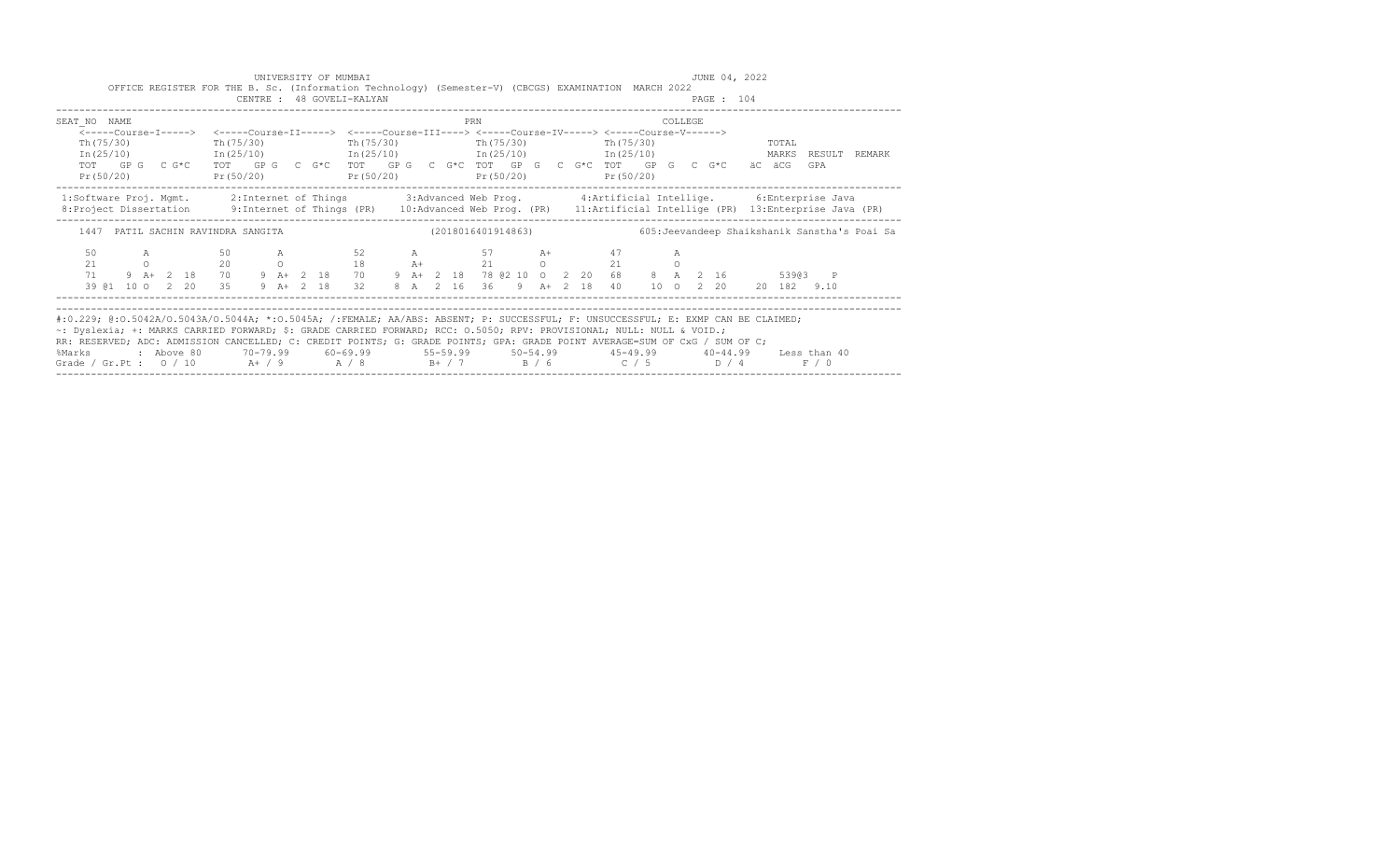|                                         | UNIVERSITY OF MUMBAI<br>CENTRE : 48 GOVELI-KALYAN | OFFICE REGISTER FOR THE B. Sc. (Information Technology) (Semester-V) (CBCGS) EXAMINATION MARCH 2022                                                                                                                                                                                                                                                                                                                                                            | JUNE 04, 2022<br>PAGE : 104                                                                                                                                                                                                                                                                                             |
|-----------------------------------------|---------------------------------------------------|----------------------------------------------------------------------------------------------------------------------------------------------------------------------------------------------------------------------------------------------------------------------------------------------------------------------------------------------------------------------------------------------------------------------------------------------------------------|-------------------------------------------------------------------------------------------------------------------------------------------------------------------------------------------------------------------------------------------------------------------------------------------------------------------------|
| SEAT NO NAME<br>Th (75/30)<br>Th(75/30) |                                                   | PRN<br><-----Course-I-----> <-----Course-II-----> <-----Course-III----> <-----Course-IV-----> <-----Course-V------><br>$Th(75/30)$ The $(75/30)$ The $(75/30)$<br>TOT GPG C G*C TOT GPG C G*C TOT GPG C G*C TOT GPG C G*C TOT GPG C G*C äC äCG<br>Pr (50/20) Pr (50/20) Pr (50/20) Pr (50/20) Pr (50/20) Pr (50/20)                                                                                                                                            | <b>COLLEGE</b><br>TOTAL<br>In (25/10) 1n (25/10) 1n (25/10) 1n (25/10) 1n (25/10) 1n (25/10) 1n (25/10) 1n (25/10)<br>GPA                                                                                                                                                                                               |
| 1447 PATIL SACHIN RAVINDRA SANGITA      |                                                   |                                                                                                                                                                                                                                                                                                                                                                                                                                                                | 1:Software Proj. Mgmt. 2:Internet of Things 3:Advanced Web Prog. 4:Artificial Intellige. 6:Enterprise Java<br>8: Project Dissertation 9: Internet of Things (PR) 10: Advanced Web Prog. (PR) 11: Artificial Intellige (PR) 13: Enterprise Java (PR)<br>(2018016401914863) 605: Jeevandeep Shaikshanik Sanstha's Poai Sa |
| 50                                      |                                                   | A 50 A 52 A 57 A+ 47<br>21 0 20 0 18 $A +$ 21 0 21 0<br>71 9 $A +$ 2 18 70 9 $A +$ 2 18 70 9 $A +$ 2 18 78 62 10 0 2 20 68 8 A 2 16                                                                                                                                                                                                                                                                                                                            | A<br>53903 P<br>39 @1 10 0 2 20 35 9 A+ 2 18 32 8 A 2 16 36 9 A+ 2 18 40 10 0 2 20 20 182 9.10                                                                                                                                                                                                                          |
| %Marks                                  |                                                   | #:0.229; @:0.5042A/0.5043A/0.5044A; *:0.5045A; /:FEMALE; AA/ABS: ABSENT; P: SUCCESSFUL; F: UNSUCCESSFUL; E: EXMP CAN BE CLAIMED;<br>~: Dyslexia; +: MARKS CARRIED FORWARD; \$: GRADE CARRIED FORWARD; RCC: 0.5050; RPV: PROVISIONAL; NULL: NULL & VOID.;<br>RR: RESERVED; ADC: ADMISSION CANCELLED; C: CREDIT POINTS; G: GRADE POINTS; GPA: GRADE POINT AVERAGE=SUM OF CxG / SUM OF C;<br>Grade / Gr.Pt : $0$ / $10$ A+ / $9$ A / $8$ B+ / 7 B / 6 C / 5 D / 4 | : Above 80    70-79.99    60-69.99     55-59.99     50-54.99     45-49.99     40-44.99   Less than 40<br>F / 0                                                                                                                                                                                                          |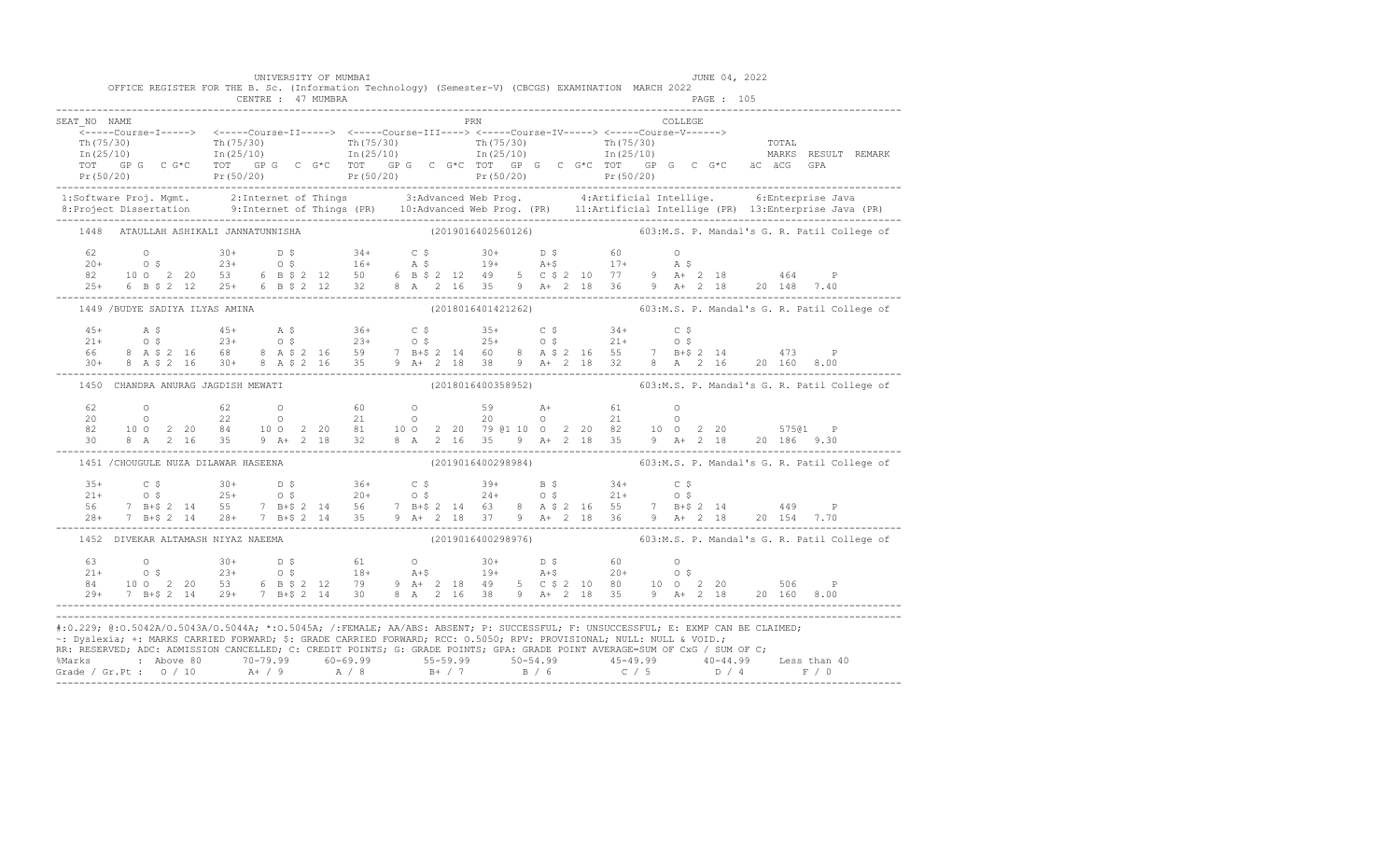|              |                                      | UNIVERSITY OF MUMBAI<br>CENTRE : 47 MUMBRA | OFFICE REGISTER FOR THE B. Sc. (Information Technology) (Semester-V) (CBCGS) EXAMINATION MARCH 2022 | JUNE 04, 2022                                                                                                                                                                                                                                                                                                                                                                                                                                                                                                                                        |  |
|--------------|--------------------------------------|--------------------------------------------|-----------------------------------------------------------------------------------------------------|------------------------------------------------------------------------------------------------------------------------------------------------------------------------------------------------------------------------------------------------------------------------------------------------------------------------------------------------------------------------------------------------------------------------------------------------------------------------------------------------------------------------------------------------------|--|
| SEAT NO NAME |                                      |                                            | PRN                                                                                                 | COLLEGE                                                                                                                                                                                                                                                                                                                                                                                                                                                                                                                                              |  |
|              |                                      |                                            |                                                                                                     |                                                                                                                                                                                                                                                                                                                                                                                                                                                                                                                                                      |  |
|              |                                      | 1448 ATAULLAH ASHIKALI JANNATUNNISHA       |                                                                                                     | (2019016402560126) 603:M.S. P. Mandal's G. R. Patil College of                                                                                                                                                                                                                                                                                                                                                                                                                                                                                       |  |
|              |                                      |                                            |                                                                                                     |                                                                                                                                                                                                                                                                                                                                                                                                                                                                                                                                                      |  |
|              | 1449 /BUDYE SADIYA ILYAS AMINA       |                                            |                                                                                                     | (2018016401421262) 603:M.S. P. Mandal's G. R. Patil College of                                                                                                                                                                                                                                                                                                                                                                                                                                                                                       |  |
|              |                                      |                                            |                                                                                                     | $\begin{array}{cccccccccccccccc} 45+ & & {\bf A}\; \xi & & & 45+ & & {\bf A}\; \xi & & & 36+ & & {\bf C}\; \xi & & & 35+ & & {\bf C}\; \xi & & & 34+ & & {\bf C}\; \xi & & & & & \\ 21+ & & {\bf O}\; \xi & & & 23+ & {\bf O}\; \xi & & & 23+ & {\bf O}\; \xi & & & 25+ & {\bf O}\; \xi & & & 21+ & {\bf O}\; \xi & & & \\ 66 & & 8& {\bf A}\; \xi\; 2 & 16 & & 68 & & 8& {\bf A}\; \xi\; 2 & 16 & &$                                                                                                                                                |  |
|              | 1450 CHANDRA ANURAG JAGDISH MEWATI   |                                            |                                                                                                     | (2018016400358952) 603:M.S. P. Mandal's G. R. Patil College of                                                                                                                                                                                                                                                                                                                                                                                                                                                                                       |  |
|              |                                      |                                            |                                                                                                     | $\begin{array}{cccccccccccc} 62 & 0 & 62 & 0 & 60 & 0 & 59 & \text{A+} & 61 & 0 \\ 20 & 0 & 22 & 0 & 21 & 0 & 20 & 0 & 21 & 0 \\ 82 & 100 & 2 & 20 & 84 & 100 & 2 & 20 & 81 & 100 & 2 & 20 & 79 & 01 & 10 & 0 & 2 & 20 & 82 & 10 & 0 & 2 & 20 & 575 & 0 & \text{P} \\ 30 & 8 & \text{A} & 2 & 16 & 35 & 9 & \text{A+} & $                                                                                                                                                                                                                            |  |
|              | 1451 / CHOUGULE NUZA DILAWAR HASEENA |                                            |                                                                                                     | (2019016400298984) 603:M.S. P. Mandal's G. R. Patil College of                                                                                                                                                                                                                                                                                                                                                                                                                                                                                       |  |
|              |                                      |                                            |                                                                                                     | $\begin{array}{cccccccccccc} 35+ & & C\ \xi & & 30+ & & D\ \xi & & 36+ & & C\ \xi & & 39+ & & 5\ \xi & & 21+ & & 0\ \xi & & 25+ & & 0\ \xi & & 25+ & & 0\ \xi & & 26+ & & 7\ \xi & & 27+ & & 21+ & & 0\ \xi & & 28+ & 7 & B+ \xi & 2 & 14 & 56 & 7 & B+ \xi & 2 & 14 & 63 & 8 & A\ \xi & 2 & 16 & 55 & & 7 & B+ \xi & 2 & 14 & 449 & P \\ 28+ & $                                                                                                                                                                                                    |  |
|              | 1452 DIVEKAR ALTAMASH NIYAZ NAEEMA   |                                            |                                                                                                     | (2019016400298976) 603:M.S. P. Mandal's G. R. Patil College of                                                                                                                                                                                                                                                                                                                                                                                                                                                                                       |  |
|              |                                      |                                            |                                                                                                     | 63<br>$21+$ 0.5<br>$21+$ 0.5<br>$21+$ 0.5<br>$220$ 53<br>$6$ B $5$ 2 12<br>$79$ $9$ A + 2 18<br>$19+$ $19+$<br>$19+$<br>$19+$<br>$19+$<br>$19+$<br>$19+$<br>$19+$<br>$19+$<br>$19+$<br>$19+$<br>$19+$<br>$19+$<br>$19+$<br>$19+$<br>$19+$<br>$19+$<br>$19+$<br>$19+$<br>$19+$<br>                                                                                                                                                                                                                                                                    |  |
|              |                                      |                                            |                                                                                                     | #:0.229; @:0.5042A/0.5043A/0.5044A; *:0.5045A; /:FEMALE; AA/ABS: ABSENT; P: SUCCESSFUL; F: UNSUCCESSFUL; E: EXMP CAN BE CLAIMED;<br>~: Dyslexia; +: MARKS CARRIED FORWARD; \$: GRADE CARRIED FORWARD; RCC: 0.5050; RPV: PROVISIONAL; NULL: NULL & VOID.;<br>RR: RESERVED; ADC: ADMISSION CANCELLED; C: CREDIT POINTS; G: GRADE POINTS; GPA: GRADE POINT AVERAGE=SUM OF CxG / SUM OF C;<br>%Marks : Above 80 70-79.99 60-69.99 55-59.99 50-54.99 45-49.99 40-44.99 Less than 40<br>Grade / Gr.Pt : 0 / 10 A+ / 9 A / 8 B+ / 7 B / 6 C / 5 D / 4 F / 0 |  |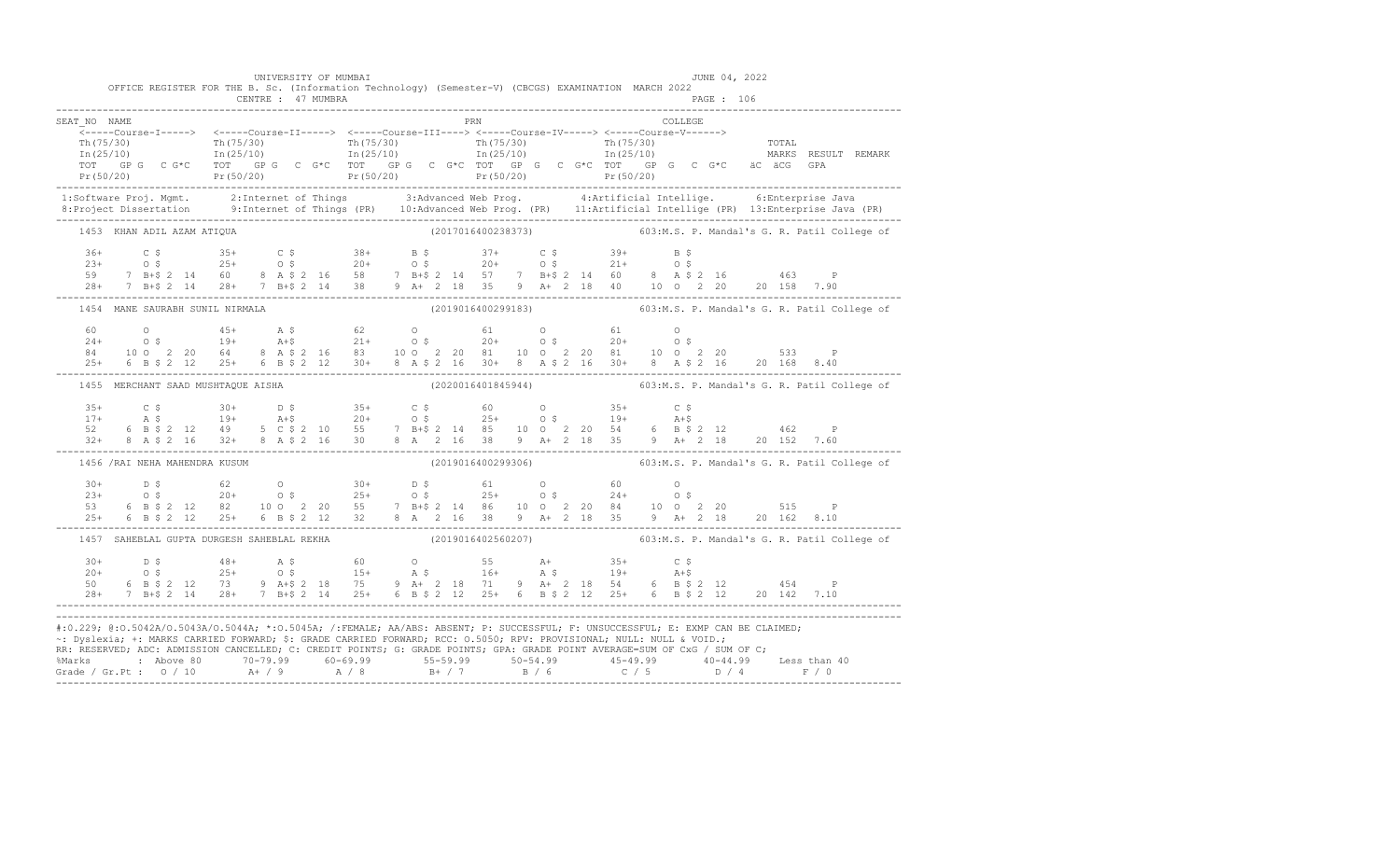|                                    | UNIVERSITY OF MUMBAI<br>CENTRE : 47 MUMBRA | OFFICE REGISTER FOR THE B. Sc. (Information Technology) (Semester-V) (CBCGS) EXAMINATION MARCH 2022                  | JUNE 04, 2022<br>PAGE : 106                                                                                                                                                                                                                                                                                                                                                                                                   |
|------------------------------------|--------------------------------------------|----------------------------------------------------------------------------------------------------------------------|-------------------------------------------------------------------------------------------------------------------------------------------------------------------------------------------------------------------------------------------------------------------------------------------------------------------------------------------------------------------------------------------------------------------------------|
| SEAT NO NAME                       |                                            | PRN                                                                                                                  | COLLEGE<br>(1997)<br>The C G + C Tor C G + C Tor C G + C Tor C G + C Tor C G + C Tor C G + C Tor C G + C Tor C G + C Tor C G + C Tor C G + C Tor C G + C Tor C G + C Tor C G + C Tor C G + C Tor C G + C Tor C G + C Tor C G + C Tor C G +                                                                                                                                                                                    |
|                                    |                                            |                                                                                                                      |                                                                                                                                                                                                                                                                                                                                                                                                                               |
| 1453 KHAN ADIL AZAM ATIQUA         |                                            |                                                                                                                      | (2017016400238373) 603:M.S. P. Mandal's G. R. Patil College of                                                                                                                                                                                                                                                                                                                                                                |
|                                    |                                            |                                                                                                                      | $\begin{array}{cccccccccccc} 36+ & & C & \xi & & 35+ & C & \xi & & 38+ & B & \xi & & 37+ & C & \xi & & 39+ & B & \xi \\ 23+ & & 0 & \xi & & 25+ & 0 & \xi & & 20+ & 0 & \xi & & 20+ & 0 & \xi & & 21+ & 0 & \xi \\ 59 & & 7 & B+ \xi & 2 & 14 & 60 & 8 & A & \xi & 2 & 16 & 58 & 7 & B+ \xi & 2 & 14 & 57 & 7 & B+ \xi & 2 & 14 & 60 & 8 & A & \xi & 2 & 16 &$                                                                |
| 1454 MANE SAURABH SUNIL NIRMALA    |                                            |                                                                                                                      | (2019016400299183) 603:M.S. P. Mandal's G. R. Patil College of                                                                                                                                                                                                                                                                                                                                                                |
|                                    |                                            |                                                                                                                      | $\begin{array}{cccccccccccc} 60 & 0 & 45+ & \text{A $ $\mathfrak{F}$} & 62 & 0 & 61 & 0 & 61 & 0 \\ 24+ & 0 $\mathfrak{F}$ & 19+ & \text{A $+$} & 21+ & 0 $\mathfrak{F}$ & 20+ & 0 $\mathfrak{F}$ & 20+ & 0 $\mathfrak{F}$ \\ 84 & 10 $\text{O}$ & 2& 20 & 64 & 8 & \text{A $\mathfrak{F}$} & 2& 16 & 83 & 10 $\text{O}$ & 2& 20 & 81 & 10 $\text{O}$ & 2& 20 & 81 &$                                                         |
| 1455 MERCHANT SAAD MUSHTAOUE AISHA |                                            |                                                                                                                      | (2020016401845944) 603:M.S. P. Mandal's G. R. Patil College of                                                                                                                                                                                                                                                                                                                                                                |
|                                    |                                            |                                                                                                                      | $\begin{array}{cccccccccccc} 35+ & C & \xi & 30+ & D & \xi & 35+ & C & \xi & 60 & O & 35+ & C & \xi \\ 17+ & A & \xi & 19+ & A + \xi & 20+ & O & \xi & 25+ & O & \xi & 19+ & A + \xi \\ 52 & 6 & B & \xi & 2 & 12 & 49 & 5 & C & \xi & 2 & 10 & 55 & 7 & B + \xi & 2 & 14 & 85 & 10 & O & 2 & 20 & 54 & 6 & B & \xi & 2 & 12 & 462 & P \\ 32+ & 8 & A & \xi & 2$                                                              |
| 1456 / RAI NEHA MAHENDRA KUSUM     |                                            |                                                                                                                      | (2019016400299306) 603:M.S. P. Mandal's G. R. Patil College of                                                                                                                                                                                                                                                                                                                                                                |
|                                    |                                            |                                                                                                                      | $\begin{array}{cccccccccccc} 30+ & & D & \xi & & & 62 & & O & & 30+ & & D & \xi & & 61 & & O & & 60 & & O \\ 23+ & & 0 & \xi & & 20+ & & 0 & \xi & & 25+ & & 0 & \xi & & 25+ & & 0 & \xi & & 24+ & & 0 & \xi \\ 53 & & 6 & B & \xi & 2 & 12 & 82 & & 10 & 0 & 2 & 20 & 55 & & 7 & B+ \xi & 2 & 14 & 86 & & 10 & 0 & 2 & 20 & 84 & & 10 & 0 & 2 & 20 & & $                                                                     |
|                                    |                                            |                                                                                                                      | 1457 SAHEBLAL GUPTA DURGESH SAHEBLAL REKHA (2019016402560207) 603:M.S. P. Mandal's G. R. Patil College of                                                                                                                                                                                                                                                                                                                     |
| $30+$<br>$20+$<br>50               |                                            |                                                                                                                      | $\begin{array}{cccccccccccccccc} 30+ & & D & S & & 48+ & & A & S & & 60 & & O & & 55 & & A+ & & 35+ & & C & S \\ 20+ & & O & S & & & 25+ & & O & S & & 15+ & & A & S & & 16+ & & A & S & & 19+ & & A + S \\ 50 & & 6 & B & S & 2 & 12 & & 73 & & 9 & A + S & 2 & 18 & & 75 & & 9 & A + & 2 & 18 & 71 & & 9 & A + & 2 & 18 & 54 & & 6 & B & S & 2 & 12 & & & 454 & & P \\ $                                                    |
|                                    |                                            | ~: Dyslexia; +: MARKS CARRIED FORWARD; \$: GRADE CARRIED FORWARD; RCC: 0.5050; RPV: PROVISIONAL; NULL: NULL & VOID.; | #:0.229; @:0.5042A/0.5043A/0.5044A; *:0.5045A; /:FEMALE; AA/ABS: ABSENT; P: SUCCESSFUL; F: UNSUCCESSFUL; E: EXMP CAN BE CLAIMED;<br>RR: RESERVED; ADC: ADMISSION CANCELLED; C: CREDIT POINTS; G: GRADE POINTS; GPA: GRADE POINT AVERAGE=SUM OF CxG / SUM OF C;<br>% Marks : Above 80 70-79.99 60-69.99 55-59.99 50-54.99 45-49.99 40-44.99 Less than 40<br>Grade / Gr.Pt : 0 / 10 A+ / 9 A / 8 B+ / 7 B / 6 C / 5 D / 4 F / 0 |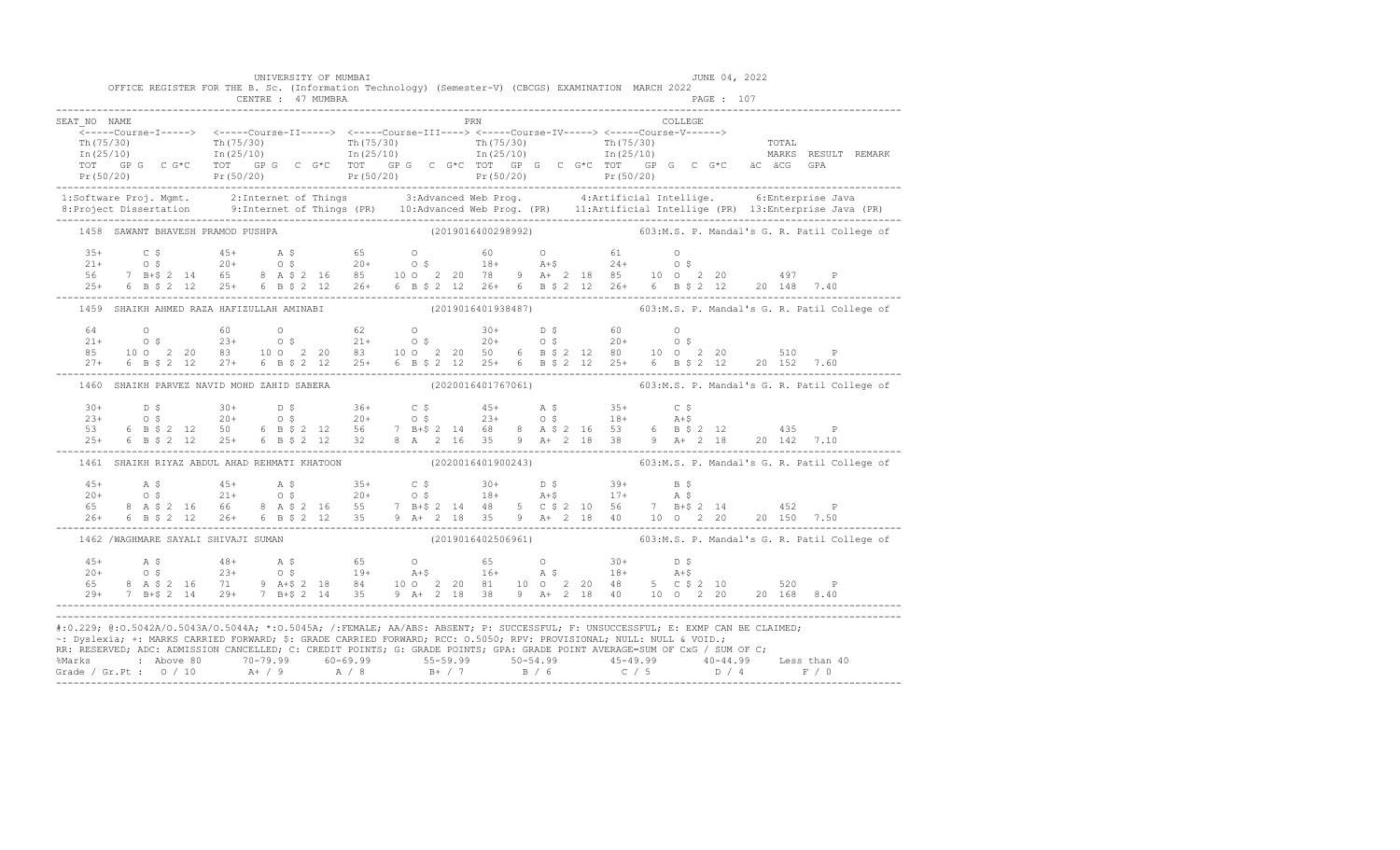|                                   | UNIVERSITY OF MUMBAI<br>OFFICE REGISTER FOR THE B. Sc. (Information Technology) (Semester-V) (CBCGS) EXAMINATION MARCH 2022<br>CENTRE : 47 MUMBRA                                                                                                                                                                                                                                      |     | JUNE 04, 2022<br>PAGE : 107                                                                                                                                                                                                                                                                                                                                             |
|-----------------------------------|----------------------------------------------------------------------------------------------------------------------------------------------------------------------------------------------------------------------------------------------------------------------------------------------------------------------------------------------------------------------------------------|-----|-------------------------------------------------------------------------------------------------------------------------------------------------------------------------------------------------------------------------------------------------------------------------------------------------------------------------------------------------------------------------|
| SEAT NO NAME                      |                                                                                                                                                                                                                                                                                                                                                                                        | PRN | COLLEGE                                                                                                                                                                                                                                                                                                                                                                 |
|                                   |                                                                                                                                                                                                                                                                                                                                                                                        |     |                                                                                                                                                                                                                                                                                                                                                                         |
| 1458 SAWANT BHAVESH PRAMOD PUSHPA |                                                                                                                                                                                                                                                                                                                                                                                        |     | (2019016400298992) 603:M.S. P. Mandal's G. R. Patil College of                                                                                                                                                                                                                                                                                                          |
|                                   |                                                                                                                                                                                                                                                                                                                                                                                        |     |                                                                                                                                                                                                                                                                                                                                                                         |
|                                   |                                                                                                                                                                                                                                                                                                                                                                                        |     | 1459 SHAIKH AHMED RAZA HAFIZULLAH AMINABI (2019016401938487) 603:M.S. P. Mandal's G. R. Patil College of                                                                                                                                                                                                                                                                |
|                                   |                                                                                                                                                                                                                                                                                                                                                                                        |     | $\begin{array}{cccccccccccc} 64 & 0 & 60 & 0 & 62 & 0 & 30+ & D $\hat{5}$ & 60 & 0 & 0 & 21+ & 0 $\hat{S}$ & 21+ & 0 $\hat{S}$ & 23+ & 0 $\hat{S}$ & 21+ & 0 $\hat{S}$ & 20+ & 0 $\hat{S}$ & 20+ & 0 $\hat{S}$ & 21+ & 0 $\hat{S}$ & 22+ & 0 $\hat{S}$ & 23+ & 0 $\hat{S}$ & 24+ & 0 $\hat{S}$ & 25+ & 0 $\hat{S}$ & 26+ & 0 $\hat{S}$ & 27+ & 6 $\hat{S}$$             |
|                                   |                                                                                                                                                                                                                                                                                                                                                                                        |     | 1460 SHAIKH PARVEZ NAVID MOHD ZAHID SABERA (2020016401767061) 603:M.S. P. Mandal's G. R. Patil College of                                                                                                                                                                                                                                                               |
|                                   |                                                                                                                                                                                                                                                                                                                                                                                        |     | $\begin{array}{cccccccccccc} 30+ & & D & \xi & & 30+ & D & \xi & & 36+ & C & \xi & & 45+ & A & \xi & & 35+ & C & \xi \\ 23+ & & O & \xi & & 20+ & & O & \xi & & 20+ & O & \xi & & 23+ & O & \xi & & 18+ & A & \xi \\ 53 & & 6 & B & \xi & 2 & 12 & 50 & 6 & B & \xi & 2 & 12 & 56 & 7 & B & \xi & 2 & 14 & 68 & 8 & A & \xi & 2 & 16 & 53 & 6 & B & \xi & 2 & 12 & 435$ |
|                                   | 1461 SHAIKH RIYAZ ABDUL AHAD REHMATI KHATOON                                                                                                                                                                                                                                                                                                                                           |     | (2020016401900243) 603:M.S. P. Mandal's G. R. Patil College of                                                                                                                                                                                                                                                                                                          |
|                                   |                                                                                                                                                                                                                                                                                                                                                                                        |     | $\begin{array}{cccccccccccc} 45+ & & {\bf A}\ \,S\, \\ 20+ & & 0\ \,S\, \\ 65 & & 8 & {\bf A}\ \,S\, \\ 26+ & & 6 & {\bf B}\ \,S\, \\ 26+ & & 6 & {\bf B}\ \,S\, \\ 26+ & & 6 & {\bf B}\ \,S\, \\ 26+ & & 6 & {\bf B}\ \,S\, \\ 26+ & & 6 & {\bf B}\ \,S\, \\ 26+ & & 6 & {\bf B}\ \,S\, \\ 26+ & & 6 & {\bf B}\ \,S\, \\ 26+ & & 6 & {\bf B}\ \,S\, \\ 26+ & & 6 & {\$ |
|                                   | 1462 /WAGHMARE SAYALI SHIVAJI SUMAN                                                                                                                                                                                                                                                                                                                                                    |     | (2019016402506961) 603:M.S. P. Mandal's G. R. Patil College of                                                                                                                                                                                                                                                                                                          |
|                                   |                                                                                                                                                                                                                                                                                                                                                                                        |     |                                                                                                                                                                                                                                                                                                                                                                         |
|                                   | #:0.229; @:0.5042A/0.5043A/0.5044A; *:0.5045A; /:FEMALE; AA/ABS: ABSENT; P: SUCCESSFUL; F: UNSUCCESSFUL; E: EXMP CAN BE CLAIMED;<br>~: Dyslexia; +: MARKS CARRIED FORWARD; \$: GRADE CARRIED FORWARD; RCC: 0.5050; RPV: PROVISIONAL; NULL: NULL & VOID.;<br>RR: RESERVED; ADC: ADMISSION CANCELLED; C: CREDIT POINTS; G: GRADE POINTS; GPA: GRADE POINT AVERAGE=SUM OF CxG / SUM OF C; |     | % Marks : Above 80 70-79.99 60-69.99 55-59.99 50-54.99 45-49.99 40-44.99 Less than 40<br>Grade / Gr.Pt : 0 / 10 A+ / 9 A / 8 B+ / 7 B / 6 C / 5 D / 4 F / 0                                                                                                                                                                                                             |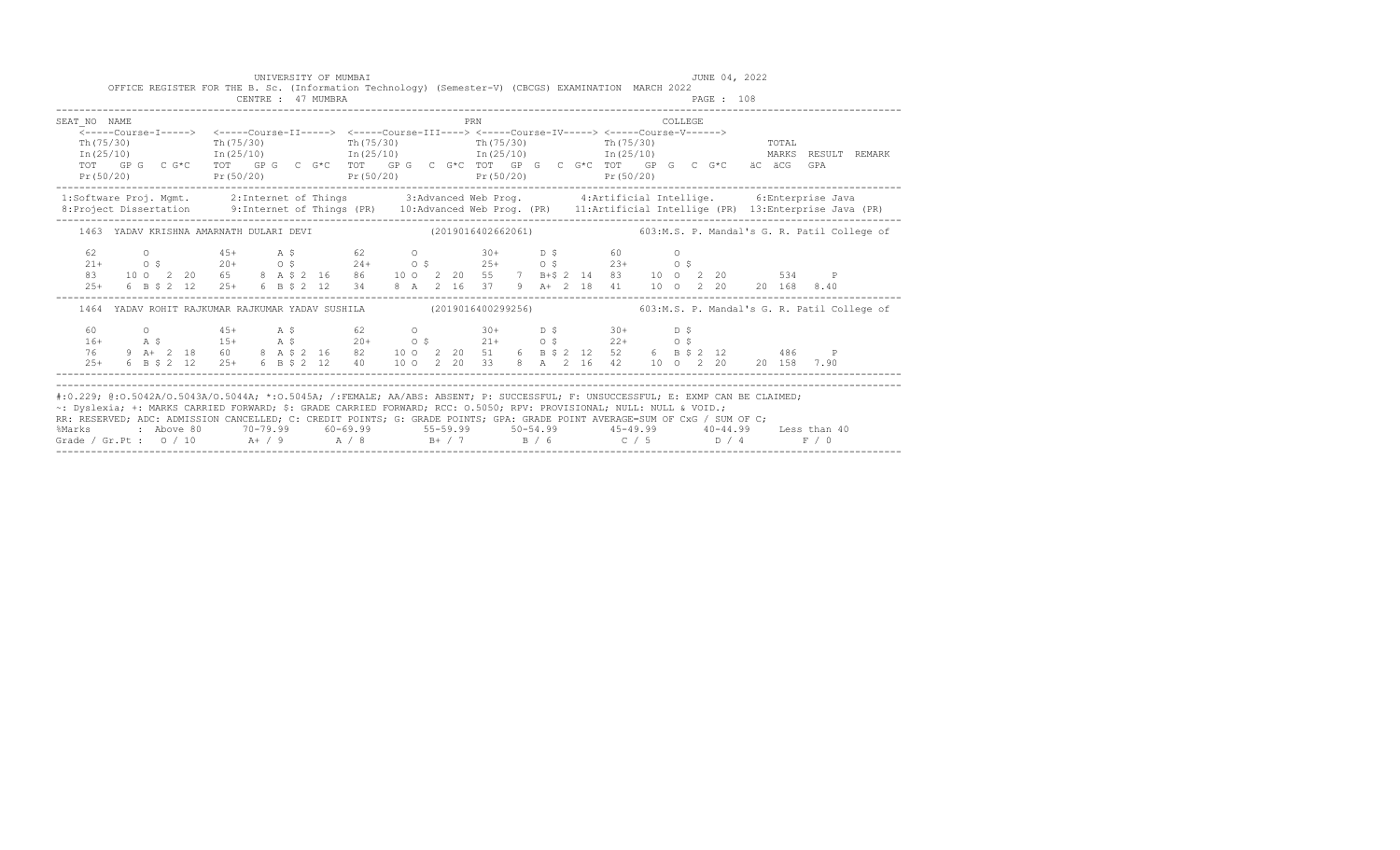|                                                                                                                                                                                                                                                                                                                                                                                                                                                                                                                                                |  |  |  |  |  | CENTRE : 47 MUMBRA | UNIVERSITY OF MUMBAI<br>OFFICE REGISTER FOR THE B. Sc. (Information Technology) (Semester-V) (CBCGS) EXAMINATION MARCH 2022                                                                                                                                                                                                                                                                                            |  |  |     |  |  |  |         | JUNE 04, 2022<br>PAGE : 108 |       |  |       |  |
|------------------------------------------------------------------------------------------------------------------------------------------------------------------------------------------------------------------------------------------------------------------------------------------------------------------------------------------------------------------------------------------------------------------------------------------------------------------------------------------------------------------------------------------------|--|--|--|--|--|--------------------|------------------------------------------------------------------------------------------------------------------------------------------------------------------------------------------------------------------------------------------------------------------------------------------------------------------------------------------------------------------------------------------------------------------------|--|--|-----|--|--|--|---------|-----------------------------|-------|--|-------|--|
| SEAT NO NAME                                                                                                                                                                                                                                                                                                                                                                                                                                                                                                                                   |  |  |  |  |  |                    |                                                                                                                                                                                                                                                                                                                                                                                                                        |  |  | PRN |  |  |  | COLLEGE |                             |       |  |       |  |
|                                                                                                                                                                                                                                                                                                                                                                                                                                                                                                                                                |  |  |  |  |  |                    | <-----Course-I-----> <-----Course-II-----> <-----Course-III----> <-----Course-IV-----> <-----Course-V------>                                                                                                                                                                                                                                                                                                           |  |  |     |  |  |  |         |                             |       |  |       |  |
| Th (75/30)                                                                                                                                                                                                                                                                                                                                                                                                                                                                                                                                     |  |  |  |  |  |                    | $\text{Th}(75/30)$ $\text{Th}(75/30)$ $\text{Th}(75/30)$ $\text{Th}(75/30)$                                                                                                                                                                                                                                                                                                                                            |  |  |     |  |  |  |         |                             | TOTAL |  |       |  |
|                                                                                                                                                                                                                                                                                                                                                                                                                                                                                                                                                |  |  |  |  |  |                    | $\text{In (25/10)}$ $\text{In (25/10)}$ $\text{In (25/10)}$ $\text{In (25/10)}$ $\text{In (25/10)}$ $\text{In (25/11)}$ $\text{In (25/11)}$ $\text{In (25/12)}$<br>TOT GP G C G*C TOT GP G C G*C TOT GP G C G*C TOT GP G C G*C TOT GP G C G*C äC äCG GPA                                                                                                                                                               |  |  |     |  |  |  |         |                             |       |  |       |  |
|                                                                                                                                                                                                                                                                                                                                                                                                                                                                                                                                                |  |  |  |  |  |                    | $Pr(50/20)$ $Pr(50/20)$ $Pr(50/20)$ $Pr(50/20)$ $Pr(50/20)$ $Pr(50/20)$                                                                                                                                                                                                                                                                                                                                                |  |  |     |  |  |  |         |                             |       |  |       |  |
| 1:Software Proj. Mgmt. 2:Internet of Things 3:Advanced Web Prog. 4:Artificial Intellige. 6:Enterprise Java                                                                                                                                                                                                                                                                                                                                                                                                                                     |  |  |  |  |  |                    |                                                                                                                                                                                                                                                                                                                                                                                                                        |  |  |     |  |  |  |         |                             |       |  |       |  |
| 8: Project Dissertation 9: Internet of Things (PR) 10: Advanced Web Prog. (PR) 11: Artificial Intellige (PR) 13: Enterprise Java (PR)                                                                                                                                                                                                                                                                                                                                                                                                          |  |  |  |  |  |                    |                                                                                                                                                                                                                                                                                                                                                                                                                        |  |  |     |  |  |  |         |                             |       |  |       |  |
|                                                                                                                                                                                                                                                                                                                                                                                                                                                                                                                                                |  |  |  |  |  |                    | 1463 YADAV KRISHNA AMARNATH DULARI DEVI (2019016402662061) 603:M.S. P. Mandal's G. R. Patil College of                                                                                                                                                                                                                                                                                                                 |  |  |     |  |  |  |         |                             |       |  |       |  |
| 62                                                                                                                                                                                                                                                                                                                                                                                                                                                                                                                                             |  |  |  |  |  |                    |                                                                                                                                                                                                                                                                                                                                                                                                                        |  |  |     |  |  |  |         |                             |       |  |       |  |
| $21 +$                                                                                                                                                                                                                                                                                                                                                                                                                                                                                                                                         |  |  |  |  |  |                    |                                                                                                                                                                                                                                                                                                                                                                                                                        |  |  |     |  |  |  |         |                             |       |  |       |  |
| 83                                                                                                                                                                                                                                                                                                                                                                                                                                                                                                                                             |  |  |  |  |  |                    |                                                                                                                                                                                                                                                                                                                                                                                                                        |  |  |     |  |  |  |         |                             |       |  |       |  |
| $2.5+$                                                                                                                                                                                                                                                                                                                                                                                                                                                                                                                                         |  |  |  |  |  |                    |                                                                                                                                                                                                                                                                                                                                                                                                                        |  |  |     |  |  |  |         |                             |       |  |       |  |
|                                                                                                                                                                                                                                                                                                                                                                                                                                                                                                                                                |  |  |  |  |  |                    | 1464 YADAV ROHIT RAJKUMAR RAJKUMAR YADAV SUSHILA (2019016400299256) 603:M.S. P. Mandal's G. R. Patil College of                                                                                                                                                                                                                                                                                                        |  |  |     |  |  |  |         |                             |       |  |       |  |
|                                                                                                                                                                                                                                                                                                                                                                                                                                                                                                                                                |  |  |  |  |  |                    |                                                                                                                                                                                                                                                                                                                                                                                                                        |  |  |     |  |  |  |         |                             |       |  |       |  |
|                                                                                                                                                                                                                                                                                                                                                                                                                                                                                                                                                |  |  |  |  |  |                    |                                                                                                                                                                                                                                                                                                                                                                                                                        |  |  |     |  |  |  |         |                             |       |  |       |  |
|                                                                                                                                                                                                                                                                                                                                                                                                                                                                                                                                                |  |  |  |  |  |                    |                                                                                                                                                                                                                                                                                                                                                                                                                        |  |  |     |  |  |  |         |                             |       |  |       |  |
|                                                                                                                                                                                                                                                                                                                                                                                                                                                                                                                                                |  |  |  |  |  |                    | $\begin{array}{cccccccccccccccc} 60 & 0 & 45+ & \text{A}\ \hat{\text{S}} & 16+ & \text{A}\ \hat{\text{S}} & 16+ & \text{A}\ \hat{\text{S}} & 16+ & \text{A}\ \hat{\text{S}} & 16+ & \text{A}\ \hat{\text{S}} & 16+ & \text{A}\ \hat{\text{S}} & 16+ & \text{A}\ \hat{\text{S}} & 16+ & \text{A}\ \hat{\text{S}} & 16+ & \text{A}\ \hat{\text{S}} & 16+ & \text{A}\ \hat{\text{S}} & 20+ & 0\ \hat{\text{S}} & 21+ & 0$ |  |  |     |  |  |  |         |                             |       |  |       |  |
| #:0.229; @:0.5042A/0.5043A/0.5044A; *:0.5045A; /:FEMALE; AA/ABS: ABSENT; P: SUCCESSFUL; F: UNSUCCESSFUL; E: EXMP CAN BE CLAIMED;<br>~: Dyslexia; +: MARKS CARRIED FORWARD; \$: GRADE CARRIED FORWARD; RCC: 0.5050; RPV: PROVISIONAL; NULL: NULL & VOID.;<br>RR: RESERVED; ADC: ADMISSION CANCELLED; C: CREDIT POINTS; G: GRADE POINTS; GPA: GRADE POINT AVERAGE=SUM OF CxG / SUM OF C;<br>%Marks : Above 80 70-79.99 60-69.99 55-59.99 50-54.99 45-49.99 40-44.99 Less than 40<br>Grade / Gr.Pt : 0 / 10 A+ / 9 A / 8 B+ / 7 B / 6 C / 5 D / 4 |  |  |  |  |  |                    |                                                                                                                                                                                                                                                                                                                                                                                                                        |  |  |     |  |  |  |         |                             |       |  | F / 0 |  |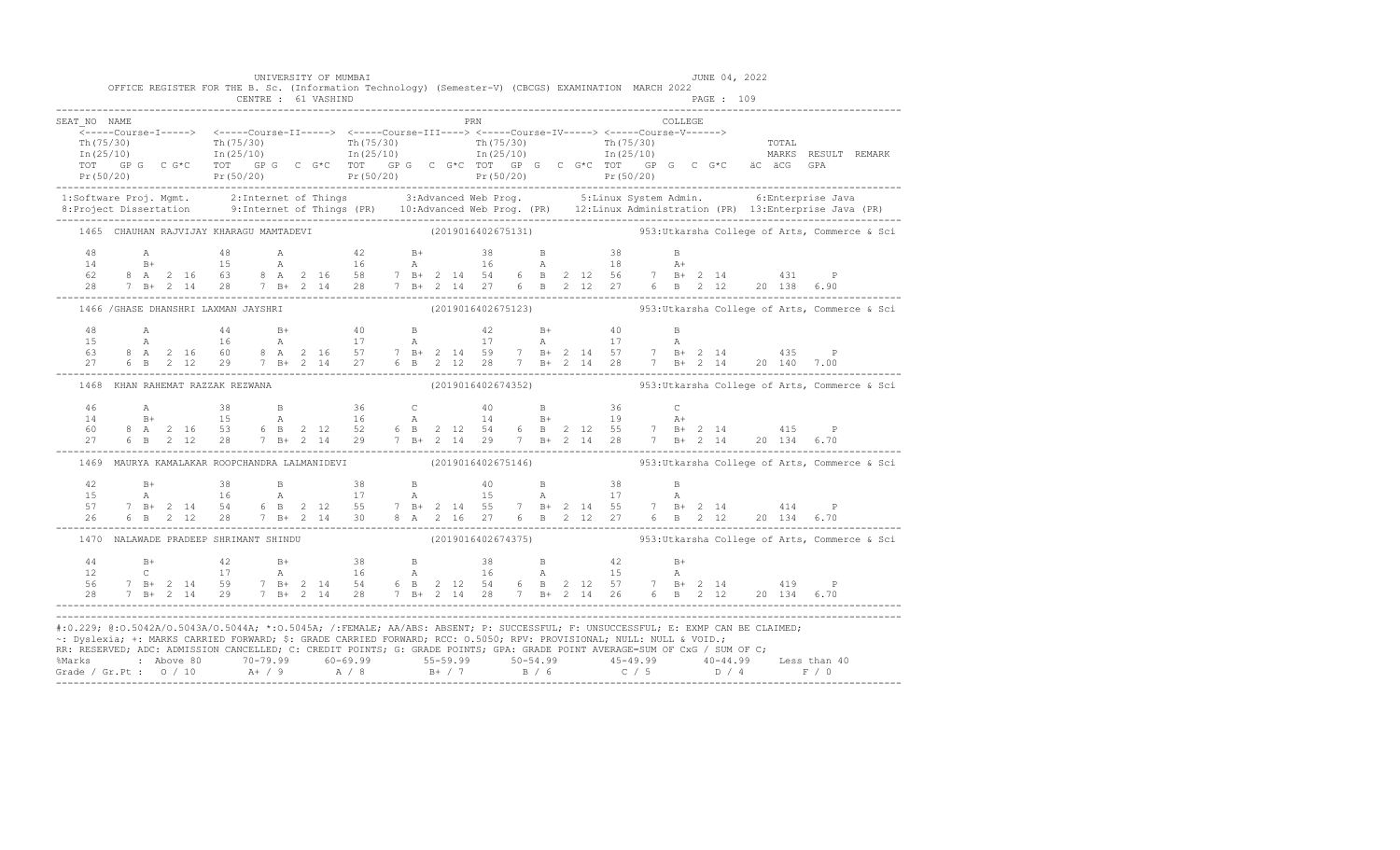|                                                                                                                                                                                                                                                                                                                                                                                                                                                                                                                                                         |                                  |  |  |  | UNIVERSITY OF MUMBAI<br>OFFICE REGISTER FOR THE B. Sc. (Information Technology) (Semester-V) (CBCGS) EXAMINATION MARCH 2022 |  |  |     |  |  |  |  | JUNE 04, 2022 |  |                                                                                                                                                                                                                                                                                                                                             |                                                                                                                                                                                                                                                                                                                                                                    |
|---------------------------------------------------------------------------------------------------------------------------------------------------------------------------------------------------------------------------------------------------------------------------------------------------------------------------------------------------------------------------------------------------------------------------------------------------------------------------------------------------------------------------------------------------------|----------------------------------|--|--|--|-----------------------------------------------------------------------------------------------------------------------------|--|--|-----|--|--|--|--|---------------|--|---------------------------------------------------------------------------------------------------------------------------------------------------------------------------------------------------------------------------------------------------------------------------------------------------------------------------------------------|--------------------------------------------------------------------------------------------------------------------------------------------------------------------------------------------------------------------------------------------------------------------------------------------------------------------------------------------------------------------|
| SEAT NO NAME                                                                                                                                                                                                                                                                                                                                                                                                                                                                                                                                            |                                  |  |  |  |                                                                                                                             |  |  | PRN |  |  |  |  |               |  |                                                                                                                                                                                                                                                                                                                                             |                                                                                                                                                                                                                                                                                                                                                                    |
|                                                                                                                                                                                                                                                                                                                                                                                                                                                                                                                                                         |                                  |  |  |  |                                                                                                                             |  |  |     |  |  |  |  |               |  |                                                                                                                                                                                                                                                                                                                                             | The course of the course of the course of the course of the course of the course of the course of the course of the course of the course of the course of the course of the course of the course of the course of the course o                                                                                                                                     |
|                                                                                                                                                                                                                                                                                                                                                                                                                                                                                                                                                         |                                  |  |  |  |                                                                                                                             |  |  |     |  |  |  |  |               |  |                                                                                                                                                                                                                                                                                                                                             |                                                                                                                                                                                                                                                                                                                                                                    |
|                                                                                                                                                                                                                                                                                                                                                                                                                                                                                                                                                         |                                  |  |  |  |                                                                                                                             |  |  |     |  |  |  |  |               |  |                                                                                                                                                                                                                                                                                                                                             | 1465 CHAUHAN RAJVIJAY KHARAGU MAMTADEVI (2019016402675131) 353:Utkarsha College of Arts, Commerce & Sci                                                                                                                                                                                                                                                            |
|                                                                                                                                                                                                                                                                                                                                                                                                                                                                                                                                                         |                                  |  |  |  |                                                                                                                             |  |  |     |  |  |  |  |               |  |                                                                                                                                                                                                                                                                                                                                             | $\begin{array}{cccccccccccccccc} 48 & \text{A} & \text{A} & 48 & \text{A} & 42 & \text{B+} & 38 & \text{B} & 38 & \text{B} \\ 14 & \text{B+} & 15 & \text{A} & 16 & \text{A} & 16 & \text{A} & 18 & \text{A+} \\ 62 & 8 & \text{A} & 2 & 16 & 63 & 8 & \text{A} & 2 & 16 & 58 & 7 & \text{B+} & 2 & 14 & 54 & 6 & \text{B} & 2 & 12 & 56 & 7 & \text{B+} & 2 & 14$ |
|                                                                                                                                                                                                                                                                                                                                                                                                                                                                                                                                                         |                                  |  |  |  |                                                                                                                             |  |  |     |  |  |  |  |               |  |                                                                                                                                                                                                                                                                                                                                             | 1466 / GHASE DHANSHRI LAXMAN JAYSHRI (2019016402675123) 383:Utkarsha College of Arts, Commerce & Sci                                                                                                                                                                                                                                                               |
|                                                                                                                                                                                                                                                                                                                                                                                                                                                                                                                                                         |                                  |  |  |  |                                                                                                                             |  |  |     |  |  |  |  |               |  |                                                                                                                                                                                                                                                                                                                                             | $\begin{array}{cccccccccccccccc} 48 & \text{A} & \text{A} & 44 & \text{B+} & 40 & \text{B} & 42 & \text{B+} & 40 & \text{B} \\ 15 & \text{A} & 16 & \text{A} & 17 & \text{A} & 17 & \text{A} & 17 & \text{A} \\ 63 & 8 & \text{A} & 2 & 16 & 60 & 8 & \text{A} & 2 & 16 & 57 & 7 & \text{B+} & 2 & 14 & 59 & 7 & \text{B+} & 2 & 14 & 57 & 7 & \text{B+} & 2 & 14$ |
|                                                                                                                                                                                                                                                                                                                                                                                                                                                                                                                                                         | 1468 KHAN RAHEMAT RAZZAK REZWANA |  |  |  |                                                                                                                             |  |  |     |  |  |  |  |               |  |                                                                                                                                                                                                                                                                                                                                             | (2019016402674352) 353: Utkarsha College of Arts, Commerce & Sci                                                                                                                                                                                                                                                                                                   |
|                                                                                                                                                                                                                                                                                                                                                                                                                                                                                                                                                         |                                  |  |  |  |                                                                                                                             |  |  |     |  |  |  |  |               |  |                                                                                                                                                                                                                                                                                                                                             |                                                                                                                                                                                                                                                                                                                                                                    |
|                                                                                                                                                                                                                                                                                                                                                                                                                                                                                                                                                         |                                  |  |  |  |                                                                                                                             |  |  |     |  |  |  |  |               |  |                                                                                                                                                                                                                                                                                                                                             | 1469 MAURYA KAMALAKAR ROOPCHANDRA LALMANIDEVI (2019016402675146) 353:Utkarsha College of Arts, Commerce & Sci                                                                                                                                                                                                                                                      |
|                                                                                                                                                                                                                                                                                                                                                                                                                                                                                                                                                         |                                  |  |  |  |                                                                                                                             |  |  |     |  |  |  |  |               |  | $\begin{array}{cccccccccccccccc} 42 & B+ & 38 & B & 38 & B & 40 & B & 38 & B \\ 15 & A & 16 & A & 17 & A & 15 & A & 17 & A \\ 57 & 7 & B+ & 2 & 14 & 54 & 6 & B & 2 & 12 & 55 & 7 & B+ & 2 & 14 & 55 & 7 & B+ & 2 & 14 & 55 & 7 & B+ & 2 & 14 & & 414 & P \\ 26 & 6 & B & 2 & 12 & 28 & 7 & B+ & 2 & 14 & 30 & 8 & A & 2 & 16 & 27 & 6 & B$ |                                                                                                                                                                                                                                                                                                                                                                    |
|                                                                                                                                                                                                                                                                                                                                                                                                                                                                                                                                                         |                                  |  |  |  |                                                                                                                             |  |  |     |  |  |  |  |               |  |                                                                                                                                                                                                                                                                                                                                             | 1470 NALAWADE PRADEEP SHRIMANT SHINDU (2019016402674375) 353:Utkarsha College of Arts, Commerce & Sci                                                                                                                                                                                                                                                              |
|                                                                                                                                                                                                                                                                                                                                                                                                                                                                                                                                                         |                                  |  |  |  |                                                                                                                             |  |  |     |  |  |  |  |               |  |                                                                                                                                                                                                                                                                                                                                             |                                                                                                                                                                                                                                                                                                                                                                    |
| #:0.229; @:0.5042A/0.5043A/0.5044A; *:0.5045A; /:FEMALE; AA/ABS: ABSENT; P: SUCCESSFUL; F: UNSUCCESSFUL; E: EXMP CAN BE CLAIMED;<br>~: Dyslexia; +: MARKS CARRIED FORWARD; \$: GRADE CARRIED FORWARD; RCC: 0.5050; RPV: PROVISIONAL; NULL: NULL & VOID.;<br>RR: RESERVED; ADC: ADMISSION CANCELLED; C: CREDIT POINTS; G: GRADE POINTS; GPA: GRADE POINT AVERAGE=SUM OF CxG / SUM OF C;<br>% Marks : Above 80 70-79.99 60-69.99 55-59.99 50-54.99 45-49.99 40-44.99 Less than 40<br>Grade / Gr.Pt : 0 / 10 A + / 9 A / 8 B + / 7 B / 6 C / 5 D / 4 F / 0 |                                  |  |  |  |                                                                                                                             |  |  |     |  |  |  |  |               |  |                                                                                                                                                                                                                                                                                                                                             |                                                                                                                                                                                                                                                                                                                                                                    |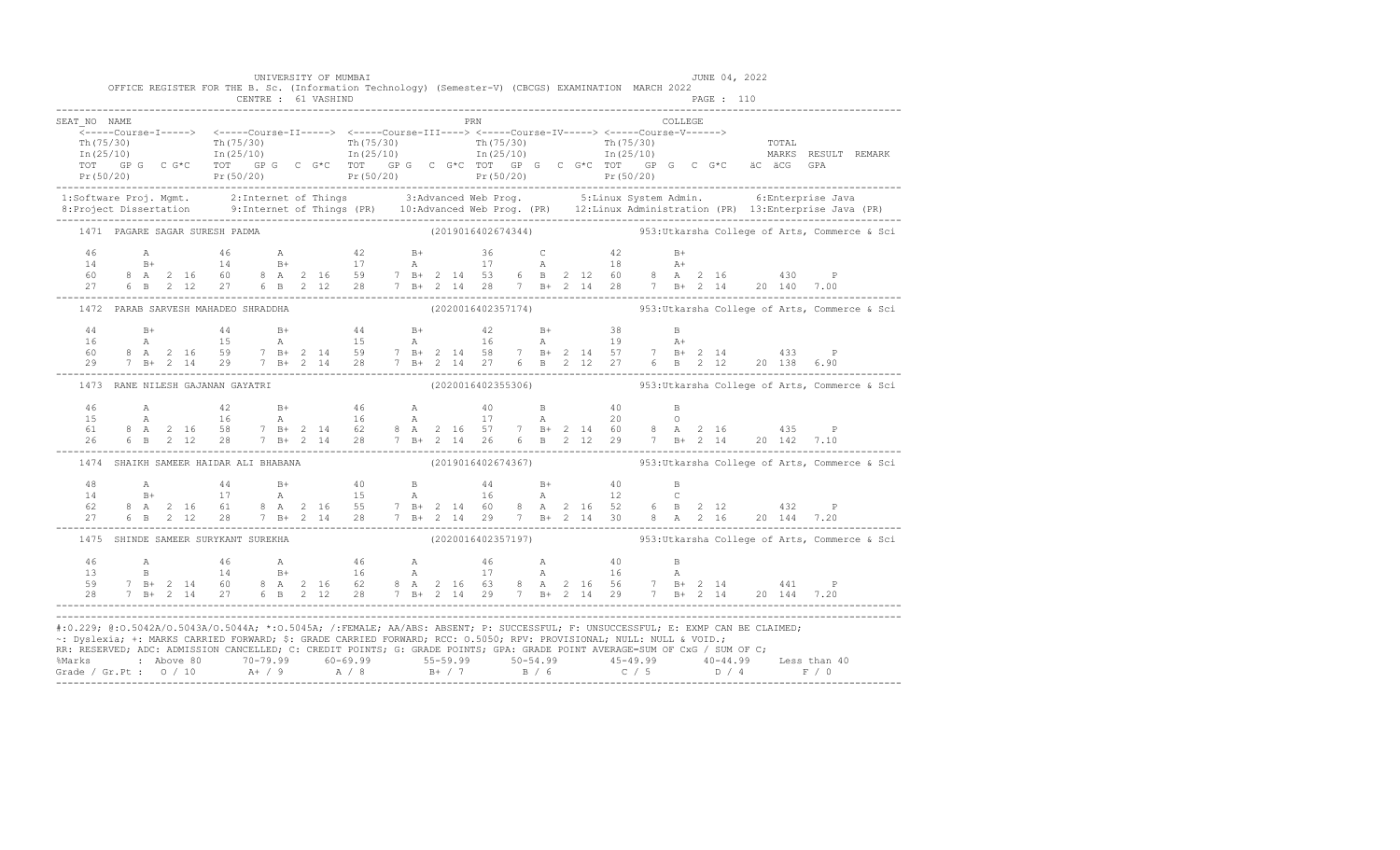|                                                                                                                                                                                                                                                                                                                                                                                                                                                                                                                                                       |                                       |  |  |  | UNIVERSITY OF MUMBAI<br>OFFICE REGISTER FOR THE B. Sc. (Information Technology) (Semester-V) (CBCGS) EXAMINATION MARCH 2022 |  |  |     |  |  |  |  | JUNE 04, 2022 |  |                                                                                                                                                                                                                                                                                                                                                                  |                                                                                                                                                                                                                                |
|-------------------------------------------------------------------------------------------------------------------------------------------------------------------------------------------------------------------------------------------------------------------------------------------------------------------------------------------------------------------------------------------------------------------------------------------------------------------------------------------------------------------------------------------------------|---------------------------------------|--|--|--|-----------------------------------------------------------------------------------------------------------------------------|--|--|-----|--|--|--|--|---------------|--|------------------------------------------------------------------------------------------------------------------------------------------------------------------------------------------------------------------------------------------------------------------------------------------------------------------------------------------------------------------|--------------------------------------------------------------------------------------------------------------------------------------------------------------------------------------------------------------------------------|
| SEAT NO NAME                                                                                                                                                                                                                                                                                                                                                                                                                                                                                                                                          |                                       |  |  |  |                                                                                                                             |  |  | PRN |  |  |  |  |               |  |                                                                                                                                                                                                                                                                                                                                                                  |                                                                                                                                                                                                                                |
|                                                                                                                                                                                                                                                                                                                                                                                                                                                                                                                                                       |                                       |  |  |  |                                                                                                                             |  |  |     |  |  |  |  |               |  |                                                                                                                                                                                                                                                                                                                                                                  | The contract of the contract of the contract of the contract of the contract of the contract of the contract of the contract of the contract of the contract of the contract of the contract of the contract of the contract o |
|                                                                                                                                                                                                                                                                                                                                                                                                                                                                                                                                                       |                                       |  |  |  |                                                                                                                             |  |  |     |  |  |  |  |               |  |                                                                                                                                                                                                                                                                                                                                                                  |                                                                                                                                                                                                                                |
|                                                                                                                                                                                                                                                                                                                                                                                                                                                                                                                                                       | 1471 PAGARE SAGAR SURESH PADMA        |  |  |  |                                                                                                                             |  |  |     |  |  |  |  |               |  |                                                                                                                                                                                                                                                                                                                                                                  | $(2019016402674344)$ 953:Utkarsha College of Arts, Commerce & Sci                                                                                                                                                              |
|                                                                                                                                                                                                                                                                                                                                                                                                                                                                                                                                                       |                                       |  |  |  |                                                                                                                             |  |  |     |  |  |  |  |               |  |                                                                                                                                                                                                                                                                                                                                                                  |                                                                                                                                                                                                                                |
|                                                                                                                                                                                                                                                                                                                                                                                                                                                                                                                                                       |                                       |  |  |  |                                                                                                                             |  |  |     |  |  |  |  |               |  |                                                                                                                                                                                                                                                                                                                                                                  | 1472 PARAB SARVESH MAHADEO SHRADDHA (2020016402357174) 953:Utkarsha College of Arts, Commerce & Sci                                                                                                                            |
|                                                                                                                                                                                                                                                                                                                                                                                                                                                                                                                                                       |                                       |  |  |  |                                                                                                                             |  |  |     |  |  |  |  |               |  |                                                                                                                                                                                                                                                                                                                                                                  |                                                                                                                                                                                                                                |
|                                                                                                                                                                                                                                                                                                                                                                                                                                                                                                                                                       |                                       |  |  |  | 1473 RANE NILESH GAJANAN GAYATRI                                                                                            |  |  |     |  |  |  |  |               |  |                                                                                                                                                                                                                                                                                                                                                                  |                                                                                                                                                                                                                                |
|                                                                                                                                                                                                                                                                                                                                                                                                                                                                                                                                                       |                                       |  |  |  |                                                                                                                             |  |  |     |  |  |  |  |               |  | $\begin{array}{cccccccccccccccc} 46 & & A & & 42 & & B+ & & 46 & & A & & 40 & & B & & 40 & & B \\ 15 & & A & & 16 & & A & & 16 & & A & & 17 & & A & & 20 & & O \\ 61 & 8 & A & 2 & 16 & 58 & & 7 & B+ & 2 & 14 & 62 & & 8 & A & 2 & 16 & 57 & & 7 & B+ & 2 & 14 & 60 & & 8 & A & 2 & 16 & & & 435 & & P \\ 26 & 6 & B & 2 & 12 & 28 & & 7 & B+ & 2 & 14 & $      |                                                                                                                                                                                                                                |
|                                                                                                                                                                                                                                                                                                                                                                                                                                                                                                                                                       | 1474 SHAIKH SAMEER HAIDAR ALI BHABANA |  |  |  |                                                                                                                             |  |  |     |  |  |  |  |               |  |                                                                                                                                                                                                                                                                                                                                                                  | $(2019016402674367)$ 953:Utkarsha College of Arts, Commerce & Sci                                                                                                                                                              |
|                                                                                                                                                                                                                                                                                                                                                                                                                                                                                                                                                       |                                       |  |  |  |                                                                                                                             |  |  |     |  |  |  |  |               |  | $\begin{array}{cccccccccccccccc} 48 & \text{A} & 44 & \text{B+} & 40 & \text{B} & 44 & \text{B+} & 40 & \text{B} \\ 14 & \text{B+} & 17 & \text{A} & 15 & \text{A} & 16 & \text{A} & 12 & \text{C} \\ 62 & 8 & \text{A} & 2 & 16 & 61 & 8 & \text{A} & 2 & 16 & 55 & 7 & \text{B+} & 2 & 14 & 60 & 8 & \text{A} & 2 & 16 & 52 & 6 & \text{B} & 2 & 12 & 432 & \$ |                                                                                                                                                                                                                                |
|                                                                                                                                                                                                                                                                                                                                                                                                                                                                                                                                                       |                                       |  |  |  |                                                                                                                             |  |  |     |  |  |  |  |               |  |                                                                                                                                                                                                                                                                                                                                                                  | 1475 SHINDE SAMEER SURYKANT SUREKHA (2020016402357197) 953:Utkarsha College of Arts, Commerce & Sci                                                                                                                            |
| $\begin{array}{cccccccccccccccc} 46 & & A & & 46 & & A & & 46 & & A & & 46 & & A & & 46 & & A & & 40 & & B \\ 13 & & B & & 14 & & B+ & & 16 & & A & & 17 & & A & & 16 & & A \\ 59 & 7 & B+ & 2 & 14 & 60 & 8 & A & 2 & 16 & 62 & 8 & A & 2 & 16 & 63 & 8 & A & 2 & 16 & 56 & & 7 & B+ & 2 & 14 & & 441 & & P \\ 28 & 7 & B+ & 2 & 14 & 27 & 6 & B & 2 & 1$                                                                                                                                                                                            |                                       |  |  |  |                                                                                                                             |  |  |     |  |  |  |  |               |  |                                                                                                                                                                                                                                                                                                                                                                  |                                                                                                                                                                                                                                |
| #:0.229; @:0.5042A/0.5043A/0.5044A; *:0.5045A; /:FEMALE; AA/ABS: ABSENT; P: SUCCESSFUL; F: UNSUCCESSFUL; E: EXMP CAN BE CLAIMED;<br>~: Dyslexia; +: MARKS CARRIED FORWARD; \$: GRADE CARRIED FORWARD; RCC: 0.5050; RPV: PROVISIONAL; NULL: NULL & VOID.;<br>RR: RESERVED; ADC: ADMISSION CANCELLED; C: CREDIT POINTS; G: GRADE POINTS; GPA: GRADE POINT AVERAGE=SUM OF CxG / SUM OF C;<br>% Marks : Above 80 70-79.99 60-69.99 55-59.99 50-54.99 45-49.99 40-44.99 Less than 40<br>Grade / Gr.Pt : 0 / 10 A+ / 9 A / 8 B+ / 7 B / 6 C / 5 D / 4 F / 0 |                                       |  |  |  |                                                                                                                             |  |  |     |  |  |  |  |               |  |                                                                                                                                                                                                                                                                                                                                                                  |                                                                                                                                                                                                                                |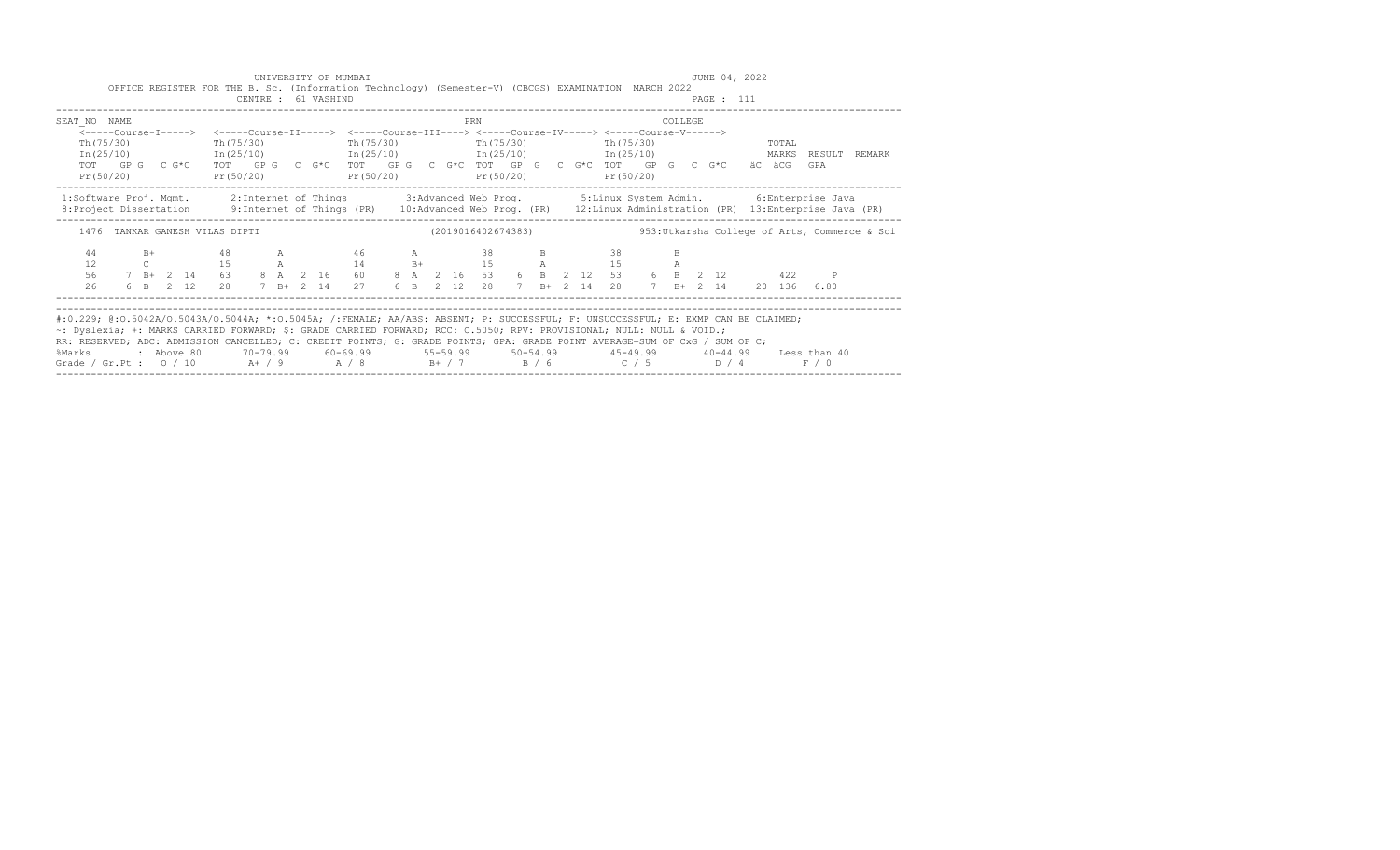|                                                                                                                                                                                                                                                                                                                                                                                                                                                                                                                                                  |  |  |                                |  | CENTRE : 61 VASHIND | UNIVERSITY OF MUMBAI<br>OFFICE REGISTER FOR THE B. Sc. (Information Technology) (Semester-V) (CBCGS) EXAMINATION MARCH 2022                                                                 |  |  |     |  |  |  |         | PAGE : 111 | JUNE 04, 2022 |       |       |                                                                                                                |
|--------------------------------------------------------------------------------------------------------------------------------------------------------------------------------------------------------------------------------------------------------------------------------------------------------------------------------------------------------------------------------------------------------------------------------------------------------------------------------------------------------------------------------------------------|--|--|--------------------------------|--|---------------------|---------------------------------------------------------------------------------------------------------------------------------------------------------------------------------------------|--|--|-----|--|--|--|---------|------------|---------------|-------|-------|----------------------------------------------------------------------------------------------------------------|
| SEAT NO NAME<br>Th (75/30)                                                                                                                                                                                                                                                                                                                                                                                                                                                                                                                       |  |  | Th $(75/30)$                   |  |                     | <-----Course-I-----> <-----Course-II-----> <-----Course-III----> <-----Course-IV-----> <-----Course-V------><br>$Th(75/30)$ $Th(75/30)$ $Th(75/30)$                                         |  |  | PRN |  |  |  | COLLEGE |            |               | TOTAL |       | $In (25/10)$ $In (25/10)$ $In (25/10)$ $In (25/10)$ $In (25/10)$ $In (25/10)$ $In (25/10)$ MARKS RESULT REMARK |
| Pr(50/20)                                                                                                                                                                                                                                                                                                                                                                                                                                                                                                                                        |  |  | -------------------            |  |                     | TOT GPG CG*C TOT GPG CG*C TOT GPG CG*C TOT GPG CG*C TOT GPG CG*C<br>Pr (50/20) Pr (50/20) Pr (50/20) Pr (50/20) Pr (50/20)                                                                  |  |  |     |  |  |  |         |            | äC äCG        |       | GPA   |                                                                                                                |
| 1:Software Proj. Mgmt. 2:Internet of Things 3:Advanced Web Prog. 5:Linux System Admin. 6:Enterprise Java<br>8: Project Dissertation 9: Internet of Things (PR) 10: Advanced Web Prog. (PR) 12: Linux Administration (PR) 13: Enterprise Java (PR)                                                                                                                                                                                                                                                                                                |  |  |                                |  |                     |                                                                                                                                                                                             |  |  |     |  |  |  |         |            |               |       |       |                                                                                                                |
|                                                                                                                                                                                                                                                                                                                                                                                                                                                                                                                                                  |  |  | 1476 TANKAR GANESH VILAS DIPTI |  |                     |                                                                                                                                                                                             |  |  |     |  |  |  |         |            |               |       |       | (2019016402674383) 953: Utkarsha College of Arts, Commerce & Sci                                               |
| 44<br>12<br>56<br>26                                                                                                                                                                                                                                                                                                                                                                                                                                                                                                                             |  |  |                                |  |                     | B+ 48 A 46 A 38 B 38<br>C 15 A 14 B+ 15 A 15 A<br>$7 B+ 2 I4$ 63 8 A 2 16 60 8 A 2 16 53 6 B 2 12 53 6 B 2 12<br>6 B 2 12 28 7 B + 2 14 27 6 B 2 12 28 7 B + 2 14 28 7 B + 2 14 20 136 6.80 |  |  |     |  |  |  |         |            |               |       | 422 P |                                                                                                                |
| #:0.229; @:0.5042A/0.5043A/0.5044A; *:0.5045A; /:FEMALE; AA/ABS: ABSENT; P: SUCCESSFUL; F: UNSUCCESSFUL; E: EXMP CAN BE CLAIMED;<br>~: Dyslexia; +: MARKS CARRIED FORWARD; \$: GRADE CARRIED FORWARD; RCC: 0.5050; RPV: PROVISIONAL; NULL: NULL & VOID.;<br>RR: RESERVED; ADC: ADMISSION CANCELLED; C: CREDIT POINTS; G: GRADE POINTS; GPA: GRADE POINT AVERAGE=SUM OF CxG / SUM OF C;<br>%Marks : Above 80 70-79.99 60-69.99 55-59.99 50-54.99 45-49.99 40-44.99 Less than 40<br>Grade / Gr.Pt : $0$ / 10 A+ / 9 A / 8 B+ / 7 B / 6 C / 5 D / 4 |  |  |                                |  |                     |                                                                                                                                                                                             |  |  |     |  |  |  |         |            |               |       | F / 0 |                                                                                                                |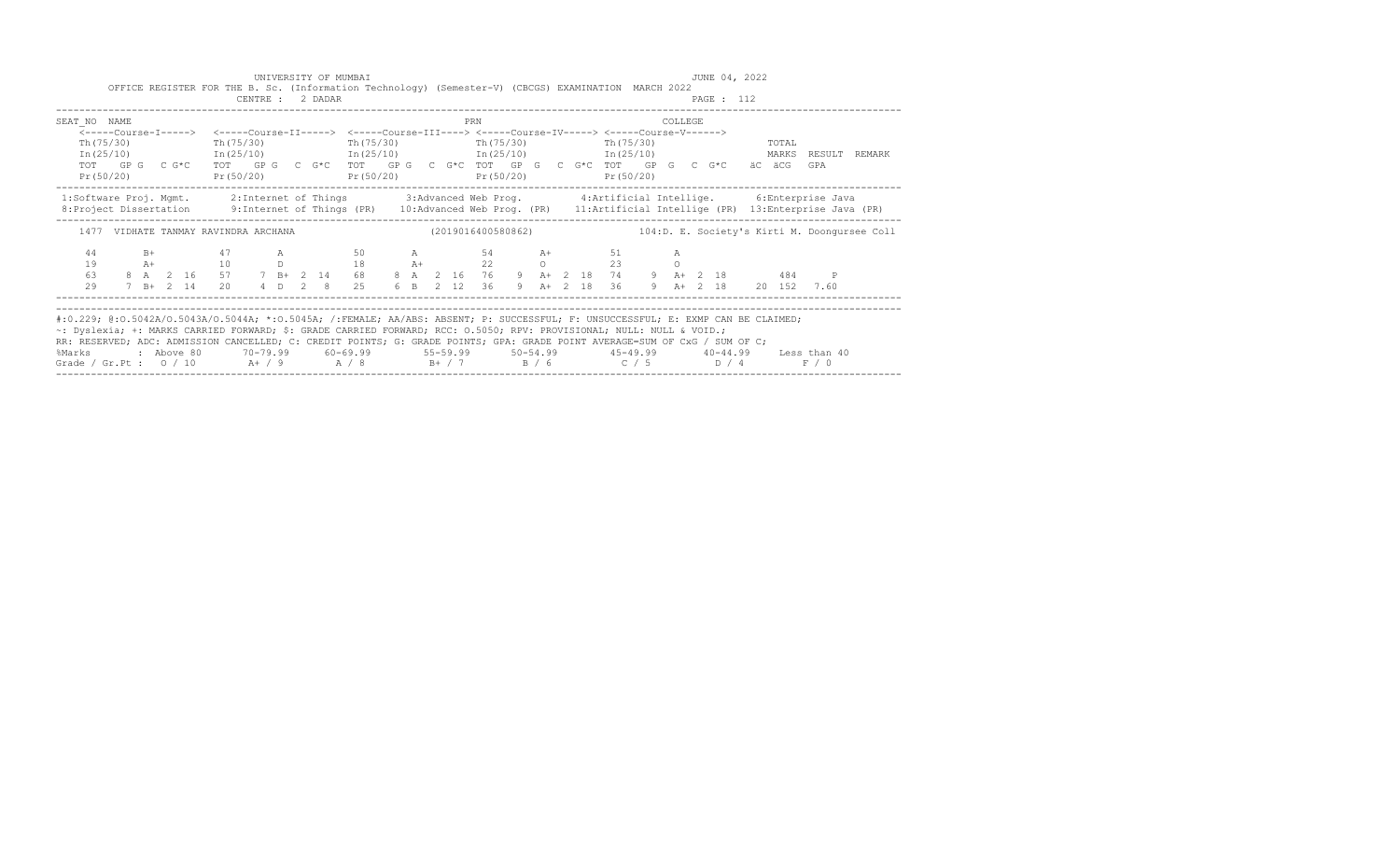|                                                                                                                                                                                                                                                                                                                                                                                                                                                                                                                                                |  |               |  |  |                  | UNIVERSITY OF MUMBAI<br>OFFICE REGISTER FOR THE B. Sc. (Information Technology) (Semester-V) (CBCGS) EXAMINATION MARCH 2022                                       |  |  |     |  |  |                |                |  | JUNE 04, 2022 |       |       |                                                                                                      |
|------------------------------------------------------------------------------------------------------------------------------------------------------------------------------------------------------------------------------------------------------------------------------------------------------------------------------------------------------------------------------------------------------------------------------------------------------------------------------------------------------------------------------------------------|--|---------------|--|--|------------------|-------------------------------------------------------------------------------------------------------------------------------------------------------------------|--|--|-----|--|--|----------------|----------------|--|---------------|-------|-------|------------------------------------------------------------------------------------------------------|
|                                                                                                                                                                                                                                                                                                                                                                                                                                                                                                                                                |  |               |  |  | CENTRE : 2 DADAR |                                                                                                                                                                   |  |  |     |  |  |                |                |  | PAGE : 112    |       |       |                                                                                                      |
| SEAT NO NAME                                                                                                                                                                                                                                                                                                                                                                                                                                                                                                                                   |  |               |  |  |                  |                                                                                                                                                                   |  |  | PRN |  |  |                | <b>COLLEGE</b> |  |               |       |       |                                                                                                      |
| Th (75/30)                                                                                                                                                                                                                                                                                                                                                                                                                                                                                                                                     |  |               |  |  |                  | <-----Course-I-----> <-----Course-II-----> <-----Course-III----> <-----Course-IV-----> <-----Course-V------><br>Th(75/30) Th(75/30) Th(75/30) Th(75/30) Th(75/30) |  |  |     |  |  |                |                |  |               | TOTAL |       |                                                                                                      |
| Pr(50/20)                                                                                                                                                                                                                                                                                                                                                                                                                                                                                                                                      |  |               |  |  |                  | TOT GPG C G*C TOT GPG C G*C TOT GPG C G*C TOT GPG C G*C TOT GPG C G*C äC äCG<br>$Pr(50/20)$ $Pr(50/20)$ $Pr(50/20)$ $Pr(50/20)$                                   |  |  |     |  |  |                |                |  |               |       | GPA   | In (25/10) 1n (25/10) 1n (25/10) 1n (25/10) 1n (25/10) 1n (25/10) 1n (25/10) 21n (25/10) 1n (25/10)  |
| 1:Software Proj. Mgmt. 2:Internet of Things 3:Advanced Web Prog. 4:Artificial Intellige. 6:Enterprise Java<br>8: Project Dissertation 9: Internet of Things (PR) 10: Advanced Web Prog. (PR) 11: Artificial Intellige (PR) 13: Enterprise Java (PR)                                                                                                                                                                                                                                                                                            |  |               |  |  |                  |                                                                                                                                                                   |  |  |     |  |  |                |                |  |               |       |       |                                                                                                      |
|                                                                                                                                                                                                                                                                                                                                                                                                                                                                                                                                                |  |               |  |  |                  |                                                                                                                                                                   |  |  |     |  |  |                |                |  |               |       |       | 1477 VIDHATE TANMAY RAVINDRA ARCHANA (2019016400580862) 104:D. E. Society's Kirti M. Doongursee Coll |
| 44<br>19<br>63                                                                                                                                                                                                                                                                                                                                                                                                                                                                                                                                 |  |               |  |  |                  | B+ 47 A 50 A 54 A+ 51<br>A+ 10 D 18 A+ 22 O 23<br>8 A 2 16 57 7 B + 2 14 68 8 A 2 16 76 9 A + 2 18 74 9 A + 2 18 484 P                                            |  |  |     |  |  | $\overline{A}$ |                |  |               |       |       |                                                                                                      |
| 29                                                                                                                                                                                                                                                                                                                                                                                                                                                                                                                                             |  | $7$ B+ $2$ 14 |  |  |                  | 20 4 D 2 8 25 6 B 2 12 36 9 A+ 2 18 36 9 A+ 2 18 20 152 7.60                                                                                                      |  |  |     |  |  |                |                |  |               |       |       |                                                                                                      |
| #:0.229; @:0.5042A/0.5043A/0.5044A; *:0.5045A; /:FEMALE; AA/ABS: ABSENT; P: SUCCESSFUL; F: UNSUCCESSFUL; E: EXMP CAN BE CLAIMED;<br>~: Dyslexia; +: MARKS CARRIED FORWARD; \$: GRADE CARRIED FORWARD; RCC: 0.5050; RPV: PROVISIONAL; NULL: NULL & VOID.;<br>RR: RESERVED; ADC: ADMISSION CANCELLED; C: CREDIT POINTS; G: GRADE POINTS; GPA: GRADE POINT AVERAGE=SUM OF CxG / SUM OF C;<br>%Marks : Above 80 70-79.99 60-69.99 55-59.99 50-54.99 45-49.99 40-44.99 Less than 40<br>Grade / Gr.Pt : $0/10$ A+ / 9 A / 8 B+ / 7 B / 6 C / 5 D / 4 |  |               |  |  |                  |                                                                                                                                                                   |  |  |     |  |  |                |                |  |               |       | F / 0 |                                                                                                      |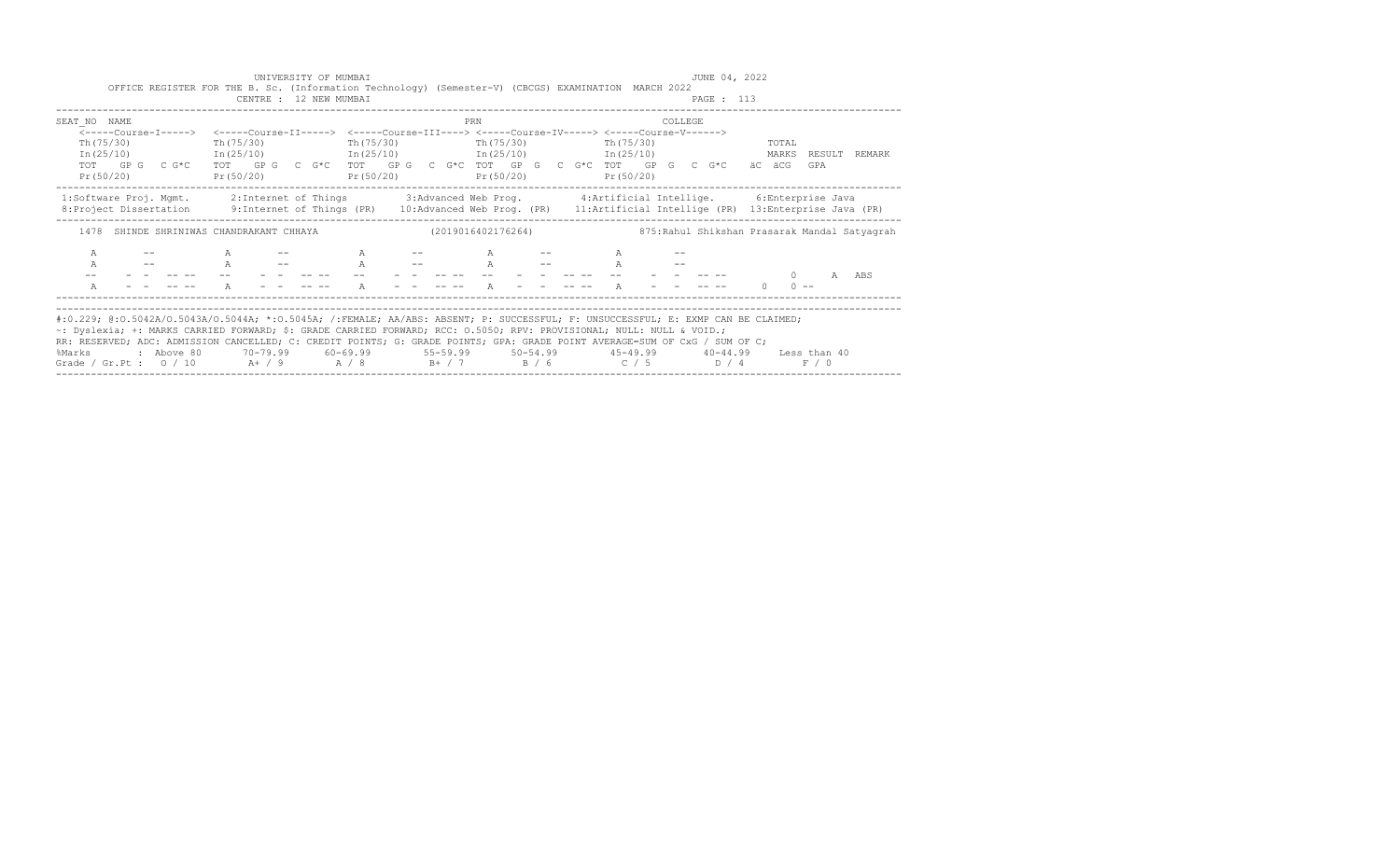|                                                                             | UNIVERSITY OF MUMBAI<br>CENTRE : 12 NEW MUMBAI |                  | OFFICE REGISTER FOR THE B. Sc. (Information Technology) (Semester-V) (CBCGS) EXAMINATION MARCH 2022                                                                                                                                                                                                                                                                        | JUNE 04, 2022<br>PAGE : 113                                                                                                                                                                                                                                                                               |
|-----------------------------------------------------------------------------|------------------------------------------------|------------------|----------------------------------------------------------------------------------------------------------------------------------------------------------------------------------------------------------------------------------------------------------------------------------------------------------------------------------------------------------------------------|-----------------------------------------------------------------------------------------------------------------------------------------------------------------------------------------------------------------------------------------------------------------------------------------------------------|
| SEAT NO NAME<br>Th(75/30)                                                   | Th (75/30)                                     | PRN<br>Th(75/30) | <-----Course-I-----> <-----Course-II-----> <-----Course-III----> <-----Course-IV-----> <-----Course-V------><br>The (75/30) The (75/30)<br>$In (25/10)$ $In (25/10)$ $In (25/10)$ $In (25/10)$ $In (25/10)$                                                                                                                                                                | COLLEGE<br>TOTAL<br>MARKS RESULT REMARK                                                                                                                                                                                                                                                                   |
| Pr (50/20)                                                                  | Pr(50/20)                                      |                  | TOT GPG CG*C TOT GPG CG*C TOT GPG CG*C TOT GPG CG*CTOT GACTOT GPG CG*C äCäCG<br>$Pr(50/20)$ $Pr(50/20)$ $Pr(50/20)$                                                                                                                                                                                                                                                        | GPA                                                                                                                                                                                                                                                                                                       |
|                                                                             |                                                |                  |                                                                                                                                                                                                                                                                                                                                                                            | 1:Software Proj. Mgmt. 2:Internet of Things 3:Advanced Web Prog. 4:Artificial Intellige. 6:Enterprise Java<br>8: Project Dissertation 9: Internet of Things (PR) 10: Advanced Web Prog. (PR) 11: Artificial Intellige (PR) 13: Enterprise Java (PR)                                                       |
|                                                                             |                                                |                  |                                                                                                                                                                                                                                                                                                                                                                            | 1478 SHINDE SHRINIWAS CHANDRAKANT CHHAYA (2019016402176264) (2019016402176264)                                                                                                                                                                                                                            |
| $\mathbb{A}$<br>$\overline{A}$<br>and the state of the state of<br>$\Delta$ | $\mathbb A$                                    | $A \t - -$<br>A  | $A$ -- A<br>A -- A -- A -- A -- A --<br>$\mathsf{A}$ $\mathsf{A}$ $\mathsf{A}$ $\mathsf{A}$ $\mathsf{A}$ $\mathsf{A}$ $\mathsf{A}$ $\mathsf{A}$ $\mathsf{A}$ $\mathsf{A}$ $\mathsf{A}$ $\mathsf{A}$ $\mathsf{A}$ $\mathsf{A}$ $\mathsf{A}$ $\mathsf{A}$ $\mathsf{A}$ $\mathsf{A}$ $\mathsf{A}$ $\mathsf{A}$ $\mathsf{A}$ $\mathsf{A}$ $\mathsf{A}$ $\mathsf{A}$ $\mathsf{$ | $\cap$<br>$\lambda$<br>ABS<br>the company of the season<br>$0 \qquad 0 \qquad -$                                                                                                                                                                                                                          |
| %Marks                                                                      |                                                |                  | ~: Dyslexia; +: MARKS CARRIED FORWARD; \$: GRADE CARRIED FORWARD; RCC: 0.5050; RPV: PROVISIONAL; NULL: NULL & VOID.;<br>RR: RESERVED; ADC: ADMISSION CANCELLED; C: CREDIT POINTS; G: GRADE POINTS; GPA: GRADE POINT AVERAGE=SUM OF CxG / SUM OF C;<br>Grade / Gr.Pt : $0/10$ A+ / 9 A / 8 B+ / 7 B / 6 C / 5 D / 4                                                         | #:0.229; @:0.5042A/0.5043A/0.5044A; *:0.5045A; /:FEMALE; AA/ABS: ABSENT; P: SUCCESSFUL; F: UNSUCCESSFUL; E: EXMP CAN BE CLAIMED;<br>2 Above 80           70-79.99            60-69.99              55-59.99            50-54.99              45-49.99              40-44.99         Less than 40<br>F / 0 |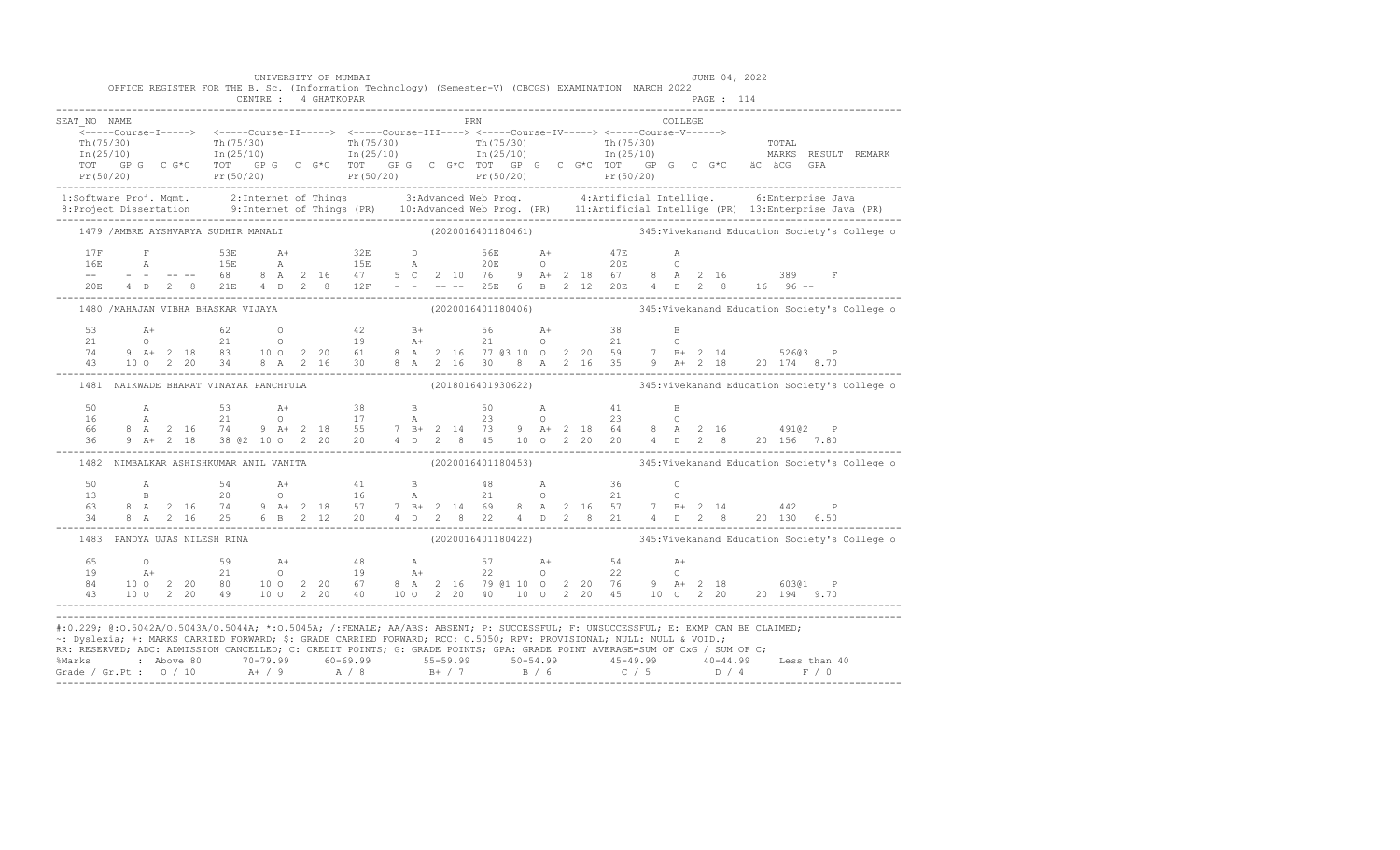| OFFICE REGISTER FOR THE B. Sc. (Information Technology) (Semester-V) (CBCGS) EXAMINATION MARCH 2022<br>PRN PRN<br>COLLEGE<br>SEAT NO NAME                                                                                                                                                                                                                                    |  |
|------------------------------------------------------------------------------------------------------------------------------------------------------------------------------------------------------------------------------------------------------------------------------------------------------------------------------------------------------------------------------|--|
|                                                                                                                                                                                                                                                                                                                                                                              |  |
|                                                                                                                                                                                                                                                                                                                                                                              |  |
|                                                                                                                                                                                                                                                                                                                                                                              |  |
|                                                                                                                                                                                                                                                                                                                                                                              |  |
|                                                                                                                                                                                                                                                                                                                                                                              |  |
|                                                                                                                                                                                                                                                                                                                                                                              |  |
| 1:Software Proj. Mgmt. 2:Internet of Things 3:Advanced Web Prog. 4:Artificial Intellige. 6:Enterprise Java<br>8:Project Dissertation 9:Internet of Things (PR) 10:Advanced Web Prog. (PR) 11:Artificial Intellige (PR) 13:Enterpr                                                                                                                                            |  |
| 1479 /AMBRE AYSHVARYA SUDHIR MANALI (2020016401180461) 345:Vivekanand Education Society's College o                                                                                                                                                                                                                                                                          |  |
|                                                                                                                                                                                                                                                                                                                                                                              |  |
|                                                                                                                                                                                                                                                                                                                                                                              |  |
|                                                                                                                                                                                                                                                                                                                                                                              |  |
| $\begin{array}{cccccccccccccccc} 17F & F & 53E & A+ & 32E & D & 56E & A+ & 47E & A \\ 16E & A & 15E & A & 15E & A & 20E & O & 20E & O \\ - & - & - & - & - & - & 68 & 8 & A & 2 & 16 & 47 & 5 & C & 2 & 10 & 76 & 9 & A+ & 2 & 18 & 67 & 8 & A & 2 & 16 & 389 & F \\ 20E & 4 & D & 2 & 8 & 21E & 4 & D & 2 & 8 & 12F & - & - & - & - & 25E & 6 & B$                          |  |
| (2020016401180406) 345: Vivekanand Education Society's College o<br>1480 / MAHAJAN VIBHA BHASKAR VIJAYA                                                                                                                                                                                                                                                                      |  |
|                                                                                                                                                                                                                                                                                                                                                                              |  |
|                                                                                                                                                                                                                                                                                                                                                                              |  |
|                                                                                                                                                                                                                                                                                                                                                                              |  |
|                                                                                                                                                                                                                                                                                                                                                                              |  |
| (2018016401930622) 345: Vivekanand Education Society's College of<br>1481 NAIKWADE BHARAT VINAYAK PANCHFULA                                                                                                                                                                                                                                                                  |  |
|                                                                                                                                                                                                                                                                                                                                                                              |  |
|                                                                                                                                                                                                                                                                                                                                                                              |  |
| $\begin{array}{cccccccccccccccc} 50 & & {\rm A} & & & 53 & & {\rm A+} & & 38 & & {\rm B} & & 50 & & {\rm A} & & 41 & & {\rm B} \\ 16 & & {\rm A} & & 21 & & 0 & & 17 & & {\rm A} & & 23 & & 0 & & 23 & & 0 \\ 66 & & 8 & {\rm A} & 2 & 16 & & 74 & & 9 & {\rm A+} & 2 & 18 & & 55 & & 7 & {\rm B+} & 2 & 14 & 73 & 9 & {\rm A+} & 2 & 18 & 64 & & 8 & {\rm A} & 2 & 16 & & $ |  |
| 1482 NIMBALKAR ASHISHKUMAR ANIL VANITA (2020016401180453) 345:Vivekanand Education Society's College o                                                                                                                                                                                                                                                                       |  |
|                                                                                                                                                                                                                                                                                                                                                                              |  |
|                                                                                                                                                                                                                                                                                                                                                                              |  |
|                                                                                                                                                                                                                                                                                                                                                                              |  |
| $\begin{array}{cccccccccccccccc} 50 & & A & & 54 & & A+ & & 41 & & B & & 48 & & A & & 36 & & C \\ 13 & & B & & 20 & & O & & 16 & & A & & 21 & & O & & 21 & & O \\ 63 & 8 & A & 2 & 16 & 74 & 9 & A+ & 2 & 18 & & 57 & & 7 & B+ & 2 & 14 & 69 & & 8 & A & 2 & 16 & 57 & & 7 & B+ & 2 & 14 & & 442 & & P \\ 34 & 8 & A & 2 & 16 & 25 & 6 & B & 2 & 12 & 20$                    |  |
| (2020016401180422) 345: Vivekanand Education Society's College o<br>1483 PANDYA UJAS NILESH RINA                                                                                                                                                                                                                                                                             |  |
| 65 0 59 A+ 48 A 57 A+ 54 A+<br>19 A+ 21 0 19 A+ 22 0 22 0<br>84 10 0 2 20 80 10 0 2 20 67 8 A 2 16 79 @1 10 0 2 20 76 9 A+ 2 18 603@1 P<br>43 10 0 2 20 49 10 0 2 20 40 10 0 2 20 40 10 0 2 20 45 10 0 2 20 20 194 9.70<br>----------                                                                                                                                        |  |
|                                                                                                                                                                                                                                                                                                                                                                              |  |
|                                                                                                                                                                                                                                                                                                                                                                              |  |
|                                                                                                                                                                                                                                                                                                                                                                              |  |
| #:0.229; @:0.5042A/0.5043A/0.5044A; *:0.5045A; /:FEMALE; AA/ABS: ABSENT; P: SUCCESSFUL; F: UNSUCCESSFUL; E: EXMP CAN BE CLAIMED;                                                                                                                                                                                                                                             |  |
| ~: Dyslexia; +: MARKS CARRIED FORWARD; \$: GRADE CARRIED FORWARD; RCC: 0.5050; RPV: PROVISIONAL; NULL: NULL & VOID.;                                                                                                                                                                                                                                                         |  |
| RR: RESERVED; ADC: ADMISSION CANCELLED; C: CREDIT POINTS; G: GRADE POINTS; GPA: GRADE POINT AVERAGE=SUM OF CxG / SUM OF C;                                                                                                                                                                                                                                                   |  |
|                                                                                                                                                                                                                                                                                                                                                                              |  |
|                                                                                                                                                                                                                                                                                                                                                                              |  |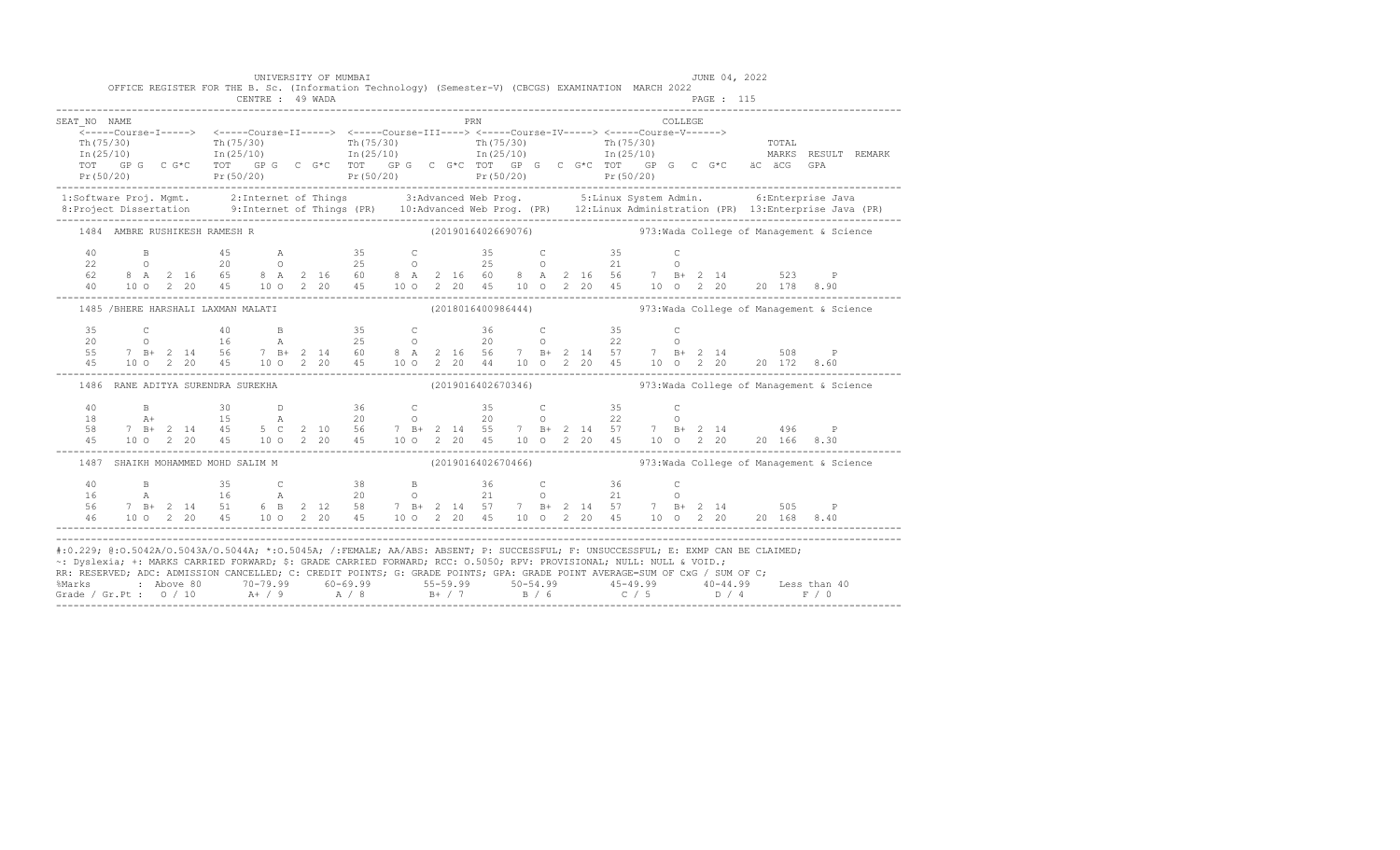|                                                                                                                                                                                                                                                                                                                                                                                        |  |  |                                   |                                    |  | UNIVERSITY OF MUMBAI                                                                                                                                                                                                                                                                                                                                        |  |            |  |  |  |          |            | JUNE 04, 2022 |                                                                                                                                                                                                                                                                                                                                                                                     |  |
|----------------------------------------------------------------------------------------------------------------------------------------------------------------------------------------------------------------------------------------------------------------------------------------------------------------------------------------------------------------------------------------|--|--|-----------------------------------|------------------------------------|--|-------------------------------------------------------------------------------------------------------------------------------------------------------------------------------------------------------------------------------------------------------------------------------------------------------------------------------------------------------------|--|------------|--|--|--|----------|------------|---------------|-------------------------------------------------------------------------------------------------------------------------------------------------------------------------------------------------------------------------------------------------------------------------------------------------------------------------------------------------------------------------------------|--|
|                                                                                                                                                                                                                                                                                                                                                                                        |  |  |                                   | CENTRE : 49 WADA                   |  | OFFICE REGISTER FOR THE B. Sc. (Information Technology) (Semester-V) (CBCGS) EXAMINATION MARCH 2022                                                                                                                                                                                                                                                         |  |            |  |  |  |          | PAGE : 115 |               |                                                                                                                                                                                                                                                                                                                                                                                     |  |
| SEAT NO NAME                                                                                                                                                                                                                                                                                                                                                                           |  |  |                                   |                                    |  |                                                                                                                                                                                                                                                                                                                                                             |  | <b>PRN</b> |  |  |  | COLLEGE. |            |               |                                                                                                                                                                                                                                                                                                                                                                                     |  |
|                                                                                                                                                                                                                                                                                                                                                                                        |  |  |                                   |                                    |  |                                                                                                                                                                                                                                                                                                                                                             |  |            |  |  |  |          |            |               |                                                                                                                                                                                                                                                                                                                                                                                     |  |
|                                                                                                                                                                                                                                                                                                                                                                                        |  |  |                                   |                                    |  |                                                                                                                                                                                                                                                                                                                                                             |  |            |  |  |  |          |            |               |                                                                                                                                                                                                                                                                                                                                                                                     |  |
|                                                                                                                                                                                                                                                                                                                                                                                        |  |  |                                   |                                    |  |                                                                                                                                                                                                                                                                                                                                                             |  |            |  |  |  |          |            |               |                                                                                                                                                                                                                                                                                                                                                                                     |  |
|                                                                                                                                                                                                                                                                                                                                                                                        |  |  |                                   |                                    |  |                                                                                                                                                                                                                                                                                                                                                             |  |            |  |  |  |          |            |               | $\begin{tabular}{lcccccc} {\tt Th(75/30)} & {\tt Th(75/30)} & {\tt Th(75/30)} & {\tt Th(75/30)} & {\tt Th(75/30)} & {\tt Th(75/30)} & {\tt Th(75/30)} & {\tt Th(75/30)} & {\tt Th(75/30)} & {\tt Th(75/30)} & {\tt Th(75/30)} & {\tt Th(75/30)} & {\tt Th(75/30)} & {\tt Th(75/30)} & {\tt Th(75/30)} & {\tt Th(75/30)} & {\tt Th(75/30)} & {\tt Th(75/30)} & {\tt Th(75/30)} & {\$ |  |
|                                                                                                                                                                                                                                                                                                                                                                                        |  |  |                                   |                                    |  |                                                                                                                                                                                                                                                                                                                                                             |  |            |  |  |  |          |            |               | 1:Software Proj. Mgmt. 2:Internet of Things 3:Advanced Web Prog. 5:Linux System Admin. 6:Enterprise Java<br>1:Project Dissertation 9:Internet of Things (PR) 10:Advanced Web Prog. (PR) 12:Linux Administration (PR) 13:Enterpris                                                                                                                                                   |  |
|                                                                                                                                                                                                                                                                                                                                                                                        |  |  |                                   |                                    |  |                                                                                                                                                                                                                                                                                                                                                             |  |            |  |  |  |          |            |               |                                                                                                                                                                                                                                                                                                                                                                                     |  |
|                                                                                                                                                                                                                                                                                                                                                                                        |  |  | 1484 AMBRE RUSHIKESH RAMESH R     |                                    |  |                                                                                                                                                                                                                                                                                                                                                             |  |            |  |  |  |          |            |               |                                                                                                                                                                                                                                                                                                                                                                                     |  |
|                                                                                                                                                                                                                                                                                                                                                                                        |  |  |                                   |                                    |  |                                                                                                                                                                                                                                                                                                                                                             |  |            |  |  |  |          |            |               |                                                                                                                                                                                                                                                                                                                                                                                     |  |
|                                                                                                                                                                                                                                                                                                                                                                                        |  |  |                                   |                                    |  |                                                                                                                                                                                                                                                                                                                                                             |  |            |  |  |  |          |            |               |                                                                                                                                                                                                                                                                                                                                                                                     |  |
|                                                                                                                                                                                                                                                                                                                                                                                        |  |  |                                   |                                    |  |                                                                                                                                                                                                                                                                                                                                                             |  |            |  |  |  |          |            |               |                                                                                                                                                                                                                                                                                                                                                                                     |  |
|                                                                                                                                                                                                                                                                                                                                                                                        |  |  |                                   |                                    |  |                                                                                                                                                                                                                                                                                                                                                             |  |            |  |  |  |          |            |               | $\begin{array}{cccccccccccc} 40 & & B & & 45 & & A & & 35 & & C & & 35 & & C & & 35 & & C \\ 22 & & O & & 20 & & O & & 25 & & O & & 25 & & O & & 21 & & O \\ 62 & 8 & A & 2 & 16 & 65 & 8 & A & 2 & 16 & 60 & 8 & A & 2 & 16 & 60 & 8 & A & 2 & 16 & 56 & & 7 & B+ & 2 & 14 & & 523 & & P \\ 40 & 10 & 0 & 2 & 20 & 45 & 10 & 0 & 2 & 20 & 45 & 1$                                  |  |
|                                                                                                                                                                                                                                                                                                                                                                                        |  |  |                                   | 1485 /BHERE HARSHALI LAXMAN MALATI |  |                                                                                                                                                                                                                                                                                                                                                             |  |            |  |  |  |          |            |               | (2018016400986444)  973: Wada College of Management & Science                                                                                                                                                                                                                                                                                                                       |  |
|                                                                                                                                                                                                                                                                                                                                                                                        |  |  |                                   |                                    |  |                                                                                                                                                                                                                                                                                                                                                             |  |            |  |  |  |          |            |               |                                                                                                                                                                                                                                                                                                                                                                                     |  |
|                                                                                                                                                                                                                                                                                                                                                                                        |  |  |                                   |                                    |  |                                                                                                                                                                                                                                                                                                                                                             |  |            |  |  |  |          |            |               |                                                                                                                                                                                                                                                                                                                                                                                     |  |
|                                                                                                                                                                                                                                                                                                                                                                                        |  |  |                                   |                                    |  |                                                                                                                                                                                                                                                                                                                                                             |  |            |  |  |  |          |            |               |                                                                                                                                                                                                                                                                                                                                                                                     |  |
|                                                                                                                                                                                                                                                                                                                                                                                        |  |  |                                   |                                    |  |                                                                                                                                                                                                                                                                                                                                                             |  |            |  |  |  |          |            |               | $\begin{array}{cccccccccccc} 35 & C & 40 & B & 35 & C & 36 & C & 35 & C \\ 20 & 0 & 16 & A & 25 & 0 & 20 & 0 & 22 & 0 \\ 55 & 7 & B + & 2 & 14 & 56 & 7 & B + & 2 & 14 & 60 & 8 & A & 2 & 16 & 56 & 7 & B + & 2 & 14 & 57 & 7 & B + & 2 & 14 & 508 & P \\ 45 & 100 & 2 & 20 & 45 & 10 & 0 & 2 & 20 & 45 & 10 & 0 & 2 & 20 & 45 &$                                                   |  |
|                                                                                                                                                                                                                                                                                                                                                                                        |  |  | 1486 RANE ADITYA SURENDRA SUREKHA |                                    |  |                                                                                                                                                                                                                                                                                                                                                             |  |            |  |  |  |          |            |               | (2019016402670346)  973: Wada College of Management & Science                                                                                                                                                                                                                                                                                                                       |  |
|                                                                                                                                                                                                                                                                                                                                                                                        |  |  |                                   |                                    |  |                                                                                                                                                                                                                                                                                                                                                             |  |            |  |  |  |          |            |               |                                                                                                                                                                                                                                                                                                                                                                                     |  |
|                                                                                                                                                                                                                                                                                                                                                                                        |  |  |                                   |                                    |  |                                                                                                                                                                                                                                                                                                                                                             |  |            |  |  |  |          |            |               |                                                                                                                                                                                                                                                                                                                                                                                     |  |
|                                                                                                                                                                                                                                                                                                                                                                                        |  |  |                                   |                                    |  |                                                                                                                                                                                                                                                                                                                                                             |  |            |  |  |  |          |            |               |                                                                                                                                                                                                                                                                                                                                                                                     |  |
|                                                                                                                                                                                                                                                                                                                                                                                        |  |  |                                   |                                    |  | $\begin{array}{cccccccccccc} 40 & & B & & 30 & & D & & 36 & & C & & 35 & & C & & 35 & & C \\ 18 & & A+ & & 15 & & A & & 20 & & O & & 20 & & 0 & & 22 & & O \\ 58 & 7 & B+ & 2 & 14 & 45 & 5 & C & 2 & 10 & 56 & 7 & B+ & 2 & 14 & 55 & 7 & B+ & 2 & 14 & 57 & 7 & B+ & 2 & 14 & & 496 & & P \\ 45 & & 10 & 0 & 2 & 20 & 45 & & 10 & 0 & 2 & 20 &$           |  |            |  |  |  |          |            |               |                                                                                                                                                                                                                                                                                                                                                                                     |  |
|                                                                                                                                                                                                                                                                                                                                                                                        |  |  |                                   | 1487 SHAIKH MOHAMMED MOHD SALIM M  |  |                                                                                                                                                                                                                                                                                                                                                             |  |            |  |  |  |          |            |               | $(2019016402670466)$ 973: Wada College of Management & Science                                                                                                                                                                                                                                                                                                                      |  |
|                                                                                                                                                                                                                                                                                                                                                                                        |  |  |                                   |                                    |  |                                                                                                                                                                                                                                                                                                                                                             |  |            |  |  |  |          |            |               |                                                                                                                                                                                                                                                                                                                                                                                     |  |
|                                                                                                                                                                                                                                                                                                                                                                                        |  |  |                                   |                                    |  |                                                                                                                                                                                                                                                                                                                                                             |  |            |  |  |  |          |            |               |                                                                                                                                                                                                                                                                                                                                                                                     |  |
|                                                                                                                                                                                                                                                                                                                                                                                        |  |  |                                   |                                    |  |                                                                                                                                                                                                                                                                                                                                                             |  |            |  |  |  |          |            |               |                                                                                                                                                                                                                                                                                                                                                                                     |  |
|                                                                                                                                                                                                                                                                                                                                                                                        |  |  |                                   |                                    |  | $\begin{array}{cccccccccccccccc} 40 & & B & & 35 & & C & & 38 & & B & & 36 & & C & & 36 & & C \\ 16 & & A & & 16 & & A & & 20 & & O & & 21 & & O & & 21 & & O \\ 56 & 7 & B + & 2 & 14 & 51 & 6 & B & 2 & 12 & 58 & & 7 & B + & 2 & 14 & 57 & & 7 & B + & 2 & 14 & 57 & & 7 & B + & 2 & 14 & & 505 & & P \\ 46 & & 10 & 0 & 2 & 20 & 45 & & 10 & 0 & 2 & 2$ |  |            |  |  |  |          |            |               |                                                                                                                                                                                                                                                                                                                                                                                     |  |
| #:0.229; @:0.5042A/O.5043A/O.5044A; *:0.5045A; /:FEMALE; AA/ABS: ABSENT; P: SUCCESSFUL; F: UNSUCCESSFUL; E: EXMP CAN BE CLAIMED;<br>~: Dyslexia; +: MARKS CARRIED FORWARD; \$: GRADE CARRIED FORWARD; RCC: 0.5050; RPV: PROVISIONAL; NULL: NULL & VOID.;<br>RR: RESERVED; ADC: ADMISSION CANCELLED; C: CREDIT POINTS; G: GRADE POINTS; GPA: GRADE POINT AVERAGE=SUM OF CxG / SUM OF C; |  |  |                                   |                                    |  |                                                                                                                                                                                                                                                                                                                                                             |  |            |  |  |  |          |            |               |                                                                                                                                                                                                                                                                                                                                                                                     |  |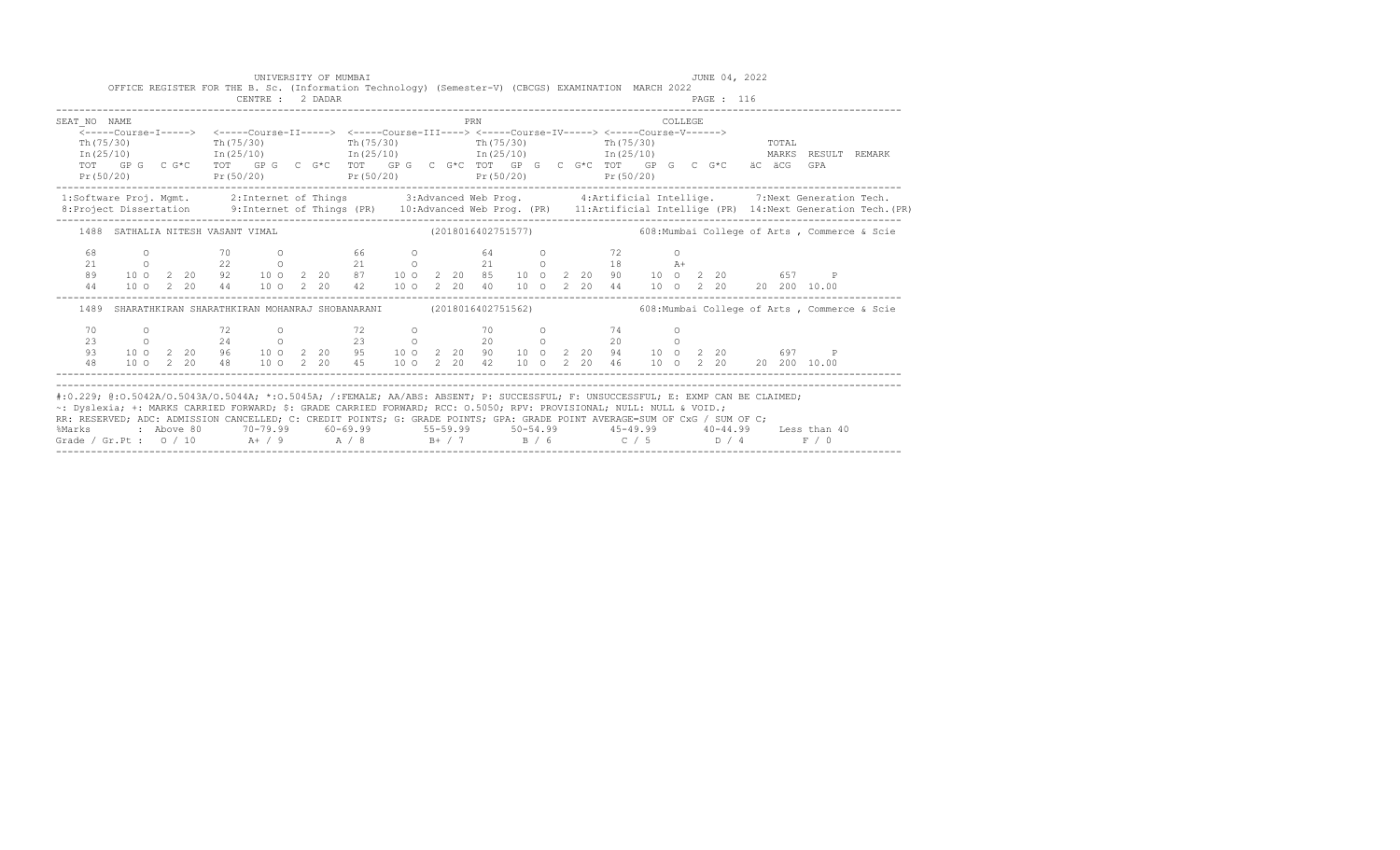|                                                                                                                                                                                                                                                                                                                    |           |  |                                   | UNIVERSITY OF MUMBAI<br>CENTRE : 2 DADAR |  | OFFICE REGISTER FOR THE B. Sc. (Information Technology) (Semester-V) (CBCGS) EXAMINATION MARCH 2022                                                                                                                                                                                                                                                           |  |     |  |  |  |          | JUNE 04, 2022<br>PAGE : 116 |                                                                                                                                                                                                                          |                     |                                                                                                                                                                                                                                   |
|--------------------------------------------------------------------------------------------------------------------------------------------------------------------------------------------------------------------------------------------------------------------------------------------------------------------|-----------|--|-----------------------------------|------------------------------------------|--|---------------------------------------------------------------------------------------------------------------------------------------------------------------------------------------------------------------------------------------------------------------------------------------------------------------------------------------------------------------|--|-----|--|--|--|----------|-----------------------------|--------------------------------------------------------------------------------------------------------------------------------------------------------------------------------------------------------------------------|---------------------|-----------------------------------------------------------------------------------------------------------------------------------------------------------------------------------------------------------------------------------|
| SEAT NO NAME                                                                                                                                                                                                                                                                                                       |           |  |                                   |                                          |  |                                                                                                                                                                                                                                                                                                                                                               |  | PRN |  |  |  | COLLEGE. |                             |                                                                                                                                                                                                                          |                     |                                                                                                                                                                                                                                   |
| Th (75/30)                                                                                                                                                                                                                                                                                                         | Pr(50/20) |  |                                   |                                          |  | <-----Course-I-----> <-----Course-II-----> <-----Course-III----> <-----Course-IV-----> <-----Course-V------><br>Th $(75/30)$ Th $(75/30)$ Th $(75/30)$ Th $(75/30)$<br>$\text{In (25/10)}$ $\text{In (25/10)}$ $\text{In (25/10)}$ $\text{In (25/10)}$ $\text{In (25/10)}$ $\text{In (25/10)}$<br>$Pr(50/20)$ $Pr(50/20)$ $Pr(50/20)$ $Pr(50/20)$ $Pr(50/20)$ |  |     |  |  |  |          |                             | TOTAL<br>TOT GPG CG*C TOT GPG CG*C TOT GPG CG*C TOT GPG CG*C TOT GPG CG*C TOT GPG CG*C äC äCG GPA                                                                                                                        | MARKS RESULT REMARK |                                                                                                                                                                                                                                   |
|                                                                                                                                                                                                                                                                                                                    |           |  |                                   |                                          |  |                                                                                                                                                                                                                                                                                                                                                               |  |     |  |  |  |          |                             |                                                                                                                                                                                                                          |                     | 1:Software Proj. Mgmt. 2:Internet of Things 3:Advanced Web Prog. 4:Artificial Intellige. 7:Next Generation Tech.<br>1:Project Dissertation 9:Internet of Things (PR) 10:Advanced Web Prog. (PR) 11:Artificial Intellige (PR) 14:N |
|                                                                                                                                                                                                                                                                                                                    |           |  | 1488 SATHALIA NITESH VASANT VIMAL |                                          |  |                                                                                                                                                                                                                                                                                                                                                               |  |     |  |  |  |          |                             |                                                                                                                                                                                                                          |                     |                                                                                                                                                                                                                                   |
| 68<br>21<br>89<br>44                                                                                                                                                                                                                                                                                               |           |  |                                   |                                          |  |                                                                                                                                                                                                                                                                                                                                                               |  |     |  |  |  |          |                             | 0 70 0 66 0 64 0 72 0<br>0 22 0 21 0 21 0 18 A+<br>10 0 2 20 92 10 0 2 20 67 10 0 2 20 85 10 0 2 20 90 10 0 2 20 657 P<br>10 0 2 20 44 10 0 2 20 42 10 0 2 20 40 10 0 2 20 44 10 0 2 20 20 20 10.00                      |                     |                                                                                                                                                                                                                                   |
| 1489                                                                                                                                                                                                                                                                                                               |           |  |                                   |                                          |  | SHARATHKIRAN SHARATHKIRAN MOHANRAJ SHOBANARANI                                                                                                                                                                                                                                                                                                                |  |     |  |  |  |          |                             | (2018016402751562) 608: Mumbai College of Arts, Commerce & Scie                                                                                                                                                          |                     |                                                                                                                                                                                                                                   |
| 70<br>23<br>93<br>48                                                                                                                                                                                                                                                                                               |           |  |                                   | $0$ 72 0                                 |  | 0 24 0 23 0 20 0 20 0                                                                                                                                                                                                                                                                                                                                         |  |     |  |  |  | $\circ$  |                             | 10 0 2 20 96 10 0 2 20 95 10 0 2 20 90 10 0 2 20 94 10 0 2 20 697<br>10 0 2 20 48 10 0 2 20 45 10 0 2 20 42 10 0 2 20 46 10 0 2 20 20 20 10.00                                                                           | $\mathsf{P}$        |                                                                                                                                                                                                                                   |
| ~: Dyslexia; +: MARKS CARRIED FORWARD; \$: GRADE CARRIED FORWARD; RCC: 0.5050; RPV: PROVISIONAL; NULL: NULL & VOID.;<br>RR: RESERVED; ADC: ADMISSION CANCELLED; C: CREDIT POINTS; G: GRADE POINTS; GPA: GRADE POINT AVERAGE=SUM OF CxG / SUM OF C;<br>Grade / Gr.Pt : 0 / 10 A+ / 9 A / 8 B+ / 7 B / 6 C / 5 D / 4 |           |  |                                   |                                          |  |                                                                                                                                                                                                                                                                                                                                                               |  |     |  |  |  |          |                             | #:0.229; @:0.5042A/0.5043A/0.5044A; *:0.5045A; /:FEMALE; AA/ABS: ABSENT; P: SUCCESSFUL; F: UNSUCCESSFUL; E: EXMP CAN BE CLAIMED;<br>%Marks : Above 80 70-79.99 60-69.99 55-59.99 50-54.99 45-49.99 40-44.99 Less than 40 | F / 0               |                                                                                                                                                                                                                                   |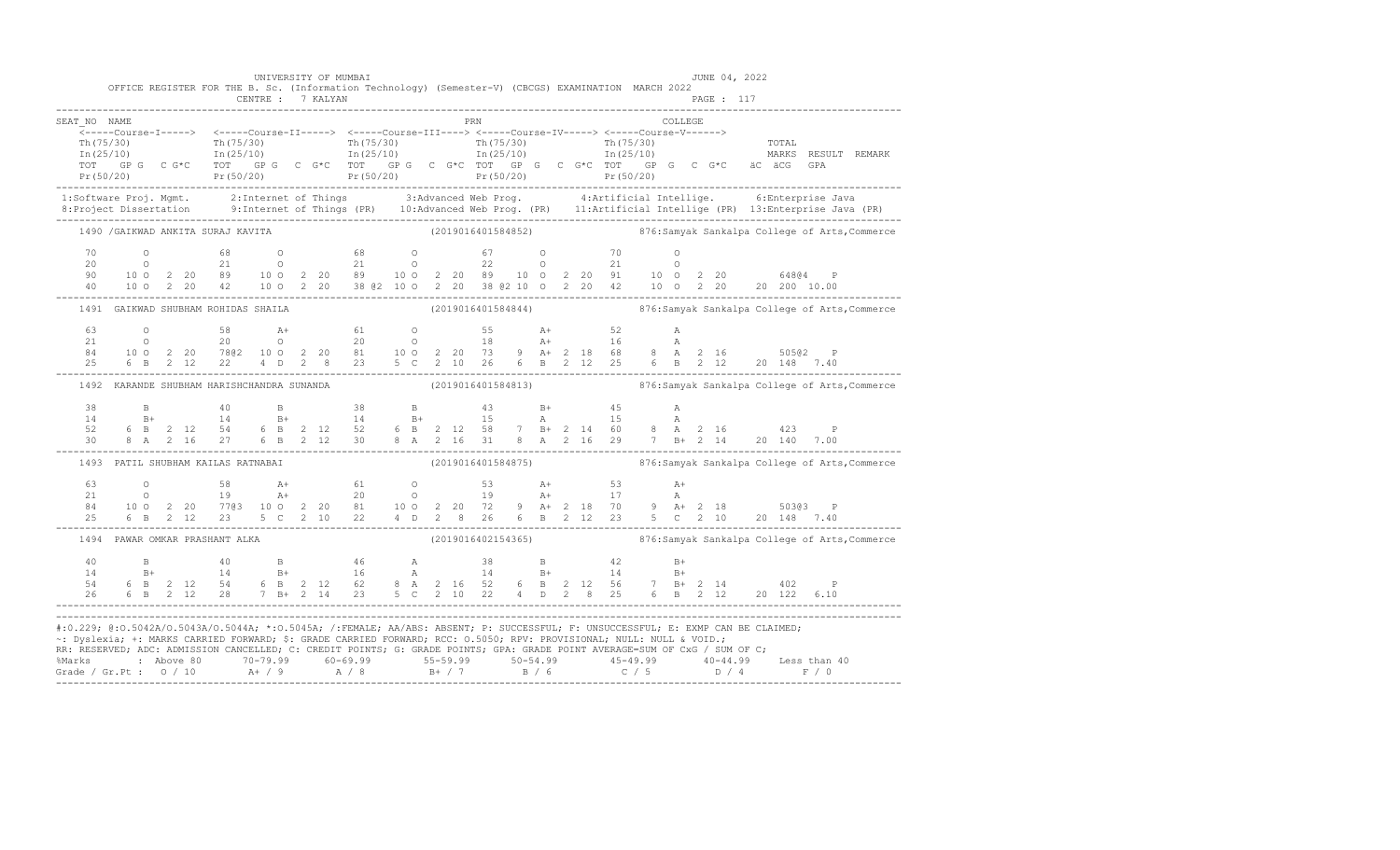|                                                                                                                                                                                                                                                                                                                                                                                                                                                                                                                                                       | OFFICE REGISTER FOR THE B. Sc. (Information Technology) (Semester-V) (CBCGS) EXAMINATION MARCH 2022                                                                                                                                                                                                                                           |  |  | UNIVERSITY OF MUMBAI |  |  |                    |  |  |  |         | JUNE 04, 2022 |  |                                                                                                                                                                                                                                                                                                              |
|-------------------------------------------------------------------------------------------------------------------------------------------------------------------------------------------------------------------------------------------------------------------------------------------------------------------------------------------------------------------------------------------------------------------------------------------------------------------------------------------------------------------------------------------------------|-----------------------------------------------------------------------------------------------------------------------------------------------------------------------------------------------------------------------------------------------------------------------------------------------------------------------------------------------|--|--|----------------------|--|--|--------------------|--|--|--|---------|---------------|--|--------------------------------------------------------------------------------------------------------------------------------------------------------------------------------------------------------------------------------------------------------------------------------------------------------------|
| SEAT NO NAME                                                                                                                                                                                                                                                                                                                                                                                                                                                                                                                                          |                                                                                                                                                                                                                                                                                                                                               |  |  |                      |  |  | <b>PRN</b>         |  |  |  | COLLEGE |               |  |                                                                                                                                                                                                                                                                                                              |
|                                                                                                                                                                                                                                                                                                                                                                                                                                                                                                                                                       | - 1 (15/30)<br>In (25/10) - 1 (15/30) - 1 (15/30) - 1 (15/30) - 1 (15/30) - 1 (15/30) - 1 (15/30) - 1 (15/30) - 1 (25/10) - 1<br>In (25/10) - 1 (25/10) - 1 (25/10) - 1 (25/10) - 1 (25/10) - 1 (25/10) - 1 (25/10) - 1 (25/10) - 1                                                                                                           |  |  |                      |  |  |                    |  |  |  |         |               |  |                                                                                                                                                                                                                                                                                                              |
|                                                                                                                                                                                                                                                                                                                                                                                                                                                                                                                                                       |                                                                                                                                                                                                                                                                                                                                               |  |  |                      |  |  |                    |  |  |  |         |               |  |                                                                                                                                                                                                                                                                                                              |
|                                                                                                                                                                                                                                                                                                                                                                                                                                                                                                                                                       | 1490 / GAIKWAD ANKITA SURAJ KAVITA                                                                                                                                                                                                                                                                                                            |  |  |                      |  |  |                    |  |  |  |         |               |  | (2019016401584852) 876:Samyak Sankalpa College of Arts, Commerce                                                                                                                                                                                                                                             |
|                                                                                                                                                                                                                                                                                                                                                                                                                                                                                                                                                       |                                                                                                                                                                                                                                                                                                                                               |  |  |                      |  |  |                    |  |  |  |         |               |  | $\begin{array}{cccccccccccc} 70 & 0 & 68 & 0 & 68 & 0 & 67 & 0 & 70 & 0 & 0 \\ 20 & 0 & 21 & 0 & 21 & 0 & 22 & 0 & 21 & 0 & 0 \\ 90 & 100 & 2 & 20 & 89 & 100 & 2 & 20 & 89 & 10 & 2 & 20 & 89 & 10 & 0 & 2 & 20 & 91 & 10 & 0 & 2 & 20 & 64864 & P \\ 40 & 100 & 2 & 20 & 42 & 100 & 2 & 20 & 38 & 62 & 10$ |
|                                                                                                                                                                                                                                                                                                                                                                                                                                                                                                                                                       | 1491 GAIKWAD SHUBHAM ROHIDAS SHAILA (2019016401584844) 376:Samyak Sankalpa College of Arts, Commerce                                                                                                                                                                                                                                          |  |  |                      |  |  |                    |  |  |  |         |               |  |                                                                                                                                                                                                                                                                                                              |
|                                                                                                                                                                                                                                                                                                                                                                                                                                                                                                                                                       |                                                                                                                                                                                                                                                                                                                                               |  |  |                      |  |  |                    |  |  |  |         |               |  | 63 0 58 A+ 61 0 55 A+ 52 A<br>21 0 20 0 20 0 18 A+ 16 A<br>84 100 2 20 7802 100 2 20 81 100 2 20 73 9 A+ 2 18 68 8 A 2 16 50502 P<br>25 6 B 2 12 22 4 D 2 8 23 5 C 2 10 26 6 B 2 12 25 6 B 2 12 20 148 7.40<br>----------------------                                                                        |
|                                                                                                                                                                                                                                                                                                                                                                                                                                                                                                                                                       | 1492 KARANDE SHUBHAM HARISHCHANDRA SUNANDA (2019016401584813) 876:Samyak Sankalpa College of Arts, Commerce                                                                                                                                                                                                                                   |  |  |                      |  |  |                    |  |  |  |         |               |  |                                                                                                                                                                                                                                                                                                              |
|                                                                                                                                                                                                                                                                                                                                                                                                                                                                                                                                                       | $\begin{array}{cccccccccccccccc} 38 & B & A0 & B & 38 & B & 43 & B+ & 45 & A \\ 14 & B+ & 14 & B+ & 14 & B+ & 15 & A & 15 & A \\ 52 & 6 & B & 2 & 12 & 54 & 6 & B & 2 & 12 & 52 & 6 & B & 2 & 12 & 58 & 7 & B+ & 2 & 14 & 60 & 8 & A & 2 & 16 & & 423 & P \\ 30 & 8 & A & 2 & 16 & 27 & 6 & B & 2 & 12 & 30 & 8 & A & 2 & 16 & 31 & 8 & A & $ |  |  |                      |  |  |                    |  |  |  |         |               |  |                                                                                                                                                                                                                                                                                                              |
|                                                                                                                                                                                                                                                                                                                                                                                                                                                                                                                                                       | 1493 PATIL SHUBHAM KAILAS RATNABAI                                                                                                                                                                                                                                                                                                            |  |  |                      |  |  | (2019016401584875) |  |  |  |         |               |  | 876: Samyak Sankalpa College of Arts, Commerce                                                                                                                                                                                                                                                               |
|                                                                                                                                                                                                                                                                                                                                                                                                                                                                                                                                                       | $\begin{array}{cccccccccccccccc} 63 & 0 & 58 & A+ & 61 & 0 & 53 & A+ & 53 & A+ & 50363 & P- & 50363 & P- & 510 & 2 & 20 & 7163 & 100 & 2 & 20 & 81 & 100 & 2 & 20 & 72 & 9 & A+ & 2 & 18 & 70 & 9 & A+ & 2 & 18 & 50363 & P- & 25 & 6 & B & 2 & 12 & 23 & 5 & C & 2 & 10 & 22 & 4 & D & 2 & 8 & 26 & 6 & B & 2 & 12 & 2$                      |  |  |                      |  |  |                    |  |  |  |         |               |  |                                                                                                                                                                                                                                                                                                              |
|                                                                                                                                                                                                                                                                                                                                                                                                                                                                                                                                                       | 1494 PAWAR OMKAR PRASHANT ALKA (2019016402154365) 876:Samyak Sankalpa College of Arts, Commerce                                                                                                                                                                                                                                               |  |  |                      |  |  |                    |  |  |  |         |               |  |                                                                                                                                                                                                                                                                                                              |
|                                                                                                                                                                                                                                                                                                                                                                                                                                                                                                                                                       |                                                                                                                                                                                                                                                                                                                                               |  |  |                      |  |  |                    |  |  |  |         |               |  |                                                                                                                                                                                                                                                                                                              |
| #:0.229; @:0.5042A/0.5043A/0.5044A; *:0.5045A; /:FEMALE; AA/ABS: ABSENT; P: SUCCESSFUL; F: UNSUCCESSFUL; E: EXMP CAN BE CLAIMED;<br>~: Dyslexia; +: MARKS CARRIED FORWARD; \$: GRADE CARRIED FORWARD; RCC: 0.5050; RPV: PROVISIONAL; NULL: NULL & VOID.;<br>RR: RESERVED; ADC: ADMISSION CANCELLED; C: CREDIT POINTS; G: GRADE POINTS; GPA: GRADE POINT AVERAGE=SUM OF CxG / SUM OF C;<br>% Marks : Above 80 70-79.99 60-69.99 55-59.99 50-54.99 45-49.99 40-44.99 Less than 40<br>Grade / Gr.Pt : 0 / 10 A+ / 9 A / 8 B+ / 7 B / 6 C / 5 D / 4 F / 0 |                                                                                                                                                                                                                                                                                                                                               |  |  |                      |  |  |                    |  |  |  |         |               |  |                                                                                                                                                                                                                                                                                                              |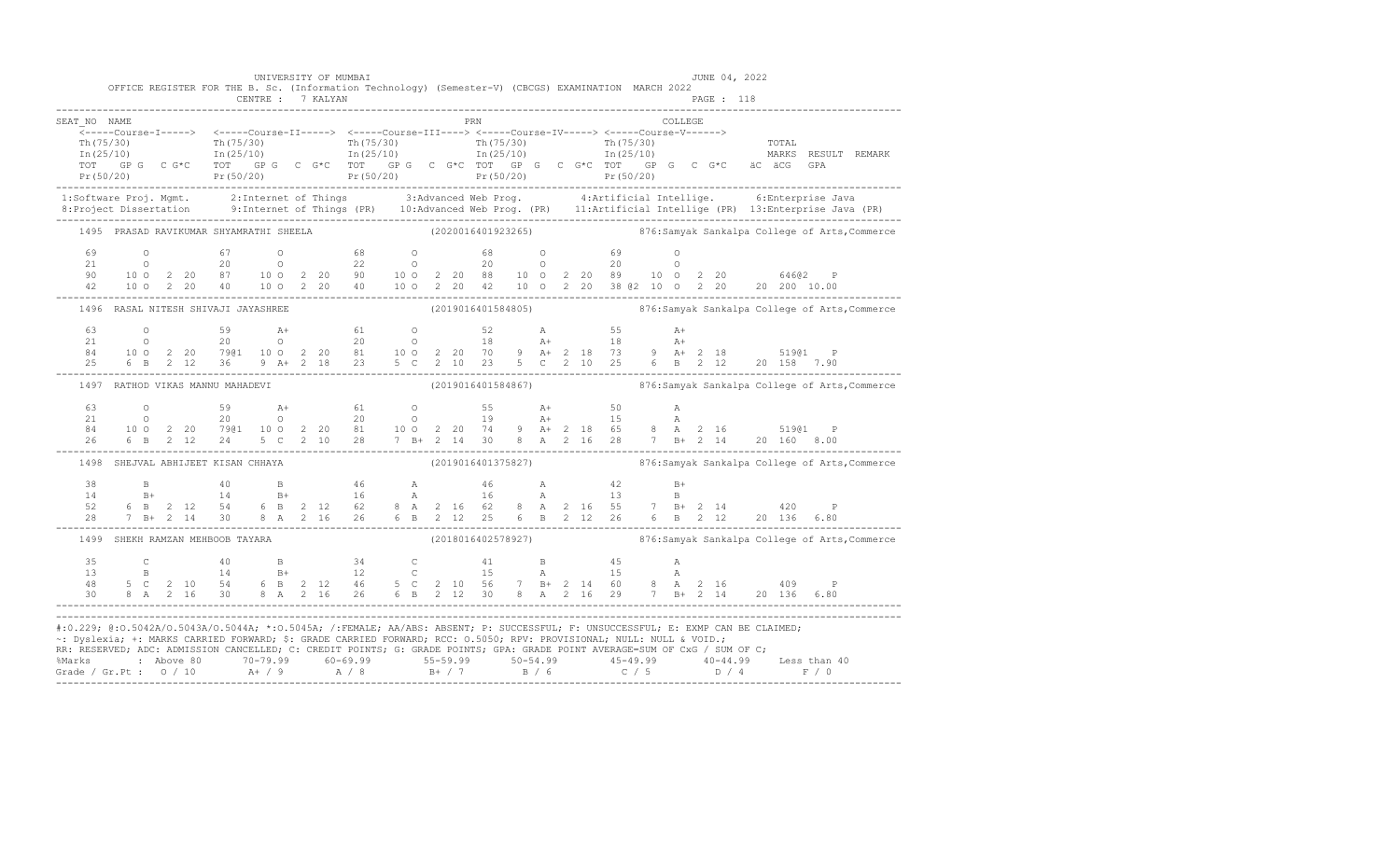|                                                                                                                                                                                                                                                                                                                                                                                                                                                                                                                                                                        |  |  |                                     | UNIVERSITY OF MUMBAI |  | OFFICE REGISTER FOR THE B. Sc. (Information Technology) (Semester-V) (CBCGS) EXAMINATION MARCH 2022                                                                                                                                                                                                                                                                                           |  |     |  |  |  |         | JUNE 04, 2022 |  |  |  |
|------------------------------------------------------------------------------------------------------------------------------------------------------------------------------------------------------------------------------------------------------------------------------------------------------------------------------------------------------------------------------------------------------------------------------------------------------------------------------------------------------------------------------------------------------------------------|--|--|-------------------------------------|----------------------|--|-----------------------------------------------------------------------------------------------------------------------------------------------------------------------------------------------------------------------------------------------------------------------------------------------------------------------------------------------------------------------------------------------|--|-----|--|--|--|---------|---------------|--|--|--|
|                                                                                                                                                                                                                                                                                                                                                                                                                                                                                                                                                                        |  |  |                                     | CENTRE : 7 KALYAN    |  |                                                                                                                                                                                                                                                                                                                                                                                               |  |     |  |  |  |         | PAGE : 118    |  |  |  |
| SEAT NO NAME                                                                                                                                                                                                                                                                                                                                                                                                                                                                                                                                                           |  |  |                                     |                      |  |                                                                                                                                                                                                                                                                                                                                                                                               |  | PRN |  |  |  | COLLEGE |               |  |  |  |
|                                                                                                                                                                                                                                                                                                                                                                                                                                                                                                                                                                        |  |  |                                     |                      |  |                                                                                                                                                                                                                                                                                                                                                                                               |  |     |  |  |  |         |               |  |  |  |
|                                                                                                                                                                                                                                                                                                                                                                                                                                                                                                                                                                        |  |  |                                     |                      |  | $\begin{array}{cccccccc} \texttt{Th(75/30)} & & & \texttt{Th(75/30)} & & & \texttt{Th(75/30)} & & & \texttt{Th(75/30)} & & & \texttt{Th(75/30)} & & & \texttt{Th(75/30)} & & & \texttt{Th(75/30)} & & & \texttt{Th(75/30)} & & & \texttt{Th(75/30)} & & & \texttt{Th(75/30)} & & & \texttt{Th(75/30)} & & & \texttt{Th(75/30)} & & & \texttt{Th(75/30)} & & & \texttt{Th(75/30)} & & & \text$ |  |     |  |  |  |         |               |  |  |  |
|                                                                                                                                                                                                                                                                                                                                                                                                                                                                                                                                                                        |  |  |                                     |                      |  |                                                                                                                                                                                                                                                                                                                                                                                               |  |     |  |  |  |         |               |  |  |  |
|                                                                                                                                                                                                                                                                                                                                                                                                                                                                                                                                                                        |  |  |                                     |                      |  |                                                                                                                                                                                                                                                                                                                                                                                               |  |     |  |  |  |         |               |  |  |  |
| 1:Software Proj. Mgmt. 2:Internet of Things 3:Advanced Web Prog. 4:Artificial Intellige. 6:Enterprise Java<br>8:Project Dissertation 9:Internet of Things (PR) 10:Advanced Web Prog. (PR) 11:Artificial Intellige (PR) 13:Enterpr                                                                                                                                                                                                                                                                                                                                      |  |  |                                     |                      |  |                                                                                                                                                                                                                                                                                                                                                                                               |  |     |  |  |  |         |               |  |  |  |
|                                                                                                                                                                                                                                                                                                                                                                                                                                                                                                                                                                        |  |  |                                     |                      |  | 1495 PRASAD RAVIKUMAR SHYAMRATHI SHEELA (2020016401923265) 876:Samyak Sankalpa College of Arts, Commerce                                                                                                                                                                                                                                                                                      |  |     |  |  |  |         |               |  |  |  |
|                                                                                                                                                                                                                                                                                                                                                                                                                                                                                                                                                                        |  |  |                                     |                      |  |                                                                                                                                                                                                                                                                                                                                                                                               |  |     |  |  |  |         |               |  |  |  |
|                                                                                                                                                                                                                                                                                                                                                                                                                                                                                                                                                                        |  |  |                                     |                      |  |                                                                                                                                                                                                                                                                                                                                                                                               |  |     |  |  |  |         |               |  |  |  |
|                                                                                                                                                                                                                                                                                                                                                                                                                                                                                                                                                                        |  |  |                                     |                      |  |                                                                                                                                                                                                                                                                                                                                                                                               |  |     |  |  |  |         |               |  |  |  |
|                                                                                                                                                                                                                                                                                                                                                                                                                                                                                                                                                                        |  |  |                                     |                      |  | $\begin{array}{cccccccccccc} 69 & & 0 & & 67 & & 0 & & 68 & & 0 & & 68 & & 0 & & 69 & & 0 \\ 21 & & 0 & & 20 & & 0 & & 22 & & 0 & & 20 & & 0 & & 20 & & 0 \\ 90 & 10 & 0 & 2 & 20 & 87 & & 10 & 0 & 2 & 20 & 90 & & 10 & 0 & 2 & 20 & 88 & & 10 & 0 & 2 & 20 & 89 & & 10 & 0 & 2 & 20 & & 64602 & & \mathbf{F} \\ 42 & 10 & 0 & 2$                                                            |  |     |  |  |  |         |               |  |  |  |
|                                                                                                                                                                                                                                                                                                                                                                                                                                                                                                                                                                        |  |  | 1496 RASAL NITESH SHIVAJI JAYASHREE |                      |  | (2019016401584805) 376:Samyak Sankalpa College of Arts, Commerce                                                                                                                                                                                                                                                                                                                              |  |     |  |  |  |         |               |  |  |  |
|                                                                                                                                                                                                                                                                                                                                                                                                                                                                                                                                                                        |  |  |                                     |                      |  |                                                                                                                                                                                                                                                                                                                                                                                               |  |     |  |  |  |         |               |  |  |  |
|                                                                                                                                                                                                                                                                                                                                                                                                                                                                                                                                                                        |  |  |                                     |                      |  |                                                                                                                                                                                                                                                                                                                                                                                               |  |     |  |  |  |         |               |  |  |  |
|                                                                                                                                                                                                                                                                                                                                                                                                                                                                                                                                                                        |  |  |                                     |                      |  |                                                                                                                                                                                                                                                                                                                                                                                               |  |     |  |  |  |         |               |  |  |  |
|                                                                                                                                                                                                                                                                                                                                                                                                                                                                                                                                                                        |  |  |                                     |                      |  | $\begin{array}{cccccccccccc} 63 & 0 & 59 & \text{A+} & 61 & 0 & 52 & \text{A} & 55 & \text{A+} \\ 21 & 0 & 20 & 0 & 20 & 0 & 18 & \text{A+} & 18 & \text{A+} \\ 84 & 100 & 2 & 20 & 79@1 & 100 & 2 & 20 & 81 & 100 & 2 & 20 & 70 & 9 & \text{A+} & 2 & 18 & 73 & 9 & \text{A+} & 2 & 18 & 519@1 & \text{P} \\ 25 & 6 & \text{B} & 2 & $                                                       |  |     |  |  |  |         |               |  |  |  |
|                                                                                                                                                                                                                                                                                                                                                                                                                                                                                                                                                                        |  |  | 1497 RATHOD VIKAS MANNU MAHADEVI    |                      |  | (2019016401584867)                           876:Samyak Sankalpa College of Arts,Commerce                                                                                                                                                                                                                                                                                                     |  |     |  |  |  |         |               |  |  |  |
|                                                                                                                                                                                                                                                                                                                                                                                                                                                                                                                                                                        |  |  |                                     |                      |  |                                                                                                                                                                                                                                                                                                                                                                                               |  |     |  |  |  |         |               |  |  |  |
|                                                                                                                                                                                                                                                                                                                                                                                                                                                                                                                                                                        |  |  |                                     |                      |  |                                                                                                                                                                                                                                                                                                                                                                                               |  |     |  |  |  |         |               |  |  |  |
|                                                                                                                                                                                                                                                                                                                                                                                                                                                                                                                                                                        |  |  |                                     |                      |  |                                                                                                                                                                                                                                                                                                                                                                                               |  |     |  |  |  |         |               |  |  |  |
|                                                                                                                                                                                                                                                                                                                                                                                                                                                                                                                                                                        |  |  |                                     |                      |  | $\begin{array}{cccccccccccc} 63 & 0 & 59 & \text{A+} & 61 & 0 & 55 & \text{A+} & 50 & \text{A} \\ 21 & 0 & 20 & 0 & 20 & 0 & 19 & \text{A+} & 15 & \text{A} \\ 84 & 100 & 2 & 20 & 79@1 & 100 & 2 & 20 & 81 & 100 & 2 & 20 & 74 & 9 & \text{A+} & 2 & 18 & 65 & 8 & \text{A} & 2 & 16 & 519@1 & \text{P} \\ 26 & 6 & \text{B} & 2 & 12$                                                       |  |     |  |  |  |         |               |  |  |  |
|                                                                                                                                                                                                                                                                                                                                                                                                                                                                                                                                                                        |  |  |                                     |                      |  | 1498 SHEJVAL ABHIJEET KISAN CHHAYA (2019016401375827) 6876:Samyak Sankalpa College of Arts, Commerce                                                                                                                                                                                                                                                                                          |  |     |  |  |  |         |               |  |  |  |
|                                                                                                                                                                                                                                                                                                                                                                                                                                                                                                                                                                        |  |  |                                     |                      |  | $\begin{array}{cccccccccccccccc} 38 & & B & & 40 & & B & & 46 & & A & & 46 & & A & & 42 & & B+ \\ 14 & & B+ & & 14 & & B+ & & 16 & & A & & 16 & & A & & 13 & & B \\ 52 & & 6 & B & 2 & 12 & 54 & 6 & B & 2 & 12 & 62 & 8 & A & 2 & 16 & 62 & 8 & A & 2 & 16 & 55 & 7 & B+ & 2 & 14 & & 420 & & P \\ 28 & & 7 & B+ & 2 & 14 & 30 & 8 & A & 2 & 16 & 26 &$                                      |  |     |  |  |  |         |               |  |  |  |
|                                                                                                                                                                                                                                                                                                                                                                                                                                                                                                                                                                        |  |  |                                     |                      |  |                                                                                                                                                                                                                                                                                                                                                                                               |  |     |  |  |  |         |               |  |  |  |
|                                                                                                                                                                                                                                                                                                                                                                                                                                                                                                                                                                        |  |  |                                     |                      |  |                                                                                                                                                                                                                                                                                                                                                                                               |  |     |  |  |  |         |               |  |  |  |
|                                                                                                                                                                                                                                                                                                                                                                                                                                                                                                                                                                        |  |  |                                     |                      |  |                                                                                                                                                                                                                                                                                                                                                                                               |  |     |  |  |  |         |               |  |  |  |
|                                                                                                                                                                                                                                                                                                                                                                                                                                                                                                                                                                        |  |  | 1499 SHEKH RAMZAN MEHBOOB TAYARA    |                      |  | (2018016402578927) 876:Samyak Sankalpa College of Arts, Commerce                                                                                                                                                                                                                                                                                                                              |  |     |  |  |  |         |               |  |  |  |
|                                                                                                                                                                                                                                                                                                                                                                                                                                                                                                                                                                        |  |  |                                     |                      |  |                                                                                                                                                                                                                                                                                                                                                                                               |  |     |  |  |  |         |               |  |  |  |
|                                                                                                                                                                                                                                                                                                                                                                                                                                                                                                                                                                        |  |  |                                     |                      |  |                                                                                                                                                                                                                                                                                                                                                                                               |  |     |  |  |  |         |               |  |  |  |
|                                                                                                                                                                                                                                                                                                                                                                                                                                                                                                                                                                        |  |  |                                     |                      |  |                                                                                                                                                                                                                                                                                                                                                                                               |  |     |  |  |  |         |               |  |  |  |
|                                                                                                                                                                                                                                                                                                                                                                                                                                                                                                                                                                        |  |  |                                     |                      |  | $\begin{array}{cccccccccccccccc} 35 & C & 40 & B & 34 & C & 41 & B & 45 & A \\ 13 & B & 14 & B+ & 12 & C & 15 & A & 15 & A \\ 48 & 5 C & 2 & 10 & 54 & 6 & B & 2 & 12 & 46 & 5 & C & 2 & 10 & 56 & 7 & B+ & 2 & 14 & 60 & 8 & A & 2 & 16 & 409 & P \\ 30 & 8 & A & 2 & 16 & 30 & 8 & A & 2 & 16 & 26 & 6 & B & 2 & 12 & 30 & 8 & A & 2 & 1$                                                   |  |     |  |  |  |         |               |  |  |  |
| #:0.229; @:0.5042A/0.5043A/0.5044A; *:0.5045A; /:FEMALE; AA/ABS: ABSENT; P: SUCCESSFUL; F: UNSUCCESSFUL; E: EXMP CAN BE CLAIMED;<br>~: Dyslexia; +: MARKS CARRIED FORWARD; \$: GRADE CARRIED FORWARD; RCC: 0.5050; RPV: PROVISIONAL; NULL: NULL & VOID.;<br>RR: RESERVED; ADC: ADMISSION CANCELLED; C: CREDIT POINTS; G: GRADE POINTS; GPA: GRADE POINT AVERAGE=SUM OF CxG / SUM OF C;<br>%Marks : Above 80 70-79.99 60-69.99 55-59.99 55-59.99 50-54.99 50-54.99 45-49.99 40-44.99 Less than 40<br>Grade / Gr.Pt : 0 / 10 A+ / 9 A / 8 B+ / 7 B / 6 C / 5 D / 4 F / 0 |  |  |                                     |                      |  |                                                                                                                                                                                                                                                                                                                                                                                               |  |     |  |  |  |         |               |  |  |  |